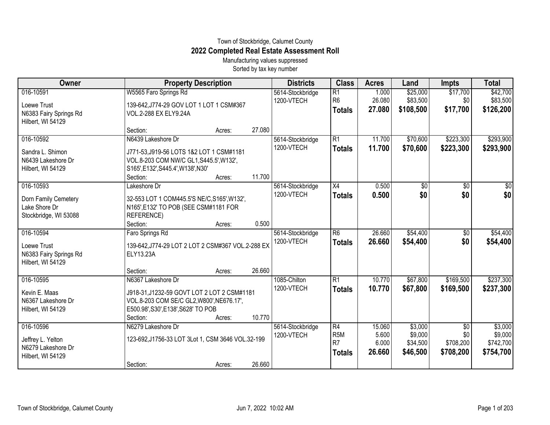## Town of Stockbridge, Calumet County **2022 Completed Real Estate Assessment Roll**

Manufacturing values suppressed Sorted by tax key number

| Owner                  | <b>Property Description</b>                       |        |        | <b>Districts</b> | <b>Class</b>    | <b>Acres</b> | Land       | <b>Impts</b>    | <b>Total</b> |
|------------------------|---------------------------------------------------|--------|--------|------------------|-----------------|--------------|------------|-----------------|--------------|
| 016-10591              | W5565 Faro Springs Rd                             |        |        | 5614-Stockbridge | R1              | 1.000        | \$25,000   | \$17,700        | \$42,700     |
| Loewe Trust            | 139-642, J774-29 GOV LOT 1 LOT 1 CSM#367          |        |        | 1200-VTECH       | R <sub>6</sub>  | 26.080       | \$83,500   | \$0             | \$83,500     |
| N6383 Fairy Springs Rd | VOL.2-288 EX ELY9.24A                             |        |        |                  | <b>Totals</b>   | 27.080       | \$108,500  | \$17,700        | \$126,200    |
| Hilbert, WI 54129      |                                                   |        |        |                  |                 |              |            |                 |              |
|                        | Section:                                          | Acres: | 27.080 |                  |                 |              |            |                 |              |
| 016-10592              | N6439 Lakeshore Dr                                |        |        | 5614-Stockbridge | R1              | 11.700       | \$70,600   | \$223,300       | \$293,900    |
| Sandra L. Shimon       | J771-53, J919-56 LOTS 1&2 LOT 1 CSM#1181          |        |        | 1200-VTECH       | <b>Totals</b>   | 11.700       | \$70,600   | \$223,300       | \$293,900    |
| N6439 Lakeshore Dr     | VOL.8-203 COM NW/C GL1, S445.5', W132',           |        |        |                  |                 |              |            |                 |              |
| Hilbert, WI 54129      | S165', E132', S445.4', W138', N30'                |        |        |                  |                 |              |            |                 |              |
|                        | Section:                                          | Acres: | 11.700 |                  |                 |              |            |                 |              |
| 016-10593              | Lakeshore Dr                                      |        |        | 5614-Stockbridge | $\overline{X4}$ | 0.500        | $\sqrt{6}$ | $\overline{50}$ | \$0          |
| Dorn Family Cemetery   | 32-553 LOT 1 COM445.5'S NE/C, S165', W132',       |        |        | 1200-VTECH       | <b>Totals</b>   | 0.500        | \$0        | \$0             | \$0          |
| Lake Shore Dr          | N165', E132' TO POB (SEE CSM#1181 FOR             |        |        |                  |                 |              |            |                 |              |
| Stockbridge, WI 53088  | REFERENCE)                                        |        |        |                  |                 |              |            |                 |              |
|                        | Section:                                          | Acres: | 0.500  |                  |                 |              |            |                 |              |
| 016-10594              | Faro Springs Rd                                   |        |        | 5614-Stockbridge | $\overline{R6}$ | 26.660       | \$54,400   | \$0             | \$54,400     |
| Loewe Trust            | 139-642, J774-29 LOT 2 LOT 2 CSM#367 VOL.2-288 EX |        |        | 1200-VTECH       | <b>Totals</b>   | 26,660       | \$54,400   | \$0             | \$54,400     |
| N6383 Fairy Springs Rd | ELY13.23A                                         |        |        |                  |                 |              |            |                 |              |
| Hilbert, WI 54129      |                                                   |        |        |                  |                 |              |            |                 |              |
|                        | Section:                                          | Acres: | 26.660 |                  |                 |              |            |                 |              |
| 016-10595              | N6367 Lakeshore Dr                                |        |        | 1085-Chilton     | $\overline{R1}$ | 10.770       | \$67,800   | \$169,500       | \$237,300    |
| Kevin E. Maas          | J918-31, J1232-59 GOVT LOT 2 LOT 2 CSM#1181       |        |        | 1200-VTECH       | <b>Totals</b>   | 10.770       | \$67,800   | \$169,500       | \$237,300    |
| N6367 Lakeshore Dr     | VOL.8-203 COM SE/C GL2, W800', NE676.17',         |        |        |                  |                 |              |            |                 |              |
| Hilbert, WI 54129      | E500.98', S30', E138', S628' TO POB               |        |        |                  |                 |              |            |                 |              |
|                        | Section:                                          | Acres: | 10.770 |                  |                 |              |            |                 |              |
| 016-10596              | N6279 Lakeshore Dr                                |        |        | 5614-Stockbridge | $\overline{R4}$ | 15.060       | \$3,000    | \$0             | \$3,000      |
| Jeffrey L. Yelton      | 123-692, J1756-33 LOT 3Lot 1, CSM 3646 VOL.32-199 |        |        | 1200-VTECH       | R <sub>5M</sub> | 5.600        | \$9,000    | \$0             | \$9,000      |
| N6279 Lakeshore Dr     |                                                   |        |        |                  | R7              | 6.000        | \$34,500   | \$708,200       | \$742,700    |
| Hilbert, WI 54129      |                                                   |        |        |                  | <b>Totals</b>   | 26.660       | \$46,500   | \$708,200       | \$754,700    |
|                        | Section:                                          | Acres: | 26.660 |                  |                 |              |            |                 |              |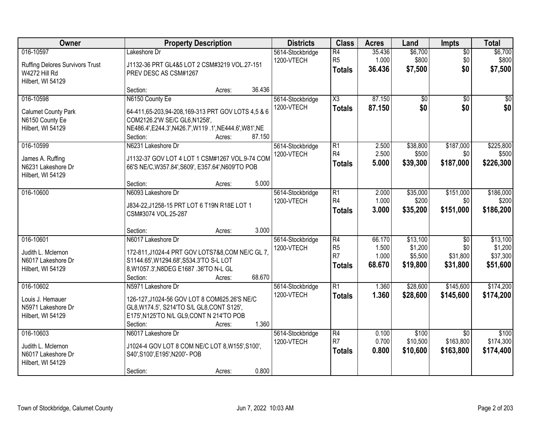| Owner                                    | <b>Property Description</b>                                                              | <b>Districts</b>               | <b>Class</b>          | <b>Acres</b>    | Land              | Impts            | <b>Total</b>       |
|------------------------------------------|------------------------------------------------------------------------------------------|--------------------------------|-----------------------|-----------------|-------------------|------------------|--------------------|
| 016-10597                                | Lakeshore Dr                                                                             | 5614-Stockbridge               | $\overline{R4}$       | 35.436          | \$6,700           | $\overline{50}$  | \$6,700            |
| <b>Ruffing Delores Survivors Trust</b>   | J1132-36 PRT GL4&5 LOT 2 CSM#3219 VOL.27-151                                             | 1200-VTECH                     | R <sub>5</sub>        | 1.000<br>36.436 | \$800<br>\$7,500  | \$0<br>\$0       | \$800              |
| W4272 Hill Rd                            | PREV DESC AS CSM#1267                                                                    |                                | <b>Totals</b>         |                 |                   |                  | \$7,500            |
| Hilbert, WI 54129                        | 36.436                                                                                   |                                |                       |                 |                   |                  |                    |
| 016-10598                                | Section:<br>Acres:<br>N6150 County Ee                                                    | 5614-Stockbridge               | $\overline{\chi_3}$   | 87.150          | $\overline{50}$   | $\overline{50}$  | $\overline{50}$    |
|                                          |                                                                                          | 1200-VTECH                     | <b>Totals</b>         | 87.150          | \$0               | \$0              | \$0                |
| Calumet County Park                      | 64-411,65-203,94-208,169-313 PRT GOV LOTS 4,5 & 6                                        |                                |                       |                 |                   |                  |                    |
| N6150 County Ee<br>Hilbert, WI 54129     | COM2126.2'W SE/C GL6, N1258',<br>NE486.4', E244.3', N426.7', W119.1', NE444.6', W81', NE |                                |                       |                 |                   |                  |                    |
|                                          | 87.150<br>Section:<br>Acres:                                                             |                                |                       |                 |                   |                  |                    |
| 016-10599                                | N6231 Lakeshore Dr                                                                       | 5614-Stockbridge               | $\overline{R1}$       | 2.500           | \$38,800          | \$187,000        | \$225,800          |
| James A. Ruffing                         | J1132-37 GOV LOT 4 LOT 1 CSM#1267 VOL.9-74 COM                                           | 1200-VTECH                     | R <sub>4</sub>        | 2.500           | \$500             | \$0              | \$500              |
| N6231 Lakeshore Dr                       | 66'S NE/C, W357.84', S609', E357.64', N609'TO POB                                        |                                | <b>Totals</b>         | 5.000           | \$39,300          | \$187,000        | \$226,300          |
| Hilbert, WI 54129                        |                                                                                          |                                |                       |                 |                   |                  |                    |
|                                          | 5.000<br>Section:<br>Acres:                                                              |                                |                       |                 |                   |                  |                    |
| 016-10600                                | N6093 Lakeshore Dr                                                                       | 5614-Stockbridge<br>1200-VTECH | $\overline{R1}$<br>R4 | 2.000<br>1.000  | \$35,000<br>\$200 | \$151,000<br>\$0 | \$186,000<br>\$200 |
|                                          | J834-22, J1258-15 PRT LOT 6 T19N R18E LOT 1                                              |                                | <b>Totals</b>         | 3.000           | \$35,200          | \$151,000        | \$186,200          |
|                                          | CSM#3074 VOL.25-287                                                                      |                                |                       |                 |                   |                  |                    |
|                                          | 3.000<br>Section:<br>Acres:                                                              |                                |                       |                 |                   |                  |                    |
| 016-10601                                | N6017 Lakeshore Dr                                                                       | 5614-Stockbridge               | $\overline{R4}$       | 66.170          | \$13,100          | $\overline{30}$  | \$13,100           |
| Judith L. Mclernon                       | 172-811, J1024-4 PRT GOV LOTS7&8, COM NE/C GL 7,                                         | 1200-VTECH                     | R <sub>5</sub>        | 1.500           | \$1,200           | \$0              | \$1,200            |
| N6017 Lakeshore Dr                       | S1144.65', W1294.68', S534.3'TO S-L LOT                                                  |                                | R <sub>7</sub>        | 1.000           | \$5,500           | \$31,800         | \$37,300           |
| Hilbert, WI 54129                        | 8, W1057.3', N8DEG E1687.36'TO N-L GL                                                    |                                | <b>Totals</b>         | 68.670          | \$19,800          | \$31,800         | \$51,600           |
|                                          | 68.670<br>Section:<br>Acres:                                                             |                                |                       |                 |                   |                  |                    |
| 016-10602                                | N5971 Lakeshore Dr                                                                       | 5614-Stockbridge               | $\overline{R1}$       | 1.360           | \$28,600          | \$145,600        | \$174,200          |
| Louis J. Hemauer                         | 126-127, J1024-56 GOV LOT 8 COM625.26'S NE/C                                             | 1200-VTECH                     | <b>Totals</b>         | 1.360           | \$28,600          | \$145,600        | \$174,200          |
| N5971 Lakeshore Dr                       | GL8, W174.5', S214'TO S/L GL8, CONT S125',                                               |                                |                       |                 |                   |                  |                    |
| Hilbert, WI 54129                        | E175', N125'TO N/L GL9, CONT N 214'TO POB<br>1.360                                       |                                |                       |                 |                   |                  |                    |
| 016-10603                                | Section:<br>Acres:<br>N6017 Lakeshore Dr                                                 | 5614-Stockbridge               | $\overline{R4}$       | 0.100           | \$100             | $\overline{50}$  | \$100              |
|                                          |                                                                                          | 1200-VTECH                     | R <sub>7</sub>        | 0.700           | \$10,500          | \$163,800        | \$174,300          |
| Judith L. Mclernon<br>N6017 Lakeshore Dr | J1024-4 GOV LOT 8 COM NE/C LOT 8, W155', S100',<br>S40', S100', E195', N200'- POB        |                                | <b>Totals</b>         | 0.800           | \$10,600          | \$163,800        | \$174,400          |
| Hilbert, WI 54129                        |                                                                                          |                                |                       |                 |                   |                  |                    |
|                                          | 0.800<br>Section:<br>Acres:                                                              |                                |                       |                 |                   |                  |                    |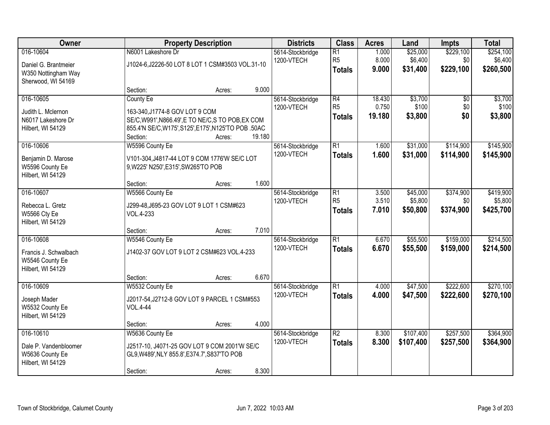| Owner                                                                      |                                                                                                                 | <b>Property Description</b> |        | <b>Districts</b>               | <b>Class</b>                                       | <b>Acres</b>              | Land                            | <b>Impts</b>                  | <b>Total</b>                      |
|----------------------------------------------------------------------------|-----------------------------------------------------------------------------------------------------------------|-----------------------------|--------|--------------------------------|----------------------------------------------------|---------------------------|---------------------------------|-------------------------------|-----------------------------------|
| 016-10604<br>Daniel G. Brantmeier<br>W350 Nottingham Way                   | N6001 Lakeshore Dr<br>J1024-6, J2226-50 LOT 8 LOT 1 CSM#3503 VOL.31-10                                          |                             |        | 5614-Stockbridge<br>1200-VTECH | $\overline{R1}$<br>R <sub>5</sub><br><b>Totals</b> | 1.000<br>8.000<br>9.000   | \$25,000<br>\$6,400<br>\$31,400 | \$229,100<br>\$0<br>\$229,100 | \$254,100<br>\$6,400<br>\$260,500 |
| Sherwood, WI 54169                                                         | Section:                                                                                                        | Acres:                      | 9.000  |                                |                                                    |                           |                                 |                               |                                   |
| 016-10605<br>Judith L. Mclernon<br>N6017 Lakeshore Dr                      | <b>County Ee</b><br>163-340, J1774-8 GOV LOT 9 COM<br>SE/C, W991', N866.49', E TO NE/C, S TO POB, EX COM        |                             |        | 5614-Stockbridge<br>1200-VTECH | $\overline{R4}$<br>R <sub>5</sub><br><b>Totals</b> | 18.430<br>0.750<br>19.180 | \$3,700<br>\$100<br>\$3,800     | \$0<br>\$0<br>\$0             | \$3,700<br>\$100<br>\$3,800       |
| Hilbert, WI 54129                                                          | 855.4'N SE/C, W175', S125', E175', N125'TO POB .50AC<br>Section:                                                | Acres:                      | 19.180 |                                |                                                    |                           |                                 |                               |                                   |
| 016-10606<br>Benjamin D. Marose<br>W5596 County Ee<br>Hilbert, WI 54129    | W5596 County Ee<br>V101-304, J4817-44 LOT 9 COM 1776'W SE/C LOT<br>9, W225' N250', E315', SW265'TO POB          |                             |        | 5614-Stockbridge<br>1200-VTECH | $\overline{R1}$<br><b>Totals</b>                   | 1.600<br>1.600            | \$31,000<br>\$31,000            | \$114,900<br>\$114,900        | \$145,900<br>\$145,900            |
|                                                                            | Section:                                                                                                        | Acres:                      | 1.600  |                                |                                                    |                           |                                 |                               |                                   |
| 016-10607<br>Rebecca L. Gretz<br>W5566 Cty Ee<br>Hilbert, WI 54129         | W5566 County Ee<br>J299-48, J695-23 GOV LOT 9 LOT 1 CSM#623<br>VOL.4-233                                        |                             |        | 5614-Stockbridge<br>1200-VTECH | $\overline{R1}$<br>R <sub>5</sub><br><b>Totals</b> | 3.500<br>3.510<br>7.010   | \$45,000<br>\$5,800<br>\$50,800 | \$374,900<br>\$0<br>\$374,900 | \$419,900<br>\$5,800<br>\$425,700 |
|                                                                            | Section:                                                                                                        | Acres:                      | 7.010  |                                |                                                    |                           |                                 |                               |                                   |
| 016-10608<br>Francis J. Schwalbach<br>W5546 County Ee<br>Hilbert, WI 54129 | W5546 County Ee<br>J1402-37 GOV LOT 9 LOT 2 CSM#623 VOL.4-233                                                   |                             |        | 5614-Stockbridge<br>1200-VTECH | $\overline{R1}$<br><b>Totals</b>                   | 6.670<br>6.670            | \$55,500<br>\$55,500            | \$159,000<br>\$159,000        | \$214,500<br>\$214,500            |
|                                                                            | Section:                                                                                                        | Acres:                      | 6.670  |                                |                                                    |                           |                                 |                               |                                   |
| 016-10609<br>Joseph Mader<br>W5532 County Ee<br>Hilbert, WI 54129          | W5532 County Ee<br>J2017-54, J2712-8 GOV LOT 9 PARCEL 1 CSM#553<br><b>VOL.4-44</b>                              |                             |        | 5614-Stockbridge<br>1200-VTECH | $\overline{R1}$<br><b>Totals</b>                   | 4.000<br>4.000            | \$47,500<br>\$47,500            | \$222,600<br>\$222,600        | \$270,100<br>\$270,100            |
|                                                                            | Section:                                                                                                        | Acres:                      | 4.000  |                                |                                                    |                           |                                 |                               |                                   |
| 016-10610<br>Dale P. Vandenbloomer<br>W5636 County Ee<br>Hilbert, WI 54129 | W5636 County Ee<br>J2517-10, J4071-25 GOV LOT 9 COM 2001'W SE/C<br>GL9, W489', NLY 855.8', E374.7', S837'TO POB |                             |        | 5614-Stockbridge<br>1200-VTECH | $\overline{R2}$<br><b>Totals</b>                   | 8.300<br>8.300            | \$107,400<br>\$107,400          | \$257,500<br>\$257,500        | \$364,900<br>\$364,900            |
|                                                                            | Section:                                                                                                        | Acres:                      | 8.300  |                                |                                                    |                           |                                 |                               |                                   |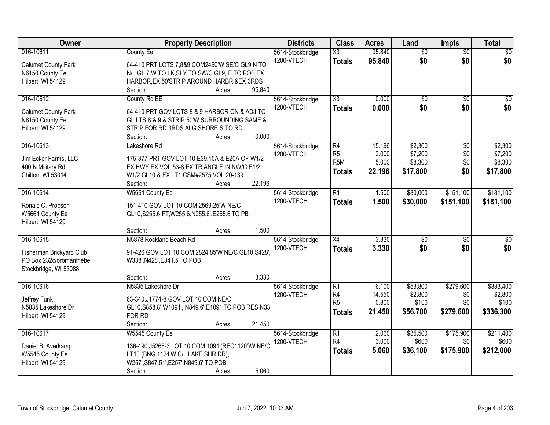| Owner                                     | <b>Property Description</b>                          | <b>Districts</b> | <b>Class</b>           | <b>Acres</b>    | Land             | <b>Impts</b>    | <b>Total</b>     |
|-------------------------------------------|------------------------------------------------------|------------------|------------------------|-----------------|------------------|-----------------|------------------|
| 016-10611                                 | <b>County Ee</b>                                     | 5614-Stockbridge | X3                     | 95.840          | $\overline{50}$  | $\overline{50}$ | $\overline{30}$  |
| <b>Calumet County Park</b>                | 64-410 PRT LOTS 7,8&9 COM2490'W SE/C GL9,N TO        | 1200-VTECH       | <b>Totals</b>          | 95.840          | \$0              | \$0             | \$0              |
| N6150 County Ee                           | N/L GL 7, W TO LK, SLY TO SW/C GL9, E TO POB, EX     |                  |                        |                 |                  |                 |                  |
| Hilbert, WI 54129                         | HARBOR, EX 50'STRIP AROUND HARBR & EX 3RDS           |                  |                        |                 |                  |                 |                  |
|                                           | 95.840<br>Section:<br>Acres:                         |                  |                        |                 |                  |                 |                  |
| 016-10612                                 | County Rd EE                                         | 5614-Stockbridge | $\overline{\text{X3}}$ | 0.000           | $\overline{50}$  | $\overline{50}$ | $\overline{30}$  |
| <b>Calumet County Park</b>                | 64-410 PRT GOV LOTS 8 & 9 HARBOR ON & ADJ TO         | 1200-VTECH       | <b>Totals</b>          | 0.000           | \$0              | \$0             | \$0              |
| N6150 County Ee                           | GL LTS 8 & 9 & STRIP 50'W SURROUNDING SAME &         |                  |                        |                 |                  |                 |                  |
| Hilbert, WI 54129                         | STRIP FOR RD 3RDS ALG SHORE S TO RD                  |                  |                        |                 |                  |                 |                  |
|                                           | 0.000<br>Section:<br>Acres:                          |                  |                        |                 |                  |                 |                  |
| 016-10613                                 | Lakeshore Rd                                         | 5614-Stockbridge | R4                     | 15.196          | \$2,300          | \$0             | \$2,300          |
|                                           | 175-377 PRT GOV LOT 10 E39.10A & E20A OF W1/2        | 1200-VTECH       | R <sub>5</sub>         | 2.000           | \$7,200          | \$0             | \$7,200          |
| Jim Ecker Farms, LLC<br>400 N Military Rd | EX HWY, EX VOL.53-8, EX TRIANGLE IN NW/C E1/2        |                  | R <sub>5</sub> M       | 5.000           | \$8,300          | \$0             | \$8,300          |
| Chilton, WI 53014                         | W1/2 GL10 & EX LT1 CSM#2575 VOL.20-139               |                  | <b>Totals</b>          | 22.196          | \$17,800         | \$0             | \$17,800         |
|                                           | 22.196<br>Section:<br>Acres:                         |                  |                        |                 |                  |                 |                  |
| 016-10614                                 | W5661 County Ee                                      | 5614-Stockbridge | $\overline{R1}$        | 1.500           | \$30,000         | \$151,100       | \$181,100        |
|                                           |                                                      | 1200-VTECH       | <b>Totals</b>          | 1.500           | \$30,000         | \$151,100       | \$181,100        |
| Ronald C. Propson                         | 151-410 GOV LOT 10 COM 2569.25'W NE/C                |                  |                        |                 |                  |                 |                  |
| W5661 County Ee                           | GL10, S255.6 FT, W255.6, N255.6', E255.6'TO PB       |                  |                        |                 |                  |                 |                  |
| Hilbert, WI 54129                         | 1.500<br>Section:<br>Acres:                          |                  |                        |                 |                  |                 |                  |
| 016-10615                                 | N5878 Rockland Beach Rd                              | 5614-Stockbridge | $\overline{X4}$        | 3.330           | $\overline{50}$  | $\overline{50}$ | $\overline{\$0}$ |
|                                           |                                                      | 1200-VTECH       | <b>Totals</b>          | 3.330           | \$0              | \$0             | \$0              |
| Fisherman Brickyard Club                  | 91-426 GOV LOT 10 COM 2824.85'W NE/C GL10, S428'     |                  |                        |                 |                  |                 |                  |
| PO Box 232c/oromanfriebel                 | W338', N428', E341.5'TO POB                          |                  |                        |                 |                  |                 |                  |
| Stockbridge, WI 53088                     |                                                      |                  |                        |                 |                  |                 |                  |
|                                           | 3.330<br>Section:<br>Acres:                          |                  |                        |                 |                  |                 |                  |
| 016-10616                                 | N5835 Lakeshore Dr                                   | 5614-Stockbridge | R1<br>R4               | 6.100<br>14.550 | \$53,800         | \$279,600       | \$333,400        |
| Jeffrey Funk                              | 63-340, J1774-8 GOV LOT 10 COM NE/C                  | 1200-VTECH       | R <sub>5</sub>         | 0.800           | \$2,800<br>\$100 | \$0<br>\$0      | \$2,800<br>\$100 |
| N5835 Lakeshore Dr                        | GL10, S858.8', W1091', N849.6', E1091'TO POB RES N33 |                  | Totals                 | 21.450          | \$56,700         | \$279,600       | \$336,300        |
| Hilbert, WI 54129                         | FOR RD                                               |                  |                        |                 |                  |                 |                  |
|                                           | Section:<br>21.450<br>Acres:                         |                  |                        |                 |                  |                 |                  |
| 016-10617                                 | W5545 County Ee                                      | 5614-Stockbridge | R1                     | 2.060           | \$35,500         | \$175,900       | \$211,400        |
| Daniel B. Averkamp                        | 136-490, J5268-3 LOT 10 COM 1091'(REC1120') WNE/C    | 1200-VTECH       | R4                     | 3.000           | \$600            | \$0             | \$600            |
| W5545 County Ee                           | LT10 (BNG 1124'W C/L LAKE SHR DR),                   |                  | <b>Totals</b>          | 5.060           | \$36,100         | \$175,900       | \$212,000        |
| Hilbert, WI 54129                         | W257', S847.51', E257', N849.6' TO POB               |                  |                        |                 |                  |                 |                  |
|                                           | 5.060<br>Section:<br>Acres:                          |                  |                        |                 |                  |                 |                  |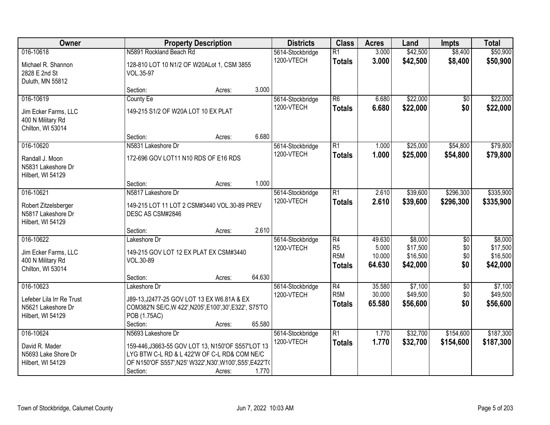| Owner                                                                       |                                                                                                                                                                                                 | <b>Property Description</b> |        | <b>Districts</b>               | <b>Class</b>                                              | <b>Acres</b>                        | Land                                        | <b>Impts</b>                         | <b>Total</b>                                |
|-----------------------------------------------------------------------------|-------------------------------------------------------------------------------------------------------------------------------------------------------------------------------------------------|-----------------------------|--------|--------------------------------|-----------------------------------------------------------|-------------------------------------|---------------------------------------------|--------------------------------------|---------------------------------------------|
| 016-10618                                                                   | N5891 Rockland Beach Rd                                                                                                                                                                         |                             |        | 5614-Stockbridge               | $\overline{R1}$                                           | 3.000                               | \$42,500                                    | \$8,400                              | \$50,900                                    |
| Michael R. Shannon<br>2828 E 2nd St<br>Duluth, MN 55812                     | 128-810 LOT 10 N1/2 OF W20ALot 1, CSM 3855<br>VOL.35-97                                                                                                                                         |                             |        | 1200-VTECH                     | <b>Totals</b>                                             | 3.000                               | \$42,500                                    | \$8,400                              | \$50,900                                    |
|                                                                             | Section:                                                                                                                                                                                        | Acres:                      | 3.000  |                                |                                                           |                                     |                                             |                                      |                                             |
| 016-10619<br>Jim Ecker Farms, LLC<br>400 N Military Rd                      | County Ee<br>149-215 S1/2 OF W20A LOT 10 EX PLAT                                                                                                                                                |                             |        | 5614-Stockbridge<br>1200-VTECH | $\overline{R6}$<br><b>Totals</b>                          | 6.680<br>6.680                      | \$22,000<br>\$22,000                        | $\overline{50}$<br>\$0               | \$22,000<br>\$22,000                        |
| Chilton, WI 53014                                                           | Section:                                                                                                                                                                                        | Acres:                      | 6.680  |                                |                                                           |                                     |                                             |                                      |                                             |
| 016-10620                                                                   | N5831 Lakeshore Dr                                                                                                                                                                              |                             |        | 5614-Stockbridge               | $\overline{R1}$                                           | 1.000                               | \$25,000                                    | \$54,800                             | \$79,800                                    |
| Randall J. Moon<br>N5831 Lakeshore Dr<br>Hilbert, WI 54129                  | 172-696 GOV LOT11 N10 RDS OF E16 RDS                                                                                                                                                            |                             |        | 1200-VTECH                     | <b>Totals</b>                                             | 1.000                               | \$25,000                                    | \$54,800                             | \$79,800                                    |
|                                                                             | Section:                                                                                                                                                                                        | Acres:                      | 1.000  |                                |                                                           |                                     |                                             |                                      |                                             |
| 016-10621                                                                   | N5817 Lakeshore Dr                                                                                                                                                                              |                             |        | 5614-Stockbridge               | R1                                                        | 2.610                               | \$39,600                                    | \$296,300                            | \$335,900                                   |
| Robert Zitzelsberger<br>N5817 Lakeshore Dr<br>Hilbert, WI 54129             | 149-215 LOT 11 LOT 2 CSM#3440 VOL.30-89 PREV<br>DESC AS CSM#2846                                                                                                                                |                             |        | 1200-VTECH                     | <b>Totals</b>                                             | 2.610                               | \$39,600                                    | \$296,300                            | \$335,900                                   |
|                                                                             | Section:                                                                                                                                                                                        | Acres:                      | 2.610  |                                |                                                           |                                     |                                             |                                      |                                             |
| 016-10622<br>Jim Ecker Farms, LLC<br>400 N Military Rd<br>Chilton, WI 53014 | Lakeshore Dr<br>149-215 GOV LOT 12 EX PLAT EX CSM#3440<br>VOL.30-89<br>Section:                                                                                                                 | Acres:                      | 64.630 | 5614-Stockbridge<br>1200-VTECH | R4<br>R <sub>5</sub><br>R <sub>5</sub> M<br><b>Totals</b> | 49.630<br>5.000<br>10.000<br>64.630 | \$8,000<br>\$17,500<br>\$16,500<br>\$42,000 | $\overline{30}$<br>\$0<br>\$0<br>\$0 | \$8,000<br>\$17,500<br>\$16,500<br>\$42,000 |
| 016-10623                                                                   | Lakeshore Dr                                                                                                                                                                                    |                             |        | 5614-Stockbridge               | R4                                                        | 35.580                              | \$7,100                                     | $\overline{50}$                      | \$7,100                                     |
| Lefeber Lila Irr Re Trust<br>N5621 Lakeshore Dr<br>Hilbert, WI 54129        | J89-13, J2477-25 GOV LOT 13 EX W6.81A & EX<br>COM382'N SE/C, W 422', N205', E100', 30', E322', S75'TO<br>POB (1.75AC)                                                                           |                             |        | 1200-VTECH                     | R <sub>5M</sub><br><b>Totals</b>                          | 30.000<br>65,580                    | \$49,500<br>\$56,600                        | \$0<br>\$0                           | \$49,500<br>\$56,600                        |
|                                                                             | Section:                                                                                                                                                                                        | Acres:                      | 65.580 |                                |                                                           |                                     |                                             |                                      |                                             |
| 016-10624<br>David R. Mader<br>N5693 Lake Shore Dr<br>Hilbert, WI 54129     | N5693 Lakeshore Dr<br>159-446, J3663-55 GOV LOT 13, N150'OF S557'LOT 13<br>LYG BTW C-L RD & L 422'W OF C-L RD& COM NE/C<br>OF N150'OF S557', N25' W322', N30', W100', S55', E422'T(<br>Section: | Acres:                      | 1.770  | 5614-Stockbridge<br>1200-VTECH | R1<br><b>Totals</b>                                       | 1.770<br>1.770                      | \$32,700<br>\$32,700                        | \$154,600<br>\$154,600               | \$187,300<br>\$187,300                      |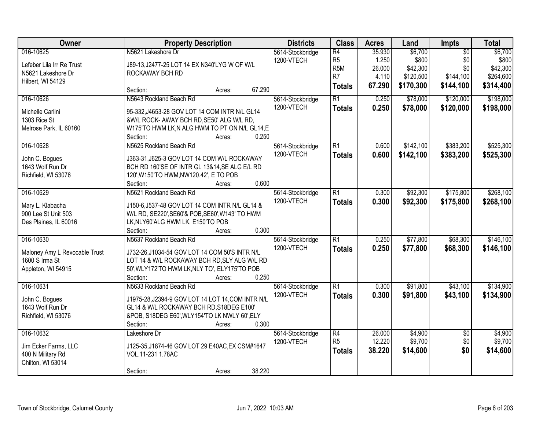| <b>Owner</b>                  | <b>Property Description</b>                       | <b>Districts</b> | <b>Class</b>     | <b>Acres</b> | Land      | Impts           | <b>Total</b> |
|-------------------------------|---------------------------------------------------|------------------|------------------|--------------|-----------|-----------------|--------------|
| 016-10625                     | N5621 Lakeshore Dr                                | 5614-Stockbridge | $\overline{R4}$  | 35.930       | \$6,700   | $\overline{50}$ | \$6,700      |
| Lefeber Lila Irr Re Trust     | J89-13, J2477-25 LOT 14 EX N340'LYG W OF W/L      | 1200-VTECH       | R <sub>5</sub>   | 1.250        | \$800     | \$0             | \$800        |
| N5621 Lakeshore Dr            | ROCKAWAY BCH RD                                   |                  | R <sub>5</sub> M | 26.000       | \$42,300  | \$0             | \$42,300     |
| Hilbert, WI 54129             |                                                   |                  | R <sub>7</sub>   | 4.110        | \$120,500 | \$144,100       | \$264,600    |
|                               | 67.290<br>Section:<br>Acres:                      |                  | <b>Totals</b>    | 67.290       | \$170,300 | \$144,100       | \$314,400    |
| 016-10626                     | N5643 Rockland Beach Rd                           | 5614-Stockbridge | $\overline{R1}$  | 0.250        | \$78,000  | \$120,000       | \$198,000    |
| Michelle Carlini              | 95-332, J4653-28 GOV LOT 14 COM INTR N/L GL14     | 1200-VTECH       | <b>Totals</b>    | 0.250        | \$78,000  | \$120,000       | \$198,000    |
| 1303 Rice St                  | &W/L ROCK- AWAY BCH RD, SE50' ALG W/L RD,         |                  |                  |              |           |                 |              |
| Melrose Park, IL 60160        | W175'TO HWM LK, N ALG HWM TO PT ON N/L GL14, E    |                  |                  |              |           |                 |              |
|                               | Section:<br>0.250<br>Acres:                       |                  |                  |              |           |                 |              |
| 016-10628                     | N5625 Rockland Beach Rd                           | 5614-Stockbridge | $\overline{R1}$  | 0.600        | \$142,100 | \$383,200       | \$525,300    |
| John C. Bogues                | J363-31, J625-3 GOV LOT 14 COM W/L ROCKAWAY       | 1200-VTECH       | <b>Totals</b>    | 0.600        | \$142,100 | \$383,200       | \$525,300    |
| 1643 Wolf Run Dr              | BCH RD 160'SE OF INTR GL 13&14, SE ALG E/L RD     |                  |                  |              |           |                 |              |
| Richfield, WI 53076           | 120', W150'TO HWM, NW120.42', E TO POB            |                  |                  |              |           |                 |              |
|                               | 0.600<br>Section:<br>Acres:                       |                  |                  |              |           |                 |              |
| 016-10629                     | N5621 Rockland Beach Rd                           | 5614-Stockbridge | $\overline{R1}$  | 0.300        | \$92,300  | \$175,800       | \$268,100    |
| Mary L. Klabacha              | J150-6, J537-48 GOV LOT 14 COM INTR N/L GL14 &    | 1200-VTECH       | <b>Totals</b>    | 0.300        | \$92,300  | \$175,800       | \$268,100    |
| 900 Lee St Unit 503           | W/L RD, SE220', SE60'& POB, SE60', W143' TO HWM   |                  |                  |              |           |                 |              |
| Des Plaines, IL 60016         | LK, NLY60'ALG HWM LK, E150'TO POB                 |                  |                  |              |           |                 |              |
|                               | 0.300<br>Section:<br>Acres:                       |                  |                  |              |           |                 |              |
| 016-10630                     | N5637 Rockland Beach Rd                           | 5614-Stockbridge | $\overline{R1}$  | 0.250        | \$77,800  | \$68,300        | \$146,100    |
|                               |                                                   | 1200-VTECH       | <b>Totals</b>    | 0.250        | \$77,800  | \$68,300        | \$146,100    |
| Maloney Amy L Revocable Trust | J732-26, J1034-54 GOV LOT 14 COM 50'S INTR N/L    |                  |                  |              |           |                 |              |
| 1600 S Irma St                | LOT 14 & W/L ROCKAWAY BCH RD, SLY ALG W/L RD      |                  |                  |              |           |                 |              |
| Appleton, WI 54915            | 50', WLY172'TO HWM LK, NLY TO', ELY175'TO POB     |                  |                  |              |           |                 |              |
|                               | 0.250<br>Section:<br>Acres:                       |                  |                  |              |           |                 |              |
| 016-10631                     | N5633 Rockland Beach Rd                           | 5614-Stockbridge | $\overline{R1}$  | 0.300        | \$91,800  | \$43,100        | \$134,900    |
| John C. Bogues                | J1975-28, J2394-9 GOV LOT 14 LOT 14, COM INTR N/L | 1200-VTECH       | <b>Totals</b>    | 0.300        | \$91,800  | \$43,100        | \$134,900    |
| 1643 Wolf Run Dr              | GL14 & W/L ROCKAWAY BCH RD, S18DEG E100'          |                  |                  |              |           |                 |              |
| Richfield, WI 53076           | &POB, S18DEG E60', WLY154'TO LK NWLY 60', ELY     |                  |                  |              |           |                 |              |
|                               | 0.300<br>Section:<br>Acres:                       |                  |                  |              |           |                 |              |
| 016-10632                     | Lakeshore Dr                                      | 5614-Stockbridge | $\overline{R4}$  | 26.000       | \$4,900   | $\overline{50}$ | \$4,900      |
| Jim Ecker Farms, LLC          | J125-35, J1874-46 GOV LOT 29 E40AC, EX CSM#1647   | 1200-VTECH       | R <sub>5</sub>   | 12.220       | \$9,700   | \$0             | \$9,700      |
| 400 N Military Rd             | VOL.11-231 1.78AC                                 |                  | <b>Totals</b>    | 38.220       | \$14,600  | \$0             | \$14,600     |
| Chilton, WI 53014             |                                                   |                  |                  |              |           |                 |              |
|                               | 38.220<br>Section:<br>Acres:                      |                  |                  |              |           |                 |              |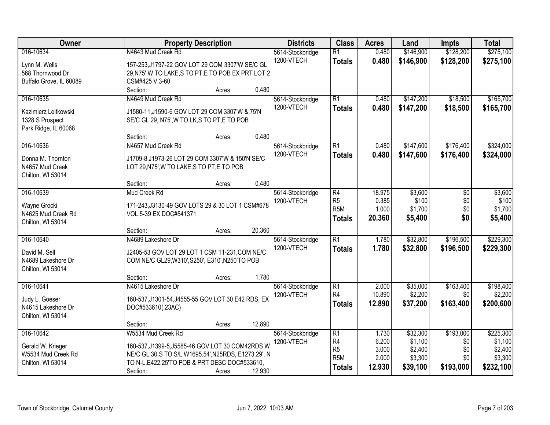| Owner                   |                                                      | <b>Property Description</b> |        | <b>Districts</b> | <b>Class</b>     | <b>Acres</b> | Land      | <b>Impts</b> | <b>Total</b> |
|-------------------------|------------------------------------------------------|-----------------------------|--------|------------------|------------------|--------------|-----------|--------------|--------------|
| 016-10634               | N4643 Mud Creek Rd                                   |                             |        | 5614-Stockbridge | $\overline{R1}$  | 0.480        | \$146,900 | \$128,200    | \$275,100    |
| Lynn M. Wells           | 157-253, J1797-22 GOV LOT 29 COM 3307'W SE/C GL      |                             |        | 1200-VTECH       | <b>Totals</b>    | 0.480        | \$146,900 | \$128,200    | \$275,100    |
| 568 Thornwood Dr        | 29, N75' W TO LAKE, S TO PT, E TO POB EX PRT LOT 2   |                             |        |                  |                  |              |           |              |              |
| Buffalo Grove, IL 60089 | CSM#425 V.3-60                                       |                             |        |                  |                  |              |           |              |              |
|                         | Section:                                             | Acres:                      | 0.480  |                  |                  |              |           |              |              |
| 016-10635               | N4649 Mud Creek Rd                                   |                             |        | 5614-Stockbridge | R1               | 0.480        | \$147,200 | \$18,500     | \$165,700    |
| Kazimierz Leitkowski    | J1580-11, J1590-6 GOV LOT 29 COM 3307'W & 75'N       |                             |        | 1200-VTECH       | <b>Totals</b>    | 0.480        | \$147,200 | \$18,500     | \$165,700    |
| 1328 S Prospect         | SE/C GL 29, N75', W TO LK, S TO PT, E TO POB         |                             |        |                  |                  |              |           |              |              |
| Park Ridge, IL 60068    |                                                      |                             |        |                  |                  |              |           |              |              |
|                         | Section:                                             | Acres:                      | 0.480  |                  |                  |              |           |              |              |
| 016-10636               | N4657 Mud Creek Rd                                   |                             |        | 5614-Stockbridge | $\overline{R1}$  | 0.480        | \$147,600 | \$176,400    | \$324,000    |
|                         |                                                      |                             |        | 1200-VTECH       | Totals           | 0.480        | \$147,600 | \$176,400    | \$324,000    |
| Donna M. Thornton       | J1709-8, J1973-26 LOT 29 COM 3307'W & 150'N SE/C     |                             |        |                  |                  |              |           |              |              |
| N4657 Mud Creek         | LOT 29, N75', W TO LAKE, S TO PT, E TO POB           |                             |        |                  |                  |              |           |              |              |
| Chilton, WI 53014       | Section:                                             | Acres:                      | 0.480  |                  |                  |              |           |              |              |
| 016-10639               | Mud Creek Rd                                         |                             |        | 5614-Stockbridge | R4               | 18.975       | \$3,600   | \$0          | \$3,600      |
|                         |                                                      |                             |        | 1200-VTECH       | R <sub>5</sub>   | 0.385        | \$100     | \$0          | \$100        |
| Wayne Grocki            | 171-243, J3130-49 GOV LOTS 29 & 30 LOT 1 CSM#678     |                             |        |                  | R <sub>5M</sub>  | 1.000        | \$1,700   | \$0          | \$1,700      |
| N4625 Mud Creek Rd      | VOL.5-39 EX DOC#541371                               |                             |        |                  | <b>Totals</b>    | 20.360       | \$5,400   | \$0          | \$5,400      |
| Chilton, WI 53014       |                                                      |                             |        |                  |                  |              |           |              |              |
|                         | Section:                                             | Acres:                      | 20.360 |                  |                  |              |           |              |              |
| 016-10640               | N4689 Lakeshore Dr                                   |                             |        | 5614-Stockbridge | $\overline{R1}$  | 1.780        | \$32,800  | \$196,500    | \$229,300    |
| David M. Sell           | J2405-53 GOV LOT 29 LOT 1 CSM 11-231, COM NE/C       |                             |        | 1200-VTECH       | <b>Totals</b>    | 1.780        | \$32,800  | \$196,500    | \$229,300    |
| N4689 Lakeshore Dr      | COM NE/C GL29, W310', S250', E310', N250'TO POB      |                             |        |                  |                  |              |           |              |              |
| Chilton, WI 53014       |                                                      |                             |        |                  |                  |              |           |              |              |
|                         | Section:                                             | Acres:                      | 1.780  |                  |                  |              |           |              |              |
| 016-10641               | N4615 Lakeshore Dr                                   |                             |        | 5614-Stockbridge | R1               | 2.000        | \$35,000  | \$163,400    | \$198,400    |
| Judy L. Goeser          | 160-537, J1301-54, J4555-55 GOV LOT 30 E42 RDS, EX   |                             |        | 1200-VTECH       | R4               | 10.890       | \$2,200   | \$0          | \$2,200      |
| N4615 Lakeshore Dr      | DOC#533610(.23AC)                                    |                             |        |                  | <b>Totals</b>    | 12.890       | \$37,200  | \$163,400    | \$200,600    |
| Chilton, WI 53014       |                                                      |                             |        |                  |                  |              |           |              |              |
|                         | Section:                                             | Acres:                      | 12.890 |                  |                  |              |           |              |              |
| 016-10642               | W5534 Mud Creek Rd                                   |                             |        | 5614-Stockbridge | R1               | 1.730        | \$32,300  | \$193,000    | \$225,300    |
|                         |                                                      |                             |        | 1200-VTECH       | R <sub>4</sub>   | 6.200        | \$1,100   | \$0          | \$1,100      |
| Gerald W. Krieger       | 160-537, J1399-5, J5585-46 GOV LOT 30 COM42RDS W     |                             |        |                  | R5               | 3.000        | \$2,400   | \$0          | \$2,400      |
| W5534 Mud Creek Rd      | NE/C GL 30, S TO S/L W1695.54', N25RDS, E1273.29', N |                             |        |                  | R <sub>5</sub> M | 2.000        | \$3,300   | \$0          | \$3,300      |
| Chilton, WI 53014       | TO N-L, E422.25'TO POB & PRT DESC DOC#533610,        |                             |        |                  | <b>Totals</b>    | 12.930       | \$39,100  | \$193,000    | \$232,100    |
|                         | Section:                                             | Acres:                      | 12.930 |                  |                  |              |           |              |              |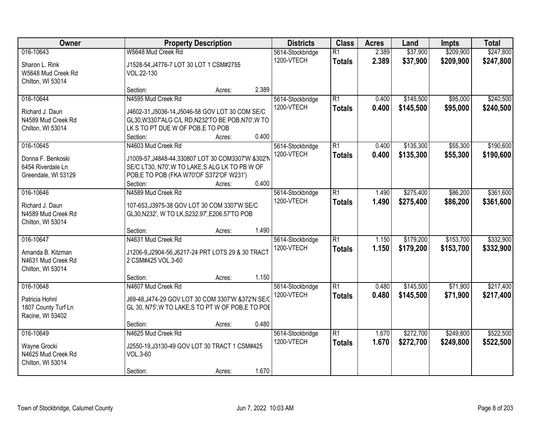| Owner                                                                      | <b>Property Description</b>                                                                                                                                                                           | <b>Districts</b>               | <b>Class</b>                     | <b>Acres</b>   | Land                   | <b>Impts</b>           | <b>Total</b>           |
|----------------------------------------------------------------------------|-------------------------------------------------------------------------------------------------------------------------------------------------------------------------------------------------------|--------------------------------|----------------------------------|----------------|------------------------|------------------------|------------------------|
| 016-10643<br>Sharon L. Rink<br>W5648 Mud Creek Rd                          | W5648 Mud Creek Rd<br>J1528-54, J4776-7 LOT 30 LOT 1 CSM#2755<br>VOL.22-130                                                                                                                           | 5614-Stockbridge<br>1200-VTECH | $\overline{R1}$<br><b>Totals</b> | 2.389<br>2.389 | \$37,900<br>\$37,900   | \$209,900<br>\$209,900 | \$247,800<br>\$247,800 |
| Chilton, WI 53014                                                          | 2.389<br>Section:<br>Acres:                                                                                                                                                                           |                                |                                  |                |                        |                        |                        |
| 016-10644<br>Richard J. Daun<br>N4589 Mud Creek Rd<br>Chilton, WI 53014    | N4595 Mud Creek Rd<br>J4602-31, J5036-14, J5046-58 GOV LOT 30 COM SE/C<br>GL30, W3307'ALG C/L RD, N232'TO BE POB, N70', W TO<br>LK S TO PT DUE W OF POB, E TO POB<br>0.400<br>Section:<br>Acres:      | 5614-Stockbridge<br>1200-VTECH | $\overline{R1}$<br><b>Totals</b> | 0.400<br>0.400 | \$145,500<br>\$145,500 | \$95,000<br>\$95,000   | \$240,500<br>\$240,500 |
| 016-10645<br>Donna F. Benkoski<br>6454 Riverdale Ln<br>Greendale, WI 53129 | N4603 Mud Creek Rd<br>J1009-57, J4848-44, 330807 LOT 30 COM3307'W &302'N<br>SE/C LT30, N70', W TO LAKE, S ALG LK TO PB W OF<br>POB,E TO POB (FKA W70'OF S372'OF W231')<br>0.400<br>Section:<br>Acres: | 5614-Stockbridge<br>1200-VTECH | $\overline{R1}$<br><b>Totals</b> | 0.400<br>0.400 | \$135,300<br>\$135,300 | \$55,300<br>\$55,300   | \$190,600<br>\$190,600 |
| 016-10646<br>Richard J. Daun<br>N4589 Mud Creek Rd<br>Chilton, WI 53014    | N4589 Mud Creek Rd<br>107-653, J3975-38 GOV LOT 30 COM 3307'W SE/C<br>GL30, N232', W TO LK, S232.97', E206.57'TO POB<br>1.490<br>Section:<br>Acres:                                                   | 5614-Stockbridge<br>1200-VTECH | $\overline{R1}$<br><b>Totals</b> | 1.490<br>1.490 | \$275,400<br>\$275,400 | \$86,200<br>\$86,200   | \$361,600<br>\$361,600 |
| 016-10647<br>Amanda B. Kitzman<br>N4631 Mud Creek Rd<br>Chilton, WI 53014  | N4631 Mud Creek Rd<br>J1206-9, J2904-56, J6217-24 PRT LOTS 29 & 30 TRACT<br>2 CSM#425 VOL.3-60<br>1.150<br>Section:<br>Acres:                                                                         | 5614-Stockbridge<br>1200-VTECH | $\overline{R1}$<br><b>Totals</b> | 1.150<br>1.150 | \$179,200<br>\$179,200 | \$153,700<br>\$153,700 | \$332,900<br>\$332,900 |
| 016-10648<br>Patricia Hohnl<br>1807 County Turf Ln<br>Racine, WI 53402     | N4607 Mud Creek Rd<br>J69-48, J474-29 GOV LOT 30 COM 3307'W &372'N SE/C<br>GL 30, N75', W TO LAKE, S TO PT W OF POB, E TO POE<br>0.480<br>Section:<br>Acres:                                          | 5614-Stockbridge<br>1200-VTECH | $\overline{R1}$<br><b>Totals</b> | 0.480<br>0.480 | \$145,500<br>\$145,500 | \$71,900<br>\$71,900   | \$217,400<br>\$217,400 |
| 016-10649<br>Wayne Grocki<br>N4625 Mud Creek Rd<br>Chilton, WI 53014       | N4625 Mud Creek Rd<br>J2550-19, J3130-49 GOV LOT 30 TRACT 1 CSM#425<br>VOL.3-60<br>1.670<br>Section:<br>Acres:                                                                                        | 5614-Stockbridge<br>1200-VTECH | $\overline{R1}$<br><b>Totals</b> | 1.670<br>1.670 | \$272,700<br>\$272,700 | \$249,800<br>\$249,800 | \$522,500<br>\$522,500 |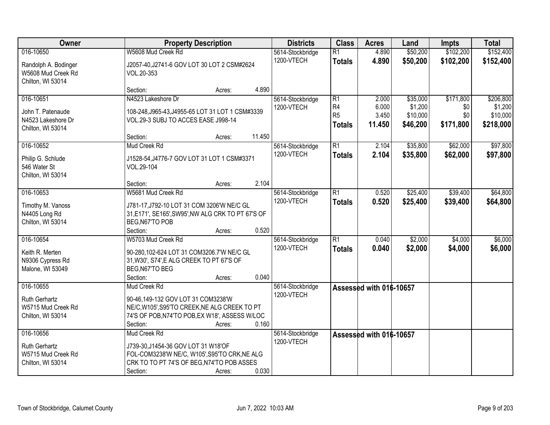| Owner                                                           | <b>Property Description</b>                                                                                                                       |        |        | <b>Districts</b> | <b>Class</b>                          | <b>Acres</b>             | Land                            | Impts                   | <b>Total</b>                     |
|-----------------------------------------------------------------|---------------------------------------------------------------------------------------------------------------------------------------------------|--------|--------|------------------|---------------------------------------|--------------------------|---------------------------------|-------------------------|----------------------------------|
| 016-10650                                                       | W5608 Mud Creek Rd                                                                                                                                |        |        | 5614-Stockbridge | $\overline{R1}$                       | 4.890                    | \$50,200                        | \$102,200               | \$152,400                        |
| Randolph A. Bodinger<br>W5608 Mud Creek Rd<br>Chilton, WI 53014 | J2057-40, J2741-6 GOV LOT 30 LOT 2 CSM#2624<br>VOL.20-353                                                                                         |        |        | 1200-VTECH       | <b>Totals</b>                         | 4.890                    | \$50,200                        | \$102,200               | \$152,400                        |
|                                                                 | Section:                                                                                                                                          | Acres: | 4.890  |                  |                                       |                          |                                 |                         |                                  |
| 016-10651                                                       | N4523 Lakeshore Dr                                                                                                                                |        |        | 5614-Stockbridge | $\overline{R1}$                       | 2.000                    | \$35,000                        | \$171,800               | \$206,800                        |
| John T. Patenaude<br>N4523 Lakeshore Dr<br>Chilton, WI 53014    | 108-248, J965-43, J4955-65 LOT 31 LOT 1 CSM#3339<br>VOL.29-3 SUBJ TO ACCES EASE J998-14                                                           |        |        | 1200-VTECH       | R4<br>R <sub>5</sub><br><b>Totals</b> | 6.000<br>3.450<br>11.450 | \$1,200<br>\$10,000<br>\$46,200 | \$0<br>\$0<br>\$171,800 | \$1,200<br>\$10,000<br>\$218,000 |
|                                                                 | Section:                                                                                                                                          | Acres: | 11.450 |                  |                                       |                          |                                 |                         |                                  |
| 016-10652                                                       | Mud Creek Rd                                                                                                                                      |        |        | 5614-Stockbridge | $\overline{R1}$                       | 2.104                    | \$35,800                        | \$62,000                | \$97,800                         |
| Philip G. Schlude<br>546 Water St<br>Chilton, WI 53014          | J1528-54, J4776-7 GOV LOT 31 LOT 1 CSM#3371<br>VOL.29-104                                                                                         |        |        | 1200-VTECH       | <b>Totals</b>                         | 2.104                    | \$35,800                        | \$62,000                | \$97,800                         |
|                                                                 | Section:                                                                                                                                          | Acres: | 2.104  |                  |                                       |                          |                                 |                         |                                  |
| 016-10653                                                       | W5681 Mud Creek Rd                                                                                                                                |        |        | 5614-Stockbridge | $\overline{R1}$                       | 0.520                    | \$25,400                        | \$39,400                | \$64,800                         |
| Timothy M. Vanoss<br>N4405 Long Rd<br>Chilton, WI 53014         | J781-17, J792-10 LOT 31 COM 3206'W NE/C GL<br>31, E171', SE165', SW95', NW ALG CRK TO PT 67'S OF<br>BEG, N67'TO POB                               |        |        | 1200-VTECH       | <b>Totals</b>                         | 0.520                    | \$25,400                        | \$39,400                | \$64,800                         |
|                                                                 | Section:                                                                                                                                          | Acres: | 0.520  |                  |                                       |                          |                                 |                         |                                  |
| 016-10654                                                       | W5703 Mud Creek Rd                                                                                                                                |        |        | 5614-Stockbridge | $\overline{R1}$                       | 0.040                    | \$2,000                         | \$4,000                 | \$6,000                          |
| Keith R. Merten<br>N9306 Cypress Rd<br>Malone, WI 53049         | 90-280,102-624 LOT 31 COM3206.7'W NE/C GL<br>31, W30', S74', E ALG CREEK TO PT 67'S OF<br>BEG, N67'TO BEG<br>Section:                             | Acres: | 0.040  | 1200-VTECH       | <b>Totals</b>                         | 0.040                    | \$2,000                         | \$4,000                 | \$6,000                          |
| 016-10655                                                       | Mud Creek Rd                                                                                                                                      |        |        | 5614-Stockbridge |                                       | Assessed with 016-10657  |                                 |                         |                                  |
| <b>Ruth Gerhartz</b><br>W5715 Mud Creek Rd<br>Chilton, WI 53014 | 90-46,149-132 GOV LOT 31 COM3238'W<br>NE/C, W105', S95'TO CREEK, NE ALG CREEK TO PT<br>74'S OF POB, N74'TO POB, EX W18', ASSESS W/LOC<br>Section: | Acres: | 0.160  | 1200-VTECH       |                                       |                          |                                 |                         |                                  |
| 016-10656                                                       | Mud Creek Rd                                                                                                                                      |        |        | 5614-Stockbridge |                                       | Assessed with 016-10657  |                                 |                         |                                  |
| <b>Ruth Gerhartz</b><br>W5715 Mud Creek Rd<br>Chilton, WI 53014 | J739-30, J1454-36 GOV LOT 31 W18'OF<br>FOL-COM3238'W NE/C, W105', S95'TO CRK, NE ALG<br>CRK TO TO PT 74'S OF BEG, N74'TO POB ASSES<br>Section:    | Acres: | 0.030  | 1200-VTECH       |                                       |                          |                                 |                         |                                  |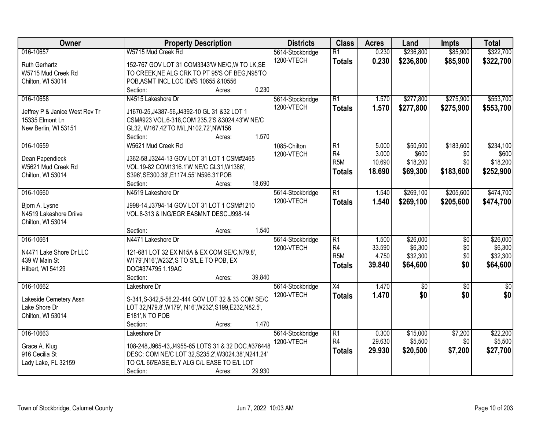| Owner                          | <b>Property Description</b>                             | <b>Districts</b> | <b>Class</b>           | <b>Acres</b> | Land        | <b>Impts</b>    | <b>Total</b>    |
|--------------------------------|---------------------------------------------------------|------------------|------------------------|--------------|-------------|-----------------|-----------------|
| 016-10657                      | W5715 Mud Creek Rd                                      | 5614-Stockbridge | $\overline{R1}$        | 0.230        | \$236,800   | \$85,900        | \$322,700       |
| Ruth Gerhartz                  | 152-767 GOV LOT 31 COM3343'W NE/C, W TO LK, SE          | 1200-VTECH       | <b>Totals</b>          | 0.230        | \$236,800   | \$85,900        | \$322,700       |
| W5715 Mud Creek Rd             | TO CREEK, NE ALG CRK TO PT 95'S OF BEG, N95'TO          |                  |                        |              |             |                 |                 |
| Chilton, WI 53014              | POB, ASMT INCL LOC ID#S 10655 & 10556                   |                  |                        |              |             |                 |                 |
|                                | 0.230<br>Section:<br>Acres:                             |                  |                        |              |             |                 |                 |
| 016-10658                      | N4515 Lakeshore Dr                                      | 5614-Stockbridge | $\overline{R1}$        | 1.570        | \$277,800   | \$275,900       | \$553,700       |
|                                |                                                         | 1200-VTECH       | <b>Totals</b>          | 1.570        | \$277,800   | \$275,900       | \$553,700       |
| Jeffrey P & Janice West Rev Tr | J1670-25, J4387-56, J4392-10 GL 31 & 32 LOT 1           |                  |                        |              |             |                 |                 |
| 15335 Elmont Ln                | CSM#923 VOL.6-318, COM 235.2'S & 3024.43'W NE/C         |                  |                        |              |             |                 |                 |
| New Berlin, WI 53151           | GL32, W167.42'TO M/L, N102.72', NW156                   |                  |                        |              |             |                 |                 |
|                                | 1.570<br>Section:<br>Acres:                             |                  |                        |              |             |                 |                 |
| 016-10659                      | W5621 Mud Creek Rd                                      | 1085-Chilton     | $\overline{R1}$        | 5.000        | \$50,500    | \$183,600       | \$234,100       |
| Dean Papendieck                | J362-58, J3244-13 GOV LOT 31 LOT 1 CSM#2465             | 1200-VTECH       | R4<br>R <sub>5</sub> M | 3.000        | \$600       | \$0             | \$600           |
| W5621 Mud Creek Rd             | VOL.19-82 COM1316.1'W NE/C GL31, W1386',                |                  |                        | 10.690       | \$18,200    | \$0             | \$18,200        |
| Chilton, WI 53014              | S396', SE300.38', E1174.55' N596.31'POB                 |                  | <b>Totals</b>          | 18.690       | \$69,300    | \$183,600       | \$252,900       |
|                                | 18.690<br>Section:<br>Acres:                            |                  |                        |              |             |                 |                 |
| 016-10660                      | N4519 Lakeshore Dr                                      | 5614-Stockbridge | $\overline{R1}$        | 1.540        | \$269,100   | \$205,600       | \$474,700       |
|                                |                                                         | 1200-VTECH       | <b>Totals</b>          | 1.540        | \$269,100   | \$205,600       | \$474,700       |
| Bjorn A. Lysne                 | J998-14, J3794-14 GOV LOT 31 LOT 1 CSM#1210             |                  |                        |              |             |                 |                 |
| N4519 Lakeshore Driive         | VOL.8-313 & ING/EGR EASMNT DESC.J998-14                 |                  |                        |              |             |                 |                 |
| Chilton, WI 53014              |                                                         |                  |                        |              |             |                 |                 |
|                                | 1.540<br>Section:<br>Acres:                             |                  |                        |              |             |                 |                 |
| 016-10661                      | N4471 Lakeshore Dr                                      | 5614-Stockbridge | $\overline{R1}$        | 1.500        | \$26,000    | \$0             | \$26,000        |
| N4471 Lake Shore Dr LLC        | 121-681 LOT 32 EX N15A & EX COM SE/C, N79.8',           | 1200-VTECH       | R4                     | 33.590       | \$6,300     | \$0             | \$6,300         |
| 439 W Main St                  | W179', N16', W232', S TO S/L, E TO POB, EX              |                  | R <sub>5</sub> M       | 4.750        | \$32,300    | \$0             | \$32,300        |
| Hilbert, WI 54129              | DOC#374795 1.19AC                                       |                  | <b>Totals</b>          | 39.840       | \$64,600    | \$0             | \$64,600        |
|                                | 39.840<br>Section:<br>Acres:                            |                  |                        |              |             |                 |                 |
| 016-10662                      | Lakeshore Dr                                            | 5614-Stockbridge | X4                     | 1.470        | $\sqrt{50}$ | $\overline{60}$ | $\overline{50}$ |
|                                |                                                         | 1200-VTECH       | <b>Totals</b>          | 1.470        | \$0         | \$0             | \$0             |
| Lakeside Cemetery Assn         | S-341, S-342, 5-56, 22-444 GOV LOT 32 & 33 COM SE/C     |                  |                        |              |             |                 |                 |
| Lake Shore Dr                  | LOT 32, N79.8', W179', N16', W232', S199, E232, N82.5', |                  |                        |              |             |                 |                 |
| Chilton, WI 53014              | E181', N TO POB                                         |                  |                        |              |             |                 |                 |
|                                | 1.470<br>Section:<br>Acres:                             |                  |                        |              |             |                 |                 |
| 016-10663                      | Lakeshore Dr                                            | 5614-Stockbridge | $\overline{R1}$        | 0.300        | \$15,000    | \$7,200         | \$22,200        |
| Grace A. Klug                  | 108-248, J965-43, J4955-65 LOTS 31 & 32 DOC.#376448     | 1200-VTECH       | R4                     | 29.630       | \$5,500     | \$0             | \$5,500         |
| 916 Cecilia St                 | DESC: COM NE/C LOT 32, S235.2', W3024.38', N241.24'     |                  | <b>Totals</b>          | 29.930       | \$20,500    | \$7,200         | \$27,700        |
| Lady Lake, FL 32159            | TO C/L 66'EASE, ELY ALG C/L EASE TO E/L LOT             |                  |                        |              |             |                 |                 |
|                                | 29.930<br>Section:<br>Acres:                            |                  |                        |              |             |                 |                 |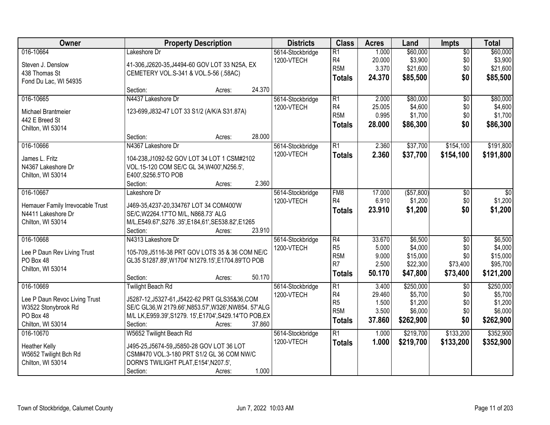| Owner                                | <b>Property Description</b>                                                               | <b>Districts</b> | <b>Class</b>     | <b>Acres</b> | Land         | <b>Impts</b>    | <b>Total</b> |
|--------------------------------------|-------------------------------------------------------------------------------------------|------------------|------------------|--------------|--------------|-----------------|--------------|
| 016-10664                            | Lakeshore Dr                                                                              | 5614-Stockbridge | $\overline{R1}$  | 1.000        | \$60,000     | $\overline{50}$ | \$60,000     |
| Steven J. Denslow                    | 41-306, J2620-35, J4494-60 GOV LOT 33 N25A, EX                                            | 1200-VTECH       | R4               | 20.000       | \$3,900      | \$0             | \$3,900      |
| 438 Thomas St                        | CEMETERY VOL.S-341 & VOL.5-56 (.58AC)                                                     |                  | R <sub>5</sub> M | 3.370        | \$21,600     | \$0             | \$21,600     |
| Fond Du Lac, WI 54935                |                                                                                           |                  | <b>Totals</b>    | 24.370       | \$85,500     | \$0             | \$85,500     |
|                                      | 24.370<br>Section:<br>Acres:                                                              |                  |                  |              |              |                 |              |
| 016-10665                            | N4437 Lakeshore Dr                                                                        | 5614-Stockbridge | $\overline{R1}$  | 2.000        | \$80,000     | $\overline{50}$ | \$80,000     |
| Michael Brantmeier                   | 123-699, J832-47 LOT 33 S1/2 (A/K/A S31.87A)                                              | 1200-VTECH       | R <sub>4</sub>   | 25.005       | \$4,600      | \$0             | \$4,600      |
| 442 E Breed St                       |                                                                                           |                  | R <sub>5</sub> M | 0.995        | \$1,700      | \$0             | \$1,700      |
| Chilton, WI 53014                    |                                                                                           |                  | <b>Totals</b>    | 28.000       | \$86,300     | \$0             | \$86,300     |
|                                      | 28.000<br>Section:<br>Acres:                                                              |                  |                  |              |              |                 |              |
| 016-10666                            | N4367 Lakeshore Dr                                                                        | 5614-Stockbridge | $\overline{R1}$  | 2.360        | \$37,700     | \$154,100       | \$191,800    |
|                                      |                                                                                           | 1200-VTECH       | <b>Totals</b>    | 2.360        | \$37,700     | \$154,100       | \$191,800    |
| James L. Fritz<br>N4367 Lakeshore Dr | 104-238, J1092-52 GOV LOT 34 LOT 1 CSM#2102<br>VOL.15-120 COM SE/C GL 34, W400', N256.5', |                  |                  |              |              |                 |              |
| Chilton, WI 53014                    | E400', S256.5'TO POB                                                                      |                  |                  |              |              |                 |              |
|                                      | 2.360<br>Section:<br>Acres:                                                               |                  |                  |              |              |                 |              |
| 016-10667                            | Lakeshore Dr                                                                              | 5614-Stockbridge | FM <sub>8</sub>  | 17.000       | ( \$57, 800) | \$0             | \$0          |
|                                      |                                                                                           | 1200-VTECH       | R4               | 6.910        | \$1,200      | \$0             | \$1,200      |
| Hemauer Family Irrevocable Trust     | J469-35,4237-20,334767 LOT 34 COM400'W                                                    |                  | <b>Totals</b>    | 23.910       | \$1,200      | \$0             | \$1,200      |
| N4411 Lakeshore Dr                   | SE/C, W2264.17'TO M/L, N868.73' ALG                                                       |                  |                  |              |              |                 |              |
| Chilton, WI 53014                    | M/L,E549.67',S276.35',E184,61',SE538.82',E1265                                            |                  |                  |              |              |                 |              |
|                                      | Section:<br>23.910<br>Acres:                                                              |                  |                  |              |              |                 |              |
| 016-10668                            | N4313 Lakeshore Dr                                                                        | 5614-Stockbridge | $\overline{R4}$  | 33.670       | \$6,500      | $\overline{50}$ | \$6,500      |
| Lee P Daun Rev Living Trust          | 105-709, J5116-38 PRT GOV LOTS 35 & 36 COM NE/C                                           | 1200-VTECH       | R <sub>5</sub>   | 5.000        | \$4,000      | \$0             | \$4,000      |
| PO Box 48                            | GL35 S1287.89', W1704' N1279.15', E1704.89'TO POB                                         |                  | R <sub>5</sub> M | 9.000        | \$15,000     | \$0             | \$15,000     |
| Chilton, WI 53014                    |                                                                                           |                  | R <sub>7</sub>   | 2.500        | \$22,300     | \$73,400        | \$95,700     |
|                                      | 50.170<br>Section:<br>Acres:                                                              |                  | <b>Totals</b>    | 50.170       | \$47,800     | \$73,400        | \$121,200    |
| 016-10669                            | <b>Twilight Beach Rd</b>                                                                  | 5614-Stockbridge | $\overline{R1}$  | 3.400        | \$250,000    | $\overline{50}$ | \$250,000    |
| Lee P Daun Revoc Living Trust        | J5287-12, J5327-61, J5422-62 PRT GLS35&36, COM                                            | 1200-VTECH       | R <sub>4</sub>   | 29.460       | \$5,700      | \$0             | \$5,700      |
| W3522 Stonybrook Rd                  | SE/C GL36, W 2179.66', N853.57', W326', NW854. 57' ALG                                    |                  | R <sub>5</sub>   | 1.500        | \$1,200      | \$0             | \$1,200      |
| PO Box 48                            | M/L LK, E959.39', S1279. 15', E1704', S429.14'TO POB, EX                                  |                  | R <sub>5</sub> M | 3.500        | \$6,000      | \$0             | \$6,000      |
| Chilton, WI 53014                    | 37.860<br>Section:<br>Acres:                                                              |                  | <b>Totals</b>    | 37.860       | \$262,900    | \$0             | \$262,900    |
| 016-10670                            | W5652 Twilight Beach Rd                                                                   | 5614-Stockbridge | $\overline{R1}$  | 1.000        | \$219,700    | \$133,200       | \$352,900    |
|                                      |                                                                                           | 1200-VTECH       | <b>Totals</b>    | 1.000        | \$219,700    | \$133,200       | \$352,900    |
| <b>Heather Kelly</b>                 | J495-25.J5674-59.J5850-28 GOV LOT 36 LOT                                                  |                  |                  |              |              |                 |              |
| W5652 Twilight Bch Rd                | CSM#470 VOL.3-180 PRT S1/2 GL 36 COM NW/C                                                 |                  |                  |              |              |                 |              |
| Chilton, WI 53014                    | DORN'S TWILIGHT PLAT, E154', N207.5',<br>1.000                                            |                  |                  |              |              |                 |              |
|                                      | Section:<br>Acres:                                                                        |                  |                  |              |              |                 |              |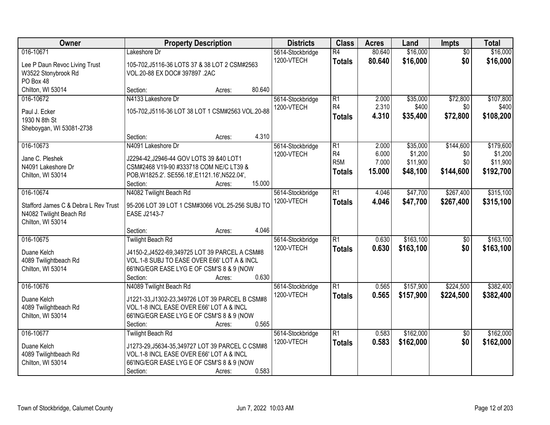| Owner                                                           | <b>Property Description</b>                                              | <b>Districts</b> | <b>Class</b>     | <b>Acres</b> | Land      | Impts           | <b>Total</b> |
|-----------------------------------------------------------------|--------------------------------------------------------------------------|------------------|------------------|--------------|-----------|-----------------|--------------|
| 016-10671                                                       | Lakeshore Dr                                                             | 5614-Stockbridge | $\overline{R4}$  | 80.640       | \$16,000  | $\overline{50}$ | \$16,000     |
| Lee P Daun Revoc Living Trust                                   | 105-702, J5116-36 LOTS 37 & 38 LOT 2 CSM#2563                            | 1200-VTECH       | <b>Totals</b>    | 80.640       | \$16,000  | \$0             | \$16,000     |
| W3522 Stonybrook Rd                                             | VOL.20-88 EX DOC# 397897 .2AC                                            |                  |                  |              |           |                 |              |
| PO Box 48                                                       |                                                                          |                  |                  |              |           |                 |              |
| Chilton, WI 53014                                               | 80.640<br>Section:<br>Acres:                                             |                  |                  |              |           |                 |              |
| 016-10672                                                       | N4133 Lakeshore Dr                                                       | 5614-Stockbridge | $\overline{R1}$  | 2.000        | \$35,000  | \$72,800        | \$107,800    |
| Paul J. Ecker                                                   | 105-702, J5116-36 LOT 38 LOT 1 CSM#2563 VOL.20-88                        | 1200-VTECH       | R <sub>4</sub>   | 2.310        | \$400     | \$0             | \$400        |
| 1930 N 8th St                                                   |                                                                          |                  | <b>Totals</b>    | 4.310        | \$35,400  | \$72,800        | \$108,200    |
| Sheboygan, WI 53081-2738                                        |                                                                          |                  |                  |              |           |                 |              |
|                                                                 | 4.310<br>Section:<br>Acres:                                              |                  |                  |              |           |                 |              |
| 016-10673                                                       | N4091 Lakeshore Dr                                                       | 5614-Stockbridge | $\overline{R1}$  | 2.000        | \$35,000  | \$144,600       | \$179,600    |
| Jane C. Pleshek                                                 | J2294-42, J2946-44 GOV LOTS 39 &40 LOT1                                  | 1200-VTECH       | R <sub>4</sub>   | 6.000        | \$1,200   | \$0             | \$1,200      |
| N4091 Lakeshore Dr                                              | CSM#2468 V19-90 #333718 COM NE/C LT39 &                                  |                  | R <sub>5</sub> M | 7.000        | \$11,900  | \$0             | \$11,900     |
| Chilton, WI 53014                                               | POB, W1825.2'. SE556.18', E1121.16', N522.04',                           |                  | <b>Totals</b>    | 15.000       | \$48,100  | \$144,600       | \$192,700    |
|                                                                 | 15.000<br>Section:<br>Acres:                                             |                  |                  |              |           |                 |              |
| 016-10674                                                       | N4082 Twilight Beach Rd                                                  | 5614-Stockbridge | $\overline{R1}$  | 4.046        | \$47,700  | \$267,400       | \$315,100    |
|                                                                 |                                                                          | 1200-VTECH       | <b>Totals</b>    | 4.046        | \$47,700  | \$267,400       | \$315,100    |
| Stafford James C & Debra L Rev Trust<br>N4082 Twilight Beach Rd | 95-206 LOT 39 LOT 1 CSM#3066 VOL.25-256 SUBJ TO<br>EASE J2143-7          |                  |                  |              |           |                 |              |
| Chilton, WI 53014                                               |                                                                          |                  |                  |              |           |                 |              |
|                                                                 | 4.046<br>Section:<br>Acres:                                              |                  |                  |              |           |                 |              |
| 016-10675                                                       | <b>Twilight Beach Rd</b>                                                 | 5614-Stockbridge | $\overline{R1}$  | 0.630        | \$163,100 | $\overline{50}$ | \$163,100    |
|                                                                 |                                                                          | 1200-VTECH       | <b>Totals</b>    | 0.630        | \$163,100 | \$0             | \$163,100    |
| Duane Kelch                                                     | J4150-2, J4522-69, 349725 LOT 39 PARCEL A CSM#8                          |                  |                  |              |           |                 |              |
| 4089 Twilightbeach Rd                                           | VOL.1-8 SUBJ TO EASE OVER E66' LOT A & INCL                              |                  |                  |              |           |                 |              |
| Chilton, WI 53014                                               | 66'ING/EGR EASE LYG E OF CSM'S 8 & 9 (NOW<br>0.630<br>Section:<br>Acres: |                  |                  |              |           |                 |              |
| 016-10676                                                       | N4089 Twilight Beach Rd                                                  | 5614-Stockbridge | $\overline{R1}$  | 0.565        | \$157,900 | \$224,500       | \$382,400    |
|                                                                 |                                                                          | 1200-VTECH       | <b>Totals</b>    | 0.565        | \$157,900 | \$224,500       | \$382,400    |
| Duane Kelch                                                     | J1221-33, J1302-23, 349726 LOT 39 PARCEL B CSM#8                         |                  |                  |              |           |                 |              |
| 4089 Twilightbeach Rd                                           | VOL.1-8 INCL EASE OVER E66' LOT A & INCL                                 |                  |                  |              |           |                 |              |
| Chilton, WI 53014                                               | 66'ING/EGR EASE LYG E OF CSM'S 8 & 9 (NOW                                |                  |                  |              |           |                 |              |
|                                                                 | 0.565<br>Section:<br>Acres:                                              |                  |                  |              |           |                 |              |
| 016-10677                                                       | <b>Twilight Beach Rd</b>                                                 | 5614-Stockbridge | $\overline{R1}$  | 0.583        | \$162,000 | $\overline{50}$ | \$162,000    |
| Duane Kelch                                                     | J1273-29, J5634-35, 349727 LOT 39 PARCEL C CSM#8                         | 1200-VTECH       | <b>Totals</b>    | 0.583        | \$162,000 | \$0             | \$162,000    |
| 4089 Twilightbeach Rd                                           | VOL.1-8 INCL EASE OVER E66' LOT A & INCL                                 |                  |                  |              |           |                 |              |
| Chilton, WI 53014                                               | 66'ING/EGR EASE LYG E OF CSM'S 8 & 9 (NOW                                |                  |                  |              |           |                 |              |
|                                                                 | 0.583<br>Section:<br>Acres:                                              |                  |                  |              |           |                 |              |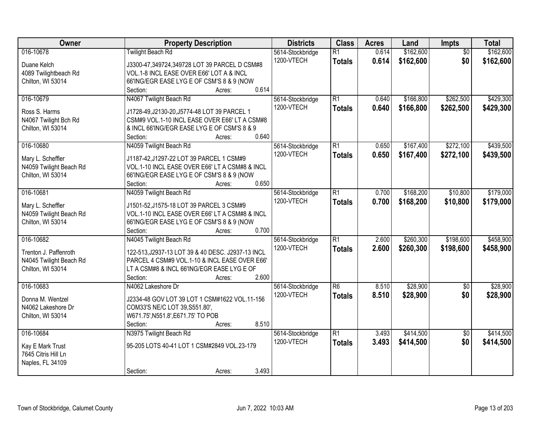| Owner                   | <b>Property Description</b>                        | <b>Districts</b>               | <b>Class</b>                     | <b>Acres</b>   | Land                   | Impts                  | <b>Total</b>           |
|-------------------------|----------------------------------------------------|--------------------------------|----------------------------------|----------------|------------------------|------------------------|------------------------|
| 016-10678               | <b>Twilight Beach Rd</b>                           | 5614-Stockbridge<br>1200-VTECH | $\overline{R1}$<br><b>Totals</b> | 0.614<br>0.614 | \$162,600<br>\$162,600 | $\overline{50}$<br>\$0 | \$162,600<br>\$162,600 |
| Duane Kelch             | J3300-47,349724,349728 LOT 39 PARCEL D CSM#8       |                                |                                  |                |                        |                        |                        |
| 4089 Twilightbeach Rd   | VOL.1-8 INCL EASE OVER E66' LOT A & INCL           |                                |                                  |                |                        |                        |                        |
| Chilton, WI 53014       | 66'ING/EGR EASE LYG E OF CSM'S 8 & 9 (NOW<br>0.614 |                                |                                  |                |                        |                        |                        |
|                         | Section:<br>Acres:                                 |                                |                                  |                |                        |                        |                        |
| 016-10679               | N4067 Twilight Beach Rd                            | 5614-Stockbridge               | $\overline{R1}$                  | 0.640          | \$166,800              | \$262,500              | \$429,300              |
| Ross S. Harms           | J1728-49, J2130-20, J5774-48 LOT 39 PARCEL 1       | 1200-VTECH                     | <b>Totals</b>                    | 0.640          | \$166,800              | \$262,500              | \$429,300              |
| N4067 Twilight Bch Rd   | CSM#9 VOL.1-10 INCL EASE OVER E66' LT A CSM#8      |                                |                                  |                |                        |                        |                        |
| Chilton, WI 53014       | & INCL 66'ING/EGR EASE LYG E OF CSM'S 8 & 9        |                                |                                  |                |                        |                        |                        |
|                         | 0.640<br>Section:<br>Acres:                        |                                |                                  |                |                        |                        |                        |
| 016-10680               | N4059 Twilight Beach Rd                            | 5614-Stockbridge               | $\overline{R1}$                  | 0.650          | \$167,400              | \$272,100              | \$439,500              |
|                         |                                                    | 1200-VTECH                     | <b>Totals</b>                    | 0.650          | \$167,400              | \$272,100              | \$439,500              |
| Mary L. Scheffler       | J1187-42, J1297-22 LOT 39 PARCEL 1 CSM#9           |                                |                                  |                |                        |                        |                        |
| N4059 Twilight Beach Rd | VOL.1-10 INCL EASE OVER E66' LT A CSM#8 & INCL     |                                |                                  |                |                        |                        |                        |
| Chilton, WI 53014       | 66'ING/EGR EASE LYG E OF CSM'S 8 & 9 (NOW          |                                |                                  |                |                        |                        |                        |
|                         | Section:<br>0.650<br>Acres:                        |                                |                                  |                |                        |                        |                        |
| 016-10681               | N4059 Twilight Beach Rd                            | 5614-Stockbridge               | $\overline{R1}$                  | 0.700          | \$168,200              | \$10,800               | \$179,000              |
| Mary L. Scheffler       | J1501-52, J1575-18 LOT 39 PARCEL 3 CSM#9           | 1200-VTECH                     | <b>Totals</b>                    | 0.700          | \$168,200              | \$10,800               | \$179,000              |
| N4059 Twilight Beach Rd | VOL.1-10 INCL EASE OVER E66' LT A CSM#8 & INCL     |                                |                                  |                |                        |                        |                        |
| Chilton, WI 53014       | 66'ING/EGR EASE LYG E OF CSM'S 8 & 9 (NOW          |                                |                                  |                |                        |                        |                        |
|                         | 0.700<br>Section:<br>Acres:                        |                                |                                  |                |                        |                        |                        |
| 016-10682               | N4045 Twilight Beach Rd                            | 5614-Stockbridge               | $\overline{R1}$                  | 2.600          | \$260,300              | \$198,600              | \$458,900              |
|                         |                                                    | 1200-VTECH                     | <b>Totals</b>                    | 2.600          | \$260,300              | \$198,600              | \$458,900              |
| Trenton J. Paffenroth   | 122-513, J2937-13 LOT 39 & 40 DESC. J2937-13 INCL  |                                |                                  |                |                        |                        |                        |
| N4045 Twilight Beach Rd | PARCEL 4 CSM#9 VOL.1-10 & INCL EASE OVER E66'      |                                |                                  |                |                        |                        |                        |
| Chilton, WI 53014       | LT A CSM#8 & INCL 66'ING/EGR EASE LYG E OF         |                                |                                  |                |                        |                        |                        |
|                         | 2.600<br>Section:<br>Acres:                        |                                |                                  |                |                        |                        |                        |
| 016-10683               | N4062 Lakeshore Dr                                 | 5614-Stockbridge               | $\overline{R6}$                  | 8.510          | \$28,900               | $\overline{50}$        | \$28,900               |
| Donna M. Wentzel        | J2334-48 GOV LOT 39 LOT 1 CSM#1622 VOL.11-156      | 1200-VTECH                     | <b>Totals</b>                    | 8.510          | \$28,900               | \$0                    | \$28,900               |
| N4062 Lakeshore Dr      | COM33'S NE/C LOT 39, S551.80',                     |                                |                                  |                |                        |                        |                        |
| Chilton, WI 53014       | W671.75', N551.8', E671.75' TO POB                 |                                |                                  |                |                        |                        |                        |
|                         | 8.510<br>Section:<br>Acres:                        |                                |                                  |                |                        |                        |                        |
| 016-10684               | N3975 Twilight Beach Rd                            | 5614-Stockbridge               | $\overline{R1}$                  | 3.493          | \$414,500              | $\overline{50}$        | \$414,500              |
|                         |                                                    | 1200-VTECH                     | <b>Totals</b>                    | 3.493          | \$414,500              | \$0                    | \$414,500              |
| Kay E Mark Trust        | 95-205 LOTS 40-41 LOT 1 CSM#2849 VOL.23-179        |                                |                                  |                |                        |                        |                        |
| 7645 Citris Hill Ln     |                                                    |                                |                                  |                |                        |                        |                        |
| Naples, FL 34109        |                                                    |                                |                                  |                |                        |                        |                        |
|                         | 3.493<br>Section:<br>Acres:                        |                                |                                  |                |                        |                        |                        |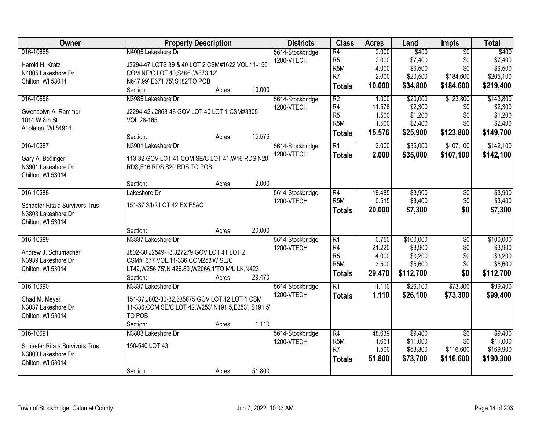| Owner                                                                                  | <b>Property Description</b>                                                                                                                                                                 | <b>Districts</b>               | <b>Class</b>                                                                             | <b>Acres</b>                                | Land                                                    | Impts                                                   | <b>Total</b>                                            |
|----------------------------------------------------------------------------------------|---------------------------------------------------------------------------------------------------------------------------------------------------------------------------------------------|--------------------------------|------------------------------------------------------------------------------------------|---------------------------------------------|---------------------------------------------------------|---------------------------------------------------------|---------------------------------------------------------|
| 016-10685<br>Harold H. Kratz<br>N4005 Lakeshore Dr<br>Chilton, WI 53014                | N4005 Lakeshore Dr<br>J2294-47 LOTS 39 & 40 LOT 2 CSM#1622 VOL.11-156<br>COM NE/C LOT 40, S466', W673.12'<br>N647.99', E671.75', S182'TO POB<br>10.000<br>Section:<br>Acres:                | 5614-Stockbridge<br>1200-VTECH | $\overline{R4}$<br>R <sub>5</sub><br>R <sub>5</sub> M<br>R <sub>7</sub><br><b>Totals</b> | 2.000<br>2.000<br>4.000<br>2.000<br>10.000  | \$400<br>\$7,400<br>\$6,500<br>\$20,500<br>\$34,800     | $\overline{30}$<br>\$0<br>\$0<br>\$184,600<br>\$184,600 | \$400<br>\$7,400<br>\$6,500<br>\$205,100<br>\$219,400   |
| 016-10686<br>Gwendolyn A. Rammer<br>1014 W 8th St<br>Appleton, WI 54914                | N3985 Lakeshore Dr<br>J2294-42, J2868-48 GOV LOT 40 LOT 1 CSM#3305<br>VOL.28-165<br>15.576<br>Section:<br>Acres:                                                                            | 5614-Stockbridge<br>1200-VTECH | $\overline{R2}$<br>R <sub>4</sub><br>R <sub>5</sub><br>R <sub>5</sub> M<br><b>Totals</b> | 1.000<br>11.576<br>1.500<br>1.500<br>15.576 | \$20,000<br>\$2,300<br>\$1,200<br>\$2,400<br>\$25,900   | \$123,800<br>\$0<br>\$0<br>\$0<br>\$123,800             | \$143,800<br>\$2,300<br>\$1,200<br>\$2,400<br>\$149,700 |
| 016-10687<br>Gary A. Bodinger<br>N3901 Lakeshore Dr<br>Chilton, WI 53014               | N3901 Lakeshore Dr<br>113-32 GOV LOT 41 COM SE/C LOT 41, W16 RDS, N20<br>RDS, E16 RDS, S20 RDS TO POB<br>2.000<br>Section:<br>Acres:                                                        | 5614-Stockbridge<br>1200-VTECH | $\overline{R1}$<br><b>Totals</b>                                                         | 2.000<br>2.000                              | \$35,000<br>\$35,000                                    | \$107,100<br>\$107,100                                  | \$142,100<br>\$142,100                                  |
| 016-10688<br>Schaefer Rita a Survivors Trus<br>N3803 Lakeshore Dr<br>Chilton, WI 53014 | Lakeshore Dr<br>151-37 S1/2 LOT 42 EX E5AC<br>20.000<br>Section:<br>Acres:                                                                                                                  | 5614-Stockbridge<br>1200-VTECH | $\overline{R4}$<br>R <sub>5</sub> M<br><b>Totals</b>                                     | 19.485<br>0.515<br>20.000                   | \$3,900<br>\$3,400<br>\$7,300                           | \$0<br>\$0<br>\$0                                       | \$3,900<br>\$3,400<br>\$7,300                           |
| 016-10689<br>Andrew J. Schumacher<br>N3939 Lakeshore Dr<br>Chilton, WI 53014           | N3837 Lakeshore Dr<br>J802-30, J2549-13, 327279 GOV LOT 41 LOT 2<br>CSM#1677 VOL.11-336 COM253'W SE/C<br>LT42, W256.75', N 426.89', W2066.1'TO M/L LK, N423<br>29.470<br>Section:<br>Acres: | 5614-Stockbridge<br>1200-VTECH | $\overline{R1}$<br>R <sub>4</sub><br>R <sub>5</sub><br>R <sub>5</sub> M<br><b>Totals</b> | 0.750<br>21.220<br>4.000<br>3.500<br>29.470 | \$100,000<br>\$3,900<br>\$3,200<br>\$5,600<br>\$112,700 | $\overline{50}$<br>\$0<br>\$0<br>\$0<br>\$0             | \$100,000<br>\$3,900<br>\$3,200<br>\$5,600<br>\$112,700 |
| 016-10690<br>Chad M. Meyer<br>N3837 Lakeshore Dr<br>Chilton, WI 53014                  | N3837 Lakeshore Dr<br>151-37, J802-30-32, 335675 GOV LOT 42 LOT 1 CSM<br>11-336, COM SE/C LOT 42, W253', N191.5, E253', S191.5'<br>TO POB<br>1.110<br>Section:<br>Acres:                    | 5614-Stockbridge<br>1200-VTECH | $\overline{R1}$<br><b>Totals</b>                                                         | 1.110<br>1.110                              | \$26,100<br>\$26,100                                    | \$73,300<br>\$73,300                                    | \$99,400<br>\$99,400                                    |
| 016-10691<br>Schaefer Rita a Survivors Trus<br>N3803 Lakeshore Dr<br>Chilton, WI 53014 | N3803 Lakeshore Dr<br>150-540 LOT 43<br>51.800<br>Section:<br>Acres:                                                                                                                        | 5614-Stockbridge<br>1200-VTECH | $\overline{R4}$<br>R <sub>5</sub> M<br>R <sub>7</sub><br><b>Totals</b>                   | 48.639<br>1.661<br>1.500<br>51.800          | \$9,400<br>\$11,000<br>\$53,300<br>\$73,700             | $\overline{50}$<br>\$0<br>\$116,600<br>\$116,600        | \$9,400<br>\$11,000<br>\$169,900<br>\$190,300           |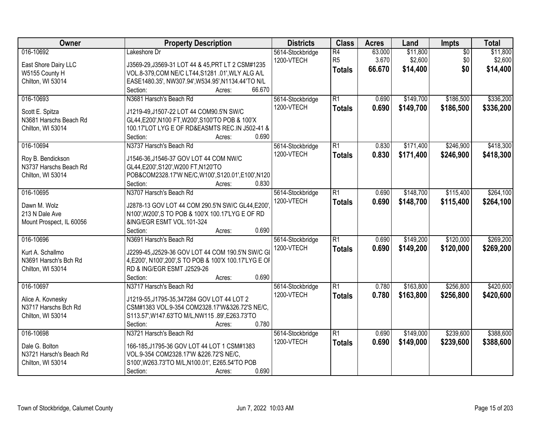| Owner                    | <b>Property Description</b>                             | <b>Districts</b> | <b>Class</b>    | <b>Acres</b> | Land      | Impts           | <b>Total</b> |
|--------------------------|---------------------------------------------------------|------------------|-----------------|--------------|-----------|-----------------|--------------|
| 016-10692                | Lakeshore Dr                                            | 5614-Stockbridge | $\overline{R4}$ | 63.000       | \$11,800  | $\overline{50}$ | \$11,800     |
| East Shore Dairy LLC     | J3569-29, J3569-31 LOT 44 & 45, PRT LT 2 CSM#1235       | 1200-VTECH       | R <sub>5</sub>  | 3.670        | \$2,600   | \$0             | \$2,600      |
| W5155 County H           | VOL.8-379, COM NE/C LT44, S1281 .01', WLY ALG A/L       |                  | <b>Totals</b>   | 66.670       | \$14,400  | \$0             | \$14,400     |
| Chilton, WI 53014        | EASE1480.35', NW307.94', W534.95', N1134.44'TO N/L      |                  |                 |              |           |                 |              |
|                          | 66.670<br>Section:<br>Acres:                            |                  |                 |              |           |                 |              |
| 016-10693                | N3681 Harsch's Beach Rd                                 | 5614-Stockbridge | $\overline{R1}$ | 0.690        | \$149,700 | \$186,500       | \$336,200    |
|                          |                                                         | 1200-VTECH       | <b>Totals</b>   | 0.690        | \$149,700 | \$186,500       | \$336,200    |
| Scott E. Spitza          | J1219-49, J1507-22 LOT 44 COM90.5'N SW/C                |                  |                 |              |           |                 |              |
| N3681 Harschs Beach Rd   | GL44, E200', N100 FT, W200', S100'TO POB & 100'X        |                  |                 |              |           |                 |              |
| Chilton, WI 53014        | 100.17'LOT LYG E OF RD&EASMTS REC.IN J502-41 &          |                  |                 |              |           |                 |              |
|                          | 0.690<br>Section:<br>Acres:                             |                  |                 |              |           |                 |              |
| 016-10694                | N3737 Harsch's Beach Rd                                 | 5614-Stockbridge | $\overline{R1}$ | 0.830        | \$171,400 | \$246,900       | \$418,300    |
| Roy B. Bendickson        | J1546-36, J1546-37 GOV LOT 44 COM NW/C                  | 1200-VTECH       | <b>Totals</b>   | 0.830        | \$171,400 | \$246,900       | \$418,300    |
| N3737 Harschs Beach Rd   | GL44,E200',S120',W200 FT,N120'TO                        |                  |                 |              |           |                 |              |
| Chilton, WI 53014        | POB&COM2328.17'W NE/C,W100',S120.01',E100',N120         |                  |                 |              |           |                 |              |
|                          | Section:<br>0.830<br>Acres:                             |                  |                 |              |           |                 |              |
| 016-10695                | N3707 Harsch's Beach Rd                                 | 5614-Stockbridge | $\overline{R1}$ | 0.690        | \$148,700 | \$115,400       | \$264,100    |
|                          |                                                         | 1200-VTECH       | <b>Totals</b>   | 0.690        | \$148,700 | \$115,400       | \$264,100    |
| Dawn M. Wolz             | J2878-13 GOV LOT 44 COM 290.5'N SW/C GL44, E200'        |                  |                 |              |           |                 |              |
| 213 N Dale Ave           | N100', W200', S TO POB & 100'X 100.17'LYG E OF RD       |                  |                 |              |           |                 |              |
| Mount Prospect, IL 60056 | &ING/EGR ESMT VOL.101-324                               |                  |                 |              |           |                 |              |
|                          | 0.690<br>Section:<br>Acres:                             |                  |                 |              |           |                 |              |
| 016-10696                | N3691 Harsch's Beach Rd                                 | 5614-Stockbridge | $\overline{R1}$ | 0.690        | \$149,200 | \$120,000       | \$269,200    |
| Kurt A. Schallmo         | J2299-45, J2529-36 GOV LOT 44 COM 190.5'N SW/C GI       | 1200-VTECH       | <b>Totals</b>   | 0.690        | \$149,200 | \$120,000       | \$269,200    |
| N3691 Harsch's Bch Rd    | 4, E200', N100', 200', S TO POB & 100'X 100.17'LYG E OF |                  |                 |              |           |                 |              |
| Chilton, WI 53014        | RD & ING/EGR ESMT J2529-26                              |                  |                 |              |           |                 |              |
|                          | 0.690<br>Section:<br>Acres:                             |                  |                 |              |           |                 |              |
| 016-10697                | N3717 Harsch's Beach Rd                                 | 5614-Stockbridge | $\overline{R1}$ | 0.780        | \$163,800 | \$256,800       | \$420,600    |
|                          |                                                         | 1200-VTECH       | <b>Totals</b>   | 0.780        | \$163,800 | \$256,800       | \$420,600    |
| Alice A. Kovnesky        | J1219-55, J1795-35, 347284 GOV LOT 44 LOT 2             |                  |                 |              |           |                 |              |
| N3717 Harschs Bch Rd     | CSM#1383 VOL.9-354 COM2328.17'W&326.72'S NE/C,          |                  |                 |              |           |                 |              |
| Chilton, WI 53014        | S113.57', W147.63'TO M/L, NW115.89', E263.73'TO         |                  |                 |              |           |                 |              |
|                          | 0.780<br>Section:<br>Acres:                             |                  |                 |              |           |                 |              |
| 016-10698                | N3721 Harsch's Beach Rd                                 | 5614-Stockbridge | $\overline{R1}$ | 0.690        | \$149,000 | \$239,600       | \$388,600    |
| Dale G. Bolton           | 166-185, J1795-36 GOV LOT 44 LOT 1 CSM#1383             | 1200-VTECH       | <b>Totals</b>   | 0.690        | \$149,000 | \$239,600       | \$388,600    |
| N3721 Harsch's Beach Rd  | VOL.9-354 COM2328.17'W &226.72'S NE/C,                  |                  |                 |              |           |                 |              |
| Chilton, WI 53014        | S100', W263.73'TO M/L, N100.01', E265.54'TO POB         |                  |                 |              |           |                 |              |
|                          | 0.690<br>Section:<br>Acres:                             |                  |                 |              |           |                 |              |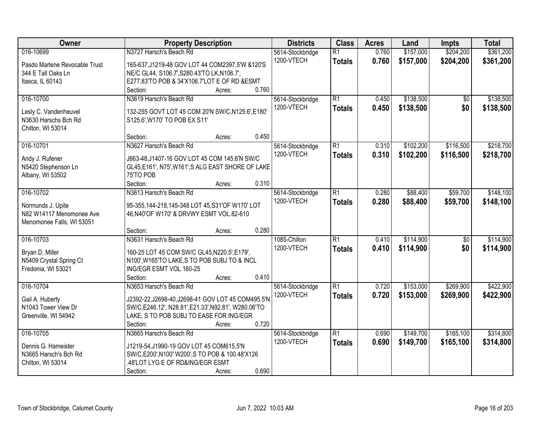| Owner                                         | <b>Property Description</b>                                                                | <b>Districts</b> | <b>Class</b>    | <b>Acres</b> | Land      | Impts           | <b>Total</b> |
|-----------------------------------------------|--------------------------------------------------------------------------------------------|------------------|-----------------|--------------|-----------|-----------------|--------------|
| 016-10699                                     | N3727 Harsch's Beach Rd                                                                    | 5614-Stockbridge | $\overline{R1}$ | 0.760        | \$157,000 | \$204,200       | \$361,200    |
| Pasdo Marlene Revocable Trust                 | 165-637, J1219-48 GOV LOT 44 COM2397.5'W &120'S                                            | 1200-VTECH       | <b>Totals</b>   | 0.760        | \$157,000 | \$204,200       | \$361,200    |
| 344 E Tall Oaks Ln                            | NE/C GL44, S106.7', S280.43'TO LK, N106.7',                                                |                  |                 |              |           |                 |              |
| Itasca, IL 60143                              | E277.83'TO POB & 34'X106.7'LOT E OF RD & ESMT                                              |                  |                 |              |           |                 |              |
|                                               | 0.760<br>Section:<br>Acres:                                                                |                  |                 |              |           |                 |              |
| 016-10700                                     | N3619 Harsch's Beach Rd                                                                    | 5614-Stockbridge | $\overline{R1}$ | 0.450        | \$138,500 | \$0             | \$138,500    |
| Lesly C. Vandenheuvel                         | 132-255 GOVT LOT 45 COM 20'N SW/C, N125.6', E180'                                          | 1200-VTECH       | <b>Totals</b>   | 0.450        | \$138,500 | \$0             | \$138,500    |
| N3630 Harschs Bch Rd                          | S125.6', W170' TO POB EX S11'                                                              |                  |                 |              |           |                 |              |
| Chilton, WI 53014                             |                                                                                            |                  |                 |              |           |                 |              |
|                                               | 0.450<br>Section:<br>Acres:                                                                |                  |                 |              |           |                 |              |
| 016-10701                                     | N3627 Harsch's Beach Rd                                                                    | 5614-Stockbridge | $\overline{R1}$ | 0.310        | \$102,200 | \$116,500       | \$218,700    |
| Andy J. Rufener                               | J663-48, J1407-16 GOV LOT 45 COM 145.6'N SW/C                                              | 1200-VTECH       | <b>Totals</b>   | 0.310        | \$102,200 | \$116,500       | \$218,700    |
| N5420 Stephenson Ln                           | GL45,E161', N75', W161', SALG EAST SHORE OF LAKE                                           |                  |                 |              |           |                 |              |
| Albany, WI 53502                              | 75'TO POB                                                                                  |                  |                 |              |           |                 |              |
|                                               | 0.310<br>Section:<br>Acres:                                                                |                  |                 |              |           |                 |              |
| 016-10702                                     | N3613 Harsch's Beach Rd                                                                    | 5614-Stockbridge | $\overline{R1}$ | 0.280        | \$88,400  | \$59,700        | \$148,100    |
|                                               |                                                                                            | 1200-VTECH       | <b>Totals</b>   | 0.280        | \$88,400  | \$59,700        | \$148,100    |
| Normunds J. Upite<br>N82 W14117 Menomonee Ave | 95-355,144-218,145-348 LOT 45,S31'OF W170' LOT<br>46, N40'OF W170' & DRVWY ESMT VOL.82-610 |                  |                 |              |           |                 |              |
| Menomonee Falls, WI 53051                     |                                                                                            |                  |                 |              |           |                 |              |
|                                               | 0.280<br>Section:<br>Acres:                                                                |                  |                 |              |           |                 |              |
| 016-10703                                     | N3631 Harsch's Beach Rd                                                                    | 1085-Chilton     | $\overline{R1}$ | 0.410        | \$114,900 | $\overline{50}$ | \$114,900    |
|                                               |                                                                                            | 1200-VTECH       | <b>Totals</b>   | 0.410        | \$114,900 | \$0             | \$114,900    |
| Bryan D. Miller                               | 160-25 LOT 45 COM SW/C GL45, N220.5', E179',                                               |                  |                 |              |           |                 |              |
| N5409 Crystal Spring Ct                       | N100', W165'TO LAKE, S TO POB SUBJ TO & INCL                                               |                  |                 |              |           |                 |              |
| Fredonia, WI 53021                            | ING/EGR ESMT VOL.160-25                                                                    |                  |                 |              |           |                 |              |
|                                               | 0.410<br>Section:<br>Acres:                                                                |                  |                 |              |           |                 |              |
| 016-10704                                     | N3653 Harsch's Beach Rd                                                                    | 5614-Stockbridge | $\overline{R1}$ | 0.720        | \$153,000 | \$269,900       | \$422,900    |
| Gail A. Huberty                               | J2392-22, J2698-40, J2698-41 GOV LOT 45 COM495.5'N                                         | 1200-VTECH       | <b>Totals</b>   | 0.720        | \$153,000 | \$269,900       | \$422,900    |
| N1043 Tower View Dr                           | SW/C,E246.12', N28.81',E21.33',N92.81', W280.06'TO                                         |                  |                 |              |           |                 |              |
| Greenville, WI 54942                          | LAKE, S TO POB SUBJ TO EASE FOR ING/EGR                                                    |                  |                 |              |           |                 |              |
|                                               | 0.720<br>Section:<br>Acres:                                                                |                  |                 |              |           |                 |              |
| 016-10705                                     | N3665 Harsch's Beach Rd                                                                    | 5614-Stockbridge | $\overline{R1}$ | 0.690        | \$149,700 | \$165,100       | \$314,800    |
| Dennis G. Hameister                           | J1219-54, J1990-19 GOV LOT 45 COM615.5'N                                                   | 1200-VTECH       | <b>Totals</b>   | 0.690        | \$149,700 | \$165,100       | \$314,800    |
| N3665 Harsch's Bch Rd                         | SW/C, E200', N100' W200', S TO POB & 100.48'X126                                           |                  |                 |              |           |                 |              |
| Chilton, WI 53014                             | .48'LOT LYG E OF RD&ING/EGR ESMT                                                           |                  |                 |              |           |                 |              |
|                                               | 0.690<br>Section:<br>Acres:                                                                |                  |                 |              |           |                 |              |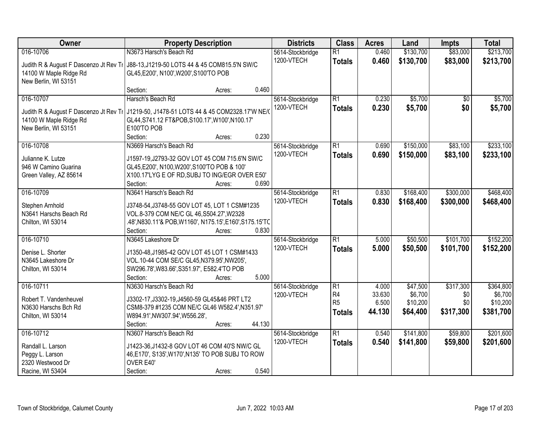| Owner                                     | <b>Property Description</b>                                                                |        |        | <b>Districts</b> | <b>Class</b>    | <b>Acres</b> | Land      | <b>Impts</b>    | <b>Total</b> |
|-------------------------------------------|--------------------------------------------------------------------------------------------|--------|--------|------------------|-----------------|--------------|-----------|-----------------|--------------|
| 016-10706                                 | N3673 Harsch's Beach Rd                                                                    |        |        | 5614-Stockbridge | $\overline{R1}$ | 0.460        | \$130,700 | \$83,000        | \$213,700    |
| Judith R & August F Dascenzo Jt Rev Tr    | J88-13, J1219-50 LOTS 44 & 45 COM815.5'N SW/C                                              |        |        | 1200-VTECH       | <b>Totals</b>   | 0.460        | \$130,700 | \$83,000        | \$213,700    |
| 14100 W Maple Ridge Rd                    | GL45, E200', N100', W200', S100'TO POB                                                     |        |        |                  |                 |              |           |                 |              |
| New Berlin, WI 53151                      |                                                                                            |        |        |                  |                 |              |           |                 |              |
|                                           | Section:                                                                                   | Acres: | 0.460  |                  |                 |              |           |                 |              |
| 016-10707                                 | Harsch's Beach Rd                                                                          |        |        | 5614-Stockbridge | $\overline{R1}$ | 0.230        | \$5,700   | $\overline{50}$ | \$5,700      |
| Judith R & August F Dascenzo Jt Rev Tr    | J1219-50, J1478-51 LOTS 44 & 45 COM2328.17'W NE/                                           |        |        | 1200-VTECH       | <b>Totals</b>   | 0.230        | \$5,700   | \$0             | \$5,700      |
| 14100 W Maple Ridge Rd                    | GL44, S741.12 FT&POB, S100.17', W100', N100.17'                                            |        |        |                  |                 |              |           |                 |              |
| New Berlin, WI 53151                      | E100'TO POB                                                                                |        |        |                  |                 |              |           |                 |              |
|                                           | Section:                                                                                   | Acres: | 0.230  |                  |                 |              |           |                 |              |
| 016-10708                                 | N3669 Harsch's Beach Rd                                                                    |        |        | 5614-Stockbridge | $\overline{R1}$ | 0.690        | \$150,000 | \$83,100        | \$233,100    |
| Julianne K. Lutze                         | J1597-19, J2793-32 GOV LOT 45 COM 715.6'N SW/C                                             |        |        | 1200-VTECH       | <b>Totals</b>   | 0.690        | \$150,000 | \$83,100        | \$233,100    |
| 946 W Camino Guarina                      | GL45, E200', N100, W200', S100'TO POB & 100'                                               |        |        |                  |                 |              |           |                 |              |
| Green Valley, AZ 85614                    | X100.17'LYG E OF RD, SUBJ TO ING/EGR OVER E50'                                             |        |        |                  |                 |              |           |                 |              |
|                                           | Section:                                                                                   | Acres: | 0.690  |                  |                 |              |           |                 |              |
| 016-10709                                 | N3641 Harsch's Beach Rd                                                                    |        |        | 5614-Stockbridge | R1              | 0.830        | \$168,400 | \$300,000       | \$468,400    |
|                                           |                                                                                            |        |        | 1200-VTECH       | <b>Totals</b>   | 0.830        | \$168,400 | \$300,000       | \$468,400    |
| Stephen Arnhold<br>N3641 Harschs Beach Rd | J3748-54, J3748-55 GOV LOT 45, LOT 1 CSM#1235<br>VOL.8-379 COM NE/C GL 46, S504.27', W2328 |        |        |                  |                 |              |           |                 |              |
| Chilton, WI 53014                         | .48', N830.11'& POB, W1160', N175.15', E160', S175.15'TC                                   |        |        |                  |                 |              |           |                 |              |
|                                           | Section:                                                                                   | Acres: | 0.830  |                  |                 |              |           |                 |              |
| 016-10710                                 | N3645 Lakeshore Dr                                                                         |        |        | 5614-Stockbridge | $\overline{R1}$ | 5.000        | \$50,500  | \$101,700       | \$152,200    |
|                                           |                                                                                            |        |        | 1200-VTECH       | <b>Totals</b>   | 5.000        | \$50,500  | \$101,700       | \$152,200    |
| Denise L. Shorter                         | J1350-48, J1985-42 GOV LOT 45 LOT 1 CSM#1433                                               |        |        |                  |                 |              |           |                 |              |
| N3645 Lakeshore Dr<br>Chilton, WI 53014   | VOL.10-44 COM SE/C GL45, N379.95', NW205',<br>SW296.78', W83.66', S351.97', E582.4'TO POB  |        |        |                  |                 |              |           |                 |              |
|                                           | Section:                                                                                   | Acres: | 5.000  |                  |                 |              |           |                 |              |
| 016-10711                                 | N3630 Harsch's Beach Rd                                                                    |        |        | 5614-Stockbridge | R1              | 4.000        | \$47,500  | \$317,300       | \$364,800    |
|                                           |                                                                                            |        |        | 1200-VTECH       | R <sub>4</sub>  | 33.630       | \$6,700   | \$0             | \$6,700      |
| Robert T. Vandenheuvel                    | J3302-17, J3302-19, J4560-59 GL45&46 PRT LT2                                               |        |        |                  | R <sub>5</sub>  | 6.500        | \$10,200  | \$0             | \$10,200     |
| N3630 Harschs Bch Rd                      | CSM8-379 #1235 COM NE/C GL46 W582.4', N351.97'                                             |        |        |                  | <b>Totals</b>   | 44.130       | \$64,400  | \$317,300       | \$381,700    |
| Chilton, WI 53014                         | W894.91', NW307.94', W556.28',                                                             |        | 44.130 |                  |                 |              |           |                 |              |
| 016-10712                                 | Section:<br>N3607 Harsch's Beach Rd                                                        | Acres: |        | 5614-Stockbridge | $\overline{R1}$ | 0.540        | \$141,800 | \$59,800        | \$201,600    |
|                                           |                                                                                            |        |        | 1200-VTECH       | <b>Totals</b>   | 0.540        | \$141,800 | \$59,800        | \$201,600    |
| Randall L. Larson                         | J1423-36, J1432-8 GOV LOT 46 COM 40'S NW/C GL                                              |        |        |                  |                 |              |           |                 |              |
| Peggy L. Larson                           | 46, E170', S135', W170', N135' TO POB SUBJ TO ROW                                          |        |        |                  |                 |              |           |                 |              |
| 2320 Westwood Dr                          | OVER E40'                                                                                  |        |        |                  |                 |              |           |                 |              |
| Racine, WI 53404                          | Section:                                                                                   | Acres: | 0.540  |                  |                 |              |           |                 |              |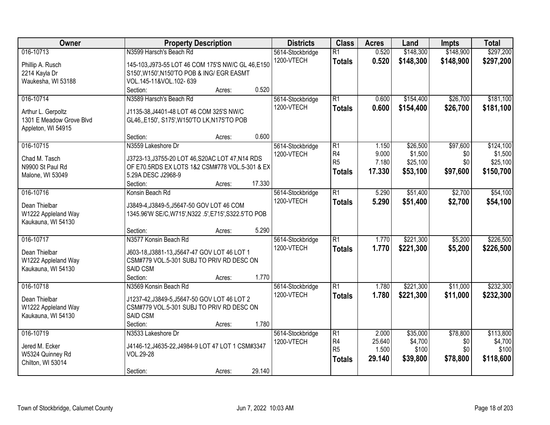| Owner                                          | <b>Property Description</b>                                                             | <b>Districts</b> | <b>Class</b>    | <b>Acres</b> | Land      | Impts     | <b>Total</b> |
|------------------------------------------------|-----------------------------------------------------------------------------------------|------------------|-----------------|--------------|-----------|-----------|--------------|
| 016-10713                                      | N3599 Harsch's Beach Rd                                                                 | 5614-Stockbridge | $\overline{R1}$ | 0.520        | \$148,300 | \$148,900 | \$297,200    |
| Phillip A. Rusch                               | 145-103, J973-55 LOT 46 COM 175'S NW/C GL 46, E150                                      | 1200-VTECH       | <b>Totals</b>   | 0.520        | \$148,300 | \$148,900 | \$297,200    |
| 2214 Kayla Dr                                  | S150', W150', N150'TO POB & ING/ EGR EASMT                                              |                  |                 |              |           |           |              |
| Waukesha, WI 53188                             | VOL.145-11&VOL.102-639                                                                  |                  |                 |              |           |           |              |
|                                                | 0.520<br>Section:<br>Acres:                                                             |                  |                 |              |           |           |              |
| 016-10714                                      | N3589 Harsch's Beach Rd                                                                 | 5614-Stockbridge | $\overline{R1}$ | 0.600        | \$154,400 | \$26,700  | \$181,100    |
|                                                |                                                                                         | 1200-VTECH       | <b>Totals</b>   | 0.600        | \$154,400 | \$26,700  | \$181,100    |
| Arthur L. Gerpoltz<br>1301 E Meadow Grove Blvd | J1135-38, J4401-48 LOT 46 COM 325'S NW/C<br>GL46, E150', S175', W150'TO LK, N175'TO POB |                  |                 |              |           |           |              |
| Appleton, WI 54915                             |                                                                                         |                  |                 |              |           |           |              |
|                                                | 0.600<br>Section:<br>Acres:                                                             |                  |                 |              |           |           |              |
| 016-10715                                      | N3559 Lakeshore Dr                                                                      | 5614-Stockbridge | $\overline{R1}$ | 1.150        | \$26,500  | \$97,600  | \$124,100    |
|                                                |                                                                                         | 1200-VTECH       | R <sub>4</sub>  | 9.000        | \$1,500   | \$0       | \$1,500      |
| Chad M. Tasch                                  | J3723-13, J3755-20 LOT 46, S20AC LOT 47, N14 RDS                                        |                  | R <sub>5</sub>  | 7.180        | \$25,100  | \$0       | \$25,100     |
| N9900 St Paul Rd                               | OF E70.5RDS EX LOTS 1&2 CSM#778 VOL.5-301 & EX                                          |                  | <b>Totals</b>   | 17.330       | \$53,100  | \$97,600  | \$150,700    |
| Malone, WI 53049                               | 5.29A DESC J2968-9<br>17.330<br>Section:                                                |                  |                 |              |           |           |              |
| 016-10716                                      | Acres:<br>Konsin Beach Rd                                                               | 5614-Stockbridge | $\overline{R1}$ | 5.290        | \$51,400  | \$2,700   | \$54,100     |
|                                                |                                                                                         | 1200-VTECH       |                 | 5.290        | \$51,400  |           |              |
| Dean Thielbar                                  | J3849-4, J3849-5, J5647-50 GOV LOT 46 COM                                               |                  | <b>Totals</b>   |              |           | \$2,700   | \$54,100     |
| W1222 Appleland Way                            | 1345.96'W SE/C, W715', N322 .5', E715', S322.5'TO POB                                   |                  |                 |              |           |           |              |
| Kaukauna, WI 54130                             |                                                                                         |                  |                 |              |           |           |              |
|                                                | 5.290<br>Section:<br>Acres:                                                             |                  |                 |              |           |           |              |
| 016-10717                                      | N3577 Konsin Beach Rd                                                                   | 5614-Stockbridge | $\overline{R1}$ | 1.770        | \$221,300 | \$5,200   | \$226,500    |
| Dean Thielbar                                  | J603-18, J3881-13, J5647-47 GOV LOT 46 LOT 1                                            | 1200-VTECH       | <b>Totals</b>   | 1.770        | \$221,300 | \$5,200   | \$226,500    |
| W1222 Appleland Way                            | CSM#779 VOL.5-301 SUBJ TO PRIV RD DESC ON                                               |                  |                 |              |           |           |              |
| Kaukauna, WI 54130                             | <b>SAID CSM</b>                                                                         |                  |                 |              |           |           |              |
|                                                | 1.770<br>Section:<br>Acres:                                                             |                  |                 |              |           |           |              |
| 016-10718                                      | N3569 Konsin Beach Rd                                                                   | 5614-Stockbridge | $\overline{R1}$ | 1.780        | \$221,300 | \$11,000  | \$232,300    |
| Dean Thielbar                                  | J1237-42, J3849-5, J5647-50 GOV LOT 46 LOT 2                                            | 1200-VTECH       | <b>Totals</b>   | 1.780        | \$221,300 | \$11,000  | \$232,300    |
| W1222 Appleland Way                            | CSM#779 VOL.5-301 SUBJ TO PRIV RD DESC ON                                               |                  |                 |              |           |           |              |
| Kaukauna, WI 54130                             | SAID CSM                                                                                |                  |                 |              |           |           |              |
|                                                | 1.780<br>Section:<br>Acres:                                                             |                  |                 |              |           |           |              |
| 016-10719                                      | N3533 Lakeshore Dr                                                                      | 5614-Stockbridge | $\overline{R1}$ | 2.000        | \$35,000  | \$78,800  | \$113,800    |
|                                                |                                                                                         | 1200-VTECH       | R4              | 25.640       | \$4,700   | \$0       | \$4,700      |
| Jered M. Ecker                                 | J4146-12, J4635-22, J4984-9 LOT 47 LOT 1 CSM#3347                                       |                  | R <sub>5</sub>  | 1.500        | \$100     | \$0       | \$100        |
| W5324 Quinney Rd<br>Chilton, WI 53014          | VOL.29-28                                                                               |                  | <b>Totals</b>   | 29.140       | \$39,800  | \$78,800  | \$118,600    |
|                                                | 29.140<br>Section:<br>Acres:                                                            |                  |                 |              |           |           |              |
|                                                |                                                                                         |                  |                 |              |           |           |              |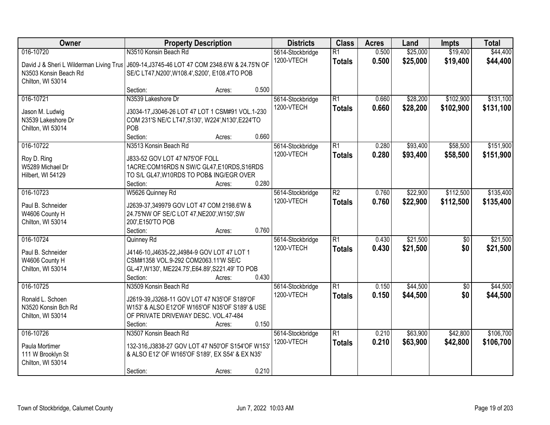| Owner                                   | <b>Property Description</b>                        |        |       | <b>Districts</b> | <b>Class</b>    | <b>Acres</b> | Land     | <b>Impts</b>    | <b>Total</b> |
|-----------------------------------------|----------------------------------------------------|--------|-------|------------------|-----------------|--------------|----------|-----------------|--------------|
| 016-10720                               | N3510 Konsin Beach Rd                              |        |       | 5614-Stockbridge | $\overline{R1}$ | 0.500        | \$25,000 | \$19,400        | \$44,400     |
| David J & Sheri L Wilderman Living Trus | J609-14, J3745-46 LOT 47 COM 2348.6'W & 24.75'N OF |        |       | 1200-VTECH       | <b>Totals</b>   | 0.500        | \$25,000 | \$19,400        | \$44,400     |
| N3503 Konsin Beach Rd                   | SE/C LT47, N200', W108.4', S200', E108.4'TO POB    |        |       |                  |                 |              |          |                 |              |
| Chilton, WI 53014                       |                                                    |        |       |                  |                 |              |          |                 |              |
|                                         | Section:                                           | Acres: | 0.500 |                  |                 |              |          |                 |              |
| 016-10721                               | N3539 Lakeshore Dr                                 |        |       | 5614-Stockbridge | $\overline{R1}$ | 0.660        | \$28,200 | \$102,900       | \$131,100    |
| Jason M. Ludwig                         | J3034-17, J3046-26 LOT 47 LOT 1 CSM#91 VOL.1-230   |        |       | 1200-VTECH       | <b>Totals</b>   | 0.660        | \$28,200 | \$102,900       | \$131,100    |
| N3539 Lakeshore Dr                      | COM 231'S NE/C LT47, S130', W224', N130', E224'TO  |        |       |                  |                 |              |          |                 |              |
| Chilton, WI 53014                       | POB                                                |        |       |                  |                 |              |          |                 |              |
|                                         | Section:                                           | Acres: | 0.660 |                  |                 |              |          |                 |              |
| 016-10722                               | N3513 Konsin Beach Rd                              |        |       | 5614-Stockbridge | R1              | 0.280        | \$93,400 | \$58,500        | \$151,900    |
| Roy D. Ring                             | J833-52 GOV LOT 47 N75'OF FOLL                     |        |       | 1200-VTECH       | <b>Totals</b>   | 0.280        | \$93,400 | \$58,500        | \$151,900    |
| W5289 Michael Dr                        | 1ACRE: COM16RDS N SW/C GL47, E10RDS, S16RDS        |        |       |                  |                 |              |          |                 |              |
| Hilbert, WI 54129                       | TO S/L GL47, W10RDS TO POB& ING/EGR OVER           |        |       |                  |                 |              |          |                 |              |
|                                         | Section:                                           | Acres: | 0.280 |                  |                 |              |          |                 |              |
| 016-10723                               | W5626 Quinney Rd                                   |        |       | 5614-Stockbridge | $\overline{R2}$ | 0.760        | \$22,900 | \$112,500       | \$135,400    |
| Paul B. Schneider                       | J2639-37,349979 GOV LOT 47 COM 2198.6'W &          |        |       | 1200-VTECH       | <b>Totals</b>   | 0.760        | \$22,900 | \$112,500       | \$135,400    |
| W4606 County H                          | 24.75'NW OF SE/C LOT 47, NE200', W150', SW         |        |       |                  |                 |              |          |                 |              |
| Chilton, WI 53014                       | 200', E150'TO POB                                  |        |       |                  |                 |              |          |                 |              |
|                                         | Section:                                           | Acres: | 0.760 |                  |                 |              |          |                 |              |
| 016-10724                               | Quinney Rd                                         |        |       | 5614-Stockbridge | $\overline{R1}$ | 0.430        | \$21,500 | $\overline{50}$ | \$21,500     |
| Paul B. Schneider                       | J4146-10, J4635-22, J4984-9 GOV LOT 47 LOT 1       |        |       | 1200-VTECH       | <b>Totals</b>   | 0.430        | \$21,500 | \$0             | \$21,500     |
| W4606 County H                          | CSM#1358 VOL.9-292 COM2063.11'W SE/C               |        |       |                  |                 |              |          |                 |              |
| Chilton, WI 53014                       | GL-47, W130', ME224.75', E64.89', S221.49' TO POB  |        |       |                  |                 |              |          |                 |              |
|                                         | Section:                                           | Acres: | 0.430 |                  |                 |              |          |                 |              |
| 016-10725                               | N3509 Konsin Beach Rd                              |        |       | 5614-Stockbridge | R1              | 0.150        | \$44,500 | $\overline{60}$ | \$44,500     |
| Ronald L. Schoen                        | J2619-39, J3268-11 GOV LOT 47 N35'OF S189'OF       |        |       | 1200-VTECH       | <b>Totals</b>   | 0.150        | \$44,500 | \$0             | \$44,500     |
| N3520 Konsin Bch Rd                     | W153' & ALSO E12'OF W165'OF N35'OF S189' & USE     |        |       |                  |                 |              |          |                 |              |
| Chilton, WI 53014                       | OF PRIVATE DRIVEWAY DESC. VOL.47-484               |        |       |                  |                 |              |          |                 |              |
|                                         | Section:                                           | Acres: | 0.150 |                  |                 |              |          |                 |              |
| 016-10726                               | N3507 Konsin Beach Rd                              |        |       | 5614-Stockbridge | R1              | 0.210        | \$63,900 | \$42,800        | \$106,700    |
| Paula Mortimer                          | 132-316, J3838-27 GOV LOT 47 N50'OF S154'OF W153'  |        |       | 1200-VTECH       | <b>Totals</b>   | 0.210        | \$63,900 | \$42,800        | \$106,700    |
| 111 W Brooklyn St                       | & ALSO E12' OF W165'OF S189', EX S54' & EX N35'    |        |       |                  |                 |              |          |                 |              |
| Chilton, WI 53014                       |                                                    |        |       |                  |                 |              |          |                 |              |
|                                         | Section:                                           | Acres: | 0.210 |                  |                 |              |          |                 |              |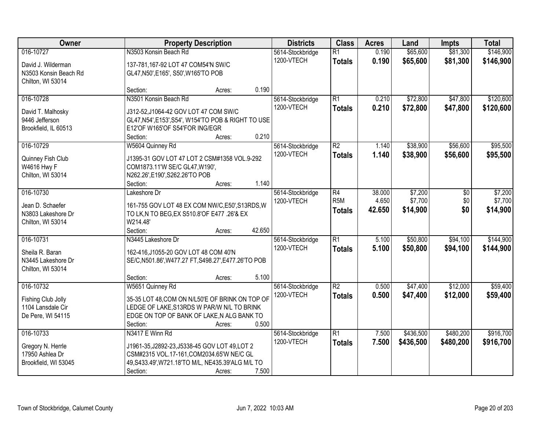| Owner                 | <b>Property Description</b>                         | <b>Districts</b>               | <b>Class</b>     | <b>Acres</b> | Land      | <b>Impts</b> | <b>Total</b> |
|-----------------------|-----------------------------------------------------|--------------------------------|------------------|--------------|-----------|--------------|--------------|
| 016-10727             | N3503 Konsin Beach Rd                               | 5614-Stockbridge<br>1200-VTECH | $\overline{R1}$  | 0.190        | \$65,600  | \$81,300     | \$146,900    |
| David J. Wilderman    | 137-781,167-92 LOT 47 COM54'N SW/C                  |                                | <b>Totals</b>    | 0.190        | \$65,600  | \$81,300     | \$146,900    |
| N3503 Konsin Beach Rd | GL47, N50', E165', S50', W165'TO POB                |                                |                  |              |           |              |              |
| Chilton, WI 53014     |                                                     |                                |                  |              |           |              |              |
|                       | 0.190<br>Section:<br>Acres:                         |                                |                  |              |           |              |              |
| 016-10728             | N3501 Konsin Beach Rd                               | 5614-Stockbridge               | $\overline{R1}$  | 0.210        | \$72,800  | \$47,800     | \$120,600    |
| David T. Malhosky     | J312-52, J1064-42 GOV LOT 47 COM SW/C               | 1200-VTECH                     | <b>Totals</b>    | 0.210        | \$72,800  | \$47,800     | \$120,600    |
| 9446 Jefferson        | GL47, N54', E153', S54', W154'TO POB & RIGHT TO USE |                                |                  |              |           |              |              |
| Brookfield, IL 60513  | E12'OF W165'OF S54'FOR ING/EGR                      |                                |                  |              |           |              |              |
|                       | 0.210<br>Section:<br>Acres:                         |                                |                  |              |           |              |              |
| 016-10729             | W5604 Quinney Rd                                    | 5614-Stockbridge               | $\overline{R2}$  | 1.140        | \$38,900  | \$56,600     | \$95,500     |
| Quinney Fish Club     | J1395-31 GOV LOT 47 LOT 2 CSM#1358 VOL.9-292        | 1200-VTECH                     | <b>Totals</b>    | 1.140        | \$38,900  | \$56,600     | \$95,500     |
| W4616 Hwy F           | COM1873.11'W SE/C GL47, W190',                      |                                |                  |              |           |              |              |
| Chilton, WI 53014     | N262.26', E190', S262.26'TO POB                     |                                |                  |              |           |              |              |
|                       | 1.140<br>Section:<br>Acres:                         |                                |                  |              |           |              |              |
| 016-10730             | Lakeshore Dr                                        | 5614-Stockbridge               | $\overline{R4}$  | 38.000       | \$7,200   | \$0          | \$7,200      |
| Jean D. Schaefer      | 161-755 GOV LOT 48 EX COM NW/C, E50', S13RDS, W     | 1200-VTECH                     | R <sub>5</sub> M | 4.650        | \$7,700   | \$0          | \$7,700      |
| N3803 Lakeshore Dr    | TO LK, N TO BEG, EX S510.8' OF E477 .26' & EX       |                                | <b>Totals</b>    | 42.650       | \$14,900  | \$0          | \$14,900     |
| Chilton, WI 53014     | W214.48'                                            |                                |                  |              |           |              |              |
|                       | 42.650<br>Section:<br>Acres:                        |                                |                  |              |           |              |              |
| 016-10731             | N3445 Lakeshore Dr                                  | 5614-Stockbridge               | $\overline{R1}$  | 5.100        | \$50,800  | \$94,100     | \$144,900    |
|                       |                                                     | 1200-VTECH                     | <b>Totals</b>    | 5.100        | \$50,800  | \$94,100     | \$144,900    |
| Sheila R. Baran       | 162-416, J1055-20 GOV LOT 48 COM 40'N               |                                |                  |              |           |              |              |
| N3445 Lakeshore Dr    | SE/C,N501.86',W477.27 FT,S498.27',E477.26'TO POB    |                                |                  |              |           |              |              |
| Chilton, WI 53014     | 5.100<br>Section:                                   |                                |                  |              |           |              |              |
| 016-10732             | Acres:<br>W5651 Quinney Rd                          | 5614-Stockbridge               | $\overline{R2}$  | 0.500        | \$47,400  | \$12,000     | \$59,400     |
|                       |                                                     | 1200-VTECH                     | <b>Totals</b>    | 0.500        | \$47,400  | \$12,000     | \$59,400     |
| Fishing Club Jolly    | 35-35 LOT 48, COM ON N/L50'E OF BRINK ON TOP OF     |                                |                  |              |           |              |              |
| 1104 Lansdale Cir     | LEDGE OF LAKE, S13RDS W PAR/W N/L TO BRINK          |                                |                  |              |           |              |              |
| De Pere, WI 54115     | EDGE ON TOP OF BANK OF LAKE, N ALG BANK TO          |                                |                  |              |           |              |              |
|                       | 0.500<br>Section:<br>Acres:                         |                                |                  |              |           |              |              |
| 016-10733             | N3417 E Winn Rd                                     | 5614-Stockbridge               | $\overline{R1}$  | 7.500        | \$436,500 | \$480,200    | \$916,700    |
| Gregory N. Herrle     | J1961-35, J2892-23, J5338-45 GOV LOT 49, LOT 2      | 1200-VTECH                     | <b>Totals</b>    | 7.500        | \$436,500 | \$480,200    | \$916,700    |
| 17950 Ashlea Dr       | CSM#2315 VOL.17-161, COM2034.65'W NE/C GL           |                                |                  |              |           |              |              |
| Brookfield, WI 53045  | 49, S433.49', W721.18'TO M/L, NE435.39'ALG M/L TO   |                                |                  |              |           |              |              |
|                       | 7.500<br>Section:<br>Acres:                         |                                |                  |              |           |              |              |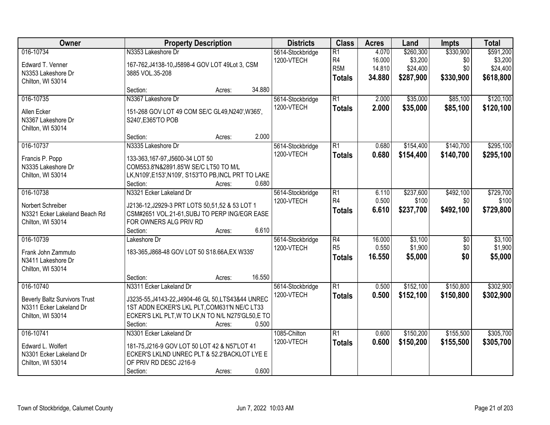| Owner                                                                                             | <b>Property Description</b>                                                                                                                                                                                        | <b>Districts</b>               | <b>Class</b>                                               | <b>Acres</b>                        | Land                                          | <b>Impts</b>                         | <b>Total</b>                                  |
|---------------------------------------------------------------------------------------------------|--------------------------------------------------------------------------------------------------------------------------------------------------------------------------------------------------------------------|--------------------------------|------------------------------------------------------------|-------------------------------------|-----------------------------------------------|--------------------------------------|-----------------------------------------------|
| 016-10734<br>Edward T. Venner<br>N3353 Lakeshore Dr<br>Chilton, WI 53014                          | N3353 Lakeshore Dr<br>167-762, J4138-10, J5898-4 GOV LOT 49Lot 3, CSM<br>3885 VOL.35-208                                                                                                                           | 5614-Stockbridge<br>1200-VTECH | $\overline{R1}$<br>R4<br>R <sub>5</sub> M<br><b>Totals</b> | 4.070<br>16.000<br>14.810<br>34.880 | \$260,300<br>\$3,200<br>\$24,400<br>\$287,900 | \$330,900<br>\$0<br>\$0<br>\$330,900 | \$591,200<br>\$3,200<br>\$24,400<br>\$618,800 |
|                                                                                                   | 34.880<br>Section:<br>Acres:                                                                                                                                                                                       |                                |                                                            |                                     |                                               |                                      |                                               |
| 016-10735<br>Allen Ecker<br>N3367 Lakeshore Dr<br>Chilton, WI 53014                               | N3367 Lakeshore Dr<br>151-268 GOV LOT 49 COM SE/C GL49, N240', W365',<br>S240', E365'TO POB                                                                                                                        | 5614-Stockbridge<br>1200-VTECH | $\overline{R1}$<br><b>Totals</b>                           | 2.000<br>2.000                      | \$35,000<br>\$35,000                          | \$85,100<br>\$85,100                 | \$120,100<br>\$120,100                        |
|                                                                                                   | 2.000<br>Section:<br>Acres:                                                                                                                                                                                        |                                |                                                            |                                     |                                               |                                      |                                               |
| 016-10737<br>Francis P. Popp<br>N3335 Lakeshore Dr<br>Chilton, WI 53014                           | N3335 Lakeshore Dr<br>133-363,167-97,J5600-34 LOT 50<br>COM553.8'N&2891.85'W SE/C LT50 TO M/L<br>LK, N109', E153', N109', S153'TO PB, INCL PRT TO LAKE<br>0.680<br>Section:<br>Acres:                              | 5614-Stockbridge<br>1200-VTECH | $\overline{R1}$<br><b>Totals</b>                           | 0.680<br>0.680                      | \$154,400<br>\$154,400                        | \$140,700<br>\$140,700               | \$295,100<br>\$295,100                        |
| 016-10738<br>Norbert Schreiber<br>N3321 Ecker Lakeland Beach Rd<br>Chilton, WI 53014              | N3321 Ecker Lakeland Dr<br>J2136-12, J2929-3 PRT LOTS 50, 51, 52 & 53 LOT 1<br>CSM#2651 VOL.21-61, SUBJ TO PERP ING/EGR EASE<br>FOR OWNERS ALG PRIV RD<br>6.610<br>Section:<br>Acres:                              | 5614-Stockbridge<br>1200-VTECH | $\overline{R1}$<br>R <sub>4</sub><br><b>Totals</b>         | 6.110<br>0.500<br>6.610             | \$237,600<br>\$100<br>\$237,700               | \$492,100<br>\$0<br>\$492,100        | \$729,700<br>\$100<br>\$729,800               |
| 016-10739<br>Frank John Zammuto<br>N3411 Lakeshore Dr<br>Chilton, WI 53014                        | Lakeshore Dr<br>183-365, J868-48 GOV LOT 50 S18.66A, EX W335'                                                                                                                                                      | 5614-Stockbridge<br>1200-VTECH | $\overline{R4}$<br>R <sub>5</sub><br><b>Totals</b>         | 16.000<br>0.550<br>16.550           | \$3,100<br>\$1,900<br>\$5,000                 | $\overline{50}$<br>\$0<br>\$0        | \$3,100<br>\$1,900<br>\$5,000                 |
|                                                                                                   | 16.550<br>Section:<br>Acres:                                                                                                                                                                                       |                                |                                                            |                                     |                                               |                                      |                                               |
| 016-10740<br><b>Beverly Baltz Survivors Trust</b><br>N3311 Ecker Lakeland Dr<br>Chilton, WI 53014 | N3311 Ecker Lakeland Dr<br>J3235-55, J4143-22, J4904-46 GL 50, LTS43&44 UNREC<br>1ST ADDN ECKER'S LKL PLT, COM631'N NE/C LT33<br>ECKER'S LKL PLT, W TO LK, N TO N/L N275'GL50, E TO<br>0.500<br>Section:<br>Acres: | 5614-Stockbridge<br>1200-VTECH | $\overline{R1}$<br><b>Totals</b>                           | 0.500<br>0.500                      | \$152,100<br>\$152,100                        | \$150,800<br>\$150,800               | \$302,900<br>\$302,900                        |
| 016-10741<br>Edward L. Wolfert<br>N3301 Ecker Lakeland Dr<br>Chilton, WI 53014                    | N3301 Ecker Lakeland Dr<br>181-75, J216-9 GOV LOT 50 LOT 42 & N57'LOT 41<br>ECKER'S LKLND UNREC PLT & 52.2'BACKLOT LYE E<br>OF PRIV RD DESC J216-9<br>0.600<br>Section:<br>Acres:                                  | 1085-Chilton<br>1200-VTECH     | $\overline{R1}$<br><b>Totals</b>                           | 0.600<br>0.600                      | \$150,200<br>\$150,200                        | \$155,500<br>\$155,500               | \$305,700<br>\$305,700                        |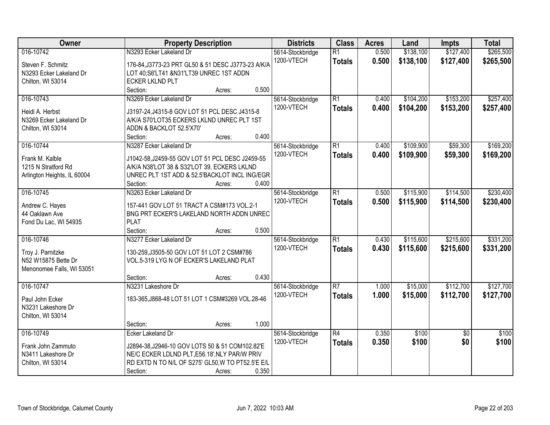| Owner                       | <b>Property Description</b>                        | <b>Districts</b> | <b>Class</b>             | <b>Acres</b> | Land      | <b>Impts</b>    | <b>Total</b> |
|-----------------------------|----------------------------------------------------|------------------|--------------------------|--------------|-----------|-----------------|--------------|
| 016-10742                   | N3293 Ecker Lakeland Dr                            | 5614-Stockbridge | $\overline{R1}$          | 0.500        | \$138,100 | \$127,400       | \$265,500    |
| Steven F. Schmitz           | 176-84, J3773-23 PRT GL50 & 51 DESC J3773-23 A/K/A | 1200-VTECH       | <b>Totals</b>            | 0.500        | \$138,100 | \$127,400       | \$265,500    |
| N3293 Ecker Lakeland Dr     | LOT 40;S6'LT41 &N31'LT39 UNREC 1ST ADDN            |                  |                          |              |           |                 |              |
| Chilton, WI 53014           | <b>ECKER LKLND PLT</b>                             |                  |                          |              |           |                 |              |
|                             | 0.500<br>Section:<br>Acres:                        |                  |                          |              |           |                 |              |
| 016-10743                   | N3269 Ecker Lakeland Dr                            | 5614-Stockbridge | $\overline{R1}$          | 0.400        | \$104,200 | \$153,200       | \$257,400    |
|                             |                                                    | 1200-VTECH       | <b>Totals</b>            | 0.400        | \$104,200 | \$153,200       | \$257,400    |
| Heidi A. Herbst             | J3197-24, J4315-8 GOV LOT 51 PCL DESC J4315-8      |                  |                          |              |           |                 |              |
| N3269 Ecker Lakeland Dr     | A/K/A S70'LOT35 ECKERS LKLND UNREC PLT 1ST         |                  |                          |              |           |                 |              |
| Chilton, WI 53014           | ADDN & BACKLOT 52.5'X70'<br>0.400                  |                  |                          |              |           |                 |              |
|                             | Section:<br>Acres:                                 |                  |                          |              |           |                 | \$169,200    |
| 016-10744                   | N3287 Ecker Lakeland Dr                            | 5614-Stockbridge | $\overline{R1}$          | 0.400        | \$109,900 | \$59,300        |              |
| Frank M. Kalble             | J1042-58, J2459-55 GOV LOT 51 PCL DESC J2459-55    | 1200-VTECH       | <b>Totals</b>            | 0.400        | \$109,900 | \$59,300        | \$169,200    |
| 1215 N Stratford Rd         | A/K/A N38'LOT 38 & S32'LOT 39, ECKERS LKLND        |                  |                          |              |           |                 |              |
| Arlington Heights, IL 60004 | UNREC PLT 1ST ADD & 52.5'BACKLOT INCL ING/EGR      |                  |                          |              |           |                 |              |
|                             | Section:<br>0.400<br>Acres:                        |                  |                          |              |           |                 |              |
| 016-10745                   | N3263 Ecker Lakeland Dr                            | 5614-Stockbridge | $\overline{R1}$          | 0.500        | \$115,900 | \$114,500       | \$230,400    |
| Andrew C. Hayes             | 157-441 GOV LOT 51 TRACT A CSM#173 VOL.2-1         | 1200-VTECH       | <b>Totals</b>            | 0.500        | \$115,900 | \$114,500       | \$230,400    |
| 44 Oaklawn Ave              | BNG PRT ECKER'S LAKELAND NORTH ADDN UNREC          |                  |                          |              |           |                 |              |
| Fond Du Lac, WI 54935       | <b>PLAT</b>                                        |                  |                          |              |           |                 |              |
|                             | Section:<br>0.500<br>Acres:                        |                  |                          |              |           |                 |              |
| 016-10746                   | N3277 Ecker Lakeland Dr                            | 5614-Stockbridge | $\overline{R1}$          | 0.430        | \$115,600 | \$215,600       | \$331,200    |
|                             |                                                    | 1200-VTECH       | <b>Totals</b>            | 0.430        | \$115,600 | \$215,600       | \$331,200    |
| Troy J. Parnitzke           | 130-259, J3505-50 GOV LOT 51 LOT 2 CSM#786         |                  |                          |              |           |                 |              |
| N52 W15875 Bette Dr         | VOL.5-319 LYG N OF ECKER'S LAKELAND PLAT           |                  |                          |              |           |                 |              |
| Menonomee Falls, WI 53051   |                                                    |                  |                          |              |           |                 |              |
|                             | 0.430<br>Section:<br>Acres:                        |                  |                          |              |           |                 |              |
| 016-10747                   | N3231 Lakeshore Dr                                 | 5614-Stockbridge | $\overline{\mathsf{R7}}$ | 1.000        | \$15,000  | \$112,700       | \$127,700    |
| Paul John Ecker             | 183-365, J868-48 LOT 51 LOT 1 CSM#3269 VOL.28-46   | 1200-VTECH       | <b>Totals</b>            | 1.000        | \$15,000  | \$112,700       | \$127,700    |
| N3231 Lakeshore Dr          |                                                    |                  |                          |              |           |                 |              |
| Chilton, WI 53014           |                                                    |                  |                          |              |           |                 |              |
|                             | 1.000<br>Section:<br>Acres:                        |                  |                          |              |           |                 |              |
| 016-10749                   | Ecker Lakeland Dr                                  | 5614-Stockbridge | $\overline{R4}$          | 0.350        | \$100     | $\overline{50}$ | \$100        |
|                             |                                                    | 1200-VTECH       | <b>Totals</b>            | 0.350        | \$100     | \$0             | \$100        |
| Frank John Zammuto          | J2894-38, J2946-10 GOV LOTS 50 & 51 COM102.82'E    |                  |                          |              |           |                 |              |
| N3411 Lakeshore Dr          | NE/C ECKER LDLND PLT, E56.18', NLY PAR/W PRIV      |                  |                          |              |           |                 |              |
| Chilton, WI 53014           | RD EXTD N TO N/L OF S275' GL50, W TO PT52.5'E E/L  |                  |                          |              |           |                 |              |
|                             | 0.350<br>Section:<br>Acres:                        |                  |                          |              |           |                 |              |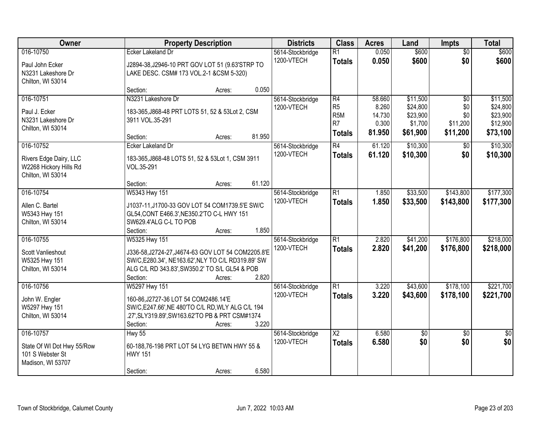| Owner                                                                              | <b>Property Description</b>                                                                                                                                                                       |        | <b>Districts</b>               | <b>Class</b>                                                    | <b>Acres</b>                                 | Land                                                    | <b>Impts</b>                                          | <b>Total</b>                                             |
|------------------------------------------------------------------------------------|---------------------------------------------------------------------------------------------------------------------------------------------------------------------------------------------------|--------|--------------------------------|-----------------------------------------------------------------|----------------------------------------------|---------------------------------------------------------|-------------------------------------------------------|----------------------------------------------------------|
| 016-10750<br>Paul John Ecker<br>N3231 Lakeshore Dr<br>Chilton, WI 53014            | <b>Ecker Lakeland Dr</b><br>J2894-38, J2946-10 PRT GOV LOT 51 (9.63'STRP TO<br>LAKE DESC. CSM# 173 VOL.2-1 &CSM 5-320)                                                                            |        | 5614-Stockbridge<br>1200-VTECH | $\overline{R1}$<br><b>Totals</b>                                | 0.050<br>0.050                               | \$600<br>\$600                                          | $\overline{50}$<br>\$0                                | \$600<br>\$600                                           |
|                                                                                    | Section:<br>Acres:                                                                                                                                                                                | 0.050  |                                |                                                                 |                                              |                                                         |                                                       |                                                          |
| 016-10751<br>Paul J. Ecker<br>N3231 Lakeshore Dr<br>Chilton, WI 53014              | N3231 Lakeshore Dr<br>183-365, J868-48 PRT LOTS 51, 52 & 53Lot 2, CSM<br>3911 VOL.35-291<br>Section:<br>Acres:                                                                                    | 81.950 | 5614-Stockbridge<br>1200-VTECH | R4<br>R <sub>5</sub><br>R <sub>5</sub> M<br>R7<br><b>Totals</b> | 58.660<br>8.260<br>14.730<br>0.300<br>81.950 | \$11,500<br>\$24,800<br>\$23,900<br>\$1,700<br>\$61,900 | $\overline{50}$<br>\$0<br>\$0<br>\$11,200<br>\$11,200 | \$11,500<br>\$24,800<br>\$23,900<br>\$12,900<br>\$73,100 |
| 016-10752<br>Rivers Edge Dairy, LLC<br>W2268 Hickory Hills Rd<br>Chilton, WI 53014 | Ecker Lakeland Dr<br>183-365, J868-48 LOTS 51, 52 & 53Lot 1, CSM 3911<br>VOL.35-291<br>Section:<br>Acres:                                                                                         | 61.120 | 5614-Stockbridge<br>1200-VTECH | R4<br><b>Totals</b>                                             | 61.120<br>61.120                             | \$10,300<br>\$10,300                                    | \$0<br>\$0                                            | \$10,300<br>\$10,300                                     |
| 016-10754<br>Allen C. Bartel<br>W5343 Hwy 151<br>Chilton, WI 53014                 | W5343 Hwy 151<br>J1037-11, J1700-33 GOV LOT 54 COM1739.5'E SW/C<br>GL54, CONT E466.3', NE350.2'TO C-L HWY 151<br>SW629.4'ALG C-L TO POB<br>Section:<br>Acres:                                     | 1.850  | 5614-Stockbridge<br>1200-VTECH | $\overline{R1}$<br><b>Totals</b>                                | 1.850<br>1.850                               | \$33,500<br>\$33,500                                    | \$143,800<br>\$143,800                                | \$177,300<br>\$177,300                                   |
| 016-10755<br>Scott Vanlieshout<br>W5325 Hwy 151<br>Chilton, WI 53014               | W5325 Hwy 151<br>J336-58, J2724-27, J4674-63 GOV LOT 54 COM2205.8'E<br>SW/C, E280.34', NE163.62', NLY TO C/L RD319.89' SW<br>ALG C/L RD 343.83', SW350.2' TO S/L GL54 & POB<br>Section:<br>Acres: | 2.820  | 5614-Stockbridge<br>1200-VTECH | $\overline{R1}$<br><b>Totals</b>                                | 2.820<br>2.820                               | \$41,200<br>\$41,200                                    | \$176,800<br>\$176,800                                | \$218,000<br>\$218,000                                   |
| 016-10756<br>John W. Engler<br>W5297 Hwy 151<br>Chilton, WI 53014                  | W5297 Hwy 151<br>160-86, J2727-36 LOT 54 COM2486.14'E<br>SW/C, E247.66', NE 480'TO C/L RD, WLY ALG C/L 194<br>.27', SLY319.89', SW163.62'TO PB & PRT CSM#1374<br>Section:<br>Acres:               | 3.220  | 5614-Stockbridge<br>1200-VTECH | R1<br><b>Totals</b>                                             | 3.220<br>3.220                               | \$43,600<br>\$43,600                                    | \$178,100<br>\$178,100                                | \$221,700<br>\$221,700                                   |
| 016-10757<br>State Of WI Dot Hwy 55/Row<br>101 S Webster St<br>Madison, WI 53707   | <b>Hwy 55</b><br>60-188,76-198 PRT LOT 54 LYG BETWN HWY 55 &<br><b>HWY 151</b><br>Section:<br>Acres:                                                                                              | 6.580  | 5614-Stockbridge<br>1200-VTECH | $\overline{X2}$<br><b>Totals</b>                                | 6.580<br>6.580                               | $\overline{50}$<br>\$0                                  | $\overline{50}$<br>\$0                                | $\frac{1}{2}$<br>\$0                                     |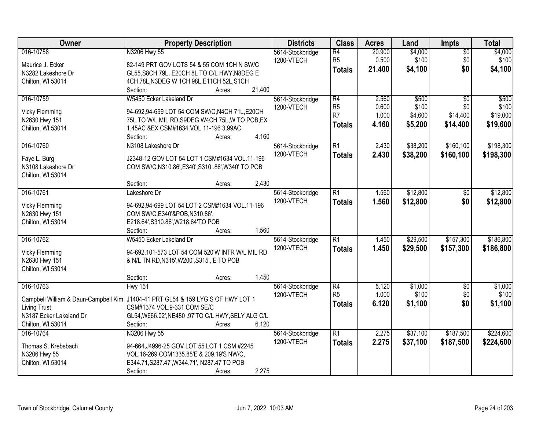| Owner                                | <b>Property Description</b>                                          | <b>Districts</b>               | <b>Class</b>    | <b>Acres</b> | Land     | <b>Impts</b>    | <b>Total</b> |
|--------------------------------------|----------------------------------------------------------------------|--------------------------------|-----------------|--------------|----------|-----------------|--------------|
| 016-10758                            | N3206 Hwy 55                                                         | 5614-Stockbridge               | $\overline{R4}$ | 20.900       | \$4,000  | $\overline{50}$ | \$4,000      |
| Maurice J. Ecker                     | 82-149 PRT GOV LOTS 54 & 55 COM 1CH N SW/C                           | 1200-VTECH                     | R <sub>5</sub>  | 0.500        | \$100    | \$0             | \$100        |
| N3282 Lakeshore Dr                   | GL55, S8CH 79L, E20CH 8L TO C/L HWY, N8DEG E                         |                                | <b>Totals</b>   | 21.400       | \$4,100  | \$0             | \$4,100      |
| Chilton, WI 53014                    | 4CH 78L, N3DEG W 1CH 98L, E11CH 52L, S1CH                            |                                |                 |              |          |                 |              |
|                                      | 21.400<br>Section:<br>Acres:                                         |                                |                 |              |          |                 |              |
| 016-10759                            | W5450 Ecker Lakeland Dr                                              | 5614-Stockbridge               | R4              | 2.560        | \$500    | $\overline{50}$ | \$500        |
|                                      |                                                                      | 1200-VTECH                     | R <sub>5</sub>  | 0.600        | \$100    | \$0             | \$100        |
| <b>Vicky Flemming</b>                | 94-692,94-699 LOT 54 COM SW/C, N4CH 71L, E20CH                       |                                | R <sub>7</sub>  | 1.000        | \$4,600  | \$14,400        | \$19,000     |
| N2630 Hwy 151                        | 75L TO W/L MIL RD, S9DEG W4CH 75L, W TO POB, EX                      |                                | <b>Totals</b>   | 4.160        | \$5,200  | \$14,400        | \$19,600     |
| Chilton, WI 53014                    | 1.45AC & EX CSM#1634 VOL 11-196 3.99AC<br>4.160                      |                                |                 |              |          |                 |              |
|                                      | Section:<br>Acres:                                                   |                                |                 |              |          |                 |              |
| 016-10760                            | N3108 Lakeshore Dr                                                   | 5614-Stockbridge               | $\overline{R1}$ | 2.430        | \$38,200 | \$160,100       | \$198,300    |
| Faye L. Burg                         | J2348-12 GOV LOT 54 LOT 1 CSM#1634 VOL.11-196                        | 1200-VTECH                     | <b>Totals</b>   | 2.430        | \$38,200 | \$160,100       | \$198,300    |
| N3108 Lakeshore Dr                   | COM SW/C, N310.86', E340', S310 .86', W340' TO POB                   |                                |                 |              |          |                 |              |
| Chilton, WI 53014                    |                                                                      |                                |                 |              |          |                 |              |
|                                      | 2.430<br>Section:<br>Acres:                                          |                                |                 |              |          |                 |              |
| 016-10761                            | Lakeshore Dr                                                         | 5614-Stockbridge               | $\overline{R1}$ | 1.560        | \$12,800 | $\sqrt[6]{30}$  | \$12,800     |
|                                      | 94-692,94-699 LOT 54 LOT 2 CSM#1634 VOL.11-196                       | 1200-VTECH                     | <b>Totals</b>   | 1.560        | \$12,800 | \$0             | \$12,800     |
| <b>Vicky Flemming</b>                |                                                                      |                                |                 |              |          |                 |              |
| N2630 Hwy 151<br>Chilton, WI 53014   | COM SW/C, E340'&POB, N310.86',<br>E218.64', S310.86', W218.64'TO POB |                                |                 |              |          |                 |              |
|                                      | 1.560<br>Section:                                                    |                                |                 |              |          |                 |              |
| 016-10762                            | Acres:<br>W5450 Ecker Lakeland Dr                                    |                                | $\overline{R1}$ | 1.450        | \$29,500 | \$157,300       | \$186,800    |
|                                      |                                                                      | 5614-Stockbridge<br>1200-VTECH |                 | 1.450        |          |                 |              |
| <b>Vicky Flemming</b>                | 94-692,101-573 LOT 54 COM 520'W INTR W/L MIL RD                      |                                | <b>Totals</b>   |              | \$29,500 | \$157,300       | \$186,800    |
| N2630 Hwy 151                        | & N/L TN RD, N315', W200', S315', E TO POB                           |                                |                 |              |          |                 |              |
| Chilton, WI 53014                    |                                                                      |                                |                 |              |          |                 |              |
|                                      | 1.450<br>Section:<br>Acres:                                          |                                |                 |              |          |                 |              |
| 016-10763                            | <b>Hwy 151</b>                                                       | 5614-Stockbridge               | R4              | 5.120        | \$1,000  | $\sqrt{$0}$     | \$1,000      |
| Campbell William & Daun-Campbell Kim | J1404-41 PRT GL54 & 159 LYG S OF HWY LOT 1                           | 1200-VTECH                     | R <sub>5</sub>  | 1.000        | \$100    | \$0             | \$100        |
| <b>Living Trust</b>                  | CSM#1374 VOL.9-331 COM SE/C                                          |                                | <b>Totals</b>   | 6.120        | \$1,100  | \$0             | \$1,100      |
| N3187 Ecker Lakeland Dr              | GL54, W666.02', NE480 .97'TO C/L HWY, SELY ALG C/L                   |                                |                 |              |          |                 |              |
| Chilton, WI 53014                    | 6.120<br>Section:<br>Acres:                                          |                                |                 |              |          |                 |              |
| 016-10764                            | N3206 Hwy 55                                                         | 5614-Stockbridge               | $\overline{R1}$ | 2.275        | \$37,100 | \$187,500       | \$224,600    |
|                                      |                                                                      | 1200-VTECH                     | <b>Totals</b>   | 2.275        | \$37,100 | \$187,500       | \$224,600    |
| Thomas S. Krebsbach                  | 94-664, J4996-25 GOV LOT 55 LOT 1 CSM #2245                          |                                |                 |              |          |                 |              |
| N3206 Hwy 55                         | VOL.16-269 COM1335.85'E & 209.19'S NW/C,                             |                                |                 |              |          |                 |              |
| Chilton, WI 53014                    | E344.71, S287.47', W344.71', N287.47'TO POB                          |                                |                 |              |          |                 |              |
|                                      | 2.275<br>Section:<br>Acres:                                          |                                |                 |              |          |                 |              |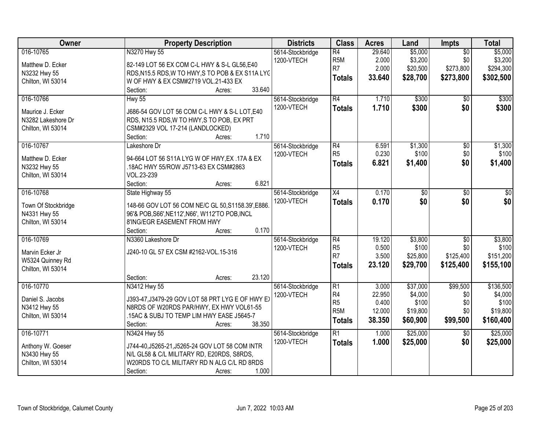| Owner                         | <b>Property Description</b>                                 | <b>Districts</b>               | <b>Class</b>                              | <b>Acres</b>             | Land                           | Impts                               | <b>Total</b>                    |
|-------------------------------|-------------------------------------------------------------|--------------------------------|-------------------------------------------|--------------------------|--------------------------------|-------------------------------------|---------------------------------|
| 016-10765<br>Matthew D. Ecker | N3270 Hwy 55<br>82-149 LOT 56 EX COM C-L HWY & S-L GL56,E40 | 5614-Stockbridge<br>1200-VTECH | $\overline{R4}$<br>R <sub>5</sub> M<br>R7 | 29.640<br>2.000<br>2.000 | \$5,000<br>\$3,200<br>\$20,500 | $\overline{50}$<br>\$0<br>\$273,800 | \$5,000<br>\$3,200<br>\$294,300 |
| N3232 Hwy 55                  | RDS, N15.5 RDS, W TO HWY, S TO POB & EX S11A LYC            |                                |                                           | 33.640                   | \$28,700                       | \$273,800                           | \$302,500                       |
| Chilton, WI 53014             | W OF HWY & EX CSM#2719 VOL.21-433 EX                        |                                | <b>Totals</b>                             |                          |                                |                                     |                                 |
|                               | 33.640<br>Section:<br>Acres:                                |                                |                                           |                          |                                |                                     |                                 |
| 016-10766                     | <b>Hwy 55</b>                                               | 5614-Stockbridge               | R4                                        | 1.710                    | \$300                          | $\overline{50}$                     | \$300                           |
| Maurice J. Ecker              | J686-54 GOV LOT 56 COM C-L HWY & S-L LOT, E40               | 1200-VTECH                     | <b>Totals</b>                             | 1.710                    | \$300                          | \$0                                 | \$300                           |
| N3282 Lakeshore Dr            | RDS, N15.5 RDS, W TO HWY, S TO POB, EX PRT                  |                                |                                           |                          |                                |                                     |                                 |
| Chilton, WI 53014             | CSM#2329 VOL 17-214 (LANDLOCKED)                            |                                |                                           |                          |                                |                                     |                                 |
|                               | 1.710<br>Section:<br>Acres:                                 |                                |                                           |                          |                                |                                     |                                 |
| 016-10767                     | Lakeshore Dr                                                | 5614-Stockbridge               | $\overline{R4}$                           | 6.591                    | \$1,300                        | $\overline{50}$                     | \$1,300                         |
| Matthew D. Ecker              | 94-664 LOT 56 S11A LYG W OF HWY, EX .17A & EX               | 1200-VTECH                     | R <sub>5</sub>                            | 0.230                    | \$100                          | \$0                                 | \$100                           |
| N3232 Hwy 55                  | .18AC HWY 55/ROW J5713-63 EX CSM#2863                       |                                | <b>Totals</b>                             | 6.821                    | \$1,400                        | \$0                                 | \$1,400                         |
| Chilton, WI 53014             | VOL.23-239                                                  |                                |                                           |                          |                                |                                     |                                 |
|                               | 6.821<br>Section:<br>Acres:                                 |                                |                                           |                          |                                |                                     |                                 |
| 016-10768                     | State Highway 55                                            | 5614-Stockbridge               | $\overline{X4}$                           | 0.170                    | $\overline{60}$                | $\overline{50}$                     | \$0                             |
| Town Of Stockbridge           | 148-66 GOV LOT 56 COM NE/C GL 50, S1158.39', E886.          | 1200-VTECH                     | <b>Totals</b>                             | 0.170                    | \$0                            | \$0                                 | \$0                             |
| N4331 Hwy 55                  | 96'& POB, S66', NE112', N66', W112'TO POB, INCL             |                                |                                           |                          |                                |                                     |                                 |
| Chilton, WI 53014             | 8'ING/EGR EASEMENT FROM HWY                                 |                                |                                           |                          |                                |                                     |                                 |
|                               | 0.170<br>Section:<br>Acres:                                 |                                |                                           |                          |                                |                                     |                                 |
| 016-10769                     | N3360 Lakeshore Dr                                          | 5614-Stockbridge               | $\overline{R4}$                           | 19.120                   | \$3,800                        | $\overline{30}$                     | \$3,800                         |
|                               |                                                             | 1200-VTECH                     | R <sub>5</sub>                            | 0.500                    | \$100                          | \$0                                 | \$100                           |
| Marvin Ecker Jr               | J240-10 GL 57 EX CSM #2162-VOL.15-316                       |                                | R <sub>7</sub>                            | 3.500                    | \$25,800                       | \$125,400                           | \$151,200                       |
| W5324 Quinney Rd              |                                                             |                                | <b>Totals</b>                             | 23.120                   | \$29,700                       | \$125,400                           | \$155,100                       |
| Chilton, WI 53014             |                                                             |                                |                                           |                          |                                |                                     |                                 |
|                               | 23.120<br>Section:<br>Acres:                                |                                |                                           |                          |                                |                                     |                                 |
| 016-10770                     | N3412 Hwy 55                                                | 5614-Stockbridge               | $\overline{R1}$                           | 3.000                    | \$37,000                       | \$99,500                            | \$136,500                       |
| Daniel S. Jacobs              | J393-47, J3479-29 GOV LOT 58 PRT LYG E OF HWY EX            | 1200-VTECH                     | R4                                        | 22.950                   | \$4,000                        | \$0                                 | \$4,000                         |
| N3412 Hwy 55                  | N8RDS OF W20RDS PAR/HWY, EX HWY VOL61-55                    |                                | R <sub>5</sub><br>R <sub>5</sub> M        | 0.400                    | \$100                          | \$0                                 | \$100                           |
| Chilton, WI 53014             | .15AC & SUBJ TO TEMP LIM HWY EASE J5645-7                   |                                |                                           | 12.000                   | \$19,800                       | \$0                                 | \$19,800                        |
|                               | 38.350<br>Section:<br>Acres:                                |                                | <b>Totals</b>                             | 38.350                   | \$60,900                       | \$99,500                            | \$160,400                       |
| 016-10771                     | N3424 Hwy 55                                                | 5614-Stockbridge               | $\overline{R1}$                           | 1.000                    | \$25,000                       | $\overline{50}$                     | \$25,000                        |
| Anthony W. Goeser             | J744-40, J5265-21, J5265-24 GOV LOT 58 COM INTR             | 1200-VTECH                     | <b>Totals</b>                             | 1.000                    | \$25,000                       | \$0                                 | \$25,000                        |
| N3430 Hwy 55                  | N/L GL58 & C/L MILITARY RD, E20RDS, S8RDS,                  |                                |                                           |                          |                                |                                     |                                 |
| Chilton, WI 53014             | W20RDS TO C/L MILITARY RD N ALG C/L RD 8RDS                 |                                |                                           |                          |                                |                                     |                                 |
|                               | 1.000<br>Section:<br>Acres:                                 |                                |                                           |                          |                                |                                     |                                 |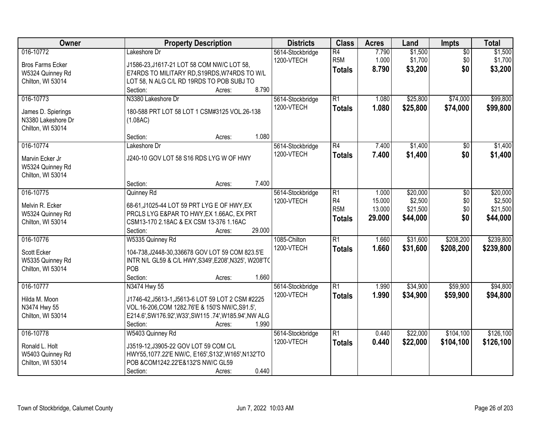| Owner                   | <b>Property Description</b>                           | <b>Districts</b> | <b>Class</b>    | <b>Acres</b> | Land     | <b>Impts</b>    | <b>Total</b> |
|-------------------------|-------------------------------------------------------|------------------|-----------------|--------------|----------|-----------------|--------------|
| 016-10772               | Lakeshore Dr                                          | 5614-Stockbridge | R4              | 7.790        | \$1,500  | $\overline{50}$ | \$1,500      |
| <b>Bros Farms Ecker</b> | J1586-23, J1617-21 LOT 58 COM NW/C LOT 58,            | 1200-VTECH       | R <sub>5M</sub> | 1.000        | \$1,700  | \$0             | \$1,700      |
| W5324 Quinney Rd        | E74RDS TO MILITARY RD, S19RDS, W74RDS TO W/L          |                  | <b>Totals</b>   | 8.790        | \$3,200  | \$0             | \$3,200      |
| Chilton, WI 53014       | LOT 58, N ALG C/L RD 19RDS TO POB SUBJ TO             |                  |                 |              |          |                 |              |
|                         | 8.790<br>Section:<br>Acres:                           |                  |                 |              |          |                 |              |
| 016-10773               | N3380 Lakeshore Dr                                    | 5614-Stockbridge | R1              | 1.080        | \$25,800 | \$74,000        | \$99,800     |
|                         |                                                       | 1200-VTECH       | <b>Totals</b>   | 1.080        | \$25,800 | \$74,000        | \$99,800     |
| James D. Spierings      | 180-588 PRT LOT 58 LOT 1 CSM#3125 VOL.26-138          |                  |                 |              |          |                 |              |
| N3380 Lakeshore Dr      | (1.08AC)                                              |                  |                 |              |          |                 |              |
| Chilton, WI 53014       |                                                       |                  |                 |              |          |                 |              |
|                         | 1.080<br>Section:<br>Acres:                           |                  |                 |              |          |                 |              |
| 016-10774               | Lakeshore Dr                                          | 5614-Stockbridge | R4              | 7.400        | \$1,400  | $\sqrt{6}$      | \$1,400      |
| Marvin Ecker Jr         | J240-10 GOV LOT 58 S16 RDS LYG W OF HWY               | 1200-VTECH       | <b>Totals</b>   | 7.400        | \$1,400  | \$0             | \$1,400      |
| W5324 Quinney Rd        |                                                       |                  |                 |              |          |                 |              |
| Chilton, WI 53014       |                                                       |                  |                 |              |          |                 |              |
|                         | 7.400<br>Section:<br>Acres:                           |                  |                 |              |          |                 |              |
| 016-10775               | Quinney Rd                                            | 5614-Stockbridge | $\overline{R1}$ | 1.000        | \$20,000 | \$0             | \$20,000     |
|                         |                                                       | 1200-VTECH       | R4              | 15.000       | \$2,500  | \$0             | \$2,500      |
| Melvin R. Ecker         | 68-61, J1025-44 LOT 59 PRT LYG E OF HWY, EX           |                  | R <sub>5M</sub> | 13.000       | \$21,500 | \$0             | \$21,500     |
| W5324 Quinney Rd        | PRCLS LYG E&PAR TO HWY, EX 1.66AC, EX PRT             |                  | <b>Totals</b>   | 29.000       | \$44,000 | \$0             | \$44,000     |
| Chilton, WI 53014       | CSM13-170 2.18AC & EX CSM 13-376 1.16AC               |                  |                 |              |          |                 |              |
|                         | 29.000<br>Section:<br>Acres:                          |                  |                 |              |          |                 |              |
| 016-10776               | W5335 Quinney Rd                                      | 1085-Chilton     | $\overline{R1}$ | 1.660        | \$31,600 | \$208,200       | \$239,800    |
| Scott Ecker             | 104-738, J2448-30, 336678 GOV LOT 59 COM 823.5'E      | 1200-VTECH       | Totals          | 1.660        | \$31,600 | \$208,200       | \$239,800    |
| W5335 Quinney Rd        | INTR N/L GL59 & C/L HWY, S349', E208', N325', W208'TC |                  |                 |              |          |                 |              |
| Chilton, WI 53014       | POB                                                   |                  |                 |              |          |                 |              |
|                         | Section:<br>1.660<br>Acres:                           |                  |                 |              |          |                 |              |
| 016-10777               | N3474 Hwy 55                                          | 5614-Stockbridge | $\overline{R1}$ | 1.990        | \$34,900 | \$59,900        | \$94,800     |
|                         |                                                       | 1200-VTECH       | <b>Totals</b>   | 1.990        | \$34,900 | \$59,900        | \$94,800     |
| Hilda M. Moon           | J1746-42, J5613-1, J5613-6 LOT 59 LOT 2 CSM #2225     |                  |                 |              |          |                 |              |
| N3474 Hwy 55            | VOL.16-206, COM 1282.76'E & 150'S NW/C, S91.5',       |                  |                 |              |          |                 |              |
| Chilton, WI 53014       | E214.6', SW176.92', W33', SW115.74', W185.94', NW ALG |                  |                 |              |          |                 |              |
|                         | 1.990<br>Section:<br>Acres:                           |                  |                 |              |          |                 |              |
| 016-10778               | W5403 Quinney Rd                                      | 5614-Stockbridge | $\overline{R1}$ | 0.440        | \$22,000 | \$104,100       | \$126,100    |
| Ronald L. Holt          | J3519-12, J3905-22 GOV LOT 59 COM C/L                 | 1200-VTECH       | <b>Totals</b>   | 0.440        | \$22,000 | \$104,100       | \$126,100    |
| W5403 Quinney Rd        | HWY55,1077.22'E NW/C, E165', S132', W165', N132'TO    |                  |                 |              |          |                 |              |
| Chilton, WI 53014       | POB &COM1242.22'E&132'S NW/C GL59                     |                  |                 |              |          |                 |              |
|                         | 0.440<br>Section:<br>Acres:                           |                  |                 |              |          |                 |              |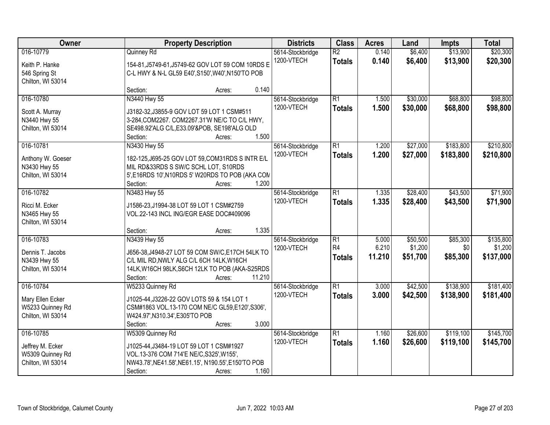| Owner                                                                  | <b>Property Description</b>                                                                                                                                                                    | <b>Districts</b>               | <b>Class</b>                                       | <b>Acres</b>             | Land                            | <b>Impts</b>                | <b>Total</b>                      |
|------------------------------------------------------------------------|------------------------------------------------------------------------------------------------------------------------------------------------------------------------------------------------|--------------------------------|----------------------------------------------------|--------------------------|---------------------------------|-----------------------------|-----------------------------------|
| 016-10779<br>Keith P. Hanke<br>546 Spring St<br>Chilton, WI 53014      | Quinney Rd<br>154-81, J5749-61, J5749-62 GOV LOT 59 COM 10RDS E<br>C-L HWY & N-L GL59 E40', S150', W40', N150'TO POB                                                                           | 5614-Stockbridge<br>1200-VTECH | $\overline{R2}$<br><b>Totals</b>                   | 0.140<br>0.140           | \$6,400<br>\$6,400              | \$13,900<br>\$13,900        | \$20,300<br>\$20,300              |
|                                                                        | 0.140<br>Section:<br>Acres:                                                                                                                                                                    |                                |                                                    |                          |                                 |                             |                                   |
| 016-10780<br>Scott A. Murray<br>N3440 Hwy 55<br>Chilton, WI 53014      | N3440 Hwy 55<br>J3182-32, J3855-9 GOV LOT 59 LOT 1 CSM#511<br>3-284, COM2267. COM2267.31'W NE/C TO C/L HWY,<br>SE498.92'ALG C/L,E33.09'&POB, SE198'ALG OLD<br>1.500<br>Section:<br>Acres:      | 5614-Stockbridge<br>1200-VTECH | $\overline{R1}$<br><b>Totals</b>                   | 1.500<br>1.500           | \$30,000<br>\$30,000            | \$68,800<br>\$68,800        | \$98,800<br>\$98,800              |
| 016-10781                                                              | N3430 Hwy 55                                                                                                                                                                                   | 5614-Stockbridge               | $\overline{R1}$                                    | 1.200                    | \$27,000                        | \$183,800                   | \$210,800                         |
| Anthony W. Goeser<br>N3430 Hwy 55<br>Chilton, WI 53014                 | 182-125, J695-25 GOV LOT 59, COM31RDS S INTR E/L<br>MIL RD&33RDS S SW/C SCHL LOT, S10RDS<br>5', E16RDS 10', N10RDS 5' W20RDS TO POB (AKA CON<br>1.200<br>Section:<br>Acres:                    | 1200-VTECH                     | <b>Totals</b>                                      | 1.200                    | \$27,000                        | \$183,800                   | \$210,800                         |
| 016-10782                                                              | N3483 Hwy 55                                                                                                                                                                                   | 5614-Stockbridge               | $\overline{R1}$                                    | 1.335                    | \$28,400                        | \$43,500                    | \$71,900                          |
| Ricci M. Ecker<br>N3465 Hwy 55<br>Chilton, WI 53014                    | J1586-23, J1994-38 LOT 59 LOT 1 CSM#2759<br>VOL.22-143 INCL ING/EGR EASE DOC#409096                                                                                                            | 1200-VTECH                     | <b>Totals</b>                                      | 1.335                    | \$28,400                        | \$43,500                    | \$71,900                          |
|                                                                        | 1.335<br>Section:<br>Acres:                                                                                                                                                                    |                                |                                                    |                          |                                 |                             |                                   |
| 016-10783<br>Dennis T. Jacobs<br>N3439 Hwy 55<br>Chilton, WI 53014     | N3439 Hwy 55<br>J656-38, J4948-27 LOT 59 COM SW/C, E17CH 54LK TO<br>C/L MIL RD, NWLY ALG C/L 6CH 14LK, W16CH<br>14LK, W16CH 98LK, S6CH 12LK TO POB (AKA-S25RDS<br>11.210<br>Section:<br>Acres: | 5614-Stockbridge<br>1200-VTECH | $\overline{R1}$<br>R <sub>4</sub><br><b>Totals</b> | 5.000<br>6.210<br>11.210 | \$50,500<br>\$1,200<br>\$51,700 | \$85,300<br>\$0<br>\$85,300 | \$135,800<br>\$1,200<br>\$137,000 |
| 016-10784                                                              | W5233 Quinney Rd                                                                                                                                                                               | 5614-Stockbridge               | $\overline{R1}$                                    | 3.000                    | \$42,500                        | \$138,900                   | \$181,400                         |
| Mary Ellen Ecker<br>W5233 Quinney Rd<br>Chilton, WI 53014              | J1025-44, J3226-22 GOV LOTS 59 & 154 LOT 1<br>CSM#1863 VOL.13-170 COM NE/C GL59,E120',S306',<br>W424.97', N310.34', E305'TO POB<br>3.000<br>Section:<br>Acres:                                 | 1200-VTECH                     | <b>Totals</b>                                      | 3.000                    | \$42,500                        | \$138,900                   | \$181,400                         |
| 016-10785<br>Jeffrey M. Ecker<br>W5309 Quinney Rd<br>Chilton, WI 53014 | W5309 Quinney Rd<br>J1025-44, J3484-19 LOT 59 LOT 1 CSM#1927<br>VOL.13-376 COM 714'E NE/C, S325', W155',<br>NW43.78', NE41.58', NE61.15', N190.55', E150'TO POB<br>1.160<br>Section:<br>Acres: | 5614-Stockbridge<br>1200-VTECH | $\overline{R1}$<br><b>Totals</b>                   | 1.160<br>1.160           | \$26,600<br>\$26,600            | \$119,100<br>\$119,100      | \$145,700<br>\$145,700            |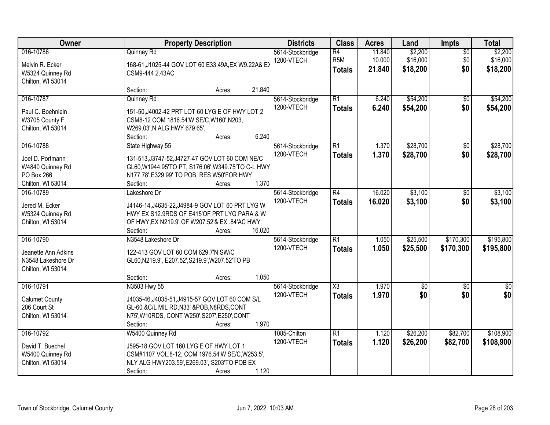| Owner                                                                       | <b>Property Description</b>                                                                                                                                                           |        |                                |                                                      | <b>Acres</b>               | Land                            | Impts                         | <b>Total</b>                    |
|-----------------------------------------------------------------------------|---------------------------------------------------------------------------------------------------------------------------------------------------------------------------------------|--------|--------------------------------|------------------------------------------------------|----------------------------|---------------------------------|-------------------------------|---------------------------------|
| 016-10786<br>Melvin R. Ecker<br>W5324 Quinney Rd                            | Quinney Rd<br>168-61, J1025-44 GOV LOT 60 E33.49A, EX W9.22A& E><br>CSM9-444 2.43AC<br>Chilton, WI 53014                                                                              |        | 5614-Stockbridge<br>1200-VTECH | $\overline{R4}$<br>R <sub>5</sub> M<br><b>Totals</b> | 11.840<br>10.000<br>21.840 | \$2,200<br>\$16,000<br>\$18,200 | $\overline{50}$<br>\$0<br>\$0 | \$2,200<br>\$16,000<br>\$18,200 |
|                                                                             | Section:<br>Acres:                                                                                                                                                                    | 21.840 |                                |                                                      |                            |                                 |                               |                                 |
| 016-10787<br>Paul C. Boehnlein<br>W3705 County F<br>Chilton, WI 53014       | Quinney Rd<br>151-50, J4002-42 PRT LOT 60 LYG E OF HWY LOT 2<br>CSM8-12 COM 1816.54'W SE/C, W160', N203,<br>W269.03', N ALG HWY 679.65',<br>Section:<br>Acres:                        | 6.240  | 5614-Stockbridge<br>1200-VTECH | $\overline{R1}$<br><b>Totals</b>                     | 6.240<br>6.240             | \$54,200<br>\$54,200            | $\overline{50}$<br>\$0        | \$54,200<br>\$54,200            |
| 016-10788                                                                   | State Highway 55                                                                                                                                                                      |        | 5614-Stockbridge               | $\overline{R1}$                                      | 1.370                      | \$28,700                        | $\overline{50}$               | \$28,700                        |
| Joel D. Portmann<br>W4840 Quinney Rd<br>PO Box 266<br>Chilton, WI 53014     | 131-513, J3747-52, J4727-47 GOV LOT 60 COM NE/C<br>GL60, W1944.95'TO PT, S176.06', W349.75'TO C-L HWY<br>N177.78', E329.99' TO POB, RES W50'FOR HWY<br>Section:<br>Acres:             | 1.370  | 1200-VTECH                     | <b>Totals</b>                                        | 1.370                      | \$28,700                        | \$0                           | \$28,700                        |
| 016-10789<br>Jered M. Ecker<br>W5324 Quinney Rd<br>Chilton, WI 53014        | Lakeshore Dr<br>J4146-14, J4635-22, J4984-9 GOV LOT 60 PRT LYG W<br>HWY EX S12.9RDS OF E415'OF PRT LYG PARA & W<br>OF HWY, EX N219.9' OF W207.52'& EX.84'AC HWY<br>Section:<br>Acres: | 16.020 | 5614-Stockbridge<br>1200-VTECH | $\overline{R4}$<br><b>Totals</b>                     | 16.020<br>16.020           | \$3,100<br>\$3,100              | \$0<br>\$0                    | \$3,100<br>\$3,100              |
| 016-10790<br>Jeanette Ann Adkins<br>N3548 Lakeshore Dr<br>Chilton, WI 53014 | N3548 Lakeshore Dr<br>122-413 GOV LOT 60 COM 629.7'N SW/C<br>GL60, N219.9', E207.52', S219.9', W207.52'TO PB<br>Section:<br>Acres:                                                    | 1.050  | 5614-Stockbridge<br>1200-VTECH | $\overline{R1}$<br><b>Totals</b>                     | 1.050<br>1.050             | \$25,500<br>\$25,500            | \$170,300<br>\$170,300        | \$195,800<br>\$195,800          |
| 016-10791<br><b>Calumet County</b><br>206 Court St<br>Chilton, WI 53014     | N3503 Hwy 55<br>J4035-46, J4035-51, J4915-57 GOV LOT 60 COM S/L<br>GL-60 &C/L MIL RD, N33' &POB, N8RDS, CONT<br>N75', W10RDS, CONT W250', S207', E250', CONT<br>Section:<br>Acres:    | 1.970  | 5614-Stockbridge<br>1200-VTECH | $\overline{\chi_3}$<br><b>Totals</b>                 | 1.970<br>1.970             | \$0<br>\$0                      | $\overline{50}$<br>\$0        | $\sqrt{60}$<br>\$0              |
| 016-10792<br>David T. Buechel<br>W5400 Quinney Rd<br>Chilton, WI 53014      | W5400 Quinney Rd<br>J595-18 GOV LOT 160 LYG E OF HWY LOT 1<br>CSM#1107 VOL.8-12, COM 1976.54'W SE/C, W253.5',<br>NLY ALG HWY203.59', E269.03', S203'TO POB EX<br>Section:<br>Acres:   | 1.120  | 1085-Chilton<br>1200-VTECH     | $\overline{R1}$<br><b>Totals</b>                     | 1.120<br>1.120             | \$26,200<br>\$26,200            | \$82,700<br>\$82,700          | \$108,900<br>\$108,900          |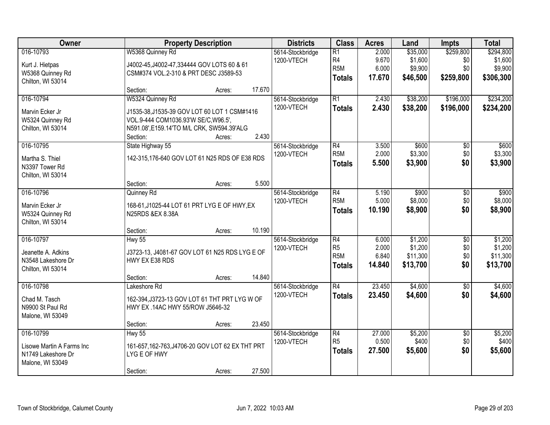| Owner                                                                            | <b>Property Description</b>                                                                                                                            | <b>Districts</b> | <b>Class</b>                   | <b>Acres</b>                                                           | Land                              | <b>Impts</b>                               | <b>Total</b>                         |                                              |
|----------------------------------------------------------------------------------|--------------------------------------------------------------------------------------------------------------------------------------------------------|------------------|--------------------------------|------------------------------------------------------------------------|-----------------------------------|--------------------------------------------|--------------------------------------|----------------------------------------------|
| 016-10793<br>Kurt J. Hietpas<br>W5368 Quinney Rd<br>Chilton, WI 53014            | W5368 Quinney Rd<br>J4002-45, J4002-47, 334444 GOV LOTS 60 & 61<br>CSM#374 VOL.2-310 & PRT DESC J3589-53                                               |                  | 5614-Stockbridge<br>1200-VTECH | $\overline{R1}$<br>R <sub>4</sub><br>R <sub>5</sub> M<br><b>Totals</b> | 2.000<br>9.670<br>6.000<br>17.670 | \$35,000<br>\$1,600<br>\$9,900<br>\$46,500 | \$259,800<br>\$0<br>\$0<br>\$259,800 | \$294,800<br>\$1,600<br>\$9,900<br>\$306,300 |
|                                                                                  | Section:<br>Acres:                                                                                                                                     | 17.670           |                                |                                                                        |                                   |                                            |                                      |                                              |
| 016-10794<br>Marvin Ecker Jr<br>W5324 Quinney Rd<br>Chilton, WI 53014            | W5324 Quinney Rd<br>J1535-38, J1535-39 GOV LOT 60 LOT 1 CSM#1416<br>VOL.9-444 COM1036.93'W SE/C, W96.5',<br>N591.08', E159.14'TO M/L CRK, SW594.39'ALG |                  | 5614-Stockbridge<br>1200-VTECH | $\overline{R1}$<br><b>Totals</b>                                       | 2.430<br>2.430                    | \$38,200<br>\$38,200                       | \$196,000<br>\$196,000               | \$234,200<br>\$234,200                       |
|                                                                                  | Section:<br>Acres:                                                                                                                                     | 2.430            |                                |                                                                        |                                   | \$600                                      |                                      |                                              |
| 016-10795<br>Martha S. Thiel<br>N3397 Tower Rd<br>Chilton, WI 53014              | State Highway 55<br>142-315,176-640 GOV LOT 61 N25 RDS OF E38 RDS                                                                                      |                  | 5614-Stockbridge<br>1200-VTECH | R4<br>R <sub>5</sub> M<br><b>Totals</b>                                | 3.500<br>2.000<br>5.500           | \$3,300<br>\$3,900                         | \$0<br>\$0<br>\$0                    | \$600<br>\$3,300<br>\$3,900                  |
|                                                                                  | Section:<br>Acres:                                                                                                                                     | 5.500            |                                |                                                                        |                                   |                                            |                                      |                                              |
| 016-10796<br>Marvin Ecker Jr<br>W5324 Quinney Rd<br>Chilton, WI 53014            | Quinney Rd<br>168-61, J1025-44 LOT 61 PRT LYG E OF HWY, EX<br>N25RDS &EX 8.38A                                                                         |                  | 5614-Stockbridge<br>1200-VTECH | $\overline{R4}$<br>R <sub>5</sub> M<br><b>Totals</b>                   | 5.190<br>5.000<br>10.190          | \$900<br>\$8,000<br>\$8,900                | \$0<br>\$0<br>\$0                    | \$900<br>\$8,000<br>\$8,900                  |
|                                                                                  | Section:<br>Acres:                                                                                                                                     | 10.190           |                                |                                                                        |                                   |                                            |                                      |                                              |
| 016-10797<br>Jeanette A. Adkins<br>N3548 Lakeshore Dr<br>Chilton, WI 53014       | <b>Hwy 55</b><br>J3723-13, J4081-67 GOV LOT 61 N25 RDS LYG E OF<br>HWY EX E38 RDS                                                                      |                  | 5614-Stockbridge<br>1200-VTECH | $\overline{R4}$<br>R <sub>5</sub><br>R <sub>5</sub> M<br><b>Totals</b> | 6.000<br>2.000<br>6.840<br>14.840 | \$1,200<br>\$1,200<br>\$11,300<br>\$13,700 | $\overline{50}$<br>\$0<br>\$0<br>\$0 | \$1,200<br>\$1,200<br>\$11,300<br>\$13,700   |
|                                                                                  | Section:<br>Acres:                                                                                                                                     | 14.840           |                                |                                                                        |                                   |                                            |                                      |                                              |
| 016-10798<br>Chad M. Tasch<br>N9900 St Paul Rd<br>Malone, WI 53049               | Lakeshore Rd<br>162-394, J3723-13 GOV LOT 61 THT PRT LYG W OF<br>HWY EX .14AC HWY 55/ROW J5646-32                                                      |                  | 5614-Stockbridge<br>1200-VTECH | $\overline{R4}$<br><b>Totals</b>                                       | 23.450<br>23.450                  | \$4,600<br>\$4,600                         | $\overline{60}$<br>\$0               | \$4,600<br>\$4,600                           |
|                                                                                  | Section:<br>Acres:                                                                                                                                     | 23.450           |                                |                                                                        |                                   |                                            |                                      |                                              |
| 016-10799<br>Lisowe Martin A Farms Inc<br>N1749 Lakeshore Dr<br>Malone, WI 53049 | <b>Hwy 55</b><br>161-657, 162-763, J4706-20 GOV LOT 62 EX THT PRT<br>LYG E OF HWY<br>Section:<br>Acres:                                                | 27.500           | 5614-Stockbridge<br>1200-VTECH | $\overline{R4}$<br>R <sub>5</sub><br><b>Totals</b>                     | 27.000<br>0.500<br>27.500         | \$5,200<br>\$400<br>\$5,600                | $\overline{50}$<br>\$0<br>\$0        | \$5,200<br>\$400<br>\$5,600                  |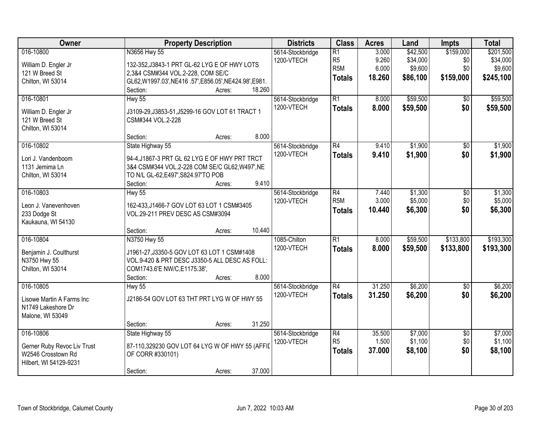| Owner                                                                                    | <b>Property Description</b>                                                                                                                                                                 | <b>Districts</b>               | <b>Class</b>                                                           | <b>Acres</b>                      | Land                                        | <b>Impts</b>                         | <b>Total</b>                                  |
|------------------------------------------------------------------------------------------|---------------------------------------------------------------------------------------------------------------------------------------------------------------------------------------------|--------------------------------|------------------------------------------------------------------------|-----------------------------------|---------------------------------------------|--------------------------------------|-----------------------------------------------|
| 016-10800<br>William D. Engler Jr<br>121 W Breed St<br>Chilton, WI 53014                 | N3656 Hwy 55<br>132-352, J3843-1 PRT GL-62 LYG E OF HWY LOTS<br>2,3&4 CSM#344 VOL.2-228, COM SE/C<br>GL62, W1997.03', NE416.57', E856.05', NE424.98', E981.<br>18.260<br>Section:<br>Acres: | 5614-Stockbridge<br>1200-VTECH | $\overline{R1}$<br>R <sub>5</sub><br>R <sub>5</sub> M<br><b>Totals</b> | 3.000<br>9.260<br>6.000<br>18.260 | \$42,500<br>\$34,000<br>\$9,600<br>\$86,100 | \$159,000<br>\$0<br>\$0<br>\$159,000 | \$201,500<br>\$34,000<br>\$9,600<br>\$245,100 |
| 016-10801<br>William D. Engler Jr<br>121 W Breed St<br>Chilton, WI 53014                 | <b>Hwy 55</b><br>J3109-29, J3853-51, J5299-16 GOV LOT 61 TRACT 1<br>CSM#344 VOL.2-228<br>8.000<br>Section:<br>Acres:                                                                        | 5614-Stockbridge<br>1200-VTECH | $\overline{R1}$<br><b>Totals</b>                                       | 8.000<br>8.000                    | \$59,500<br>\$59,500                        | \$0<br>\$0                           | \$59,500<br>\$59,500                          |
| 016-10802<br>Lori J. Vandenboom<br>1131 Jemima Ln<br>Chilton, WI 53014                   | State Highway 55<br>94-4, J1867-3 PRT GL 62 LYG E OF HWY PRT TRCT<br>3&4 CSM#344 VOL.2-228 COM SE/C GL62, W497', NE<br>TO N/L GL-62, E497', S824.97'TO POB<br>9.410<br>Section:<br>Acres:   | 5614-Stockbridge<br>1200-VTECH | $\overline{R4}$<br><b>Totals</b>                                       | 9.410<br>9.410                    | \$1,900<br>\$1,900                          | $\overline{50}$<br>\$0               | \$1,900<br>\$1,900                            |
| 016-10803<br>Leon J. Vanevenhoven<br>233 Dodge St<br>Kaukauna, WI 54130                  | <b>Hwy 55</b><br>162-433, J1466-7 GOV LOT 63 LOT 1 CSM#3405<br>VOL.29-211 PREV DESC AS CSM#3094<br>10.440<br>Section:<br>Acres:                                                             | 5614-Stockbridge<br>1200-VTECH | R4<br>R <sub>5</sub> M<br><b>Totals</b>                                | 7.440<br>3.000<br>10.440          | \$1,300<br>\$5,000<br>\$6,300               | \$0<br>\$0<br>\$0                    | \$1,300<br>\$5,000<br>\$6,300                 |
| 016-10804<br>Benjamin J. Coulthurst<br>N3750 Hwy 55<br>Chilton, WI 53014                 | N3750 Hwy 55<br>J1961-27, J3350-5 GOV LOT 63 LOT 1 CSM#1408<br>VOL.9-420 & PRT DESC J3350-5 ALL DESC AS FOLL:<br>COM1743.6'E NW/C, E1175.38',<br>8.000<br>Section:<br>Acres:                | 1085-Chilton<br>1200-VTECH     | $\overline{R1}$<br><b>Totals</b>                                       | 8.000<br>8.000                    | \$59,500<br>\$59,500                        | \$133,800<br>\$133,800               | \$193,300<br>\$193,300                        |
| 016-10805<br>Lisowe Martin A Farms Inc<br>N1749 Lakeshore Dr<br>Malone, WI 53049         | <b>Hwy 55</b><br>J2186-54 GOV LOT 63 THT PRT LYG W OF HWY 55<br>31.250<br>Section:<br>Acres:                                                                                                | 5614-Stockbridge<br>1200-VTECH | $\overline{R4}$<br><b>Totals</b>                                       | 31.250<br>31.250                  | \$6,200<br>\$6,200                          | $\overline{50}$<br>\$0               | \$6,200<br>\$6,200                            |
| 016-10806<br>Gerner Ruby Revoc Liv Trust<br>W2546 Crosstown Rd<br>Hilbert, WI 54129-9231 | State Highway 55<br>87-110,329230 GOV LOT 64 LYG W OF HWY 55 (AFFIL<br>OF CORR #330101)<br>37.000<br>Section:<br>Acres:                                                                     | 5614-Stockbridge<br>1200-VTECH | $\overline{R4}$<br>R <sub>5</sub><br><b>Totals</b>                     | 35.500<br>1.500<br>37,000         | \$7,000<br>\$1,100<br>\$8,100               | $\overline{50}$<br>\$0<br>\$0        | \$7,000<br>\$1,100<br>\$8,100                 |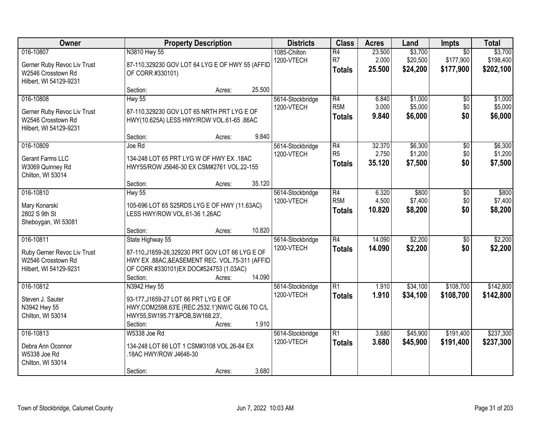| Owner                                                                                    |                                                                                                                                                                                | <b>Property Description</b> |        |                                | <b>Class</b>                                       | <b>Acres</b>              | Land                            | Impts                                     | <b>Total</b>                      |
|------------------------------------------------------------------------------------------|--------------------------------------------------------------------------------------------------------------------------------------------------------------------------------|-----------------------------|--------|--------------------------------|----------------------------------------------------|---------------------------|---------------------------------|-------------------------------------------|-----------------------------------|
| 016-10807<br>Gerner Ruby Revoc Liv Trust<br>W2546 Crosstown Rd<br>Hilbert, WI 54129-9231 | N3810 Hwy 55<br>87-110,329230 GOV LOT 64 LYG E OF HWY 55 (AFFID<br>OF CORR #330101)                                                                                            |                             |        | 1085-Chilton<br>1200-VTECH     | $\overline{R4}$<br>R <sub>7</sub><br><b>Totals</b> | 23.500<br>2.000<br>25.500 | \$3,700<br>\$20,500<br>\$24,200 | $\overline{50}$<br>\$177,900<br>\$177,900 | \$3,700<br>\$198,400<br>\$202,100 |
|                                                                                          | Section:                                                                                                                                                                       | Acres:                      | 25.500 |                                |                                                    |                           |                                 |                                           |                                   |
| 016-10808<br>Gerner Ruby Revoc Liv Trust<br>W2546 Crosstown Rd<br>Hilbert, WI 54129-9231 | Hwy 55<br>87-110,329230 GOV LOT 65 NRTH PRT LYG E OF<br>HWY(10.625A) LESS HWY/ROW VOL.61-65 .86AC                                                                              |                             |        | 5614-Stockbridge<br>1200-VTECH | R4<br>R <sub>5</sub> M<br><b>Totals</b>            | 6.840<br>3.000<br>9.840   | \$1,000<br>\$5,000<br>\$6,000   | \$0<br>\$0<br>\$0                         | \$1,000<br>\$5,000<br>\$6,000     |
|                                                                                          | Section:                                                                                                                                                                       | Acres:                      | 9.840  |                                |                                                    |                           |                                 |                                           |                                   |
| 016-10809<br>Gerant Farms LLC<br>W3069 Quinney Rd<br>Chilton, WI 53014                   | Joe Rd<br>134-248 LOT 65 PRT LYG W OF HWY EX .18AC<br>HWY55/ROW J5646-30 EX CSM#2761 VOL.22-155                                                                                |                             |        | 5614-Stockbridge<br>1200-VTECH | $\overline{R4}$<br>R <sub>5</sub><br><b>Totals</b> | 32.370<br>2.750<br>35.120 | \$6,300<br>\$1,200<br>\$7,500   | $\overline{50}$<br>\$0<br>\$0             | \$6,300<br>\$1,200<br>\$7,500     |
|                                                                                          | Section:                                                                                                                                                                       | Acres:                      | 35.120 |                                |                                                    |                           |                                 |                                           |                                   |
| 016-10810<br>Mary Konarski<br>2802 S 9th St<br>Sheboygan, WI 53081                       | <b>Hwy 55</b><br>105-696 LOT 65 S25RDS LYG E OF HWY (11.63AC)<br>LESS HWY/ROW VOL.61-36 1.26AC                                                                                 |                             |        | 5614-Stockbridge<br>1200-VTECH | R4<br>R <sub>5</sub> M<br><b>Totals</b>            | 6.320<br>4.500<br>10.820  | \$800<br>\$7,400<br>\$8,200     | \$0<br>\$0<br>\$0                         | \$800<br>\$7,400<br>\$8,200       |
|                                                                                          | Section:                                                                                                                                                                       | Acres:                      | 10.820 |                                |                                                    |                           |                                 |                                           |                                   |
| 016-10811<br>Ruby Gerner Revoc Liv Trust<br>W2546 Crosstown Rd<br>Hilbert, WI 54129-9231 | State Highway 55<br>87-110, J1659-26, 329230 PRT GOV LOT 66 LYG E OF<br>HWY EX .88AC, & EASEMENT REC. VOL.75-311 (AFFID<br>OF CORR #330101) EX DOC#524753 (1.03AC)<br>Section: | Acres:                      | 14.090 | 5614-Stockbridge<br>1200-VTECH | $\overline{R4}$<br><b>Totals</b>                   | 14.090<br>14.090          | \$2,200<br>\$2,200              | $\overline{50}$<br>\$0                    | \$2,200<br>\$2,200                |
| 016-10812<br>Steven J. Sauter<br>N3942 Hwy 55<br>Chilton, WI 53014                       | N3942 Hwy 55<br>93-177, J1659-27 LOT 66 PRT LYG E OF<br>HWY, COM2598.63'E (REC.2532.1') NW/C GL66 TO C/L<br>HWY55, SW195.71'&POB, SW168.23',<br>Section:                       | Acres:                      | 1.910  | 5614-Stockbridge<br>1200-VTECH | $\overline{R1}$<br><b>Totals</b>                   | 1.910<br>1.910            | \$34,100<br>\$34,100            | \$108,700<br>\$108,700                    | \$142,800<br>\$142,800            |
| 016-10813<br>Debra Ann Oconnor<br>W5338 Joe Rd<br>Chilton, WI 53014                      | W5338 Joe Rd<br>134-248 LOT 66 LOT 1 CSM#3108 VOL.26-84 EX<br>18AC HWY/ROW J4646-30<br>Section:                                                                                | Acres:                      | 3.680  | 5614-Stockbridge<br>1200-VTECH | $\overline{R1}$<br><b>Totals</b>                   | 3.680<br>3.680            | \$45,900<br>\$45,900            | \$191,400<br>\$191,400                    | \$237,300<br>\$237,300            |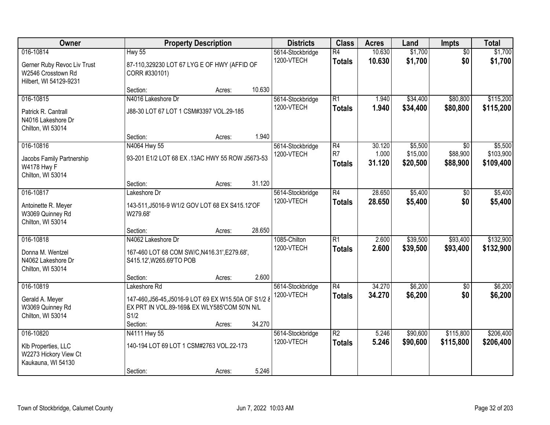| Owner                                                                                    |                                                                                                                                          | <b>Property Description</b> |        | <b>Districts</b>               | <b>Class</b>                                       | <b>Acres</b>              | Land                            | <b>Impts</b>                | <b>Total</b>                      |
|------------------------------------------------------------------------------------------|------------------------------------------------------------------------------------------------------------------------------------------|-----------------------------|--------|--------------------------------|----------------------------------------------------|---------------------------|---------------------------------|-----------------------------|-----------------------------------|
| 016-10814<br>Gerner Ruby Revoc Liv Trust<br>W2546 Crosstown Rd<br>Hilbert, WI 54129-9231 | <b>Hwy 55</b><br>87-110,329230 LOT 67 LYG E OF HWY (AFFID OF<br>CORR #330101)                                                            |                             |        | 5614-Stockbridge<br>1200-VTECH | $\overline{R4}$<br><b>Totals</b>                   | 10.630<br>10.630          | \$1,700<br>\$1,700              | $\overline{50}$<br>\$0      | \$1,700<br>\$1,700                |
|                                                                                          | Section:                                                                                                                                 | Acres:                      | 10.630 |                                |                                                    |                           |                                 |                             |                                   |
| 016-10815<br>Patrick R. Cantrall<br>N4016 Lakeshore Dr<br>Chilton, WI 53014              | N4016 Lakeshore Dr<br>J88-30 LOT 67 LOT 1 CSM#3397 VOL.29-185                                                                            |                             |        | 5614-Stockbridge<br>1200-VTECH | $\overline{R1}$<br><b>Totals</b>                   | 1.940<br>1.940            | \$34,400<br>\$34,400            | \$80,800<br>\$80,800        | \$115,200<br>\$115,200            |
|                                                                                          | Section:                                                                                                                                 | Acres:                      | 1.940  |                                |                                                    |                           |                                 |                             |                                   |
| 016-10816<br>Jacobs Family Partnership<br>W4178 Hwy F<br>Chilton, WI 53014               | N4064 Hwy 55<br>93-201 E1/2 LOT 68 EX .13AC HWY 55 ROW J5673-53                                                                          |                             |        | 5614-Stockbridge<br>1200-VTECH | $\overline{R4}$<br>R <sub>7</sub><br><b>Totals</b> | 30.120<br>1.000<br>31.120 | \$5,500<br>\$15,000<br>\$20,500 | \$0<br>\$88,900<br>\$88,900 | \$5,500<br>\$103,900<br>\$109,400 |
|                                                                                          | Section:                                                                                                                                 | Acres:                      | 31.120 |                                |                                                    |                           |                                 |                             |                                   |
| 016-10817<br>Antoinette R. Meyer<br>W3069 Quinney Rd<br>Chilton, WI 53014                | Lakeshore Dr<br>143-511, J5016-9 W1/2 GOV LOT 68 EX S415.12'OF<br>W279.68'                                                               |                             |        | 5614-Stockbridge<br>1200-VTECH | $\overline{R4}$<br><b>Totals</b>                   | 28.650<br>28.650          | \$5,400<br>\$5,400              | \$0<br>\$0                  | \$5,400<br>\$5,400                |
|                                                                                          | Section:                                                                                                                                 | Acres:                      | 28.650 |                                |                                                    |                           |                                 |                             |                                   |
| 016-10818<br>Donna M. Wentzel<br>N4062 Lakeshore Dr<br>Chilton, WI 53014                 | N4062 Lakeshore Dr<br>167-460 LOT 68 COM SW/C, N416.31', E279.68',<br>S415.12', W265.69'TO POB                                           |                             |        | 1085-Chilton<br>1200-VTECH     | $\overline{R1}$<br><b>Totals</b>                   | 2.600<br>2.600            | \$39,500<br>\$39,500            | \$93,400<br>\$93,400        | \$132,900<br>\$132,900            |
|                                                                                          | Section:                                                                                                                                 | Acres:                      | 2.600  |                                |                                                    |                           |                                 |                             |                                   |
| 016-10819<br>Gerald A. Meyer<br>W3069 Quinney Rd<br>Chilton, WI 53014                    | Lakeshore Rd<br>147-460, J56-45, J5016-9 LOT 69 EX W15.50A OF S1/2 &<br>EX PRT IN VOL.89-169& EX WLY585'COM 50'N N/L<br>S1/2<br>Section: | Acres:                      | 34.270 | 5614-Stockbridge<br>1200-VTECH | $\overline{R4}$<br><b>Totals</b>                   | 34.270<br>34.270          | \$6,200<br>\$6,200              | $\overline{50}$<br>\$0      | \$6,200<br>\$6,200                |
| 016-10820<br>Klb Properties, LLC<br>W2273 Hickory View Ct<br>Kaukauna, WI 54130          | N4111 Hwy 55<br>140-194 LOT 69 LOT 1 CSM#2763 VOL.22-173<br>Section:                                                                     | Acres:                      | 5.246  | 5614-Stockbridge<br>1200-VTECH | $\overline{R2}$<br><b>Totals</b>                   | 5.246<br>5.246            | \$90,600<br>\$90,600            | \$115,800<br>\$115,800      | \$206,400<br>\$206,400            |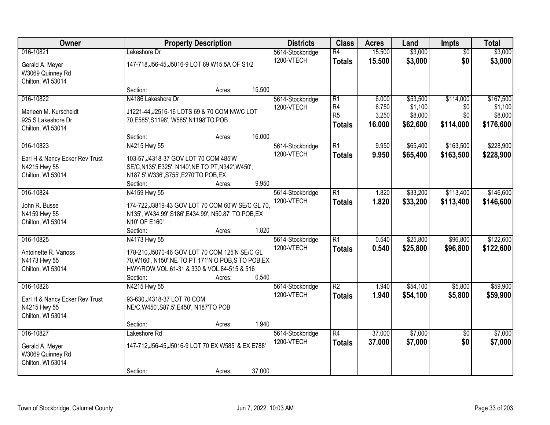| Owner                                                                         | <b>Property Description</b>                                                                                                                                                      | <b>Districts</b> | <b>Class</b> | <b>Acres</b>                   | Land                                                     | Impts                             | <b>Total</b>                               |                                      |                                              |
|-------------------------------------------------------------------------------|----------------------------------------------------------------------------------------------------------------------------------------------------------------------------------|------------------|--------------|--------------------------------|----------------------------------------------------------|-----------------------------------|--------------------------------------------|--------------------------------------|----------------------------------------------|
| 016-10821<br>Gerald A. Meyer<br>W3069 Quinney Rd<br>Chilton, WI 53014         | Lakeshore Dr<br>147-718, J56-45, J5016-9 LOT 69 W15.5A OF S1/2                                                                                                                   |                  |              | 5614-Stockbridge<br>1200-VTECH | $\overline{R4}$<br><b>Totals</b>                         | 15.500<br>15.500                  | \$3,000<br>\$3,000                         | $\overline{50}$<br>\$0               | \$3,000<br>\$3,000                           |
|                                                                               | Section:                                                                                                                                                                         | Acres:           | 15.500       |                                |                                                          |                                   |                                            |                                      |                                              |
| 016-10822<br>Marleen M. Kurscheidt<br>925 S Lakeshore Dr<br>Chilton, WI 53014 | N4186 Lakeshore Dr<br>J1221-44, J2516-16 LOTS 69 & 70 COM NW/C LOT<br>70, E585', S1198', W585', N1198'TO POB<br>Section:                                                         | Acres:           | 16.000       | 5614-Stockbridge<br>1200-VTECH | $\overline{R1}$<br>R4<br>R <sub>5</sub><br><b>Totals</b> | 6.000<br>6.750<br>3.250<br>16.000 | \$53,500<br>\$1,100<br>\$8,000<br>\$62,600 | \$114,000<br>\$0<br>\$0<br>\$114,000 | \$167,500<br>\$1,100<br>\$8,000<br>\$176,600 |
| 016-10823                                                                     | N4215 Hwy 55                                                                                                                                                                     |                  |              | 5614-Stockbridge               | $\overline{R1}$                                          | 9.950                             | \$65,400                                   | \$163,500                            | \$228,900                                    |
| Earl H & Nancy Ecker Rev Trust<br>N4215 Hwy 55<br>Chilton, WI 53014           | 103-57, J4318-37 GOV LOT 70 COM 485'W<br>SE/C, N135', E325', N140', NE TO PT, N342', W450',<br>N187.5', W336', S755', E270'TO POB, EX<br>Section:                                | Acres:           | 9.950        | 1200-VTECH                     | <b>Totals</b>                                            | 9.950                             | \$65,400                                   | \$163,500                            | \$228,900                                    |
| 016-10824                                                                     | N4159 Hwy 55                                                                                                                                                                     |                  |              | 5614-Stockbridge               | $\overline{R1}$                                          | 1.820                             | \$33,200                                   | \$113,400                            | \$146,600                                    |
| John R. Busse<br>N4159 Hwy 55<br>Chilton, WI 53014                            | 174-722, J3819-43 GOV LOT 70 COM 60'W SE/C GL 70,<br>N135', W434.99', S186', E434.99', N50.87' TO POB, EX<br>N10' OF E160'                                                       |                  |              | 1200-VTECH                     | <b>Totals</b>                                            | 1.820                             | \$33,200                                   | \$113,400                            | \$146,600                                    |
|                                                                               | Section:                                                                                                                                                                         | Acres:           | 1.820        |                                |                                                          |                                   |                                            |                                      |                                              |
| 016-10825<br>Antoinette R. Vanoss<br>N4173 Hwy 55<br>Chilton, WI 53014        | N4173 Hwy 55<br>178-210, J5070-46 GOV LOT 70 COM 125'N SE/C GL<br>70, W160', N150', NE TO PT 171'N O POB, S TO POB, EX<br>HWY/ROW VOL.61-31 & 330 & VOL.84-515 & 516<br>Section: | Acres:           | 0.540        | 5614-Stockbridge<br>1200-VTECH | $\overline{R1}$<br><b>Totals</b>                         | 0.540<br>0.540                    | \$25,800<br>\$25,800                       | \$96,800<br>\$96,800                 | \$122,600<br>\$122,600                       |
| 016-10826                                                                     | N4215 Hwy 55                                                                                                                                                                     |                  |              | 5614-Stockbridge               | $\overline{R2}$                                          | 1.940                             | \$54,100                                   | \$5,800                              | \$59,900                                     |
| Earl H & Nancy Ecker Rev Trust<br>N4215 Hwy 55<br>Chilton, WI 53014           | 93-630, J4318-37 LOT 70 COM<br>NE/C, W450', S87.5', E450', N187'TO POB                                                                                                           |                  |              | 1200-VTECH                     | <b>Totals</b>                                            | 1.940                             | \$54,100                                   | \$5,800                              | \$59,900                                     |
|                                                                               | Section:                                                                                                                                                                         | Acres:           | 1.940        |                                |                                                          |                                   |                                            |                                      |                                              |
| 016-10827<br>Gerald A. Meyer<br>W3069 Quinney Rd<br>Chilton, WI 53014         | Lakeshore Rd<br>147-712, J56-45, J5016-9 LOT 70 EX W585' & EX E788'<br>Section:                                                                                                  | Acres:           | 37.000       | 5614-Stockbridge<br>1200-VTECH | $\overline{R4}$<br><b>Totals</b>                         | 37.000<br>37.000                  | \$7,000<br>\$7,000                         | $\overline{50}$<br>\$0               | \$7,000<br>\$7,000                           |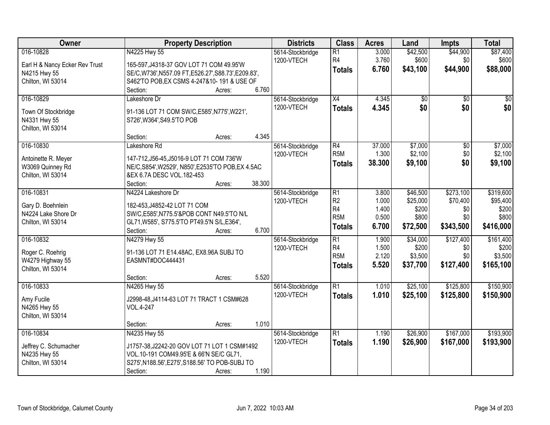| Owner                                 |                                                                                 | <b>Property Description</b> |        |                                | <b>Class</b>     | <b>Acres</b> | Land            | <b>Impts</b>    | <b>Total</b> |
|---------------------------------------|---------------------------------------------------------------------------------|-----------------------------|--------|--------------------------------|------------------|--------------|-----------------|-----------------|--------------|
| 016-10828                             | N4225 Hwy 55                                                                    |                             |        | 5614-Stockbridge               | R1               | 3.000        | \$42,500        | \$44,900        | \$87,400     |
| Earl H & Nancy Ecker Rev Trust        | 165-597, J4318-37 GOV LOT 71 COM 49.95'W                                        |                             |        | 1200-VTECH                     | R4               | 3.760        | \$600           | \$0             | \$600        |
| N4215 Hwy 55                          | SE/C, W736', N557.09 FT, E526.27', S88.73', E209.83',                           |                             |        |                                | <b>Totals</b>    | 6.760        | \$43,100        | \$44,900        | \$88,000     |
| Chilton, WI 53014                     | S462'TO POB, EX CSMS 4-247&10-191 & USE OF                                      |                             |        |                                |                  |              |                 |                 |              |
|                                       | Section:                                                                        | Acres:                      | 6.760  |                                |                  |              |                 |                 |              |
| 016-10829                             | Lakeshore Dr                                                                    |                             |        | 5614-Stockbridge               | $\overline{X4}$  | 4.345        | $\overline{50}$ | $\overline{50}$ | $\sqrt{50}$  |
| Town Of Stockbridge                   | 91-136 LOT 71 COM SW/C, E585', N775', W221',                                    |                             |        | 1200-VTECH                     | <b>Totals</b>    | 4.345        | \$0             | \$0             | \$0          |
| N4331 Hwy 55                          | S726', W364', S49.5'TO POB                                                      |                             |        |                                |                  |              |                 |                 |              |
| Chilton, WI 53014                     |                                                                                 |                             |        |                                |                  |              |                 |                 |              |
|                                       | Section:                                                                        | Acres:                      | 4.345  |                                |                  |              |                 |                 |              |
| 016-10830                             | Lakeshore Rd                                                                    |                             |        | 5614-Stockbridge               | R4               | 37.000       | \$7,000         | $\overline{50}$ | \$7,000      |
|                                       |                                                                                 |                             |        | 1200-VTECH                     | R <sub>5</sub> M | 1.300        | \$2,100         | \$0             | \$2,100      |
| Antoinette R. Meyer                   | 147-712, J56-45, J5016-9 LOT 71 COM 736'W                                       |                             |        |                                | <b>Totals</b>    | 38.300       | \$9,100         | \$0             | \$9,100      |
| W3069 Quinney Rd                      | NE/C, S854', W2529', N850', E2535'TO POB, EX 4.5AC<br>&EX 6.7A DESC VOL.182-453 |                             |        |                                |                  |              |                 |                 |              |
| Chilton, WI 53014                     | Section:                                                                        | Acres:                      | 38.300 |                                |                  |              |                 |                 |              |
| 016-10831                             | N4224 Lakeshore Dr                                                              |                             |        |                                | $\overline{R1}$  | 3.800        | \$46,500        | \$273,100       | \$319,600    |
|                                       |                                                                                 |                             |        | 5614-Stockbridge<br>1200-VTECH | R <sub>2</sub>   | 1.000        | \$25,000        | \$70,400        | \$95,400     |
| Gary D. Boehnlein                     | 182-453, J4852-42 LOT 71 COM                                                    |                             |        |                                | R4               | 1.400        | \$200           | \$0             | \$200        |
| N4224 Lake Shore Dr                   | SW/C, E585', N775.5'& POB CONT N49.5'TO N/L                                     |                             |        |                                | R <sub>5</sub> M | 0.500        | \$800           | \$0             | \$800        |
| Chilton, WI 53014                     | GL71, W585', S775.5'TO PT49.5'N S/L, E364',                                     |                             |        |                                |                  |              |                 |                 |              |
|                                       | Section:                                                                        | Acres:                      | 6.700  |                                | <b>Totals</b>    | 6.700        | \$72,500        | \$343,500       | \$416,000    |
| 016-10832                             | N4279 Hwy 55                                                                    |                             |        | 5614-Stockbridge               | $\overline{R1}$  | 1.900        | \$34,000        | \$127,400       | \$161,400    |
|                                       |                                                                                 |                             |        | 1200-VTECH                     | R <sub>4</sub>   | 1.500        | \$200           | \$0             | \$200        |
| Roger C. Roehrig                      | 91-136 LOT 71 E14.48AC, EX8.96A SUBJ TO<br>EASMNT#DOC444431                     |                             |        |                                | R <sub>5</sub> M | 2.120        | \$3,500         | \$0             | \$3,500      |
| W4279 Highway 55<br>Chilton, WI 53014 |                                                                                 |                             |        |                                | <b>Totals</b>    | 5.520        | \$37,700        | \$127,400       | \$165,100    |
|                                       | Section:                                                                        | Acres:                      | 5.520  |                                |                  |              |                 |                 |              |
| 016-10833                             | N4265 Hwy 55                                                                    |                             |        | 5614-Stockbridge               | R1               | 1.010        | \$25,100        | \$125,800       | \$150,900    |
|                                       |                                                                                 |                             |        | 1200-VTECH                     | <b>Totals</b>    | 1.010        | \$25,100        | \$125,800       | \$150,900    |
| Amy Fucile                            | J2998-48, J4114-63 LOT 71 TRACT 1 CSM#628                                       |                             |        |                                |                  |              |                 |                 |              |
| N4265 Hwy 55                          | VOL.4-247                                                                       |                             |        |                                |                  |              |                 |                 |              |
| Chilton, WI 53014                     |                                                                                 |                             |        |                                |                  |              |                 |                 |              |
|                                       | Section:                                                                        | Acres:                      | 1.010  |                                |                  |              |                 |                 |              |
| 016-10834                             | N4235 Hwy 55                                                                    |                             |        | 5614-Stockbridge               | R1               | 1.190        | \$26,900        | \$167,000       | \$193,900    |
| Jeffrey C. Schumacher                 | J1757-38, J2242-20 GOV LOT 71 LOT 1 CSM#1492                                    |                             |        | 1200-VTECH                     | <b>Totals</b>    | 1.190        | \$26,900        | \$167,000       | \$193,900    |
| N4235 Hwy 55                          | VOL.10-191 COM49.95'E & 66'N SE/C GL71,                                         |                             |        |                                |                  |              |                 |                 |              |
| Chilton, WI 53014                     | S275', N188.56', E275', S188.56' TO POB-SUBJ TO                                 |                             |        |                                |                  |              |                 |                 |              |
|                                       | Section:                                                                        | Acres:                      | 1.190  |                                |                  |              |                 |                 |              |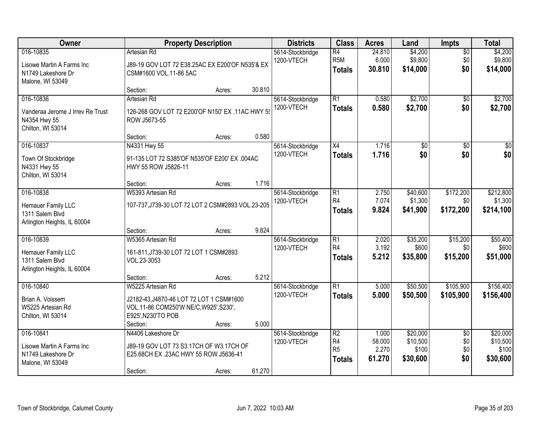| Owner                                                                              | <b>Property Description</b>                                                                                                               |        |        | <b>Districts</b>               | <b>Class</b>                                        | <b>Acres</b>              | Land                            | <b>Impts</b>                  | <b>Total</b>                      |
|------------------------------------------------------------------------------------|-------------------------------------------------------------------------------------------------------------------------------------------|--------|--------|--------------------------------|-----------------------------------------------------|---------------------------|---------------------------------|-------------------------------|-----------------------------------|
| 016-10835<br>Lisowe Martin A Farms Inc<br>N1749 Lakeshore Dr<br>Malone, WI 53049   | <b>Artesian Rd</b><br>J89-19 GOV LOT 72 E38.25AC EX E200'OF N535'& EX<br>CSM#1600 VOL.11-86 5AC                                           |        |        | 5614-Stockbridge<br>1200-VTECH | $\overline{R4}$<br>R <sub>5M</sub><br><b>Totals</b> | 24.810<br>6.000<br>30.810 | \$4,200<br>\$9,800<br>\$14,000  | $\overline{50}$<br>\$0<br>\$0 | \$4,200<br>\$9,800<br>\$14,000    |
|                                                                                    | Section:                                                                                                                                  | Acres: | 30.810 |                                |                                                     |                           |                                 |                               |                                   |
| 016-10836<br>Vanderaa Jerome J Irrev Re Trust<br>N4354 Hwy 55<br>Chilton, WI 53014 | <b>Artesian Rd</b><br>126-268 GOV LOT 72 E200'OF N150' EX .11AC HWY 55<br>ROW J5673-55                                                    |        |        | 5614-Stockbridge<br>1200-VTECH | R1<br><b>Totals</b>                                 | 0.580<br>0.580            | \$2,700<br>\$2,700              | $\overline{50}$<br>\$0        | \$2,700<br>\$2,700                |
|                                                                                    | Section:                                                                                                                                  | Acres: | 0.580  |                                |                                                     |                           |                                 |                               |                                   |
| 016-10837<br>Town Of Stockbridge<br>N4331 Hwy 55<br>Chilton, WI 53014              | N4331 Hwy 55<br>91-135 LOT 72 S385'OF N535'OF E200' EX .004AC<br>HWY 55 ROW J5826-11                                                      |        |        | 5614-Stockbridge<br>1200-VTECH | X4<br><b>Totals</b>                                 | 1.716<br>1.716            | \$0<br>\$0                      | \$0<br>\$0                    | $\overline{50}$<br>\$0            |
|                                                                                    | Section:                                                                                                                                  | Acres: | 1.716  |                                |                                                     |                           |                                 |                               |                                   |
| 016-10838<br>Hemauer Family LLC<br>1311 Salem Blvd<br>Arlington Heights, IL 60004  | W5393 Artesian Rd<br>107-737, J739-30 LOT 72 LOT 2 CSM#2893 VOL.23-205                                                                    |        |        | 5614-Stockbridge<br>1200-VTECH | $\overline{R1}$<br>R <sub>4</sub><br><b>Totals</b>  | 2.750<br>7.074<br>9.824   | \$40,600<br>\$1,300<br>\$41,900 | \$172,200<br>\$0<br>\$172,200 | \$212,800<br>\$1,300<br>\$214,100 |
|                                                                                    | Section:                                                                                                                                  | Acres: | 9.824  |                                |                                                     |                           |                                 |                               |                                   |
| 016-10839<br>Hemauer Family LLC<br>1311 Salem Blvd<br>Arlington Heights, IL 60004  | W5365 Artesian Rd<br>161-811, J739-30 LOT 72 LOT 1 CSM#2893<br>VOL.23-3053                                                                |        |        | 5614-Stockbridge<br>1200-VTECH | $\overline{R1}$<br>R4<br><b>Totals</b>              | 2.020<br>3.192<br>5.212   | \$35,200<br>\$600<br>\$35,800   | \$15,200<br>\$0<br>\$15,200   | \$50,400<br>\$600<br>\$51,000     |
|                                                                                    | Section:                                                                                                                                  | Acres: | 5.212  |                                |                                                     |                           |                                 |                               |                                   |
| 016-10840<br>Brian A. Voissem<br>W5225 Artesian Rd<br>Chilton, WI 53014            | W5225 Artesian Rd<br>J2182-43, J4870-46 LOT 72 LOT 1 CSM#1600<br>VOL.11-86 COM250'W NE/C, W925', S230',<br>E925', N230'TO POB<br>Section: | Acres: | 5.000  | 5614-Stockbridge<br>1200-VTECH | $\overline{R1}$<br><b>Totals</b>                    | 5.000<br>5.000            | \$50,500<br>\$50,500            | \$105,900<br>\$105,900        | \$156,400<br>\$156,400            |
| 016-10841                                                                          | N4406 Lakeshore Dr                                                                                                                        |        |        | 5614-Stockbridge               | R <sub>2</sub>                                      | 1.000                     | \$20,000                        | $\overline{50}$               | \$20,000                          |
| Lisowe Martin A Farms Inc<br>N1749 Lakeshore Dr<br>Malone, WI 53049                | J89-19 GOV LOT 73 S3.17CH OF W3.17CH OF<br>E25.68CH EX .23AC HWY 55 ROW J5636-41<br>Section:                                              | Acres: | 61.270 | 1200-VTECH                     | R4<br>R <sub>5</sub><br><b>Totals</b>               | 58.000<br>2.270<br>61.270 | \$10,500<br>\$100<br>\$30,600   | \$0<br>\$0<br>\$0             | \$10,500<br>\$100<br>\$30,600     |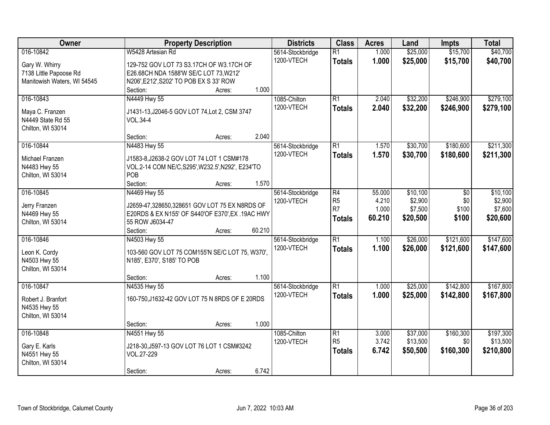| Owner                             | <b>Property Description</b>                       | <b>Districts</b> | <b>Class</b>    | <b>Acres</b> | Land     | <b>Impts</b> | <b>Total</b> |
|-----------------------------------|---------------------------------------------------|------------------|-----------------|--------------|----------|--------------|--------------|
| 016-10842                         | W5428 Artesian Rd                                 | 5614-Stockbridge | R1              | 1.000        | \$25,000 | \$15,700     | \$40,700     |
| Gary W. Whirry                    | 129-752 GOV LOT 73 S3.17CH OF W3.17CH OF          | 1200-VTECH       | <b>Totals</b>   | 1.000        | \$25,000 | \$15,700     | \$40,700     |
| 7138 Little Papoose Rd            | E26.68CH NDA 1588'W SE/C LOT 73, W212'            |                  |                 |              |          |              |              |
| Manitowish Waters, WI 54545       | N206', E212', S202' TO POB EX S 33' ROW           |                  |                 |              |          |              |              |
|                                   | 1.000<br>Section:<br>Acres:                       |                  |                 |              |          |              |              |
| 016-10843                         | N4449 Hwy 55                                      | 1085-Chilton     | $\overline{R1}$ | 2.040        | \$32,200 | \$246,900    | \$279,100    |
| Maya C. Franzen                   | J1431-13, J2046-5 GOV LOT 74, Lot 2, CSM 3747     | 1200-VTECH       | <b>Totals</b>   | 2.040        | \$32,200 | \$246,900    | \$279,100    |
| N4449 State Rd 55                 | <b>VOL.34-4</b>                                   |                  |                 |              |          |              |              |
| Chilton, WI 53014                 |                                                   |                  |                 |              |          |              |              |
|                                   | 2.040<br>Section:<br>Acres:                       |                  |                 |              |          |              |              |
| 016-10844                         | N4483 Hwy 55                                      | 5614-Stockbridge | R1              | 1.570        | \$30,700 | \$180,600    | \$211,300    |
| Michael Franzen                   | J1583-8, J2638-2 GOV LOT 74 LOT 1 CSM#178         | 1200-VTECH       | <b>Totals</b>   | 1.570        | \$30,700 | \$180,600    | \$211,300    |
| N4483 Hwy 55                      | VOL.2-14 COM NE/C, S295', W232.5', N292', E234'TO |                  |                 |              |          |              |              |
| Chilton, WI 53014                 | POB                                               |                  |                 |              |          |              |              |
|                                   | 1.570<br>Section:<br>Acres:                       |                  |                 |              |          |              |              |
| 016-10845                         | N4469 Hwy 55                                      | 5614-Stockbridge | R4              | 55.000       | \$10,100 | \$0          | \$10,100     |
| Jerry Franzen                     | J2659-47,328650,328651 GOV LOT 75 EX N8RDS OF     | 1200-VTECH       | R5              | 4.210        | \$2,900  | \$0          | \$2,900      |
| N4469 Hwy 55                      | E20RDS & EX N155' OF S440'OF E370', EX .19AC HWY  |                  | R7              | 1.000        | \$7,500  | \$100        | \$7,600      |
| Chilton, WI 53014                 | 55 ROW J6034-47                                   |                  | <b>Totals</b>   | 60.210       | \$20,500 | \$100        | \$20,600     |
|                                   | 60.210<br>Section:<br>Acres:                      |                  |                 |              |          |              |              |
| 016-10846                         | N4503 Hwy 55                                      | 5614-Stockbridge | $\overline{R1}$ | 1.100        | \$26,000 | \$121,600    | \$147,600    |
|                                   |                                                   | 1200-VTECH       | <b>Totals</b>   | 1.100        | \$26,000 | \$121,600    | \$147,600    |
| Leon K. Cordy                     | 103-560 GOV LOT 75 COM155'N SE/C LOT 75, W370',   |                  |                 |              |          |              |              |
| N4503 Hwy 55<br>Chilton, WI 53014 | N185', E370', S185' TO POB                        |                  |                 |              |          |              |              |
|                                   | 1.100<br>Section:<br>Acres:                       |                  |                 |              |          |              |              |
| 016-10847                         | N4535 Hwy 55                                      | 5614-Stockbridge | R1              | 1.000        | \$25,000 | \$142,800    | \$167,800    |
|                                   |                                                   | 1200-VTECH       | <b>Totals</b>   | 1.000        | \$25,000 | \$142,800    | \$167,800    |
| Robert J. Branfort                | 160-750, J1632-42 GOV LOT 75 N 8RDS OF E 20RDS    |                  |                 |              |          |              |              |
| N4535 Hwy 55                      |                                                   |                  |                 |              |          |              |              |
| Chilton, WI 53014                 | 1.000                                             |                  |                 |              |          |              |              |
| 016-10848                         | Section:<br>Acres:<br>N4551 Hwy 55                | 1085-Chilton     | R1              | 3.000        | \$37,000 | \$160,300    | \$197,300    |
|                                   |                                                   | 1200-VTECH       | R <sub>5</sub>  | 3.742        | \$13,500 | \$0          | \$13,500     |
| Gary E. Karls                     | J218-30, J597-13 GOV LOT 76 LOT 1 CSM#3242        |                  | <b>Totals</b>   | 6.742        | \$50,500 | \$160,300    | \$210,800    |
| N4551 Hwy 55                      | VOL.27-229                                        |                  |                 |              |          |              |              |
| Chilton, WI 53014                 |                                                   |                  |                 |              |          |              |              |
|                                   | 6.742<br>Section:<br>Acres:                       |                  |                 |              |          |              |              |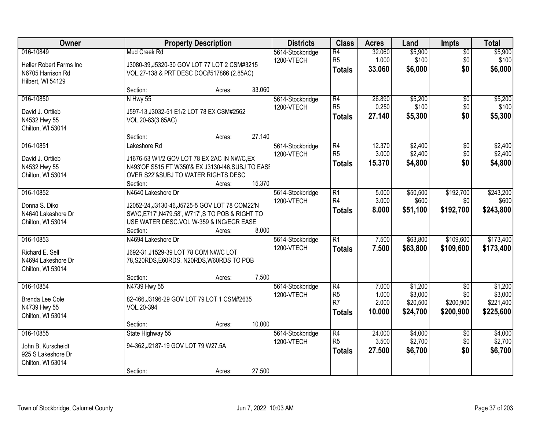| Owner                                                                          |                                                                                                                                                                                  | <b>Property Description</b> |                  |                                | <b>Class</b>                                       | <b>Acres</b>                      | Land                                       | <b>Impts</b>                         | <b>Total</b>                                 |
|--------------------------------------------------------------------------------|----------------------------------------------------------------------------------------------------------------------------------------------------------------------------------|-----------------------------|------------------|--------------------------------|----------------------------------------------------|-----------------------------------|--------------------------------------------|--------------------------------------|----------------------------------------------|
| 016-10849<br>Heller Robert Farms Inc<br>N6705 Harrison Rd<br>Hilbert, WI 54129 | Mud Creek Rd<br>J3080-39, J5320-30 GOV LOT 77 LOT 2 CSM#3215<br>VOL.27-138 & PRT DESC DOC#517866 (2.85AC)                                                                        |                             |                  | 5614-Stockbridge<br>1200-VTECH | $\overline{R4}$<br>R <sub>5</sub><br><b>Totals</b> | 32.060<br>1.000<br>33.060         | \$5,900<br>\$100<br>\$6,000                | $\overline{50}$<br>\$0<br>\$0        | \$5,900<br>\$100<br>\$6,000                  |
|                                                                                | Section:                                                                                                                                                                         | Acres:                      | 33.060           |                                |                                                    |                                   |                                            |                                      |                                              |
| 016-10850<br>David J. Ortlieb<br>N4532 Hwy 55<br>Chilton, WI 53014             | N Hwy 55<br>J597-13, J3032-51 E1/2 LOT 78 EX CSM#2562<br>VOL.20-83(3.65AC)                                                                                                       |                             |                  | 5614-Stockbridge<br>1200-VTECH | R4<br>R <sub>5</sub><br><b>Totals</b>              | 26.890<br>0.250<br>27.140         | \$5,200<br>\$100<br>\$5,300                | $\overline{50}$<br>\$0<br>\$0        | \$5,200<br>\$100<br>\$5,300                  |
| 016-10851<br>David J. Ortlieb<br>N4532 Hwy 55<br>Chilton, WI 53014             | Section:<br>Lakeshore Rd<br>J1676-53 W1/2 GOV LOT 78 EX 2AC IN NW/C, EX<br>N493'OF S515 FT W350'& EX J3130-I46, SUBJ TO EASI<br>OVER S22'&SUBJ TO WATER RIGHTS DESC<br>Section:  | Acres:<br>Acres:            | 27.140<br>15.370 | 5614-Stockbridge<br>1200-VTECH | R4<br>R <sub>5</sub><br><b>Totals</b>              | 12.370<br>3.000<br>15.370         | \$2,400<br>\$2,400<br>\$4,800              | \$0<br>\$0<br>\$0                    | \$2,400<br>\$2,400<br>\$4,800                |
| 016-10852<br>Donna S. Diko<br>N4640 Lakeshore Dr<br>Chilton, WI 53014          | N4640 Lakeshore Dr<br>J2052-24, J3130-46, J5725-5 GOV LOT 78 COM22'N<br>SW/C, E717', N479.58', W717', S TO POB & RIGHT TO<br>USE WATER DESC.VOL W-359 & ING/EGR EASE<br>Section: | Acres:                      | 8.000            | 5614-Stockbridge<br>1200-VTECH | R1<br>R4<br><b>Totals</b>                          | 5.000<br>3.000<br>8.000           | \$50,500<br>\$600<br>\$51,100              | \$192,700<br>\$0<br>\$192,700        | \$243,200<br>\$600<br>\$243,800              |
| 016-10853<br>Richard E. Sell<br>N4694 Lakeshore Dr<br>Chilton, WI 53014        | N4694 Lakeshore Dr<br>J692-31, J1529-39 LOT 78 COM NW/C LOT<br>78, S20RDS, E60RDS, N20RDS, W60RDS TO POB<br>Section:                                                             | Acres:                      | 7.500            | 5614-Stockbridge<br>1200-VTECH | $\overline{R1}$<br><b>Totals</b>                   | 7.500<br>7.500                    | \$63,800<br>\$63,800                       | \$109,600<br>\$109,600               | \$173,400<br>\$173,400                       |
| 016-10854<br>Brenda Lee Cole<br>N4739 Hwy 55<br>Chilton, WI 53014              | N4739 Hwy 55<br>82-466, J3196-29 GOV LOT 79 LOT 1 CSM#2635<br>VOL.20-394<br>Section:                                                                                             | Acres:                      | 10.000           | 5614-Stockbridge<br>1200-VTECH | R4<br>R <sub>5</sub><br>R7<br>Totals               | 7.000<br>1.000<br>2.000<br>10.000 | \$1,200<br>\$3,000<br>\$20,500<br>\$24,700 | \$0<br>\$0<br>\$200,900<br>\$200,900 | \$1,200<br>\$3,000<br>\$221,400<br>\$225,600 |
| 016-10855<br>John B. Kurscheidt<br>925 S Lakeshore Dr<br>Chilton, WI 53014     | State Highway 55<br>94-362, J2187-19 GOV LOT 79 W27.5A<br>Section:                                                                                                               | Acres:                      | 27.500           | 5614-Stockbridge<br>1200-VTECH | R4<br>R <sub>5</sub><br><b>Totals</b>              | 24.000<br>3.500<br>27.500         | \$4,000<br>\$2,700<br>\$6,700              | $\overline{30}$<br>\$0<br>\$0        | \$4,000<br>\$2,700<br>\$6,700                |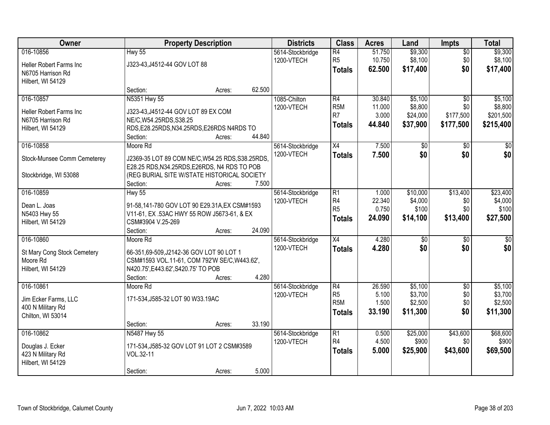| Owner                       | <b>Property Description</b>                      | <b>Districts</b>               | <b>Class</b>          | <b>Acres</b>    | Land                | <b>Impts</b>           | <b>Total</b>         |
|-----------------------------|--------------------------------------------------|--------------------------------|-----------------------|-----------------|---------------------|------------------------|----------------------|
| 016-10856                   | $Hwy$ 55                                         | 5614-Stockbridge               | R4                    | 51.750          | \$9,300             | $\overline{50}$        | \$9,300              |
| Heller Robert Farms Inc     | J323-43, J4512-44 GOV LOT 88                     | 1200-VTECH                     | R <sub>5</sub>        | 10.750          | \$8,100             | \$0                    | \$8,100              |
| N6705 Harrison Rd           |                                                  |                                | <b>Totals</b>         | 62.500          | \$17,400            | \$0                    | \$17,400             |
| Hilbert, WI 54129           |                                                  |                                |                       |                 |                     |                        |                      |
|                             | 62.500<br>Section:<br>Acres:                     |                                |                       |                 |                     |                        |                      |
| 016-10857                   | N5351 Hwy 55                                     | 1085-Chilton                   | R4                    | 30.840          | \$5,100             | $\overline{50}$        | \$5,100              |
| Heller Robert Farms Inc     | J323-43, J4512-44 GOV LOT 89 EX COM              | 1200-VTECH                     | R <sub>5M</sub><br>R7 | 11.000<br>3.000 | \$8,800<br>\$24,000 | \$0<br>\$177,500       | \$8,800<br>\$201,500 |
| N6705 Harrison Rd           | NE/C, W54.25RDS, S38.25                          |                                | <b>Totals</b>         | 44.840          | \$37,900            | \$177,500              | \$215,400            |
| Hilbert, WI 54129           | RDS, E28.25RDS, N34.25RDS, E26RDS N4RDS TO       |                                |                       |                 |                     |                        |                      |
|                             | 44.840<br>Section:<br>Acres:                     |                                |                       |                 |                     |                        |                      |
| 016-10858                   | Moore Rd                                         | 5614-Stockbridge               | X4                    | 7.500           | \$0                 | $\sqrt[6]{3}$          | $\overline{30}$      |
| Stock-Munsee Comm Cemeterey | J2369-35 LOT 89 COM NE/C, W54.25 RDS, S38.25RDS, | 1200-VTECH                     | <b>Totals</b>         | 7.500           | \$0                 | \$0                    | \$0                  |
|                             | E28.25 RDS, N34.25RDS, E26RDS, N4 RDS TO POB     |                                |                       |                 |                     |                        |                      |
| Stockbridge, WI 53088       | (REG BURIAL SITE W/STATE HISTORICAL SOCIETY      |                                |                       |                 |                     |                        |                      |
|                             | 7.500<br>Section:<br>Acres:                      |                                |                       |                 |                     |                        |                      |
| 016-10859                   | <b>Hwy 55</b>                                    | 5614-Stockbridge               | $\overline{R1}$       | 1.000           | \$10,000            | \$13,400               | \$23,400             |
| Dean L. Joas                | 91-58,141-780 GOV LOT 90 E29.31A, EX CSM#1593    | 1200-VTECH                     | R4<br>R <sub>5</sub>  | 22.340<br>0.750 | \$4,000<br>\$100    | \$0<br>\$0             | \$4,000<br>\$100     |
| N5403 Hwy 55                | V11-61, EX .53AC HWY 55 ROW J5673-61, & EX       |                                | <b>Totals</b>         | 24.090          | \$14,100            | \$13,400               | \$27,500             |
| Hilbert, WI 54129           | CSM#3904 V.25-269                                |                                |                       |                 |                     |                        |                      |
|                             | 24.090<br>Section:<br>Acres:                     |                                |                       |                 |                     |                        |                      |
| 016-10860                   | Moore Rd                                         | 5614-Stockbridge               | $\overline{X4}$       | 4.280           | $\overline{50}$     | \$0                    | $\overline{50}$      |
| St Mary Cong Stock Cemetery | 66-351,69-509,J2142-36 GOV LOT 90 LOT 1          | 1200-VTECH                     | <b>Totals</b>         | 4.280           | \$0                 | \$0                    | \$0                  |
| Moore Rd                    | CSM#1593 VOL.11-61, COM 792'W SE/C, W443.62',    |                                |                       |                 |                     |                        |                      |
| Hilbert, WI 54129           | N420.75', E443.62', S420.75' TO POB              |                                |                       |                 |                     |                        |                      |
|                             | 4.280<br>Section:<br>Acres:                      |                                |                       |                 |                     |                        |                      |
| 016-10861                   | Moore Rd                                         | 5614-Stockbridge<br>1200-VTECH | R4<br>R <sub>5</sub>  | 26.590<br>5.100 | \$5,100<br>\$3,700  | $\overline{50}$<br>\$0 | \$5,100<br>\$3,700   |
| Jim Ecker Farms, LLC        | 171-534, J585-32 LOT 90 W33.19AC                 |                                | R <sub>5</sub> M      | 1.500           | \$2,500             | \$0                    | \$2,500              |
| 400 N Military Rd           |                                                  |                                | Totals                | 33.190          | \$11,300            | \$0                    | \$11,300             |
| Chilton, WI 53014           |                                                  |                                |                       |                 |                     |                        |                      |
|                             | 33.190<br>Section:<br>Acres:                     |                                |                       |                 |                     |                        |                      |
| 016-10862                   | N5487 Hwy 55                                     | 5614-Stockbridge<br>1200-VTECH | R1<br>R4              | 0.500<br>4.500  | \$25,000<br>\$900   | \$43,600<br>\$0        | \$68,600<br>\$900    |
| Douglas J. Ecker            | 171-534, J585-32 GOV LOT 91 LOT 2 CSM#3589       |                                | <b>Totals</b>         | 5.000           | \$25,900            | \$43,600               | \$69,500             |
| 423 N Military Rd           | VOL.32-11                                        |                                |                       |                 |                     |                        |                      |
| Hilbert, WI 54129           |                                                  |                                |                       |                 |                     |                        |                      |
|                             | 5.000<br>Section:<br>Acres:                      |                                |                       |                 |                     |                        |                      |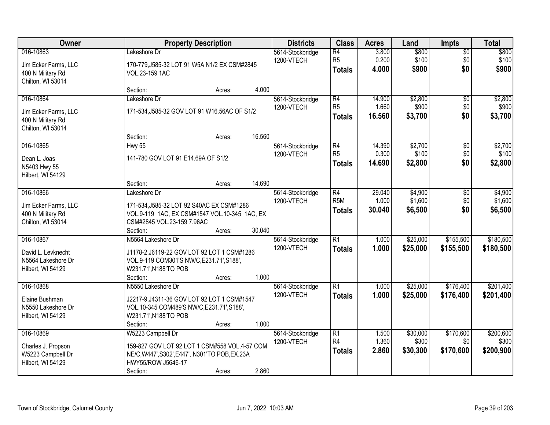| Owner                                                                       |                                                                                                                                                        | <b>Property Description</b> |        | <b>Districts</b>               | <b>Class</b>                                       | <b>Acres</b>              | Land                          | <b>Impts</b>                  | <b>Total</b>                    |
|-----------------------------------------------------------------------------|--------------------------------------------------------------------------------------------------------------------------------------------------------|-----------------------------|--------|--------------------------------|----------------------------------------------------|---------------------------|-------------------------------|-------------------------------|---------------------------------|
| 016-10863<br>Jim Ecker Farms, LLC<br>400 N Military Rd<br>Chilton, WI 53014 | Lakeshore Dr<br>170-779, J585-32 LOT 91 W5A N1/2 EX CSM#2845<br>VOL.23-159 1AC                                                                         |                             |        | 5614-Stockbridge<br>1200-VTECH | R4<br>R <sub>5</sub><br><b>Totals</b>              | 3.800<br>0.200<br>4.000   | \$800<br>\$100<br>\$900       | $\overline{60}$<br>\$0<br>\$0 | \$800<br>\$100<br>\$900         |
|                                                                             | Section:                                                                                                                                               | Acres:                      | 4.000  |                                |                                                    |                           |                               |                               |                                 |
| 016-10864<br>Jim Ecker Farms, LLC<br>400 N Military Rd<br>Chilton, WI 53014 | Lakeshore Dr<br>171-534, J585-32 GOV LOT 91 W16.56AC OF S1/2                                                                                           |                             |        | 5614-Stockbridge<br>1200-VTECH | R4<br>R <sub>5</sub><br><b>Totals</b>              | 14.900<br>1.660<br>16.560 | \$2,800<br>\$900<br>\$3,700   | $\overline{50}$<br>\$0<br>\$0 | \$2,800<br>\$900<br>\$3,700     |
|                                                                             | Section:                                                                                                                                               | Acres:                      | 16.560 |                                |                                                    |                           |                               |                               |                                 |
| 016-10865<br>Dean L. Joas<br>N5403 Hwy 55<br>Hilbert, WI 54129              | <b>Hwy 55</b><br>141-780 GOV LOT 91 E14.69A OF S1/2                                                                                                    |                             |        | 5614-Stockbridge<br>1200-VTECH | $\overline{R4}$<br>R <sub>5</sub><br><b>Totals</b> | 14.390<br>0.300<br>14.690 | \$2,700<br>\$100<br>\$2,800   | \$0<br>\$0<br>\$0             | \$2,700<br>\$100<br>\$2,800     |
|                                                                             | Section:                                                                                                                                               | Acres:                      | 14.690 |                                |                                                    |                           |                               |                               |                                 |
| 016-10866<br>Jim Ecker Farms, LLC<br>400 N Military Rd<br>Chilton, WI 53014 | Lakeshore Dr<br>171-534, J585-32 LOT 92 S40AC EX CSM#1286<br>VOL.9-119 1AC, EX CSM#1547 VOL.10-345 1AC, EX<br>CSM#2845 VOL.23-159 7.96AC<br>Section:   |                             | 30.040 | 5614-Stockbridge<br>1200-VTECH | R4<br>R <sub>5</sub> M<br><b>Totals</b>            | 29.040<br>1.000<br>30.040 | \$4,900<br>\$1,600<br>\$6,500 | $\sqrt[6]{3}$<br>\$0<br>\$0   | \$4,900<br>\$1,600<br>\$6,500   |
| 016-10867                                                                   | N5564 Lakeshore Dr                                                                                                                                     | Acres:                      |        | 5614-Stockbridge               | $\overline{R1}$                                    | 1.000                     | \$25,000                      | \$155,500                     | \$180,500                       |
| David L. Levknecht<br>N5564 Lakeshore Dr<br>Hilbert, WI 54129               | J1178-2, J6119-22 GOV LOT 92 LOT 1 CSM#1286<br>VOL.9-119 COM301'S NW/C, E231.71', S188',<br>W231.71', N188'TO POB<br>Section:                          | Acres:                      | 1.000  | 1200-VTECH                     | <b>Totals</b>                                      | 1.000                     | \$25,000                      | \$155,500                     | \$180,500                       |
| 016-10868<br>Elaine Bushman<br>N5550 Lakeshore Dr<br>Hilbert, WI 54129      | N5550 Lakeshore Dr<br>J2217-9, J4311-36 GOV LOT 92 LOT 1 CSM#1547<br>VOL.10-345 COM489'S NW/C, E231.71', S188',<br>W231.71', N188'TO POB<br>Section:   | Acres:                      | 1.000  | 5614-Stockbridge<br>1200-VTECH | $\overline{R1}$<br><b>Totals</b>                   | 1.000<br>1.000            | \$25,000<br>\$25,000          | \$176,400<br>\$176,400        | \$201,400<br>\$201,400          |
| 016-10869<br>Charles J. Propson<br>W5223 Campbell Dr<br>Hilbert, WI 54129   | W5223 Campbell Dr<br>159-827 GOV LOT 92 LOT 1 CSM#558 VOL.4-57 COM<br>NE/C, W447', S302', E447', N301'TO POB, EX.23A<br>HWY55/ROW J5646-17<br>Section: | Acres:                      | 2.860  | 5614-Stockbridge<br>1200-VTECH | $\overline{R1}$<br>R4<br><b>Totals</b>             | 1.500<br>1.360<br>2.860   | \$30,000<br>\$300<br>\$30,300 | \$170,600<br>\$0<br>\$170,600 | \$200,600<br>\$300<br>\$200,900 |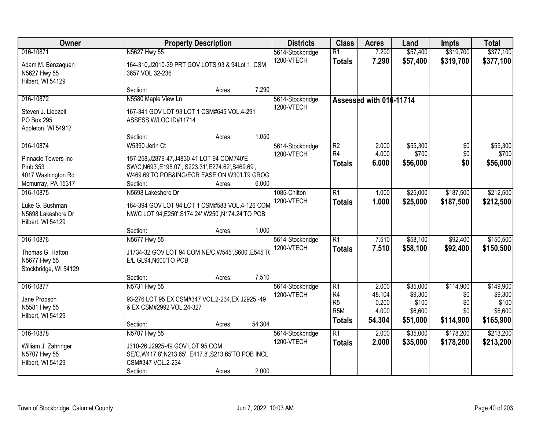| Owner                                                                                   | <b>Property Description</b>                                                                                                                                                                         | <b>Districts</b>               | <b>Class</b>                                                                             | <b>Acres</b>                                | Land                                                | <b>Impts</b>                                | <b>Total</b>                                          |
|-----------------------------------------------------------------------------------------|-----------------------------------------------------------------------------------------------------------------------------------------------------------------------------------------------------|--------------------------------|------------------------------------------------------------------------------------------|---------------------------------------------|-----------------------------------------------------|---------------------------------------------|-------------------------------------------------------|
| 016-10871<br>Adam M. Benzaquen<br>N5627 Hwy 55<br>Hilbert, WI 54129                     | N5627 Hwy 55<br>164-310, J2010-39 PRT GOV LOTS 93 & 94Lot 1, CSM<br>3657 VOL.32-236                                                                                                                 | 5614-Stockbridge<br>1200-VTECH | $\overline{R1}$<br><b>Totals</b>                                                         | 7.290<br>7.290                              | \$57,400<br>\$57,400                                | \$319,700<br>\$319,700                      | \$377,100<br>\$377,100                                |
|                                                                                         | 7.290<br>Section:<br>Acres:                                                                                                                                                                         |                                |                                                                                          |                                             |                                                     |                                             |                                                       |
| 016-10872<br>Steven J. Liebzeit<br>PO Box 295<br>Appleton, WI 54912                     | N5580 Maple View Ln<br>167-341 GOV LOT 93 LOT 1 CSM#645 VOL.4-291<br>ASSESS W/LOC ID#11714<br>1.050<br>Section:<br>Acres:                                                                           | 5614-Stockbridge<br>1200-VTECH |                                                                                          | Assessed with 016-11714                     |                                                     |                                             |                                                       |
| 016-10874<br>Pinnacle Towers Inc<br>Pmb 353<br>4017 Washington Rd<br>Mcmurray, PA 15317 | W5390 Jerin Ct<br>157-258, J2879-47, J4830-41 LOT 94 COM740'E<br>SW/C, N693', E195.07', S223.31', E274.62', S469.69',<br>W469.69'TO POB&ING/EGR EASE ON W30'LT9 GROG<br>Section:<br>6.000<br>Acres: | 5614-Stockbridge<br>1200-VTECH | R2<br>R4<br><b>Totals</b>                                                                | 2.000<br>4.000<br>6.000                     | \$55,300<br>\$700<br>\$56,000                       | \$0<br>\$0<br>\$0                           | \$55,300<br>\$700<br>\$56,000                         |
| 016-10875<br>Luke G. Bushman<br>N5698 Lakeshore Dr<br>Hilbert, WI 54129                 | N5698 Lakeshore Dr<br>164-394 GOV LOT 94 LOT 1 CSM#583 VOL.4-126 COM<br>NW/C LOT 94, E250', S174.24' W250', N174.24'TO POB<br>1.000<br>Section:<br>Acres:                                           | 1085-Chilton<br>1200-VTECH     | $\overline{R1}$<br><b>Totals</b>                                                         | 1.000<br>1.000                              | \$25,000<br>\$25,000                                | \$187,500<br>\$187,500                      | \$212,500<br>\$212,500                                |
| 016-10876<br>Thomas G. Hatton<br>N5677 Hwy 55<br>Stockbridge, WI 54129                  | N5677 Hwy 55<br>J1734-32 GOV LOT 94 COM NE/C, W545', S600', E545'T<br>E/L GL94, N600'TO POB<br>7.510<br>Section:<br>Acres:                                                                          | 5614-Stockbridge<br>1200-VTECH | $\overline{R1}$<br><b>Totals</b>                                                         | 7.510<br>7.510                              | \$58,100<br>\$58,100                                | \$92,400<br>\$92,400                        | \$150,500<br>\$150,500                                |
| 016-10877<br>Jane Propson<br>N5581 Hwy 55<br>Hilbert, WI 54129                          | N5731 Hwy 55<br>93-276 LOT 95 EX CSM#347 VOL.2-234, EX J2925 -49<br>& EX CSM#2992 VOL.24-327<br>54.304<br>Section:<br>Acres:                                                                        | 5614-Stockbridge<br>1200-VTECH | $\overline{R1}$<br>R <sub>4</sub><br>R <sub>5</sub><br>R <sub>5</sub> M<br><b>Totals</b> | 2.000<br>48.104<br>0.200<br>4.000<br>54.304 | \$35,000<br>\$9,300<br>\$100<br>\$6,600<br>\$51,000 | \$114,900<br>\$0<br>\$0<br>\$0<br>\$114,900 | \$149,900<br>\$9,300<br>\$100<br>\$6,600<br>\$165,900 |
| 016-10878<br>William J. Zahringer<br>N5707 Hwy 55<br>Hilbert, WI 54129                  | N5707 Hwy 55<br>J310-26, J2925-49 GOV LOT 95 COM<br>SE/C, W417.8', N213.65', E417.8', S213.65'TO POB INCL<br>CSM#347 VOL.2-234<br>2.000<br>Section:<br>Acres:                                       | 5614-Stockbridge<br>1200-VTECH | $\overline{R1}$<br><b>Totals</b>                                                         | 2.000<br>2.000                              | \$35,000<br>\$35,000                                | \$178,200<br>\$178,200                      | \$213,200<br>\$213,200                                |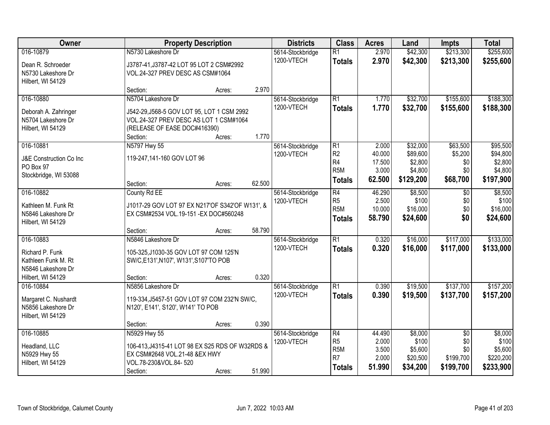| Owner                   |                                                 | <b>Property Description</b> |        |                  | <b>Class</b>                       | <b>Acres</b>    | Land                 | <b>Impts</b>           | <b>Total</b>         |
|-------------------------|-------------------------------------------------|-----------------------------|--------|------------------|------------------------------------|-----------------|----------------------|------------------------|----------------------|
| 016-10879               | N5730 Lakeshore Dr                              |                             |        | 5614-Stockbridge | $\overline{R1}$                    | 2.970           | \$42,300             | \$213,300              | \$255,600            |
| Dean R. Schroeder       | J3787-41, J3787-42 LOT 95 LOT 2 CSM#2992        |                             |        | 1200-VTECH       | <b>Totals</b>                      | 2.970           | \$42,300             | \$213,300              | \$255,600            |
| N5730 Lakeshore Dr      | VOL.24-327 PREV DESC AS CSM#1064                |                             |        |                  |                                    |                 |                      |                        |                      |
| Hilbert, WI 54129       |                                                 |                             |        |                  |                                    |                 |                      |                        |                      |
|                         | Section:                                        | Acres:                      | 2.970  |                  |                                    |                 |                      |                        |                      |
| 016-10880               | N5704 Lakeshore Dr                              |                             |        | 5614-Stockbridge | R1                                 | 1.770           | \$32,700             | \$155,600              | \$188,300            |
| Deborah A. Zahringer    | J542-29, J568-5 GOV LOT 95, LOT 1 CSM 2992      |                             |        | 1200-VTECH       | <b>Totals</b>                      | 1.770           | \$32,700             | \$155,600              | \$188,300            |
| N5704 Lakeshore Dr      | VOL.24-327 PREV DESC AS LOT 1 CSM#1064          |                             |        |                  |                                    |                 |                      |                        |                      |
| Hilbert, WI 54129       | (RELEASE OF EASE DOC#416390)                    |                             |        |                  |                                    |                 |                      |                        |                      |
|                         | Section:                                        | Acres:                      | 1.770  |                  |                                    |                 |                      |                        |                      |
| 016-10881               | N5797 Hwy 55                                    |                             |        | 5614-Stockbridge | $\overline{R1}$                    | 2.000           | \$32,000             | \$63,500               | \$95,500             |
| J&E Construction Co Inc | 119-247,141-160 GOV LOT 96                      |                             |        | 1200-VTECH       | R <sub>2</sub>                     | 40.000          | \$89,600             | \$5,200                | \$94,800             |
| PO Box 97               |                                                 |                             |        |                  | R <sub>4</sub><br>R <sub>5</sub> M | 17.500<br>3.000 | \$2,800<br>\$4,800   | \$0<br>\$0             | \$2,800<br>\$4,800   |
| Stockbridge, WI 53088   |                                                 |                             |        |                  | <b>Totals</b>                      | 62.500          | \$129,200            | \$68,700               | \$197,900            |
|                         | Section:                                        | Acres:                      | 62.500 |                  |                                    |                 |                      |                        |                      |
| 016-10882               | County Rd EE                                    |                             |        | 5614-Stockbridge | R4                                 | 46.290          | \$8,500              | $\sqrt{6}$             | \$8,500              |
| Kathleen M. Funk Rt     | J1017-29 GOV LOT 97 EX N217'OF S342'OF W131', & |                             |        | 1200-VTECH       | R <sub>5</sub><br>R <sub>5M</sub>  | 2.500<br>10.000 | \$100                | \$0                    | \$100                |
| N5846 Lakeshore Dr      | EX CSM#2534 VOL.19-151 - EX DOC#560248          |                             |        |                  |                                    | 58.790          | \$16,000<br>\$24,600 | \$0<br>\$0             | \$16,000<br>\$24,600 |
| Hilbert, WI 54129       |                                                 |                             |        |                  | <b>Totals</b>                      |                 |                      |                        |                      |
|                         | Section:                                        | Acres:                      | 58.790 |                  |                                    |                 |                      |                        |                      |
| 016-10883               | N5846 Lakeshore Dr                              |                             |        | 5614-Stockbridge | $\overline{R1}$                    | 0.320           | \$16,000             | \$117,000              | \$133,000            |
| Richard P. Funk         | 105-325, J1030-35 GOV LOT 97 COM 125'N          |                             |        | 1200-VTECH       | <b>Totals</b>                      | 0.320           | \$16,000             | \$117,000              | \$133,000            |
| Kathleen Funk M. Rt     | SW/C,E131',N107', W131',S107'TO POB             |                             |        |                  |                                    |                 |                      |                        |                      |
| N5846 Lakeshore Dr      |                                                 |                             |        |                  |                                    |                 |                      |                        |                      |
| Hilbert, WI 54129       | Section:                                        | Acres:                      | 0.320  |                  |                                    |                 |                      |                        |                      |
| 016-10884               | N5856 Lakeshore Dr                              |                             |        | 5614-Stockbridge | R1                                 | 0.390           | \$19,500             | \$137,700              | \$157,200            |
| Margaret C. Nushardt    | 119-334, J5457-51 GOV LOT 97 COM 232'N SW/C,    |                             |        | 1200-VTECH       | <b>Totals</b>                      | 0.390           | \$19,500             | \$137,700              | \$157,200            |
| N5856 Lakeshore Dr      | N120', E141', S120', W141' TO POB               |                             |        |                  |                                    |                 |                      |                        |                      |
| Hilbert, WI 54129       |                                                 |                             |        |                  |                                    |                 |                      |                        |                      |
|                         | Section:                                        | Acres:                      | 0.390  |                  |                                    |                 |                      |                        |                      |
| 016-10885               | N5929 Hwy 55                                    |                             |        | 5614-Stockbridge | R4<br>R <sub>5</sub>               | 44.490<br>2.000 | \$8,000              | $\overline{50}$<br>\$0 | \$8,000              |
| Headland, LLC           | 106-413, J4315-41 LOT 98 EX S25 RDS OF W32RDS & |                             |        | 1200-VTECH       | R <sub>5M</sub>                    | 3.500           | \$100<br>\$5,600     | \$0                    | \$100<br>\$5,600     |
| N5929 Hwy 55            | EX CSM#2648 VOL.21-48 &EX HWY                   |                             |        |                  | R <sub>7</sub>                     | 2.000           | \$20,500             | \$199,700              | \$220,200            |
| Hilbert, WI 54129       | VOL.78-230&VOL.84-520                           |                             |        |                  | <b>Totals</b>                      | 51.990          | \$34,200             | \$199,700              | \$233,900            |
|                         | Section:                                        | Acres:                      | 51.990 |                  |                                    |                 |                      |                        |                      |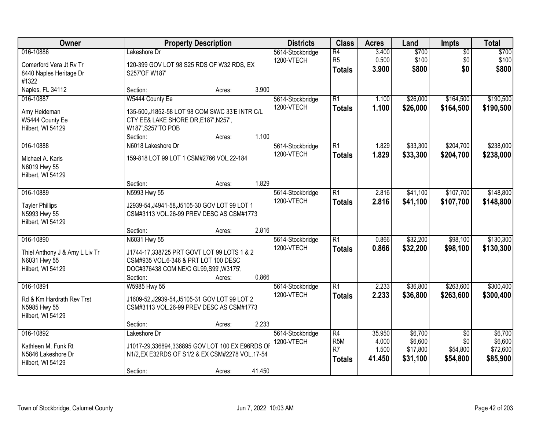| Owner                                                                            |                                                                                                                                                           | <b>Property Description</b> |        |                                | <b>Class</b>                                                           | <b>Acres</b>                       | Land                                       | Impts                                          | <b>Total</b>                               |
|----------------------------------------------------------------------------------|-----------------------------------------------------------------------------------------------------------------------------------------------------------|-----------------------------|--------|--------------------------------|------------------------------------------------------------------------|------------------------------------|--------------------------------------------|------------------------------------------------|--------------------------------------------|
| 016-10886<br>Comerford Vera Jt Rv Tr<br>8440 Naples Heritage Dr<br>#1322         | Lakeshore Dr<br>120-399 GOV LOT 98 S25 RDS OF W32 RDS, EX<br>S257'OF W187'                                                                                |                             |        | 5614-Stockbridge<br>1200-VTECH | $\overline{R4}$<br>R <sub>5</sub><br><b>Totals</b>                     | 3.400<br>0.500<br>3.900            | \$700<br>\$100<br>\$800                    | $\overline{50}$<br>\$0<br>\$0                  | \$700<br>\$100<br>\$800                    |
| Naples, FL 34112                                                                 | Section:                                                                                                                                                  | Acres:                      | 3.900  |                                |                                                                        |                                    |                                            |                                                |                                            |
| 016-10887<br>Amy Heideman<br>W5444 County Ee<br>Hilbert, WI 54129                | W5444 County Ee<br>135-500, J1852-58 LOT 98 COM SW/C 33'E INTR C/L<br>CTY EE& LAKE SHORE DR, E187', N257',<br>W187', S257'TO POB<br>Section:              | Acres:                      | 1.100  | 5614-Stockbridge<br>1200-VTECH | $\overline{R1}$<br><b>Totals</b>                                       | 1.100<br>1.100                     | \$26,000<br>\$26,000                       | \$164,500<br>\$164,500                         | \$190,500<br>\$190,500                     |
| 016-10888                                                                        | N6018 Lakeshore Dr                                                                                                                                        |                             |        | 5614-Stockbridge               | $\overline{R1}$                                                        | 1.829                              | \$33,300                                   | \$204,700                                      | \$238,000                                  |
| Michael A. Karls<br>N6019 Hwy 55<br>Hilbert, WI 54129                            | 159-818 LOT 99 LOT 1 CSM#2766 VOL.22-184                                                                                                                  |                             |        | 1200-VTECH                     | <b>Totals</b>                                                          | 1.829                              | \$33,300                                   | \$204,700                                      | \$238,000                                  |
|                                                                                  | Section:                                                                                                                                                  | Acres:                      | 1.829  |                                |                                                                        |                                    |                                            |                                                |                                            |
| 016-10889<br><b>Tayler Phillips</b><br>N5993 Hwy 55<br>Hilbert, WI 54129         | N5993 Hwy 55<br>J2939-54, J4941-58, J5105-30 GOV LOT 99 LOT 1<br>CSM#3113 VOL.26-99 PREV DESC AS CSM#1773                                                 |                             |        | 5614-Stockbridge<br>1200-VTECH | $\overline{R1}$<br><b>Totals</b>                                       | 2.816<br>2.816                     | \$41,100<br>\$41,100                       | \$107,700<br>\$107,700                         | \$148,800<br>\$148,800                     |
|                                                                                  | Section:                                                                                                                                                  | Acres:                      | 2.816  |                                |                                                                        |                                    |                                            |                                                |                                            |
| 016-10890<br>Thiel Anthony J & Amy L Liv Tr<br>N6031 Hwy 55<br>Hilbert, WI 54129 | N6031 Hwy 55<br>J1744-17,338725 PRT GOVT LOT 99 LOTS 1 & 2<br>CSM#935 VOL.6-346 & PRT LOT 100 DESC<br>DOC#376438 COM NE/C GL99, S99', W3175',<br>Section: | Acres:                      | 0.866  | 5614-Stockbridge<br>1200-VTECH | $\overline{R1}$<br><b>Totals</b>                                       | 0.866<br>0.866                     | \$32,200<br>\$32,200                       | \$98,100<br>\$98,100                           | \$130,300<br>\$130,300                     |
| 016-10891<br>Rd & Km Hardrath Rev Trst<br>N5985 Hwy 55<br>Hilbert, WI 54129      | W5985 Hwy 55<br>J1609-52, J2939-54, J5105-31 GOV LOT 99 LOT 2<br>CSM#3113 VOL.26-99 PREV DESC AS CSM#1773<br>Section:                                     | Acres:                      | 2.233  | 5614-Stockbridge<br>1200-VTECH | $\overline{R1}$<br><b>Totals</b>                                       | 2.233<br>2.233                     | \$36,800<br>\$36,800                       | \$263,600<br>\$263,600                         | \$300,400<br>\$300,400                     |
| 016-10892<br>Kathleen M. Funk Rt<br>N5846 Lakeshore Dr<br>Hilbert, WI 54129      | Lakeshore Dr<br>J1017-29,336894,336895 GOV LOT 100 EX E96RDS OF<br>N1/2, EX E32RDS OF S1/2 & EX CSM#2278 VOL.17-54<br>Section:                            | Acres:                      | 41.450 | 5614-Stockbridge<br>1200-VTECH | $\overline{R4}$<br>R <sub>5</sub> M<br>R <sub>7</sub><br><b>Totals</b> | 35.950<br>4.000<br>1.500<br>41.450 | \$6,700<br>\$6,600<br>\$17,800<br>\$31,100 | $\overline{50}$<br>\$0<br>\$54,800<br>\$54,800 | \$6,700<br>\$6,600<br>\$72,600<br>\$85,900 |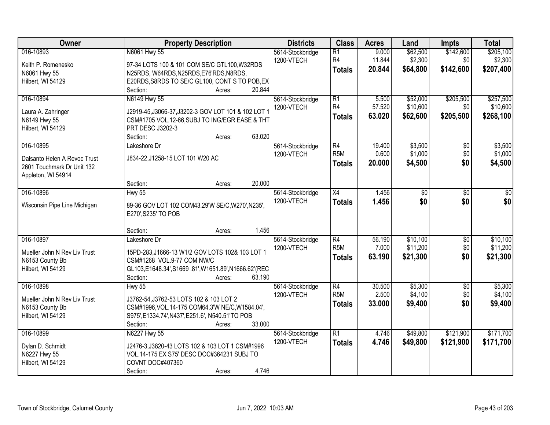| Owner                                                                                         | <b>Property Description</b>                                                                                                                                                                                       | <b>Districts</b>               | <b>Class</b>                                         | <b>Acres</b>              | Land                             | <b>Impts</b>                  | <b>Total</b>                       |
|-----------------------------------------------------------------------------------------------|-------------------------------------------------------------------------------------------------------------------------------------------------------------------------------------------------------------------|--------------------------------|------------------------------------------------------|---------------------------|----------------------------------|-------------------------------|------------------------------------|
| 016-10893<br>Keith P. Romenesko<br>N6061 Hwy 55<br>Hilbert, WI 54129                          | N6061 Hwy 55<br>97-34 LOTS 100 & 101 COM SE/C GTL100, W32RDS<br>N25RDS, W64RDS, N25RDS, E76'RDS, N8RDS,<br>E20RDS, S8RDS TO SE/C GL100, CONT S TO POB, EX                                                         | 5614-Stockbridge<br>1200-VTECH | $\overline{R1}$<br>R <sub>4</sub><br><b>Totals</b>   | 9.000<br>11.844<br>20.844 | \$62,500<br>\$2,300<br>\$64,800  | \$142,600<br>\$0<br>\$142,600 | \$205,100<br>\$2,300<br>\$207,400  |
|                                                                                               | Section:<br>20.844<br>Acres:                                                                                                                                                                                      |                                |                                                      |                           |                                  |                               |                                    |
| 016-10894<br>Laura A. Zahringer<br>N6149 Hwy 55<br>Hilbert, WI 54129                          | N6149 Hwy 55<br>J2919-45, J3066-37, J3202-3 GOV LOT 101 & 102 LOT 1<br>CSM#1705 VOL.12-66, SUBJ TO ING/EGR EASE & THT<br>PRT DESC J3202-3<br>63.020<br>Section:<br>Acres:                                         | 5614-Stockbridge<br>1200-VTECH | $\overline{R1}$<br>R4<br><b>Totals</b>               | 5.500<br>57.520<br>63.020 | \$52,000<br>\$10,600<br>\$62,600 | \$205,500<br>\$0<br>\$205,500 | \$257,500<br>\$10,600<br>\$268,100 |
| 016-10895<br>Dalsanto Helen A Revoc Trust<br>2601 Touchmark Dr Unit 132<br>Appleton, WI 54914 | Lakeshore Dr<br>J834-22, J1258-15 LOT 101 W20 AC<br>20.000<br>Section:<br>Acres:                                                                                                                                  | 5614-Stockbridge<br>1200-VTECH | R4<br>R <sub>5</sub> M<br><b>Totals</b>              | 19.400<br>0.600<br>20.000 | \$3,500<br>\$1,000<br>\$4,500    | \$0<br>\$0<br>\$0             | \$3,500<br>\$1,000<br>\$4,500      |
| 016-10896<br>Wisconsin Pipe Line Michigan                                                     | <b>Hwy 55</b><br>89-36 GOV LOT 102 COM43.29'W SE/C, W270', N235',<br>E270', S235' TO POB                                                                                                                          | 5614-Stockbridge<br>1200-VTECH | $\overline{X4}$<br><b>Totals</b>                     | 1.456<br>1.456            | \$0<br>\$0                       | \$0<br>\$0                    | \$0<br>\$0                         |
| 016-10897<br>Mueller John N Rev Liv Trust<br>N6153 County Bb<br>Hilbert, WI 54129             | 1.456<br>Section:<br>Acres:<br>Lakeshore Dr<br>15PD-283, J1666-13 W1/2 GOV LOTS 102& 103 LOT 1<br>CSM#1268 VOL.9-77 COM NW/C<br>GL103,E1648.34',S1669.81',W1651.89',N1666.62'(REC<br>Section:<br>63.190<br>Acres: | 5614-Stockbridge<br>1200-VTECH | $\overline{R4}$<br>R <sub>5</sub> M<br><b>Totals</b> | 56.190<br>7.000<br>63.190 | \$10,100<br>\$11,200<br>\$21,300 | $\overline{50}$<br>\$0<br>\$0 | \$10,100<br>\$11,200<br>\$21,300   |
| 016-10898<br>Mueller John N Rev Liv Trust<br>N6153 County Bb<br>Hilbert, WI 54129             | <b>Hwy 55</b><br>J3762-54, J3762-53 LOTS 102 & 103 LOT 2<br>CSM#1996, VOL.14-175 COM64.3'W NE/C, W1584.04',<br>S975', E1334.74', N437', E251.6', N540.51'TO POB<br>33.000<br>Section:<br>Acres:                   | 5614-Stockbridge<br>1200-VTECH | $\overline{R4}$<br>R <sub>5</sub> M<br><b>Totals</b> | 30.500<br>2.500<br>33,000 | \$5,300<br>\$4,100<br>\$9,400    | $\overline{50}$<br>\$0<br>\$0 | \$5,300<br>\$4,100<br>\$9,400      |
| 016-10899<br>Dylan D. Schmidt<br>N6227 Hwy 55<br>Hilbert, WI 54129                            | N6227 Hwy 55<br>J2476-3, J3820-43 LOTS 102 & 103 LOT 1 CSM#1996<br>VOL.14-175 EX S75' DESC DOC#364231 SUBJ TO<br>COVNT DOC#407360<br>4.746<br>Section:<br>Acres:                                                  | 5614-Stockbridge<br>1200-VTECH | $\overline{R1}$<br><b>Totals</b>                     | 4.746<br>4.746            | \$49,800<br>\$49,800             | \$121,900<br>\$121,900        | \$171,700<br>\$171,700             |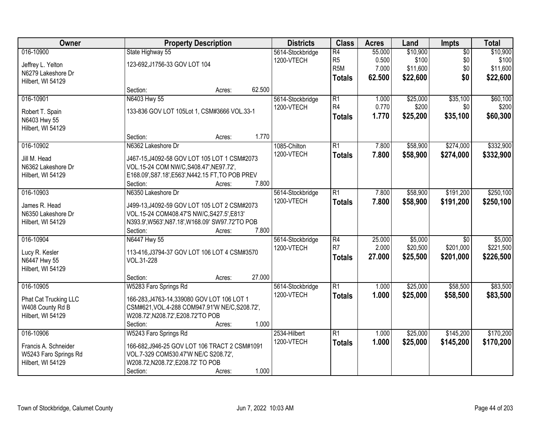| Owner                             | <b>Property Description</b>                                   |        |        | <b>Districts</b> | <b>Class</b>     | <b>Acres</b> | Land     | Impts           | <b>Total</b> |
|-----------------------------------|---------------------------------------------------------------|--------|--------|------------------|------------------|--------------|----------|-----------------|--------------|
| 016-10900                         | State Highway 55                                              |        |        | 5614-Stockbridge | $\overline{R4}$  | 55.000       | \$10,900 | $\overline{50}$ | \$10,900     |
| Jeffrey L. Yelton                 | 123-692, J1756-33 GOV LOT 104                                 |        |        | 1200-VTECH       | R <sub>5</sub>   | 0.500        | \$100    | \$0             | \$100        |
| N6279 Lakeshore Dr                |                                                               |        |        |                  | R <sub>5</sub> M | 7.000        | \$11,600 | \$0             | \$11,600     |
| Hilbert, WI 54129                 |                                                               |        |        |                  | <b>Totals</b>    | 62.500       | \$22,600 | \$0             | \$22,600     |
|                                   | Section:                                                      | Acres: | 62.500 |                  |                  |              |          |                 |              |
| 016-10901                         | N6403 Hwy 55                                                  |        |        | 5614-Stockbridge | $\overline{R1}$  | 1.000        | \$25,000 | \$35,100        | \$60,100     |
|                                   | 133-836 GOV LOT 105Lot 1, CSM#3666 VOL.33-1                   |        |        | 1200-VTECH       | R <sub>4</sub>   | 0.770        | \$200    | \$0             | \$200        |
| Robert T. Spain                   |                                                               |        |        |                  | <b>Totals</b>    | 1.770        | \$25,200 | \$35,100        | \$60,300     |
| N6403 Hwy 55<br>Hilbert, WI 54129 |                                                               |        |        |                  |                  |              |          |                 |              |
|                                   | Section:                                                      | Acres: | 1.770  |                  |                  |              |          |                 |              |
| 016-10902                         | N6362 Lakeshore Dr                                            |        |        | 1085-Chilton     | $\overline{R1}$  | 7.800        | \$58,900 | \$274,000       | \$332,900    |
|                                   |                                                               |        |        | 1200-VTECH       | <b>Totals</b>    | 7.800        | \$58,900 | \$274,000       | \$332,900    |
| Jill M. Head                      | J467-15, J4092-58 GOV LOT 105 LOT 1 CSM#2073                  |        |        |                  |                  |              |          |                 |              |
| N6362 Lakeshore Dr                | VOL.15-24 COM NW/C, S408.47', NE97.72',                       |        |        |                  |                  |              |          |                 |              |
| Hilbert, WI 54129                 | E168.09', S87.18', E563', N442.15 FT, TO POB PREV<br>Section: | Acres: | 7.800  |                  |                  |              |          |                 |              |
| 016-10903                         | N6350 Lakeshore Dr                                            |        |        | 5614-Stockbridge | $\overline{R1}$  | 7.800        | \$58,900 | \$191,200       | \$250,100    |
|                                   |                                                               |        |        | 1200-VTECH       |                  | 7.800        |          |                 |              |
| James R. Head                     | J499-13, J4092-59 GOV LOT 105 LOT 2 CSM#2073                  |        |        |                  | <b>Totals</b>    |              | \$58,900 | \$191,200       | \$250,100    |
| N6350 Lakeshore Dr                | VOL.15-24 COM408.47'S NW/C, S427.5', E813'                    |        |        |                  |                  |              |          |                 |              |
| Hilbert, WI 54129                 | N393.9', W563', N87.18', W168.09' SW97.72'TO POB              |        |        |                  |                  |              |          |                 |              |
|                                   | Section:                                                      | Acres: | 7.800  |                  |                  |              |          |                 |              |
| 016-10904                         | N6447 Hwy 55                                                  |        |        | 5614-Stockbridge | $\overline{R4}$  | 25.000       | \$5,000  | $\overline{30}$ | \$5,000      |
| Lucy R. Kesler                    | 113-416, J3794-37 GOV LOT 106 LOT 4 CSM#3570                  |        |        | 1200-VTECH       | R7               | 2.000        | \$20,500 | \$201,000       | \$221,500    |
| N6447 Hwy 55                      | VOL.31-228                                                    |        |        |                  | <b>Totals</b>    | 27.000       | \$25,500 | \$201,000       | \$226,500    |
| Hilbert, WI 54129                 |                                                               |        |        |                  |                  |              |          |                 |              |
|                                   | Section:                                                      | Acres: | 27.000 |                  |                  |              |          |                 |              |
| 016-10905                         | W5283 Faro Springs Rd                                         |        |        | 5614-Stockbridge | $\overline{R1}$  | 1.000        | \$25,000 | \$58,500        | \$83,500     |
| Phat Cat Trucking LLC             | 166-283, J4763-14, 339080 GOV LOT 106 LOT 1                   |        |        | 1200-VTECH       | <b>Totals</b>    | 1.000        | \$25,000 | \$58,500        | \$83,500     |
| W408 County Rd B                  | CSM#621, VOL.4-288 COM947.91'W NE/C, S208.72',                |        |        |                  |                  |              |          |                 |              |
| Hilbert, WI 54129                 | W208.72', N208.72', E208.72'TO POB                            |        |        |                  |                  |              |          |                 |              |
|                                   | Section:                                                      | Acres: | 1.000  |                  |                  |              |          |                 |              |
| 016-10906                         | W5243 Faro Springs Rd                                         |        |        | 2534-Hilbert     | $\overline{R1}$  | 1.000        | \$25,000 | \$145,200       | \$170,200    |
| Francis A. Schneider              | 166-682, J946-25 GOV LOT 106 TRACT 2 CSM#1091                 |        |        | 1200-VTECH       | <b>Totals</b>    | 1.000        | \$25,000 | \$145,200       | \$170,200    |
| W5243 Faro Springs Rd             | VOL.7-329 COM530.47'W NE/C S208.72',                          |        |        |                  |                  |              |          |                 |              |
| Hilbert, WI 54129                 | W208.72, N208.72', E208.72' TO POB                            |        |        |                  |                  |              |          |                 |              |
|                                   | Section:                                                      | Acres: | 1.000  |                  |                  |              |          |                 |              |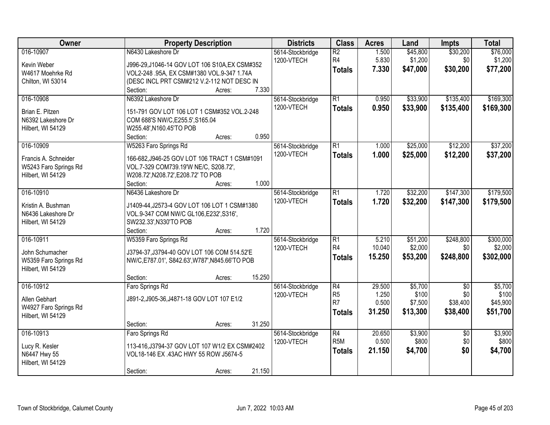| 016-10907<br>N6430 Lakeshore Dr<br>$\overline{R2}$<br>\$45,800<br>\$30,200<br>\$76,000<br>1.500<br>5614-Stockbridge<br>R <sub>4</sub><br>5.830<br>\$1,200<br>\$1,200<br>\$0<br>1200-VTECH<br>Kevin Weber<br>J996-29, J1046-14 GOV LOT 106 S10A, EX CSM#352<br>\$30,200<br>7.330<br>\$47,000<br>\$77,200<br><b>Totals</b><br>W4617 Moehrke Rd<br>VOL2-248 .95A, EX CSM#1380 VOL.9-347 1.74A<br>(DESC INCL PRT CSM#212 V.2-112 NOT DESC IN<br>Chilton, WI 53014<br>7.330<br>Section:<br>Acres:<br>$\overline{R1}$<br>\$135,400<br>\$169,300<br>016-10908<br>N6392 Lakeshore Dr<br>0.950<br>\$33,900<br>5614-Stockbridge<br>1200-VTECH<br>0.950<br>\$33,900<br>\$135,400<br>\$169,300<br><b>Totals</b><br>Brian E. Pitzen<br>151-791 GOV LOT 106 LOT 1 CSM#352 VOL.2-248<br>N6392 Lakeshore Dr<br>COM 688'S NW/C, E255.5', S165.04<br>Hilbert, WI 54129<br>W255.48', N160.45'TO POB<br>0.950<br>Section:<br>Acres:<br>W5263 Faro Springs Rd<br>\$12,200<br>\$37,200<br>016-10909<br>$\overline{R1}$<br>\$25,000<br>5614-Stockbridge<br>1.000<br>1200-VTECH<br>1.000<br>\$25,000<br>\$12,200<br>\$37,200<br><b>Totals</b><br>Francis A. Schneider<br>166-682, J946-25 GOV LOT 106 TRACT 1 CSM#1091<br>VOL.7-329 COM739.19'W NE/C, S208.72',<br>W5243 Faro Springs Rd<br>Hilbert, WI 54129<br>W208.72', N208.72', E208.72' TO POB<br>1.000<br>Section:<br>Acres:<br>016-10910<br>N6436 Lakeshore Dr<br>$\overline{R1}$<br>\$32,200<br>\$147,300<br>5614-Stockbridge<br>1.720<br>1200-VTECH<br>1.720<br>\$32,200<br>\$147,300<br><b>Totals</b><br>Kristin A. Bushman<br>J1409-44, J2573-4 GOV LOT 106 LOT 1 CSM#1380<br>N6436 Lakeshore Dr<br>VOL.9-347 COM NW/C GL106, E232', S316',<br>SW232.33', N330'TO POB<br>Hilbert, WI 54129<br>1.720<br>Section:<br>Acres:<br>016-10911<br>\$248,800<br>W5359 Faro Springs Rd<br>$\overline{R1}$<br>5.210<br>\$51,200<br>5614-Stockbridge<br>R <sub>4</sub><br>10.040<br>\$2,000<br>\$0<br>1200-VTECH<br>J3794-37, J3794-40 GOV LOT 106 COM 514.52'E<br>John Schumacher<br>15.250<br>\$53,200<br>\$248,800<br><b>Totals</b><br>W5359 Faro Springs Rd<br>NW/C, E787.01', S842.63', W787', N845.66'TO POB<br>Hilbert, WI 54129<br>15.250<br>Section:<br>Acres:<br>$\overline{R4}$<br>\$5,700<br>016-10912<br>29.500<br>$\sqrt{6}$<br>Faro Springs Rd<br>5614-Stockbridge<br>\$0<br>R <sub>5</sub><br>1.250<br>\$100<br>1200-VTECH<br>J891-2, J905-36, J4871-18 GOV LOT 107 E1/2<br>Allen Gebhart<br>R <sub>7</sub><br>\$7,500<br>\$38,400<br>0.500<br>W4927 Faro Springs Rd<br>31.250<br>\$13,300<br>\$38,400<br><b>Totals</b><br>Hilbert, WI 54129<br>31.250<br>Section:<br>Acres:<br>\$3,900<br>016-10913<br>Faro Springs Rd<br>$\overline{R4}$<br>20.650<br>\$3,900<br>5614-Stockbridge<br>$\overline{50}$<br>R <sub>5</sub> M<br>0.500<br>\$800<br>\$0<br>\$800<br>1200-VTECH<br>Lucy R. Kesler<br>113-416, J3794-37 GOV LOT 107 W1/2 EX CSM#2402<br>\$0<br>21.150<br>\$4,700<br><b>Totals</b><br>N6447 Hwy 55<br>VOL18-146 EX .43AC HWY 55 ROW J5674-5<br>Hilbert, WI 54129 | Owner | <b>Property Description</b> |        |        | <b>Districts</b> | <b>Class</b> | <b>Acres</b> | Land | <b>Impts</b> | <b>Total</b> |
|-------------------------------------------------------------------------------------------------------------------------------------------------------------------------------------------------------------------------------------------------------------------------------------------------------------------------------------------------------------------------------------------------------------------------------------------------------------------------------------------------------------------------------------------------------------------------------------------------------------------------------------------------------------------------------------------------------------------------------------------------------------------------------------------------------------------------------------------------------------------------------------------------------------------------------------------------------------------------------------------------------------------------------------------------------------------------------------------------------------------------------------------------------------------------------------------------------------------------------------------------------------------------------------------------------------------------------------------------------------------------------------------------------------------------------------------------------------------------------------------------------------------------------------------------------------------------------------------------------------------------------------------------------------------------------------------------------------------------------------------------------------------------------------------------------------------------------------------------------------------------------------------------------------------------------------------------------------------------------------------------------------------------------------------------------------------------------------------------------------------------------------------------------------------------------------------------------------------------------------------------------------------------------------------------------------------------------------------------------------------------------------------------------------------------------------------------------------------------------------------------------------------------------------------------------------------------------------------------------------------------------------------------------------------------------------------------------------------------------------------------------------------------------------------------------------------------------------------------------------------------------------------------------------------------------------------------------------------------------------------------------------------|-------|-----------------------------|--------|--------|------------------|--------------|--------------|------|--------------|--------------|
|                                                                                                                                                                                                                                                                                                                                                                                                                                                                                                                                                                                                                                                                                                                                                                                                                                                                                                                                                                                                                                                                                                                                                                                                                                                                                                                                                                                                                                                                                                                                                                                                                                                                                                                                                                                                                                                                                                                                                                                                                                                                                                                                                                                                                                                                                                                                                                                                                                                                                                                                                                                                                                                                                                                                                                                                                                                                                                                                                                                                                   |       |                             |        |        |                  |              |              |      |              |              |
|                                                                                                                                                                                                                                                                                                                                                                                                                                                                                                                                                                                                                                                                                                                                                                                                                                                                                                                                                                                                                                                                                                                                                                                                                                                                                                                                                                                                                                                                                                                                                                                                                                                                                                                                                                                                                                                                                                                                                                                                                                                                                                                                                                                                                                                                                                                                                                                                                                                                                                                                                                                                                                                                                                                                                                                                                                                                                                                                                                                                                   |       |                             |        |        |                  |              |              |      |              |              |
|                                                                                                                                                                                                                                                                                                                                                                                                                                                                                                                                                                                                                                                                                                                                                                                                                                                                                                                                                                                                                                                                                                                                                                                                                                                                                                                                                                                                                                                                                                                                                                                                                                                                                                                                                                                                                                                                                                                                                                                                                                                                                                                                                                                                                                                                                                                                                                                                                                                                                                                                                                                                                                                                                                                                                                                                                                                                                                                                                                                                                   |       |                             |        |        |                  |              |              |      |              |              |
|                                                                                                                                                                                                                                                                                                                                                                                                                                                                                                                                                                                                                                                                                                                                                                                                                                                                                                                                                                                                                                                                                                                                                                                                                                                                                                                                                                                                                                                                                                                                                                                                                                                                                                                                                                                                                                                                                                                                                                                                                                                                                                                                                                                                                                                                                                                                                                                                                                                                                                                                                                                                                                                                                                                                                                                                                                                                                                                                                                                                                   |       |                             |        |        |                  |              |              |      |              |              |
|                                                                                                                                                                                                                                                                                                                                                                                                                                                                                                                                                                                                                                                                                                                                                                                                                                                                                                                                                                                                                                                                                                                                                                                                                                                                                                                                                                                                                                                                                                                                                                                                                                                                                                                                                                                                                                                                                                                                                                                                                                                                                                                                                                                                                                                                                                                                                                                                                                                                                                                                                                                                                                                                                                                                                                                                                                                                                                                                                                                                                   |       |                             |        |        |                  |              |              |      |              |              |
|                                                                                                                                                                                                                                                                                                                                                                                                                                                                                                                                                                                                                                                                                                                                                                                                                                                                                                                                                                                                                                                                                                                                                                                                                                                                                                                                                                                                                                                                                                                                                                                                                                                                                                                                                                                                                                                                                                                                                                                                                                                                                                                                                                                                                                                                                                                                                                                                                                                                                                                                                                                                                                                                                                                                                                                                                                                                                                                                                                                                                   |       |                             |        |        |                  |              |              |      |              |              |
|                                                                                                                                                                                                                                                                                                                                                                                                                                                                                                                                                                                                                                                                                                                                                                                                                                                                                                                                                                                                                                                                                                                                                                                                                                                                                                                                                                                                                                                                                                                                                                                                                                                                                                                                                                                                                                                                                                                                                                                                                                                                                                                                                                                                                                                                                                                                                                                                                                                                                                                                                                                                                                                                                                                                                                                                                                                                                                                                                                                                                   |       |                             |        |        |                  |              |              |      |              |              |
|                                                                                                                                                                                                                                                                                                                                                                                                                                                                                                                                                                                                                                                                                                                                                                                                                                                                                                                                                                                                                                                                                                                                                                                                                                                                                                                                                                                                                                                                                                                                                                                                                                                                                                                                                                                                                                                                                                                                                                                                                                                                                                                                                                                                                                                                                                                                                                                                                                                                                                                                                                                                                                                                                                                                                                                                                                                                                                                                                                                                                   |       |                             |        |        |                  |              |              |      |              |              |
|                                                                                                                                                                                                                                                                                                                                                                                                                                                                                                                                                                                                                                                                                                                                                                                                                                                                                                                                                                                                                                                                                                                                                                                                                                                                                                                                                                                                                                                                                                                                                                                                                                                                                                                                                                                                                                                                                                                                                                                                                                                                                                                                                                                                                                                                                                                                                                                                                                                                                                                                                                                                                                                                                                                                                                                                                                                                                                                                                                                                                   |       |                             |        |        |                  |              |              |      |              |              |
|                                                                                                                                                                                                                                                                                                                                                                                                                                                                                                                                                                                                                                                                                                                                                                                                                                                                                                                                                                                                                                                                                                                                                                                                                                                                                                                                                                                                                                                                                                                                                                                                                                                                                                                                                                                                                                                                                                                                                                                                                                                                                                                                                                                                                                                                                                                                                                                                                                                                                                                                                                                                                                                                                                                                                                                                                                                                                                                                                                                                                   |       |                             |        |        |                  |              |              |      |              |              |
|                                                                                                                                                                                                                                                                                                                                                                                                                                                                                                                                                                                                                                                                                                                                                                                                                                                                                                                                                                                                                                                                                                                                                                                                                                                                                                                                                                                                                                                                                                                                                                                                                                                                                                                                                                                                                                                                                                                                                                                                                                                                                                                                                                                                                                                                                                                                                                                                                                                                                                                                                                                                                                                                                                                                                                                                                                                                                                                                                                                                                   |       |                             |        |        |                  |              |              |      |              |              |
|                                                                                                                                                                                                                                                                                                                                                                                                                                                                                                                                                                                                                                                                                                                                                                                                                                                                                                                                                                                                                                                                                                                                                                                                                                                                                                                                                                                                                                                                                                                                                                                                                                                                                                                                                                                                                                                                                                                                                                                                                                                                                                                                                                                                                                                                                                                                                                                                                                                                                                                                                                                                                                                                                                                                                                                                                                                                                                                                                                                                                   |       |                             |        |        |                  |              |              |      |              |              |
|                                                                                                                                                                                                                                                                                                                                                                                                                                                                                                                                                                                                                                                                                                                                                                                                                                                                                                                                                                                                                                                                                                                                                                                                                                                                                                                                                                                                                                                                                                                                                                                                                                                                                                                                                                                                                                                                                                                                                                                                                                                                                                                                                                                                                                                                                                                                                                                                                                                                                                                                                                                                                                                                                                                                                                                                                                                                                                                                                                                                                   |       |                             |        |        |                  |              |              |      |              |              |
|                                                                                                                                                                                                                                                                                                                                                                                                                                                                                                                                                                                                                                                                                                                                                                                                                                                                                                                                                                                                                                                                                                                                                                                                                                                                                                                                                                                                                                                                                                                                                                                                                                                                                                                                                                                                                                                                                                                                                                                                                                                                                                                                                                                                                                                                                                                                                                                                                                                                                                                                                                                                                                                                                                                                                                                                                                                                                                                                                                                                                   |       |                             |        |        |                  |              |              |      |              |              |
| \$179,500<br>\$179,500<br>\$300,000<br>\$2,000<br>\$302,000<br>\$5,700<br>\$100<br>\$45,900<br>\$51,700<br>\$4,700                                                                                                                                                                                                                                                                                                                                                                                                                                                                                                                                                                                                                                                                                                                                                                                                                                                                                                                                                                                                                                                                                                                                                                                                                                                                                                                                                                                                                                                                                                                                                                                                                                                                                                                                                                                                                                                                                                                                                                                                                                                                                                                                                                                                                                                                                                                                                                                                                                                                                                                                                                                                                                                                                                                                                                                                                                                                                                |       |                             |        |        |                  |              |              |      |              |              |
|                                                                                                                                                                                                                                                                                                                                                                                                                                                                                                                                                                                                                                                                                                                                                                                                                                                                                                                                                                                                                                                                                                                                                                                                                                                                                                                                                                                                                                                                                                                                                                                                                                                                                                                                                                                                                                                                                                                                                                                                                                                                                                                                                                                                                                                                                                                                                                                                                                                                                                                                                                                                                                                                                                                                                                                                                                                                                                                                                                                                                   |       |                             |        |        |                  |              |              |      |              |              |
|                                                                                                                                                                                                                                                                                                                                                                                                                                                                                                                                                                                                                                                                                                                                                                                                                                                                                                                                                                                                                                                                                                                                                                                                                                                                                                                                                                                                                                                                                                                                                                                                                                                                                                                                                                                                                                                                                                                                                                                                                                                                                                                                                                                                                                                                                                                                                                                                                                                                                                                                                                                                                                                                                                                                                                                                                                                                                                                                                                                                                   |       |                             |        |        |                  |              |              |      |              |              |
|                                                                                                                                                                                                                                                                                                                                                                                                                                                                                                                                                                                                                                                                                                                                                                                                                                                                                                                                                                                                                                                                                                                                                                                                                                                                                                                                                                                                                                                                                                                                                                                                                                                                                                                                                                                                                                                                                                                                                                                                                                                                                                                                                                                                                                                                                                                                                                                                                                                                                                                                                                                                                                                                                                                                                                                                                                                                                                                                                                                                                   |       |                             |        |        |                  |              |              |      |              |              |
|                                                                                                                                                                                                                                                                                                                                                                                                                                                                                                                                                                                                                                                                                                                                                                                                                                                                                                                                                                                                                                                                                                                                                                                                                                                                                                                                                                                                                                                                                                                                                                                                                                                                                                                                                                                                                                                                                                                                                                                                                                                                                                                                                                                                                                                                                                                                                                                                                                                                                                                                                                                                                                                                                                                                                                                                                                                                                                                                                                                                                   |       |                             |        |        |                  |              |              |      |              |              |
|                                                                                                                                                                                                                                                                                                                                                                                                                                                                                                                                                                                                                                                                                                                                                                                                                                                                                                                                                                                                                                                                                                                                                                                                                                                                                                                                                                                                                                                                                                                                                                                                                                                                                                                                                                                                                                                                                                                                                                                                                                                                                                                                                                                                                                                                                                                                                                                                                                                                                                                                                                                                                                                                                                                                                                                                                                                                                                                                                                                                                   |       |                             |        |        |                  |              |              |      |              |              |
|                                                                                                                                                                                                                                                                                                                                                                                                                                                                                                                                                                                                                                                                                                                                                                                                                                                                                                                                                                                                                                                                                                                                                                                                                                                                                                                                                                                                                                                                                                                                                                                                                                                                                                                                                                                                                                                                                                                                                                                                                                                                                                                                                                                                                                                                                                                                                                                                                                                                                                                                                                                                                                                                                                                                                                                                                                                                                                                                                                                                                   |       |                             |        |        |                  |              |              |      |              |              |
|                                                                                                                                                                                                                                                                                                                                                                                                                                                                                                                                                                                                                                                                                                                                                                                                                                                                                                                                                                                                                                                                                                                                                                                                                                                                                                                                                                                                                                                                                                                                                                                                                                                                                                                                                                                                                                                                                                                                                                                                                                                                                                                                                                                                                                                                                                                                                                                                                                                                                                                                                                                                                                                                                                                                                                                                                                                                                                                                                                                                                   |       |                             |        |        |                  |              |              |      |              |              |
|                                                                                                                                                                                                                                                                                                                                                                                                                                                                                                                                                                                                                                                                                                                                                                                                                                                                                                                                                                                                                                                                                                                                                                                                                                                                                                                                                                                                                                                                                                                                                                                                                                                                                                                                                                                                                                                                                                                                                                                                                                                                                                                                                                                                                                                                                                                                                                                                                                                                                                                                                                                                                                                                                                                                                                                                                                                                                                                                                                                                                   |       |                             |        |        |                  |              |              |      |              |              |
|                                                                                                                                                                                                                                                                                                                                                                                                                                                                                                                                                                                                                                                                                                                                                                                                                                                                                                                                                                                                                                                                                                                                                                                                                                                                                                                                                                                                                                                                                                                                                                                                                                                                                                                                                                                                                                                                                                                                                                                                                                                                                                                                                                                                                                                                                                                                                                                                                                                                                                                                                                                                                                                                                                                                                                                                                                                                                                                                                                                                                   |       |                             |        |        |                  |              |              |      |              |              |
|                                                                                                                                                                                                                                                                                                                                                                                                                                                                                                                                                                                                                                                                                                                                                                                                                                                                                                                                                                                                                                                                                                                                                                                                                                                                                                                                                                                                                                                                                                                                                                                                                                                                                                                                                                                                                                                                                                                                                                                                                                                                                                                                                                                                                                                                                                                                                                                                                                                                                                                                                                                                                                                                                                                                                                                                                                                                                                                                                                                                                   |       |                             |        |        |                  |              |              |      |              |              |
|                                                                                                                                                                                                                                                                                                                                                                                                                                                                                                                                                                                                                                                                                                                                                                                                                                                                                                                                                                                                                                                                                                                                                                                                                                                                                                                                                                                                                                                                                                                                                                                                                                                                                                                                                                                                                                                                                                                                                                                                                                                                                                                                                                                                                                                                                                                                                                                                                                                                                                                                                                                                                                                                                                                                                                                                                                                                                                                                                                                                                   |       |                             |        |        |                  |              |              |      |              |              |
|                                                                                                                                                                                                                                                                                                                                                                                                                                                                                                                                                                                                                                                                                                                                                                                                                                                                                                                                                                                                                                                                                                                                                                                                                                                                                                                                                                                                                                                                                                                                                                                                                                                                                                                                                                                                                                                                                                                                                                                                                                                                                                                                                                                                                                                                                                                                                                                                                                                                                                                                                                                                                                                                                                                                                                                                                                                                                                                                                                                                                   |       |                             |        |        |                  |              |              |      |              |              |
|                                                                                                                                                                                                                                                                                                                                                                                                                                                                                                                                                                                                                                                                                                                                                                                                                                                                                                                                                                                                                                                                                                                                                                                                                                                                                                                                                                                                                                                                                                                                                                                                                                                                                                                                                                                                                                                                                                                                                                                                                                                                                                                                                                                                                                                                                                                                                                                                                                                                                                                                                                                                                                                                                                                                                                                                                                                                                                                                                                                                                   |       |                             |        |        |                  |              |              |      |              |              |
|                                                                                                                                                                                                                                                                                                                                                                                                                                                                                                                                                                                                                                                                                                                                                                                                                                                                                                                                                                                                                                                                                                                                                                                                                                                                                                                                                                                                                                                                                                                                                                                                                                                                                                                                                                                                                                                                                                                                                                                                                                                                                                                                                                                                                                                                                                                                                                                                                                                                                                                                                                                                                                                                                                                                                                                                                                                                                                                                                                                                                   |       |                             |        |        |                  |              |              |      |              |              |
|                                                                                                                                                                                                                                                                                                                                                                                                                                                                                                                                                                                                                                                                                                                                                                                                                                                                                                                                                                                                                                                                                                                                                                                                                                                                                                                                                                                                                                                                                                                                                                                                                                                                                                                                                                                                                                                                                                                                                                                                                                                                                                                                                                                                                                                                                                                                                                                                                                                                                                                                                                                                                                                                                                                                                                                                                                                                                                                                                                                                                   |       |                             |        |        |                  |              |              |      |              |              |
|                                                                                                                                                                                                                                                                                                                                                                                                                                                                                                                                                                                                                                                                                                                                                                                                                                                                                                                                                                                                                                                                                                                                                                                                                                                                                                                                                                                                                                                                                                                                                                                                                                                                                                                                                                                                                                                                                                                                                                                                                                                                                                                                                                                                                                                                                                                                                                                                                                                                                                                                                                                                                                                                                                                                                                                                                                                                                                                                                                                                                   |       |                             |        |        |                  |              |              |      |              |              |
|                                                                                                                                                                                                                                                                                                                                                                                                                                                                                                                                                                                                                                                                                                                                                                                                                                                                                                                                                                                                                                                                                                                                                                                                                                                                                                                                                                                                                                                                                                                                                                                                                                                                                                                                                                                                                                                                                                                                                                                                                                                                                                                                                                                                                                                                                                                                                                                                                                                                                                                                                                                                                                                                                                                                                                                                                                                                                                                                                                                                                   |       |                             |        |        |                  |              |              |      |              |              |
|                                                                                                                                                                                                                                                                                                                                                                                                                                                                                                                                                                                                                                                                                                                                                                                                                                                                                                                                                                                                                                                                                                                                                                                                                                                                                                                                                                                                                                                                                                                                                                                                                                                                                                                                                                                                                                                                                                                                                                                                                                                                                                                                                                                                                                                                                                                                                                                                                                                                                                                                                                                                                                                                                                                                                                                                                                                                                                                                                                                                                   |       |                             |        |        |                  |              |              |      |              |              |
|                                                                                                                                                                                                                                                                                                                                                                                                                                                                                                                                                                                                                                                                                                                                                                                                                                                                                                                                                                                                                                                                                                                                                                                                                                                                                                                                                                                                                                                                                                                                                                                                                                                                                                                                                                                                                                                                                                                                                                                                                                                                                                                                                                                                                                                                                                                                                                                                                                                                                                                                                                                                                                                                                                                                                                                                                                                                                                                                                                                                                   |       |                             |        |        |                  |              |              |      |              |              |
|                                                                                                                                                                                                                                                                                                                                                                                                                                                                                                                                                                                                                                                                                                                                                                                                                                                                                                                                                                                                                                                                                                                                                                                                                                                                                                                                                                                                                                                                                                                                                                                                                                                                                                                                                                                                                                                                                                                                                                                                                                                                                                                                                                                                                                                                                                                                                                                                                                                                                                                                                                                                                                                                                                                                                                                                                                                                                                                                                                                                                   |       |                             |        |        |                  |              |              |      |              |              |
|                                                                                                                                                                                                                                                                                                                                                                                                                                                                                                                                                                                                                                                                                                                                                                                                                                                                                                                                                                                                                                                                                                                                                                                                                                                                                                                                                                                                                                                                                                                                                                                                                                                                                                                                                                                                                                                                                                                                                                                                                                                                                                                                                                                                                                                                                                                                                                                                                                                                                                                                                                                                                                                                                                                                                                                                                                                                                                                                                                                                                   |       | Section:                    | Acres: | 21.150 |                  |              |              |      |              |              |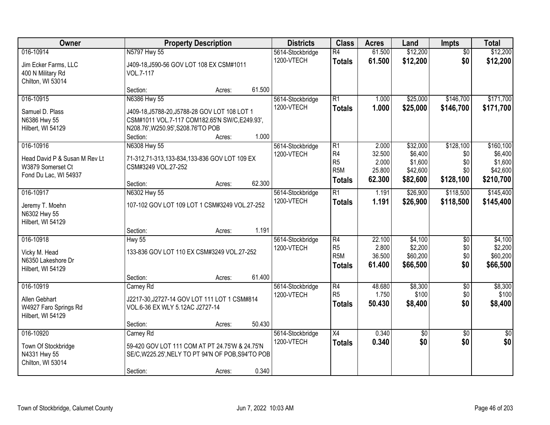| Owner                                                                       |                                                                                                                                                      | <b>Property Description</b> |        |                                | <b>Class</b>                                                          | <b>Acres</b>                        | Land                                       | Impts                          | <b>Total</b>                                |
|-----------------------------------------------------------------------------|------------------------------------------------------------------------------------------------------------------------------------------------------|-----------------------------|--------|--------------------------------|-----------------------------------------------------------------------|-------------------------------------|--------------------------------------------|--------------------------------|---------------------------------------------|
| 016-10914<br>Jim Ecker Farms, LLC<br>400 N Military Rd<br>Chilton, WI 53014 | N5797 Hwy 55<br>J409-18, J590-56 GOV LOT 108 EX CSM#1011<br>VOL.7-117                                                                                |                             |        | 5614-Stockbridge<br>1200-VTECH | $\overline{R4}$<br><b>Totals</b>                                      | 61.500<br>61.500                    | \$12,200<br>\$12,200                       | $\overline{50}$<br>\$0         | \$12,200<br>\$12,200                        |
|                                                                             | Section:                                                                                                                                             | Acres:                      | 61.500 |                                |                                                                       |                                     |                                            |                                |                                             |
| 016-10915<br>Samuel D. Plass<br>N6386 Hwy 55<br>Hilbert, WI 54129           | N6386 Hwy 55<br>J409-18, J5788-20, J5788-28 GOV LOT 108 LOT 1<br>CSM#1011 VOL.7-117 COM182.65'N SW/C,E249.93',<br>N208.76', W250.95', S208.76'TO POB |                             |        | 5614-Stockbridge<br>1200-VTECH | $\overline{R1}$<br><b>Totals</b>                                      | 1.000<br>1.000                      | \$25,000<br>\$25,000                       | \$146,700<br>\$146,700         | \$171,700<br>\$171,700                      |
| 016-10916                                                                   | Section:<br>N6308 Hwy 55                                                                                                                             | Acres:                      | 1.000  | 5614-Stockbridge               | $\overline{R1}$                                                       | 2.000                               | \$32,000                                   | \$128,100                      | \$160, 100                                  |
| Head David P & Susan M Rev Lt<br>W3879 Somerset Ct<br>Fond Du Lac, WI 54937 | 71-312,71-313,133-834,133-836 GOV LOT 109 EX<br>CSM#3249 VOL.27-252                                                                                  |                             |        | 1200-VTECH                     | R <sub>4</sub><br>R <sub>5</sub><br>R <sub>5</sub> M<br><b>Totals</b> | 32.500<br>2.000<br>25.800<br>62.300 | \$6,400<br>\$1,600<br>\$42,600<br>\$82,600 | \$0<br>\$0<br>\$0<br>\$128,100 | \$6,400<br>\$1,600<br>\$42,600<br>\$210,700 |
|                                                                             | Section:                                                                                                                                             | Acres:                      | 62.300 |                                |                                                                       |                                     |                                            |                                |                                             |
| 016-10917<br>Jeremy T. Moehn<br>N6302 Hwy 55<br>Hilbert, WI 54129           | N6302 Hwy 55<br>107-102 GOV LOT 109 LOT 1 CSM#3249 VOL.27-252                                                                                        |                             |        | 5614-Stockbridge<br>1200-VTECH | $\overline{R1}$<br><b>Totals</b>                                      | 1.191<br>1.191                      | \$26,900<br>\$26,900                       | \$118,500<br>\$118,500         | \$145,400<br>\$145,400                      |
|                                                                             | Section:                                                                                                                                             | Acres:                      | 1.191  |                                |                                                                       |                                     |                                            |                                |                                             |
| 016-10918<br>Vicky M. Head<br>N6350 Lakeshore Dr<br>Hilbert, WI 54129       | <b>Hwy 55</b><br>133-836 GOV LOT 110 EX CSM#3249 VOL.27-252                                                                                          |                             |        | 5614-Stockbridge<br>1200-VTECH | R4<br>R <sub>5</sub><br>R <sub>5</sub> M<br><b>Totals</b>             | 22.100<br>2.800<br>36.500<br>61.400 | \$4,100<br>\$2,200<br>\$60,200<br>\$66,500 | \$0<br>\$0<br>\$0<br>\$0       | \$4,100<br>\$2,200<br>\$60,200<br>\$66,500  |
|                                                                             | Section:                                                                                                                                             | Acres:                      | 61.400 |                                |                                                                       |                                     |                                            |                                |                                             |
| 016-10919<br>Allen Gebhart<br>W4927 Faro Springs Rd<br>Hilbert, WI 54129    | Carney Rd<br>J2217-30, J2727-14 GOV LOT 111 LOT 1 CSM#814<br>VOL.6-36 EX WLY 5.12AC J2727-14                                                         |                             |        | 5614-Stockbridge<br>1200-VTECH | $\overline{R4}$<br>R <sub>5</sub><br><b>Totals</b>                    | 48.680<br>1.750<br>50.430           | \$8,300<br>\$100<br>\$8,400                | $\overline{50}$<br>\$0<br>\$0  | \$8,300<br>\$100<br>\$8,400                 |
|                                                                             | Section:                                                                                                                                             | Acres:                      | 50.430 |                                |                                                                       |                                     |                                            |                                |                                             |
| 016-10920<br>Town Of Stockbridge<br>N4331 Hwy 55<br>Chilton, WI 53014       | Carney Rd<br>59-420 GOV LOT 111 COM AT PT 24.75'W & 24.75'N<br>SE/C, W225.25', NELY TO PT 94'N OF POB, S94'TO POB<br>Section:                        | Acres:                      | 0.340  | 5614-Stockbridge<br>1200-VTECH | $\overline{X4}$<br><b>Totals</b>                                      | 0.340<br>0.340                      | $\overline{50}$<br>\$0                     | $\overline{30}$<br>\$0         | $\overline{50}$<br>\$0                      |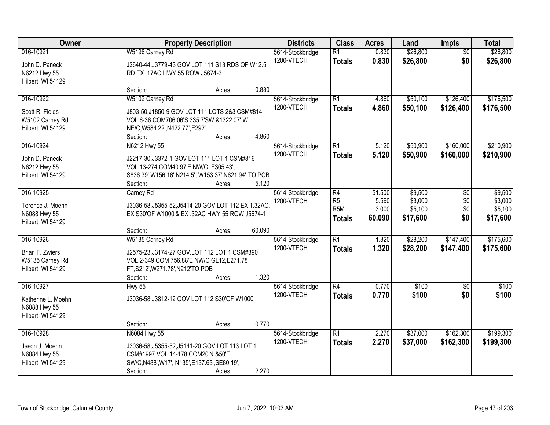| Owner                                                                | <b>Property Description</b>                                                                                                                                                         | <b>Districts</b>               | <b>Class</b>                                        | <b>Acres</b>             | Land                           | Impts                  | <b>Total</b>                   |
|----------------------------------------------------------------------|-------------------------------------------------------------------------------------------------------------------------------------------------------------------------------------|--------------------------------|-----------------------------------------------------|--------------------------|--------------------------------|------------------------|--------------------------------|
| 016-10921<br>John D. Paneck<br>N6212 Hwy 55<br>Hilbert, WI 54129     | W5196 Carney Rd<br>J2640-44, J3779-43 GOV LOT 111 S13 RDS OF W12.5<br>RD EX .17AC HWY 55 ROW J5674-3                                                                                | 5614-Stockbridge<br>1200-VTECH | $\overline{R1}$<br><b>Totals</b>                    | 0.830<br>0.830           | \$26,800<br>\$26,800           | $\overline{50}$<br>\$0 | \$26,800<br>\$26,800           |
|                                                                      | 0.830<br>Section:<br>Acres:                                                                                                                                                         |                                |                                                     |                          |                                |                        |                                |
| 016-10922<br>Scott R. Fields<br>W5102 Carney Rd<br>Hilbert, WI 54129 | W5102 Carney Rd<br>J803-50, J1850-9 GOV LOT 111 LOTS 2&3 CSM#814<br>VOL.6-36 COM706.06'S 335.7'SW &1322.07' W<br>NE/C, W584.22', N422.77', E292'<br>4.860<br>Section:<br>Acres:     | 5614-Stockbridge<br>1200-VTECH | $\overline{R1}$<br><b>Totals</b>                    | 4.860<br>4.860           | \$50,100<br>\$50,100           | \$126,400<br>\$126,400 | \$176,500<br>\$176,500         |
| 016-10924                                                            | N6212 Hwy 55                                                                                                                                                                        | 5614-Stockbridge               | $\overline{R1}$                                     | 5.120                    | \$50,900                       | \$160,000              | \$210,900                      |
| John D. Paneck<br>N6212 Hwy 55<br>Hilbert, WI 54129                  | J2217-30, J3372-1 GOV LOT 111 LOT 1 CSM#816<br>VOL.13-274 COM40.97'E NW/C, E305.43',<br>S836.39', W156.16', N214.5', W153.37', N621.94' TO POB<br>5.120<br>Section:<br>Acres:       | 1200-VTECH                     | <b>Totals</b>                                       | 5.120                    | \$50,900                       | \$160,000              | \$210,900                      |
| 016-10925                                                            | Carney Rd                                                                                                                                                                           | 5614-Stockbridge               | R4                                                  | 51.500                   | \$9,500                        | \$0                    | \$9,500                        |
| Terence J. Moehn<br>N6088 Hwy 55<br>Hilbert, WI 54129                | J3036-58, J5355-52, J5414-20 GOV LOT 112 EX 1.32AC,<br>EX S30'OF W1000'& EX .32AC HWY 55 ROW J5674-1                                                                                | 1200-VTECH                     | R <sub>5</sub><br>R <sub>5</sub> M<br><b>Totals</b> | 5.590<br>3.000<br>60.090 | \$3,000<br>\$5,100<br>\$17,600 | \$0<br>\$0<br>\$0      | \$3,000<br>\$5,100<br>\$17,600 |
|                                                                      | 60.090<br>Section:<br>Acres:                                                                                                                                                        |                                |                                                     |                          |                                |                        |                                |
| 016-10926<br>Brian F. Zwiers<br>W5135 Carney Rd<br>Hilbert, WI 54129 | W5135 Carney Rd<br>J2575-23, J3174-27 GOV.LOT 112 LOT 1 CSM#390<br>VOL.2-349 COM 756.88'E NW/C GL12, E271.78<br>FT, S212', W271.78', N212'TO POB<br>1.320<br>Section:<br>Acres:     | 5614-Stockbridge<br>1200-VTECH | $\overline{R1}$<br><b>Totals</b>                    | 1.320<br>1.320           | \$28,200<br>\$28,200           | \$147,400<br>\$147,400 | \$175,600<br>\$175,600         |
| 016-10927<br>Katherine L. Moehn<br>N6088 Hwy 55<br>Hilbert, WI 54129 | <b>Hwy 55</b><br>J3036-58, J3812-12 GOV LOT 112 S30'OF W1000'                                                                                                                       | 5614-Stockbridge<br>1200-VTECH | $\overline{R4}$<br><b>Totals</b>                    | 0.770<br>0.770           | \$100<br>\$100                 | $\overline{50}$<br>\$0 | \$100<br>\$100                 |
| 016-10928                                                            | 0.770<br>Section:<br>Acres:                                                                                                                                                         |                                | $\overline{R1}$                                     | 2.270                    | \$37,000                       | \$162,300              | \$199,300                      |
| Jason J. Moehn<br>N6084 Hwy 55<br>Hilbert, WI 54129                  | N6084 Hwy 55<br>J3036-58, J5355-52, J5141-20 GOV LOT 113 LOT 1<br>CSM#1997 VOL.14-178 COM20'N &50'E<br>SW/C, N488', W17', N135', E137.63', SE80.19',<br>2.270<br>Section:<br>Acres: | 5614-Stockbridge<br>1200-VTECH | <b>Totals</b>                                       | 2.270                    | \$37,000                       | \$162,300              | \$199,300                      |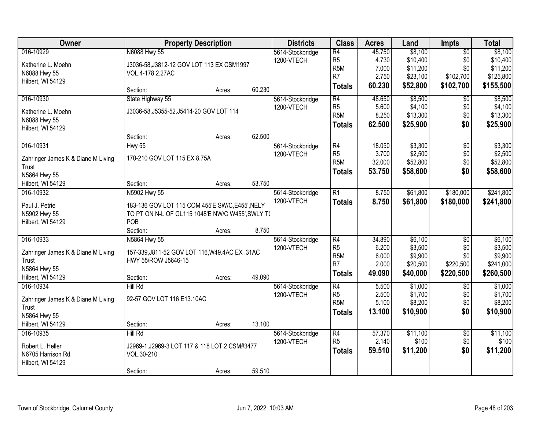| Owner                              | <b>Property Description</b>                      |        |        | <b>Districts</b> | <b>Class</b>                      | <b>Acres</b>   | Land               | Impts           | <b>Total</b>       |
|------------------------------------|--------------------------------------------------|--------|--------|------------------|-----------------------------------|----------------|--------------------|-----------------|--------------------|
| 016-10929                          | N6088 Hwy 55                                     |        |        | 5614-Stockbridge | $\overline{R4}$                   | 45.750         | \$8,100            | $\overline{50}$ | \$8,100            |
| Katherine L. Moehn                 | J3036-58, J3812-12 GOV LOT 113 EX CSM1997        |        |        | 1200-VTECH       | R <sub>5</sub>                    | 4.730          | \$10,400           | \$0             | \$10,400           |
| N6088 Hwy 55                       | VOL.4-178 2.27AC                                 |        |        |                  | R <sub>5</sub> M                  | 7.000          | \$11,200           | \$0             | \$11,200           |
| Hilbert, WI 54129                  |                                                  |        |        |                  | R <sub>7</sub>                    | 2.750          | \$23,100           | \$102,700       | \$125,800          |
|                                    | Section:                                         | Acres: | 60.230 |                  | <b>Totals</b>                     | 60.230         | \$52,800           | \$102,700       | \$155,500          |
| 016-10930                          | State Highway 55                                 |        |        | 5614-Stockbridge | $\overline{R4}$                   | 48.650         | \$8,500            | $\overline{50}$ | \$8,500            |
| Katherine L. Moehn                 | J3036-58, J5355-52, J5414-20 GOV LOT 114         |        |        | 1200-VTECH       | R <sub>5</sub>                    | 5.600          | \$4,100            | \$0             | \$4,100            |
| N6088 Hwy 55                       |                                                  |        |        |                  | R <sub>5</sub> M                  | 8.250          | \$13,300           | \$0             | \$13,300           |
| Hilbert, WI 54129                  |                                                  |        |        |                  | <b>Totals</b>                     | 62.500         | \$25,900           | \$0             | \$25,900           |
|                                    | Section:                                         | Acres: | 62.500 |                  |                                   |                |                    |                 |                    |
| 016-10931                          | <b>Hwy 55</b>                                    |        |        | 5614-Stockbridge | $\overline{R4}$                   | 18.050         | \$3,300            | $\overline{50}$ | \$3,300            |
| Zahringer James K & Diane M Living | 170-210 GOV LOT 115 EX 8.75A                     |        |        | 1200-VTECH       | R <sub>5</sub>                    | 3.700          | \$2,500            | \$0             | \$2,500            |
| Trust                              |                                                  |        |        |                  | R <sub>5</sub> M                  | 32.000         | \$52,800           | \$0             | \$52,800           |
| N5864 Hwy 55                       |                                                  |        |        |                  | <b>Totals</b>                     | 53.750         | \$58,600           | \$0             | \$58,600           |
| Hilbert, WI 54129                  | Section:                                         | Acres: | 53.750 |                  |                                   |                |                    |                 |                    |
| 016-10932                          | N5902 Hwy 55                                     |        |        | 5614-Stockbridge | $\overline{R1}$                   | 8.750          | \$61,800           | \$180,000       | \$241,800          |
|                                    |                                                  |        |        | 1200-VTECH       | <b>Totals</b>                     | 8.750          | \$61,800           | \$180,000       | \$241,800          |
| Paul J. Petrie                     | 183-136 GOV LOT 115 COM 455'E SW/C, E455', NELY  |        |        |                  |                                   |                |                    |                 |                    |
| N5902 Hwy 55                       | TO PT ON N-L OF GL115 1048'E NW/C W455', SWLY TO |        |        |                  |                                   |                |                    |                 |                    |
| Hilbert, WI 54129                  | POB                                              |        |        |                  |                                   |                |                    |                 |                    |
|                                    | Section:                                         | Acres: | 8.750  |                  |                                   |                |                    |                 |                    |
| 016-10933                          | N5864 Hwy 55                                     |        |        | 5614-Stockbridge | $\overline{R4}$<br>R <sub>5</sub> | 34.890         | \$6,100            | $\overline{50}$ | \$6,100            |
| Zahringer James K & Diane M Living | 157-339, J811-52 GOV LOT 116, W49.4AC EX .31AC   |        |        | 1200-VTECH       | R <sub>5</sub> M                  | 6.200<br>6.000 | \$3,500<br>\$9,900 | \$0<br>\$0      | \$3,500<br>\$9,900 |
| Trust                              | HWY 55/ROW J5646-15                              |        |        |                  | R <sub>7</sub>                    | 2.000          | \$20,500           | \$220,500       | \$241,000          |
| N5864 Hwy 55                       |                                                  |        |        |                  | <b>Totals</b>                     | 49.090         | \$40,000           | \$220,500       | \$260,500          |
| Hilbert, WI 54129                  | Section:                                         | Acres: | 49.090 |                  |                                   |                |                    |                 |                    |
| 016-10934                          | <b>Hill Rd</b>                                   |        |        | 5614-Stockbridge | $\overline{R4}$                   | 5.500          | \$1,000            | $\sqrt{6}$      | \$1,000            |
| Zahringer James K & Diane M Living | 92-57 GOV LOT 116 E13.10AC                       |        |        | 1200-VTECH       | R <sub>5</sub>                    | 2.500          | \$1,700            | \$0             | \$1,700            |
| Trust                              |                                                  |        |        |                  | R <sub>5</sub> M                  | 5.100          | \$8,200            | \$0             | \$8,200            |
| N5864 Hwy 55                       |                                                  |        |        |                  | <b>Totals</b>                     | 13.100         | \$10,900           | \$0             | \$10,900           |
| Hilbert, WI 54129                  | Section:                                         | Acres: | 13.100 |                  |                                   |                |                    |                 |                    |
| 016-10935                          | Hill Rd                                          |        |        | 5614-Stockbridge | $\overline{R4}$                   | 57.370         | \$11,100           | $\overline{50}$ | \$11,100           |
| Robert L. Heller                   | J2969-1, J2969-3 LOT 117 & 118 LOT 2 CSM#3477    |        |        | 1200-VTECH       | R <sub>5</sub>                    | 2.140          | \$100              | \$0             | \$100              |
| N6705 Harrison Rd                  | VOL.30-210                                       |        |        |                  | <b>Totals</b>                     | 59.510         | \$11,200           | \$0             | \$11,200           |
| Hilbert, WI 54129                  |                                                  |        |        |                  |                                   |                |                    |                 |                    |
|                                    | Section:                                         | Acres: | 59.510 |                  |                                   |                |                    |                 |                    |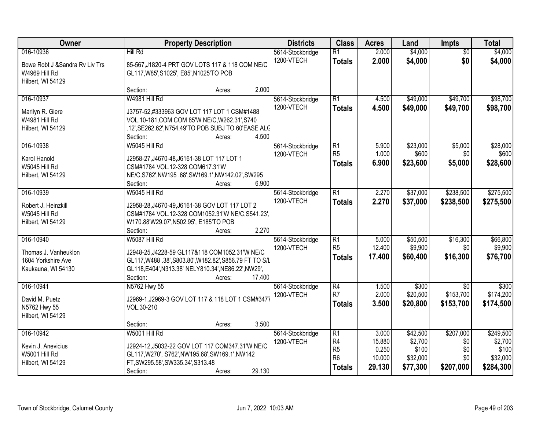| Owner                                                                              | <b>Property Description</b>                                                                                                                                                                                    | <b>Districts</b>               | <b>Class</b>                                                              | <b>Acres</b>                                 | Land                                                 | <b>Impts</b>                                | <b>Total</b>                                           |
|------------------------------------------------------------------------------------|----------------------------------------------------------------------------------------------------------------------------------------------------------------------------------------------------------------|--------------------------------|---------------------------------------------------------------------------|----------------------------------------------|------------------------------------------------------|---------------------------------------------|--------------------------------------------------------|
| 016-10936<br>Bowe Robt J & Sandra Rv Liv Trs<br>W4969 Hill Rd<br>Hilbert, WI 54129 | Hill Rd<br>85-567, J1820-4 PRT GOV LOTS 117 & 118 COM NE/C<br>GL117, W85', S1025', E85', N1025'TO POB                                                                                                          | 5614-Stockbridge<br>1200-VTECH | R1<br><b>Totals</b>                                                       | 2.000<br>2.000                               | \$4,000<br>\$4,000                                   | $\overline{50}$<br>\$0                      | \$4,000<br>\$4,000                                     |
|                                                                                    | 2.000<br>Section:<br>Acres:                                                                                                                                                                                    |                                |                                                                           |                                              |                                                      |                                             |                                                        |
| 016-10937<br>Marilyn R. Giere<br>W4981 Hill Rd<br>Hilbert, WI 54129                | W4981 Hill Rd<br>J3757-52,#333963 GOV LOT 117 LOT 1 CSM#1488<br>VOL.10-181, COM COM 85'W NE/C, W262.31', S740<br>.12', SE262.62', N754.49'TO POB SUBJ TO 60'EASE ALC<br>4.500<br>Section:<br>Acres:            | 5614-Stockbridge<br>1200-VTECH | R1<br><b>Totals</b>                                                       | 4.500<br>4.500                               | \$49,000<br>\$49,000                                 | \$49,700<br>\$49,700                        | \$98,700<br>\$98,700                                   |
| 016-10938<br>Karol Hanold<br>W5045 Hill Rd<br>Hilbert, WI 54129                    | W5045 Hill Rd<br>J2958-27, J4670-48, J6161-38 LOT 117 LOT 1<br>CSM#1784 VOL.12-328 COM617.31'W<br>NE/C, S762', NW195.68', SW169.1', NW142.02', SW295<br>6.900<br>Section:<br>Acres:                            | 5614-Stockbridge<br>1200-VTECH | $\overline{R1}$<br>R <sub>5</sub><br><b>Totals</b>                        | 5.900<br>1.000<br>6.900                      | \$23,000<br>\$600<br>\$23,600                        | \$5,000<br>\$0<br>\$5,000                   | \$28,000<br>\$600<br>\$28,600                          |
| 016-10939<br>Robert J. Heinzkill<br>W5045 Hill Rd<br>Hilbert, WI 54129             | W5045 Hill Rd<br>J2958-28, J4670-49, J6161-38 GOV LOT 117 LOT 2<br>CSM#1784 VOL.12-328 COM1052.31'W NE/C,S541.23',<br>W170.88'W29.07', N502.95', E185'TO POB<br>2.270<br>Section:<br>Acres:                    | 5614-Stockbridge<br>1200-VTECH | $\overline{R1}$<br><b>Totals</b>                                          | 2.270<br>2.270                               | \$37,000<br>\$37,000                                 | \$238,500<br>\$238,500                      | \$275,500<br>\$275,500                                 |
| 016-10940<br>Thomas J. Vanheuklon<br>1604 Yorkshire Ave<br>Kaukauna, WI 54130      | W5087 Hill Rd<br>J2948-25, J4228-59 GL117&118 COM1052.31'W NE/C<br>GL117, W488 .38', S803.80', W182.82', S856.79 FT TO S/L<br>GL118,E404',N313.38' NELY810.34',NE86.22',NW29',<br>17.400<br>Section:<br>Acres: | 5614-Stockbridge<br>1200-VTECH | R1<br>R <sub>5</sub><br><b>Totals</b>                                     | 5.000<br>12.400<br>17.400                    | \$50,500<br>\$9,900<br>\$60,400                      | \$16,300<br>\$0<br>\$16,300                 | \$66,800<br>\$9,900<br>\$76,700                        |
| 016-10941<br>David M. Puetz<br>N5762 Hwy 55<br>Hilbert, WI 54129                   | N5762 Hwy 55<br>J2969-1, J2969-3 GOV LOT 117 & 118 LOT 1 CSM#3477<br>VOL.30-210<br>3.500<br>Section:<br>Acres:                                                                                                 | 5614-Stockbridge<br>1200-VTECH | R4<br>R <sub>7</sub><br><b>Totals</b>                                     | 1.500<br>2.000<br>3.500                      | \$300<br>\$20,500<br>\$20,800                        | $\overline{50}$<br>\$153,700<br>\$153,700   | \$300<br>\$174,200<br>\$174,500                        |
| 016-10942<br>Kevin J. Anevicius<br>W5001 Hill Rd<br>Hilbert, WI 54129              | W5001 Hill Rd<br>J2924-12, J5032-22 GOV LOT 117 COM347.31'W NE/C<br>GL117, W270', S762', NW195.68', SW169.1', NW142<br>FT, SW295.58', SW335.34', S313.48<br>29.130<br>Section:<br>Acres:                       | 5614-Stockbridge<br>1200-VTECH | R1<br>R <sub>4</sub><br>R <sub>5</sub><br>R <sub>6</sub><br><b>Totals</b> | 3.000<br>15.880<br>0.250<br>10.000<br>29.130 | \$42,500<br>\$2,700<br>\$100<br>\$32,000<br>\$77,300 | \$207,000<br>\$0<br>\$0<br>\$0<br>\$207,000 | \$249,500<br>\$2,700<br>\$100<br>\$32,000<br>\$284,300 |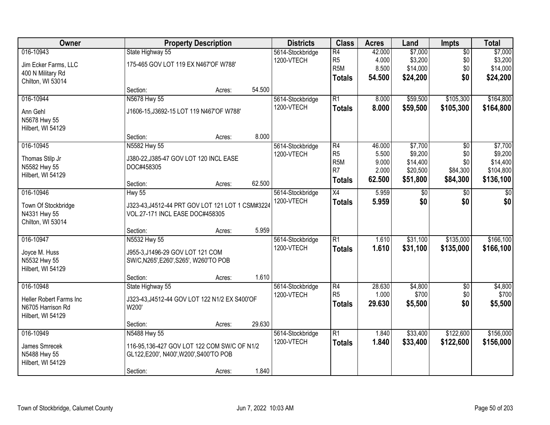| Owner                                                                       |                                                                                                                   | <b>Property Description</b> |        |                                | <b>Class</b>                                                                             | <b>Acres</b>                                | Land                                                   | Impts                                     | <b>Total</b>                                             |
|-----------------------------------------------------------------------------|-------------------------------------------------------------------------------------------------------------------|-----------------------------|--------|--------------------------------|------------------------------------------------------------------------------------------|---------------------------------------------|--------------------------------------------------------|-------------------------------------------|----------------------------------------------------------|
| 016-10943<br>Jim Ecker Farms, LLC<br>400 N Military Rd<br>Chilton, WI 53014 | State Highway 55<br>175-465 GOV LOT 119 EX N467'OF W788'                                                          |                             |        | 5614-Stockbridge<br>1200-VTECH | $\overline{R4}$<br>R <sub>5</sub><br>R <sub>5</sub> M<br><b>Totals</b>                   | 42.000<br>4.000<br>8.500<br>54.500          | \$7,000<br>\$3,200<br>\$14,000<br>\$24,200             | $\overline{50}$<br>\$0<br>\$0<br>\$0      | \$7,000<br>\$3,200<br>\$14,000<br>\$24,200               |
|                                                                             | Section:                                                                                                          | Acres:                      | 54.500 |                                |                                                                                          |                                             |                                                        |                                           |                                                          |
| 016-10944<br>Ann Gehl<br>N5678 Hwy 55<br>Hilbert, WI 54129                  | N5678 Hwy 55<br>J1606-15, J3692-15 LOT 119 N467'OF W788'                                                          |                             |        | 5614-Stockbridge<br>1200-VTECH | $\overline{R1}$<br><b>Totals</b>                                                         | 8.000<br>8.000                              | \$59,500<br>\$59,500                                   | \$105,300<br>\$105,300                    | \$164,800<br>\$164,800                                   |
|                                                                             | Section:                                                                                                          | Acres:                      | 8.000  |                                |                                                                                          |                                             |                                                        |                                           |                                                          |
| 016-10945<br>Thomas Stilp Jr<br>N5582 Hwy 55<br>Hilbert, WI 54129           | N5582 Hwy 55<br>J380-22, J385-47 GOV LOT 120 INCL EASE<br>DOC#458305<br>Section:                                  | Acres:                      | 62.500 | 5614-Stockbridge<br>1200-VTECH | $\overline{R4}$<br>R <sub>5</sub><br>R <sub>5</sub> M<br>R <sub>7</sub><br><b>Totals</b> | 46.000<br>5.500<br>9.000<br>2.000<br>62.500 | \$7,700<br>\$9,200<br>\$14,400<br>\$20,500<br>\$51,800 | \$0<br>\$0<br>\$0<br>\$84,300<br>\$84,300 | \$7,700<br>\$9,200<br>\$14,400<br>\$104,800<br>\$136,100 |
| 016-10946                                                                   | <b>Hwy 55</b>                                                                                                     |                             |        | 5614-Stockbridge               | X4                                                                                       | 5.959                                       | $\sqrt[6]{3}$                                          | \$0                                       | \$0                                                      |
| Town Of Stockbridge<br>N4331 Hwy 55<br>Chilton, WI 53014                    | J323-43, J4512-44 PRT GOV LOT 121 LOT 1 CSM#3224<br>VOL.27-171 INCL EASE DOC#458305                               |                             |        | 1200-VTECH                     | <b>Totals</b>                                                                            | 5.959                                       | \$0                                                    | \$0                                       | \$0                                                      |
|                                                                             | Section:                                                                                                          | Acres:                      | 5.959  |                                |                                                                                          |                                             |                                                        |                                           |                                                          |
| 016-10947<br>Joyce M. Huss<br>N5532 Hwy 55<br>Hilbert, WI 54129             | N5532 Hwy 55<br>J955-3, J1496-29 GOV LOT 121 COM<br>SW/C, N265', E260', S265', W260'TO POB<br>Section:            | Acres:                      | 1.610  | 5614-Stockbridge<br>1200-VTECH | $\overline{R1}$<br><b>Totals</b>                                                         | 1.610<br>1.610                              | \$31,100<br>\$31,100                                   | \$135,000<br>\$135,000                    | \$166, 100<br>\$166,100                                  |
| 016-10948                                                                   | State Highway 55                                                                                                  |                             |        | 5614-Stockbridge               | $\overline{R4}$                                                                          | 28.630                                      | \$4,800                                                | $\overline{50}$                           | \$4,800                                                  |
| Heller Robert Farms Inc<br>N6705 Harrison Rd<br>Hilbert, WI 54129           | J323-43, J4512-44 GOV LOT 122 N1/2 EX S400'OF<br>W200'                                                            |                             |        | 1200-VTECH                     | R <sub>5</sub><br><b>Totals</b>                                                          | 1.000<br>29.630                             | \$700<br>\$5,500                                       | \$0<br>\$0                                | \$700<br>\$5,500                                         |
|                                                                             | Section:                                                                                                          | Acres:                      | 29.630 |                                |                                                                                          |                                             |                                                        |                                           |                                                          |
| 016-10949<br>James Smrecek<br>N5488 Hwy 55<br>Hilbert, WI 54129             | N5488 Hwy 55<br>116-95.136-427 GOV LOT 122 COM SW/C OF N1/2<br>GL122,E200', N400', W200', S400'TO POB<br>Section: | Acres:                      | 1.840  | 5614-Stockbridge<br>1200-VTECH | $\overline{R1}$<br><b>Totals</b>                                                         | 1.840<br>1.840                              | \$33,400<br>\$33,400                                   | \$122,600<br>\$122,600                    | \$156,000<br>\$156,000                                   |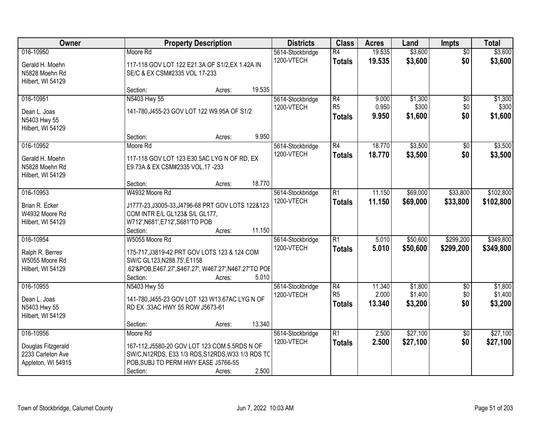| Owner                                                                      |                                                                                                                                                                   | <b>Property Description</b> |        |                                | <b>Class</b>                          | <b>Acres</b>              | Land                          | <b>Impts</b>              | <b>Total</b>                  |
|----------------------------------------------------------------------------|-------------------------------------------------------------------------------------------------------------------------------------------------------------------|-----------------------------|--------|--------------------------------|---------------------------------------|---------------------------|-------------------------------|---------------------------|-------------------------------|
| 016-10950<br>Gerald H. Moehn<br>N5828 Moehn Rd<br>Hilbert, WI 54129        | Moore Rd<br>117-118 GOV LOT 122 E21.3A OF S1/2, EX 1.42A IN<br>SE/C & EX CSM#2335 VOL 17-233                                                                      |                             |        | 5614-Stockbridge<br>1200-VTECH | $\overline{R4}$<br><b>Totals</b>      | 19.535<br>19.535          | \$3,600<br>\$3,600            | $\overline{50}$<br>\$0    | \$3,600<br>\$3,600            |
|                                                                            | Section:                                                                                                                                                          | Acres:                      | 19.535 |                                |                                       |                           |                               |                           |                               |
| 016-10951<br>Dean L. Joas<br>N5403 Hwy 55<br>Hilbert, WI 54129             | N5403 Hwy 55<br>141-780, J455-23 GOV LOT 122 W9.95A OF S1/2                                                                                                       |                             |        | 5614-Stockbridge<br>1200-VTECH | R4<br>R <sub>5</sub><br><b>Totals</b> | 9.000<br>0.950<br>9.950   | \$1,300<br>\$300<br>\$1,600   | \$0<br>\$0<br>\$0         | \$1,300<br>\$300<br>\$1,600   |
|                                                                            | Section:                                                                                                                                                          | Acres:                      | 9.950  |                                |                                       |                           |                               |                           |                               |
| 016-10952<br>Gerald H. Moehn<br>N5828 Moehn Rd<br>Hilbert, WI 54129        | Moore Rd<br>117-118 GOV LOT 123 E30.5AC LYG N OF RD, EX<br>E9.73A & EX CSM#2335 VOL.17 -233                                                                       |                             |        | 5614-Stockbridge<br>1200-VTECH | R4<br><b>Totals</b>                   | 18.770<br>18.770          | \$3,500<br>\$3,500            | \$0<br>\$0                | \$3,500<br>\$3,500            |
|                                                                            | Section:                                                                                                                                                          | Acres:                      | 18.770 |                                |                                       |                           |                               |                           |                               |
| 016-10953<br>Brian R. Ecker<br>W4932 Moore Rd<br>Hilbert, WI 54129         | W4932 Moore Rd<br>J1777-23, J3005-33, J4796-68 PRT GOV LOTS 122&123<br>COM INTR E/L GL123& S/L GL177,<br>W712', N681', E712', S681'TO POB                         |                             |        | 5614-Stockbridge<br>1200-VTECH | $\overline{R1}$<br><b>Totals</b>      | 11.150<br>11.150          | \$69,000<br>\$69,000          | \$33,800<br>\$33,800      | \$102,800<br>\$102,800        |
|                                                                            | Section:                                                                                                                                                          | Acres:                      | 11.150 |                                |                                       |                           |                               |                           |                               |
| 016-10954<br>Ralph R. Berres<br>W5055 Moore Rd<br>Hilbert, WI 54129        | W5055 Moore Rd<br>175-717, J3819-42 PRT GOV LOTS 123 & 124 COM<br>SW/C GL123, N288.75', E1158<br>.62'&POB,E467.27',S467.27', W467.27',N467.27'TO POE<br>Section:  | Acres:                      | 5.010  | 5614-Stockbridge<br>1200-VTECH | $\overline{R1}$<br><b>Totals</b>      | 5.010<br>5.010            | \$50,600<br>\$50,600          | \$299,200<br>\$299,200    | \$349,800<br>\$349,800        |
| 016-10955<br>Dean L. Joas<br>N5403 Hwy 55<br>Hilbert, WI 54129             | N5403 Hwy 55<br>141-780, J455-23 GOV LOT 123 W13.67AC LYG N OF<br>RD EX .33AC HWY 55 ROW J5673-61<br>Section:                                                     | Acres:                      | 13.340 | 5614-Stockbridge<br>1200-VTECH | R4<br>R <sub>5</sub><br><b>Totals</b> | 11.340<br>2.000<br>13,340 | \$1,800<br>\$1,400<br>\$3,200 | $\sqrt{$0}$<br>\$0<br>\$0 | \$1,800<br>\$1,400<br>\$3,200 |
| 016-10956<br>Douglas Fitzgerald<br>2233 Carleton Ave<br>Appleton, WI 54915 | Moore Rd<br>167-112, J5580-20 GOV LOT 123 COM 5.5RDS N OF<br>SW/C, N12RDS, E33 1/3 RDS, S12RDS, W33 1/3 RDS TC<br>POB, SUBJ TO PERM HWY EASE J5766-55<br>Section: | Acres:                      | 2.500  | 5614-Stockbridge<br>1200-VTECH | $\overline{R1}$<br><b>Totals</b>      | 2.500<br>2.500            | \$27,100<br>\$27,100          | $\overline{50}$<br>\$0    | \$27,100<br>\$27,100          |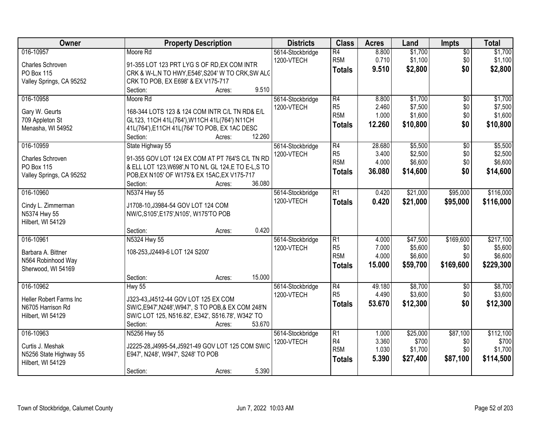| Owner                             | <b>Property Description</b>                           | <b>Districts</b>               | <b>Class</b>     | <b>Acres</b> | Land     | <b>Impts</b>    | <b>Total</b> |
|-----------------------------------|-------------------------------------------------------|--------------------------------|------------------|--------------|----------|-----------------|--------------|
| 016-10957                         | Moore Rd                                              | 5614-Stockbridge               | R4               | 8.800        | \$1,700  | $\overline{50}$ | \$1,700      |
| Charles Schroven                  | 91-355 LOT 123 PRT LYG S OF RD, EX COM INTR           | 1200-VTECH                     | R <sub>5M</sub>  | 0.710        | \$1,100  | \$0             | \$1,100      |
| PO Box 115                        | CRK & W-L,N TO HWY, E546', S204' W TO CRK, SW ALC     |                                | <b>Totals</b>    | 9.510        | \$2,800  | \$0             | \$2,800      |
| Valley Springs, CA 95252          | CRK TO POB, EX E698' & EX V175-717                    |                                |                  |              |          |                 |              |
|                                   | 9.510<br>Section:<br>Acres:                           |                                |                  |              |          |                 |              |
| 016-10958                         | Moore Rd                                              | 5614-Stockbridge               | R4               | 8.800        | \$1,700  | $\overline{50}$ | \$1,700      |
|                                   | 168-344 LOTS 123 & 124 COM INTR C/L TN RD& E/L        | 1200-VTECH                     | R <sub>5</sub>   | 2.460        | \$7,500  | \$0             | \$7,500      |
| Gary W. Geurts<br>709 Appleton St | GL123, 11CH 41L(764'), W11CH 41L(764') N11CH          |                                | R <sub>5</sub> M | 1.000        | \$1,600  | \$0             | \$1,600      |
| Menasha, WI 54952                 | 41L(764'), E11CH 41L(764' TO POB, EX 1AC DESC         |                                | <b>Totals</b>    | 12.260       | \$10,800 | \$0             | \$10,800     |
|                                   | 12.260<br>Section:<br>Acres:                          |                                |                  |              |          |                 |              |
| 016-10959                         | State Highway 55                                      | 5614-Stockbridge               | R4               | 28.680       | \$5,500  | \$0             | \$5,500      |
|                                   |                                                       | 1200-VTECH                     | R <sub>5</sub>   | 3.400        | \$2,500  | \$0             | \$2,500      |
| Charles Schroven                  | 91-355 GOV LOT 124 EX COM AT PT 764'S C/L TN RD       |                                | R <sub>5</sub> M | 4.000        | \$6,600  | \$0             | \$6,600      |
| PO Box 115                        | & ELL LOT 123, W698', N TO N/L GL 124, E TO E-L, S TO |                                | <b>Totals</b>    | 36.080       | \$14,600 | \$0             | \$14,600     |
| Valley Springs, CA 95252          | POB, EX N105' OF W175'& EX 15AC, EX V175-717          |                                |                  |              |          |                 |              |
|                                   | 36.080<br>Section:<br>Acres:                          |                                |                  |              |          |                 |              |
| 016-10960                         | N5374 Hwy 55                                          | 5614-Stockbridge<br>1200-VTECH | $\overline{R1}$  | 0.420        | \$21,000 | \$95,000        | \$116,000    |
| Cindy L. Zimmerman                | J1708-10, J3984-54 GOV LOT 124 COM                    |                                | <b>Totals</b>    | 0.420        | \$21,000 | \$95,000        | \$116,000    |
| N5374 Hwy 55                      | NW/C,S105',E175',N105', W175'TO POB                   |                                |                  |              |          |                 |              |
| Hilbert, WI 54129                 |                                                       |                                |                  |              |          |                 |              |
|                                   | 0.420<br>Section:<br>Acres:                           |                                |                  |              |          |                 |              |
| 016-10961                         | N5324 Hwy 55                                          | 5614-Stockbridge               | $\overline{R1}$  | 4.000        | \$47,500 | \$169,600       | \$217,100    |
| Barbara A. Bittner                | 108-253, J2449-6 LOT 124 S200'                        | 1200-VTECH                     | R <sub>5</sub>   | 7.000        | \$5,600  | \$0             | \$5,600      |
| N564 Robinhood Way                |                                                       |                                | R <sub>5</sub> M | 4.000        | \$6,600  | \$0             | \$6,600      |
| Sherwood, WI 54169                |                                                       |                                | <b>Totals</b>    | 15.000       | \$59,700 | \$169,600       | \$229,300    |
|                                   | 15.000<br>Section:<br>Acres:                          |                                |                  |              |          |                 |              |
| 016-10962                         | <b>Hwy 55</b>                                         | 5614-Stockbridge               | R4               | 49.180       | \$8,700  | $\sqrt{$0}$     | \$8,700      |
| Heller Robert Farms Inc           | J323-43, J4512-44 GOV LOT 125 EX COM                  | 1200-VTECH                     | R <sub>5</sub>   | 4.490        | \$3,600  | \$0             | \$3,600      |
| N6705 Harrison Rd                 | SW/C, E947', N248', W947', S TO POB, & EX COM 248'N   |                                | <b>Totals</b>    | 53.670       | \$12,300 | \$0             | \$12,300     |
| Hilbert, WI 54129                 | SW/C LOT 125, N516.82', E342', S516.78', W342' TO     |                                |                  |              |          |                 |              |
|                                   | Section:<br>53.670<br>Acres:                          |                                |                  |              |          |                 |              |
| 016-10963                         | N5256 Hwy 55                                          | 5614-Stockbridge               | R1               | 1.000        | \$25,000 | \$87,100        | \$112,100    |
|                                   |                                                       | 1200-VTECH                     | R4               | 3.360        | \$700    | \$0             | \$700        |
| Curtis J. Meshak                  | J2225-28, J4995-54, J5921-49 GOV LOT 125 COM SW/C     |                                | R <sub>5M</sub>  | 1.030        | \$1,700  | \$0             | \$1,700      |
| N5256 State Highway 55            | E947', N248', W947', S248' TO POB                     |                                | <b>Totals</b>    | 5.390        | \$27,400 | \$87,100        | \$114,500    |
| Hilbert, WI 54129                 | 5.390<br>Section:<br>Acres:                           |                                |                  |              |          |                 |              |
|                                   |                                                       |                                |                  |              |          |                 |              |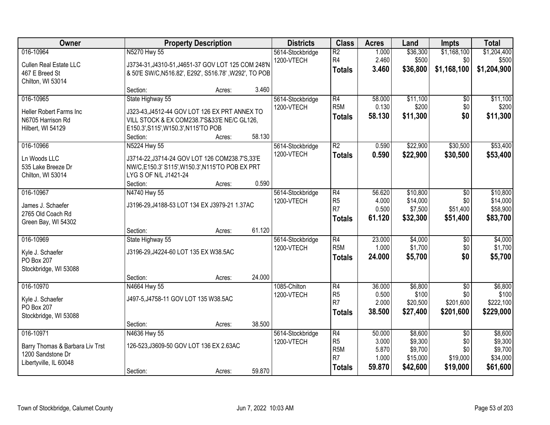| Owner                           | <b>Property Description</b>                           |        |        | <b>Districts</b> | <b>Class</b>                       | <b>Acres</b>   | Land                | <b>Impts</b>    | <b>Total</b>        |
|---------------------------------|-------------------------------------------------------|--------|--------|------------------|------------------------------------|----------------|---------------------|-----------------|---------------------|
| 016-10964                       | N5270 Hwy 55                                          |        |        | 5614-Stockbridge | $\overline{R2}$                    | 1.000          | \$36,300            | \$1,168,100     | \$1,204,400         |
| <b>Cullen Real Estate LLC</b>   | J3734-31, J4310-51, J4651-37 GOV LOT 125 COM 248'N    |        |        | 1200-VTECH       | R <sub>4</sub>                     | 2.460          | \$500               | \$0             | \$500               |
| 467 E Breed St                  | & 50'E SW/C, N516.82', E292', S516.78', W292', TO POB |        |        |                  | <b>Totals</b>                      | 3.460          | \$36,800            | \$1,168,100     | \$1,204,900         |
| Chilton, WI 53014               |                                                       |        |        |                  |                                    |                |                     |                 |                     |
|                                 | Section:                                              | Acres: | 3.460  |                  |                                    |                |                     |                 |                     |
| 016-10965                       | State Highway 55                                      |        |        | 5614-Stockbridge | R4                                 | 58,000         | \$11,100            | $\overline{50}$ | \$11,100            |
| Heller Robert Farms Inc         | J323-43, J4512-44 GOV LOT 126 EX PRT ANNEX TO         |        |        | 1200-VTECH       | R <sub>5</sub> M                   | 0.130          | \$200               | \$0             | \$200               |
| N6705 Harrison Rd               | VILL STOCK & EX COM238.7'S&33'E NE/C GL126,           |        |        |                  | <b>Totals</b>                      | 58.130         | \$11,300            | \$0             | \$11,300            |
| Hilbert, WI 54129               | E150.3', S115', W150.3', N115'TO POB                  |        |        |                  |                                    |                |                     |                 |                     |
|                                 | Section:                                              | Acres: | 58.130 |                  |                                    |                |                     |                 |                     |
| 016-10966                       | N5224 Hwy 55                                          |        |        | 5614-Stockbridge | $\overline{R2}$                    | 0.590          | \$22,900            | \$30,500        | \$53,400            |
| Ln Woods LLC                    | J3714-22, J3714-24 GOV LOT 126 COM238.7'S, 33'E       |        |        | 1200-VTECH       | <b>Totals</b>                      | 0.590          | \$22,900            | \$30,500        | \$53,400            |
| 535 Lake Breeze Dr              | NW/C,E150.3' S115', W150.3', N115'TO POB EX PRT       |        |        |                  |                                    |                |                     |                 |                     |
| Chilton, WI 53014               | LYG S OF N/L J1421-24                                 |        |        |                  |                                    |                |                     |                 |                     |
|                                 | Section:                                              | Acres: | 0.590  |                  |                                    |                |                     |                 |                     |
| 016-10967                       | N4740 Hwy 55                                          |        |        | 5614-Stockbridge | $\overline{R4}$                    | 56.620         | \$10,800            | \$0             | \$10,800            |
| James J. Schaefer               | J3196-29, J4188-53 LOT 134 EX J3979-21 1.37AC         |        |        | 1200-VTECH       | R <sub>5</sub>                     | 4.000          | \$14,000            | \$0             | \$14,000            |
| 2765 Old Coach Rd               |                                                       |        |        |                  | R7                                 | 0.500          | \$7,500             | \$51,400        | \$58,900            |
| Green Bay, WI 54302             |                                                       |        |        |                  | <b>Totals</b>                      | 61.120         | \$32,300            | \$51,400        | \$83,700            |
|                                 | Section:                                              | Acres: | 61.120 |                  |                                    |                |                     |                 |                     |
| 016-10969                       | State Highway 55                                      |        |        | 5614-Stockbridge | $\overline{R4}$                    | 23.000         | \$4,000             | $\overline{50}$ | \$4,000             |
| Kyle J. Schaefer                | J3196-29, J4224-60 LOT 135 EX W38.5AC                 |        |        | 1200-VTECH       | R <sub>5</sub> M                   | 1.000          | \$1,700             | \$0             | \$1,700             |
| PO Box 207                      |                                                       |        |        |                  | <b>Totals</b>                      | 24.000         | \$5,700             | \$0             | \$5,700             |
| Stockbridge, WI 53088           |                                                       |        |        |                  |                                    |                |                     |                 |                     |
|                                 | Section:                                              | Acres: | 24.000 |                  |                                    |                |                     |                 |                     |
| 016-10970                       | N4664 Hwy 55                                          |        |        | 1085-Chilton     | $\overline{R4}$                    | 36.000         | \$6,800             | $\overline{50}$ | \$6,800             |
| Kyle J. Schaefer                | J497-5, J4758-11 GOV LOT 135 W38.5AC                  |        |        | 1200-VTECH       | R <sub>5</sub>                     | 0.500          | \$100               | \$0             | \$100               |
| PO Box 207                      |                                                       |        |        |                  | R <sub>7</sub>                     | 2.000          | \$20,500            | \$201,600       | \$222,100           |
| Stockbridge, WI 53088           |                                                       |        |        |                  | <b>Totals</b>                      | 38.500         | \$27,400            | \$201,600       | \$229,000           |
|                                 | Section:                                              | Acres: | 38.500 |                  |                                    |                |                     |                 |                     |
| 016-10971                       | N4636 Hwy 55                                          |        |        | 5614-Stockbridge | $\overline{R4}$                    | 50.000         | \$8,600             | $\overline{50}$ | \$8,600             |
| Barry Thomas & Barbara Liv Trst | 126-523, J3609-50 GOV LOT 136 EX 2.63AC               |        |        | 1200-VTECH       | R <sub>5</sub>                     | 3.000          | \$9,300             | \$0             | \$9,300             |
| 1200 Sandstone Dr               |                                                       |        |        |                  | R <sub>5</sub> M<br>R <sub>7</sub> | 5.870<br>1.000 | \$9,700<br>\$15,000 | \$0<br>\$19,000 | \$9,700<br>\$34,000 |
| Libertyville, IL 60048          |                                                       |        |        |                  | <b>Totals</b>                      | 59.870         | \$42,600            | \$19,000        | \$61,600            |
|                                 | Section:                                              | Acres: | 59.870 |                  |                                    |                |                     |                 |                     |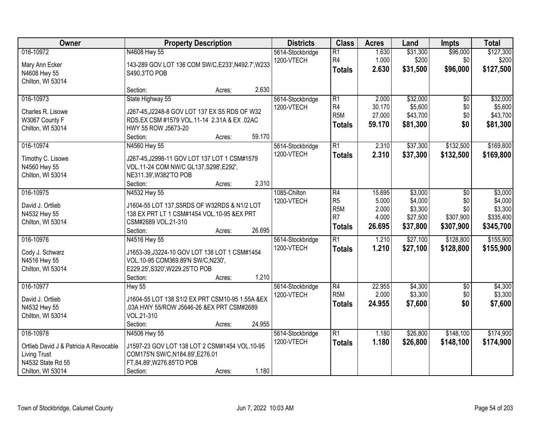| Owner                                                                                                                | <b>Property Description</b>                                                                                                                                               | <b>Districts</b>               | <b>Class</b>                                                                             | <b>Acres</b>                                | Land                                                  | <b>Impts</b>                                       | <b>Total</b>                                            |
|----------------------------------------------------------------------------------------------------------------------|---------------------------------------------------------------------------------------------------------------------------------------------------------------------------|--------------------------------|------------------------------------------------------------------------------------------|---------------------------------------------|-------------------------------------------------------|----------------------------------------------------|---------------------------------------------------------|
| 016-10972<br>Mary Ann Ecker<br>N4608 Hwy 55<br>Chilton, WI 53014                                                     | N4608 Hwy 55<br>143-289 GOV LOT 136 COM SW/C, E233', N492.7', W233<br>S490.3'TO POB                                                                                       | 5614-Stockbridge<br>1200-VTECH | $\overline{R1}$<br>R4<br><b>Totals</b>                                                   | 1.630<br>1.000<br>2.630                     | \$31,300<br>\$200<br>\$31,500                         | \$96,000<br>\$0<br>\$96,000                        | \$127,300<br>\$200<br>\$127,500                         |
|                                                                                                                      | 2.630<br>Section:<br>Acres:                                                                                                                                               |                                |                                                                                          |                                             |                                                       |                                                    |                                                         |
| 016-10973<br>Charles R. Lisowe<br>W3067 County F<br>Chilton, WI 53014                                                | State Highway 55<br>J267-45, J2248-8 GOV LOT 137 EX S5 RDS OF W32<br>RDS, EX CSM #1579 VOL. 11-14 2.31A & EX. 02AC<br>HWY 55 ROW J5673-20<br>59.170<br>Section:<br>Acres: | 5614-Stockbridge<br>1200-VTECH | $\overline{R1}$<br>R <sub>4</sub><br>R <sub>5</sub> M<br><b>Totals</b>                   | 2.000<br>30.170<br>27.000<br>59.170         | \$32,000<br>\$5,600<br>\$43,700<br>\$81,300           | $\overline{50}$<br>\$0<br>\$0<br>\$0               | \$32,000<br>\$5,600<br>\$43,700<br>\$81,300             |
| 016-10974<br>Timothy C. Lisowe<br>N4560 Hwy 55<br>Chilton, WI 53014                                                  | N4560 Hwy 55<br>J267-45, J2998-11 GOV LOT 137 LOT 1 CSM#1579<br>VOL.11-24 COM NW/C GL137, S298', E292',<br>NE311.39', W382'TO POB<br>2.310<br>Section:<br>Acres:          | 5614-Stockbridge<br>1200-VTECH | $\overline{R1}$<br><b>Totals</b>                                                         | 2.310<br>2.310                              | \$37,300<br>\$37,300                                  | \$132,500<br>\$132,500                             | \$169,800<br>\$169,800                                  |
| 016-10975<br>David J. Ortlieb<br>N4532 Hwy 55<br>Chilton, WI 53014                                                   | N4532 Hwy 55<br>J1604-55 LOT 137, S5RDS OF W32RDS & N1/2 LOT<br>138 EX PRT LT 1 CSM#1454 VOL.10-95 &EX PRT<br>CSM#2689 VOL.21-310<br>26.695<br>Section:<br>Acres:         | 1085-Chilton<br>1200-VTECH     | $\overline{R4}$<br>R <sub>5</sub><br>R <sub>5</sub> M<br>R <sub>7</sub><br><b>Totals</b> | 15.695<br>5.000<br>2.000<br>4.000<br>26.695 | \$3,000<br>\$4,000<br>\$3,300<br>\$27,500<br>\$37,800 | $\sqrt{6}$<br>\$0<br>\$0<br>\$307,900<br>\$307,900 | \$3,000<br>\$4,000<br>\$3,300<br>\$335,400<br>\$345,700 |
| 016-10976<br>Cody J. Schwarz<br>N4516 Hwy 55<br>Chilton, WI 53014                                                    | N4516 Hwy 55<br>J1653-39, J3224-10 GOV LOT 138 LOT 1 CSM#1454<br>VOL.10-95 COM369.89'N SW/C,N230',<br>E229.25', S320', W229.25'TO POB<br>1.210<br>Section:<br>Acres:      | 5614-Stockbridge<br>1200-VTECH | $\overline{R1}$<br><b>Totals</b>                                                         | 1.210<br>1.210                              | \$27,100<br>\$27,100                                  | \$128,800<br>\$128,800                             | \$155,900<br>\$155,900                                  |
| 016-10977<br>David J. Ortlieb<br>N4532 Hwy 55<br>Chilton, WI 53014                                                   | <b>Hwy 55</b><br>J1604-55 LOT 138 S1/2 EX PRT CSM10-95 1.55A &EX<br>.03A HWY 55/ROW J5646-26 &EX PRT CSM#2689<br>VOL.21-310<br>Section:<br>24.955<br>Acres:               | 5614-Stockbridge<br>1200-VTECH | $\overline{R4}$<br>R <sub>5</sub> M<br><b>Totals</b>                                     | 22.955<br>2.000<br>24.955                   | \$4,300<br>\$3,300<br>\$7,600                         | $\sqrt{6}$<br>\$0<br>\$0                           | \$4,300<br>\$3,300<br>\$7,600                           |
| 016-10978<br>Ortlieb David J & Patricia A Revocable<br><b>Living Trust</b><br>N4532 State Rd 55<br>Chilton, WI 53014 | N4506 Hwy 55<br>J1597-23 GOV LOT 138 LOT 2 CSM#1454 VOL.10-95<br>COM175'N SW/C, N184.89', E276.01<br>FT,84.89', W276.85'TO POB<br>1.180<br>Section:<br>Acres:             | 5614-Stockbridge<br>1200-VTECH | $\overline{R1}$<br><b>Totals</b>                                                         | 1.180<br>1.180                              | \$26,800<br>\$26,800                                  | \$148,100<br>\$148,100                             | \$174,900<br>\$174,900                                  |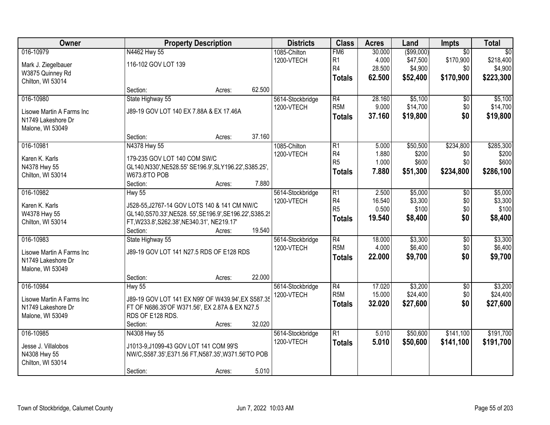| Owner                                  |                                                           | <b>Property Description</b> |        |                                | <b>Class</b>     | <b>Acres</b> | Land        | Impts           | <b>Total</b>    |
|----------------------------------------|-----------------------------------------------------------|-----------------------------|--------|--------------------------------|------------------|--------------|-------------|-----------------|-----------------|
| 016-10979                              | N4462 Hwy 55                                              |                             |        | 1085-Chilton                   | FM <sub>6</sub>  | 30.000       | ( \$99,000) | $\overline{50}$ | $\overline{50}$ |
| Mark J. Ziegelbauer                    | 116-102 GOV LOT 139                                       |                             |        | 1200-VTECH                     | R <sub>1</sub>   | 4.000        | \$47,500    | \$170,900       | \$218,400       |
| W3875 Quinney Rd                       |                                                           |                             |        |                                | R4               | 28.500       | \$4,900     | \$0             | \$4,900         |
| Chilton, WI 53014                      |                                                           |                             |        |                                | <b>Totals</b>    | 62.500       | \$52,400    | \$170,900       | \$223,300       |
|                                        | Section:                                                  | Acres:                      | 62.500 |                                |                  |              |             |                 |                 |
| 016-10980                              | State Highway 55                                          |                             |        | 5614-Stockbridge               | $\overline{R4}$  | 28.160       | \$5,100     | $\overline{50}$ | \$5,100         |
|                                        | J89-19 GOV LOT 140 EX 7.88A & EX 17.46A                   |                             |        | 1200-VTECH                     | R <sub>5</sub> M | 9.000        | \$14,700    | \$0             | \$14,700        |
| Lisowe Martin A Farms Inc              |                                                           |                             |        |                                | <b>Totals</b>    | 37.160       | \$19,800    | \$0             | \$19,800        |
| N1749 Lakeshore Dr<br>Malone, WI 53049 |                                                           |                             |        |                                |                  |              |             |                 |                 |
|                                        | Section:                                                  | Acres:                      | 37.160 |                                |                  |              |             |                 |                 |
| 016-10981                              | N4378 Hwy 55                                              |                             |        | 1085-Chilton                   | R1               | 5.000        | \$50,500    | \$234,800       | \$285,300       |
|                                        |                                                           |                             |        | 1200-VTECH                     | R4               | 1.880        | \$200       | \$0             | \$200           |
| Karen K. Karls                         | 179-235 GOV LOT 140 COM SW/C                              |                             |        |                                | R <sub>5</sub>   | 1.000        | \$600       | \$0             | \$600           |
| N4378 Hwy 55                           | GL140, N330', NE528.55' SE196.9', SLY196.22', S385.25',   |                             |        |                                | <b>Totals</b>    | 7.880        | \$51,300    | \$234,800       | \$286,100       |
| Chilton, WI 53014                      | W673.8'TO POB                                             |                             |        |                                |                  |              |             |                 |                 |
|                                        | Section:                                                  | Acres:                      | 7.880  |                                |                  |              |             |                 |                 |
| 016-10982                              | <b>Hwy 55</b>                                             |                             |        | 5614-Stockbridge               | $\overline{R1}$  | 2.500        | \$5,000     | \$0             | \$5,000         |
| Karen K. Karls                         | J528-55, J2767-14 GOV LOTS 140 & 141 CM NW/C              |                             |        | 1200-VTECH                     | R4               | 16.540       | \$3,300     | \$0             | \$3,300         |
| W4378 Hwy 55                           | GL140, S570.33', NE528. 55', SE196.9', SE196.22', S385.2' |                             |        |                                | R <sub>5</sub>   | 0.500        | \$100       | \$0             | \$100           |
| Chilton, WI 53014                      | FT, W233.8', S262.38', NE340.31', NE219.17'               |                             |        |                                | <b>Totals</b>    | 19.540       | \$8,400     | \$0             | \$8,400         |
|                                        | Section:                                                  | Acres:                      | 19.540 |                                |                  |              |             |                 |                 |
| 016-10983                              | State Highway 55                                          |                             |        | 5614-Stockbridge               | $\overline{R4}$  | 18.000       | \$3,300     | $\overline{50}$ | \$3,300         |
|                                        |                                                           |                             |        | 1200-VTECH                     | R <sub>5</sub> M | 4.000        | \$6,400     | \$0             | \$6,400         |
| Lisowe Martin A Farms Inc              | J89-19 GOV LOT 141 N27.5 RDS OF E128 RDS                  |                             |        |                                | <b>Totals</b>    | 22.000       | \$9,700     | \$0             | \$9,700         |
| N1749 Lakeshore Dr                     |                                                           |                             |        |                                |                  |              |             |                 |                 |
| Malone, WI 53049                       | Section:                                                  |                             | 22.000 |                                |                  |              |             |                 |                 |
| 016-10984                              |                                                           | Acres:                      |        |                                | $\overline{R4}$  | 17.020       | \$3,200     | $\overline{50}$ | \$3,200         |
|                                        | Hwy 55                                                    |                             |        | 5614-Stockbridge<br>1200-VTECH | R <sub>5</sub> M | 15.000       | \$24,400    | \$0             | \$24,400        |
| Lisowe Martin A Farms Inc              | J89-19 GOV LOT 141 EX N99' OF W439.94', EX S587.35        |                             |        |                                |                  | 32.020       | \$27,600    | \$0             | \$27,600        |
| N1749 Lakeshore Dr                     | FT OF N686.35'OF W371.56', EX 2.87A & EX N27.5            |                             |        |                                | <b>Totals</b>    |              |             |                 |                 |
| Malone, WI 53049                       | RDS OF E128 RDS.                                          |                             |        |                                |                  |              |             |                 |                 |
|                                        | Section:                                                  | Acres:                      | 32.020 |                                |                  |              |             |                 |                 |
| 016-10985                              | N4308 Hwy 55                                              |                             |        | 5614-Stockbridge               | $\overline{R1}$  | 5.010        | \$50,600    | \$141,100       | \$191,700       |
| Jesse J. Villalobos                    | J1013-9, J1099-43 GOV LOT 141 COM 99'S                    |                             |        | 1200-VTECH                     | <b>Totals</b>    | 5.010        | \$50,600    | \$141,100       | \$191,700       |
| N4308 Hwy 55                           | NW/C, S587.35', E371.56 FT, N587.35', W371.56'TO POB      |                             |        |                                |                  |              |             |                 |                 |
| Chilton, WI 53014                      |                                                           |                             |        |                                |                  |              |             |                 |                 |
|                                        | Section:                                                  | Acres:                      | 5.010  |                                |                  |              |             |                 |                 |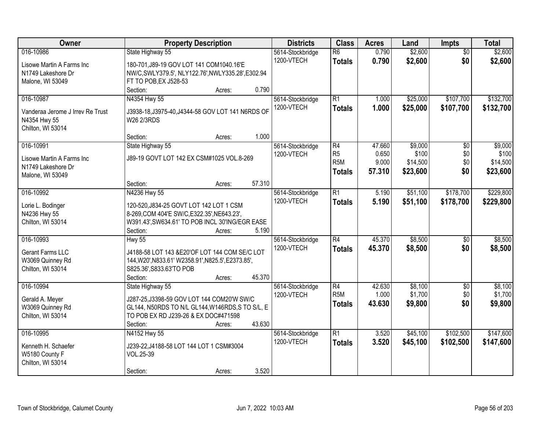| Owner                                                                 | <b>Property Description</b>                                     | <b>Districts</b>               | <b>Class</b>                     | <b>Acres</b>   | Land                 | <b>Impts</b>           | <b>Total</b>           |
|-----------------------------------------------------------------------|-----------------------------------------------------------------|--------------------------------|----------------------------------|----------------|----------------------|------------------------|------------------------|
| 016-10986<br>Lisowe Martin A Farms Inc                                | State Highway 55<br>180-701, J89-19 GOV LOT 141 COM1040.16'E    | 5614-Stockbridge<br>1200-VTECH | $\overline{R6}$<br><b>Totals</b> | 0.790<br>0.790 | \$2,600<br>\$2,600   | $\overline{50}$<br>\$0 | \$2,600<br>\$2,600     |
| N1749 Lakeshore Dr                                                    | NW/C, SWLY379.5', NLY122.76', NWLY335.28', E302.94              |                                |                                  |                |                      |                        |                        |
| Malone, WI 53049                                                      | FT TO POB, EX J528-53                                           |                                |                                  |                |                      |                        |                        |
|                                                                       | 0.790<br>Section:<br>Acres:                                     |                                |                                  |                |                      |                        |                        |
| 016-10987                                                             | N4354 Hwy 55                                                    | 5614-Stockbridge<br>1200-VTECH | R1<br><b>Totals</b>              | 1.000<br>1.000 | \$25,000<br>\$25,000 | \$107,700<br>\$107,700 | \$132,700<br>\$132,700 |
| Vanderaa Jerome J Irrey Re Trust<br>N4354 Hwy 55<br>Chilton, WI 53014 | J3938-18, J3975-40, J4344-58 GOV LOT 141 N6RDS OF<br>W26 2/3RDS |                                |                                  |                |                      |                        |                        |
|                                                                       | 1.000<br>Section:<br>Acres:                                     |                                |                                  |                |                      |                        |                        |
| 016-10991                                                             | State Highway 55                                                | 5614-Stockbridge               | R4                               | 47.660         | \$9,000              | \$0                    | \$9,000                |
| Lisowe Martin A Farms Inc                                             | J89-19 GOVT LOT 142 EX CSM#1025 VOL.8-269                       | 1200-VTECH                     | R <sub>5</sub>                   | 0.650          | \$100                | \$0                    | \$100                  |
| N1749 Lakeshore Dr                                                    |                                                                 |                                | R <sub>5M</sub>                  | 9.000          | \$14,500             | \$0                    | \$14,500               |
| Malone, WI 53049                                                      |                                                                 |                                | <b>Totals</b>                    | 57.310         | \$23,600             | \$0                    | \$23,600               |
|                                                                       | 57.310<br>Section:<br>Acres:                                    |                                |                                  |                |                      |                        |                        |
| 016-10992                                                             | N4236 Hwy 55                                                    | 5614-Stockbridge               | $\overline{R1}$                  | 5.190          | \$51,100             | \$178,700              | \$229,800              |
| Lorie L. Bodinger                                                     | 120-520, J834-25 GOVT LOT 142 LOT 1 CSM                         | 1200-VTECH                     | <b>Totals</b>                    | 5.190          | \$51,100             | \$178,700              | \$229,800              |
| N4236 Hwy 55                                                          | 8-269, COM 404'E SW/C, E322.35', NE643.23',                     |                                |                                  |                |                      |                        |                        |
| Chilton, WI 53014                                                     | W391.43', SW634.61' TO POB INCL 30'ING/EGR EASE                 |                                |                                  |                |                      |                        |                        |
|                                                                       | 5.190<br>Section:<br>Acres:                                     |                                |                                  |                |                      |                        |                        |
| 016-10993                                                             | <b>Hwy 55</b>                                                   | 5614-Stockbridge               | R4                               | 45.370         | \$8,500              | $\overline{50}$        | \$8,500                |
| Gerant Farms LLC                                                      | J4188-58 LOT 143 &E20'OF LOT 144 COM SE/C LOT                   | 1200-VTECH                     | Totals                           | 45.370         | \$8,500              | \$0                    | \$8,500                |
| W3069 Quinney Rd                                                      | 144, W20', N833.61' W2358.91', N825.5', E2373.85',              |                                |                                  |                |                      |                        |                        |
| Chilton, WI 53014                                                     | S825.36', S833.63'TO POB                                        |                                |                                  |                |                      |                        |                        |
|                                                                       | 45.370<br>Section:<br>Acres:                                    |                                |                                  |                |                      |                        |                        |
| 016-10994                                                             | State Highway 55                                                | 5614-Stockbridge               | R4                               | 42.630         | \$8,100              | $\sqrt{6}$             | \$8,100                |
| Gerald A. Meyer                                                       | J287-25, J3398-59 GOV LOT 144 COM20'W SW/C                      | 1200-VTECH                     | R <sub>5M</sub>                  | 1.000          | \$1,700              | \$0                    | \$1,700                |
| W3069 Quinney Rd                                                      | GL144, N50RDS TO N/L GL144, W146RDS, S TO S/L, E                |                                | <b>Totals</b>                    | 43.630         | \$9,800              | \$0                    | \$9,800                |
| Chilton, WI 53014                                                     | TO POB EX RD J239-26 & EX DOC#471598                            |                                |                                  |                |                      |                        |                        |
|                                                                       | 43.630<br>Section:<br>Acres:                                    |                                |                                  |                |                      |                        |                        |
| 016-10995                                                             | N4152 Hwy 55                                                    | 5614-Stockbridge               | $\overline{R1}$                  | 3.520          | \$45,100             | \$102,500              | \$147,600              |
| Kenneth H. Schaefer                                                   | J239-22, J4188-58 LOT 144 LOT 1 CSM#3004                        | 1200-VTECH                     | <b>Totals</b>                    | 3.520          | \$45,100             | \$102,500              | \$147,600              |
| W5180 County F                                                        | VOL.25-39                                                       |                                |                                  |                |                      |                        |                        |
| Chilton, WI 53014                                                     |                                                                 |                                |                                  |                |                      |                        |                        |
|                                                                       | 3.520<br>Section:<br>Acres:                                     |                                |                                  |                |                      |                        |                        |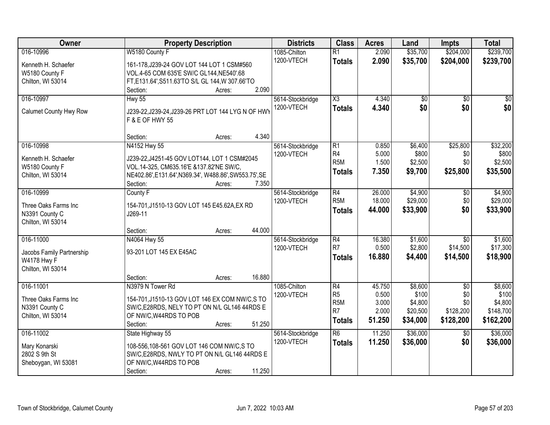| Owner                     | <b>Property Description</b>                                           | <b>Districts</b> | <b>Class</b>     | <b>Acres</b> | Land            | <b>Impts</b>    | <b>Total</b> |
|---------------------------|-----------------------------------------------------------------------|------------------|------------------|--------------|-----------------|-----------------|--------------|
| 016-10996                 | W5180 County F                                                        | 1085-Chilton     | $\overline{R1}$  | 2.090        | \$35,700        | \$204,000       | \$239,700    |
| Kenneth H. Schaefer       | 161-178, J239-24 GOV LOT 144 LOT 1 CSM#560                            | 1200-VTECH       | <b>Totals</b>    | 2.090        | \$35,700        | \$204,000       | \$239,700    |
| W5180 County F            | VOL.4-65 COM 635'E SW/C GL144, NE540'.68                              |                  |                  |              |                 |                 |              |
| Chilton, WI 53014         | FT,E131.64',S511.63'TO S/L GL 144,W 307.66'TO                         |                  |                  |              |                 |                 |              |
|                           | 2.090<br>Section:<br>Acres:                                           |                  |                  |              |                 |                 |              |
| 016-10997                 | <b>Hwy 55</b>                                                         | 5614-Stockbridge | X3               | 4.340        | $\overline{50}$ | $\overline{50}$ | \$0          |
| Calumet County Hwy Row    |                                                                       | 1200-VTECH       | <b>Totals</b>    | 4.340        | \$0             | \$0             | \$0          |
|                           | J239-22, J239-24, J239-26 PRT LOT 144 LYG N OF HWY<br>F & E OF HWY 55 |                  |                  |              |                 |                 |              |
|                           | 4.340<br>Section:<br>Acres:                                           |                  |                  |              |                 |                 |              |
| 016-10998                 | N4152 Hwy 55                                                          | 5614-Stockbridge | $\overline{R1}$  | 0.850        | \$6,400         | \$25,800        | \$32,200     |
| Kenneth H. Schaefer       | J239-22, J4251-45 GOV LOT144, LOT 1 CSM#2045                          | 1200-VTECH       | R4               | 5.000        | \$800           | \$0             | \$800        |
| W5180 County F            | VOL.14-325, CM635.16'E &137.82'NE SW/C,                               |                  | R <sub>5</sub> M | 1.500        | \$2,500         | \$0             | \$2,500      |
| Chilton, WI 53014         | NE402.86', E131.64', N369.34', W488.86', SW553.75', SE                |                  | <b>Totals</b>    | 7.350        | \$9,700         | \$25,800        | \$35,500     |
|                           | Section:<br>7.350<br>Acres:                                           |                  |                  |              |                 |                 |              |
| 016-10999                 | County F                                                              | 5614-Stockbridge | R4               | 26.000       | \$4,900         | $\sqrt[6]{3}$   | \$4,900      |
| Three Oaks Farms Inc      | 154-701, J1510-13 GOV LOT 145 E45.62A, EX RD                          | 1200-VTECH       | R <sub>5</sub> M | 18.000       | \$29,000        | \$0             | \$29,000     |
| N3391 County C            | J269-11                                                               |                  | <b>Totals</b>    | 44.000       | \$33,900        | \$0             | \$33,900     |
| Chilton, WI 53014         |                                                                       |                  |                  |              |                 |                 |              |
|                           | 44.000<br>Section:<br>Acres:                                          |                  |                  |              |                 |                 |              |
| 016-11000                 | N4064 Hwy 55                                                          | 5614-Stockbridge | $\overline{R4}$  | 16.380       | \$1,600         | $\overline{30}$ | \$1,600      |
| Jacobs Family Partnership | 93-201 LOT 145 EX E45AC                                               | 1200-VTECH       | R7               | 0.500        | \$2,800         | \$14,500        | \$17,300     |
| <b>W4178 Hwy F</b>        |                                                                       |                  | <b>Totals</b>    | 16.880       | \$4,400         | \$14,500        | \$18,900     |
| Chilton, WI 53014         |                                                                       |                  |                  |              |                 |                 |              |
|                           | 16.880<br>Section:<br>Acres:                                          |                  |                  |              |                 |                 |              |
| 016-11001                 | N3979 N Tower Rd                                                      | 1085-Chilton     | R4               | 45.750       | \$8,600         | $\overline{50}$ | \$8,600      |
| Three Oaks Farms Inc      | 154-701, J1510-13 GOV LOT 146 EX COM NW/C, S TO                       | 1200-VTECH       | R <sub>5</sub>   | 0.500        | \$100           | \$0             | \$100        |
| N3391 County C            | SW/C, E28RDS, NELY TO PT ON N/L GL146 44RDS E                         |                  | R <sub>5</sub> M | 3.000        | \$4,800         | \$0             | \$4,800      |
| Chilton, WI 53014         | OF NW/C, W44RDS TO POB                                                |                  | R <sub>7</sub>   | 2.000        | \$20,500        | \$128,200       | \$148,700    |
|                           | 51.250<br>Section:<br>Acres:                                          |                  | <b>Totals</b>    | 51.250       | \$34,000        | \$128,200       | \$162,200    |
| 016-11002                 | State Highway 55                                                      | 5614-Stockbridge | $\overline{R6}$  | 11.250       | \$36,000        | $\overline{50}$ | \$36,000     |
| Mary Konarski             | 108-556,108-561 GOV LOT 146 COM NW/C,S TO                             | 1200-VTECH       | <b>Totals</b>    | 11.250       | \$36,000        | \$0             | \$36,000     |
| 2802 S 9th St             | SW/C, E28RDS, NWLY TO PT ON N/L GL146 44RDS E                         |                  |                  |              |                 |                 |              |
| Sheboygan, WI 53081       | OF NW/C, W44RDS TO POB                                                |                  |                  |              |                 |                 |              |
|                           | 11.250<br>Section:<br>Acres:                                          |                  |                  |              |                 |                 |              |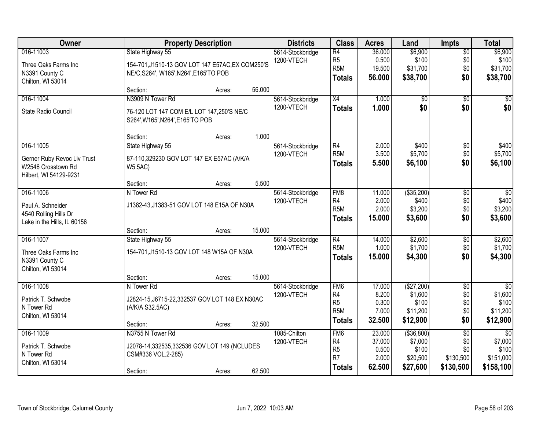| Owner                       | <b>Property Description</b>                      |        |        | <b>Districts</b> | <b>Class</b>     | <b>Acres</b> | Land            | <b>Impts</b>    | <b>Total</b>    |
|-----------------------------|--------------------------------------------------|--------|--------|------------------|------------------|--------------|-----------------|-----------------|-----------------|
| 016-11003                   | State Highway 55                                 |        |        | 5614-Stockbridge | $\overline{R4}$  | 36.000       | \$6,900         | $\overline{50}$ | \$6,900         |
| Three Oaks Farms Inc        | 154-701, J1510-13 GOV LOT 147 E57AC, EX COM250'S |        |        | 1200-VTECH       | R <sub>5</sub>   | 0.500        | \$100           | \$0             | \$100           |
| N3391 County C              | NE/C, S264', W165', N264', E165'TO POB           |        |        |                  | R <sub>5</sub> M | 19.500       | \$31,700        | \$0             | \$31,700        |
| Chilton, WI 53014           |                                                  |        |        |                  | <b>Totals</b>    | 56.000       | \$38,700        | \$0             | \$38,700        |
|                             | Section:                                         | Acres: | 56.000 |                  |                  |              |                 |                 |                 |
| 016-11004                   | N3909 N Tower Rd                                 |        |        | 5614-Stockbridge | X4               | 1.000        | $\overline{50}$ | $\overline{50}$ | $\overline{50}$ |
| State Radio Council         | 76-120 LOT 147 COM E/L LOT 147,250'S NE/C        |        |        | 1200-VTECH       | <b>Totals</b>    | 1.000        | \$0             | \$0             | \$0             |
|                             | S264', W165', N264', E165'TO POB                 |        |        |                  |                  |              |                 |                 |                 |
|                             | Section:                                         | Acres: | 1.000  |                  |                  |              |                 |                 |                 |
| 016-11005                   | State Highway 55                                 |        |        | 5614-Stockbridge | $\overline{R4}$  | 2.000        | \$400           | \$0             | \$400           |
| Gerner Ruby Revoc Liv Trust | 87-110,329230 GOV LOT 147 EX E57AC (A/K/A        |        |        | 1200-VTECH       | R <sub>5</sub> M | 3.500        | \$5,700         | \$0             | \$5,700         |
| W2546 Crosstown Rd          | <b>W5.5AC)</b>                                   |        |        |                  | <b>Totals</b>    | 5.500        | \$6,100         | \$0             | \$6,100         |
| Hilbert, WI 54129-9231      |                                                  |        |        |                  |                  |              |                 |                 |                 |
|                             | Section:                                         | Acres: | 5.500  |                  |                  |              |                 |                 |                 |
| 016-11006                   | N Tower Rd                                       |        |        | 5614-Stockbridge | FM <sub>8</sub>  | 11.000       | ( \$35,200)     | \$0             | \$0             |
| Paul A. Schneider           | J1382-43, J1383-51 GOV LOT 148 E15A OF N30A      |        |        | 1200-VTECH       | R4               | 2.000        | \$400           | \$0             | \$400           |
| 4540 Rolling Hills Dr       |                                                  |        |        |                  | R <sub>5</sub> M | 2.000        | \$3,200         | \$0             | \$3,200         |
| Lake in the Hills, IL 60156 |                                                  |        |        |                  | <b>Totals</b>    | 15.000       | \$3,600         | \$0             | \$3,600         |
|                             | Section:                                         | Acres: | 15.000 |                  |                  |              |                 |                 |                 |
| 016-11007                   | State Highway 55                                 |        |        | 5614-Stockbridge | $\overline{R4}$  | 14.000       | \$2,600         | $\overline{50}$ | \$2,600         |
| Three Oaks Farms Inc        | 154-701, J1510-13 GOV LOT 148 W15A OF N30A       |        |        | 1200-VTECH       | R <sub>5</sub> M | 1.000        | \$1,700         | \$0             | \$1,700         |
| N3391 County C              |                                                  |        |        |                  | <b>Totals</b>    | 15.000       | \$4,300         | \$0             | \$4,300         |
| Chilton, WI 53014           |                                                  |        |        |                  |                  |              |                 |                 |                 |
|                             | Section:                                         | Acres: | 15.000 |                  |                  |              |                 |                 |                 |
| 016-11008                   | N Tower Rd                                       |        |        | 5614-Stockbridge | FM <sub>6</sub>  | 17.000       | (\$27,200)      | $\sqrt{6}$      | $\sqrt{50}$     |
| Patrick T. Schwobe          | J2824-15, J6715-22, 332537 GOV LOT 148 EX N30AC  |        |        | 1200-VTECH       | R4               | 8.200        | \$1,600         | \$0             | \$1,600         |
| N Tower Rd                  | (A/K/A S32.5AC)                                  |        |        |                  | R <sub>5</sub>   | 0.300        | \$100           | \$0             | \$100           |
| Chilton, WI 53014           |                                                  |        |        |                  | R <sub>5</sub> M | 7.000        | \$11,200        | \$0             | \$11,200        |
|                             | Section:                                         | Acres: | 32.500 |                  | <b>Totals</b>    | 32.500       | \$12,900        | \$0             | \$12,900        |
| 016-11009                   | N3755 N Tower Rd                                 |        |        | 1085-Chilton     | FM <sub>6</sub>  | 23.000       | ( \$36, 800)    | $\overline{30}$ | $\overline{50}$ |
| Patrick T. Schwobe          | J2078-14,332535,332536 GOV LOT 149 (NCLUDES      |        |        | 1200-VTECH       | R4               | 37.000       | \$7,000         | \$0             | \$7,000         |
| N Tower Rd                  | CSM#336 VOL.2-285)                               |        |        |                  | R <sub>5</sub>   | 0.500        | \$100           | \$0             | \$100           |
| Chilton, WI 53014           |                                                  |        |        |                  | R <sub>7</sub>   | 2.000        | \$20,500        | \$130,500       | \$151,000       |
|                             | Section:                                         | Acres: | 62.500 |                  | <b>Totals</b>    | 62.500       | \$27,600        | \$130,500       | \$158,100       |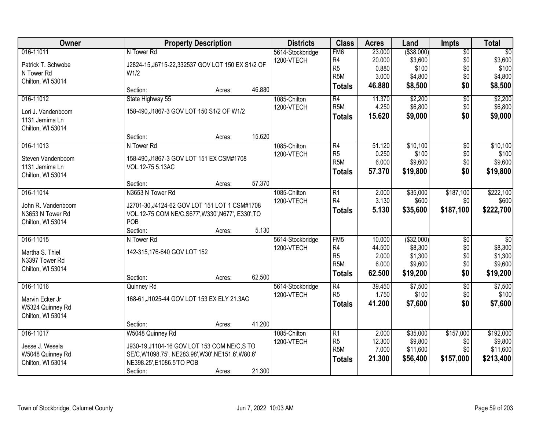| 016-11011<br>FM <sub>6</sub><br>23.000<br>( \$38,000)<br>$\overline{50}$<br>$\overline{50}$<br>N Tower Rd<br>5614-Stockbridge<br>\$3,600<br>\$0<br>\$3,600<br>R <sub>4</sub><br>20.000<br>1200-VTECH<br>Patrick T. Schwobe<br>J2824-15, J6715-22, 332537 GOV LOT 150 EX S1/2 OF<br>R <sub>5</sub><br>\$100<br>0.880<br>\$0<br>\$100<br>N Tower Rd<br>W <sub>1/2</sub><br>R <sub>5</sub> M<br>3.000<br>\$4,800<br>\$0<br>\$4,800<br>Chilton, WI 53014<br>\$8,500<br>\$0<br>46.880<br>\$8,500<br><b>Totals</b><br>46.880<br>Section:<br>Acres:<br>\$2,200<br>$\overline{50}$<br>\$2,200<br>016-11012<br>State Highway 55<br>1085-Chilton<br>$\overline{R4}$<br>11.370<br>R <sub>5</sub> M<br>4.250<br>\$6,800<br>\$0<br>1200-VTECH<br>158-490, J1867-3 GOV LOT 150 S1/2 OF W1/2<br>Lori J. Vandenboom<br>\$0<br>15.620<br>\$9,000<br><b>Totals</b><br>1131 Jemima Ln<br>Chilton, WI 53014<br>15.620<br>Section:<br>Acres:<br>\$10,100<br>016-11013<br>1085-Chilton<br>$\overline{R4}$<br>51.120<br>$\overline{50}$<br>N Tower Rd<br>R <sub>5</sub><br>\$100<br>\$0<br>0.250<br>1200-VTECH<br>Steven Vandenboom<br>158-490, J1867-3 GOV LOT 151 EX CSM#1708<br>R <sub>5</sub> M<br>6.000<br>\$9,600<br>\$0<br>1131 Jemima Ln<br>VOL.12-75 5.13AC<br>57.370<br>\$19,800<br>\$0<br><b>Totals</b><br>Chilton, WI 53014<br>57.370<br>Section:<br>Acres:<br>016-11014<br>N3653 N Tower Rd<br>\$35,000<br>\$187,100<br>1085-Chilton<br>$\overline{R1}$<br>2.000<br>3.130<br>R4<br>\$600<br>\$0<br>1200-VTECH<br>John R. Vandenboom<br>J2701-30, J4124-62 GOV LOT 151 LOT 1 CSM#1708<br>\$187,100<br>5.130<br>\$35,600<br><b>Totals</b><br>N3653 N Tower Rd<br>VOL.12-75 COM NE/C, S677', W330', N677', E330', TO<br>POB<br>Chilton, WI 53014<br>5.130<br>Section:<br>Acres:<br>016-11015<br>( \$32,000)<br>FM5<br>10.000<br>$\overline{50}$<br>$\overline{50}$<br>N Tower Rd<br>5614-Stockbridge<br>R4<br>\$8,300<br>\$0<br>44.500<br>1200-VTECH<br>142-315,176-640 GOV LOT 152<br>Martha S. Thiel<br>R <sub>5</sub><br>\$0<br>\$1,300<br>2.000<br>N3397 Tower Rd<br>R <sub>5</sub> M<br>\$9,600<br>\$0<br>6.000<br>Chilton, WI 53014<br>\$0<br>\$19,200<br>62.500<br><b>Totals</b><br>62.500<br>Section:<br>Acres:<br>016-11016<br>$\overline{R4}$<br>\$7,500<br>$\overline{50}$<br>39.450<br>Quinney Rd<br>5614-Stockbridge<br>R <sub>5</sub><br>\$0<br>1.750<br>\$100<br>1200-VTECH<br>168-61, J1025-44 GOV LOT 153 EX ELY 21.3AC<br>Marvin Ecker Jr<br>\$0<br>41.200<br>\$7,600<br><b>Totals</b><br>W5324 Quinney Rd<br>Chilton, WI 53014 | Owner | <b>Property Description</b> |        |        | <b>Districts</b> | <b>Class</b> | <b>Acres</b> | Land | Impts | <b>Total</b> |
|--------------------------------------------------------------------------------------------------------------------------------------------------------------------------------------------------------------------------------------------------------------------------------------------------------------------------------------------------------------------------------------------------------------------------------------------------------------------------------------------------------------------------------------------------------------------------------------------------------------------------------------------------------------------------------------------------------------------------------------------------------------------------------------------------------------------------------------------------------------------------------------------------------------------------------------------------------------------------------------------------------------------------------------------------------------------------------------------------------------------------------------------------------------------------------------------------------------------------------------------------------------------------------------------------------------------------------------------------------------------------------------------------------------------------------------------------------------------------------------------------------------------------------------------------------------------------------------------------------------------------------------------------------------------------------------------------------------------------------------------------------------------------------------------------------------------------------------------------------------------------------------------------------------------------------------------------------------------------------------------------------------------------------------------------------------------------------------------------------------------------------------------------------------------------------------------------------------------------------------------------------------------------------------------------------------------------------------------------------------------------------------------------------------------------------------------------------------------------------------------------------------------------------------|-------|-----------------------------|--------|--------|------------------|--------------|--------------|------|-------|--------------|
|                                                                                                                                                                                                                                                                                                                                                                                                                                                                                                                                                                                                                                                                                                                                                                                                                                                                                                                                                                                                                                                                                                                                                                                                                                                                                                                                                                                                                                                                                                                                                                                                                                                                                                                                                                                                                                                                                                                                                                                                                                                                                                                                                                                                                                                                                                                                                                                                                                                                                                                                      |       |                             |        |        |                  |              |              |      |       |              |
|                                                                                                                                                                                                                                                                                                                                                                                                                                                                                                                                                                                                                                                                                                                                                                                                                                                                                                                                                                                                                                                                                                                                                                                                                                                                                                                                                                                                                                                                                                                                                                                                                                                                                                                                                                                                                                                                                                                                                                                                                                                                                                                                                                                                                                                                                                                                                                                                                                                                                                                                      |       |                             |        |        |                  |              |              |      |       |              |
|                                                                                                                                                                                                                                                                                                                                                                                                                                                                                                                                                                                                                                                                                                                                                                                                                                                                                                                                                                                                                                                                                                                                                                                                                                                                                                                                                                                                                                                                                                                                                                                                                                                                                                                                                                                                                                                                                                                                                                                                                                                                                                                                                                                                                                                                                                                                                                                                                                                                                                                                      |       |                             |        |        |                  |              |              |      |       |              |
|                                                                                                                                                                                                                                                                                                                                                                                                                                                                                                                                                                                                                                                                                                                                                                                                                                                                                                                                                                                                                                                                                                                                                                                                                                                                                                                                                                                                                                                                                                                                                                                                                                                                                                                                                                                                                                                                                                                                                                                                                                                                                                                                                                                                                                                                                                                                                                                                                                                                                                                                      |       |                             |        |        |                  |              |              |      |       |              |
|                                                                                                                                                                                                                                                                                                                                                                                                                                                                                                                                                                                                                                                                                                                                                                                                                                                                                                                                                                                                                                                                                                                                                                                                                                                                                                                                                                                                                                                                                                                                                                                                                                                                                                                                                                                                                                                                                                                                                                                                                                                                                                                                                                                                                                                                                                                                                                                                                                                                                                                                      |       |                             |        |        |                  |              |              |      |       |              |
| \$6,800<br>\$9,000<br>\$10,100<br>\$100<br>\$19,800<br>\$222,100<br>\$1,300<br>\$19,200<br>\$7,500<br>\$100<br>\$7,600                                                                                                                                                                                                                                                                                                                                                                                                                                                                                                                                                                                                                                                                                                                                                                                                                                                                                                                                                                                                                                                                                                                                                                                                                                                                                                                                                                                                                                                                                                                                                                                                                                                                                                                                                                                                                                                                                                                                                                                                                                                                                                                                                                                                                                                                                                                                                                                                               |       |                             |        |        |                  |              |              |      |       |              |
|                                                                                                                                                                                                                                                                                                                                                                                                                                                                                                                                                                                                                                                                                                                                                                                                                                                                                                                                                                                                                                                                                                                                                                                                                                                                                                                                                                                                                                                                                                                                                                                                                                                                                                                                                                                                                                                                                                                                                                                                                                                                                                                                                                                                                                                                                                                                                                                                                                                                                                                                      |       |                             |        |        |                  |              |              |      |       |              |
|                                                                                                                                                                                                                                                                                                                                                                                                                                                                                                                                                                                                                                                                                                                                                                                                                                                                                                                                                                                                                                                                                                                                                                                                                                                                                                                                                                                                                                                                                                                                                                                                                                                                                                                                                                                                                                                                                                                                                                                                                                                                                                                                                                                                                                                                                                                                                                                                                                                                                                                                      |       |                             |        |        |                  |              |              |      |       |              |
|                                                                                                                                                                                                                                                                                                                                                                                                                                                                                                                                                                                                                                                                                                                                                                                                                                                                                                                                                                                                                                                                                                                                                                                                                                                                                                                                                                                                                                                                                                                                                                                                                                                                                                                                                                                                                                                                                                                                                                                                                                                                                                                                                                                                                                                                                                                                                                                                                                                                                                                                      |       |                             |        |        |                  |              |              |      |       |              |
|                                                                                                                                                                                                                                                                                                                                                                                                                                                                                                                                                                                                                                                                                                                                                                                                                                                                                                                                                                                                                                                                                                                                                                                                                                                                                                                                                                                                                                                                                                                                                                                                                                                                                                                                                                                                                                                                                                                                                                                                                                                                                                                                                                                                                                                                                                                                                                                                                                                                                                                                      |       |                             |        |        |                  |              |              |      |       |              |
|                                                                                                                                                                                                                                                                                                                                                                                                                                                                                                                                                                                                                                                                                                                                                                                                                                                                                                                                                                                                                                                                                                                                                                                                                                                                                                                                                                                                                                                                                                                                                                                                                                                                                                                                                                                                                                                                                                                                                                                                                                                                                                                                                                                                                                                                                                                                                                                                                                                                                                                                      |       |                             |        |        |                  |              |              |      |       |              |
| \$9,600<br>\$600<br>\$222,700<br>\$8,300<br>\$9,600                                                                                                                                                                                                                                                                                                                                                                                                                                                                                                                                                                                                                                                                                                                                                                                                                                                                                                                                                                                                                                                                                                                                                                                                                                                                                                                                                                                                                                                                                                                                                                                                                                                                                                                                                                                                                                                                                                                                                                                                                                                                                                                                                                                                                                                                                                                                                                                                                                                                                  |       |                             |        |        |                  |              |              |      |       |              |
|                                                                                                                                                                                                                                                                                                                                                                                                                                                                                                                                                                                                                                                                                                                                                                                                                                                                                                                                                                                                                                                                                                                                                                                                                                                                                                                                                                                                                                                                                                                                                                                                                                                                                                                                                                                                                                                                                                                                                                                                                                                                                                                                                                                                                                                                                                                                                                                                                                                                                                                                      |       |                             |        |        |                  |              |              |      |       |              |
|                                                                                                                                                                                                                                                                                                                                                                                                                                                                                                                                                                                                                                                                                                                                                                                                                                                                                                                                                                                                                                                                                                                                                                                                                                                                                                                                                                                                                                                                                                                                                                                                                                                                                                                                                                                                                                                                                                                                                                                                                                                                                                                                                                                                                                                                                                                                                                                                                                                                                                                                      |       |                             |        |        |                  |              |              |      |       |              |
|                                                                                                                                                                                                                                                                                                                                                                                                                                                                                                                                                                                                                                                                                                                                                                                                                                                                                                                                                                                                                                                                                                                                                                                                                                                                                                                                                                                                                                                                                                                                                                                                                                                                                                                                                                                                                                                                                                                                                                                                                                                                                                                                                                                                                                                                                                                                                                                                                                                                                                                                      |       |                             |        |        |                  |              |              |      |       |              |
|                                                                                                                                                                                                                                                                                                                                                                                                                                                                                                                                                                                                                                                                                                                                                                                                                                                                                                                                                                                                                                                                                                                                                                                                                                                                                                                                                                                                                                                                                                                                                                                                                                                                                                                                                                                                                                                                                                                                                                                                                                                                                                                                                                                                                                                                                                                                                                                                                                                                                                                                      |       |                             |        |        |                  |              |              |      |       |              |
|                                                                                                                                                                                                                                                                                                                                                                                                                                                                                                                                                                                                                                                                                                                                                                                                                                                                                                                                                                                                                                                                                                                                                                                                                                                                                                                                                                                                                                                                                                                                                                                                                                                                                                                                                                                                                                                                                                                                                                                                                                                                                                                                                                                                                                                                                                                                                                                                                                                                                                                                      |       |                             |        |        |                  |              |              |      |       |              |
|                                                                                                                                                                                                                                                                                                                                                                                                                                                                                                                                                                                                                                                                                                                                                                                                                                                                                                                                                                                                                                                                                                                                                                                                                                                                                                                                                                                                                                                                                                                                                                                                                                                                                                                                                                                                                                                                                                                                                                                                                                                                                                                                                                                                                                                                                                                                                                                                                                                                                                                                      |       |                             |        |        |                  |              |              |      |       |              |
|                                                                                                                                                                                                                                                                                                                                                                                                                                                                                                                                                                                                                                                                                                                                                                                                                                                                                                                                                                                                                                                                                                                                                                                                                                                                                                                                                                                                                                                                                                                                                                                                                                                                                                                                                                                                                                                                                                                                                                                                                                                                                                                                                                                                                                                                                                                                                                                                                                                                                                                                      |       |                             |        |        |                  |              |              |      |       |              |
|                                                                                                                                                                                                                                                                                                                                                                                                                                                                                                                                                                                                                                                                                                                                                                                                                                                                                                                                                                                                                                                                                                                                                                                                                                                                                                                                                                                                                                                                                                                                                                                                                                                                                                                                                                                                                                                                                                                                                                                                                                                                                                                                                                                                                                                                                                                                                                                                                                                                                                                                      |       |                             |        |        |                  |              |              |      |       |              |
|                                                                                                                                                                                                                                                                                                                                                                                                                                                                                                                                                                                                                                                                                                                                                                                                                                                                                                                                                                                                                                                                                                                                                                                                                                                                                                                                                                                                                                                                                                                                                                                                                                                                                                                                                                                                                                                                                                                                                                                                                                                                                                                                                                                                                                                                                                                                                                                                                                                                                                                                      |       |                             |        |        |                  |              |              |      |       |              |
|                                                                                                                                                                                                                                                                                                                                                                                                                                                                                                                                                                                                                                                                                                                                                                                                                                                                                                                                                                                                                                                                                                                                                                                                                                                                                                                                                                                                                                                                                                                                                                                                                                                                                                                                                                                                                                                                                                                                                                                                                                                                                                                                                                                                                                                                                                                                                                                                                                                                                                                                      |       |                             |        |        |                  |              |              |      |       |              |
|                                                                                                                                                                                                                                                                                                                                                                                                                                                                                                                                                                                                                                                                                                                                                                                                                                                                                                                                                                                                                                                                                                                                                                                                                                                                                                                                                                                                                                                                                                                                                                                                                                                                                                                                                                                                                                                                                                                                                                                                                                                                                                                                                                                                                                                                                                                                                                                                                                                                                                                                      |       |                             |        |        |                  |              |              |      |       |              |
|                                                                                                                                                                                                                                                                                                                                                                                                                                                                                                                                                                                                                                                                                                                                                                                                                                                                                                                                                                                                                                                                                                                                                                                                                                                                                                                                                                                                                                                                                                                                                                                                                                                                                                                                                                                                                                                                                                                                                                                                                                                                                                                                                                                                                                                                                                                                                                                                                                                                                                                                      |       |                             |        |        |                  |              |              |      |       |              |
|                                                                                                                                                                                                                                                                                                                                                                                                                                                                                                                                                                                                                                                                                                                                                                                                                                                                                                                                                                                                                                                                                                                                                                                                                                                                                                                                                                                                                                                                                                                                                                                                                                                                                                                                                                                                                                                                                                                                                                                                                                                                                                                                                                                                                                                                                                                                                                                                                                                                                                                                      |       |                             |        |        |                  |              |              |      |       |              |
|                                                                                                                                                                                                                                                                                                                                                                                                                                                                                                                                                                                                                                                                                                                                                                                                                                                                                                                                                                                                                                                                                                                                                                                                                                                                                                                                                                                                                                                                                                                                                                                                                                                                                                                                                                                                                                                                                                                                                                                                                                                                                                                                                                                                                                                                                                                                                                                                                                                                                                                                      |       |                             |        |        |                  |              |              |      |       |              |
|                                                                                                                                                                                                                                                                                                                                                                                                                                                                                                                                                                                                                                                                                                                                                                                                                                                                                                                                                                                                                                                                                                                                                                                                                                                                                                                                                                                                                                                                                                                                                                                                                                                                                                                                                                                                                                                                                                                                                                                                                                                                                                                                                                                                                                                                                                                                                                                                                                                                                                                                      |       |                             |        |        |                  |              |              |      |       |              |
|                                                                                                                                                                                                                                                                                                                                                                                                                                                                                                                                                                                                                                                                                                                                                                                                                                                                                                                                                                                                                                                                                                                                                                                                                                                                                                                                                                                                                                                                                                                                                                                                                                                                                                                                                                                                                                                                                                                                                                                                                                                                                                                                                                                                                                                                                                                                                                                                                                                                                                                                      |       |                             |        |        |                  |              |              |      |       |              |
|                                                                                                                                                                                                                                                                                                                                                                                                                                                                                                                                                                                                                                                                                                                                                                                                                                                                                                                                                                                                                                                                                                                                                                                                                                                                                                                                                                                                                                                                                                                                                                                                                                                                                                                                                                                                                                                                                                                                                                                                                                                                                                                                                                                                                                                                                                                                                                                                                                                                                                                                      |       |                             |        |        |                  |              |              |      |       |              |
|                                                                                                                                                                                                                                                                                                                                                                                                                                                                                                                                                                                                                                                                                                                                                                                                                                                                                                                                                                                                                                                                                                                                                                                                                                                                                                                                                                                                                                                                                                                                                                                                                                                                                                                                                                                                                                                                                                                                                                                                                                                                                                                                                                                                                                                                                                                                                                                                                                                                                                                                      |       |                             |        |        |                  |              |              |      |       |              |
|                                                                                                                                                                                                                                                                                                                                                                                                                                                                                                                                                                                                                                                                                                                                                                                                                                                                                                                                                                                                                                                                                                                                                                                                                                                                                                                                                                                                                                                                                                                                                                                                                                                                                                                                                                                                                                                                                                                                                                                                                                                                                                                                                                                                                                                                                                                                                                                                                                                                                                                                      |       |                             |        |        |                  |              |              |      |       |              |
|                                                                                                                                                                                                                                                                                                                                                                                                                                                                                                                                                                                                                                                                                                                                                                                                                                                                                                                                                                                                                                                                                                                                                                                                                                                                                                                                                                                                                                                                                                                                                                                                                                                                                                                                                                                                                                                                                                                                                                                                                                                                                                                                                                                                                                                                                                                                                                                                                                                                                                                                      |       | Section:                    | Acres: | 41.200 |                  |              |              |      |       |              |
| \$157,000<br>016-11017<br>W5048 Quinney Rd<br>1085-Chilton<br>$\overline{R1}$<br>\$35,000<br>\$192,000<br>2.000                                                                                                                                                                                                                                                                                                                                                                                                                                                                                                                                                                                                                                                                                                                                                                                                                                                                                                                                                                                                                                                                                                                                                                                                                                                                                                                                                                                                                                                                                                                                                                                                                                                                                                                                                                                                                                                                                                                                                                                                                                                                                                                                                                                                                                                                                                                                                                                                                      |       |                             |        |        |                  |              |              |      |       |              |
| \$9,800<br>R <sub>5</sub><br>12.300<br>\$9,800<br>\$0<br>1200-VTECH<br>Jesse J. Wesela<br>J930-19, J1104-16 GOV LOT 153 COM NE/C, S TO                                                                                                                                                                                                                                                                                                                                                                                                                                                                                                                                                                                                                                                                                                                                                                                                                                                                                                                                                                                                                                                                                                                                                                                                                                                                                                                                                                                                                                                                                                                                                                                                                                                                                                                                                                                                                                                                                                                                                                                                                                                                                                                                                                                                                                                                                                                                                                                               |       |                             |        |        |                  |              |              |      |       |              |
| R <sub>5</sub> M<br>7.000<br>\$11,600<br>\$0<br>\$11,600<br>W5048 Quinney Rd<br>SE/C, W1098.75', NE283.98', W30', NE151.6', W80.6'                                                                                                                                                                                                                                                                                                                                                                                                                                                                                                                                                                                                                                                                                                                                                                                                                                                                                                                                                                                                                                                                                                                                                                                                                                                                                                                                                                                                                                                                                                                                                                                                                                                                                                                                                                                                                                                                                                                                                                                                                                                                                                                                                                                                                                                                                                                                                                                                   |       |                             |        |        |                  |              |              |      |       |              |
| \$56,400<br>\$157,000<br>21.300<br>\$213,400<br><b>Totals</b><br>Chilton, WI 53014<br>NE398.25', E1086.5'TO POB                                                                                                                                                                                                                                                                                                                                                                                                                                                                                                                                                                                                                                                                                                                                                                                                                                                                                                                                                                                                                                                                                                                                                                                                                                                                                                                                                                                                                                                                                                                                                                                                                                                                                                                                                                                                                                                                                                                                                                                                                                                                                                                                                                                                                                                                                                                                                                                                                      |       |                             |        |        |                  |              |              |      |       |              |
|                                                                                                                                                                                                                                                                                                                                                                                                                                                                                                                                                                                                                                                                                                                                                                                                                                                                                                                                                                                                                                                                                                                                                                                                                                                                                                                                                                                                                                                                                                                                                                                                                                                                                                                                                                                                                                                                                                                                                                                                                                                                                                                                                                                                                                                                                                                                                                                                                                                                                                                                      |       | Section:                    | Acres: | 21.300 |                  |              |              |      |       |              |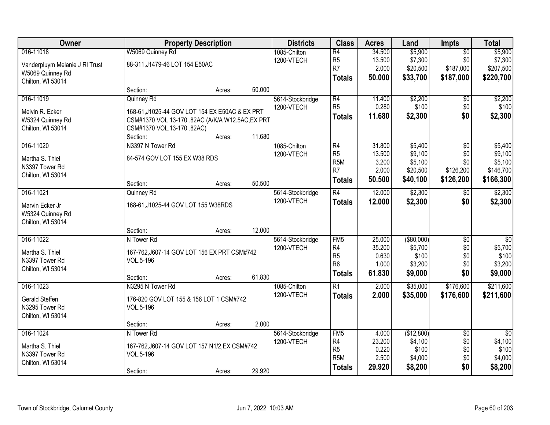| Owner                          | <b>Property Description</b>                      |        |        | <b>Districts</b> | <b>Class</b>     | <b>Acres</b> | Land          | <b>Impts</b>    | <b>Total</b>    |
|--------------------------------|--------------------------------------------------|--------|--------|------------------|------------------|--------------|---------------|-----------------|-----------------|
| 016-11018                      | W5069 Quinney Rd                                 |        |        | 1085-Chilton     | $\overline{R4}$  | 34.500       | \$5,900       | $\overline{50}$ | \$5,900         |
| Vanderpluym Melanie J RI Trust | 88-311, J1479-46 LOT 154 E50AC                   |        |        | 1200-VTECH       | R <sub>5</sub>   | 13.500       | \$7,300       | \$0             | \$7,300         |
| W5069 Quinney Rd               |                                                  |        |        |                  | R7               | 2.000        | \$20,500      | \$187,000       | \$207,500       |
| Chilton, WI 53014              |                                                  |        |        |                  | <b>Totals</b>    | 50.000       | \$33,700      | \$187,000       | \$220,700       |
|                                | Section:                                         | Acres: | 50.000 |                  |                  |              |               |                 |                 |
| 016-11019                      | Quinney Rd                                       |        |        | 5614-Stockbridge | R4               | 11.400       | \$2,200       | \$0             | \$2,200         |
| Melvin R. Ecker                | 168-61, J1025-44 GOV LOT 154 EX E50AC & EX PRT   |        |        | 1200-VTECH       | R <sub>5</sub>   | 0.280        | \$100         | \$0             | \$100           |
| W5324 Quinney Rd               | CSM#1370 VOL 13-170 .82AC (A/K/A W12.5AC, EX PRT |        |        |                  | <b>Totals</b>    | 11.680       | \$2,300       | \$0             | \$2,300         |
| Chilton, WI 53014              | CSM#1370 VOL.13-170 .82AC)                       |        |        |                  |                  |              |               |                 |                 |
|                                | Section:                                         | Acres: | 11.680 |                  |                  |              |               |                 |                 |
| 016-11020                      | N3397 N Tower Rd                                 |        |        | 1085-Chilton     | R4               | 31.800       | \$5,400       | \$0             | \$5,400         |
| Martha S. Thiel                | 84-574 GOV LOT 155 EX W38 RDS                    |        |        | 1200-VTECH       | R <sub>5</sub>   | 13.500       | \$9,100       | \$0             | \$9,100         |
| N3397 Tower Rd                 |                                                  |        |        |                  | R <sub>5M</sub>  | 3.200        | \$5,100       | \$0             | \$5,100         |
| Chilton, WI 53014              |                                                  |        |        |                  | R <sub>7</sub>   | 2.000        | \$20,500      | \$126,200       | \$146,700       |
|                                | Section:                                         | Acres: | 50.500 |                  | <b>Totals</b>    | 50.500       | \$40,100      | \$126,200       | \$166,300       |
| 016-11021                      | Quinney Rd                                       |        |        | 5614-Stockbridge | R4               | 12.000       | \$2,300       | \$0             | \$2,300         |
| Marvin Ecker Jr                | 168-61, J1025-44 GOV LOT 155 W38RDS              |        |        | 1200-VTECH       | <b>Totals</b>    | 12.000       | \$2,300       | \$0             | \$2,300         |
| W5324 Quinney Rd               |                                                  |        |        |                  |                  |              |               |                 |                 |
| Chilton, WI 53014              |                                                  |        |        |                  |                  |              |               |                 |                 |
|                                | Section:                                         | Acres: | 12.000 |                  |                  |              |               |                 |                 |
| 016-11022                      | N Tower Rd                                       |        |        | 5614-Stockbridge | FM <sub>5</sub>  | 25.000       | $($ \$80,000) | $\overline{30}$ | $\overline{50}$ |
| Martha S. Thiel                | 167-762, J607-14 GOV LOT 156 EX PRT CSM#742      |        |        | 1200-VTECH       | R <sub>4</sub>   | 35.200       | \$5,700       | \$0             | \$5,700         |
| N3397 Tower Rd                 | VOL.5-196                                        |        |        |                  | R <sub>5</sub>   | 0.630        | \$100         | \$0             | \$100           |
| Chilton, WI 53014              |                                                  |        |        |                  | R <sub>6</sub>   | 1.000        | \$3,200       | \$0             | \$3,200         |
|                                | Section:                                         | Acres: | 61.830 |                  | <b>Totals</b>    | 61.830       | \$9,000       | \$0             | \$9,000         |
| 016-11023                      | N3295 N Tower Rd                                 |        |        | 1085-Chilton     | R1               | 2.000        | \$35,000      | \$176,600       | \$211,600       |
| <b>Gerald Steffen</b>          | 176-820 GOV LOT 155 & 156 LOT 1 CSM#742          |        |        | 1200-VTECH       | Totals           | 2.000        | \$35,000      | \$176,600       | \$211,600       |
| N3295 Tower Rd                 | VOL.5-196                                        |        |        |                  |                  |              |               |                 |                 |
| Chilton, WI 53014              |                                                  |        |        |                  |                  |              |               |                 |                 |
|                                | Section:                                         | Acres: | 2.000  |                  |                  |              |               |                 |                 |
| 016-11024                      | N Tower Rd                                       |        |        | 5614-Stockbridge | FM <sub>5</sub>  | 4.000        | (\$12,800)    | $\overline{50}$ | $\overline{50}$ |
| Martha S. Thiel                | 167-762, J607-14 GOV LOT 157 N1/2, EX CSM#742    |        |        | 1200-VTECH       | R4               | 23.200       | \$4,100       | \$0             | \$4,100         |
| N3397 Tower Rd                 | VOL.5-196                                        |        |        |                  | R <sub>5</sub>   | 0.220        | \$100         | \$0             | \$100           |
| Chilton, WI 53014              |                                                  |        |        |                  | R <sub>5</sub> M | 2.500        | \$4,000       | \$0             | \$4,000         |
|                                | Section:                                         | Acres: | 29.920 |                  | <b>Totals</b>    | 29.920       | \$8,200       | \$0             | \$8,200         |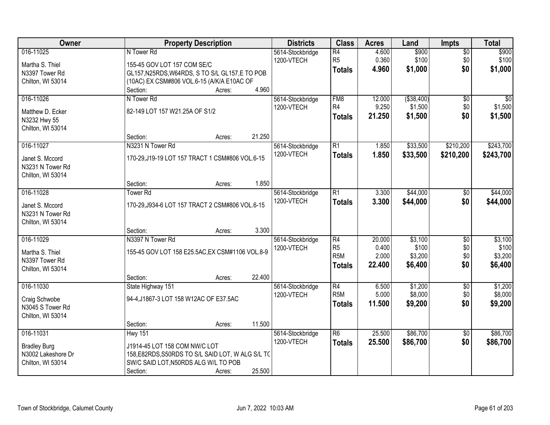| Owner                                                                 | <b>Property Description</b>                                                                                                                      |        | <b>Districts</b>               | <b>Class</b>                                                           | <b>Acres</b>                       | Land                                   | <b>Impts</b>                         | <b>Total</b>                           |
|-----------------------------------------------------------------------|--------------------------------------------------------------------------------------------------------------------------------------------------|--------|--------------------------------|------------------------------------------------------------------------|------------------------------------|----------------------------------------|--------------------------------------|----------------------------------------|
| 016-11025<br>Martha S. Thiel<br>N3397 Tower Rd<br>Chilton, WI 53014   | N Tower Rd<br>155-45 GOV LOT 157 COM SE/C<br>GL157, N25RDS, W64RDS, S TO S/L GL157, E TO POB<br>(10AC) EX CSM#806 VOL.6-15 (A/K/A E10AC OF       |        | 5614-Stockbridge<br>1200-VTECH | R4<br>R <sub>5</sub><br><b>Totals</b>                                  | 4.600<br>0.360<br>4.960            | \$900<br>\$100<br>\$1,000              | $\sqrt{$0}$<br>\$0<br>\$0            | \$900<br>\$100<br>\$1,000              |
|                                                                       | Section:<br>Acres:                                                                                                                               | 4.960  |                                |                                                                        |                                    |                                        |                                      |                                        |
| 016-11026<br>Matthew D. Ecker<br>N3232 Hwy 55<br>Chilton, WI 53014    | N Tower Rd<br>82-149 LOT 157 W21.25A OF S1/2                                                                                                     |        | 5614-Stockbridge<br>1200-VTECH | FM <sub>8</sub><br>R4<br><b>Totals</b>                                 | 12.000<br>9.250<br>21.250          | ( \$38,400)<br>\$1,500<br>\$1,500      | \$0<br>\$0<br>\$0                    | \$0<br>\$1,500<br>\$1,500              |
|                                                                       | Section:<br>Acres:                                                                                                                               | 21.250 |                                |                                                                        |                                    |                                        |                                      |                                        |
| 016-11027<br>Janet S. Mccord<br>N3231 N Tower Rd<br>Chilton, WI 53014 | N3231 N Tower Rd<br>170-29, J19-19 LOT 157 TRACT 1 CSM#806 VOL.6-15                                                                              |        | 5614-Stockbridge<br>1200-VTECH | $\overline{R1}$<br><b>Totals</b>                                       | 1.850<br>1.850                     | \$33,500<br>\$33,500                   | \$210,200<br>\$210,200               | \$243,700<br>\$243,700                 |
|                                                                       | Section:<br>Acres:                                                                                                                               | 1.850  |                                |                                                                        |                                    |                                        |                                      |                                        |
| 016-11028<br>Janet S. Mccord<br>N3231 N Tower Rd<br>Chilton, WI 53014 | <b>Tower Rd</b><br>170-29, J934-6 LOT 157 TRACT 2 CSM#806 VOL.6-15                                                                               |        | 5614-Stockbridge<br>1200-VTECH | $\overline{R1}$<br><b>Totals</b>                                       | 3.300<br>3.300                     | \$44,000<br>\$44,000                   | $\sqrt[6]{}$<br>\$0                  | \$44,000<br>\$44,000                   |
|                                                                       | Section:<br>Acres:                                                                                                                               | 3.300  |                                |                                                                        |                                    |                                        |                                      |                                        |
| 016-11029<br>Martha S. Thiel<br>N3397 Tower Rd<br>Chilton, WI 53014   | N3397 N Tower Rd<br>155-45 GOV LOT 158 E25.5AC, EX CSM#1106 VOL.8-9<br>Section:<br>Acres:                                                        | 22.400 | 5614-Stockbridge<br>1200-VTECH | $\overline{R4}$<br>R <sub>5</sub><br>R <sub>5</sub> M<br><b>Totals</b> | 20.000<br>0.400<br>2.000<br>22.400 | \$3,100<br>\$100<br>\$3,200<br>\$6,400 | $\overline{50}$<br>\$0<br>\$0<br>\$0 | \$3,100<br>\$100<br>\$3,200<br>\$6,400 |
| 016-11030<br>Craig Schwobe<br>N3045 S Tower Rd<br>Chilton, WI 53014   | State Highway 151<br>94-4, J1867-3 LOT 158 W12AC OF E37.5AC<br>Section:<br>Acres:                                                                | 11.500 | 5614-Stockbridge<br>1200-VTECH | R4<br>R <sub>5M</sub><br><b>Totals</b>                                 | 6.500<br>5.000<br>11.500           | \$1,200<br>\$8,000<br>\$9,200          | $\sqrt{6}$<br>\$0<br>\$0             | \$1,200<br>\$8,000<br>\$9,200          |
| 016-11031                                                             | <b>Hwy 151</b>                                                                                                                                   |        | 5614-Stockbridge               | R <sub>6</sub>                                                         | 25.500                             | \$86,700                               | $\overline{30}$                      | \$86,700                               |
| <b>Bradley Burg</b><br>N3002 Lakeshore Dr<br>Chilton, WI 53014        | J1914-45 LOT 158 COM NW/C LOT<br>158, E82RDS, S50RDS TO S/L SAID LOT, W ALG S/L TC<br>SW/C SAID LOT, N50RDS ALG W/L TO POB<br>Section:<br>Acres: | 25.500 | 1200-VTECH                     | <b>Totals</b>                                                          | 25.500                             | \$86,700                               | \$0                                  | \$86,700                               |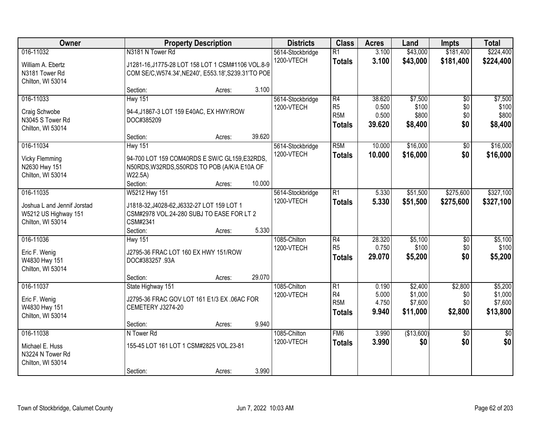| Owner                                                                                 |                                                                                      | <b>Property Description</b>                                                                                       |                  | <b>Districts</b>               | <b>Class</b>                                                           | <b>Acres</b>                       | Land                                      | <b>Impts</b>                         | <b>Total</b>                              |
|---------------------------------------------------------------------------------------|--------------------------------------------------------------------------------------|-------------------------------------------------------------------------------------------------------------------|------------------|--------------------------------|------------------------------------------------------------------------|------------------------------------|-------------------------------------------|--------------------------------------|-------------------------------------------|
| 016-11032<br>William A. Ebertz<br>N3181 Tower Rd                                      | N3181 N Tower Rd                                                                     | J1281-16, J1775-28 LOT 158 LOT 1 CSM#1106 VOL.8-9<br>COM SE/C, W574.34', NE240', E553.18', S239.31'TO POE         |                  | 5614-Stockbridge<br>1200-VTECH | $\overline{R1}$<br><b>Totals</b>                                       | 3.100<br>3.100                     | \$43,000<br>\$43,000                      | \$181,400<br>\$181,400               | \$224,400<br>\$224,400                    |
| Chilton, WI 53014                                                                     | Section:                                                                             | Acres:                                                                                                            | 3.100            |                                |                                                                        |                                    |                                           |                                      |                                           |
| 016-11033<br>Craig Schwobe<br>N3045 S Tower Rd<br>Chilton, WI 53014                   | <b>Hwy 151</b><br>DOC#385209                                                         | 94-4, J1867-3 LOT 159 E40AC, EX HWY/ROW                                                                           |                  | 5614-Stockbridge<br>1200-VTECH | R4<br>R <sub>5</sub><br>R <sub>5</sub> M<br><b>Totals</b>              | 38.620<br>0.500<br>0.500<br>39.620 | \$7,500<br>\$100<br>\$800<br>\$8,400      | $\overline{50}$<br>\$0<br>\$0<br>\$0 | \$7,500<br>\$100<br>\$800<br>\$8,400      |
| 016-11034<br><b>Vicky Flemming</b><br>N2630 Hwy 151<br>Chilton, WI 53014              | Section:<br><b>Hwy 151</b><br>W22.5A)<br>Section:                                    | Acres:<br>94-700 LOT 159 COM40RDS E SW/C GL159, E32RDS,<br>N50RDS, W32RDS, S50RDS TO POB (A/K/A E10A OF<br>Acres: | 39.620<br>10.000 | 5614-Stockbridge<br>1200-VTECH | R <sub>5</sub> M<br><b>Totals</b>                                      | 10.000<br>10.000                   | \$16,000<br>\$16,000                      | \$0<br>\$0                           | \$16,000<br>\$16,000                      |
| 016-11035<br>Joshua L and Jennif Jorstad<br>W5212 US Highway 151<br>Chilton, WI 53014 | W5212 Hwy 151<br>J1818-32, J4028-62, J6332-27 LOT 159 LOT 1<br>CSM#2341<br>Section:  | CSM#2978 VOL.24-280 SUBJ TO EASE FOR LT 2<br>Acres:                                                               | 5.330            | 5614-Stockbridge<br>1200-VTECH | $\overline{R1}$<br><b>Totals</b>                                       | 5.330<br>5.330                     | \$51,500<br>\$51,500                      | \$275,600<br>\$275,600               | \$327,100<br>\$327,100                    |
| 016-11036<br>Eric F. Wenig<br>W4830 Hwy 151<br>Chilton, WI 53014                      | <b>Hwy 151</b><br>J2795-36 FRAC LOT 160 EX HWY 151/ROW<br>DOC#383257.93A<br>Section: | Acres:                                                                                                            | 29.070           | 1085-Chilton<br>1200-VTECH     | $\overline{R4}$<br>R <sub>5</sub><br><b>Totals</b>                     | 28.320<br>0.750<br>29.070          | \$5,100<br>\$100<br>\$5,200               | \$0<br>\$0<br>\$0                    | \$5,100<br>\$100<br>\$5,200               |
| 016-11037<br>Eric F. Wenig<br>W4830 Hwy 151<br>Chilton, WI 53014                      | State Highway 151<br>CEMETERY J3274-20                                               | J2795-36 FRAC GOV LOT 161 E1/3 EX .06AC FOR                                                                       |                  | 1085-Chilton<br>1200-VTECH     | $\overline{R1}$<br>R <sub>4</sub><br>R <sub>5</sub> M<br><b>Totals</b> | 0.190<br>5.000<br>4.750<br>9.940   | \$2,400<br>\$1,000<br>\$7,600<br>\$11,000 | \$2,800<br>\$0<br>\$0<br>\$2,800     | \$5,200<br>\$1,000<br>\$7,600<br>\$13,800 |
| 016-11038<br>Michael E. Huss<br>N3224 N Tower Rd<br>Chilton, WI 53014                 | Section:<br>N Tower Rd<br>Section:                                                   | Acres:<br>155-45 LOT 161 LOT 1 CSM#2825 VOL.23-81<br>Acres:                                                       | 9.940<br>3.990   | 1085-Chilton<br>1200-VTECH     | F <sub>MG</sub><br><b>Totals</b>                                       | 3.990<br>3.990                     | (\$13,600)<br>\$0                         | $\overline{30}$<br>\$0               | $\frac{1}{30}$<br>\$0                     |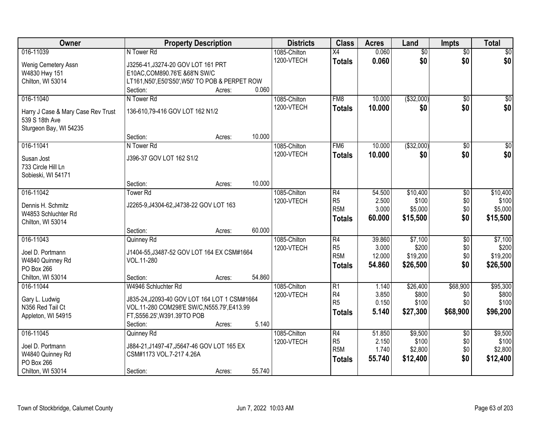| <b>Owner</b>                                         | <b>Property Description</b>                     |        |        | <b>Districts</b> | <b>Class</b>     | <b>Acres</b> | Land            | <b>Impts</b>    | <b>Total</b>     |
|------------------------------------------------------|-------------------------------------------------|--------|--------|------------------|------------------|--------------|-----------------|-----------------|------------------|
| 016-11039                                            | N Tower Rd                                      |        |        | 1085-Chilton     | $\overline{X4}$  | 0.060        | $\overline{50}$ | $\overline{50}$ | $\sqrt{50}$      |
| Wenig Cemetery Assn                                  | J3256-41, J3274-20 GOV LOT 161 PRT              |        |        | 1200-VTECH       | <b>Totals</b>    | 0.060        | \$0             | \$0             | \$0              |
| W4830 Hwy 151                                        | E10AC, COM890.76'E &68'N SW/C                   |        |        |                  |                  |              |                 |                 |                  |
| Chilton, WI 53014                                    | LT161, N50', E50'S50', W50' TO POB & PERPET ROW |        |        |                  |                  |              |                 |                 |                  |
|                                                      | Section:                                        | Acres: | 0.060  |                  |                  |              |                 |                 |                  |
| 016-11040                                            | N Tower Rd                                      |        |        | 1085-Chilton     | FM8              | 10.000       | ( \$32,000)     | $\overline{50}$ | $\sqrt{50}$      |
|                                                      |                                                 |        |        | 1200-VTECH       | <b>Totals</b>    | 10.000       | \$0             | \$0             | \$0              |
| Harry J Case & Mary Case Rev Trust<br>539 S 18th Ave | 136-610,79-416 GOV LOT 162 N1/2                 |        |        |                  |                  |              |                 |                 |                  |
|                                                      |                                                 |        |        |                  |                  |              |                 |                 |                  |
| Sturgeon Bay, WI 54235                               | Section:                                        | Acres: | 10.000 |                  |                  |              |                 |                 |                  |
| 016-11041                                            | N Tower Rd                                      |        |        | 1085-Chilton     | FM <sub>6</sub>  | 10.000       | ( \$32,000)     | \$0             | $\overline{\$0}$ |
|                                                      |                                                 |        |        | 1200-VTECH       |                  |              |                 | \$0             | \$0              |
| Susan Jost                                           | J396-37 GOV LOT 162 S1/2                        |        |        |                  | <b>Totals</b>    | 10.000       | \$0             |                 |                  |
| 733 Circle Hill Ln                                   |                                                 |        |        |                  |                  |              |                 |                 |                  |
| Sobieski, WI 54171                                   |                                                 |        |        |                  |                  |              |                 |                 |                  |
|                                                      | Section:                                        | Acres: | 10.000 |                  |                  |              |                 |                 |                  |
| 016-11042                                            | <b>Tower Rd</b>                                 |        |        | 1085-Chilton     | R4               | 54.500       | \$10,400        | \$0             | \$10,400         |
| Dennis H. Schmitz                                    | J2265-9, J4304-62, J4738-22 GOV LOT 163         |        |        | 1200-VTECH       | R <sub>5</sub>   | 2.500        | \$100           | \$0             | \$100            |
| W4853 Schluchter Rd                                  |                                                 |        |        |                  | R <sub>5</sub> M | 3.000        | \$5,000         | \$0             | \$5,000          |
| Chilton, WI 53014                                    |                                                 |        |        |                  | <b>Totals</b>    | 60.000       | \$15,500        | \$0             | \$15,500         |
|                                                      | Section:                                        | Acres: | 60.000 |                  |                  |              |                 |                 |                  |
| 016-11043                                            | Quinney Rd                                      |        |        | 1085-Chilton     | $\overline{R4}$  | 39.860       | \$7,100         | \$0             | \$7,100          |
|                                                      |                                                 |        |        | 1200-VTECH       | R <sub>5</sub>   | 3.000        | \$200           | \$0             | \$200            |
| Joel D. Portmann                                     | J1404-55, J3487-52 GOV LOT 164 EX CSM#1664      |        |        |                  | R <sub>5</sub> M | 12.000       | \$19,200        | \$0             | \$19,200         |
| W4840 Quinney Rd                                     | VOL.11-280                                      |        |        |                  | <b>Totals</b>    | 54.860       | \$26,500        | \$0             | \$26,500         |
| PO Box 266                                           |                                                 |        |        |                  |                  |              |                 |                 |                  |
| Chilton, WI 53014                                    | Section:                                        | Acres: | 54.860 |                  |                  |              |                 |                 |                  |
| 016-11044                                            | W4946 Schluchter Rd                             |        |        | 1085-Chilton     | $\overline{R1}$  | 1.140        | \$26,400        | \$68,900        | \$95,300         |
| Gary L. Ludwig                                       | J835-24, J2093-40 GOV LOT 164 LOT 1 CSM#1664    |        |        | 1200-VTECH       | R <sub>4</sub>   | 3.850        | \$800           | \$0             | \$800            |
| N356 Red Tail Ct                                     | VOL.11-280 COM298'E SW/C, N555.79', E413.99     |        |        |                  | R <sub>5</sub>   | 0.150        | \$100           | \$0             | \$100            |
| Appleton, WI 54915                                   | FT, S556.25', W391.39'TO POB                    |        |        |                  | <b>Totals</b>    | 5.140        | \$27,300        | \$68,900        | \$96,200         |
|                                                      | Section:                                        | Acres: | 5.140  |                  |                  |              |                 |                 |                  |
| 016-11045                                            | Quinney Rd                                      |        |        | 1085-Chilton     | R4               | 51.850       | \$9,500         | $\overline{50}$ | \$9,500          |
|                                                      |                                                 |        |        | 1200-VTECH       | R <sub>5</sub>   | 2.150        | \$100           | \$0             | \$100            |
| Joel D. Portmann                                     | J884-21, J1497-47, J5647-46 GOV LOT 165 EX      |        |        |                  | R <sub>5</sub> M | 1.740        | \$2,800         | \$0             | \$2,800          |
| W4840 Quinney Rd                                     | CSM#1173 VOL.7-217 4.26A                        |        |        |                  | <b>Totals</b>    | 55.740       | \$12,400        | \$0             | \$12,400         |
| PO Box 266                                           |                                                 |        |        |                  |                  |              |                 |                 |                  |
| Chilton, WI 53014                                    | Section:                                        | Acres: | 55.740 |                  |                  |              |                 |                 |                  |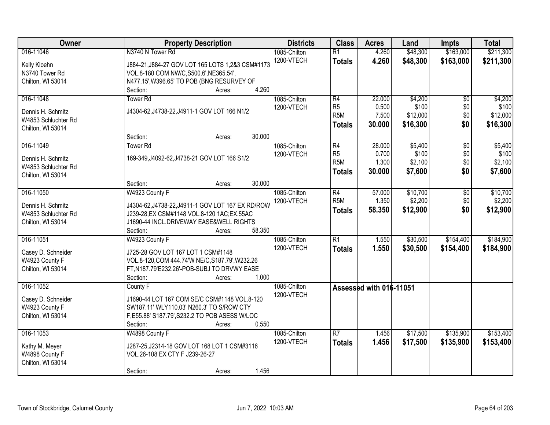| Owner                               | <b>Property Description</b>                                                                    | <b>Districts</b>           | <b>Class</b>                       | <b>Acres</b>            | Land                 | <b>Impts</b>           | <b>Total</b>           |
|-------------------------------------|------------------------------------------------------------------------------------------------|----------------------------|------------------------------------|-------------------------|----------------------|------------------------|------------------------|
| 016-11046<br>Kelly Kloehn           | N3740 N Tower Rd<br>J884-21, J884-27 GOV LOT 165 LOTS 1, 2&3 CSM#1173                          | 1085-Chilton<br>1200-VTECH | $\overline{R1}$<br><b>Totals</b>   | 4.260<br>4.260          | \$48,300<br>\$48,300 | \$163,000<br>\$163,000 | \$211,300<br>\$211,300 |
| N3740 Tower Rd                      | VOL.8-180 COM NW/C, S500.6', NE365.54',                                                        |                            |                                    |                         |                      |                        |                        |
| Chilton, WI 53014                   | N477.15', W396.65' TO POB (BNG RESURVEY OF                                                     |                            |                                    |                         |                      |                        |                        |
|                                     | 4.260<br>Section:<br>Acres:                                                                    |                            |                                    |                         |                      |                        |                        |
| 016-11048                           | Tower <sub>Rd</sub>                                                                            | 1085-Chilton               | R4                                 | 22.000                  | \$4,200              | $\overline{50}$        | \$4,200                |
| Dennis H. Schmitz                   | J4304-62, J4738-22, J4911-1 GOV LOT 166 N1/2                                                   | 1200-VTECH                 | R <sub>5</sub><br>R <sub>5</sub> M | 0.500<br>7.500          | \$100<br>\$12,000    | \$0<br>\$0             | \$100<br>\$12,000      |
| W4853 Schluchter Rd                 |                                                                                                |                            |                                    | 30.000                  |                      | \$0                    |                        |
| Chilton, WI 53014                   |                                                                                                |                            | <b>Totals</b>                      |                         | \$16,300             |                        | \$16,300               |
|                                     | 30.000<br>Section:<br>Acres:                                                                   |                            |                                    |                         |                      |                        |                        |
| 016-11049                           | <b>Tower Rd</b>                                                                                | 1085-Chilton               | R4                                 | 28.000                  | \$5,400              | $\overline{50}$        | \$5,400                |
| Dennis H. Schmitz                   | 169-349, J4092-62, J4738-21 GOV LOT 166 S1/2                                                   | 1200-VTECH                 | R <sub>5</sub>                     | 0.700                   | \$100                | \$0                    | \$100                  |
| W4853 Schluchter Rd                 |                                                                                                |                            | R <sub>5M</sub>                    | 1.300                   | \$2,100              | \$0                    | \$2,100                |
| Chilton, WI 53014                   |                                                                                                |                            | <b>Totals</b>                      | 30.000                  | \$7,600              | \$0                    | \$7,600                |
|                                     | 30.000<br>Section:<br>Acres:                                                                   |                            |                                    |                         |                      |                        |                        |
| 016-11050                           | W4923 County F                                                                                 | 1085-Chilton               | R4                                 | 57.000                  | \$10,700             | \$0                    | \$10,700               |
| Dennis H. Schmitz                   | J4304-62, J4738-22, J4911-1 GOV LOT 167 EX RD/ROW                                              | 1200-VTECH                 | R <sub>5M</sub>                    | 1.350                   | \$2,200              | \$0                    | \$2,200                |
| W4853 Schluchter Rd                 | J239-28, EX CSM#1148 VOL.8-120 1AC; EX.55AC                                                    |                            | <b>Totals</b>                      | 58.350                  | \$12,900             | \$0                    | \$12,900               |
| Chilton, WI 53014                   | J1690-44 INCL.DRIVEWAY EASE&WELL RIGHTS                                                        |                            |                                    |                         |                      |                        |                        |
|                                     | 58.350<br>Section:<br>Acres:                                                                   |                            |                                    |                         |                      |                        |                        |
| 016-11051                           | W4923 County F                                                                                 | 1085-Chilton               | $\overline{R1}$                    | 1.550                   | \$30,500             | \$154,400              | \$184,900              |
|                                     |                                                                                                | 1200-VTECH                 | Totals                             | 1.550                   | \$30,500             | \$154,400              | \$184,900              |
| Casey D. Schneider                  | J725-28 GOV LOT 167 LOT 1 CSM#1148                                                             |                            |                                    |                         |                      |                        |                        |
| W4923 County F<br>Chilton, WI 53014 | VOL.8-120, COM 444.74'W NE/C, S187.79', W232.26<br>FT, N187.79'E232.26'-POB-SUBJ TO DRVWY EASE |                            |                                    |                         |                      |                        |                        |
|                                     | Section:<br>1.000<br>Acres:                                                                    |                            |                                    |                         |                      |                        |                        |
| 016-11052                           | County F                                                                                       | 1085-Chilton               |                                    |                         |                      |                        |                        |
|                                     |                                                                                                | 1200-VTECH                 |                                    | Assessed with 016-11051 |                      |                        |                        |
| Casey D. Schneider                  | J1690-44 LOT 167 COM SE/C CSM#1148 VOL.8-120                                                   |                            |                                    |                         |                      |                        |                        |
| W4923 County F                      | SW187.11' WLY110.03' N260.3' TO S/ROW CTY                                                      |                            |                                    |                         |                      |                        |                        |
| Chilton, WI 53014                   | F,E55.88' S187.79',S232.2 TO POB ASESS W/LOC                                                   |                            |                                    |                         |                      |                        |                        |
|                                     | 0.550<br>Section:<br>Acres:                                                                    |                            |                                    |                         |                      |                        |                        |
| 016-11053                           | W4898 County F                                                                                 | 1085-Chilton               | R7                                 | 1.456                   | \$17,500             | \$135,900              | \$153,400              |
| Kathy M. Meyer                      | J287-25, J2314-18 GOV LOT 168 LOT 1 CSM#3116                                                   | 1200-VTECH                 | <b>Totals</b>                      | 1.456                   | \$17,500             | \$135,900              | \$153,400              |
| W4898 County F                      | VOL.26-108 EX CTY F J239-26-27                                                                 |                            |                                    |                         |                      |                        |                        |
| Chilton, WI 53014                   |                                                                                                |                            |                                    |                         |                      |                        |                        |
|                                     | 1.456<br>Section:<br>Acres:                                                                    |                            |                                    |                         |                      |                        |                        |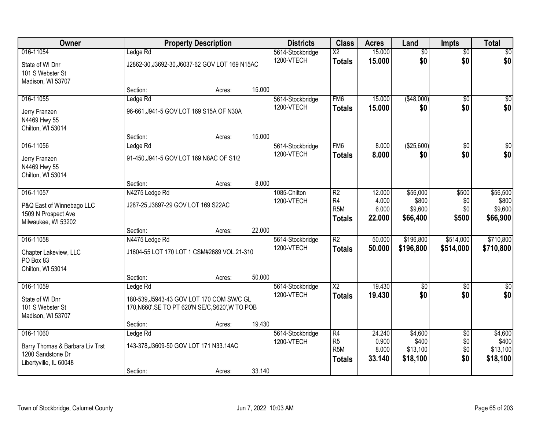| Owner                                                                                       |                                                                                                           | <b>Property Description</b> |        | <b>Districts</b>               | <b>Class</b>                                              | <b>Acres</b>                       | Land                                     | <b>Impts</b>                         | <b>Total</b>                             |
|---------------------------------------------------------------------------------------------|-----------------------------------------------------------------------------------------------------------|-----------------------------|--------|--------------------------------|-----------------------------------------------------------|------------------------------------|------------------------------------------|--------------------------------------|------------------------------------------|
| 016-11054<br>State of WI Dnr<br>101 S Webster St<br>Madison, WI 53707                       | Ledge Rd<br>J2862-30, J3692-30, J6037-62 GOV LOT 169 N15AC                                                |                             |        | 5614-Stockbridge<br>1200-VTECH | $\overline{\text{X2}}$<br><b>Totals</b>                   | 15.000<br>15.000                   | $\overline{60}$<br>\$0                   | $\overline{60}$<br>\$0               | \$0<br>\$0                               |
|                                                                                             | Section:                                                                                                  | Acres:                      | 15.000 |                                |                                                           |                                    |                                          |                                      |                                          |
| 016-11055<br>Jerry Franzen<br>N4469 Hwy 55<br>Chilton, WI 53014                             | Ledge Rd<br>96-661, J941-5 GOV LOT 169 S15A OF N30A                                                       |                             |        | 5614-Stockbridge<br>1200-VTECH | FM <sub>6</sub><br><b>Totals</b>                          | 15.000<br>15.000                   | ( \$48,000)<br>\$0                       | $\overline{50}$<br>\$0               | \$0<br>\$0                               |
| 016-11056                                                                                   | Section:                                                                                                  | Acres:                      | 15.000 | 5614-Stockbridge               | FM <sub>6</sub>                                           | 8.000                              | (\$25,600)                               | \$0                                  | $\sqrt{50}$                              |
| Jerry Franzen<br>N4469 Hwy 55<br>Chilton, WI 53014                                          | Ledge Rd<br>91-450, J941-5 GOV LOT 169 N8AC OF S1/2                                                       |                             |        | 1200-VTECH                     | <b>Totals</b>                                             | 8.000                              | \$0                                      | \$0                                  | \$0                                      |
| 016-11057                                                                                   | Section:                                                                                                  | Acres:                      | 8.000  |                                |                                                           |                                    |                                          |                                      |                                          |
| P&Q East of Winnebago LLC<br>1509 N Prospect Ave<br>Milwaukee, WI 53202                     | N4275 Ledge Rd<br>J287-25, J3897-29 GOV LOT 169 S22AC                                                     |                             |        | 1085-Chilton<br>1200-VTECH     | R <sub>2</sub><br>R4<br>R <sub>5</sub> M<br><b>Totals</b> | 12.000<br>4.000<br>6.000<br>22.000 | \$56,000<br>\$800<br>\$9,600<br>\$66,400 | \$500<br>\$0<br>\$0<br>\$500         | \$56,500<br>\$800<br>\$9,600<br>\$66,900 |
|                                                                                             | Section:                                                                                                  | Acres:                      | 22.000 |                                |                                                           |                                    |                                          |                                      |                                          |
| 016-11058<br>Chapter Lakeview, LLC<br>PO Box 83<br>Chilton, WI 53014                        | N4475 Ledge Rd<br>J1604-55 LOT 170 LOT 1 CSM#2689 VOL.21-310                                              |                             |        | 5614-Stockbridge<br>1200-VTECH | $\overline{R2}$<br><b>Totals</b>                          | 50.000<br>50,000                   | \$196,800<br>\$196,800                   | \$514,000<br>\$514,000               | \$710,800<br>\$710,800                   |
|                                                                                             | Section:                                                                                                  | Acres:                      | 50.000 |                                |                                                           |                                    |                                          |                                      |                                          |
| 016-11059<br>State of WI Dnr<br>101 S Webster St<br>Madison, WI 53707                       | Ledge Rd<br>180-539, J5943-43 GOV LOT 170 COM SW/C GL<br>170, N660', SE TO PT 620'N SE/C, S620', W TO POB |                             |        | 5614-Stockbridge<br>1200-VTECH | $\overline{X2}$<br><b>Totals</b>                          | 19.430<br>19.430                   | $\sqrt{6}$<br>\$0                        | \$0<br>\$0                           | $\sqrt{30}$<br>\$0                       |
|                                                                                             | Section:                                                                                                  | Acres:                      | 19.430 |                                |                                                           |                                    |                                          |                                      |                                          |
| 016-11060<br>Barry Thomas & Barbara Liv Trst<br>1200 Sandstone Dr<br>Libertyville, IL 60048 | Ledge Rd<br>143-378, J3609-50 GOV LOT 171 N33.14AC<br>Section:                                            | Acres:                      | 33.140 | 5614-Stockbridge<br>1200-VTECH | R4<br>R <sub>5</sub><br>R <sub>5</sub> M<br><b>Totals</b> | 24.240<br>0.900<br>8.000<br>33.140 | \$4,600<br>\$400<br>\$13,100<br>\$18,100 | $\overline{50}$<br>\$0<br>\$0<br>\$0 | \$4,600<br>\$400<br>\$13,100<br>\$18,100 |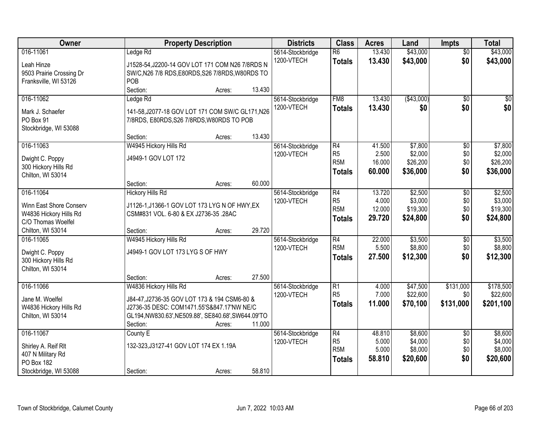| Owner                                             | <b>Property Description</b>                                                            |        |        | <b>Districts</b>               | <b>Class</b>                      | <b>Acres</b>   | Land                 | <b>Impts</b>     | <b>Total</b>          |
|---------------------------------------------------|----------------------------------------------------------------------------------------|--------|--------|--------------------------------|-----------------------------------|----------------|----------------------|------------------|-----------------------|
| 016-11061                                         | Ledge Rd                                                                               |        |        | 5614-Stockbridge               | $\overline{R6}$                   | 13.430         | \$43,000             | $\overline{50}$  | \$43,000              |
| Leah Hinze                                        | J1528-54, J2200-14 GOV LOT 171 COM N26 7/8RDS N                                        |        |        | 1200-VTECH                     | <b>Totals</b>                     | 13.430         | \$43,000             | \$0              | \$43,000              |
| 9503 Prairie Crossing Dr                          | SW/C, N26 7/8 RDS, E80RDS, S26 7/8RDS, W80RDS TO                                       |        |        |                                |                                   |                |                      |                  |                       |
| Franksville, WI 53126                             | POB                                                                                    |        |        |                                |                                   |                |                      |                  |                       |
|                                                   | Section:                                                                               | Acres: | 13.430 |                                |                                   |                |                      |                  |                       |
| 016-11062                                         | Ledge Rd                                                                               |        |        | 5614-Stockbridge               | FM <sub>8</sub>                   | 13.430         | ( \$43,000)          | $\overline{50}$  | \$0                   |
| Mark J. Schaefer                                  | 141-58, J2077-18 GOV LOT 171 COM SW/C GL171, N26                                       |        |        | 1200-VTECH                     | <b>Totals</b>                     | 13.430         | \$0                  | \$0              | \$0                   |
| PO Box 91                                         | 7/8RDS, E80RDS, S26 7/8RDS, W80RDS TO POB                                              |        |        |                                |                                   |                |                      |                  |                       |
| Stockbridge, WI 53088                             |                                                                                        |        |        |                                |                                   |                |                      |                  |                       |
|                                                   | Section:                                                                               | Acres: | 13.430 |                                |                                   |                |                      |                  |                       |
| 016-11063                                         | W4945 Hickory Hills Rd                                                                 |        |        | 5614-Stockbridge               | R4                                | 41.500         | \$7,800              | \$0              | \$7,800               |
|                                                   | J4949-1 GOV LOT 172                                                                    |        |        | 1200-VTECH                     | R <sub>5</sub>                    | 2.500          | \$2,000              | \$0              | \$2,000               |
| Dwight C. Poppy<br>300 Hickory Hills Rd           |                                                                                        |        |        |                                | R <sub>5</sub> M                  | 16.000         | \$26,200             | \$0              | \$26,200              |
| Chilton, WI 53014                                 |                                                                                        |        |        |                                | <b>Totals</b>                     | 60.000         | \$36,000             | \$0              | \$36,000              |
|                                                   | Section:                                                                               | Acres: | 60.000 |                                |                                   |                |                      |                  |                       |
| 016-11064                                         | <b>Hickory Hills Rd</b>                                                                |        |        | 5614-Stockbridge               | $\overline{R4}$                   | 13.720         | \$2,500              | \$0              | \$2,500               |
|                                                   |                                                                                        |        |        | 1200-VTECH                     | R <sub>5</sub>                    | 4.000          | \$3,000              | \$0              | \$3,000               |
| Winn East Shore Conserv<br>W4836 Hickory Hills Rd | J1126-1, J1366-1 GOV LOT 173 LYG N OF HWY, EX<br>CSM#831 VOL. 6-80 & EX J2736-35 .28AC |        |        |                                | R <sub>5</sub> M                  | 12.000         | \$19,300             | \$0              | \$19,300              |
| C/O Thomas Woelfel                                |                                                                                        |        |        |                                | <b>Totals</b>                     | 29.720         | \$24,800             | \$0              | \$24,800              |
| Chilton, WI 53014                                 | Section:                                                                               | Acres: | 29.720 |                                |                                   |                |                      |                  |                       |
| 016-11065                                         | W4945 Hickory Hills Rd                                                                 |        |        | 5614-Stockbridge               | $\overline{R4}$                   | 22.000         | \$3,500              | $\overline{50}$  | \$3,500               |
|                                                   |                                                                                        |        |        | 1200-VTECH                     | R <sub>5</sub> M                  | 5.500          | \$8,800              | \$0              | \$8,800               |
| Dwight C. Poppy                                   | J4949-1 GOV LOT 173 LYG S OF HWY                                                       |        |        |                                | <b>Totals</b>                     | 27.500         | \$12,300             | \$0              | \$12,300              |
| 300 Hickory Hills Rd                              |                                                                                        |        |        |                                |                                   |                |                      |                  |                       |
| Chilton, WI 53014                                 |                                                                                        |        |        |                                |                                   |                |                      |                  |                       |
| 016-11066                                         | Section:                                                                               | Acres: | 27.500 |                                |                                   |                |                      |                  |                       |
|                                                   | W4836 Hickory Hills Rd                                                                 |        |        | 5614-Stockbridge<br>1200-VTECH | $\overline{R1}$<br>R <sub>5</sub> | 4.000<br>7.000 | \$47,500<br>\$22,600 | \$131,000<br>\$0 | \$178,500<br>\$22,600 |
| Jane M. Woelfel                                   | J84-47, J2736-35 GOV LOT 173 & 194 CSM6-80 &                                           |        |        |                                | <b>Totals</b>                     | 11.000         | \$70,100             | \$131,000        | \$201,100             |
| W4836 Hickory Hills Rd                            | J2736-35 DESC: COM1471.55'S&847.17'NW NE/C                                             |        |        |                                |                                   |                |                      |                  |                       |
| Chilton, WI 53014                                 | GL194,NW830.63',NE509.88', SE840.68',SW644.09'TO                                       |        |        |                                |                                   |                |                      |                  |                       |
|                                                   | Section:                                                                               | Acres: | 11.000 |                                |                                   |                |                      |                  |                       |
| 016-11067                                         | County E                                                                               |        |        | 5614-Stockbridge               | $\overline{R4}$                   | 48.810         | \$8,600              | $\overline{50}$  | \$8,600               |
| Shirley A. Reif Rlt                               | 132-323, J3127-41 GOV LOT 174 EX 1.19A                                                 |        |        | 1200-VTECH                     | R <sub>5</sub>                    | 5.000          | \$4,000              | \$0              | \$4,000               |
| 407 N Military Rd                                 |                                                                                        |        |        |                                | R <sub>5</sub> M                  | 5.000          | \$8,000              | \$0              | \$8,000               |
| PO Box 182                                        |                                                                                        |        |        |                                | <b>Totals</b>                     | 58.810         | \$20,600             | \$0              | \$20,600              |
| Stockbridge, WI 53088                             | Section:                                                                               | Acres: | 58.810 |                                |                                   |                |                      |                  |                       |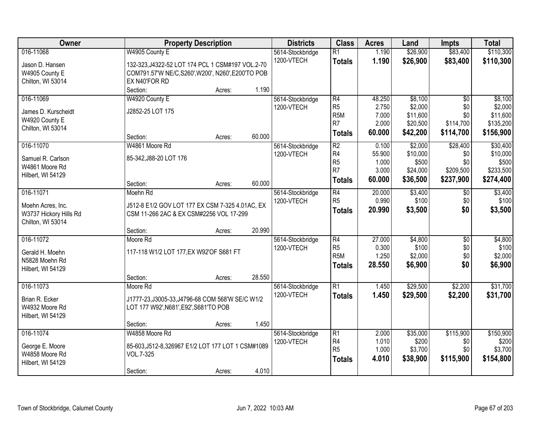| Owner                  |                                                    | <b>Property Description</b> |        | <b>Districts</b> | <b>Class</b>           | <b>Acres</b>   | Land                 | <b>Impts</b>           | <b>Total</b>          |
|------------------------|----------------------------------------------------|-----------------------------|--------|------------------|------------------------|----------------|----------------------|------------------------|-----------------------|
| 016-11068              | W4905 County E                                     |                             |        | 5614-Stockbridge | R1                     | 1.190          | \$26,900             | \$83,400               | \$110,300             |
| Jason D. Hansen        | 132-323, J4322-52 LOT 174 PCL 1 CSM#197 VOL.2-70   |                             |        | 1200-VTECH       | <b>Totals</b>          | 1.190          | \$26,900             | \$83,400               | \$110,300             |
| W4905 County E         | COM791.57'W NE/C, S260', W200', N260', E200'TO POB |                             |        |                  |                        |                |                      |                        |                       |
| Chilton, WI 53014      | EX N40'FOR RD                                      |                             |        |                  |                        |                |                      |                        |                       |
|                        | Section:                                           | Acres:                      | 1.190  |                  |                        |                |                      |                        |                       |
| 016-11069              | W4920 County E                                     |                             |        | 5614-Stockbridge | R4                     | 48.250         | \$8,100              | \$0                    | \$8,100               |
| James D. Kurscheidt    | J2852-25 LOT 175                                   |                             |        | 1200-VTECH       | R <sub>5</sub>         | 2.750          | \$2,000              | \$0                    | \$2,000               |
| W4920 County E         |                                                    |                             |        |                  | R <sub>5</sub> M<br>R7 | 7.000<br>2.000 | \$11,600             | \$0                    | \$11,600<br>\$135,200 |
| Chilton, WI 53014      |                                                    |                             |        |                  |                        | 60.000         | \$20,500<br>\$42,200 | \$114,700<br>\$114,700 | \$156,900             |
|                        | Section:                                           | Acres:                      | 60.000 |                  | <b>Totals</b>          |                |                      |                        |                       |
| 016-11070              | W4861 Moore Rd                                     |                             |        | 5614-Stockbridge | R <sub>2</sub>         | 0.100          | \$2,000              | \$28,400               | \$30,400              |
| Samuel R. Carlson      | 85-342, J88-20 LOT 176                             |                             |        | 1200-VTECH       | R4                     | 55.900         | \$10,000             | \$0                    | \$10,000              |
| W4861 Moore Rd         |                                                    |                             |        |                  | R <sub>5</sub><br>R7   | 1.000          | \$500                | \$0                    | \$500                 |
| Hilbert, WI 54129      |                                                    |                             |        |                  |                        | 3.000          | \$24,000             | \$209,500              | \$233,500             |
|                        | Section:                                           | Acres:                      | 60.000 |                  | Totals                 | 60.000         | \$36,500             | \$237,900              | \$274,400             |
| 016-11071              | Moehn Rd                                           |                             |        | 5614-Stockbridge | R4                     | 20.000         | \$3,400              | $\sqrt[6]{3}$          | \$3,400               |
| Moehn Acres, Inc.      | J512-8 E1/2 GOV LOT 177 EX CSM 7-325 4.01AC, EX    |                             |        | 1200-VTECH       | R <sub>5</sub>         | 0.990          | \$100                | \$0                    | \$100                 |
| W3737 Hickory Hills Rd | CSM 11-266 2AC & EX CSM#2256 VOL 17-299            |                             |        |                  | <b>Totals</b>          | 20.990         | \$3,500              | \$0                    | \$3,500               |
| Chilton, WI 53014      |                                                    |                             |        |                  |                        |                |                      |                        |                       |
|                        | Section:                                           | Acres:                      | 20.990 |                  |                        |                |                      |                        |                       |
| 016-11072              | Moore Rd                                           |                             |        | 5614-Stockbridge | $\overline{R4}$        | 27.000         | \$4,800              | $\overline{50}$        | \$4,800               |
| Gerald H. Moehn        | 117-118 W1/2 LOT 177, EX W92' OF S681 FT           |                             |        | 1200-VTECH       | R <sub>5</sub>         | 0.300          | \$100                | \$0                    | \$100                 |
| N5828 Moehn Rd         |                                                    |                             |        |                  | R <sub>5</sub> M       | 1.250          | \$2,000              | \$0                    | \$2,000               |
| Hilbert, WI 54129      |                                                    |                             |        |                  | <b>Totals</b>          | 28.550         | \$6,900              | \$0                    | \$6,900               |
|                        | Section:                                           | Acres:                      | 28.550 |                  |                        |                |                      |                        |                       |
| 016-11073              | Moore Rd                                           |                             |        | 5614-Stockbridge | R1                     | 1.450          | \$29,500             | \$2,200                | \$31,700              |
| Brian R. Ecker         | J1777-23, J3005-33, J4796-68 COM 568'W SE/C W1/2   |                             |        | 1200-VTECH       | <b>Totals</b>          | 1.450          | \$29,500             | \$2,200                | \$31,700              |
| W4932 Moore Rd         | LOT 177 W92', N681', E92', S681'TO POB             |                             |        |                  |                        |                |                      |                        |                       |
| Hilbert, WI 54129      |                                                    |                             |        |                  |                        |                |                      |                        |                       |
|                        | Section:                                           | Acres:                      | 1.450  |                  |                        |                |                      |                        |                       |
| 016-11074              | W4858 Moore Rd                                     |                             |        | 5614-Stockbridge | R1                     | 2.000          | \$35,000             | \$115,900              | \$150,900             |
| George E. Moore        | 85-603, J512-8, 326967 E1/2 LOT 177 LOT 1 CSM#1089 |                             |        | 1200-VTECH       | R4                     | 1.010          | \$200                | \$0                    | \$200                 |
| W4858 Moore Rd         | VOL.7-325                                          |                             |        |                  | R5                     | 1.000          | \$3,700              | \$0                    | \$3,700               |
| Hilbert, WI 54129      |                                                    |                             |        |                  | <b>Totals</b>          | 4.010          | \$38,900             | \$115,900              | \$154,800             |
|                        | Section:                                           | Acres:                      | 4.010  |                  |                        |                |                      |                        |                       |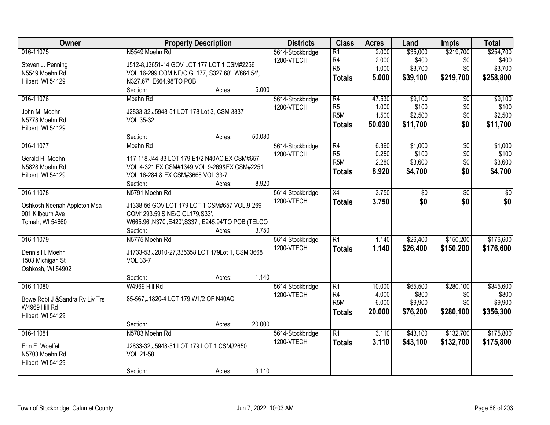| Owner                           | <b>Property Description</b>                          | <b>Districts</b> | <b>Class</b>     | <b>Acres</b> | Land     | <b>Impts</b>    | <b>Total</b> |
|---------------------------------|------------------------------------------------------|------------------|------------------|--------------|----------|-----------------|--------------|
| 016-11075                       | N5549 Moehn Rd                                       | 5614-Stockbridge | $\overline{R1}$  | 2.000        | \$35,000 | \$219,700       | \$254,700    |
| Steven J. Penning               | J512-8, J3651-14 GOV LOT 177 LOT 1 CSM#2256          | 1200-VTECH       | R <sub>4</sub>   | 2.000        | \$400    | \$0             | \$400        |
| N5549 Moehn Rd                  | VOL.16-299 COM NE/C GL177, S327.68', W664.54',       |                  | R <sub>5</sub>   | 1.000        | \$3,700  | \$0             | \$3,700      |
| Hilbert, WI 54129               | N327.67', E664.98'TO POB                             |                  | <b>Totals</b>    | 5.000        | \$39,100 | \$219,700       | \$258,800    |
|                                 | 5.000<br>Section:<br>Acres:                          |                  |                  |              |          |                 |              |
| 016-11076                       | Moehn Rd                                             | 5614-Stockbridge | R4               | 47.530       | \$9,100  | $\overline{50}$ | \$9,100      |
|                                 |                                                      | 1200-VTECH       | R <sub>5</sub>   | 1.000        | \$100    | \$0             | \$100        |
| John M. Moehn                   | J2833-32, J5948-51 LOT 178 Lot 3, CSM 3837           |                  | R <sub>5</sub> M | 1.500        | \$2,500  | \$0             | \$2,500      |
| N5778 Moehn Rd                  | VOL.35-32                                            |                  | <b>Totals</b>    | 50.030       | \$11,700 | \$0             | \$11,700     |
| Hilbert, WI 54129               |                                                      |                  |                  |              |          |                 |              |
|                                 | 50.030<br>Section:<br>Acres:                         |                  |                  |              |          |                 |              |
| 016-11077                       | Moehn Rd                                             | 5614-Stockbridge | $\overline{R4}$  | 6.390        | \$1,000  | \$0             | \$1,000      |
| Gerald H. Moehn                 | 117-118, J44-33 LOT 179 E1/2 N40AC, EX CSM#657       | 1200-VTECH       | R <sub>5</sub>   | 0.250        | \$100    | \$0             | \$100        |
| N5828 Moehn Rd                  | VOL.4-321, EX CSM#1349 VOL.9-269& EX CSM#2251        |                  | R <sub>5</sub> M | 2.280        | \$3,600  | \$0             | \$3,600      |
| Hilbert, WI 54129               | VOL.16-284 & EX CSM#3668 VOL.33-7                    |                  | <b>Totals</b>    | 8.920        | \$4,700  | \$0             | \$4,700      |
|                                 | 8.920<br>Section:<br>Acres:                          |                  |                  |              |          |                 |              |
| 016-11078                       | N5791 Moehn Rd                                       | 5614-Stockbridge | $\overline{X4}$  | 3.750        | \$0      | $\overline{50}$ | \$0          |
|                                 |                                                      | 1200-VTECH       | <b>Totals</b>    | 3.750        | \$0      | \$0             | \$0          |
| Oshkosh Neenah Appleton Msa     | J1338-56 GOV LOT 179 LOT 1 CSM#657 VOL.9-269         |                  |                  |              |          |                 |              |
| 901 Kilbourn Ave                | COM1293.59'S NE/C GL179, S33',                       |                  |                  |              |          |                 |              |
| Tomah, WI 54660                 | W665.96', N370', E420', S337', E245.94'TO POB (TELCO |                  |                  |              |          |                 |              |
|                                 | 3.750<br>Section:<br>Acres:                          |                  |                  |              |          |                 |              |
| 016-11079                       | N5775 Moehn Rd                                       | 5614-Stockbridge | $\overline{R1}$  | 1.140        | \$26,400 | \$150,200       | \$176,600    |
| Dennis H. Moehn                 | J1733-53, J2010-27, 335358 LOT 179Lot 1, CSM 3668    | 1200-VTECH       | <b>Totals</b>    | 1.140        | \$26,400 | \$150,200       | \$176,600    |
| 1503 Michigan St                | VOL.33-7                                             |                  |                  |              |          |                 |              |
| Oshkosh, WI 54902               |                                                      |                  |                  |              |          |                 |              |
|                                 | 1.140<br>Section:<br>Acres:                          |                  |                  |              |          |                 |              |
| 016-11080                       | W4969 Hill Rd                                        | 5614-Stockbridge | $\overline{R1}$  | 10.000       | \$65,500 | \$280,100       | \$345,600    |
|                                 |                                                      | 1200-VTECH       | R4               | 4.000        | \$800    | \$0             | \$800        |
| Bowe Robt J & Sandra Rv Liv Trs | 85-567, J1820-4 LOT 179 W1/2 OF N40AC                |                  | R <sub>5</sub> M | 6.000        | \$9,900  | \$0             | \$9,900      |
| W4969 Hill Rd                   |                                                      |                  | <b>Totals</b>    | 20.000       | \$76,200 | \$280,100       | \$356,300    |
| Hilbert, WI 54129               |                                                      |                  |                  |              |          |                 |              |
|                                 | 20.000<br>Section:<br>Acres:                         |                  |                  |              |          |                 |              |
| 016-11081                       | N5703 Moehn Rd                                       | 5614-Stockbridge | $\overline{R1}$  | 3.110        | \$43,100 | \$132,700       | \$175,800    |
| Erin E. Woelfel                 | J2833-32, J5948-51 LOT 179 LOT 1 CSM#2650            | 1200-VTECH       | <b>Totals</b>    | 3.110        | \$43,100 | \$132,700       | \$175,800    |
| N5703 Moehn Rd                  | VOL.21-58                                            |                  |                  |              |          |                 |              |
| Hilbert, WI 54129               |                                                      |                  |                  |              |          |                 |              |
|                                 | 3.110<br>Section:<br>Acres:                          |                  |                  |              |          |                 |              |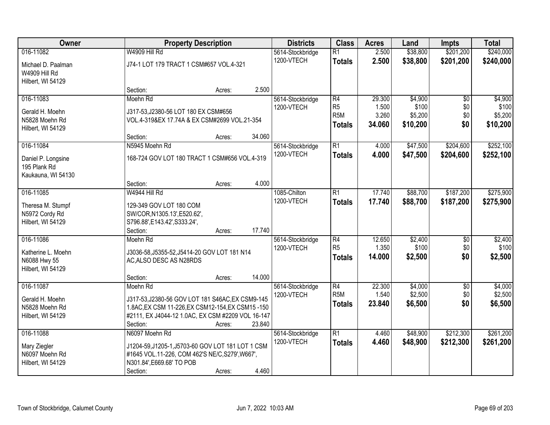| Owner              |                                                   | <b>Property Description</b> |        |                  | <b>Class</b>     | <b>Acres</b> | Land     | <b>Impts</b>    | <b>Total</b> |
|--------------------|---------------------------------------------------|-----------------------------|--------|------------------|------------------|--------------|----------|-----------------|--------------|
| 016-11082          | W4909 Hill Rd                                     |                             |        | 5614-Stockbridge | $\overline{R1}$  | 2.500        | \$38,800 | \$201,200       | \$240,000    |
| Michael D. Paalman | J74-1 LOT 179 TRACT 1 CSM#657 VOL.4-321           |                             |        | 1200-VTECH       | <b>Totals</b>    | 2.500        | \$38,800 | \$201,200       | \$240,000    |
| W4909 Hill Rd      |                                                   |                             |        |                  |                  |              |          |                 |              |
| Hilbert, WI 54129  |                                                   |                             |        |                  |                  |              |          |                 |              |
|                    | Section:                                          | Acres:                      | 2.500  |                  |                  |              |          |                 |              |
| 016-11083          | Moehn Rd                                          |                             |        | 5614-Stockbridge | R4               | 29.300       | \$4,900  | $\overline{50}$ | \$4,900      |
| Gerald H. Moehn    | J317-53, J2380-56 LOT 180 EX CSM#656              |                             |        | 1200-VTECH       | R <sub>5</sub>   | 1.500        | \$100    | \$0             | \$100        |
| N5828 Moehn Rd     | VOL.4-319&EX 17.74A & EX CSM#2699 VOL.21-354      |                             |        |                  | R <sub>5</sub> M | 3.260        | \$5,200  | \$0             | \$5,200      |
| Hilbert, WI 54129  |                                                   |                             |        |                  | <b>Totals</b>    | 34.060       | \$10,200 | \$0             | \$10,200     |
|                    | Section:                                          | Acres:                      | 34.060 |                  |                  |              |          |                 |              |
| 016-11084          | N5945 Moehn Rd                                    |                             |        | 5614-Stockbridge | $\overline{R1}$  | 4.000        | \$47,500 | \$204,600       | \$252,100    |
| Daniel P. Longsine | 168-724 GOV LOT 180 TRACT 1 CSM#656 VOL.4-319     |                             |        | 1200-VTECH       | <b>Totals</b>    | 4.000        | \$47,500 | \$204,600       | \$252,100    |
| 195 Plank Rd       |                                                   |                             |        |                  |                  |              |          |                 |              |
| Kaukauna, WI 54130 |                                                   |                             |        |                  |                  |              |          |                 |              |
|                    | Section:                                          | Acres:                      | 4.000  |                  |                  |              |          |                 |              |
| 016-11085          | W4944 Hill Rd                                     |                             |        | 1085-Chilton     | R1               | 17.740       | \$88,700 | \$187,200       | \$275,900    |
| Theresa M. Stumpf  | 129-349 GOV LOT 180 COM                           |                             |        | 1200-VTECH       | <b>Totals</b>    | 17.740       | \$88,700 | \$187,200       | \$275,900    |
| N5972 Cordy Rd     | SW/COR, N1305.13', E520.62',                      |                             |        |                  |                  |              |          |                 |              |
| Hilbert, WI 54129  | S796.88', E143.42', S333.24',                     |                             |        |                  |                  |              |          |                 |              |
|                    | Section:                                          | Acres:                      | 17.740 |                  |                  |              |          |                 |              |
| 016-11086          | Moehn Rd                                          |                             |        | 5614-Stockbridge | R4               | 12.650       | \$2,400  | $\overline{30}$ | \$2,400      |
| Katherine L. Moehn | J3036-58, J5355-52, J5414-20 GOV LOT 181 N14      |                             |        | 1200-VTECH       | R <sub>5</sub>   | 1.350        | \$100    | \$0             | \$100        |
| N6088 Hwy 55       | AC, ALSO DESC AS N28RDS                           |                             |        |                  | <b>Totals</b>    | 14.000       | \$2,500  | \$0             | \$2,500      |
| Hilbert, WI 54129  |                                                   |                             |        |                  |                  |              |          |                 |              |
|                    | Section:                                          | Acres:                      | 14.000 |                  |                  |              |          |                 |              |
| 016-11087          | Moehn Rd                                          |                             |        | 5614-Stockbridge | R4               | 22.300       | \$4,000  | $\overline{50}$ | \$4,000      |
| Gerald H. Moehn    | J317-53, J2380-56 GOV LOT 181 S46AC, EX CSM9-145  |                             |        | 1200-VTECH       | R <sub>5M</sub>  | 1.540        | \$2,500  | \$0             | \$2,500      |
| N5828 Moehn Rd     | 1.8AC, EX CSM 11-226, EX CSM12-154, EX CSM15-150  |                             |        |                  | <b>Totals</b>    | 23.840       | \$6,500  | \$0             | \$6,500      |
| Hilbert, WI 54129  | #2111, EX J4044-12 1.0AC, EX CSM #2209 VOL 16-147 |                             |        |                  |                  |              |          |                 |              |
|                    | Section:                                          | Acres:                      | 23.840 |                  |                  |              |          |                 |              |
| 016-11088          | N6097 Moehn Rd                                    |                             |        | 5614-Stockbridge | R1               | 4.460        | \$48,900 | \$212,300       | \$261,200    |
| Mary Ziegler       | J1204-59, J1205-1, J5703-60 GOV LOT 181 LOT 1 CSM |                             |        | 1200-VTECH       | <b>Totals</b>    | 4.460        | \$48,900 | \$212,300       | \$261,200    |
| N6097 Moehn Rd     | #1645 VOL.11-226, COM 462'S NE/C, S279', W667',   |                             |        |                  |                  |              |          |                 |              |
| Hilbert, WI 54129  | N301.84', E669.68' TO POB                         |                             |        |                  |                  |              |          |                 |              |
|                    | Section:                                          | Acres:                      | 4.460  |                  |                  |              |          |                 |              |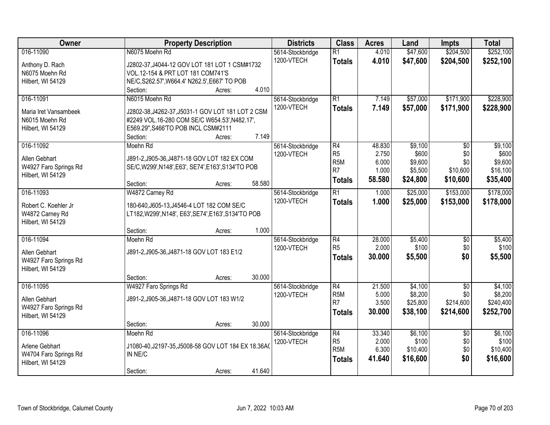| Owner                             |                                                                                    | <b>Property Description</b> |        |                                | <b>Class</b>                      | <b>Acres</b>   | Land                 | Impts                  | <b>Total</b>           |
|-----------------------------------|------------------------------------------------------------------------------------|-----------------------------|--------|--------------------------------|-----------------------------------|----------------|----------------------|------------------------|------------------------|
| 016-11090                         | N6075 Moehn Rd                                                                     |                             |        | 5614-Stockbridge<br>1200-VTECH | $\overline{R1}$<br><b>Totals</b>  | 4.010<br>4.010 | \$47,600<br>\$47,600 | \$204,500<br>\$204,500 | \$252,100<br>\$252,100 |
| Anthony D. Rach<br>N6075 Moehn Rd | J2802-37, J4044-12 GOV LOT 181 LOT 1 CSM#1732<br>VOL.12-154 & PRT LOT 181 COM741'S |                             |        |                                |                                   |                |                      |                        |                        |
| Hilbert, WI 54129                 | NE/C, S262.57', W664.4' N262.5', E667' TO POB                                      |                             |        |                                |                                   |                |                      |                        |                        |
|                                   | Section:                                                                           | Acres:                      | 4.010  |                                |                                   |                |                      |                        |                        |
| 016-11091                         | N6015 Moehn Rd                                                                     |                             |        | 5614-Stockbridge<br>1200-VTECH | R1                                | 7.149<br>7.149 | \$57,000             | \$171,900              | \$228,900              |
| Maria Iret Vansambeek             | J2802-38, J4262-37, J5031-1 GOV LOT 181 LOT 2 CSM                                  |                             |        |                                | <b>Totals</b>                     |                | \$57,000             | \$171,900              | \$228,900              |
| N6015 Moehn Rd                    | #2249 VOL.16-280 COM SE/C W654.53', N482.17',                                      |                             |        |                                |                                   |                |                      |                        |                        |
| Hilbert, WI 54129                 | E569.29", S466'TO POB INCL CSM#2111                                                |                             |        |                                |                                   |                |                      |                        |                        |
|                                   | Section:                                                                           | Acres:                      | 7.149  |                                |                                   |                |                      |                        |                        |
| 016-11092                         | Moehn Rd                                                                           |                             |        | 5614-Stockbridge               | R4                                | 48.830         | \$9,100              | $\overline{50}$        | \$9,100                |
| Allen Gebhart                     | J891-2, J905-36, J4871-18 GOV LOT 182 EX COM                                       |                             |        | 1200-VTECH                     | R <sub>5</sub>                    | 2.750          | \$600                | \$0                    | \$600                  |
| W4927 Faro Springs Rd             | SE/C, W299', N148', E63', SE74', E163', S134'TO POB                                |                             |        |                                | R <sub>5M</sub><br>R <sub>7</sub> | 6.000          | \$9,600              | \$0                    | \$9,600                |
| Hilbert, WI 54129                 |                                                                                    |                             |        |                                |                                   | 1.000          | \$5,500              | \$10,600               | \$16,100               |
|                                   | Section:                                                                           | Acres:                      | 58.580 |                                | <b>Totals</b>                     | 58.580         | \$24,800             | \$10,600               | \$35,400               |
| 016-11093                         | W4872 Carney Rd                                                                    |                             |        | 5614-Stockbridge               | $\overline{R1}$                   | 1.000          | \$25,000             | \$153,000              | \$178,000              |
| Robert C. Koehler Jr              | 180-640, J605-13, J4546-4 LOT 182 COM SE/C                                         |                             |        | 1200-VTECH                     | <b>Totals</b>                     | 1.000          | \$25,000             | \$153,000              | \$178,000              |
| W4872 Carney Rd                   | LT182, W299', N148', E63', SE74', E163', S134'TO POB                               |                             |        |                                |                                   |                |                      |                        |                        |
| Hilbert, WI 54129                 |                                                                                    |                             |        |                                |                                   |                |                      |                        |                        |
|                                   | Section:                                                                           | Acres:                      | 1.000  |                                |                                   |                |                      |                        |                        |
| 016-11094                         | Moehn Rd                                                                           |                             |        | 5614-Stockbridge               | R4                                | 28.000         | \$5,400              | $\overline{50}$        | \$5,400                |
| Allen Gebhart                     | J891-2, J905-36, J4871-18 GOV LOT 183 E1/2                                         |                             |        | 1200-VTECH                     | R <sub>5</sub>                    | 2.000          | \$100                | \$0                    | \$100                  |
| W4927 Faro Springs Rd             |                                                                                    |                             |        |                                | <b>Totals</b>                     | 30.000         | \$5,500              | \$0                    | \$5,500                |
| Hilbert, WI 54129                 |                                                                                    |                             |        |                                |                                   |                |                      |                        |                        |
|                                   | Section:                                                                           | Acres:                      | 30.000 |                                |                                   |                |                      |                        |                        |
| 016-11095                         | W4927 Faro Springs Rd                                                              |                             |        | 5614-Stockbridge               | R4                                | 21.500         | \$4,100              | $\sqrt{6}$             | \$4,100                |
| Allen Gebhart                     | J891-2, J905-36, J4871-18 GOV LOT 183 W1/2                                         |                             |        | 1200-VTECH                     | R <sub>5M</sub>                   | 5.000          | \$8,200              | \$0                    | \$8,200                |
| W4927 Faro Springs Rd             |                                                                                    |                             |        |                                | R7                                | 3.500          | \$25,800             | \$214,600              | \$240,400              |
| Hilbert, WI 54129                 |                                                                                    |                             |        |                                | Totals                            | 30,000         | \$38,100             | \$214,600              | \$252,700              |
|                                   | Section:                                                                           | Acres:                      | 30.000 |                                |                                   |                |                      |                        |                        |
| 016-11096                         | Moehn Rd                                                                           |                             |        | 5614-Stockbridge               | R4                                | 33.340         | \$6,100              | $\overline{30}$        | \$6,100                |
| Arlene Gebhart                    | J1080-40, J2197-35, J5008-58 GOV LOT 184 EX 18.36A0                                |                             |        | 1200-VTECH                     | R <sub>5</sub>                    | 2.000          | \$100                | \$0                    | \$100                  |
| W4704 Faro Springs Rd             | IN NE/C                                                                            |                             |        |                                | R <sub>5M</sub>                   | 6.300          | \$10,400             | \$0                    | \$10,400               |
| Hilbert, WI 54129                 |                                                                                    |                             |        |                                | <b>Totals</b>                     | 41.640         | \$16,600             | \$0                    | \$16,600               |
|                                   | Section:                                                                           | Acres:                      | 41.640 |                                |                                   |                |                      |                        |                        |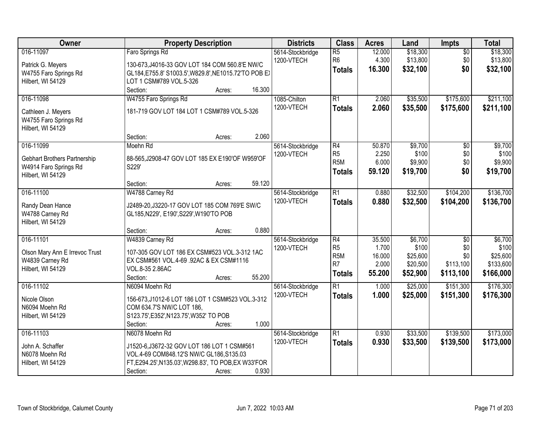| Owner                                                                                   | <b>Property Description</b>                                                                                                                                                                      | <b>Districts</b>               | <b>Class</b>                                                    | <b>Acres</b>                                 | Land                                                 | <b>Impts</b>                                            | <b>Total</b>                                           |
|-----------------------------------------------------------------------------------------|--------------------------------------------------------------------------------------------------------------------------------------------------------------------------------------------------|--------------------------------|-----------------------------------------------------------------|----------------------------------------------|------------------------------------------------------|---------------------------------------------------------|--------------------------------------------------------|
| 016-11097<br>Patrick G. Meyers<br>W4755 Faro Springs Rd<br>Hilbert, WI 54129            | Faro Springs Rd<br>130-673, J4016-33 GOV LOT 184 COM 560.8'E NW/C<br>GL184, E755.8' S1003.5', W829.8', NE1015.72'TO POB E)<br>LOT 1 CSM#789 VOL.5-326                                            | 5614-Stockbridge<br>1200-VTECH | $\overline{R5}$<br>R <sub>6</sub><br><b>Totals</b>              | 12.000<br>4.300<br>16.300                    | \$18,300<br>\$13,800<br>\$32,100                     | $\overline{50}$<br>\$0<br>\$0                           | \$18,300<br>\$13,800<br>\$32,100                       |
| 016-11098<br>Cathleen J. Meyers<br>W4755 Faro Springs Rd<br>Hilbert, WI 54129           | 16.300<br>Section:<br>Acres:<br>W4755 Faro Springs Rd<br>181-719 GOV LOT 184 LOT 1 CSM#789 VOL.5-326                                                                                             | 1085-Chilton<br>1200-VTECH     | R1<br><b>Totals</b>                                             | 2.060<br>2.060                               | \$35,500<br>\$35,500                                 | \$175,600<br>\$175,600                                  | \$211,100<br>\$211,100                                 |
| 016-11099<br>Gebhart Brothers Partnership<br>W4914 Faro Springs Rd<br>Hilbert, WI 54129 | 2.060<br>Section:<br>Acres:<br>Moehn Rd<br>88-565, J2908-47 GOV LOT 185 EX E190'OF W959'OF<br>S229'                                                                                              | 5614-Stockbridge<br>1200-VTECH | R4<br>R <sub>5</sub><br>R <sub>5</sub> M<br><b>Totals</b>       | 50.870<br>2.250<br>6.000<br>59.120           | \$9,700<br>\$100<br>\$9,900<br>\$19,700              | \$0<br>\$0<br>\$0<br>\$0                                | \$9,700<br>\$100<br>\$9,900<br>\$19,700                |
| 016-11100<br>Randy Dean Hance<br>W4788 Carney Rd<br>Hilbert, WI 54129                   | 59.120<br>Section:<br>Acres:<br>W4788 Carney Rd<br>J2489-20, J3220-17 GOV LOT 185 COM 769'E SW/C<br>GL185, N229', E190', S229', W190'TO POB<br>0.880<br>Section:                                 | 5614-Stockbridge<br>1200-VTECH | $\overline{R1}$<br><b>Totals</b>                                | 0.880<br>0.880                               | \$32,500<br>\$32,500                                 | \$104,200<br>\$104,200                                  | \$136,700<br>\$136,700                                 |
| 016-11101<br>Olson Mary Ann E Irrevoc Trust<br>W4839 Carney Rd<br>Hilbert, WI 54129     | Acres:<br>W4839 Carney Rd<br>107-305 GOV LOT 186 EX CSM#523 VOL.3-312 1AC<br>EX CSM#561 VOL.4-69 .92AC & EX CSM#1116<br>VOL.8-35 2.86AC<br>Section:<br>55.200<br>Acres:                          | 5614-Stockbridge<br>1200-VTECH | R4<br>R <sub>5</sub><br>R <sub>5</sub> M<br>R7<br><b>Totals</b> | 35.500<br>1.700<br>16.000<br>2.000<br>55.200 | \$6,700<br>\$100<br>\$25,600<br>\$20,500<br>\$52,900 | $\overline{50}$<br>\$0<br>\$0<br>\$113,100<br>\$113,100 | \$6,700<br>\$100<br>\$25,600<br>\$133,600<br>\$166,000 |
| 016-11102<br>Nicole Olson<br>N6094 Moehn Rd<br>Hilbert, WI 54129                        | N6094 Moehn Rd<br>156-673, J1012-6 LOT 186 LOT 1 CSM#523 VOL.3-312<br>COM 634.7'S NW/C LOT 186,<br>S123.75', E352', N123.75', W352' TO POB<br>1.000<br>Section:<br>Acres:                        | 5614-Stockbridge<br>1200-VTECH | R1<br><b>Totals</b>                                             | 1.000<br>1.000                               | \$25,000<br>\$25,000                                 | \$151,300<br>\$151,300                                  | \$176,300<br>\$176,300                                 |
| 016-11103<br>John A. Schaffer<br>N6078 Moehn Rd<br>Hilbert, WI 54129                    | N6078 Moehn Rd<br>J1520-6, J3672-32 GOV LOT 186 LOT 1 CSM#561<br>VOL.4-69 COM848.12'S NW/C GL186, S135.03<br>FT, E294.25', N135.03', W298.83', TO POB, EX W33'FOR<br>0.930<br>Section:<br>Acres: | 5614-Stockbridge<br>1200-VTECH | R1<br><b>Totals</b>                                             | 0.930<br>0.930                               | \$33,500<br>\$33,500                                 | \$139,500<br>\$139,500                                  | \$173,000<br>\$173,000                                 |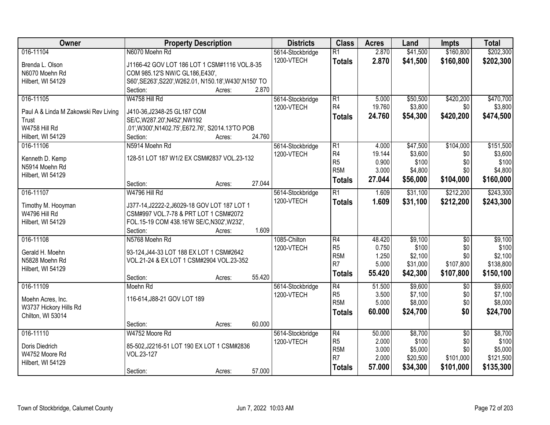| Owner                                | <b>Property Description</b>                             |        |        | <b>Districts</b> | <b>Class</b>                       | <b>Acres</b>   | Land                | <b>Impts</b>     | <b>Total</b>     |
|--------------------------------------|---------------------------------------------------------|--------|--------|------------------|------------------------------------|----------------|---------------------|------------------|------------------|
| 016-11104                            | N6070 Moehn Rd                                          |        |        | 5614-Stockbridge | $\overline{R1}$                    | 2.870          | \$41,500            | \$160,800        | \$202,300        |
| Brenda L. Olson                      | J1166-42 GOV LOT 186 LOT 1 CSM#1116 VOL.8-35            |        |        | 1200-VTECH       | <b>Totals</b>                      | 2.870          | \$41,500            | \$160,800        | \$202,300        |
| N6070 Moehn Rd                       | COM 985.12'S NW/C GL186,E430',                          |        |        |                  |                                    |                |                     |                  |                  |
| Hilbert, WI 54129                    | S60', SE263', S220', W262.01, N150.18', W430', N150' TO |        |        |                  |                                    |                |                     |                  |                  |
|                                      | Section:                                                | Acres: | 2.870  |                  |                                    |                |                     |                  |                  |
| 016-11105                            | W4758 Hill Rd                                           |        |        | 5614-Stockbridge | $\overline{R1}$                    | 5.000          | \$50,500            | \$420,200        | \$470,700        |
| Paul A & Linda M Zakowski Rev Living | J410-36, J2348-25 GL187 COM                             |        |        | 1200-VTECH       | R4                                 | 19.760         | \$3,800             | \$0              | \$3,800          |
| <b>Trust</b>                         | SE/C, W287.20', N452', NW192                            |        |        |                  | <b>Totals</b>                      | 24.760         | \$54,300            | \$420,200        | \$474,500        |
| W4758 Hill Rd                        | .01', W300', N1402.75', E672.76', S2014.13'TO POB       |        |        |                  |                                    |                |                     |                  |                  |
| Hilbert, WI 54129                    | Section:                                                | Acres: | 24.760 |                  |                                    |                |                     |                  |                  |
| 016-11106                            | N5914 Moehn Rd                                          |        |        | 5614-Stockbridge | $\overline{R1}$                    | 4.000          | \$47,500            | \$104,000        | \$151,500        |
|                                      |                                                         |        |        | 1200-VTECH       | R <sub>4</sub>                     | 19.144         | \$3,600             | \$0              | \$3,600          |
| Kenneth D. Kemp                      | 128-51 LOT 187 W1/2 EX CSM#2837 VOL.23-132              |        |        |                  | R <sub>5</sub>                     | 0.900          | \$100               | \$0              | \$100            |
| N5914 Moehn Rd<br>Hilbert, WI 54129  |                                                         |        |        |                  | R <sub>5</sub> M                   | 3.000          | \$4,800             | \$0              | \$4,800          |
|                                      | Section:                                                | Acres: | 27.044 |                  | <b>Totals</b>                      | 27.044         | \$56,000            | \$104,000        | \$160,000        |
| 016-11107                            | W4796 Hill Rd                                           |        |        | 5614-Stockbridge | $\overline{R1}$                    | 1.609          | \$31,100            | \$212,200        | \$243,300        |
|                                      |                                                         |        |        | 1200-VTECH       | <b>Totals</b>                      | 1.609          | \$31,100            | \$212,200        | \$243,300        |
| Timothy M. Hooyman                   | J377-14, J2222-2, J6029-18 GOV LOT 187 LOT 1            |        |        |                  |                                    |                |                     |                  |                  |
| W4796 Hill Rd                        | CSM#997 VOL.7-78 & PRT LOT 1 CSM#2072                   |        |        |                  |                                    |                |                     |                  |                  |
| Hilbert, WI 54129                    | FOL.15-19 COM 438.16'W SE/C, N302', W232',              |        |        |                  |                                    |                |                     |                  |                  |
|                                      | Section:                                                | Acres: | 1.609  |                  |                                    |                |                     |                  |                  |
| 016-11108                            | N5768 Moehn Rd                                          |        |        | 1085-Chilton     | $\overline{R4}$                    | 48.420         | \$9,100             | $\overline{50}$  | \$9,100          |
| Gerald H. Moehn                      | 93-124, J44-33 LOT 188 EX LOT 1 CSM#2642                |        |        | 1200-VTECH       | R <sub>5</sub>                     | 0.750          | \$100               | \$0              | \$100<br>\$2,100 |
| N5828 Moehn Rd                       | VOL.21-24 & EX LOT 1 CSM#2904 VOL.23-352                |        |        |                  | R <sub>5</sub> M<br>R <sub>7</sub> | 1.250<br>5.000 | \$2,100<br>\$31,000 | \$0<br>\$107,800 | \$138,800        |
| Hilbert, WI 54129                    |                                                         |        |        |                  |                                    | 55.420         | \$42,300            | \$107,800        | \$150,100        |
|                                      | Section:                                                | Acres: | 55.420 |                  | <b>Totals</b>                      |                |                     |                  |                  |
| 016-11109                            | Moehn Rd                                                |        |        | 5614-Stockbridge | $\overline{R4}$                    | 51.500         | \$9,600             | $\sqrt{6}$       | \$9,600          |
| Moehn Acres, Inc.                    | 116-614, J88-21 GOV LOT 189                             |        |        | 1200-VTECH       | R <sub>5</sub>                     | 3.500          | \$7,100             | \$0              | \$7,100          |
| W3737 Hickory Hills Rd               |                                                         |        |        |                  | R <sub>5</sub> M                   | 5.000          | \$8,000             | \$0              | \$8,000          |
| Chilton, WI 53014                    |                                                         |        |        |                  | <b>Totals</b>                      | 60.000         | \$24,700            | \$0              | \$24,700         |
|                                      | Section:                                                | Acres: | 60.000 |                  |                                    |                |                     |                  |                  |
| 016-11110                            | W4752 Moore Rd                                          |        |        | 5614-Stockbridge | $\overline{R4}$                    | 50.000         | \$8,700             | $\overline{50}$  | \$8,700          |
|                                      |                                                         |        |        | 1200-VTECH       | R <sub>5</sub>                     | 2.000          | \$100               | \$0              | \$100            |
| Doris Diedrich                       | 85-502, J2216-51 LOT 190 EX LOT 1 CSM#2836              |        |        |                  | R <sub>5</sub> M                   | 3.000          | \$5,000             | \$0              | \$5,000          |
| W4752 Moore Rd                       | VOL.23-127                                              |        |        |                  | R <sub>7</sub>                     | 2.000          | \$20,500            | \$101,000        | \$121,500        |
| Hilbert, WI 54129                    | Section:                                                | Acres: | 57.000 |                  | <b>Totals</b>                      | 57.000         | \$34,300            | \$101,000        | \$135,300        |
|                                      |                                                         |        |        |                  |                                    |                |                     |                  |                  |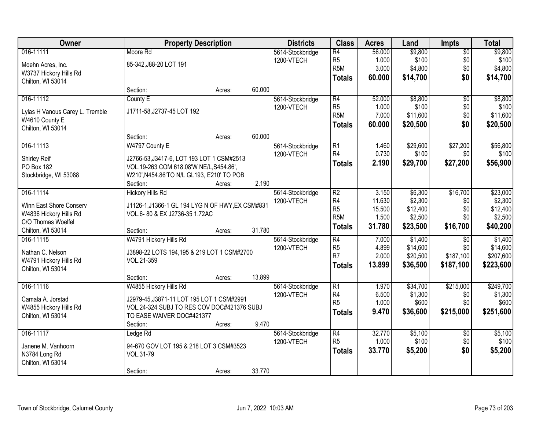| Owner                           | <b>Property Description</b>                      |        |        | <b>Districts</b> | <b>Class</b>     | <b>Acres</b> | Land     | <b>Impts</b>    | <b>Total</b> |
|---------------------------------|--------------------------------------------------|--------|--------|------------------|------------------|--------------|----------|-----------------|--------------|
| 016-11111                       | Moore Rd                                         |        |        | 5614-Stockbridge | R4               | 56.000       | \$9,800  | $\overline{60}$ | \$9,800      |
| Moehn Acres, Inc.               | 85-342, J88-20 LOT 191                           |        |        | 1200-VTECH       | R <sub>5</sub>   | 1.000        | \$100    | \$0             | \$100        |
| W3737 Hickory Hills Rd          |                                                  |        |        |                  | R <sub>5</sub> M | 3.000        | \$4,800  | \$0             | \$4,800      |
| Chilton, WI 53014               |                                                  |        |        |                  | <b>Totals</b>    | 60.000       | \$14,700 | \$0             | \$14,700     |
|                                 | Section:                                         | Acres: | 60.000 |                  |                  |              |          |                 |              |
| 016-11112                       | County E                                         |        |        | 5614-Stockbridge | R4               | 52.000       | \$8,800  | $\overline{50}$ | \$8,800      |
| Lylas H Vanous Carey L. Tremble | J1711-58, J2737-45 LOT 192                       |        |        | 1200-VTECH       | R <sub>5</sub>   | 1.000        | \$100    | \$0             | \$100        |
| W4610 County E                  |                                                  |        |        |                  | R <sub>5</sub> M | 7.000        | \$11,600 | \$0             | \$11,600     |
| Chilton, WI 53014               |                                                  |        |        |                  | <b>Totals</b>    | 60.000       | \$20,500 | \$0             | \$20,500     |
|                                 | Section:                                         | Acres: | 60.000 |                  |                  |              |          |                 |              |
| 016-11113                       | W4797 County E                                   |        |        | 5614-Stockbridge | $\overline{R1}$  | 1.460        | \$29,600 | \$27,200        | \$56,800     |
| Shirley Reif                    | J2766-53, J3417-6, LOT 193 LOT 1 CSM#2513        |        |        | 1200-VTECH       | R <sub>4</sub>   | 0.730        | \$100    | \$0             | \$100        |
| PO Box 182                      | VOL.19-263 COM 618.08'W NE/L, S454.86',          |        |        |                  | <b>Totals</b>    | 2.190        | \$29,700 | \$27,200        | \$56,900     |
| Stockbridge, WI 53088           | W210', N454.86'TO N/L GL193, E210' TO POB        |        |        |                  |                  |              |          |                 |              |
|                                 | Section:                                         | Acres: | 2.190  |                  |                  |              |          |                 |              |
| 016-11114                       | <b>Hickory Hills Rd</b>                          |        |        | 5614-Stockbridge | R <sub>2</sub>   | 3.150        | \$6,300  | \$16,700        | \$23,000     |
| Winn East Shore Conserv         | J1126-1, J1366-1 GL 194 LYG N OF HWY, EX CSM#831 |        |        | 1200-VTECH       | R <sub>4</sub>   | 11.630       | \$2,300  | \$0             | \$2,300      |
| W4836 Hickory Hills Rd          | VOL.6-80 & EX J2736-35 1.72AC                    |        |        |                  | R <sub>5</sub>   | 15.500       | \$12,400 | \$0             | \$12,400     |
| C/O Thomas Woelfel              |                                                  |        |        |                  | R <sub>5</sub> M | 1.500        | \$2,500  | \$0             | \$2,500      |
| Chilton, WI 53014               | Section:                                         | Acres: | 31.780 |                  | <b>Totals</b>    | 31.780       | \$23,500 | \$16,700        | \$40,200     |
| 016-11115                       | W4791 Hickory Hills Rd                           |        |        | 5614-Stockbridge | $\overline{R4}$  | 7.000        | \$1,400  | $\overline{50}$ | \$1,400      |
| Nathan C. Nelson                | J3898-22 LOTS 194,195 & 219 LOT 1 CSM#2700       |        |        | 1200-VTECH       | R <sub>5</sub>   | 4.899        | \$14,600 | \$0             | \$14,600     |
| W4791 Hickory Hills Rd          | VOL.21-359                                       |        |        |                  | R7               | 2.000        | \$20,500 | \$187,100       | \$207,600    |
| Chilton, WI 53014               |                                                  |        |        |                  | <b>Totals</b>    | 13.899       | \$36,500 | \$187,100       | \$223,600    |
|                                 | Section:                                         | Acres: | 13.899 |                  |                  |              |          |                 |              |
| 016-11116                       | W4855 Hickory Hills Rd                           |        |        | 5614-Stockbridge | $\overline{R1}$  | 1.970        | \$34,700 | \$215,000       | \$249,700    |
| Camala A. Jorstad               | J2979-45, J3871-11 LOT 195 LOT 1 CSM#2991        |        |        | 1200-VTECH       | R <sub>4</sub>   | 6.500        | \$1,300  | \$0             | \$1,300      |
| W4855 Hickory Hills Rd          | VOL.24-324 SUBJ TO RES COV DOC#421376 SUBJ       |        |        |                  | R <sub>5</sub>   | 1.000        | \$600    | \$0             | \$600        |
| Chilton, WI 53014               | TO EASE WAIVER DOC#421377                        |        |        |                  | <b>Totals</b>    | 9.470        | \$36,600 | \$215,000       | \$251,600    |
|                                 | Section:                                         | Acres: | 9.470  |                  |                  |              |          |                 |              |
| 016-11117                       | Ledge Rd                                         |        |        | 5614-Stockbridge | R4               | 32.770       | \$5,100  | $\overline{60}$ | \$5,100      |
| Janene M. Vanhoorn              | 94-670 GOV LOT 195 & 218 LOT 3 CSM#3523          |        |        | 1200-VTECH       | R <sub>5</sub>   | 1.000        | \$100    | \$0             | \$100        |
| N3784 Long Rd                   | VOL.31-79                                        |        |        |                  | <b>Totals</b>    | 33.770       | \$5,200  | \$0             | \$5,200      |
| Chilton, WI 53014               |                                                  |        |        |                  |                  |              |          |                 |              |
|                                 | Section:                                         | Acres: | 33.770 |                  |                  |              |          |                 |              |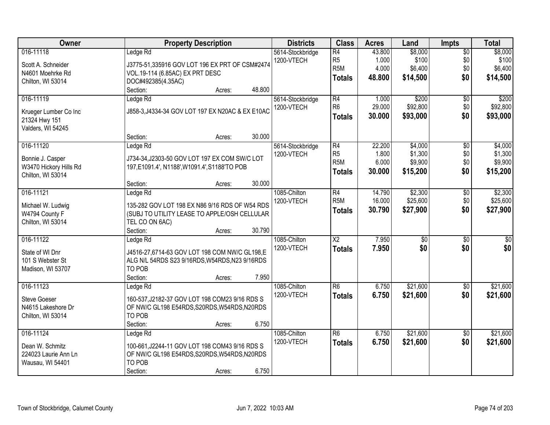| Owner                  | <b>Property Description</b>                      | <b>Districts</b> | <b>Class</b>           | <b>Acres</b>    | Land             | <b>Impts</b>           | <b>Total</b>     |
|------------------------|--------------------------------------------------|------------------|------------------------|-----------------|------------------|------------------------|------------------|
| 016-11118              | Ledge Rd                                         | 5614-Stockbridge | R4<br>R <sub>5</sub>   | 43.800<br>1.000 | \$8,000<br>\$100 | $\overline{50}$<br>\$0 | \$8,000<br>\$100 |
| Scott A. Schneider     | J3775-51,335916 GOV LOT 196 EX PRT OF CSM#2474   | 1200-VTECH       | R <sub>5M</sub>        | 4.000           | \$6,400          | \$0                    | \$6,400          |
| N4601 Moehrke Rd       | VOL.19-114 (6.85AC) EX PRT DESC                  |                  | <b>Totals</b>          | 48.800          | \$14,500         | \$0                    | \$14,500         |
| Chilton, WI 53014      | DOC#492385(4.35AC)                               |                  |                        |                 |                  |                        |                  |
|                        | 48.800<br>Section:<br>Acres:                     |                  |                        |                 |                  |                        |                  |
| 016-11119              | Ledge Rd                                         | 5614-Stockbridge | R4                     | 1.000           | \$200            | $\overline{50}$        | \$200            |
| Krueger Lumber Co Inc  | J858-3, J4334-34 GOV LOT 197 EX N20AC & EX E10AC | 1200-VTECH       | R <sub>6</sub>         | 29.000          | \$92,800         | \$0                    | \$92,800         |
| 21324 Hwy 151          |                                                  |                  | <b>Totals</b>          | 30.000          | \$93,000         | \$0                    | \$93,000         |
| Valders, WI 54245      |                                                  |                  |                        |                 |                  |                        |                  |
|                        | 30.000<br>Section:<br>Acres:                     |                  |                        |                 |                  |                        |                  |
| 016-11120              | Ledge Rd                                         | 5614-Stockbridge | R4                     | 22.200          | \$4,000          | \$0                    | \$4,000          |
| Bonnie J. Casper       | J734-34, J2303-50 GOV LOT 197 EX COM SW/C LOT    | 1200-VTECH       | R <sub>5</sub>         | 1.800           | \$1,300          | \$0                    | \$1,300          |
| W3470 Hickory Hills Rd | 197, E1091.4', N1188', W1091.4', S1188'TO POB    |                  | R <sub>5M</sub>        | 6.000           | \$9,900          | \$0                    | \$9,900          |
| Chilton, WI 53014      |                                                  |                  | Totals                 | 30,000          | \$15,200         | \$0                    | \$15,200         |
|                        | 30.000<br>Section:<br>Acres:                     |                  |                        |                 |                  |                        |                  |
| 016-11121              | Ledge Rd                                         | 1085-Chilton     | R4                     | 14.790          | \$2,300          | \$0                    | \$2,300          |
| Michael W. Ludwig      | 135-282 GOV LOT 198 EX N86 9/16 RDS OF W54 RDS   | 1200-VTECH       | R <sub>5</sub> M       | 16.000          | \$25,600         | \$0                    | \$25,600         |
| W4794 County F         | (SUBJ TO UTILITY LEASE TO APPLE/OSH CELLULAR     |                  | <b>Totals</b>          | 30.790          | \$27,900         | \$0                    | \$27,900         |
| Chilton, WI 53014      | TEL CO ON 6AC)                                   |                  |                        |                 |                  |                        |                  |
|                        | 30.790<br>Section:<br>Acres:                     |                  |                        |                 |                  |                        |                  |
| 016-11122              | Ledge Rd                                         | 1085-Chilton     | $\overline{\text{X2}}$ | 7.950           | $\overline{50}$  | $\overline{30}$        | $\overline{\$0}$ |
|                        |                                                  | 1200-VTECH       | <b>Totals</b>          | 7.950           | \$0              | \$0                    | \$0              |
| State of WI Dnr        | J4516-27,6714-63 GOV LOT 198 COM NW/C GL198,E    |                  |                        |                 |                  |                        |                  |
| 101 S Webster St       | ALG N/L 54RDS S23 9/16RDS, W54RDS, N23 9/16RDS   |                  |                        |                 |                  |                        |                  |
| Madison, WI 53707      | TO POB                                           |                  |                        |                 |                  |                        |                  |
|                        | Section:<br>7.950<br>Acres:                      |                  |                        |                 |                  |                        |                  |
| 016-11123              | Ledge Rd                                         | 1085-Chilton     | R <sub>6</sub>         | 6.750           | \$21,600         | $\overline{60}$        | \$21,600         |
| <b>Steve Goeser</b>    | 160-537, J2182-37 GOV LOT 198 COM23 9/16 RDS S   | 1200-VTECH       | <b>Totals</b>          | 6.750           | \$21,600         | \$0                    | \$21,600         |
| N4615 Lakeshore Dr     | OF NW/C GL198 E54RDS, S20RDS, W54RDS, N20RDS     |                  |                        |                 |                  |                        |                  |
| Chilton, WI 53014      | TO POB                                           |                  |                        |                 |                  |                        |                  |
|                        | 6.750<br>Section:<br>Acres:                      |                  |                        |                 |                  |                        |                  |
| 016-11124              | Ledge Rd                                         | 1085-Chilton     | $\overline{R6}$        | 6.750           | \$21,600         | $\overline{50}$        | \$21,600         |
| Dean W. Schmitz        | 100-661, J2244-11 GOV LOT 198 COM43 9/16 RDS S   | 1200-VTECH       | <b>Totals</b>          | 6.750           | \$21,600         | \$0                    | \$21,600         |
| 224023 Laurie Ann Ln   | OF NW/C GL198 E54RDS, S20RDS, W54RDS, N20RDS     |                  |                        |                 |                  |                        |                  |
| Wausau, WI 54401       | TO POB                                           |                  |                        |                 |                  |                        |                  |
|                        | 6.750<br>Section:<br>Acres:                      |                  |                        |                 |                  |                        |                  |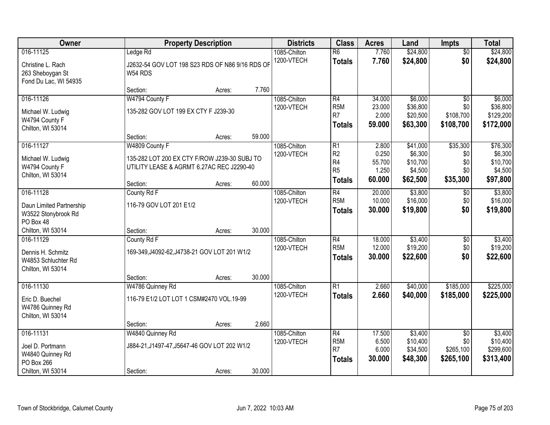| Owner                                                          |                                                            | <b>Property Description</b> |        |              | <b>Class</b>                       | <b>Acres</b>    | Land                 | <b>Impts</b>     | <b>Total</b>          |
|----------------------------------------------------------------|------------------------------------------------------------|-----------------------------|--------|--------------|------------------------------------|-----------------|----------------------|------------------|-----------------------|
| 016-11125                                                      | Ledge Rd                                                   |                             |        | 1085-Chilton | $\overline{R6}$                    | 7.760           | \$24,800             | $\overline{50}$  | \$24,800              |
| Christine L. Rach<br>263 Sheboygan St<br>Fond Du Lac, WI 54935 | J2632-54 GOV LOT 198 S23 RDS OF N86 9/16 RDS OF<br>W54 RDS |                             |        | 1200-VTECH   | <b>Totals</b>                      | 7.760           | \$24,800             | \$0              | \$24,800              |
|                                                                | Section:                                                   | Acres:                      | 7.760  |              |                                    |                 |                      |                  |                       |
| 016-11126                                                      | W4794 County F                                             |                             |        | 1085-Chilton | R4                                 | 34.000          | \$6,000              | $\overline{50}$  | \$6,000               |
| Michael W. Ludwig                                              | 135-282 GOV LOT 199 EX CTY F J239-30                       |                             |        | 1200-VTECH   | R <sub>5</sub> M<br>R <sub>7</sub> | 23.000<br>2.000 | \$36,800<br>\$20,500 | \$0<br>\$108,700 | \$36,800<br>\$129,200 |
| W4794 County F<br>Chilton, WI 53014                            |                                                            |                             |        |              | <b>Totals</b>                      | 59.000          | \$63,300             | \$108,700        | \$172,000             |
|                                                                | Section:                                                   | Acres:                      | 59.000 |              |                                    |                 |                      |                  |                       |
| 016-11127                                                      | W4809 County F                                             |                             |        | 1085-Chilton | R1                                 | 2.800           | \$41,000             | \$35,300         | \$76,300              |
| Michael W. Ludwig                                              | 135-282 LOT 200 EX CTY F/ROW J239-30 SUBJ TO               |                             |        | 1200-VTECH   | R <sub>2</sub>                     | 0.250           | \$6,300              | \$0              | \$6,300               |
| W4794 County F                                                 | UTILITY LEASE & AGRMT 6.27AC REC J2290-40                  |                             |        |              | R <sub>4</sub>                     | 55.700          | \$10,700             | \$0              | \$10,700              |
| Chilton, WI 53014                                              |                                                            |                             |        |              | R <sub>5</sub>                     | 1.250           | \$4,500              | \$0              | \$4,500               |
|                                                                | Section:                                                   | Acres:                      | 60.000 |              | <b>Totals</b>                      | 60.000          | \$62,500             | \$35,300         | \$97,800              |
| 016-11128                                                      | County Rd F                                                |                             |        | 1085-Chilton | R4                                 | 20.000          | \$3,800              | \$0              | \$3,800               |
| Daun Limited Partnership                                       | 116-79 GOV LOT 201 E1/2                                    |                             |        | 1200-VTECH   | R <sub>5</sub> M                   | 10.000          | \$16,000             | \$0              | \$16,000              |
| W3522 Stonybrook Rd                                            |                                                            |                             |        |              | <b>Totals</b>                      | 30.000          | \$19,800             | \$0              | \$19,800              |
| PO Box 48                                                      |                                                            |                             |        |              |                                    |                 |                      |                  |                       |
| Chilton, WI 53014                                              | Section:                                                   | Acres:                      | 30.000 |              |                                    |                 |                      |                  |                       |
| 016-11129                                                      | County Rd F                                                |                             |        | 1085-Chilton | $\overline{R4}$                    | 18.000          | \$3,400              | \$0              | \$3,400               |
| Dennis H. Schmitz                                              | 169-349, J4092-62, J4738-21 GOV LOT 201 W1/2               |                             |        | 1200-VTECH   | R <sub>5</sub> M                   | 12.000          | \$19,200             | \$0              | \$19,200              |
| W4853 Schluchter Rd                                            |                                                            |                             |        |              | <b>Totals</b>                      | 30.000          | \$22,600             | \$0              | \$22,600              |
| Chilton, WI 53014                                              |                                                            |                             |        |              |                                    |                 |                      |                  |                       |
|                                                                | Section:                                                   | Acres:                      | 30.000 |              |                                    |                 |                      |                  |                       |
| 016-11130                                                      | W4786 Quinney Rd                                           |                             |        | 1085-Chilton | R <sub>1</sub>                     | 2.660           | \$40,000             | \$185,000        | \$225,000             |
| Eric D. Buechel                                                | 116-79 E1/2 LOT LOT 1 CSM#2470 VOL.19-99                   |                             |        | 1200-VTECH   | <b>Totals</b>                      | 2.660           | \$40,000             | \$185,000        | \$225,000             |
| W4786 Quinney Rd                                               |                                                            |                             |        |              |                                    |                 |                      |                  |                       |
| Chilton, WI 53014                                              |                                                            |                             |        |              |                                    |                 |                      |                  |                       |
|                                                                | Section:                                                   | Acres:                      | 2.660  |              |                                    |                 |                      |                  |                       |
| 016-11131                                                      | W4840 Quinney Rd                                           |                             |        | 1085-Chilton | R4                                 | 17.500          | \$3,400              | $\overline{50}$  | \$3,400               |
| Joel D. Portmann                                               | J884-21, J1497-47, J5647-46 GOV LOT 202 W1/2               |                             |        | 1200-VTECH   | R <sub>5</sub> M                   | 6.500           | \$10,400             | \$0              | \$10,400              |
| W4840 Quinney Rd                                               |                                                            |                             |        |              | R <sub>7</sub>                     | 6.000           | \$34,500             | \$265,100        | \$299,600             |
| PO Box 266                                                     |                                                            |                             |        |              | <b>Totals</b>                      | 30.000          | \$48,300             | \$265,100        | \$313,400             |
| Chilton, WI 53014                                              | Section:                                                   | Acres:                      | 30.000 |              |                                    |                 |                      |                  |                       |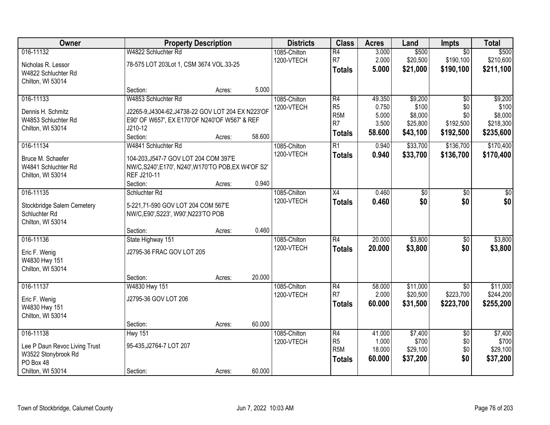| Owner                                                                                               | <b>Property Description</b>                                                                                                                       |        |        | <b>Districts</b>           | <b>Class</b>                                                                             | <b>Acres</b>                                | Land                                                | Impts                                                   | <b>Total</b>                                          |
|-----------------------------------------------------------------------------------------------------|---------------------------------------------------------------------------------------------------------------------------------------------------|--------|--------|----------------------------|------------------------------------------------------------------------------------------|---------------------------------------------|-----------------------------------------------------|---------------------------------------------------------|-------------------------------------------------------|
| 016-11132<br>Nicholas R. Lessor<br>W4822 Schluchter Rd<br>Chilton, WI 53014                         | W4822 Schluchter Rd<br>78-575 LOT 203Lot 1, CSM 3674 VOL.33-25                                                                                    |        |        | 1085-Chilton<br>1200-VTECH | $\overline{R4}$<br>R7<br><b>Totals</b>                                                   | 3.000<br>2.000<br>5.000                     | \$500<br>\$20,500<br>\$21,000                       | $\overline{50}$<br>\$190,100<br>\$190,100               | \$500<br>\$210,600<br>\$211,100                       |
|                                                                                                     | Section:                                                                                                                                          | Acres: | 5.000  |                            |                                                                                          |                                             |                                                     |                                                         |                                                       |
| 016-11133<br>Dennis H. Schmitz<br>W4853 Schluchter Rd<br>Chilton, WI 53014                          | W4853 Schluchter Rd<br>J2265-9, J4304-62, J4738-22 GOV LOT 204 EX N223'OF<br>E90' OF W657', EX E170'OF N240'OF W567' & REF<br>J210-12<br>Section: | Acres: | 58.600 | 1085-Chilton<br>1200-VTECH | $\overline{R4}$<br>R <sub>5</sub><br>R <sub>5</sub> M<br>R <sub>7</sub><br><b>Totals</b> | 49.350<br>0.750<br>5.000<br>3.500<br>58.600 | \$9,200<br>\$100<br>\$8,000<br>\$25,800<br>\$43,100 | $\overline{50}$<br>\$0<br>\$0<br>\$192,500<br>\$192,500 | \$9,200<br>\$100<br>\$8,000<br>\$218,300<br>\$235,600 |
| 016-11134                                                                                           | W4841 Schluchter Rd                                                                                                                               |        |        | 1085-Chilton               | $\overline{R1}$                                                                          | 0.940                                       | \$33,700                                            | \$136,700                                               | \$170,400                                             |
| Bruce M. Schaefer<br>W4841 Schluchter Rd<br>Chilton, WI 53014                                       | 104-203, J547-7 GOV LOT 204 COM 397'E<br>NW/C,S240',E170', N240',W170'TO POB,EX W4'OF S2'<br>REF J210-11<br>Section:                              | Acres: | 0.940  | 1200-VTECH                 | <b>Totals</b>                                                                            | 0.940                                       | \$33,700                                            | \$136,700                                               | \$170,400                                             |
| 016-11135                                                                                           | Schluchter Rd                                                                                                                                     |        |        | 1085-Chilton               | X4                                                                                       | 0.460                                       | \$0                                                 | \$0                                                     | \$0                                                   |
| Stockbridge Salem Cemetery<br>Schluchter Rd<br>Chilton, WI 53014                                    | 5-221,71-590 GOV LOT 204 COM 567'E<br>NW/C,E90',S223', W90',N223'TO POB                                                                           |        |        | 1200-VTECH                 | <b>Totals</b>                                                                            | 0.460                                       | \$0                                                 | \$0                                                     | \$0                                                   |
|                                                                                                     | Section:                                                                                                                                          | Acres: | 0.460  |                            |                                                                                          |                                             |                                                     |                                                         |                                                       |
| 016-11136<br>Eric F. Wenig<br>W4830 Hwy 151<br>Chilton, WI 53014                                    | State Highway 151<br>J2795-36 FRAC GOV LOT 205<br>Section:                                                                                        | Acres: | 20.000 | 1085-Chilton<br>1200-VTECH | $\overline{R4}$<br><b>Totals</b>                                                         | 20.000<br>20.000                            | \$3,800<br>\$3,800                                  | $\overline{50}$<br>\$0                                  | \$3,800<br>\$3,800                                    |
| 016-11137                                                                                           | W4830 Hwy 151                                                                                                                                     |        |        | 1085-Chilton               | $\overline{R4}$                                                                          | 58.000                                      | \$11,000                                            | $\overline{50}$                                         | \$11,000                                              |
| Eric F. Wenig<br>W4830 Hwy 151<br>Chilton, WI 53014                                                 | J2795-36 GOV LOT 206                                                                                                                              |        |        | 1200-VTECH                 | R <sub>7</sub><br><b>Totals</b>                                                          | 2.000<br>60.000                             | \$20,500<br>\$31,500                                | \$223,700<br>\$223,700                                  | \$244,200<br>\$255,200                                |
|                                                                                                     | Section:                                                                                                                                          | Acres: | 60.000 |                            |                                                                                          |                                             |                                                     |                                                         |                                                       |
| 016-11138<br>Lee P Daun Revoc Living Trust<br>W3522 Stonybrook Rd<br>PO Box 48<br>Chilton, WI 53014 | <b>Hwy 151</b><br>95-435, J2764-7 LOT 207<br>Section:                                                                                             | Acres: | 60.000 | 1085-Chilton<br>1200-VTECH | $\overline{R4}$<br>R <sub>5</sub><br>R <sub>5</sub> M<br><b>Totals</b>                   | 41.000<br>1.000<br>18.000<br>60.000         | \$7,400<br>\$700<br>\$29,100<br>\$37,200            | $\overline{50}$<br>\$0<br>\$0<br>\$0                    | \$7,400<br>\$700<br>\$29,100<br>\$37,200              |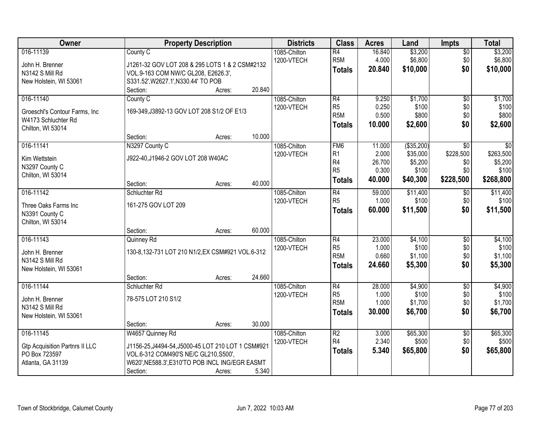| Owner                                 |                                                            | <b>Property Description</b> |        | <b>Districts</b>           | <b>Class</b>           | <b>Acres</b>    | Land               | <b>Impts</b>    | <b>Total</b>       |
|---------------------------------------|------------------------------------------------------------|-----------------------------|--------|----------------------------|------------------------|-----------------|--------------------|-----------------|--------------------|
| 016-11139<br>John H. Brenner          | County C<br>J1261-32 GOV LOT 208 & 295 LOTS 1 & 2 CSM#2132 |                             |        | 1085-Chilton<br>1200-VTECH | R4<br>R <sub>5</sub> M | 16.840<br>4.000 | \$3,200<br>\$6,800 | \$0<br>\$0      | \$3,200<br>\$6,800 |
| N3142 S Mill Rd                       | VOL.9-163 COM NW/C GL208, E2626.3',                        |                             |        |                            | <b>Totals</b>          | 20.840          | \$10,000           | \$0             | \$10,000           |
| New Holstein, WI 53061                | S331.52', W2627.1', N330.44' TO POB                        |                             |        |                            |                        |                 |                    |                 |                    |
|                                       | Section:                                                   | Acres:                      | 20.840 |                            |                        |                 |                    |                 |                    |
| 016-11140                             | County C                                                   |                             |        | 1085-Chilton               | R4                     | 9.250           | \$1,700            | $\overline{50}$ | \$1,700            |
| Groeschl's Contour Farms, Inc.        | 169-349, J3892-13 GOV LOT 208 S1/2 OF E1/3                 |                             |        | 1200-VTECH                 | R <sub>5</sub>         | 0.250           | \$100              | \$0             | \$100              |
| W4173 Schluchter Rd                   |                                                            |                             |        |                            | R <sub>5</sub> M       | 0.500           | \$800              | \$0             | \$800              |
| Chilton, WI 53014                     |                                                            |                             |        |                            | <b>Totals</b>          | 10.000          | \$2,600            | \$0             | \$2,600            |
|                                       | Section:                                                   | Acres:                      | 10.000 |                            |                        |                 |                    |                 |                    |
| 016-11141                             | N3297 County C                                             |                             |        | 1085-Chilton               | FM <sub>6</sub>        | 11.000          | ( \$35,200)        | $\overline{50}$ | $\overline{30}$    |
| Kim Wettstein                         | J922-40, J1946-2 GOV LOT 208 W40AC                         |                             |        | 1200-VTECH                 | R <sub>1</sub>         | 2.000           | \$35,000           | \$228,500       | \$263,500          |
| N3297 County C                        |                                                            |                             |        |                            | R <sub>4</sub>         | 26.700          | \$5,200            | \$0             | \$5,200            |
| Chilton, WI 53014                     |                                                            |                             |        |                            | R <sub>5</sub>         | 0.300           | \$100              | \$0             | \$100              |
|                                       | Section:                                                   | Acres:                      | 40.000 |                            | <b>Totals</b>          | 40.000          | \$40,300           | \$228,500       | \$268,800          |
| 016-11142                             | Schluchter Rd                                              |                             |        | 1085-Chilton               | R4                     | 59.000          | \$11,400           | $\sqrt[6]{3}$   | \$11,400           |
| Three Oaks Farms Inc                  | 161-275 GOV LOT 209                                        |                             |        | 1200-VTECH                 | R <sub>5</sub>         | 1.000           | \$100              | \$0             | \$100              |
| N3391 County C                        |                                                            |                             |        |                            | <b>Totals</b>          | 60.000          | \$11,500           | \$0             | \$11,500           |
| Chilton, WI 53014                     |                                                            |                             |        |                            |                        |                 |                    |                 |                    |
|                                       | Section:                                                   | Acres:                      | 60.000 |                            |                        |                 |                    |                 |                    |
| 016-11143                             | Quinney Rd                                                 |                             |        | 1085-Chilton               | $\overline{R4}$        | 23.000          | \$4,100            | \$0             | \$4,100            |
| John H. Brenner                       | 130-8,132-731 LOT 210 N1/2, EX CSM#921 VOL.6-312           |                             |        | 1200-VTECH                 | R <sub>5</sub>         | 1.000           | \$100              | \$0             | \$100              |
| N3142 S Mill Rd                       |                                                            |                             |        |                            | R <sub>5</sub> M       | 0.660           | \$1,100            | \$0             | \$1,100            |
| New Holstein, WI 53061                |                                                            |                             |        |                            | <b>Totals</b>          | 24.660          | \$5,300            | \$0             | \$5,300            |
|                                       | Section:                                                   | Acres:                      | 24.660 |                            |                        |                 |                    |                 |                    |
| 016-11144                             | Schluchter Rd                                              |                             |        | 1085-Chilton               | $\overline{R4}$        | 28.000          | \$4,900            | $\overline{50}$ | \$4,900            |
| John H. Brenner                       | 78-575 LOT 210 S1/2                                        |                             |        | 1200-VTECH                 | R <sub>5</sub>         | 1.000           | \$100              | \$0             | \$100              |
| N3142 S Mill Rd                       |                                                            |                             |        |                            | R <sub>5</sub> M       | 1.000           | \$1,700            | \$0             | \$1,700            |
| New Holstein, WI 53061                |                                                            |                             |        |                            | <b>Totals</b>          | 30.000          | \$6,700            | \$0             | \$6,700            |
|                                       | Section:                                                   | Acres:                      | 30.000 |                            |                        |                 |                    |                 |                    |
| 016-11145                             | W4657 Quinney Rd                                           |                             |        | 1085-Chilton               | R <sub>2</sub>         | 3.000           | \$65,300           | $\overline{50}$ | \$65,300           |
| <b>Gtp Acquisition Partnrs II LLC</b> | J1156-25, J4494-54, J5000-45 LOT 210 LOT 1 CSM#921         |                             |        | 1200-VTECH                 | R4                     | 2.340           | \$500              | \$0             | \$500              |
| PO Box 723597                         | VOL.6-312 COM490'S NE/C GL210, S500',                      |                             |        |                            | <b>Totals</b>          | 5.340           | \$65,800           | \$0             | \$65,800           |
| Atlanta, GA 31139                     | W620', NE588.3', E310'TO POB INCL ING/EGR EASMT            |                             |        |                            |                        |                 |                    |                 |                    |
|                                       | Section:                                                   | Acres:                      | 5.340  |                            |                        |                 |                    |                 |                    |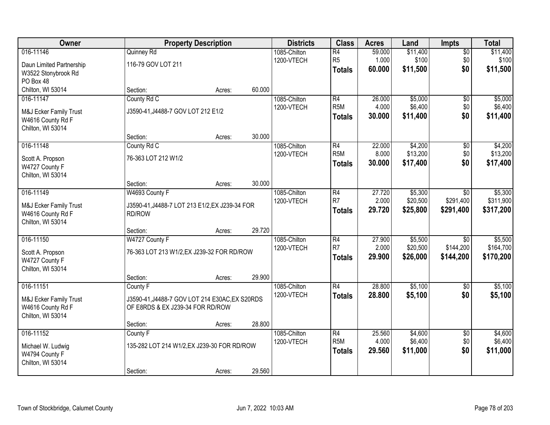| Owner                    |                                                | <b>Property Description</b> |        | <b>Districts</b> | <b>Class</b>     | <b>Acres</b> | Land     | <b>Impts</b>    | <b>Total</b> |
|--------------------------|------------------------------------------------|-----------------------------|--------|------------------|------------------|--------------|----------|-----------------|--------------|
| 016-11146                | Quinney Rd                                     |                             |        | 1085-Chilton     | $\overline{R4}$  | 59.000       | \$11,400 | $\overline{50}$ | \$11,400     |
| Daun Limited Partnership | 116-79 GOV LOT 211                             |                             |        | 1200-VTECH       | R <sub>5</sub>   | 1.000        | \$100    | \$0             | \$100        |
| W3522 Stonybrook Rd      |                                                |                             |        |                  | <b>Totals</b>    | 60.000       | \$11,500 | \$0             | \$11,500     |
| PO Box 48                |                                                |                             |        |                  |                  |              |          |                 |              |
| Chilton, WI 53014        | Section:                                       | Acres:                      | 60.000 |                  |                  |              |          |                 |              |
| 016-11147                | County Rd C                                    |                             |        | 1085-Chilton     | R4               | 26.000       | \$5,000  | $\overline{50}$ | \$5,000      |
| M&J Ecker Family Trust   | J3590-41, J4488-7 GOV LOT 212 E1/2             |                             |        | 1200-VTECH       | R <sub>5</sub> M | 4.000        | \$6,400  | \$0             | \$6,400      |
| W4616 County Rd F        |                                                |                             |        |                  | <b>Totals</b>    | 30.000       | \$11,400 | \$0             | \$11,400     |
| Chilton, WI 53014        |                                                |                             |        |                  |                  |              |          |                 |              |
|                          | Section:                                       | Acres:                      | 30.000 |                  |                  |              |          |                 |              |
| 016-11148                | County Rd C                                    |                             |        | 1085-Chilton     | $\overline{R4}$  | 22.000       | \$4,200  | \$0             | \$4,200      |
| Scott A. Propson         | 76-363 LOT 212 W1/2                            |                             |        | 1200-VTECH       | R <sub>5</sub> M | 8.000        | \$13,200 | \$0             | \$13,200     |
| W4727 County F           |                                                |                             |        |                  | <b>Totals</b>    | 30.000       | \$17,400 | \$0             | \$17,400     |
| Chilton, WI 53014        |                                                |                             |        |                  |                  |              |          |                 |              |
|                          | Section:                                       | Acres:                      | 30.000 |                  |                  |              |          |                 |              |
| 016-11149                | W4693 County F                                 |                             |        | 1085-Chilton     | R4               | 27.720       | \$5,300  | $\sqrt{6}$      | \$5,300      |
| M&J Ecker Family Trust   | J3590-41, J4488-7 LOT 213 E1/2, EX J239-34 FOR |                             |        | 1200-VTECH       | R <sub>7</sub>   | 2.000        | \$20,500 | \$291,400       | \$311,900    |
| W4616 County Rd F        | RD/ROW                                         |                             |        |                  | <b>Totals</b>    | 29.720       | \$25,800 | \$291,400       | \$317,200    |
| Chilton, WI 53014        |                                                |                             |        |                  |                  |              |          |                 |              |
|                          | Section:                                       | Acres:                      | 29.720 |                  |                  |              |          |                 |              |
| 016-11150                | W4727 County F                                 |                             |        | 1085-Chilton     | $\overline{R4}$  | 27.900       | \$5,500  | $\overline{50}$ | \$5,500      |
| Scott A. Propson         | 76-363 LOT 213 W1/2, EX J239-32 FOR RD/ROW     |                             |        | 1200-VTECH       | R7               | 2.000        | \$20,500 | \$144,200       | \$164,700    |
| W4727 County F           |                                                |                             |        |                  | <b>Totals</b>    | 29.900       | \$26,000 | \$144,200       | \$170,200    |
| Chilton, WI 53014        |                                                |                             |        |                  |                  |              |          |                 |              |
|                          | Section:                                       | Acres:                      | 29.900 |                  |                  |              |          |                 |              |
| 016-11151                | County F                                       |                             |        | 1085-Chilton     | $\overline{R4}$  | 28.800       | \$5,100  | $\overline{50}$ | \$5,100      |
| M&J Ecker Family Trust   | J3590-41, J4488-7 GOV LOT 214 E30AC, EX S20RDS |                             |        | 1200-VTECH       | <b>Totals</b>    | 28.800       | \$5,100  | \$0             | \$5,100      |
| W4616 County Rd F        | OF E8RDS & EX J239-34 FOR RD/ROW               |                             |        |                  |                  |              |          |                 |              |
| Chilton, WI 53014        |                                                |                             |        |                  |                  |              |          |                 |              |
|                          | Section:                                       | Acres:                      | 28.800 |                  |                  |              |          |                 |              |
| 016-11152                | County F                                       |                             |        | 1085-Chilton     | $\overline{R4}$  | 25.560       | \$4,600  | $\overline{50}$ | \$4,600      |
| Michael W. Ludwig        | 135-282 LOT 214 W1/2, EX J239-30 FOR RD/ROW    |                             |        | 1200-VTECH       | R <sub>5</sub> M | 4.000        | \$6,400  | \$0             | \$6,400      |
| W4794 County F           |                                                |                             |        |                  | <b>Totals</b>    | 29.560       | \$11,000 | \$0             | \$11,000     |
| Chilton, WI 53014        |                                                |                             |        |                  |                  |              |          |                 |              |
|                          | Section:                                       | Acres:                      | 29.560 |                  |                  |              |          |                 |              |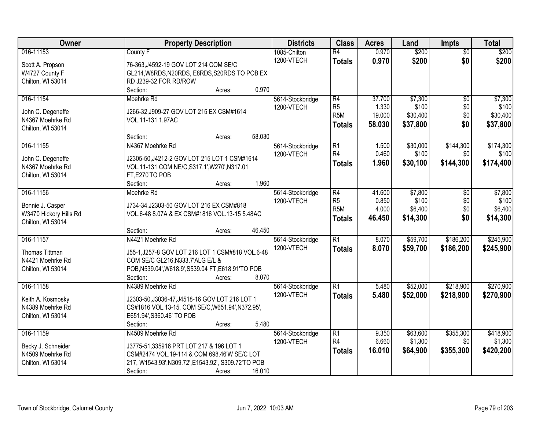| Owner                                  | <b>Property Description</b>                                                            | <b>Districts</b> | <b>Class</b>     | <b>Acres</b> | Land     | <b>Impts</b>    | <b>Total</b> |
|----------------------------------------|----------------------------------------------------------------------------------------|------------------|------------------|--------------|----------|-----------------|--------------|
| 016-11153                              | County F                                                                               | 1085-Chilton     | $\overline{R4}$  | 0.970        | \$200    | $\overline{50}$ | \$200        |
| Scott A. Propson                       | 76-363, J4592-19 GOV LOT 214 COM SE/C                                                  | 1200-VTECH       | <b>Totals</b>    | 0.970        | \$200    | \$0             | \$200        |
| W4727 County F                         | GL214, W8RDS, N20RDS, E8RDS, S20RDS TO POB EX                                          |                  |                  |              |          |                 |              |
| Chilton, WI 53014                      | RD J239-32 FOR RD/ROW                                                                  |                  |                  |              |          |                 |              |
|                                        | 0.970<br>Section:<br>Acres:                                                            |                  |                  |              |          |                 |              |
| 016-11154                              | Moehrke Rd                                                                             | 5614-Stockbridge | R4               | 37.700       | \$7,300  | $\overline{50}$ | \$7,300      |
| John C. Degeneffe                      | J266-32, J909-27 GOV LOT 215 EX CSM#1614                                               | 1200-VTECH       | R <sub>5</sub>   | 1.330        | \$100    | \$0             | \$100        |
| N4367 Moehrke Rd                       | VOL.11-131 1.97AC                                                                      |                  | R <sub>5</sub> M | 19.000       | \$30,400 | \$0             | \$30,400     |
| Chilton, WI 53014                      |                                                                                        |                  | <b>Totals</b>    | 58.030       | \$37,800 | \$0             | \$37,800     |
|                                        | 58.030<br>Section:<br>Acres:                                                           |                  |                  |              |          |                 |              |
| 016-11155                              | N4367 Moehrke Rd                                                                       | 5614-Stockbridge | R1               | 1.500        | \$30,000 | \$144,300       | \$174,300    |
|                                        |                                                                                        | 1200-VTECH       | R4               | 0.460        | \$100    | \$0             | \$100        |
| John C. Degeneffe                      | J2305-50, J4212-2 GOV LOT 215 LOT 1 CSM#1614                                           |                  | Totals           | 1.960        | \$30,100 | \$144,300       | \$174,400    |
| N4367 Moehrke Rd                       | VOL.11-131 COM NE/C, S317.1', W270', N317.01                                           |                  |                  |              |          |                 |              |
| Chilton, WI 53014                      | FT,E270'TO POB<br>1.960<br>Section:<br>Acres:                                          |                  |                  |              |          |                 |              |
| 016-11156                              | Moehrke Rd                                                                             | 5614-Stockbridge | R4               | 41.600       | \$7,800  | \$0             | \$7,800      |
|                                        |                                                                                        | 1200-VTECH       | R <sub>5</sub>   | 0.850        | \$100    | \$0             | \$100        |
| Bonnie J. Casper                       | J734-34, J2303-50 GOV LOT 216 EX CSM#818                                               |                  | R <sub>5M</sub>  | 4.000        | \$6,400  | \$0             | \$6,400      |
| W3470 Hickory Hills Rd                 | VOL.6-48 8.07A & EX CSM#1816 VOL.13-15 5.48AC                                          |                  | <b>Totals</b>    | 46.450       | \$14,300 | \$0             | \$14,300     |
| Chilton, WI 53014                      |                                                                                        |                  |                  |              |          |                 |              |
|                                        | 46.450<br>Section:<br>Acres:                                                           |                  |                  |              |          |                 |              |
| 016-11157                              | N4421 Moehrke Rd                                                                       | 5614-Stockbridge | $\overline{R1}$  | 8.070        | \$59,700 | \$186,200       | \$245,900    |
| Thomas Tittman                         | J55-1, J257-8 GOV LOT 216 LOT 1 CSM#818 VOL.6-48                                       | 1200-VTECH       | <b>Totals</b>    | 8.070        | \$59,700 | \$186,200       | \$245,900    |
| N4421 Moehrke Rd                       | COM SE/C GL216, N333.7' ALG E/L &                                                      |                  |                  |              |          |                 |              |
| Chilton, WI 53014                      | POB, N539.04', W618.9', S539.04 FT, E618.91'TO POB                                     |                  |                  |              |          |                 |              |
|                                        | 8.070<br>Section:<br>Acres:                                                            |                  |                  |              |          |                 |              |
| 016-11158                              | N4389 Moehrke Rd                                                                       | 5614-Stockbridge | R1               | 5.480        | \$52,000 | \$218,900       | \$270,900    |
| Keith A. Kosmosky                      | J2303-50, J3036-47, J4518-16 GOV LOT 216 LOT 1                                         | 1200-VTECH       | <b>Totals</b>    | 5.480        | \$52,000 | \$218,900       | \$270,900    |
| N4389 Moehrke Rd                       | CS#1816 VOL.13-15, COM SE/C, W651.94', N372.95',                                       |                  |                  |              |          |                 |              |
| Chilton, WI 53014                      | E651.94', S360.46' TO POB                                                              |                  |                  |              |          |                 |              |
|                                        | 5.480<br>Section:<br>Acres:                                                            |                  |                  |              |          |                 |              |
| 016-11159                              | N4509 Moehrke Rd                                                                       | 5614-Stockbridge | R1               | 9.350        | \$63,600 | \$355,300       | \$418,900    |
|                                        |                                                                                        | 1200-VTECH       | R4               | 6.660        | \$1,300  | \$0             | \$1,300      |
| Becky J. Schneider<br>N4509 Moehrke Rd | J3775-51,335916 PRT LOT 217 & 196 LOT 1<br>CSM#2474 VOL.19-114 & COM 698.46'W SE/C LOT |                  | <b>Totals</b>    | 16.010       | \$64,900 | \$355,300       | \$420,200    |
| Chilton, WI 53014                      | 217, W1543.93', N309.72', E1543.92', S309.72'TO POB                                    |                  |                  |              |          |                 |              |
|                                        | 16.010<br>Section:<br>Acres:                                                           |                  |                  |              |          |                 |              |
|                                        |                                                                                        |                  |                  |              |          |                 |              |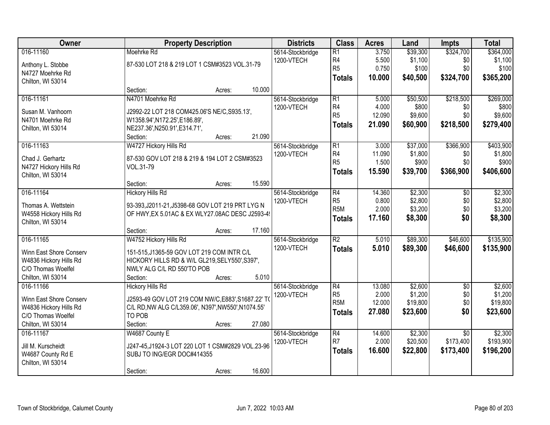| Owner                   | <b>Property Description</b>                         |        |        | <b>Districts</b>               | <b>Class</b>     | <b>Acres</b> | Land     | <b>Impts</b>    | <b>Total</b> |
|-------------------------|-----------------------------------------------------|--------|--------|--------------------------------|------------------|--------------|----------|-----------------|--------------|
| 016-11160               | Moehrke Rd                                          |        |        | 5614-Stockbridge               | R1               | 3.750        | \$39,300 | \$324,700       | \$364,000    |
| Anthony L. Stobbe       | 87-530 LOT 218 & 219 LOT 1 CSM#3523 VOL.31-79       |        |        | 1200-VTECH                     | R4               | 5.500        | \$1,100  | \$0             | \$1,100      |
| N4727 Moehrke Rd        |                                                     |        |        |                                | R <sub>5</sub>   | 0.750        | \$100    | \$0             | \$100        |
| Chilton, WI 53014       |                                                     |        |        |                                | <b>Totals</b>    | 10.000       | \$40,500 | \$324,700       | \$365,200    |
|                         | Section:                                            | Acres: | 10.000 |                                |                  |              |          |                 |              |
| 016-11161               | N4701 Moehrke Rd                                    |        |        | 5614-Stockbridge               | R1               | 5.000        | \$50,500 | \$218,500       | \$269,000    |
| Susan M. Vanhoorn       | J2992-22 LOT 218 COM425.06'S NE/C, S935.13',        |        |        | 1200-VTECH                     | R4               | 4.000        | \$800    | \$0             | \$800        |
| N4701 Moehrke Rd        | W1358.94', N172.25', E186.89',                      |        |        |                                | R <sub>5</sub>   | 12.090       | \$9,600  | \$0             | \$9,600      |
| Chilton, WI 53014       | NE237.36', N250.91', E314.71',                      |        |        |                                | <b>Totals</b>    | 21.090       | \$60,900 | \$218,500       | \$279,400    |
|                         | Section:                                            | Acres: | 21.090 |                                |                  |              |          |                 |              |
| 016-11163               | W4727 Hickory Hills Rd                              |        |        | 5614-Stockbridge               | $\overline{R1}$  | 3.000        | \$37,000 | \$366,900       | \$403,900    |
| Chad J. Gerhartz        | 87-530 GOV LOT 218 & 219 & 194 LOT 2 CSM#3523       |        |        | 1200-VTECH                     | R4               | 11.090       | \$1,800  | \$0             | \$1,800      |
| N4727 Hickory Hills Rd  | VOL.31-79                                           |        |        |                                | R5               | 1.500        | \$900    | \$0             | \$900        |
| Chilton, WI 53014       |                                                     |        |        |                                | <b>Totals</b>    | 15.590       | \$39,700 | \$366,900       | \$406,600    |
|                         | Section:                                            | Acres: | 15.590 |                                |                  |              |          |                 |              |
| 016-11164               | <b>Hickory Hills Rd</b>                             |        |        | 5614-Stockbridge               | R4               | 14.360       | \$2,300  | \$0             | \$2,300      |
|                         |                                                     |        |        | 1200-VTECH                     | R <sub>5</sub>   | 0.800        | \$2,800  | \$0             | \$2,800      |
| Thomas A. Wettstein     | 93-393, J2011-21, J5398-68 GOV LOT 219 PRT LYG N    |        |        |                                | R <sub>5M</sub>  | 2.000        | \$3,200  | \$0             | \$3,200      |
| W4558 Hickory Hills Rd  | OF HWY, EX 5.01AC & EX WLY27.08AC DESC J2593-49     |        |        |                                | <b>Totals</b>    | 17.160       | \$8,300  | \$0             | \$8,300      |
| Chilton, WI 53014       | Section:                                            |        | 17.160 |                                |                  |              |          |                 |              |
| 016-11165               | W4752 Hickory Hills Rd                              | Acres: |        |                                | $\overline{R2}$  | 5.010        | \$89,300 | \$46,600        | \$135,900    |
|                         |                                                     |        |        | 5614-Stockbridge<br>1200-VTECH |                  | 5.010        | \$89,300 | \$46,600        | \$135,900    |
| Winn East Shore Conserv | 151-515, J1365-59 GOV LOT 219 COM INTR C/L          |        |        |                                | <b>Totals</b>    |              |          |                 |              |
| W4836 Hickory Hills Rd  | HICKORY HILLS RD & W/L GL219, SELY550', S397',      |        |        |                                |                  |              |          |                 |              |
| C/O Thomas Woelfel      | NWLY ALG C/L RD 550'TO POB                          |        |        |                                |                  |              |          |                 |              |
| Chilton, WI 53014       | Section:                                            | Acres: | 5.010  |                                |                  |              |          |                 |              |
| 016-11166               | <b>Hickory Hills Rd</b>                             |        |        | 5614-Stockbridge               | R4               | 13.080       | \$2,600  | $\overline{50}$ | \$2,600      |
| Winn East Shore Conserv | J2593-49 GOV LOT 219 COM NW/C, E883', S1687.22' TO  |        |        | 1200-VTECH                     | R <sub>5</sub>   | 2.000        | \$1,200  | \$0             | \$1,200      |
| W4836 Hickory Hills Rd  | C/L RD, NW ALG C/L359.06', N397', NW550', N1074.55' |        |        |                                | R <sub>5</sub> M | 12.000       | \$19,800 | \$0             | \$19,800     |
| C/O Thomas Woelfel      | TO POB                                              |        |        |                                | Totals           | 27,080       | \$23,600 | \$0             | \$23,600     |
| Chilton, WI 53014       | Section:                                            | Acres: | 27.080 |                                |                  |              |          |                 |              |
| 016-11167               | W4687 County E                                      |        |        | 5614-Stockbridge               | R4               | 14.600       | \$2,300  | $\overline{30}$ | \$2,300      |
| Jill M. Kurscheidt      | J247-45,J1924-3 LOT 220 LOT 1 CSM#2829 VOL.23-96    |        |        | 1200-VTECH                     | R <sub>7</sub>   | 2.000        | \$20,500 | \$173,400       | \$193,900    |
| W4687 County Rd E       | SUBJ TO ING/EGR DOC#414355                          |        |        |                                | <b>Totals</b>    | 16.600       | \$22,800 | \$173,400       | \$196,200    |
| Chilton, WI 53014       |                                                     |        |        |                                |                  |              |          |                 |              |
|                         | Section:                                            | Acres: | 16.600 |                                |                  |              |          |                 |              |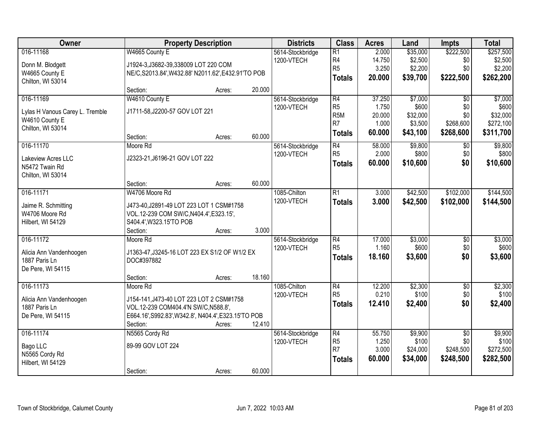| Owner                           |                                                      | <b>Property Description</b> |        | <b>Districts</b> | <b>Class</b>     | <b>Acres</b> | Land     | <b>Impts</b>    | <b>Total</b> |
|---------------------------------|------------------------------------------------------|-----------------------------|--------|------------------|------------------|--------------|----------|-----------------|--------------|
| 016-11168                       | W4665 County E                                       |                             |        | 5614-Stockbridge | $\overline{R1}$  | 2.000        | \$35,000 | \$222,500       | \$257,500    |
| Donn M. Blodgett                | J1924-3, J3682-39, 338009 LOT 220 COM                |                             |        | 1200-VTECH       | R <sub>4</sub>   | 14.750       | \$2,500  | \$0             | \$2,500      |
| W4665 County E                  | NE/C, S2013.84', W432.88' N2011.62', E432.91'TO POB  |                             |        |                  | R <sub>5</sub>   | 3.250        | \$2,200  | \$0             | \$2,200      |
| Chilton, WI 53014               |                                                      |                             |        |                  | <b>Totals</b>    | 20.000       | \$39,700 | \$222,500       | \$262,200    |
|                                 | Section:                                             | Acres:                      | 20.000 |                  |                  |              |          |                 |              |
| 016-11169                       | W4610 County E                                       |                             |        | 5614-Stockbridge | R4               | 37.250       | \$7,000  | $\overline{50}$ | \$7,000      |
| Lylas H Vanous Carey L. Tremble | J1711-58, J2200-57 GOV LOT 221                       |                             |        | 1200-VTECH       | R <sub>5</sub>   | 1.750        | \$600    | \$0             | \$600        |
| W4610 County E                  |                                                      |                             |        |                  | R <sub>5</sub> M | 20.000       | \$32,000 | \$0             | \$32,000     |
| Chilton, WI 53014               |                                                      |                             |        |                  | R <sub>7</sub>   | 1.000        | \$3,500  | \$268,600       | \$272,100    |
|                                 | Section:                                             | Acres:                      | 60.000 |                  | <b>Totals</b>    | 60.000       | \$43,100 | \$268,600       | \$311,700    |
| 016-11170                       | Moore Rd                                             |                             |        | 5614-Stockbridge | $\overline{R4}$  | 58.000       | \$9,800  | \$0             | \$9,800      |
| Lakeview Acres LLC              | J2323-21, J6196-21 GOV LOT 222                       |                             |        | 1200-VTECH       | R <sub>5</sub>   | 2.000        | \$800    | \$0             | \$800        |
| N5472 Twain Rd                  |                                                      |                             |        |                  | <b>Totals</b>    | 60.000       | \$10,600 | \$0             | \$10,600     |
| Chilton, WI 53014               |                                                      |                             |        |                  |                  |              |          |                 |              |
|                                 | Section:                                             | Acres:                      | 60.000 |                  |                  |              |          |                 |              |
| 016-11171                       | W4706 Moore Rd                                       |                             |        | 1085-Chilton     | $\overline{R1}$  | 3.000        | \$42,500 | \$102,000       | \$144,500    |
| Jaime R. Schmitting             | J473-40, J2891-49 LOT 223 LOT 1 CSM#1758             |                             |        | 1200-VTECH       | <b>Totals</b>    | 3.000        | \$42,500 | \$102,000       | \$144,500    |
| W4706 Moore Rd                  | VOL.12-239 COM SW/C, N404.4', E323.15',              |                             |        |                  |                  |              |          |                 |              |
| Hilbert, WI 54129               | S404.4', W323.15'TO POB                              |                             |        |                  |                  |              |          |                 |              |
|                                 | Section:                                             | Acres:                      | 3.000  |                  |                  |              |          |                 |              |
| 016-11172                       | Moore Rd                                             |                             |        | 5614-Stockbridge | $\overline{R4}$  | 17.000       | \$3,000  | $\overline{50}$ | \$3,000      |
| Alicia Ann Vandenhoogen         | J1363-47, J3245-16 LOT 223 EX S1/2 OF W1/2 EX        |                             |        | 1200-VTECH       | R <sub>5</sub>   | 1.160        | \$600    | \$0             | \$600        |
| 1887 Paris Ln                   | DOC#397882                                           |                             |        |                  | <b>Totals</b>    | 18.160       | \$3,600  | \$0             | \$3,600      |
| De Pere, WI 54115               |                                                      |                             |        |                  |                  |              |          |                 |              |
|                                 | Section:                                             | Acres:                      | 18.160 |                  |                  |              |          |                 |              |
| 016-11173                       | Moore Rd                                             |                             |        | 1085-Chilton     | $\overline{R4}$  | 12.200       | \$2,300  | $\overline{50}$ | \$2,300      |
| Alicia Ann Vandenhoogen         | J154-141, J473-40 LOT 223 LOT 2 CSM#1758             |                             |        | 1200-VTECH       | R <sub>5</sub>   | 0.210        | \$100    | \$0             | \$100        |
| 1887 Paris Ln                   | VOL.12-239 COM404.4'N SW/C, N588.8',                 |                             |        |                  | <b>Totals</b>    | 12.410       | \$2,400  | \$0             | \$2,400      |
| De Pere, WI 54115               | E664.16', S992.83', W342.8', N404.4', E323.15'TO POB |                             |        |                  |                  |              |          |                 |              |
|                                 | Section:                                             | Acres:                      | 12.410 |                  |                  |              |          |                 |              |
| 016-11174                       | N5565 Cordy Rd                                       |                             |        | 5614-Stockbridge | $\overline{R4}$  | 55.750       | \$9,900  | $\overline{50}$ | \$9,900      |
| Bago LLC                        | 89-99 GOV LOT 224                                    |                             |        | 1200-VTECH       | R <sub>5</sub>   | 1.250        | \$100    | \$0             | \$100        |
| N5565 Cordy Rd                  |                                                      |                             |        |                  | R <sub>7</sub>   | 3.000        | \$24,000 | \$248,500       | \$272,500    |
| Hilbert, WI 54129               |                                                      |                             |        |                  | <b>Totals</b>    | 60.000       | \$34,000 | \$248,500       | \$282,500    |
|                                 | Section:                                             | Acres:                      | 60.000 |                  |                  |              |          |                 |              |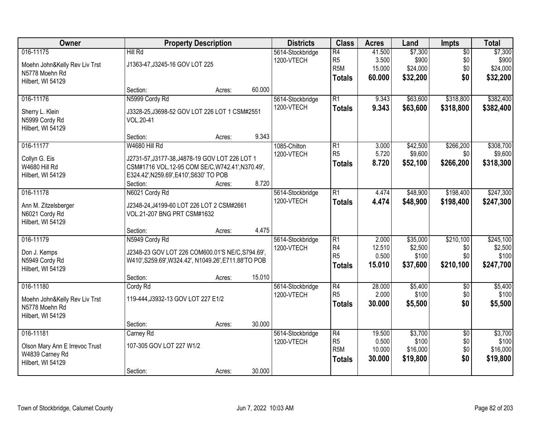| Owner                                  |                                                                                             | <b>Property Description</b> |        | <b>Districts</b>               | <b>Class</b>                       | <b>Acres</b>    | Land              | <b>Impts</b>           | <b>Total</b>      |
|----------------------------------------|---------------------------------------------------------------------------------------------|-----------------------------|--------|--------------------------------|------------------------------------|-----------------|-------------------|------------------------|-------------------|
| 016-11175                              | Hill Rd                                                                                     |                             |        | 5614-Stockbridge               | $\overline{R4}$                    | 41.500          | \$7,300           | $\overline{50}$        | \$7,300           |
| Moehn John&Kelly Rev Liv Trst          | J1363-47, J3245-16 GOV LOT 225                                                              |                             |        | 1200-VTECH                     | R <sub>5</sub><br>R <sub>5</sub> M | 3.500<br>15.000 | \$900<br>\$24,000 | \$0<br>\$0             | \$900<br>\$24,000 |
| N5778 Moehn Rd                         |                                                                                             |                             |        |                                | <b>Totals</b>                      | 60.000          | \$32,200          | \$0                    | \$32,200          |
| Hilbert, WI 54129                      |                                                                                             |                             |        |                                |                                    |                 |                   |                        |                   |
|                                        | Section:                                                                                    | Acres:                      | 60.000 |                                |                                    |                 |                   |                        |                   |
| 016-11176                              | N5999 Cordy Rd                                                                              |                             |        | 5614-Stockbridge<br>1200-VTECH | $\overline{R1}$                    | 9.343<br>9.343  | \$63,600          | \$318,800              | \$382,400         |
| Sherry L. Klein                        | J3328-25, J3698-52 GOV LOT 226 LOT 1 CSM#2551                                               |                             |        |                                | <b>Totals</b>                      |                 | \$63,600          | \$318,800              | \$382,400         |
| N5999 Cordy Rd                         | VOL.20-41                                                                                   |                             |        |                                |                                    |                 |                   |                        |                   |
| Hilbert, WI 54129                      | Section:                                                                                    |                             | 9.343  |                                |                                    |                 |                   |                        |                   |
| 016-11177                              | W4680 Hill Rd                                                                               | Acres:                      |        | 1085-Chilton                   | $\overline{R1}$                    | 3.000           | \$42,500          | \$266,200              | \$308,700         |
|                                        |                                                                                             |                             |        | 1200-VTECH                     | R <sub>5</sub>                     | 5.720           | \$9,600           | \$0                    | \$9,600           |
| Collyn G. Eis                          | J2731-57, J3177-38, J4878-19 GOV LOT 226 LOT 1                                              |                             |        |                                | <b>Totals</b>                      | 8.720           | \$52,100          | \$266,200              | \$318,300         |
| W4680 Hill Rd<br>Hilbert, WI 54129     | CSM#1716 VOL.12-95 COM SE/C, W742.41', N370.49',<br>E324.42', N259.69', E410', S630' TO POB |                             |        |                                |                                    |                 |                   |                        |                   |
|                                        | Section:                                                                                    | Acres:                      | 8.720  |                                |                                    |                 |                   |                        |                   |
| 016-11178                              | N6021 Cordy Rd                                                                              |                             |        | 5614-Stockbridge               | $\overline{R1}$                    | 4.474           | \$48,900          | \$198,400              | \$247,300         |
|                                        |                                                                                             |                             |        | 1200-VTECH                     | <b>Totals</b>                      | 4.474           | \$48,900          | \$198,400              | \$247,300         |
| Ann M. Zitzelsberger<br>N6021 Cordy Rd | J2348-24, J4199-60 LOT 226 LOT 2 CSM#2661<br>VOL.21-207 BNG PRT CSM#1632                    |                             |        |                                |                                    |                 |                   |                        |                   |
| Hilbert, WI 54129                      |                                                                                             |                             |        |                                |                                    |                 |                   |                        |                   |
|                                        | Section:                                                                                    | Acres:                      | 4.475  |                                |                                    |                 |                   |                        |                   |
| 016-11179                              | N5949 Cordy Rd                                                                              |                             |        | 5614-Stockbridge               | $\overline{R1}$                    | 2.000           | \$35,000          | \$210,100              | \$245,100         |
| Don J. Kemps                           | J2348-23 GOV LOT 226 COM600.01'S NE/C, S794.69',                                            |                             |        | 1200-VTECH                     | R <sub>4</sub>                     | 12.510          | \$2,500           | \$0                    | \$2,500           |
| N5949 Cordy Rd                         | W410', S259.69', W324.42', N1049.26', E711.88'TO POB                                        |                             |        |                                | R <sub>5</sub>                     | 0.500           | \$100             | \$0                    | \$100             |
| Hilbert, WI 54129                      |                                                                                             |                             |        |                                | <b>Totals</b>                      | 15.010          | \$37,600          | \$210,100              | \$247,700         |
|                                        | Section:                                                                                    | Acres:                      | 15.010 |                                |                                    |                 |                   |                        |                   |
| 016-11180                              | Cordy Rd                                                                                    |                             |        | 5614-Stockbridge               | $\overline{R4}$                    | 28.000          | \$5,400           | $\sqrt{6}$             | \$5,400           |
| Moehn John&Kelly Rev Liv Trst          | 119-444, J3932-13 GOV LOT 227 E1/2                                                          |                             |        | 1200-VTECH                     | R <sub>5</sub>                     | 2.000           | \$100             | \$0                    | \$100             |
| N5778 Moehn Rd                         |                                                                                             |                             |        |                                | <b>Totals</b>                      | 30.000          | \$5,500           | \$0                    | \$5,500           |
| Hilbert, WI 54129                      |                                                                                             |                             |        |                                |                                    |                 |                   |                        |                   |
|                                        | Section:                                                                                    | Acres:                      | 30.000 |                                |                                    |                 |                   |                        |                   |
| 016-11181                              | Carney Rd                                                                                   |                             |        | 5614-Stockbridge<br>1200-VTECH | $\overline{R4}$<br>R <sub>5</sub>  | 19.500<br>0.500 | \$3,700<br>\$100  | $\overline{30}$<br>\$0 | \$3,700<br>\$100  |
| Olson Mary Ann E Irrevoc Trust         | 107-305 GOV LOT 227 W1/2                                                                    |                             |        |                                | R <sub>5</sub> M                   | 10.000          | \$16,000          | \$0                    | \$16,000          |
| W4839 Carney Rd                        |                                                                                             |                             |        |                                | <b>Totals</b>                      | 30.000          | \$19,800          | \$0                    | \$19,800          |
| Hilbert, WI 54129                      | Section:                                                                                    |                             | 30.000 |                                |                                    |                 |                   |                        |                   |
|                                        |                                                                                             | Acres:                      |        |                                |                                    |                 |                   |                        |                   |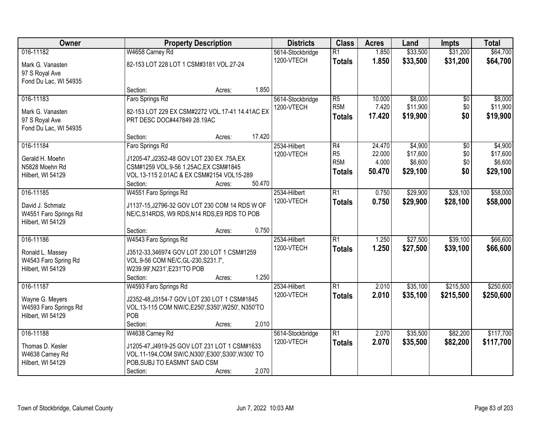| Owner                 | <b>Property Description</b>                         | <b>Districts</b> | <b>Class</b>                        | <b>Acres</b>    | Land                | <b>Impts</b> | <b>Total</b>        |
|-----------------------|-----------------------------------------------------|------------------|-------------------------------------|-----------------|---------------------|--------------|---------------------|
| 016-11182             | W4658 Carney Rd                                     | 5614-Stockbridge | $\overline{R1}$                     | 1.850           | \$33,500            | \$31,200     | \$64,700            |
| Mark G. Vanasten      | 82-153 LOT 228 LOT 1 CSM#3181 VOL.27-24             | 1200-VTECH       | <b>Totals</b>                       | 1.850           | \$33,500            | \$31,200     | \$64,700            |
| 97 S Royal Ave        |                                                     |                  |                                     |                 |                     |              |                     |
| Fond Du Lac, WI 54935 |                                                     |                  |                                     |                 |                     |              |                     |
|                       | Section:<br>Acres:                                  | 1.850            |                                     |                 |                     |              |                     |
| 016-11183             | Faro Springs Rd                                     | 5614-Stockbridge | $\overline{R5}$<br>R <sub>5</sub> M | 10.000<br>7.420 | \$8,000<br>\$11,900 | \$0<br>\$0   | \$8,000<br>\$11,900 |
| Mark G. Vanasten      | 82-153 LOT 229 EX CSM#2272 VOL.17-41 14.41AC EX     | 1200-VTECH       |                                     | 17.420          | \$19,900            | \$0          | \$19,900            |
| 97 S Royal Ave        | PRT DESC DOC#447849 28.19AC                         |                  | <b>Totals</b>                       |                 |                     |              |                     |
| Fond Du Lac, WI 54935 |                                                     |                  |                                     |                 |                     |              |                     |
|                       | 17.420<br>Section:<br>Acres:                        |                  |                                     |                 |                     |              |                     |
| 016-11184             | Faro Springs Rd                                     | 2534-Hilbert     | $\overline{R4}$                     | 24.470          | \$4,900             | \$0          | \$4,900             |
| Gerald H. Moehn       | J1205-47, J2352-48 GOV LOT 230 EX .75A, EX          | 1200-VTECH       | R <sub>5</sub><br>R <sub>5</sub> M  | 22.000<br>4.000 | \$17,600<br>\$6,600 | \$0\$<br>\$0 | \$17,600<br>\$6,600 |
| N5828 Moehn Rd        | CSM#1259 VOL.9-56 1.25AC, EX CSM#1845               |                  |                                     | 50.470          | \$29,100            | \$0          |                     |
| Hilbert, WI 54129     | VOL.13-115 2.01AC & EX CSM#2154 VOL15-289           |                  | <b>Totals</b>                       |                 |                     |              | \$29,100            |
|                       | 50.470<br>Section:<br>Acres:                        |                  |                                     |                 |                     |              |                     |
| 016-11185             | W4551 Faro Springs Rd                               | 2534-Hilbert     | $\overline{R1}$                     | 0.750           | \$29,900            | \$28,100     | \$58,000            |
| David J. Schmalz      | J1137-15, J2796-32 GOV LOT 230 COM 14 RDS W OF      | 1200-VTECH       | <b>Totals</b>                       | 0.750           | \$29,900            | \$28,100     | \$58,000            |
| W4551 Faro Springs Rd | NE/C, S14RDS, W9 RDS, N14 RDS, E9 RDS TO POB        |                  |                                     |                 |                     |              |                     |
| Hilbert, WI 54129     |                                                     |                  |                                     |                 |                     |              |                     |
|                       | Section:<br>Acres:                                  | 0.750            |                                     |                 |                     |              |                     |
| 016-11186             | W4543 Faro Springs Rd                               | 2534-Hilbert     | $\overline{R1}$                     | 1.250           | \$27,500            | \$39,100     | \$66,600            |
| Ronald L. Massey      | J3512-33,346974 GOV LOT 230 LOT 1 CSM#1259          | 1200-VTECH       | <b>Totals</b>                       | 1.250           | \$27,500            | \$39,100     | \$66,600            |
| W4543 Faro Spring Rd  | VOL.9-56 COM NE/C, GL-230, S231.7',                 |                  |                                     |                 |                     |              |                     |
| Hilbert, WI 54129     | W239.99', N231', E231'TO POB                        |                  |                                     |                 |                     |              |                     |
|                       | Section:<br>Acres:                                  | 1.250            |                                     |                 |                     |              |                     |
| 016-11187             | W4593 Faro Springs Rd                               | 2534-Hilbert     | $\overline{R1}$                     | 2.010           | \$35,100            | \$215,500    | \$250,600           |
| Wayne G. Meyers       | J2352-48, J3154-7 GOV LOT 230 LOT 1 CSM#1845        | 1200-VTECH       | <b>Totals</b>                       | 2.010           | \$35,100            | \$215,500    | \$250,600           |
| W4593 Faro Springs Rd | VOL.13-115 COM NW/C,E250',S350',W250', N350'TO      |                  |                                     |                 |                     |              |                     |
| Hilbert, WI 54129     | POB                                                 |                  |                                     |                 |                     |              |                     |
|                       | Section:<br>Acres:                                  | 2.010            |                                     |                 |                     |              |                     |
| 016-11188             | W4638 Carney Rd                                     | 5614-Stockbridge | $\overline{R1}$                     | 2.070           | \$35,500            | \$82,200     | \$117,700           |
| Thomas D. Kesler      | J1205-47, J4919-25 GOV LOT 231 LOT 1 CSM#1633       | 1200-VTECH       | <b>Totals</b>                       | 2.070           | \$35,500            | \$82,200     | \$117,700           |
| W4638 Carney Rd       | VOL.11-194, COM SW/C, N300', E300', S300', W300' TO |                  |                                     |                 |                     |              |                     |
| Hilbert, WI 54129     | POB, SUBJ TO EASMNT SAID CSM                        |                  |                                     |                 |                     |              |                     |
|                       | Section:<br>Acres:                                  | 2.070            |                                     |                 |                     |              |                     |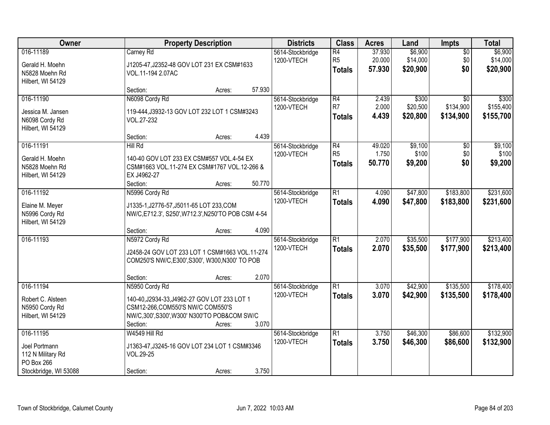| Owner                                                                     | <b>Property Description</b>                                                                                                                                             | <b>Districts</b>                         | <b>Class</b>                                       | <b>Acres</b>               | Land                            | Impts                                     | <b>Total</b>                    |
|---------------------------------------------------------------------------|-------------------------------------------------------------------------------------------------------------------------------------------------------------------------|------------------------------------------|----------------------------------------------------|----------------------------|---------------------------------|-------------------------------------------|---------------------------------|
| 016-11189<br>Gerald H. Moehn<br>N5828 Moehn Rd<br>Hilbert, WI 54129       | Carney Rd<br>J1205-47, J2352-48 GOV LOT 231 EX CSM#1633<br>VOL.11-194 2.07AC                                                                                            | 5614-Stockbridge<br>1200-VTECH           | $\overline{R4}$<br>R <sub>5</sub><br><b>Totals</b> | 37.930<br>20.000<br>57.930 | \$6,900<br>\$14,000<br>\$20,900 | $\overline{50}$<br>\$0<br>\$0             | \$6,900<br>\$14,000<br>\$20,900 |
|                                                                           | Section:<br>Acres:                                                                                                                                                      | 57.930                                   |                                                    |                            |                                 |                                           |                                 |
| 016-11190<br>Jessica M. Jansen<br>N6098 Cordy Rd<br>Hilbert, WI 54129     | N6098 Cordy Rd<br>119-444, J3932-13 GOV LOT 232 LOT 1 CSM#3243<br>VOL.27-232                                                                                            | 5614-Stockbridge<br>1200-VTECH           | R4<br>R <sub>7</sub><br><b>Totals</b>              | 2.439<br>2.000<br>4.439    | \$300<br>\$20,500<br>\$20,800   | $\overline{30}$<br>\$134,900<br>\$134,900 | \$300<br>\$155,400<br>\$155,700 |
|                                                                           | Section:<br>Acres:                                                                                                                                                      | 4.439                                    |                                                    |                            |                                 |                                           |                                 |
| 016-11191<br>Gerald H. Moehn<br>N5828 Moehn Rd<br>Hilbert, WI 54129       | Hill Rd<br>140-40 GOV LOT 233 EX CSM#557 VOL.4-54 EX<br>CSM#1663 VOL.11-274 EX CSM#1767 VOL.12-266 &<br>EX J4962-27<br>Section:<br>Acres:                               | 5614-Stockbridge<br>1200-VTECH<br>50.770 | R4<br>R <sub>5</sub><br><b>Totals</b>              | 49.020<br>1.750<br>50.770  | \$9,100<br>\$100<br>\$9,200     | \$0<br>\$0<br>\$0                         | \$9,100<br>\$100<br>\$9,200     |
| 016-11192                                                                 | N5996 Cordy Rd                                                                                                                                                          | 5614-Stockbridge                         | $\overline{R1}$                                    | 4.090                      | \$47,800                        | \$183,800                                 | \$231,600                       |
| Elaine M. Meyer<br>N5996 Cordy Rd<br>Hilbert, WI 54129                    | J1335-1, J2776-57, J5011-65 LOT 233, COM<br>NW/C, E712.3', S250', W712.3', N250'TO POB CSM 4-54                                                                         | 1200-VTECH                               | <b>Totals</b>                                      | 4.090                      | \$47,800                        | \$183,800                                 | \$231,600                       |
| 016-11193                                                                 | Section:<br>Acres:<br>N5972 Cordy Rd                                                                                                                                    | 4.090<br>5614-Stockbridge                | $\overline{R1}$                                    | 2.070                      | \$35,500                        | \$177,900                                 | \$213,400                       |
|                                                                           | J2458-24 GOV LOT 233 LOT 1 CSM#1663 VOL.11-274<br>COM250'S NW/C, E300', S300', W300, N300' TO POB                                                                       | 1200-VTECH                               | <b>Totals</b>                                      | 2.070                      | \$35,500                        | \$177,900                                 | \$213,400                       |
|                                                                           | Section:<br>Acres:                                                                                                                                                      | 2.070                                    |                                                    |                            |                                 |                                           |                                 |
| 016-11194<br>Robert C. Alsteen<br>N5950 Cordy Rd<br>Hilbert, WI 54129     | N5950 Cordy Rd<br>140-40, J2934-33, J4962-27 GOV LOT 233 LOT 1<br>CSM12-266, COM550'S NW/C COM550'S<br>NW/C,300',S300',W300' N300'TO POB&COM SW/C<br>Section:<br>Acres: | 5614-Stockbridge<br>1200-VTECH<br>3.070  | $\overline{R1}$<br><b>Totals</b>                   | 3.070<br>3.070             | \$42,900<br>\$42,900            | \$135,500<br>\$135,500                    | \$178,400<br>\$178,400          |
| 016-11195                                                                 | W4549 Hill Rd                                                                                                                                                           | 5614-Stockbridge                         | $\overline{R1}$                                    | 3.750                      | \$46,300                        | \$86,600                                  | \$132,900                       |
| Joel Portmann<br>112 N Military Rd<br>PO Box 266<br>Stockbridge, WI 53088 | J1363-47, J3245-16 GOV LOT 234 LOT 1 CSM#3346<br>VOL.29-25<br>Section:<br>Acres:                                                                                        | 1200-VTECH<br>3.750                      | <b>Totals</b>                                      | 3.750                      | \$46,300                        | \$86,600                                  | \$132,900                       |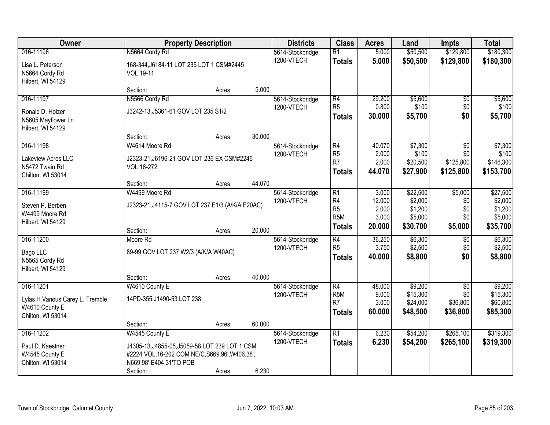| Owner                           |                                                  | <b>Property Description</b> |        | <b>Districts</b>               | <b>Class</b>                      | <b>Acres</b>    | Land                | <b>Impts</b>             | <b>Total</b>        |
|---------------------------------|--------------------------------------------------|-----------------------------|--------|--------------------------------|-----------------------------------|-----------------|---------------------|--------------------------|---------------------|
| 016-11196                       | N5664 Cordy Rd                                   |                             |        | 5614-Stockbridge               | $\overline{R1}$                   | 5.000           | \$50,500            | \$129,800                | \$180,300           |
| Lisa L. Peterson                | 168-344, J6184-11 LOT 235 LOT 1 CSM#2445         |                             |        | 1200-VTECH                     | <b>Totals</b>                     | 5.000           | \$50,500            | \$129,800                | \$180,300           |
| N5664 Cordy Rd                  | VOL.19-11                                        |                             |        |                                |                                   |                 |                     |                          |                     |
| Hilbert, WI 54129               |                                                  |                             |        |                                |                                   |                 |                     |                          |                     |
|                                 | Section:                                         | Acres:                      | 5.000  |                                |                                   |                 |                     |                          |                     |
| 016-11197                       | N5566 Cordy Rd                                   |                             |        | 5614-Stockbridge               | R4                                | 29.200          | \$5,600             | \$0                      | \$5,600             |
| Ronald D. Holzer                | J3242-13, J5361-61 GOV LOT 235 S1/2              |                             |        | 1200-VTECH                     | R <sub>5</sub>                    | 0.800           | \$100               | \$0\$                    | \$100               |
| N5605 Mayflower Ln              |                                                  |                             |        |                                | <b>Totals</b>                     | 30.000          | \$5,700             | \$0                      | \$5,700             |
| Hilbert, WI 54129               |                                                  |                             |        |                                |                                   |                 |                     |                          |                     |
|                                 | Section:                                         | Acres:                      | 30.000 |                                |                                   |                 |                     |                          |                     |
| 016-11198                       | W4614 Moore Rd                                   |                             |        | 5614-Stockbridge               | R4                                | 40.070          | \$7,300             | \$0                      | \$7,300             |
| Lakeview Acres LLC              | J2323-21, J6196-21 GOV LOT 236 EX CSM#2246       |                             |        | 1200-VTECH                     | R <sub>5</sub><br>R <sub>7</sub>  | 2.000           | \$100               | \$0\$                    | \$100               |
| N5472 Twain Rd                  | VOL.16-272                                       |                             |        |                                |                                   | 2.000<br>44.070 | \$20,500            | \$125,800                | \$146,300           |
| Chilton, WI 53014               |                                                  |                             |        |                                | <b>Totals</b>                     |                 | \$27,900            | \$125,800                | \$153,700           |
|                                 | Section:                                         | Acres:                      | 44.070 |                                |                                   |                 |                     |                          |                     |
| 016-11199                       | W4499 Moore Rd                                   |                             |        | 5614-Stockbridge               | $\overline{R1}$                   | 3.000           | \$22,500            | \$5,000                  | \$27,500            |
| Steven P. Berben                | J2323-21, J4115-7 GOV LOT 237 E1/3 (A/K/A E20AC) |                             |        | 1200-VTECH                     | R <sub>4</sub><br>R <sub>5</sub>  | 12.000<br>2.000 | \$2,000             | \$0                      | \$2,000<br>\$1,200  |
| W4499 Moore Rd                  |                                                  |                             |        |                                | R <sub>5</sub> M                  | 3.000           | \$1,200<br>\$5,000  | \$0<br>\$0               | \$5,000             |
| Hilbert, WI 54129               |                                                  |                             |        |                                | <b>Totals</b>                     | 20.000          | \$30,700            | \$5,000                  | \$35,700            |
|                                 | Section:                                         | Acres:                      | 20.000 |                                |                                   |                 |                     |                          |                     |
| 016-11200                       | Moore Rd                                         |                             |        | 5614-Stockbridge               | $\overline{R4}$<br>R <sub>5</sub> | 36.250          | \$6,300             | $\overline{50}$          | \$6,300             |
| Bago LLC                        | 89-99 GOV LOT 237 W2/3 (A/K/A W40AC)             |                             |        | 1200-VTECH                     |                                   | 3.750<br>40.000 | \$2,500<br>\$8,800  | \$0<br>\$0               | \$2,500             |
| N5565 Cordy Rd                  |                                                  |                             |        |                                | <b>Totals</b>                     |                 |                     |                          | \$8,800             |
| Hilbert, WI 54129               |                                                  |                             |        |                                |                                   |                 |                     |                          |                     |
|                                 | Section:                                         | Acres:                      | 40.000 |                                |                                   |                 |                     |                          |                     |
| 016-11201                       | W4610 County E                                   |                             |        | 5614-Stockbridge<br>1200-VTECH | R4<br>R <sub>5</sub> M            | 48.000<br>9.000 | \$9,200<br>\$15,300 | $\overline{60}$<br>\$0\$ | \$9,200<br>\$15,300 |
| Lylas H Vanous Carey L. Tremble | 14PD-355, J1490-53 LOT 238                       |                             |        |                                | R7                                | 3.000           | \$24,000            | \$36,800                 | \$60,800            |
| W4610 County E                  |                                                  |                             |        |                                | <b>Totals</b>                     | 60.000          | \$48,500            | \$36,800                 | \$85,300            |
| Chilton, WI 53014               |                                                  |                             |        |                                |                                   |                 |                     |                          |                     |
|                                 | Section:                                         | Acres:                      | 60.000 |                                |                                   |                 |                     |                          |                     |
| 016-11202                       | W4545 County E                                   |                             |        | 5614-Stockbridge<br>1200-VTECH | $\overline{R1}$                   | 6.230           | \$54,200            | \$265,100                | \$319,300           |
| Paul D. Kaestner                | J4305-13, J4855-05, J5059-58 LOT 239 LOT 1 CSM   |                             |        |                                | <b>Totals</b>                     | 6.230           | \$54,200            | \$265,100                | \$319,300           |
| W4545 County E                  | #2224 VOL.16-202 COM NE/C, S669.96', W406.38',   |                             |        |                                |                                   |                 |                     |                          |                     |
| Chilton, WI 53014               | N669.98', E404.31'TO POB                         |                             |        |                                |                                   |                 |                     |                          |                     |
|                                 | Section:                                         | Acres:                      | 6.230  |                                |                                   |                 |                     |                          |                     |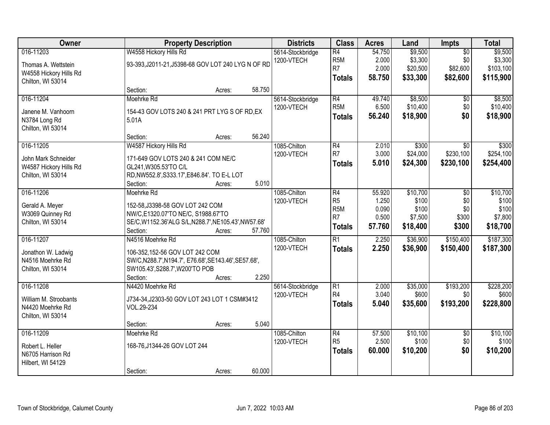| Owner                                                                           |                                                                                                                                                            | <b>Property Description</b> |        |                                | <b>Class</b>                                                                | <b>Acres</b>                                | Land                                              | Impts                                          | <b>Total</b>                                      |
|---------------------------------------------------------------------------------|------------------------------------------------------------------------------------------------------------------------------------------------------------|-----------------------------|--------|--------------------------------|-----------------------------------------------------------------------------|---------------------------------------------|---------------------------------------------------|------------------------------------------------|---------------------------------------------------|
| 016-11203<br>Thomas A. Wettstein<br>W4558 Hickory Hills Rd<br>Chilton, WI 53014 | W4558 Hickory Hills Rd<br>93-393, J2011-21, J5398-68 GOV LOT 240 LYG N OF RD                                                                               |                             |        | 5614-Stockbridge<br>1200-VTECH | $\overline{R4}$<br>R <sub>5</sub> M<br>R <sub>7</sub><br><b>Totals</b>      | 54.750<br>2.000<br>2.000<br>58.750          | \$9,500<br>\$3,300<br>\$20,500<br>\$33,300        | $\overline{50}$<br>\$0<br>\$82,600<br>\$82,600 | \$9,500<br>\$3,300<br>\$103,100<br>\$115,900      |
|                                                                                 | Section:                                                                                                                                                   | Acres:                      | 58.750 |                                |                                                                             |                                             |                                                   |                                                |                                                   |
| 016-11204<br>Janene M. Vanhoorn<br>N3784 Long Rd<br>Chilton, WI 53014           | Moehrke Rd<br>154-43 GOV LOTS 240 & 241 PRT LYG S OF RD, EX<br>5.01A                                                                                       |                             |        | 5614-Stockbridge<br>1200-VTECH | $\overline{R4}$<br>R <sub>5</sub> M<br><b>Totals</b>                        | 49.740<br>6.500<br>56.240                   | \$8,500<br>\$10,400<br>\$18,900                   | \$0<br>\$0<br>\$0                              | \$8,500<br>\$10,400<br>\$18,900                   |
|                                                                                 | Section:                                                                                                                                                   | Acres:                      | 56.240 |                                |                                                                             |                                             |                                                   |                                                |                                                   |
| 016-11205<br>John Mark Schneider<br>W4587 Hickory Hills Rd<br>Chilton, WI 53014 | W4587 Hickory Hills Rd<br>171-649 GOV LOTS 240 & 241 COM NE/C<br>GL241, W305.53'TO C/L<br>RD, NW552.8', S333.17', E846.84'. TO E-L LOT<br>Section:         | Acres:                      | 5.010  | 1085-Chilton<br>1200-VTECH     | R4<br>R7<br><b>Totals</b>                                                   | 2.010<br>3.000<br>5.010                     | \$300<br>\$24,000<br>\$24,300                     | \$0<br>\$230,100<br>\$230,100                  | \$300<br>\$254,100<br>\$254,400                   |
| 016-11206<br>Gerald A. Meyer<br>W3069 Quinney Rd<br>Chilton, WI 53014           | Moehrke Rd<br>152-58, J3398-58 GOV LOT 242 COM<br>NW/C,E1320.07'TO NE/C, S1988.67'TO<br>SE/C, W1152.36'ALG S/L, N288.7', NE105.43', NW57.68'<br>Section:   | Acres:                      | 57.760 | 1085-Chilton<br>1200-VTECH     | R4<br>R <sub>5</sub><br>R <sub>5</sub> M<br>R <sub>7</sub><br><b>Totals</b> | 55.920<br>1.250<br>0.090<br>0.500<br>57.760 | \$10,700<br>\$100<br>\$100<br>\$7,500<br>\$18,400 | \$0<br>\$0<br>\$0<br>\$300<br>\$300            | \$10,700<br>\$100<br>\$100<br>\$7,800<br>\$18,700 |
| 016-11207<br>Jonathon W. Ladwig<br>N4516 Moehrke Rd<br>Chilton, WI 53014        | N4516 Moehrke Rd<br>106-352,152-56 GOV LOT 242 COM<br>SW/C, N288.7', N194.7', E76.68', SE143.46', SE57.68',<br>SW105.43', S288.7', W200'TO POB<br>Section: | Acres:                      | 2.250  | 1085-Chilton<br>1200-VTECH     | $\overline{R1}$<br><b>Totals</b>                                            | 2.250<br>2.250                              | \$36,900<br>\$36,900                              | \$150,400<br>\$150,400                         | \$187,300<br>\$187,300                            |
| 016-11208<br>William M. Stroobants<br>N4420 Moehrke Rd<br>Chilton, WI 53014     | N4420 Moehrke Rd<br>J734-34, J2303-50 GOV LOT 243 LOT 1 CSM#3412<br>VOL.29-234<br>Section:                                                                 | Acres:                      | 5.040  | 5614-Stockbridge<br>1200-VTECH | $\overline{R1}$<br>R <sub>4</sub><br><b>Totals</b>                          | 2.000<br>3.040<br>5.040                     | \$35,000<br>\$600<br>\$35,600                     | \$193,200<br>\$0<br>\$193,200                  | \$228,200<br>\$600<br>\$228,800                   |
| 016-11209<br>Robert L. Heller<br>N6705 Harrison Rd<br>Hilbert, WI 54129         | Moehrke Rd<br>168-76, J1344-26 GOV LOT 244<br>Section:                                                                                                     | Acres:                      | 60.000 | 1085-Chilton<br>1200-VTECH     | $\overline{R4}$<br>R <sub>5</sub><br><b>Totals</b>                          | 57,500<br>2.500<br>60.000                   | \$10,100<br>\$100<br>\$10,200                     | $\overline{50}$<br>\$0<br>\$0                  | \$10,100<br>\$100<br>\$10,200                     |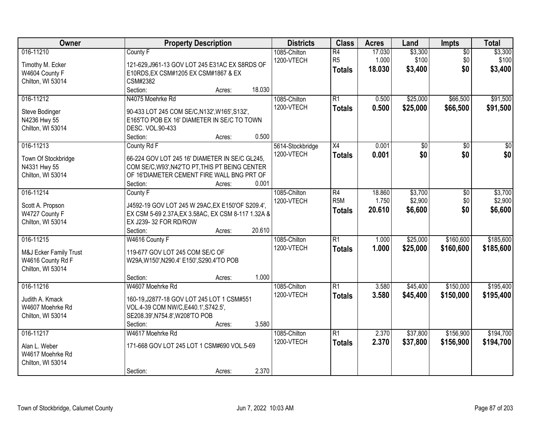| Owner                                                                         | <b>Property Description</b>                                                                                                                                                                   | <b>Districts</b>               | <b>Class</b>                                       | <b>Acres</b>              | Land                          | <b>Impts</b>                  | <b>Total</b>                  |
|-------------------------------------------------------------------------------|-----------------------------------------------------------------------------------------------------------------------------------------------------------------------------------------------|--------------------------------|----------------------------------------------------|---------------------------|-------------------------------|-------------------------------|-------------------------------|
| 016-11210<br>Timothy M. Ecker<br>W4604 County F<br>Chilton, WI 53014          | County F<br>121-629, J961-13 GOV LOT 245 E31AC EX S8RDS OF<br>E10RDS, EX CSM#1205 EX CSM#1867 & EX<br>CSM#2382                                                                                | 1085-Chilton<br>1200-VTECH     | $\overline{R4}$<br>R <sub>5</sub><br><b>Totals</b> | 17.030<br>1.000<br>18.030 | \$3,300<br>\$100<br>\$3,400   | $\overline{50}$<br>\$0<br>\$0 | \$3,300<br>\$100<br>\$3,400   |
|                                                                               | Section:<br>18.030<br>Acres:                                                                                                                                                                  |                                |                                                    |                           |                               |                               |                               |
| 016-11212<br>Steve Bodinger<br>N4236 Hwy 55<br>Chilton, WI 53014              | N4075 Moehrke Rd<br>90-433 LOT 245 COM SE/C, N132', W165', S132',<br>E165'TO POB EX 16' DIAMETER IN SE/C TO TOWN<br>DESC. VOL.90-433<br>0.500<br>Section:<br>Acres:                           | 1085-Chilton<br>1200-VTECH     | R1<br><b>Totals</b>                                | 0.500<br>0.500            | \$25,000<br>\$25,000          | \$66,500<br>\$66,500          | \$91,500<br>\$91,500          |
| 016-11213<br>Town Of Stockbridge<br>N4331 Hwy 55<br>Chilton, WI 53014         | County Rd F<br>66-224 GOV LOT 245 16' DIAMETER IN SE/C GL245.<br>COM SE/C, W93', N42'TO PT, THIS PT BEING CENTER<br>OF 16'DIAMETER CEMENT FIRE WALL BNG PRT OF<br>0.001<br>Section:<br>Acres: | 5614-Stockbridge<br>1200-VTECH | X4<br><b>Totals</b>                                | 0.001<br>0.001            | \$0<br>\$0                    | \$0<br>\$0                    | $\overline{30}$<br>\$0        |
| 016-11214<br>Scott A. Propson<br>W4727 County F<br>Chilton, WI 53014          | County F<br>J4592-19 GOV LOT 245 W 29AC, EX E150'OF S209.4',<br>EX CSM 5-69 2.37A, EX 3.58AC, EX CSM 8-117 1.32A &<br>EX J239-32 FOR RD/ROW<br>20.610<br>Section:<br>Acres:                   | 1085-Chilton<br>1200-VTECH     | R4<br>R <sub>5</sub> M<br><b>Totals</b>            | 18.860<br>1.750<br>20.610 | \$3,700<br>\$2,900<br>\$6,600 | \$0<br>\$0<br>\$0             | \$3,700<br>\$2,900<br>\$6,600 |
| 016-11215<br>M&J Ecker Family Trust<br>W4616 County Rd F<br>Chilton, WI 53014 | W4616 County F<br>119-677 GOV LOT 245 COM SE/C OF<br>W29A, W150', N290.4' E150', S290.4'TO POB<br>1.000<br>Section:<br>Acres:                                                                 | 1085-Chilton<br>1200-VTECH     | $\overline{R1}$<br><b>Totals</b>                   | 1.000<br>1.000            | \$25,000<br>\$25,000          | \$160,600<br>\$160,600        | \$185,600<br>\$185,600        |
| 016-11216<br>Judith A. Kmack<br>W4607 Moehrke Rd<br>Chilton, WI 53014         | W4607 Moehrke Rd<br>160-19, J2877-18 GOV LOT 245 LOT 1 CSM#551<br>VOL.4-39 COM NW/C, E440.1', S742.5',<br>SE208.39', N754.8', W208'TO POB<br>3.580<br>Section:<br>Acres:                      | 1085-Chilton<br>1200-VTECH     | R <sub>1</sub><br><b>Totals</b>                    | 3.580<br>3.580            | \$45,400<br>\$45,400          | \$150,000<br>\$150,000        | \$195,400<br>\$195,400        |
| 016-11217<br>Alan L. Weber<br>W4617 Moehrke Rd<br>Chilton, WI 53014           | W4617 Moehrke Rd<br>171-668 GOV LOT 245 LOT 1 CSM#690 VOL.5-69<br>2.370<br>Section:<br>Acres:                                                                                                 | 1085-Chilton<br>1200-VTECH     | $\overline{R1}$<br><b>Totals</b>                   | 2.370<br>2.370            | \$37,800<br>\$37,800          | \$156,900<br>\$156,900        | \$194,700<br>\$194,700        |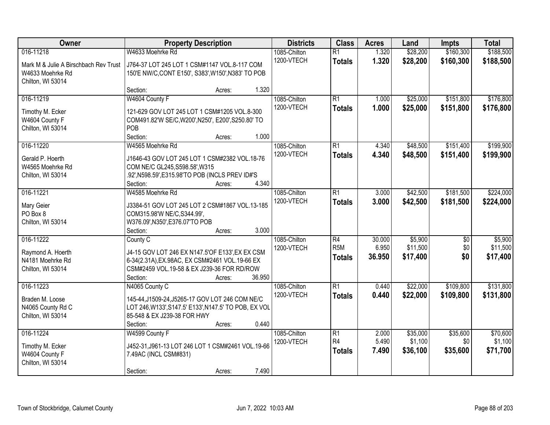| Owner                                                     | <b>Property Description</b>                                                                        | <b>Districts</b> | <b>Class</b> | <b>Acres</b>     | Land   | <b>Impts</b> | <b>Total</b> |           |
|-----------------------------------------------------------|----------------------------------------------------------------------------------------------------|------------------|--------------|------------------|--------|--------------|--------------|-----------|
| 016-11218                                                 | W4633 Moehrke Rd                                                                                   |                  | 1085-Chilton | $\overline{R1}$  | 1.320  | \$28,200     | \$160,300    | \$188,500 |
| Mark M & Julie A Birschbach Rev Trust<br>W4633 Moehrke Rd | J764-37 LOT 245 LOT 1 CSM#1147 VOL.8-117 COM<br>150'E NW/C, CONT E150', S383', W150', N383' TO POB |                  | 1200-VTECH   | <b>Totals</b>    | 1.320  | \$28,200     | \$160,300    | \$188,500 |
| Chilton, WI 53014                                         |                                                                                                    |                  |              |                  |        |              |              |           |
|                                                           | Section:<br>Acres:                                                                                 | 1.320            |              |                  |        |              |              |           |
| 016-11219                                                 | W4604 County F                                                                                     |                  | 1085-Chilton | $\overline{R1}$  | 1.000  | \$25,000     | \$151,800    | \$176,800 |
| Timothy M. Ecker                                          | 121-629 GOV LOT 245 LOT 1 CSM#1205 VOL.8-300                                                       |                  | 1200-VTECH   | <b>Totals</b>    | 1.000  | \$25,000     | \$151,800    | \$176,800 |
| W4604 County F                                            | COM491.82'W SE/C, W200', N250', E200', S250.80' TO                                                 |                  |              |                  |        |              |              |           |
| Chilton, WI 53014                                         | POB                                                                                                |                  |              |                  |        |              |              |           |
|                                                           | Section:<br>Acres:                                                                                 | 1.000            |              |                  |        |              |              |           |
| 016-11220                                                 | W4565 Moehrke Rd                                                                                   |                  | 1085-Chilton | $\overline{R1}$  | 4.340  | \$48,500     | \$151,400    | \$199,900 |
| Gerald P. Hoerth                                          | J1646-43 GOV LOT 245 LOT 1 CSM#2382 VOL.18-76                                                      |                  | 1200-VTECH   | <b>Totals</b>    | 4.340  | \$48,500     | \$151,400    | \$199,900 |
| W4565 Moehrke Rd                                          | COM NE/C GL245, S598.58', W315                                                                     |                  |              |                  |        |              |              |           |
| Chilton, WI 53014                                         | .92', N598.59', E315.98'TO POB (INCLS PREV ID#'S                                                   |                  |              |                  |        |              |              |           |
|                                                           | Section:<br>Acres:                                                                                 | 4.340            |              |                  |        |              |              |           |
| 016-11221                                                 | W4585 Moehrke Rd                                                                                   |                  | 1085-Chilton | $\overline{R1}$  | 3.000  | \$42,500     | \$181,500    | \$224,000 |
|                                                           |                                                                                                    |                  | 1200-VTECH   | <b>Totals</b>    | 3.000  | \$42,500     | \$181,500    | \$224,000 |
| Mary Geier                                                | J3384-51 GOV LOT 245 LOT 2 CSM#1867 VOL.13-185                                                     |                  |              |                  |        |              |              |           |
| PO Box 8                                                  | COM315.98'W NE/C, S344.99',                                                                        |                  |              |                  |        |              |              |           |
| Chilton, WI 53014                                         | W376.09', N350', E376.07'TO POB<br>Section:<br>Acres:                                              | 3.000            |              |                  |        |              |              |           |
| 016-11222                                                 | County C                                                                                           |                  | 1085-Chilton | $\overline{R4}$  | 30.000 | \$5,900      | \$0          | \$5,900   |
|                                                           |                                                                                                    |                  | 1200-VTECH   | R <sub>5</sub> M | 6.950  | \$11,500     | \$0          | \$11,500  |
| Raymond A. Hoerth                                         | J4-15 GOV LOT 246 EX N147.5'OF E133', EX EX CSM                                                    |                  |              | <b>Totals</b>    | 36.950 | \$17,400     | \$0          | \$17,400  |
| N4181 Moehrke Rd                                          | 6-34(2.31A), EX.98AC, EX CSM#2461 VOL.19-66 EX                                                     |                  |              |                  |        |              |              |           |
| Chilton, WI 53014                                         | CSM#2459 VOL.19-58 & EX J239-36 FOR RD/ROW                                                         |                  |              |                  |        |              |              |           |
|                                                           | Section:<br>Acres:                                                                                 | 36.950           |              |                  |        |              |              |           |
| 016-11223                                                 | N4065 County C                                                                                     |                  | 1085-Chilton | $\overline{R1}$  | 0.440  | \$22,000     | \$109,800    | \$131,800 |
| Braden M. Loose                                           | 145-44, J1509-24, J5265-17 GOV LOT 246 COM NE/C                                                    |                  | 1200-VTECH   | <b>Totals</b>    | 0.440  | \$22,000     | \$109,800    | \$131,800 |
| N4065 County Rd C                                         | LOT 246, W133', S147.5' E133', N147.5' TO POB, EX VOL                                              |                  |              |                  |        |              |              |           |
| Chilton, WI 53014                                         | 85-548 & EX J239-38 FOR HWY                                                                        |                  |              |                  |        |              |              |           |
|                                                           | Section:<br>Acres:                                                                                 | 0.440            |              |                  |        |              |              |           |
| 016-11224                                                 | W4599 County F                                                                                     |                  | 1085-Chilton | $\overline{R1}$  | 2.000  | \$35,000     | \$35,600     | \$70,600  |
| Timothy M. Ecker                                          | J452-31, J961-13 LOT 246 LOT 1 CSM#2461 VOL.19-66                                                  |                  | 1200-VTECH   | R <sub>4</sub>   | 5.490  | \$1,100      | \$0          | \$1,100   |
| W4604 County F                                            | 7.49AC (INCL CSM#831)                                                                              |                  |              | <b>Totals</b>    | 7.490  | \$36,100     | \$35,600     | \$71,700  |
| Chilton, WI 53014                                         |                                                                                                    |                  |              |                  |        |              |              |           |
|                                                           | Section:<br>Acres:                                                                                 | 7.490            |              |                  |        |              |              |           |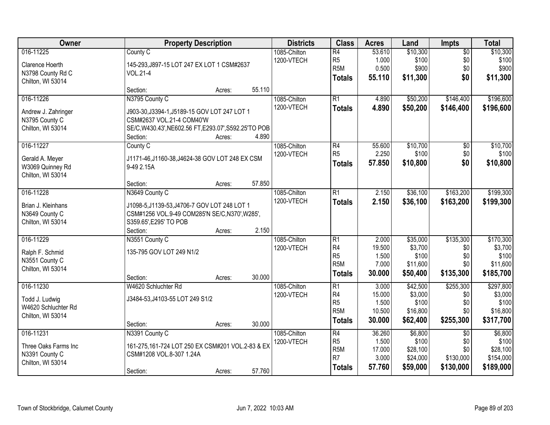| Owner                |                                                       | <b>Property Description</b> |        |              | <b>Class</b>         | <b>Acres</b>    | Land             | <b>Impts</b>    | <b>Total</b>     |
|----------------------|-------------------------------------------------------|-----------------------------|--------|--------------|----------------------|-----------------|------------------|-----------------|------------------|
| 016-11225            | County C                                              |                             |        | 1085-Chilton | $\overline{R4}$      | 53.610          | \$10,300         | $\overline{50}$ | \$10,300         |
| Clarence Hoerth      | 145-293, J897-15 LOT 247 EX LOT 1 CSM#2637            |                             |        | 1200-VTECH   | R <sub>5</sub>       | 1.000           | \$100            | \$0             | \$100            |
| N3798 County Rd C    | VOL.21-4                                              |                             |        |              | R <sub>5</sub> M     | 0.500           | \$900            | \$0             | \$900            |
| Chilton, WI 53014    |                                                       |                             |        |              | Totals               | 55.110          | \$11,300         | \$0             | \$11,300         |
|                      | Section:                                              | Acres:                      | 55.110 |              |                      |                 |                  |                 |                  |
| 016-11226            | N3795 County C                                        |                             |        | 1085-Chilton | R1                   | 4.890           | \$50,200         | \$146,400       | \$196,600        |
| Andrew J. Zahringer  | J903-30, J3394-1, J5189-15 GOV LOT 247 LOT 1          |                             |        | 1200-VTECH   | <b>Totals</b>        | 4.890           | \$50,200         | \$146,400       | \$196,600        |
| N3795 County C       | CSM#2637 VOL.21-4 COM40'W                             |                             |        |              |                      |                 |                  |                 |                  |
| Chilton, WI 53014    | SE/C, W430.43', NE602.56 FT, E293.07', S592.25'TO POB |                             |        |              |                      |                 |                  |                 |                  |
|                      | Section:                                              | Acres:                      | 4.890  |              |                      |                 |                  |                 |                  |
| 016-11227            | County C                                              |                             |        | 1085-Chilton | R4                   | 55.600          | \$10,700         | $\overline{50}$ | \$10,700         |
| Gerald A. Meyer      | J1171-46, J1160-38, J4624-38 GOV LOT 248 EX CSM       |                             |        | 1200-VTECH   | R <sub>5</sub>       | 2.250           | \$100            | \$0             | \$100            |
| W3069 Quinney Rd     | 9-49 2.15A                                            |                             |        |              | Totals               | 57,850          | \$10,800         | \$0             | \$10,800         |
| Chilton, WI 53014    |                                                       |                             |        |              |                      |                 |                  |                 |                  |
|                      | Section:                                              | Acres:                      | 57.850 |              |                      |                 |                  |                 |                  |
| 016-11228            | N3649 County C                                        |                             |        | 1085-Chilton | $\overline{R1}$      | 2.150           | \$36,100         | \$163,200       | \$199,300        |
| Brian J. Kleinhans   | J1098-5, J1139-53, J4706-7 GOV LOT 248 LOT 1          |                             |        | 1200-VTECH   | <b>Totals</b>        | 2.150           | \$36,100         | \$163,200       | \$199,300        |
| N3649 County C       | CSM#1256 VOL.9-49 COM285'N SE/C,N370',W285',          |                             |        |              |                      |                 |                  |                 |                  |
| Chilton, WI 53014    | S359.65', E295' TO POB                                |                             |        |              |                      |                 |                  |                 |                  |
|                      | Section:                                              | Acres:                      | 2.150  |              |                      |                 |                  |                 |                  |
| 016-11229            | N3551 County C                                        |                             |        | 1085-Chilton | $\overline{R1}$      | 2.000           | \$35,000         | \$135,300       | \$170,300        |
|                      |                                                       |                             |        | 1200-VTECH   | R4                   | 19.500          | \$3,700          | \$0             | \$3,700          |
| Ralph F. Schmid      | 135-795 GOV LOT 249 N1/2                              |                             |        |              | R <sub>5</sub>       | 1.500           | \$100            | \$0             | \$100            |
| N3551 County C       |                                                       |                             |        |              | R <sub>5M</sub>      | 7.000           | \$11,600         | \$0             | \$11,600         |
| Chilton, WI 53014    |                                                       |                             |        |              | <b>Totals</b>        | 30.000          | \$50,400         | \$135,300       | \$185,700        |
|                      | Section:                                              | Acres:                      | 30.000 |              |                      |                 |                  |                 |                  |
| 016-11230            | W4620 Schluchter Rd                                   |                             |        | 1085-Chilton | R1                   | 3.000           | \$42,500         | \$255,300       | \$297,800        |
| Todd J. Ludwig       | J3484-53, J4103-55 LOT 249 S1/2                       |                             |        | 1200-VTECH   | R4<br>R <sub>5</sub> | 15.000<br>1.500 | \$3,000<br>\$100 | \$0<br>\$0      | \$3,000<br>\$100 |
| W4620 Schluchter Rd  |                                                       |                             |        |              | R <sub>5</sub> M     | 10.500          | \$16,800         | \$0             | \$16,800         |
| Chilton, WI 53014    |                                                       |                             |        |              | <b>Totals</b>        | 30.000          | \$62,400         | \$255,300       | \$317,700        |
|                      | Section:                                              | Acres:                      | 30.000 |              |                      |                 |                  |                 |                  |
| 016-11231            | N3391 County C                                        |                             |        | 1085-Chilton | R4                   | 36.260          | \$6,800          | $\overline{30}$ | \$6,800          |
| Three Oaks Farms Inc | 161-275,161-724 LOT 250 EX CSM#201 VOL.2-83 & EX      |                             |        | 1200-VTECH   | R <sub>5</sub>       | 1.500           | \$100            | \$0             | \$100            |
| N3391 County C       | CSM#1208 VOL.8-307 1.24A                              |                             |        |              | R <sub>5M</sub>      | 17.000          | \$28,100         | \$0             | \$28,100         |
| Chilton, WI 53014    |                                                       |                             |        |              | R <sub>7</sub>       | 3.000           | \$24,000         | \$130,000       | \$154,000        |
|                      | Section:                                              | Acres:                      | 57.760 |              | <b>Totals</b>        | 57.760          | \$59,000         | \$130,000       | \$189,000        |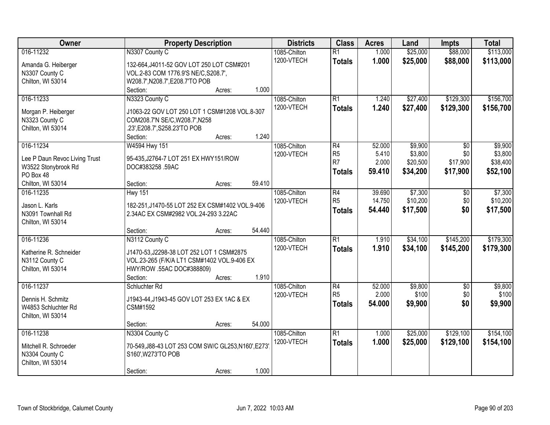| Owner                         | <b>Property Description</b>                         | <b>Districts</b>           | <b>Class</b>                     | <b>Acres</b>   | Land                 | <b>Impts</b>           | <b>Total</b>           |
|-------------------------------|-----------------------------------------------------|----------------------------|----------------------------------|----------------|----------------------|------------------------|------------------------|
| 016-11232                     | N3307 County C                                      | 1085-Chilton<br>1200-VTECH | $\overline{R1}$<br><b>Totals</b> | 1.000<br>1.000 | \$25,000<br>\$25,000 | \$88,000<br>\$88,000   | \$113,000<br>\$113,000 |
| Amanda G. Heiberger           | 132-664, J4011-52 GOV LOT 250 LOT CSM#201           |                            |                                  |                |                      |                        |                        |
| N3307 County C                | VOL.2-83 COM 1776.9'S NE/C, S208.7',                |                            |                                  |                |                      |                        |                        |
| Chilton, WI 53014             | W208.7', N208.7', E208.7'TO POB                     |                            |                                  |                |                      |                        |                        |
|                               | 1.000<br>Section:<br>Acres:                         |                            |                                  |                |                      |                        |                        |
| 016-11233                     | N3323 County C                                      | 1085-Chilton<br>1200-VTECH | R1                               | 1.240<br>1.240 | \$27,400<br>\$27,400 | \$129,300<br>\$129,300 | \$156,700<br>\$156,700 |
| Morgan P. Heiberger           | J1063-22 GOV LOT 250 LOT 1 CSM#1208 VOL.8-307       |                            | <b>Totals</b>                    |                |                      |                        |                        |
| N3323 County C                | COM208.7'N SE/C, W208.7', N258                      |                            |                                  |                |                      |                        |                        |
| Chilton, WI 53014             | .23', E208.7', S258.23'TO POB                       |                            |                                  |                |                      |                        |                        |
|                               | 1.240<br>Section:<br>Acres:                         |                            |                                  |                |                      |                        |                        |
| 016-11234                     | W4594 Hwy 151                                       | 1085-Chilton               | R4                               | 52.000         | \$9,900              | \$0                    | \$9,900                |
| Lee P Daun Revoc Living Trust | 95-435, J2764-7 LOT 251 EX HWY151/ROW               | 1200-VTECH                 | R <sub>5</sub>                   | 5.410          | \$3,800              | \$0                    | \$3,800                |
| W3522 Stonybrook Rd           | DOC#383258.59AC                                     |                            | R7                               | 2.000          | \$20,500             | \$17,900               | \$38,400               |
| PO Box 48                     |                                                     |                            | <b>Totals</b>                    | 59.410         | \$34,200             | \$17,900               | \$52,100               |
| Chilton, WI 53014             | 59.410<br>Section:<br>Acres:                        |                            |                                  |                |                      |                        |                        |
| 016-11235                     | <b>Hwy 151</b>                                      | 1085-Chilton               | R4                               | 39.690         | \$7,300              | $\sqrt[6]{3}$          | \$7,300                |
|                               |                                                     | 1200-VTECH                 | R <sub>5</sub>                   | 14.750         | \$10,200             | \$0                    | \$10,200               |
| Jason L. Karls                | 182-251, J1470-55 LOT 252 EX CSM#1402 VOL.9-406     |                            | <b>Totals</b>                    | 54.440         | \$17,500             | \$0                    | \$17,500               |
| N3091 Townhall Rd             | 2.34AC EX CSM#2982 VOL.24-293 3.22AC                |                            |                                  |                |                      |                        |                        |
| Chilton, WI 53014             |                                                     |                            |                                  |                |                      |                        |                        |
|                               | 54.440<br>Section:<br>Acres:                        |                            |                                  |                |                      |                        |                        |
| 016-11236                     | N3112 County C                                      | 1085-Chilton               | $\overline{R1}$                  | 1.910          | \$34,100             | \$145,200              | \$179,300              |
| Katherine R. Schneider        | J1470-53, J2298-38 LOT 252 LOT 1 CSM#2875           | 1200-VTECH                 | <b>Totals</b>                    | 1.910          | \$34,100             | \$145,200              | \$179,300              |
| N3112 County C                | VOL.23-265 (F/K/A LT1 CSM#1402 VOL.9-406 EX         |                            |                                  |                |                      |                        |                        |
| Chilton, WI 53014             | HWY/ROW .55AC DOC#388809)                           |                            |                                  |                |                      |                        |                        |
|                               | 1.910<br>Section:<br>Acres:                         |                            |                                  |                |                      |                        |                        |
| 016-11237                     | Schluchter Rd                                       | 1085-Chilton               | R4                               | 52.000         | \$9,800              | $\overline{50}$        | \$9,800                |
| Dennis H. Schmitz             | J1943-44, J1943-45 GOV LOT 253 EX 1AC & EX          | 1200-VTECH                 | R <sub>5</sub>                   | 2.000          | \$100                | \$0                    | \$100                  |
| W4853 Schluchter Rd           | CSM#1592                                            |                            | <b>Totals</b>                    | 54.000         | \$9,900              | \$0                    | \$9,900                |
|                               |                                                     |                            |                                  |                |                      |                        |                        |
| Chilton, WI 53014             | 54.000<br>Section:                                  |                            |                                  |                |                      |                        |                        |
|                               | Acres:                                              |                            | R1                               |                |                      |                        |                        |
| 016-11238                     | N3304 County C                                      | 1085-Chilton               |                                  | 1.000          | \$25,000             | \$129,100              | \$154,100              |
| Mitchell R. Schroeder         | 70-549, J88-43 LOT 253 COM SW/C GL253, N160', E273' | 1200-VTECH                 | <b>Totals</b>                    | 1.000          | \$25,000             | \$129,100              | \$154,100              |
| N3304 County C                | S160', W273'TO POB                                  |                            |                                  |                |                      |                        |                        |
| Chilton, WI 53014             |                                                     |                            |                                  |                |                      |                        |                        |
|                               | 1.000<br>Section:<br>Acres:                         |                            |                                  |                |                      |                        |                        |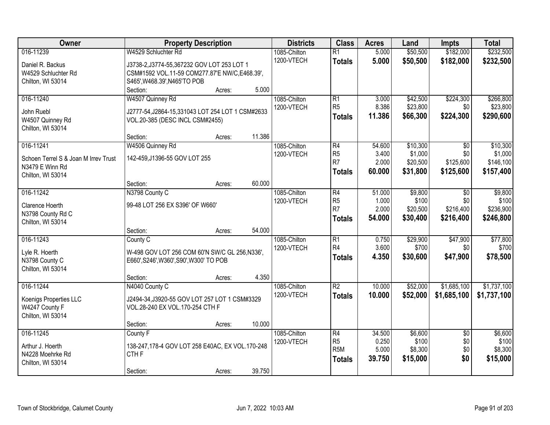| Owner                                | <b>Property Description</b>                       |        |        | <b>Districts</b> | <b>Class</b>     | <b>Acres</b> | Land     | <b>Impts</b>    | <b>Total</b> |
|--------------------------------------|---------------------------------------------------|--------|--------|------------------|------------------|--------------|----------|-----------------|--------------|
| 016-11239                            | W4529 Schluchter Rd                               |        |        | 1085-Chilton     | $\overline{R1}$  | 5.000        | \$50,500 | \$182,000       | \$232,500    |
| Daniel R. Backus                     | J3738-2, J3774-55, 367232 GOV LOT 253 LOT 1       |        |        | 1200-VTECH       | <b>Totals</b>    | 5.000        | \$50,500 | \$182,000       | \$232,500    |
| W4529 Schluchter Rd                  | CSM#1592 VOL.11-59 COM277.87'E NW/C,E468.39',     |        |        |                  |                  |              |          |                 |              |
| Chilton, WI 53014                    | S465', W468.39', N465'TO POB                      |        |        |                  |                  |              |          |                 |              |
|                                      | Section:                                          | Acres: | 5.000  |                  |                  |              |          |                 |              |
| 016-11240                            | W4507 Quinney Rd                                  |        |        | 1085-Chilton     | $\overline{R1}$  | 3.000        | \$42,500 | \$224,300       | \$266,800    |
| John Ruebl                           | J2777-54, J2864-15, 331043 LOT 254 LOT 1 CSM#2633 |        |        | 1200-VTECH       | R <sub>5</sub>   | 8.386        | \$23,800 | \$0             | \$23,800     |
| W4507 Quinney Rd                     | VOL.20-385 (DESC INCL CSM#2455)                   |        |        |                  | <b>Totals</b>    | 11.386       | \$66,300 | \$224,300       | \$290,600    |
| Chilton, WI 53014                    |                                                   |        |        |                  |                  |              |          |                 |              |
|                                      | Section:                                          | Acres: | 11.386 |                  |                  |              |          |                 |              |
| 016-11241                            | W4506 Quinney Rd                                  |        |        | 1085-Chilton     | R4               | 54.600       | \$10,300 | \$0             | \$10,300     |
| Schoen Terrel S & Joan M Irrev Trust | 142-459, J1396-55 GOV LOT 255                     |        |        | 1200-VTECH       | R <sub>5</sub>   | 3.400        | \$1,000  | \$0             | \$1,000      |
| N3479 E Winn Rd                      |                                                   |        |        |                  | R <sub>7</sub>   | 2.000        | \$20,500 | \$125,600       | \$146,100    |
| Chilton, WI 53014                    |                                                   |        |        |                  | <b>Totals</b>    | 60.000       | \$31,800 | \$125,600       | \$157,400    |
|                                      | Section:                                          | Acres: | 60.000 |                  |                  |              |          |                 |              |
| 016-11242                            | N3798 County C                                    |        |        | 1085-Chilton     | R4               | 51.000       | \$9,800  | \$0             | \$9,800      |
| Clarence Hoerth                      | 99-48 LOT 256 EX S396' OF W660'                   |        |        | 1200-VTECH       | R <sub>5</sub>   | 1.000        | \$100    | \$0             | \$100        |
| N3798 County Rd C                    |                                                   |        |        |                  | R <sub>7</sub>   | 2.000        | \$20,500 | \$216,400       | \$236,900    |
| Chilton, WI 53014                    |                                                   |        |        |                  | <b>Totals</b>    | 54.000       | \$30,400 | \$216,400       | \$246,800    |
|                                      | Section:                                          | Acres: | 54.000 |                  |                  |              |          |                 |              |
| 016-11243                            | County C                                          |        |        | 1085-Chilton     | $\overline{R1}$  | 0.750        | \$29,900 | \$47,900        | \$77,800     |
| Lyle R. Hoerth                       | W-498 GOV LOT 256 COM 60'N SW/C GL 256, N336',    |        |        | 1200-VTECH       | R4               | 3.600        | \$700    | \$0             | \$700        |
| N3798 County C                       | E660', S246', W360', S90', W300' TO POB           |        |        |                  | <b>Totals</b>    | 4.350        | \$30,600 | \$47,900        | \$78,500     |
| Chilton, WI 53014                    |                                                   |        |        |                  |                  |              |          |                 |              |
|                                      | Section:                                          | Acres: | 4.350  |                  |                  |              |          |                 |              |
| 016-11244                            | N4040 County C                                    |        |        | 1085-Chilton     | $\overline{R2}$  | 10.000       | \$52,000 | \$1,685,100     | \$1,737,100  |
| Koenigs Properties LLC               | J2494-34, J3920-55 GOV LOT 257 LOT 1 CSM#3329     |        |        | 1200-VTECH       | <b>Totals</b>    | 10.000       | \$52,000 | \$1,685,100     | \$1,737,100  |
| W4247 County F                       | VOL.28-240 EX VOL.170-254 CTH F                   |        |        |                  |                  |              |          |                 |              |
| Chilton, WI 53014                    |                                                   |        |        |                  |                  |              |          |                 |              |
|                                      | Section:                                          | Acres: | 10.000 |                  |                  |              |          |                 |              |
| 016-11245                            | County F                                          |        |        | 1085-Chilton     | $\overline{R4}$  | 34.500       | \$6,600  | $\overline{50}$ | \$6,600      |
| Arthur J. Hoerth                     | 138-247, 178-4 GOV LOT 258 E40AC, EX VOL. 170-248 |        |        | 1200-VTECH       | R <sub>5</sub>   | 0.250        | \$100    | \$0             | \$100        |
| N4228 Moehrke Rd                     | CTH <sub>F</sub>                                  |        |        |                  | R <sub>5</sub> M | 5.000        | \$8,300  | \$0             | \$8,300      |
| Chilton, WI 53014                    |                                                   |        |        |                  | <b>Totals</b>    | 39.750       | \$15,000 | \$0             | \$15,000     |
|                                      | Section:                                          | Acres: | 39.750 |                  |                  |              |          |                 |              |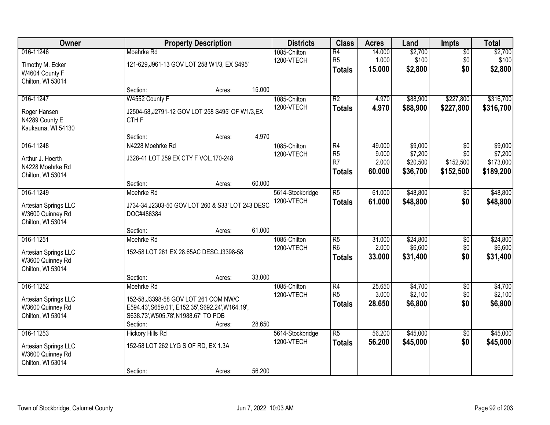| Owner                                                                      |                                                                                                                                                              | <b>Property Description</b> |                            |                                                    | <b>Class</b>                                                         | <b>Acres</b>                       | Land                                       | <b>Impts</b>                         | <b>Total</b>                                 |
|----------------------------------------------------------------------------|--------------------------------------------------------------------------------------------------------------------------------------------------------------|-----------------------------|----------------------------|----------------------------------------------------|----------------------------------------------------------------------|------------------------------------|--------------------------------------------|--------------------------------------|----------------------------------------------|
| 016-11246<br>Timothy M. Ecker<br>W4604 County F<br>Chilton, WI 53014       | Moehrke Rd<br>121-629, J961-13 GOV LOT 258 W1/3, EX S495'                                                                                                    |                             | 1085-Chilton<br>1200-VTECH | $\overline{R4}$<br>R <sub>5</sub><br><b>Totals</b> | 14.000<br>1.000<br>15.000                                            | \$2,700<br>\$100<br>\$2,800        | $\overline{50}$<br>\$0<br>\$0              | \$2,700<br>\$100<br>\$2,800          |                                              |
|                                                                            | Section:                                                                                                                                                     | Acres:                      | 15.000                     |                                                    |                                                                      |                                    |                                            |                                      |                                              |
| 016-11247<br>Roger Hansen<br>N4289 County E<br>Kaukauna, WI 54130          | W4552 County F<br>J2504-58, J2791-12 GOV LOT 258 S495' OF W1/3, EX<br>CTH <sub>F</sub>                                                                       |                             |                            | 1085-Chilton<br>1200-VTECH                         | $\overline{R2}$<br><b>Totals</b>                                     | 4.970<br>4.970                     | \$88,900<br>\$88,900                       | \$227,800<br>\$227,800               | \$316,700<br>\$316,700                       |
|                                                                            | Section:                                                                                                                                                     | Acres:                      | 4.970                      |                                                    |                                                                      |                                    |                                            |                                      |                                              |
| 016-11248<br>Arthur J. Hoerth<br>N4228 Moehrke Rd<br>Chilton, WI 53014     | N4228 Moehrke Rd<br>J328-41 LOT 259 EX CTY F VOL.170-248                                                                                                     |                             |                            | 1085-Chilton<br>1200-VTECH                         | $\overline{R4}$<br>R <sub>5</sub><br>R <sub>7</sub><br><b>Totals</b> | 49.000<br>9.000<br>2.000<br>60.000 | \$9,000<br>\$7,200<br>\$20,500<br>\$36,700 | \$0<br>\$0<br>\$152,500<br>\$152,500 | \$9,000<br>\$7,200<br>\$173,000<br>\$189,200 |
|                                                                            | Section:                                                                                                                                                     | Acres:                      | 60.000                     |                                                    |                                                                      |                                    |                                            |                                      |                                              |
| 016-11249<br>Artesian Springs LLC<br>W3600 Quinney Rd<br>Chilton, WI 53014 | Moehrke Rd<br>J734-34, J2303-50 GOV LOT 260 & S33' LOT 243 DESC<br>DOC#486384                                                                                |                             |                            | 5614-Stockbridge<br>1200-VTECH                     | $\overline{R5}$<br><b>Totals</b>                                     | 61.000<br>61.000                   | \$48,800<br>\$48,800                       | $\sqrt[6]{}$<br>\$0                  | \$48,800<br>\$48,800                         |
|                                                                            | Section:                                                                                                                                                     | Acres:                      | 61.000                     |                                                    |                                                                      |                                    |                                            |                                      |                                              |
| 016-11251<br>Artesian Springs LLC<br>W3600 Quinney Rd<br>Chilton, WI 53014 | Moehrke Rd<br>152-58 LOT 261 EX 28.65AC DESC.J3398-58                                                                                                        |                             |                            | 1085-Chilton<br>1200-VTECH                         | $\overline{R5}$<br>R <sub>6</sub><br><b>Totals</b>                   | 31.000<br>2.000<br>33.000          | \$24,800<br>\$6,600<br>\$31,400            | \$0<br>\$0<br>\$0                    | \$24,800<br>\$6,600<br>\$31,400              |
|                                                                            | Section:                                                                                                                                                     | Acres:                      | 33.000                     |                                                    |                                                                      |                                    |                                            |                                      |                                              |
| 016-11252<br>Artesian Springs LLC<br>W3600 Quinney Rd<br>Chilton, WI 53014 | Moehrke Rd<br>152-58, J3398-58 GOV LOT 261 COM NW/C<br>E594.43', S659.01', E152.35', S692.24', W164.19',<br>S638.73', W505.78', N1988.67' TO POB<br>Section: | Acres:                      | 28.650                     | 1085-Chilton<br>1200-VTECH                         | R4<br>R <sub>5</sub><br><b>Totals</b>                                | 25.650<br>3.000<br>28.650          | \$4,700<br>\$2,100<br>\$6,800              | $\sqrt{6}$<br>\$0<br>\$0             | \$4,700<br>\$2,100<br>\$6,800                |
| 016-11253<br>Artesian Springs LLC<br>W3600 Quinney Rd<br>Chilton, WI 53014 | <b>Hickory Hills Rd</b><br>152-58 LOT 262 LYG S OF RD, EX 1.3A<br>Section:                                                                                   | Acres:                      | 56.200                     | 5614-Stockbridge<br>1200-VTECH                     | $\overline{R5}$<br><b>Totals</b>                                     | 56.200<br>56.200                   | \$45,000<br>\$45,000                       | $\overline{50}$<br>\$0               | \$45,000<br>\$45,000                         |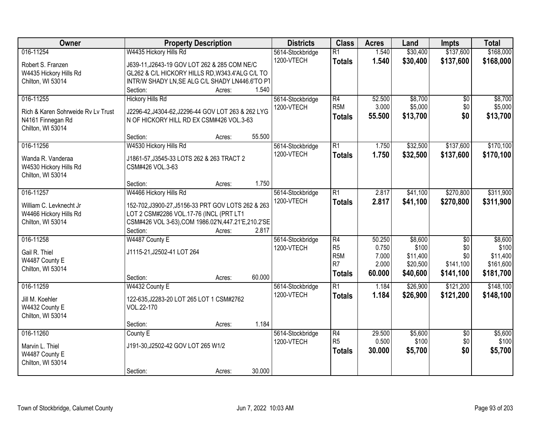| Owner                              | <b>Property Description</b>                          | <b>Districts</b> | <b>Class</b>                   | <b>Acres</b>     | Land   | <b>Impts</b> | <b>Total</b>    |           |
|------------------------------------|------------------------------------------------------|------------------|--------------------------------|------------------|--------|--------------|-----------------|-----------|
| 016-11254                          | W4435 Hickory Hills Rd                               |                  | 5614-Stockbridge               | $\overline{R1}$  | 1.540  | \$30,400     | \$137,600       | \$168,000 |
| Robert S. Franzen                  | J639-11, J2643-19 GOV LOT 262 & 285 COM NE/C         |                  | 1200-VTECH                     | <b>Totals</b>    | 1.540  | \$30,400     | \$137,600       | \$168,000 |
| W4435 Hickory Hills Rd             | GL262 & C/L HICKORY HILLS RD, W343.4'ALG C/L TO      |                  |                                |                  |        |              |                 |           |
| Chilton, WI 53014                  | INTR/W SHADY LN, SE ALG C/L SHADY LN446.6'TO PT      |                  |                                |                  |        |              |                 |           |
|                                    | Section:                                             | 1.540<br>Acres:  |                                |                  |        |              |                 |           |
| 016-11255                          | <b>Hickory Hills Rd</b>                              |                  | 5614-Stockbridge               | $\overline{R4}$  | 52.500 | \$8,700      | \$0             | \$8,700   |
|                                    |                                                      |                  | 1200-VTECH                     | R <sub>5</sub> M | 3.000  | \$5,000      | \$0             | \$5,000   |
| Rich & Karen Sohrweide Ry Ly Trust | J2296-42, J4304-62, J2296-44 GOV LOT 263 & 262 LYG   |                  |                                | <b>Totals</b>    | 55.500 | \$13,700     | \$0             | \$13,700  |
| N4161 Finnegan Rd                  | N OF HICKORY HILL RD EX CSM#426 VOL.3-63             |                  |                                |                  |        |              |                 |           |
| Chilton, WI 53014                  |                                                      | 55.500           |                                |                  |        |              |                 |           |
| 016-11256                          | Section:<br>W4530 Hickory Hills Rd                   | Acres:           |                                | $\overline{R1}$  | 1.750  | \$32,500     | \$137,600       | \$170,100 |
|                                    |                                                      |                  | 5614-Stockbridge<br>1200-VTECH |                  |        |              |                 |           |
| Wanda R. Vanderaa                  | J1861-57, J3545-33 LOTS 262 & 263 TRACT 2            |                  |                                | <b>Totals</b>    | 1.750  | \$32,500     | \$137,600       | \$170,100 |
| W4530 Hickory Hills Rd             | CSM#426 VOL.3-63                                     |                  |                                |                  |        |              |                 |           |
| Chilton, WI 53014                  |                                                      |                  |                                |                  |        |              |                 |           |
|                                    | Section:                                             | 1.750<br>Acres:  |                                |                  |        |              |                 |           |
| 016-11257                          | W4466 Hickory Hills Rd                               |                  | 5614-Stockbridge               | $\overline{R1}$  | 2.817  | \$41,100     | \$270,800       | \$311,900 |
| William C. Levknecht Jr            | 152-702, J3900-27, J5156-33 PRT GOV LOTS 262 & 263   |                  | 1200-VTECH                     | <b>Totals</b>    | 2.817  | \$41,100     | \$270,800       | \$311,900 |
| W4466 Hickory Hills Rd             | LOT 2 CSM#2286 VOL.17-76 (INCL (PRT LT1              |                  |                                |                  |        |              |                 |           |
| Chilton, WI 53014                  | CSM#426 VOL 3-63), COM 1986.02'N, 447.21'E, 210.2'SE |                  |                                |                  |        |              |                 |           |
|                                    | Section:                                             | 2.817<br>Acres:  |                                |                  |        |              |                 |           |
| 016-11258                          | W4487 County E                                       |                  | 5614-Stockbridge               | $\overline{R4}$  | 50.250 | \$8,600      | $\overline{50}$ | \$8,600   |
|                                    |                                                      |                  | 1200-VTECH                     | R <sub>5</sub>   | 0.750  | \$100        | \$0             | \$100     |
| Gail R. Thiel                      | J1115-21, J2502-41 LOT 264                           |                  |                                | R <sub>5</sub> M | 7.000  | \$11,400     | \$0             | \$11,400  |
| W4487 County E                     |                                                      |                  |                                | R <sub>7</sub>   | 2.000  | \$20,500     | \$141,100       | \$161,600 |
| Chilton, WI 53014                  |                                                      |                  |                                | <b>Totals</b>    | 60.000 | \$40,600     | \$141,100       | \$181,700 |
|                                    | Section:                                             | 60.000<br>Acres: |                                |                  |        |              |                 |           |
| 016-11259                          | W4432 County E                                       |                  | 5614-Stockbridge               | $\overline{R1}$  | 1.184  | \$26,900     | \$121,200       | \$148,100 |
| Jill M. Koehler                    | 122-635, J2283-20 LOT 265 LOT 1 CSM#2762             |                  | 1200-VTECH                     | <b>Totals</b>    | 1.184  | \$26,900     | \$121,200       | \$148,100 |
| W4432 County E                     | VOL.22-170                                           |                  |                                |                  |        |              |                 |           |
| Chilton, WI 53014                  |                                                      |                  |                                |                  |        |              |                 |           |
|                                    | Section:                                             | 1.184<br>Acres:  |                                |                  |        |              |                 |           |
| 016-11260                          | County E                                             |                  | 5614-Stockbridge               | R4               | 29.500 | \$5,600      | $\overline{50}$ | \$5,600   |
| Marvin L. Thiel                    | J191-30, J2502-42 GOV LOT 265 W1/2                   |                  | 1200-VTECH                     | R <sub>5</sub>   | 0.500  | \$100        | \$0             | \$100     |
| W4487 County E                     |                                                      |                  |                                | <b>Totals</b>    | 30,000 | \$5,700      | \$0             | \$5,700   |
| Chilton, WI 53014                  |                                                      |                  |                                |                  |        |              |                 |           |
|                                    | Section:                                             | 30.000<br>Acres: |                                |                  |        |              |                 |           |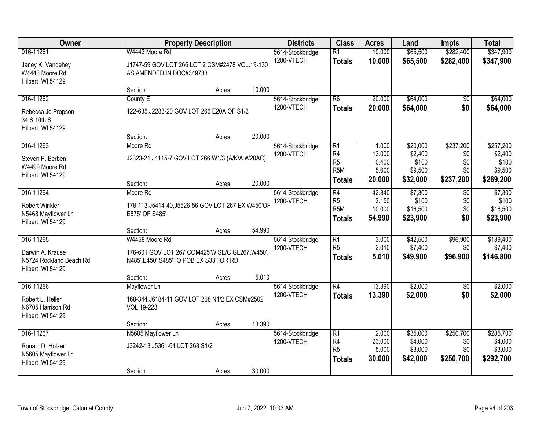| Owner                                                                         | <b>Property Description</b>                                                                                  | <b>Districts</b>                         | <b>Class</b>                                                            | <b>Acres</b>                        | Land                                       | <b>Impts</b>                         | <b>Total</b>                                 |
|-------------------------------------------------------------------------------|--------------------------------------------------------------------------------------------------------------|------------------------------------------|-------------------------------------------------------------------------|-------------------------------------|--------------------------------------------|--------------------------------------|----------------------------------------------|
| 016-11261<br>Janey K. Vandehey<br>W4443 Moore Rd                              | W4443 Moore Rd<br>J1747-59 GOV LOT 266 LOT 2 CSM#2478 VOL.19-130<br>AS AMENDED IN DOC#349783                 | 5614-Stockbridge<br>1200-VTECH           | $\overline{R1}$<br><b>Totals</b>                                        | 10.000<br>10.000                    | \$65,500<br>\$65,500                       | \$282,400<br>\$282,400               | \$347,900<br>\$347,900                       |
| Hilbert, WI 54129                                                             | 10.000<br>Section:<br>Acres:                                                                                 |                                          |                                                                         |                                     |                                            |                                      |                                              |
| 016-11262                                                                     | County E                                                                                                     | 5614-Stockbridge                         | $\overline{R6}$                                                         | 20.000                              | \$64,000                                   | \$0                                  | \$64,000                                     |
| Rebecca Jo Propson<br>34 S 10th St<br>Hilbert, WI 54129                       | 122-635, J2283-20 GOV LOT 266 E20A OF S1/2                                                                   | 1200-VTECH                               | <b>Totals</b>                                                           | 20,000                              | \$64,000                                   | \$0                                  | \$64,000                                     |
|                                                                               | 20.000<br>Section:<br>Acres:                                                                                 |                                          |                                                                         |                                     |                                            |                                      |                                              |
| 016-11263<br>Steven P. Berben<br>W4499 Moore Rd<br>Hilbert, WI 54129          | Moore Rd<br>J2323-21, J4115-7 GOV LOT 266 W1/3 (A/K/A W20AC)                                                 | 5614-Stockbridge<br>1200-VTECH           | $\overline{R1}$<br>R <sub>4</sub><br>R <sub>5</sub><br>R <sub>5</sub> M | 1.000<br>13.000<br>0.400<br>5.600   | \$20,000<br>\$2,400<br>\$100<br>\$9,500    | \$237,200<br>\$0<br>\$0<br>\$0       | \$257,200<br>\$2,400<br>\$100<br>\$9,500     |
|                                                                               | Section:<br>Acres:                                                                                           | 20.000                                   | <b>Totals</b>                                                           | 20.000                              | \$32,000                                   | \$237,200                            | \$269,200                                    |
| 016-11264<br><b>Robert Winkler</b><br>N5468 Mayflower Ln<br>Hilbert, WI 54129 | Moore Rd<br>178-113, J5414-40, J5526-56 GOV LOT 267 EX W450'OF<br>E875' OF S485'                             | 5614-Stockbridge<br>1200-VTECH           | $\overline{R4}$<br>R <sub>5</sub><br>R <sub>5</sub> M<br><b>Totals</b>  | 42.840<br>2.150<br>10.000<br>54.990 | \$7,300<br>\$100<br>\$16,500<br>\$23,900   | \$0<br>\$0<br>\$0<br>\$0             | \$7,300<br>\$100<br>\$16,500<br>\$23,900     |
|                                                                               | 54.990<br>Section:<br>Acres:                                                                                 |                                          |                                                                         |                                     |                                            |                                      |                                              |
| 016-11265<br>Darwin A. Krause<br>N5724 Rockland Beach Rd<br>Hilbert, WI 54129 | W4458 Moore Rd<br>176-601 GOV LOT 267 COM425'W SE/C GL267, W450',<br>N485', E450', S485'TO POB EX S33'FOR RD | 5614-Stockbridge<br>1200-VTECH           | $\overline{R1}$<br>R <sub>5</sub><br><b>Totals</b>                      | 3.000<br>2.010<br>5.010             | \$42,500<br>\$7,400<br>\$49,900            | \$96,900<br>\$0<br>\$96,900          | \$139,400<br>\$7,400<br>\$146,800            |
|                                                                               | Section:<br>Acres:                                                                                           | 5.010                                    |                                                                         |                                     |                                            |                                      |                                              |
| 016-11266<br>Robert L. Heller<br>N6705 Harrison Rd<br>Hilbert, WI 54129       | Mayflower Ln<br>168-344, J6184-11 GOV LOT 268 N1/2, EX CSM#2502<br>VOL.19-223                                | 5614-Stockbridge<br>1200-VTECH           | $\overline{R4}$<br><b>Totals</b>                                        | 13.390<br>13.390                    | \$2,000<br>\$2,000                         | $\overline{50}$<br>\$0               | \$2,000<br>\$2,000                           |
|                                                                               | 13.390<br>Section:<br>Acres:                                                                                 |                                          |                                                                         |                                     |                                            |                                      |                                              |
| 016-11267<br>Ronald D. Holzer<br>N5605 Mayflower Ln<br>Hilbert, WI 54129      | N5605 Mayflower Ln<br>J3242-13, J5361-61 LOT 268 S1/2<br>Section:<br>Acres:                                  | 5614-Stockbridge<br>1200-VTECH<br>30.000 | $\overline{R1}$<br>R <sub>4</sub><br>R <sub>5</sub><br><b>Totals</b>    | 2.000<br>23.000<br>5.000<br>30.000  | \$35,000<br>\$4,000<br>\$3,000<br>\$42,000 | \$250,700<br>\$0<br>\$0<br>\$250,700 | \$285,700<br>\$4,000<br>\$3,000<br>\$292,700 |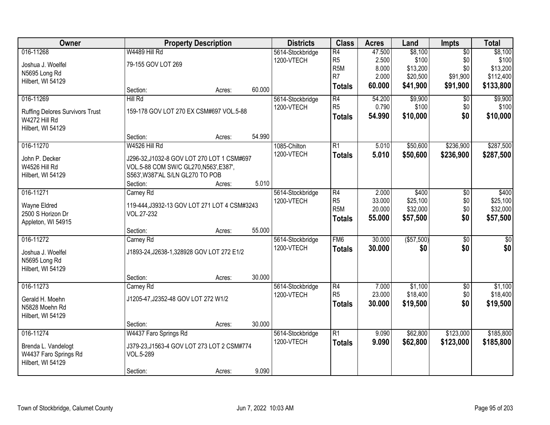| Owner                                  | <b>Property Description</b>                  |        |        | <b>Districts</b> | <b>Class</b>     | <b>Acres</b> | Land        | Impts           | <b>Total</b> |
|----------------------------------------|----------------------------------------------|--------|--------|------------------|------------------|--------------|-------------|-----------------|--------------|
| 016-11268                              | W4489 Hill Rd                                |        |        | 5614-Stockbridge | $\overline{R4}$  | 47.500       | \$8,100     | $\overline{50}$ | \$8,100      |
| Joshua J. Woelfel                      | 79-155 GOV LOT 269                           |        |        | 1200-VTECH       | R <sub>5</sub>   | 2.500        | \$100       | \$0             | \$100        |
| N5695 Long Rd                          |                                              |        |        |                  | R <sub>5</sub> M | 8.000        | \$13,200    | \$0             | \$13,200     |
| Hilbert, WI 54129                      |                                              |        |        |                  | R <sub>7</sub>   | 2.000        | \$20,500    | \$91,900        | \$112,400    |
|                                        | Section:                                     | Acres: | 60.000 |                  | <b>Totals</b>    | 60.000       | \$41,900    | \$91,900        | \$133,800    |
| 016-11269                              | Hill Rd                                      |        |        | 5614-Stockbridge | $\overline{R4}$  | 54.200       | \$9,900     | \$0             | \$9,900      |
| <b>Ruffing Delores Survivors Trust</b> | 159-178 GOV LOT 270 EX CSM#697 VOL.5-88      |        |        | 1200-VTECH       | R <sub>5</sub>   | 0.790        | \$100       | \$0             | \$100        |
| W4272 Hill Rd                          |                                              |        |        |                  | <b>Totals</b>    | 54.990       | \$10,000    | \$0             | \$10,000     |
| Hilbert, WI 54129                      |                                              |        |        |                  |                  |              |             |                 |              |
|                                        | Section:                                     | Acres: | 54.990 |                  |                  |              |             |                 |              |
| 016-11270                              | W4526 Hill Rd                                |        |        | 1085-Chilton     | $\overline{R1}$  | 5.010        | \$50,600    | \$236,900       | \$287,500    |
| John P. Decker                         | J296-32, J1032-8 GOV LOT 270 LOT 1 CSM#697   |        |        | 1200-VTECH       | <b>Totals</b>    | 5.010        | \$50,600    | \$236,900       | \$287,500    |
| W4526 Hill Rd                          | VOL.5-88 COM SW/C GL270, N563', E387',       |        |        |                  |                  |              |             |                 |              |
| Hilbert, WI 54129                      | S563', W387'AL S/LN GL270 TO POB             |        |        |                  |                  |              |             |                 |              |
|                                        | Section:                                     | Acres: | 5.010  |                  |                  |              |             |                 |              |
| 016-11271                              | Carney Rd                                    |        |        | 5614-Stockbridge | R4               | 2.000        | \$400       | \$0             | \$400        |
| Wayne Eldred                           | 119-444, J3932-13 GOV LOT 271 LOT 4 CSM#3243 |        |        | 1200-VTECH       | R <sub>5</sub>   | 33.000       | \$25,100    | \$0             | \$25,100     |
| 2500 S Horizon Dr                      | VOL.27-232                                   |        |        |                  | R <sub>5</sub> M | 20.000       | \$32,000    | \$0             | \$32,000     |
| Appleton, WI 54915                     |                                              |        |        |                  | <b>Totals</b>    | 55.000       | \$57,500    | \$0             | \$57,500     |
|                                        | Section:                                     | Acres: | 55.000 |                  |                  |              |             |                 |              |
| 016-11272                              | Carney Rd                                    |        |        | 5614-Stockbridge | F <sub>MG</sub>  | 30.000       | ( \$57,500) | $\overline{50}$ | \$0          |
| Joshua J. Woelfel                      | J1893-24, J2638-1, 328928 GOV LOT 272 E1/2   |        |        | 1200-VTECH       | <b>Totals</b>    | 30.000       | \$0         | \$0             | \$0          |
| N5695 Long Rd                          |                                              |        |        |                  |                  |              |             |                 |              |
| Hilbert, WI 54129                      |                                              |        |        |                  |                  |              |             |                 |              |
|                                        | Section:                                     | Acres: | 30.000 |                  |                  |              |             |                 |              |
| 016-11273                              | Carney Rd                                    |        |        | 5614-Stockbridge | $\overline{R4}$  | 7.000        | \$1,100     | $\overline{50}$ | \$1,100      |
| Gerald H. Moehn                        | J1205-47, J2352-48 GOV LOT 272 W1/2          |        |        | 1200-VTECH       | R <sub>5</sub>   | 23.000       | \$18,400    | \$0             | \$18,400     |
| N5828 Moehn Rd                         |                                              |        |        |                  | <b>Totals</b>    | 30,000       | \$19,500    | \$0             | \$19,500     |
| Hilbert, WI 54129                      |                                              |        |        |                  |                  |              |             |                 |              |
|                                        | Section:                                     | Acres: | 30.000 |                  |                  |              |             |                 |              |
| 016-11274                              | W4437 Faro Springs Rd                        |        |        | 5614-Stockbridge | $\overline{R1}$  | 9.090        | \$62,800    | \$123,000       | \$185,800    |
| Brenda L. Vandelogt                    | J379-23, J1563-4 GOV LOT 273 LOT 2 CSM#774   |        |        | 1200-VTECH       | <b>Totals</b>    | 9.090        | \$62,800    | \$123,000       | \$185,800    |
| W4437 Faro Springs Rd                  | VOL.5-289                                    |        |        |                  |                  |              |             |                 |              |
| Hilbert, WI 54129                      |                                              |        |        |                  |                  |              |             |                 |              |
|                                        | Section:                                     | Acres: | 9.090  |                  |                  |              |             |                 |              |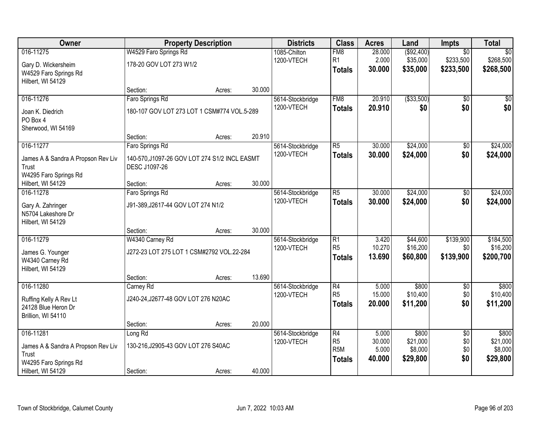| Owner                              | <b>Property Description</b>                   |        |        | <b>Districts</b> | <b>Class</b>     | <b>Acres</b> | Land        | Impts           | <b>Total</b>    |
|------------------------------------|-----------------------------------------------|--------|--------|------------------|------------------|--------------|-------------|-----------------|-----------------|
| 016-11275                          | W4529 Faro Springs Rd                         |        |        | 1085-Chilton     | FM <sub>8</sub>  | 28.000       | ( \$92,400) | $\overline{50}$ | $\overline{50}$ |
| Gary D. Wickersheim                | 178-20 GOV LOT 273 W1/2                       |        |        | 1200-VTECH       | R <sub>1</sub>   | 2.000        | \$35,000    | \$233,500       | \$268,500       |
| W4529 Faro Springs Rd              |                                               |        |        |                  | <b>Totals</b>    | 30.000       | \$35,000    | \$233,500       | \$268,500       |
| Hilbert, WI 54129                  |                                               |        |        |                  |                  |              |             |                 |                 |
|                                    | Section:                                      | Acres: | 30.000 |                  |                  |              |             |                 |                 |
| 016-11276                          | Faro Springs Rd                               |        |        | 5614-Stockbridge | FM8              | 20.910       | ( \$33,500) | $\overline{50}$ | $\overline{50}$ |
| Joan K. Diedrich                   | 180-107 GOV LOT 273 LOT 1 CSM#774 VOL.5-289   |        |        | 1200-VTECH       | <b>Totals</b>    | 20.910       | \$0         | \$0             | \$0             |
| PO Box 4                           |                                               |        |        |                  |                  |              |             |                 |                 |
| Sherwood, WI 54169                 |                                               |        |        |                  |                  |              |             |                 |                 |
|                                    | Section:                                      | Acres: | 20.910 |                  |                  |              |             |                 |                 |
| 016-11277                          | Faro Springs Rd                               |        |        | 5614-Stockbridge | $\overline{R5}$  | 30.000       | \$24,000    | \$0             | \$24,000        |
| James A & Sandra A Propson Rev Liv | 140-570, J1097-26 GOV LOT 274 S1/2 INCL EASMT |        |        | 1200-VTECH       | <b>Totals</b>    | 30.000       | \$24,000    | \$0             | \$24,000        |
| Trust                              | DESC J1097-26                                 |        |        |                  |                  |              |             |                 |                 |
| W4295 Faro Springs Rd              |                                               |        |        |                  |                  |              |             |                 |                 |
| Hilbert, WI 54129                  | Section:                                      | Acres: | 30.000 |                  |                  |              |             |                 |                 |
| 016-11278                          | Faro Springs Rd                               |        |        | 5614-Stockbridge | $\overline{R5}$  | 30.000       | \$24,000    | \$0             | \$24,000        |
| Gary A. Zahringer                  | J91-389, J2617-44 GOV LOT 274 N1/2            |        |        | 1200-VTECH       | <b>Totals</b>    | 30.000       | \$24,000    | \$0             | \$24,000        |
| N5704 Lakeshore Dr                 |                                               |        |        |                  |                  |              |             |                 |                 |
| Hilbert, WI 54129                  |                                               |        |        |                  |                  |              |             |                 |                 |
|                                    | Section:                                      | Acres: | 30.000 |                  |                  |              |             |                 |                 |
| 016-11279                          | W4340 Carney Rd                               |        |        | 5614-Stockbridge | $\overline{R1}$  | 3.420        | \$44,600    | \$139,900       | \$184,500       |
| James G. Younger                   | J272-23 LOT 275 LOT 1 CSM#2792 VOL.22-284     |        |        | 1200-VTECH       | R <sub>5</sub>   | 10.270       | \$16,200    | \$0             | \$16,200        |
| W4340 Carney Rd                    |                                               |        |        |                  | <b>Totals</b>    | 13.690       | \$60,800    | \$139,900       | \$200,700       |
| Hilbert, WI 54129                  |                                               |        |        |                  |                  |              |             |                 |                 |
|                                    | Section:                                      | Acres: | 13.690 |                  |                  |              |             |                 |                 |
| 016-11280                          | Carney Rd                                     |        |        | 5614-Stockbridge | $\overline{R4}$  | 5.000        | \$800       | $\overline{60}$ | \$800           |
| Ruffing Kelly A Rev Lt             | J240-24, J2677-48 GOV LOT 276 N20AC           |        |        | 1200-VTECH       | R <sub>5</sub>   | 15.000       | \$10,400    | \$0             | \$10,400        |
| 24128 Blue Heron Dr                |                                               |        |        |                  | <b>Totals</b>    | 20.000       | \$11,200    | \$0             | \$11,200        |
| Brillion, WI 54110                 |                                               |        |        |                  |                  |              |             |                 |                 |
|                                    | Section:                                      | Acres: | 20.000 |                  |                  |              |             |                 |                 |
| 016-11281                          | Long Rd                                       |        |        | 5614-Stockbridge | $\overline{R4}$  | 5.000        | \$800       | $\overline{30}$ | \$800           |
| James A & Sandra A Propson Rev Liv | 130-216, J2905-43 GOV LOT 276 S40AC           |        |        | 1200-VTECH       | R <sub>5</sub>   | 30.000       | \$21,000    | \$0             | \$21,000        |
| Trust                              |                                               |        |        |                  | R <sub>5</sub> M | 5.000        | \$8,000     | \$0             | \$8,000         |
| W4295 Faro Springs Rd              |                                               |        |        |                  | <b>Totals</b>    | 40.000       | \$29,800    | \$0             | \$29,800        |
| Hilbert, WI 54129                  | Section:                                      | Acres: | 40.000 |                  |                  |              |             |                 |                 |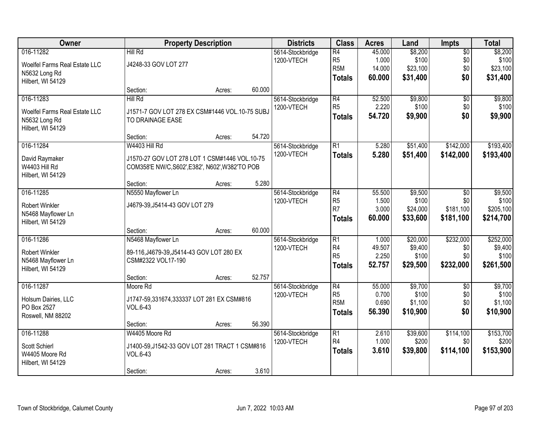| Owner                                                                            |                                                                                                                   | <b>Property Description</b> |        | <b>Districts</b>               | <b>Class</b>                                                           | <b>Acres</b>                        | Land                                     | Impts                                | <b>Total</b>                               |
|----------------------------------------------------------------------------------|-------------------------------------------------------------------------------------------------------------------|-----------------------------|--------|--------------------------------|------------------------------------------------------------------------|-------------------------------------|------------------------------------------|--------------------------------------|--------------------------------------------|
| 016-11282<br>Woelfel Farms Real Estate LLC<br>N5632 Long Rd<br>Hilbert, WI 54129 | Hill Rd<br>J4248-33 GOV LOT 277                                                                                   |                             |        | 5614-Stockbridge<br>1200-VTECH | $\overline{R4}$<br>R <sub>5</sub><br>R <sub>5</sub> M<br><b>Totals</b> | 45.000<br>1.000<br>14.000<br>60.000 | \$8,200<br>\$100<br>\$23,100<br>\$31,400 | $\overline{50}$<br>\$0<br>\$0<br>\$0 | \$8,200<br>\$100<br>\$23,100<br>\$31,400   |
|                                                                                  | Section:                                                                                                          | Acres:                      | 60.000 |                                |                                                                        |                                     |                                          |                                      |                                            |
| 016-11283<br>Woelfel Farms Real Estate LLC<br>N5632 Long Rd<br>Hilbert, WI 54129 | Hill Rd<br>J1571-7 GOV LOT 278 EX CSM#1446 VOL.10-75 SUBJ<br>TO DRAINAGE EASE                                     |                             |        | 5614-Stockbridge<br>1200-VTECH | R4<br>R <sub>5</sub><br><b>Totals</b>                                  | 52.500<br>2.220<br>54.720           | \$9,800<br>\$100<br>\$9,900              | $\overline{30}$<br>\$0<br>\$0        | \$9,800<br>\$100<br>\$9,900                |
|                                                                                  | Section:                                                                                                          | Acres:                      | 54.720 |                                |                                                                        |                                     |                                          |                                      |                                            |
| 016-11284<br>David Raymaker<br>W4403 Hill Rd<br>Hilbert, WI 54129                | W4403 Hill Rd<br>J1570-27 GOV LOT 278 LOT 1 CSM#1446 VOL.10-75<br>COM358'E NW/C, S602', E382', N602', W382'TO POB |                             | 5.280  | 5614-Stockbridge<br>1200-VTECH | $\overline{R1}$<br><b>Totals</b>                                       | 5.280<br>5.280                      | \$51,400<br>\$51,400                     | \$142,000<br>\$142,000               | \$193,400<br>\$193,400                     |
| 016-11285                                                                        | Section:<br>N5550 Mayflower Ln                                                                                    | Acres:                      |        | 5614-Stockbridge               | $\overline{R4}$                                                        | 55.500                              | \$9,500                                  | \$0                                  | \$9,500                                    |
| <b>Robert Winkler</b><br>N5468 Mayflower Ln<br>Hilbert, WI 54129                 | J4679-39, J5414-43 GOV LOT 279                                                                                    |                             |        | 1200-VTECH                     | R <sub>5</sub><br>R <sub>7</sub><br><b>Totals</b>                      | 1.500<br>3.000<br>60.000            | \$100<br>\$24,000<br>\$33,600            | \$0<br>\$181,100<br>\$181,100        | \$100<br>\$205,100<br>\$214,700            |
|                                                                                  | Section:                                                                                                          | Acres:                      | 60.000 |                                |                                                                        |                                     |                                          |                                      |                                            |
| 016-11286<br><b>Robert Winkler</b><br>N5468 Mayflower Ln<br>Hilbert, WI 54129    | N5468 Mayflower Ln<br>89-116, J4679-39, J5414-43 GOV LOT 280 EX<br>CSM#2322 VOL17-190<br>Section:                 | Acres:                      | 52.757 | 5614-Stockbridge<br>1200-VTECH | $\overline{R1}$<br>R4<br>R <sub>5</sub><br><b>Totals</b>               | 1.000<br>49.507<br>2.250<br>52.757  | \$20,000<br>\$9,400<br>\$100<br>\$29,500 | \$232,000<br>\$0<br>\$0<br>\$232,000 | \$252,000<br>\$9,400<br>\$100<br>\$261,500 |
| 016-11287<br>Holsum Dairies, LLC<br>PO Box 2527<br>Roswell, NM 88202             | Moore Rd<br>J1747-59,331674,333337 LOT 281 EX CSM#816<br>VOL.6-43<br>Section:                                     | Acres:                      | 56.390 | 5614-Stockbridge<br>1200-VTECH | $\overline{R4}$<br>R <sub>5</sub><br>R <sub>5</sub> M<br><b>Totals</b> | 55.000<br>0.700<br>0.690<br>56.390  | \$9,700<br>\$100<br>\$1,100<br>\$10,900  | $\sqrt{6}$<br>\$0<br>\$0<br>\$0      | \$9,700<br>\$100<br>\$1,100<br>\$10,900    |
| 016-11288                                                                        | W4405 Moore Rd                                                                                                    |                             |        | 5614-Stockbridge               | $\overline{R1}$                                                        | 2.610                               | \$39,600                                 | \$114,100                            | \$153,700                                  |
| Scott Schierl<br>W4405 Moore Rd<br>Hilbert, WI 54129                             | J1400-59, J1542-33 GOV LOT 281 TRACT 1 CSM#816<br>VOL.6-43                                                        |                             | 3.610  | 1200-VTECH                     | R4<br><b>Totals</b>                                                    | 1.000<br>3.610                      | \$200<br>\$39,800                        | \$0<br>\$114,100                     | \$200<br>\$153,900                         |
|                                                                                  | Section:                                                                                                          | Acres:                      |        |                                |                                                                        |                                     |                                          |                                      |                                            |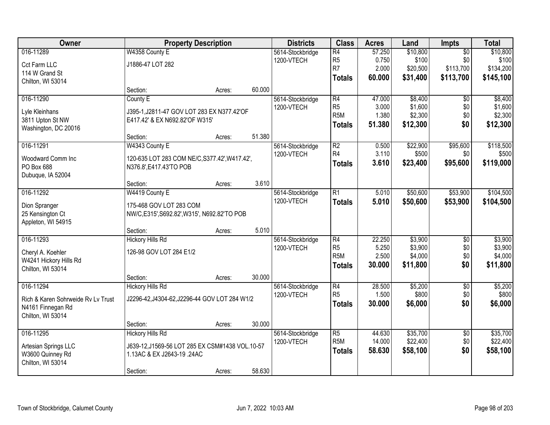| Owner                              |                                                 | <b>Property Description</b> |        | <b>Districts</b> | <b>Class</b>     | <b>Acres</b> | Land     | <b>Impts</b>    | <b>Total</b> |
|------------------------------------|-------------------------------------------------|-----------------------------|--------|------------------|------------------|--------------|----------|-----------------|--------------|
| 016-11289                          | W4358 County E                                  |                             |        | 5614-Stockbridge | $\overline{R4}$  | 57.250       | \$10,800 | $\overline{50}$ | \$10,800     |
| Cct Farm LLC                       | J1886-47 LOT 282                                |                             |        | 1200-VTECH       | R <sub>5</sub>   | 0.750        | \$100    | \$0             | \$100        |
| 114 W Grand St                     |                                                 |                             |        |                  | R7               | 2.000        | \$20,500 | \$113,700       | \$134,200    |
| Chilton, WI 53014                  |                                                 |                             |        |                  | Totals           | 60.000       | \$31,400 | \$113,700       | \$145,100    |
|                                    | Section:                                        | Acres:                      | 60.000 |                  |                  |              |          |                 |              |
| 016-11290                          | County E                                        |                             |        | 5614-Stockbridge | R4               | 47.000       | \$8,400  | $\overline{50}$ | \$8,400      |
| Lyle Kleinhans                     | J395-1, J2811-47 GOV LOT 283 EX N377.42'OF      |                             |        | 1200-VTECH       | R <sub>5</sub>   | 3.000        | \$1,600  | \$0             | \$1,600      |
| 3811 Upton St NW                   | E417.42' & EX N692.82'OF W315'                  |                             |        |                  | R <sub>5</sub> M | 1.380        | \$2,300  | \$0             | \$2,300      |
| Washington, DC 20016               |                                                 |                             |        |                  | <b>Totals</b>    | 51.380       | \$12,300 | \$0             | \$12,300     |
|                                    | Section:                                        | Acres:                      | 51.380 |                  |                  |              |          |                 |              |
| 016-11291                          | W4343 County E                                  |                             |        | 5614-Stockbridge | $\overline{R2}$  | 0.500        | \$22,900 | \$95,600        | \$118,500    |
| Woodward Comm Inc                  | 120-635 LOT 283 COM NE/C, S377.42', W417.42',   |                             |        | 1200-VTECH       | R4               | 3.110        | \$500    | \$0             | \$500        |
| PO Box 688                         | N376.8', E417.43'TO POB                         |                             |        |                  | <b>Totals</b>    | 3.610        | \$23,400 | \$95,600        | \$119,000    |
| Dubuque, IA 52004                  |                                                 |                             |        |                  |                  |              |          |                 |              |
|                                    | Section:                                        | Acres:                      | 3.610  |                  |                  |              |          |                 |              |
| 016-11292                          | W4419 County E                                  |                             |        | 5614-Stockbridge | $\overline{R1}$  | 5.010        | \$50,600 | \$53,900        | \$104,500    |
| Dion Spranger                      | 175-468 GOV LOT 283 COM                         |                             |        | 1200-VTECH       | <b>Totals</b>    | 5.010        | \$50,600 | \$53,900        | \$104,500    |
| 25 Kensington Ct                   | NW/C, E315', S692.82', W315', N692.82'TO POB    |                             |        |                  |                  |              |          |                 |              |
| Appleton, WI 54915                 |                                                 |                             |        |                  |                  |              |          |                 |              |
|                                    | Section:                                        | Acres:                      | 5.010  |                  |                  |              |          |                 |              |
| 016-11293                          | <b>Hickory Hills Rd</b>                         |                             |        | 5614-Stockbridge | R4               | 22.250       | \$3,900  | $\overline{30}$ | \$3,900      |
| Cheryl A. Koehler                  | 126-98 GOV LOT 284 E1/2                         |                             |        | 1200-VTECH       | R <sub>5</sub>   | 5.250        | \$3,900  | \$0             | \$3,900      |
| W4241 Hickory Hills Rd             |                                                 |                             |        |                  | R <sub>5</sub> M | 2.500        | \$4,000  | \$0             | \$4,000      |
| Chilton, WI 53014                  |                                                 |                             |        |                  | <b>Totals</b>    | 30.000       | \$11,800 | \$0             | \$11,800     |
|                                    | Section:                                        | Acres:                      | 30.000 |                  |                  |              |          |                 |              |
| 016-11294                          | <b>Hickory Hills Rd</b>                         |                             |        | 5614-Stockbridge | R4               | 28.500       | \$5,200  | $\sqrt{6}$      | \$5,200      |
| Rich & Karen Sohrweide Rv Lv Trust | J2296-42, J4304-62, J2296-44 GOV LOT 284 W1/2   |                             |        | 1200-VTECH       | R <sub>5</sub>   | 1.500        | \$800    | \$0             | \$800        |
| N4161 Finnegan Rd                  |                                                 |                             |        |                  | <b>Totals</b>    | 30.000       | \$6,000  | \$0             | \$6,000      |
| Chilton, WI 53014                  |                                                 |                             |        |                  |                  |              |          |                 |              |
|                                    | Section:                                        | Acres:                      | 30.000 |                  |                  |              |          |                 |              |
| 016-11295                          | <b>Hickory Hills Rd</b>                         |                             |        | 5614-Stockbridge | $\overline{R5}$  | 44.630       | \$35,700 | $\overline{30}$ | \$35,700     |
| Artesian Springs LLC               | J639-12, J1569-56 LOT 285 EX CSM#1438 VOL.10-57 |                             |        | 1200-VTECH       | R <sub>5</sub> M | 14.000       | \$22,400 | \$0             | \$22,400     |
| W3600 Quinney Rd                   | 1.13AC & EX J2643-19 .24AC                      |                             |        |                  | <b>Totals</b>    | 58.630       | \$58,100 | \$0             | \$58,100     |
| Chilton, WI 53014                  |                                                 |                             |        |                  |                  |              |          |                 |              |
|                                    | Section:                                        | Acres:                      | 58.630 |                  |                  |              |          |                 |              |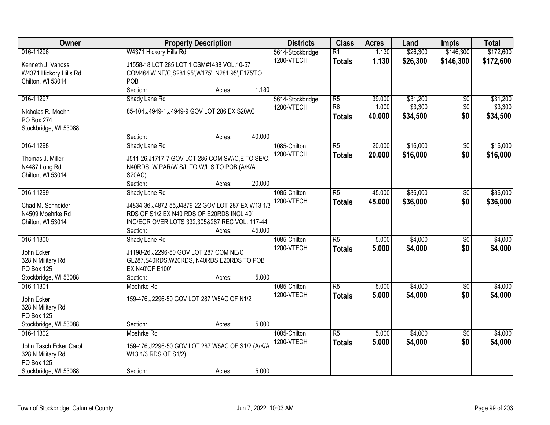| Owner                              |                                                             | <b>Property Description</b> |        | <b>Districts</b> | <b>Class</b>    | <b>Acres</b> | Land     | <b>Impts</b>    | <b>Total</b> |
|------------------------------------|-------------------------------------------------------------|-----------------------------|--------|------------------|-----------------|--------------|----------|-----------------|--------------|
| 016-11296                          | W4371 Hickory Hills Rd                                      |                             |        | 5614-Stockbridge | $\overline{R1}$ | 1.130        | \$26,300 | \$146,300       | \$172,600    |
| Kenneth J. Vanoss                  | J1558-18 LOT 285 LOT 1 CSM#1438 VOL.10-57                   |                             |        | 1200-VTECH       | <b>Totals</b>   | 1.130        | \$26,300 | \$146,300       | \$172,600    |
| W4371 Hickory Hills Rd             | COM464'W NE/C, S281.95', W175', N281.95', E175'TO           |                             |        |                  |                 |              |          |                 |              |
| Chilton, WI 53014                  | POB                                                         |                             |        |                  |                 |              |          |                 |              |
|                                    | Section:                                                    | Acres:                      | 1.130  |                  |                 |              |          |                 |              |
| 016-11297                          | Shady Lane Rd                                               |                             |        | 5614-Stockbridge | R <sub>5</sub>  | 39.000       | \$31,200 | \$0             | \$31,200     |
| Nicholas R. Moehn                  | 85-104, J4949-1, J4949-9 GOV LOT 286 EX S20AC               |                             |        | 1200-VTECH       | R <sub>6</sub>  | 1.000        | \$3,300  | \$0             | \$3,300      |
| <b>PO Box 274</b>                  |                                                             |                             |        |                  | <b>Totals</b>   | 40.000       | \$34,500 | \$0             | \$34,500     |
| Stockbridge, WI 53088              |                                                             |                             |        |                  |                 |              |          |                 |              |
|                                    | Section:                                                    | Acres:                      | 40.000 |                  |                 |              |          |                 |              |
| 016-11298                          | Shady Lane Rd                                               |                             |        | 1085-Chilton     | R5              | 20.000       | \$16,000 | \$0             | \$16,000     |
|                                    |                                                             |                             |        | 1200-VTECH       | <b>Totals</b>   | 20.000       | \$16,000 | \$0             | \$16,000     |
| Thomas J. Miller                   | J511-26, J1717-7 GOV LOT 286 COM SW/C, E TO SE/C,           |                             |        |                  |                 |              |          |                 |              |
| N4487 Long Rd<br>Chilton, WI 53014 | N40RDS, W PAR/W S/L TO W/L,S TO POB (A/K/A<br><b>S20AC)</b> |                             |        |                  |                 |              |          |                 |              |
|                                    | Section:                                                    | Acres:                      | 20.000 |                  |                 |              |          |                 |              |
| 016-11299                          | Shady Lane Rd                                               |                             |        | 1085-Chilton     | $\overline{R5}$ | 45.000       | \$36,000 | $\sqrt[6]{3}$   | \$36,000     |
|                                    |                                                             |                             |        | 1200-VTECH       | <b>Totals</b>   | 45.000       | \$36,000 | \$0             | \$36,000     |
| Chad M. Schneider                  | J4834-36, J4872-55, J4879-22 GOV LOT 287 EX W13 1/3         |                             |        |                  |                 |              |          |                 |              |
| N4509 Moehrke Rd                   | RDS OF S1/2, EX N40 RDS OF E20RDS, INCL 40'                 |                             |        |                  |                 |              |          |                 |              |
| Chilton, WI 53014                  | ING/EGR OVER LOTS 332,305&287 REC VOL. 117-44               |                             |        |                  |                 |              |          |                 |              |
|                                    | Section:                                                    | Acres:                      | 45.000 |                  |                 |              |          |                 |              |
| 016-11300                          | Shady Lane Rd                                               |                             |        | 1085-Chilton     | $\overline{R5}$ | 5.000        | \$4,000  | $\overline{50}$ | \$4,000      |
| John Ecker                         | J1198-26, J2296-50 GOV LOT 287 COM NE/C                     |                             |        | 1200-VTECH       | <b>Totals</b>   | 5.000        | \$4,000  | \$0             | \$4,000      |
| 328 N Military Rd                  | GL287, S40RDS, W20RDS, N40RDS, E20RDS TO POB                |                             |        |                  |                 |              |          |                 |              |
| PO Box 125                         | EX N40'OF E100'                                             |                             |        |                  |                 |              |          |                 |              |
| Stockbridge, WI 53088              | Section:                                                    | Acres:                      | 5.000  |                  |                 |              |          |                 |              |
| 016-11301                          | Moehrke Rd                                                  |                             |        | 1085-Chilton     | R <sub>5</sub>  | 5.000        | \$4,000  | $\sqrt{$0}$     | \$4,000      |
| John Ecker                         | 159-476, J2296-50 GOV LOT 287 W5AC OF N1/2                  |                             |        | 1200-VTECH       | <b>Totals</b>   | 5.000        | \$4,000  | \$0             | \$4,000      |
| 328 N Military Rd                  |                                                             |                             |        |                  |                 |              |          |                 |              |
| <b>PO Box 125</b>                  |                                                             |                             |        |                  |                 |              |          |                 |              |
| Stockbridge, WI 53088              | Section:                                                    | Acres:                      | 5.000  |                  |                 |              |          |                 |              |
| 016-11302                          | Moehrke Rd                                                  |                             |        | 1085-Chilton     | $\overline{R5}$ | 5.000        | \$4,000  | $\overline{50}$ | \$4,000      |
| John Tasch Ecker Carol             | 159-476, J2296-50 GOV LOT 287 W5AC OF S1/2 (A/K/A           |                             |        | 1200-VTECH       | <b>Totals</b>   | 5.000        | \$4,000  | \$0             | \$4,000      |
| 328 N Military Rd                  | W13 1/3 RDS OF S1/2)                                        |                             |        |                  |                 |              |          |                 |              |
| PO Box 125                         |                                                             |                             |        |                  |                 |              |          |                 |              |
| Stockbridge, WI 53088              | Section:                                                    | Acres:                      | 5.000  |                  |                 |              |          |                 |              |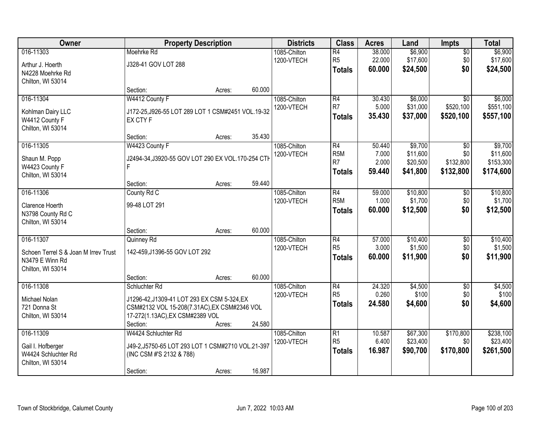| Owner                                |                                                   | <b>Property Description</b> |        | <b>Districts</b> | <b>Class</b>     | <b>Acres</b> | Land     | <b>Impts</b>    | <b>Total</b> |
|--------------------------------------|---------------------------------------------------|-----------------------------|--------|------------------|------------------|--------------|----------|-----------------|--------------|
| 016-11303                            | Moehrke Rd                                        |                             |        | 1085-Chilton     | $\overline{R4}$  | 38.000       | \$6,900  | \$0             | \$6,900      |
| Arthur J. Hoerth                     | J328-41 GOV LOT 288                               |                             |        | 1200-VTECH       | R <sub>5</sub>   | 22.000       | \$17,600 | \$0             | \$17,600     |
| N4228 Moehrke Rd                     |                                                   |                             |        |                  | <b>Totals</b>    | 60.000       | \$24,500 | \$0             | \$24,500     |
| Chilton, WI 53014                    |                                                   |                             |        |                  |                  |              |          |                 |              |
|                                      | Section:                                          | Acres:                      | 60.000 |                  |                  |              |          |                 |              |
| 016-11304                            | W4412 County F                                    |                             |        | 1085-Chilton     | R4               | 30.430       | \$6,000  | $\overline{50}$ | \$6,000      |
| Kohlman Dairy LLC                    | J172-25, J926-55 LOT 289 LOT 1 CSM#2451 VOL.19-32 |                             |        | 1200-VTECH       | R7               | 5.000        | \$31,000 | \$520,100       | \$551,100    |
| W4412 County F                       | EX CTY F                                          |                             |        |                  | <b>Totals</b>    | 35.430       | \$37,000 | \$520,100       | \$557,100    |
| Chilton, WI 53014                    |                                                   |                             |        |                  |                  |              |          |                 |              |
|                                      | Section:                                          | Acres:                      | 35.430 |                  |                  |              |          |                 |              |
| 016-11305                            | W4423 County F                                    |                             |        | 1085-Chilton     | R4               | 50.440       | \$9,700  | \$0             | \$9,700      |
| Shaun M. Popp                        | J2494-34, J3920-55 GOV LOT 290 EX VOL.170-254 CTH |                             |        | 1200-VTECH       | R <sub>5</sub> M | 7.000        | \$11,600 | \$0             | \$11,600     |
| W4423 County F                       |                                                   |                             |        |                  | R <sub>7</sub>   | 2.000        | \$20,500 | \$132,800       | \$153,300    |
| Chilton, WI 53014                    |                                                   |                             |        |                  | <b>Totals</b>    | 59.440       | \$41,800 | \$132,800       | \$174,600    |
|                                      | Section:                                          | Acres:                      | 59.440 |                  |                  |              |          |                 |              |
| 016-11306                            | County Rd C                                       |                             |        | 1085-Chilton     | R4               | 59.000       | \$10,800 | $\sqrt[6]{3}$   | \$10,800     |
| Clarence Hoerth                      | 99-48 LOT 291                                     |                             |        | 1200-VTECH       | R <sub>5</sub> M | 1.000        | \$1,700  | \$0             | \$1,700      |
| N3798 County Rd C                    |                                                   |                             |        |                  | <b>Totals</b>    | 60.000       | \$12,500 | \$0             | \$12,500     |
| Chilton, WI 53014                    |                                                   |                             |        |                  |                  |              |          |                 |              |
|                                      | Section:                                          | Acres:                      | 60.000 |                  |                  |              |          |                 |              |
| 016-11307                            | Quinney Rd                                        |                             |        | 1085-Chilton     | $\overline{R4}$  | 57.000       | \$10,400 | \$0             | \$10,400     |
| Schoen Terrel S & Joan M Irrev Trust | 142-459, J1396-55 GOV LOT 292                     |                             |        | 1200-VTECH       | R <sub>5</sub>   | 3.000        | \$1,500  | \$0             | \$1,500      |
| N3479 E Winn Rd                      |                                                   |                             |        |                  | <b>Totals</b>    | 60.000       | \$11,900 | \$0             | \$11,900     |
| Chilton, WI 53014                    |                                                   |                             |        |                  |                  |              |          |                 |              |
|                                      | Section:                                          | Acres:                      | 60.000 |                  |                  |              |          |                 |              |
| 016-11308                            | Schluchter Rd                                     |                             |        | 1085-Chilton     | R4               | 24.320       | \$4,500  | $\sqrt{$0}$     | \$4,500      |
| Michael Nolan                        | J1296-42, J1309-41 LOT 293 EX CSM 5-324, EX       |                             |        | 1200-VTECH       | R <sub>5</sub>   | 0.260        | \$100    | \$0             | \$100        |
| 721 Donna St                         | CSM#2132 VOL 15-208(7.31AC), EX CSM#2346 VOL      |                             |        |                  | <b>Totals</b>    | 24.580       | \$4,600  | \$0             | \$4,600      |
| Chilton, WI 53014                    | 17-272(1.13AC), EX CSM#2389 VOL                   |                             |        |                  |                  |              |          |                 |              |
|                                      | Section:                                          | Acres:                      | 24.580 |                  |                  |              |          |                 |              |
| 016-11309                            | W4424 Schluchter Rd                               |                             |        | 1085-Chilton     | R1               | 10.587       | \$67,300 | \$170,800       | \$238,100    |
| Gail I. Hofberger                    | J49-2, J5750-65 LOT 293 LOT 1 CSM#2710 VOL.21-397 |                             |        | 1200-VTECH       | R <sub>5</sub>   | 6.400        | \$23,400 | \$0             | \$23,400     |
| W4424 Schluchter Rd                  | (INC CSM #'S 2132 & 788)                          |                             |        |                  | <b>Totals</b>    | 16.987       | \$90,700 | \$170,800       | \$261,500    |
| Chilton, WI 53014                    |                                                   |                             |        |                  |                  |              |          |                 |              |
|                                      | Section:                                          | Acres:                      | 16.987 |                  |                  |              |          |                 |              |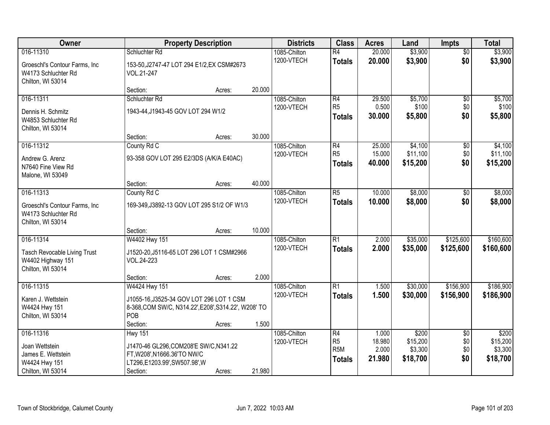| Owner                                                                               |                                                                                                                  | <b>Property Description</b> |        | <b>Districts</b>           | <b>Class</b>                                       | <b>Acres</b>              | Land                            | <b>Impts</b>           | <b>Total</b>                    |
|-------------------------------------------------------------------------------------|------------------------------------------------------------------------------------------------------------------|-----------------------------|--------|----------------------------|----------------------------------------------------|---------------------------|---------------------------------|------------------------|---------------------------------|
| 016-11310                                                                           | Schluchter Rd                                                                                                    |                             |        | 1085-Chilton               | $\overline{R4}$                                    | 20.000                    | \$3,900                         | $\overline{50}$        | \$3,900                         |
| Groeschl's Contour Farms, Inc.<br>W4173 Schluchter Rd<br>Chilton, WI 53014          | 153-50, J2747-47 LOT 294 E1/2, EX CSM#2673<br>VOL.21-247                                                         |                             |        | 1200-VTECH                 | <b>Totals</b>                                      | 20.000                    | \$3,900                         | \$0                    | \$3,900                         |
|                                                                                     | Section:                                                                                                         | Acres:                      | 20.000 |                            |                                                    |                           |                                 |                        |                                 |
| 016-11311                                                                           | Schluchter Rd                                                                                                    |                             |        | 1085-Chilton               | R4                                                 | 29.500                    | \$5,700                         | $\overline{50}$        | \$5,700                         |
| Dennis H. Schmitz<br>W4853 Schluchter Rd<br>Chilton, WI 53014                       | 1943-44, J1943-45 GOV LOT 294 W1/2                                                                               |                             |        | 1200-VTECH                 | R <sub>5</sub><br>Totals                           | 0.500<br>30.000           | \$100<br>\$5,800                | \$0<br>\$0             | \$100<br>\$5,800                |
|                                                                                     | Section:                                                                                                         | Acres:                      | 30.000 |                            |                                                    |                           |                                 |                        |                                 |
| 016-11312                                                                           | County Rd C                                                                                                      |                             |        | 1085-Chilton               | R4                                                 | 25.000                    | \$4,100                         | \$0                    | \$4,100                         |
| Andrew G. Arenz<br>N7640 Fine View Rd<br>Malone, WI 53049                           | 93-358 GOV LOT 295 E2/3DS (A/K/A E40AC)                                                                          |                             |        | 1200-VTECH                 | R <sub>5</sub><br>Totals                           | 15.000<br>40.000          | \$11,100<br>\$15,200            | \$0<br>\$0             | \$11,100<br>\$15,200            |
|                                                                                     | Section:                                                                                                         | Acres:                      | 40.000 |                            |                                                    |                           |                                 |                        |                                 |
| 016-11313                                                                           | County Rd C                                                                                                      |                             |        | 1085-Chilton               | $\overline{R5}$                                    | 10.000                    | \$8,000                         | \$0                    | \$8,000                         |
| Groeschl's Contour Farms, Inc.<br>W4173 Schluchter Rd<br>Chilton, WI 53014          | 169-349, J3892-13 GOV LOT 295 S1/2 OF W1/3                                                                       |                             |        | 1200-VTECH                 | <b>Totals</b>                                      | 10.000                    | \$8,000                         | \$0                    | \$8,000                         |
|                                                                                     | Section:                                                                                                         | Acres:                      | 10.000 |                            |                                                    |                           |                                 |                        |                                 |
| 016-11314<br>Tasch Revocable Living Trust<br>W4402 Highway 151<br>Chilton, WI 53014 | W4402 Hwy 151<br>J1520-20, J5116-65 LOT 296 LOT 1 CSM#2966<br>VOL.24-223                                         |                             |        | 1085-Chilton<br>1200-VTECH | $\overline{R1}$<br><b>Totals</b>                   | 2.000<br>2.000            | \$35,000<br>\$35,000            | \$125,600<br>\$125,600 | \$160,600<br>\$160,600          |
|                                                                                     | Section:                                                                                                         | Acres:                      | 2.000  |                            |                                                    |                           |                                 |                        |                                 |
| 016-11315<br>Karen J. Wettstein                                                     | W4424 Hwy 151<br>J1055-16, J3525-34 GOV LOT 296 LOT 1 CSM                                                        |                             |        | 1085-Chilton<br>1200-VTECH | R1<br><b>Totals</b>                                | 1.500<br>1.500            | \$30,000<br>\$30,000            | \$156,900<br>\$156,900 | \$186,900<br>\$186,900          |
| W4424 Hwy 151                                                                       | 8-368, COM SW/C, N314.22', E208', S314.22', W208' TO                                                             |                             |        |                            |                                                    |                           |                                 |                        |                                 |
| Chilton, WI 53014                                                                   | POB<br>Section:                                                                                                  | Acres:                      | 1.500  |                            |                                                    |                           |                                 |                        |                                 |
| 016-11316                                                                           | <b>Hwy 151</b>                                                                                                   |                             |        | 1085-Chilton               | R4                                                 | 1.000                     | \$200                           | $\overline{50}$        | \$200                           |
| Joan Wettstein<br>James E. Wettstein<br>W4424 Hwy 151<br>Chilton, WI 53014          | J1470-46 GL296, COM208'E SW/C, N341.22<br>FT, W208', N1666.36'TO NW/C<br>LT296,E1203.99',SW507.98',W<br>Section: | Acres:                      | 21.980 | 1200-VTECH                 | R <sub>5</sub><br>R <sub>5M</sub><br><b>Totals</b> | 18.980<br>2.000<br>21.980 | \$15,200<br>\$3,300<br>\$18,700 | \$0<br>\$0<br>\$0      | \$15,200<br>\$3,300<br>\$18,700 |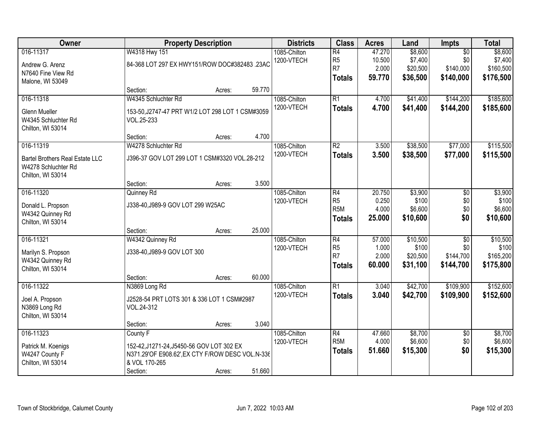| Owner                                                                                           |                                                                                                                                        | <b>Property Description</b> |                                                                      | <b>Districts</b>                    | <b>Class</b>                                                           | <b>Acres</b>                                     | Land                                         | Impts                                            | <b>Total</b>                                |
|-------------------------------------------------------------------------------------------------|----------------------------------------------------------------------------------------------------------------------------------------|-----------------------------|----------------------------------------------------------------------|-------------------------------------|------------------------------------------------------------------------|--------------------------------------------------|----------------------------------------------|--------------------------------------------------|---------------------------------------------|
| 016-11317<br>Andrew G. Arenz<br>N7640 Fine View Rd<br>Malone, WI 53049                          | W4318 Hwy 151<br>84-368 LOT 297 EX HWY151/ROW DOC#382483 .23AC                                                                         | 1085-Chilton<br>1200-VTECH  | $\overline{R4}$<br>R <sub>5</sub><br>R <sub>7</sub><br><b>Totals</b> | 47.270<br>10.500<br>2.000<br>59.770 | \$8,600<br>\$7,400<br>\$20,500<br>\$36,500                             | $\overline{50}$<br>\$0<br>\$140,000<br>\$140,000 | \$8,600<br>\$7,400<br>\$160,500<br>\$176,500 |                                                  |                                             |
|                                                                                                 | Section:                                                                                                                               | Acres:                      | 59.770                                                               |                                     |                                                                        |                                                  |                                              |                                                  |                                             |
| 016-11318<br><b>Glenn Mueller</b><br>W4345 Schluchter Rd<br>Chilton, WI 53014                   | W4345 Schluchter Rd<br>153-50, J2747-47 PRT W1/2 LOT 298 LOT 1 CSM#3059<br>VOL.25-233                                                  |                             |                                                                      | 1085-Chilton<br>1200-VTECH          | $\overline{R1}$<br><b>Totals</b>                                       | 4.700<br>4.700                                   | \$41,400<br>\$41,400                         | \$144,200<br>\$144,200                           | \$185,600<br>\$185,600                      |
|                                                                                                 | Section:                                                                                                                               | Acres:                      | 4.700                                                                |                                     |                                                                        |                                                  |                                              |                                                  |                                             |
| 016-11319<br><b>Bartel Brothers Real Estate LLC</b><br>W4278 Schluchter Rd<br>Chilton, WI 53014 | W4278 Schluchter Rd<br>J396-37 GOV LOT 299 LOT 1 CSM#3320 VOL.28-212                                                                   |                             |                                                                      | 1085-Chilton<br>1200-VTECH          | $\overline{R2}$<br><b>Totals</b>                                       | 3.500<br>3.500                                   | \$38,500<br>\$38,500                         | \$77,000<br>\$77,000                             | \$115,500<br>\$115,500                      |
|                                                                                                 | Section:                                                                                                                               | Acres:                      | 3.500                                                                |                                     |                                                                        |                                                  |                                              |                                                  |                                             |
| 016-11320<br>Donald L. Propson<br>W4342 Quinney Rd<br>Chilton, WI 53014                         | Quinney Rd<br>J338-40, J989-9 GOV LOT 299 W25AC                                                                                        |                             |                                                                      | 1085-Chilton<br>1200-VTECH          | $\overline{R4}$<br>R <sub>5</sub><br>R <sub>5</sub> M<br><b>Totals</b> | 20.750<br>0.250<br>4.000<br>25.000               | \$3,900<br>\$100<br>\$6,600<br>\$10,600      | \$0<br>\$0<br>\$0<br>\$0                         | \$3,900<br>\$100<br>\$6,600<br>\$10,600     |
|                                                                                                 | Section:                                                                                                                               | Acres:                      | 25.000                                                               |                                     |                                                                        |                                                  |                                              |                                                  |                                             |
| 016-11321<br>Marilyn S. Propson<br>W4342 Quinney Rd<br>Chilton, WI 53014                        | W4342 Quinney Rd<br>J338-40, J989-9 GOV LOT 300<br>Section:                                                                            | Acres:                      | 60.000                                                               | 1085-Chilton<br>1200-VTECH          | $\overline{R4}$<br>R <sub>5</sub><br>R7<br><b>Totals</b>               | 57.000<br>1.000<br>2.000<br>60.000               | \$10,500<br>\$100<br>\$20,500<br>\$31,100    | $\overline{50}$<br>\$0<br>\$144,700<br>\$144,700 | \$10,500<br>\$100<br>\$165,200<br>\$175,800 |
| 016-11322                                                                                       | N3869 Long Rd                                                                                                                          |                             |                                                                      | 1085-Chilton                        | $\overline{R1}$                                                        | 3.040                                            | \$42,700                                     | \$109,900                                        | \$152,600                                   |
| Joel A. Propson<br>N3869 Long Rd<br>Chilton, WI 53014                                           | J2528-54 PRT LOTS 301 & 336 LOT 1 CSM#2987<br>VOL.24-312                                                                               |                             |                                                                      | 1200-VTECH                          | <b>Totals</b>                                                          | 3.040                                            | \$42,700                                     | \$109,900                                        | \$152,600                                   |
|                                                                                                 | Section:                                                                                                                               | Acres:                      | 3.040                                                                |                                     |                                                                        |                                                  |                                              |                                                  |                                             |
| 016-11323<br>Patrick M. Koenigs<br>W4247 County F<br>Chilton, WI 53014                          | County F<br>152-42, J1271-24, J5450-56 GOV LOT 302 EX<br>N371.29'OF E908.62', EX CTY F/ROW DESC VOL.N-336<br>& VOL 170-265<br>Section: | Acres:                      | 51.660                                                               | 1085-Chilton<br>1200-VTECH          | $\overline{R4}$<br>R <sub>5</sub> M<br><b>Totals</b>                   | 47.660<br>4.000<br>51.660                        | \$8,700<br>\$6,600<br>\$15,300               | $\overline{50}$<br>\$0<br>\$0                    | \$8,700<br>\$6,600<br>\$15,300              |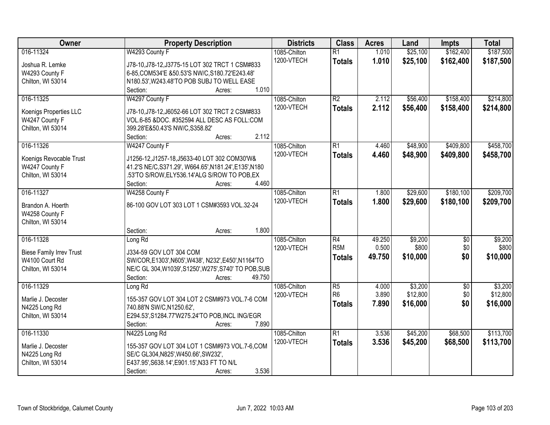| Owner                               | <b>Property Description</b>                                                                    | <b>Districts</b> | <b>Class</b>     | <b>Acres</b> | Land     | <b>Impts</b>    | <b>Total</b> |
|-------------------------------------|------------------------------------------------------------------------------------------------|------------------|------------------|--------------|----------|-----------------|--------------|
| 016-11324                           | W4293 County F                                                                                 | 1085-Chilton     | $\overline{R1}$  | 1.010        | \$25,100 | \$162,400       | \$187,500    |
| Joshua R. Lemke                     | J78-10, J78-12, J3775-15 LOT 302 TRCT 1 CSM#833                                                | 1200-VTECH       | <b>Totals</b>    | 1.010        | \$25,100 | \$162,400       | \$187,500    |
| W4293 County F                      | 6-85, COM534'E & 50.53'S NW/C, S180.72'E243.48'                                                |                  |                  |              |          |                 |              |
| Chilton, WI 53014                   | N180.53', W243.48'TO POB SUBJ TO WELL EASE                                                     |                  |                  |              |          |                 |              |
|                                     | 1.010<br>Section:<br>Acres:                                                                    |                  |                  |              |          |                 |              |
| 016-11325                           | W4297 County F                                                                                 | 1085-Chilton     | $\overline{R2}$  | 2.112        | \$56,400 | \$158,400       | \$214,800    |
|                                     |                                                                                                | 1200-VTECH       | <b>Totals</b>    | 2.112        | \$56,400 | \$158,400       | \$214,800    |
| Koenigs Properties LLC              | J78-10, J78-12, J6052-66 LOT 302 TRCT 2 CSM#833<br>VOL.6-85 &DOC. #352594 ALL DESC AS FOLL:COM |                  |                  |              |          |                 |              |
| W4247 County F<br>Chilton, WI 53014 | 399.28'E&50.43'S NW/C, S358.82'                                                                |                  |                  |              |          |                 |              |
|                                     | 2.112<br>Section:<br>Acres:                                                                    |                  |                  |              |          |                 |              |
| 016-11326                           | W4247 County F                                                                                 | 1085-Chilton     | $\overline{R1}$  | 4.460        | \$48,900 | \$409,800       | \$458,700    |
|                                     |                                                                                                | 1200-VTECH       | <b>Totals</b>    | 4.460        | \$48,900 | \$409,800       | \$458,700    |
| Koenigs Revocable Trust             | J1256-12, J1257-18, J5633-40 LOT 302 COM30'W&                                                  |                  |                  |              |          |                 |              |
| W4247 County F                      | 41.2'S NE/C, S371.29', W664.65', N181.24', E135', N180                                         |                  |                  |              |          |                 |              |
| Chilton, WI 53014                   | 53'TO S/ROW,ELY536.14'ALG S/ROW TO POB,EX                                                      |                  |                  |              |          |                 |              |
|                                     | 4.460<br>Section:<br>Acres:                                                                    |                  |                  |              |          |                 |              |
| 016-11327                           | W4258 County F                                                                                 | 1085-Chilton     | $\overline{R1}$  | 1.800        | \$29,600 | \$180,100       | \$209,700    |
| Brandon A. Hoerth                   | 86-100 GOV LOT 303 LOT 1 CSM#3593 VOL.32-24                                                    | 1200-VTECH       | <b>Totals</b>    | 1.800        | \$29,600 | \$180,100       | \$209,700    |
| W4258 County F                      |                                                                                                |                  |                  |              |          |                 |              |
| Chilton, WI 53014                   |                                                                                                |                  |                  |              |          |                 |              |
|                                     | 1.800<br>Section:<br>Acres:                                                                    |                  |                  |              |          |                 |              |
| 016-11328                           | Long Rd                                                                                        | 1085-Chilton     | $\overline{R4}$  | 49.250       | \$9,200  | $\overline{50}$ | \$9,200      |
| <b>Biese Family Irrev Trust</b>     | J334-59 GOV LOT 304 COM                                                                        | 1200-VTECH       | R <sub>5</sub> M | 0.500        | \$800    | \$0             | \$800        |
| W4100 Court Rd                      | SW/COR, E1303', N605', W438', N232', E450', N1164'TO                                           |                  | <b>Totals</b>    | 49.750       | \$10,000 | \$0             | \$10,000     |
| Chilton, WI 53014                   | NE/C GL 304, W1039', S1250', W275', S740' TO POB, SUB                                          |                  |                  |              |          |                 |              |
|                                     | Section:<br>49.750<br>Acres:                                                                   |                  |                  |              |          |                 |              |
| 016-11329                           | Long Rd                                                                                        | 1085-Chilton     | $\overline{R5}$  | 4.000        | \$3,200  | $\sqrt{6}$      | \$3,200      |
|                                     |                                                                                                | 1200-VTECH       | R <sub>6</sub>   | 3.890        | \$12,800 | \$0             | \$12,800     |
| Marlie J. Decoster                  | 155-357 GOV LOT 304 LOT 2 CSM#973 VOL.7-6 COM                                                  |                  | <b>Totals</b>    | 7.890        | \$16,000 | \$0             | \$16,000     |
| N4225 Long Rd                       | 740.88'N SW/C, N1250.62',                                                                      |                  |                  |              |          |                 |              |
| Chilton, WI 53014                   | E294.53', S1284.77'W275.24'TO POB, INCL ING/EGR                                                |                  |                  |              |          |                 |              |
|                                     | 7.890<br>Section:<br>Acres:                                                                    |                  |                  |              |          |                 |              |
| 016-11330                           | N4225 Long Rd                                                                                  | 1085-Chilton     | $\overline{R1}$  | 3.536        | \$45,200 | \$68,500        | \$113,700    |
| Marlie J. Decoster                  | 155-357 GOV LOT 304 LOT 1 CSM#973 VOL.7-6,COM                                                  | 1200-VTECH       | <b>Totals</b>    | 3.536        | \$45,200 | \$68,500        | \$113,700    |
| N4225 Long Rd                       | SE/C GL304, N825', W450.66', SW232',                                                           |                  |                  |              |          |                 |              |
| Chilton, WI 53014                   | E437.95', S638.14', E901.15', N33 FT TO N/L                                                    |                  |                  |              |          |                 |              |
|                                     | 3.536<br>Section:<br>Acres:                                                                    |                  |                  |              |          |                 |              |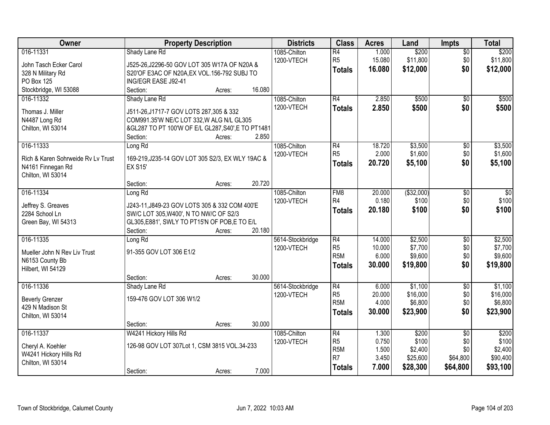| Owner                              | <b>Property Description</b>                        | <b>Districts</b> | <b>Class</b>     | <b>Acres</b> | Land        | Impts           | <b>Total</b>    |
|------------------------------------|----------------------------------------------------|------------------|------------------|--------------|-------------|-----------------|-----------------|
| 016-11331                          | Shady Lane Rd                                      | 1085-Chilton     | R4               | 1.000        | \$200       | \$0             | \$200           |
| John Tasch Ecker Carol             | J525-26, J2296-50 GOV LOT 305 W17A OF N20A &       | 1200-VTECH       | R5               | 15.080       | \$11,800    | \$0             | \$11,800        |
| 328 N Military Rd                  | S20'OF E3AC OF N20A, EX VOL.156-792 SUBJ TO        |                  | <b>Totals</b>    | 16.080       | \$12,000    | \$0             | \$12,000        |
| PO Box 125                         | ING/EGR EASE J92-41                                |                  |                  |              |             |                 |                 |
| Stockbridge, WI 53088              | 16.080<br>Section:<br>Acres:                       |                  |                  |              |             |                 |                 |
| 016-11332                          | Shady Lane Rd                                      | 1085-Chilton     | R4               | 2.850        | \$500       | \$0             | \$500           |
|                                    |                                                    | 1200-VTECH       | <b>Totals</b>    | 2.850        | \$500       | \$0             | \$500           |
| Thomas J. Miller                   | J511-26, J1717-7 GOV LOTS 287, 305 & 332           |                  |                  |              |             |                 |                 |
| N4487 Long Rd                      | COM991.35'W NE/C LOT 332, W ALG N/L GL305          |                  |                  |              |             |                 |                 |
| Chilton, WI 53014                  | &GL287 TO PT 100'W OF E/L GL287, S40', E TO PT1481 |                  |                  |              |             |                 |                 |
|                                    | Section:<br>2.850<br>Acres:                        |                  |                  |              |             |                 |                 |
| 016-11333                          | Long Rd                                            | 1085-Chilton     | R4               | 18.720       | \$3,500     | \$0             | \$3,500         |
| Rich & Karen Sohrweide Ry Ly Trust | 169-219, J235-14 GOV LOT 305 S2/3, EX WLY 19AC &   | 1200-VTECH       | R <sub>5</sub>   | 2.000        | \$1,600     | \$0             | \$1,600         |
| N4161 Finnegan Rd                  | <b>EX S15</b>                                      |                  | <b>Totals</b>    | 20.720       | \$5,100     | \$0             | \$5,100         |
| Chilton, WI 53014                  |                                                    |                  |                  |              |             |                 |                 |
|                                    | 20.720<br>Section:<br>Acres:                       |                  |                  |              |             |                 |                 |
| 016-11334                          | Long Rd                                            | 1085-Chilton     | FM <sub>8</sub>  | 20.000       | ( \$32,000) | \$0             | $\overline{50}$ |
|                                    |                                                    | 1200-VTECH       | R4               | 0.180        | \$100       | \$0             | \$100           |
| Jeffrey S. Greaves                 | J243-11, J849-23 GOV LOTS 305 & 332 COM 400'E      |                  | <b>Totals</b>    | 20.180       | \$100       | \$0             | \$100           |
| 2284 School Ln                     | SW/C LOT 305, W400', N TO NW/C OF S2/3             |                  |                  |              |             |                 |                 |
| Green Bay, WI 54313                | GL305, E881', SWLY TO PT15'N OF POB, E TO E/L      |                  |                  |              |             |                 |                 |
|                                    | 20.180<br>Section:<br>Acres:                       |                  |                  |              |             |                 |                 |
| 016-11335                          | Long Rd                                            | 5614-Stockbridge | R4               | 14.000       | \$2,500     | $\overline{50}$ | \$2,500         |
| Mueller John N Rev Liv Trust       | 91-355 GOV LOT 306 E1/2                            | 1200-VTECH       | R <sub>5</sub>   | 10.000       | \$7,700     | \$0             | \$7,700         |
| N6153 County Bb                    |                                                    |                  | R <sub>5</sub> M | 6.000        | \$9,600     | \$0             | \$9,600         |
| Hilbert, WI 54129                  |                                                    |                  | <b>Totals</b>    | 30.000       | \$19,800    | \$0             | \$19,800        |
|                                    | 30.000<br>Section:<br>Acres:                       |                  |                  |              |             |                 |                 |
| 016-11336                          | Shady Lane Rd                                      | 5614-Stockbridge | R4               | 6.000        | \$1,100     | $\overline{50}$ | \$1,100         |
| <b>Beverly Grenzer</b>             | 159-476 GOV LOT 306 W1/2                           | 1200-VTECH       | R <sub>5</sub>   | 20.000       | \$16,000    | \$0             | \$16,000        |
| 429 N Madison St                   |                                                    |                  | R <sub>5</sub> M | 4.000        | \$6,800     | \$0             | \$6,800         |
| Chilton, WI 53014                  |                                                    |                  | <b>Totals</b>    | 30,000       | \$23,900    | \$0             | \$23,900        |
|                                    | 30.000<br>Section:<br>Acres:                       |                  |                  |              |             |                 |                 |
| 016-11337                          | W4241 Hickory Hills Rd                             | 1085-Chilton     | R4               | 1.300        | \$200       | $\overline{50}$ | \$200           |
|                                    |                                                    | 1200-VTECH       | R <sub>5</sub>   | 0.750        | \$100       | \$0             | \$100           |
| Cheryl A. Koehler                  | 126-98 GOV LOT 307Lot 1, CSM 3815 VOL.34-233       |                  | R <sub>5M</sub>  | 1.500        | \$2,400     | \$0             | \$2,400         |
| W4241 Hickory Hills Rd             |                                                    |                  | R7               | 3.450        | \$25,600    | \$64,800        | \$90,400        |
| Chilton, WI 53014                  |                                                    |                  | <b>Totals</b>    | 7.000        | \$28,300    | \$64,800        | \$93,100        |
|                                    | 7.000<br>Section:<br>Acres:                        |                  |                  |              |             |                 |                 |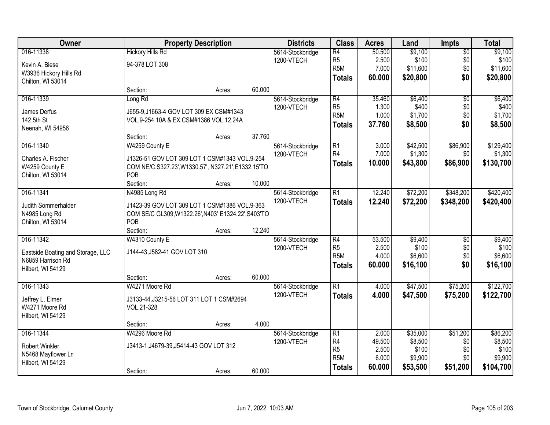| Owner                              |                                                      | <b>Property Description</b> |        | <b>Districts</b>               | <b>Class</b>     | <b>Acres</b> | Land     | Impts           | <b>Total</b> |
|------------------------------------|------------------------------------------------------|-----------------------------|--------|--------------------------------|------------------|--------------|----------|-----------------|--------------|
| 016-11338                          | <b>Hickory Hills Rd</b>                              |                             |        | 5614-Stockbridge               | $\overline{R4}$  | 50.500       | \$9,100  | $\overline{50}$ | \$9,100      |
| Kevin A. Biese                     | 94-378 LOT 308                                       |                             |        | 1200-VTECH                     | R <sub>5</sub>   | 2.500        | \$100    | \$0             | \$100        |
| W3936 Hickory Hills Rd             |                                                      |                             |        |                                | R <sub>5</sub> M | 7.000        | \$11,600 | \$0             | \$11,600     |
| Chilton, WI 53014                  |                                                      |                             |        |                                | <b>Totals</b>    | 60.000       | \$20,800 | \$0             | \$20,800     |
|                                    | Section:                                             | Acres:                      | 60.000 |                                |                  |              |          |                 |              |
| 016-11339                          | Long Rd                                              |                             |        | 5614-Stockbridge               | $\overline{R4}$  | 35.460       | \$6,400  | $\overline{50}$ | \$6,400      |
|                                    |                                                      |                             |        | 1200-VTECH                     | R <sub>5</sub>   | 1.300        | \$400    | \$0             | \$400        |
| James Derfus                       | J655-9, J1663-4 GOV LOT 309 EX CSM#1343              |                             |        |                                | R <sub>5</sub> M | 1.000        | \$1,700  | \$0             | \$1,700      |
| 142 5th St                         | VOL.9-254 10A & EX CSM#1386 VOL.12.24A               |                             |        |                                | <b>Totals</b>    | 37.760       | \$8,500  | \$0             | \$8,500      |
| Neenah, WI 54956                   |                                                      |                             |        |                                |                  |              |          |                 |              |
|                                    | Section:                                             | Acres:                      | 37.760 |                                |                  |              |          |                 |              |
| 016-11340                          | W4259 County E                                       |                             |        | 5614-Stockbridge               | R1               | 3.000        | \$42,500 | \$86,900        | \$129,400    |
| Charles A. Fischer                 | J1326-51 GOV LOT 309 LOT 1 CSM#1343 VOL.9-254        |                             |        | 1200-VTECH                     | R <sub>4</sub>   | 7.000        | \$1,300  | \$0             | \$1,300      |
| W4259 County E                     | COM NE/C, S327.23', W1330.57', N327.21', E1332.15'TO |                             |        |                                | <b>Totals</b>    | 10.000       | \$43,800 | \$86,900        | \$130,700    |
| Chilton, WI 53014                  | POB                                                  |                             |        |                                |                  |              |          |                 |              |
|                                    | Section:                                             | Acres:                      | 10.000 |                                |                  |              |          |                 |              |
| 016-11341                          | N4985 Long Rd                                        |                             |        | 5614-Stockbridge               | $\overline{R1}$  | 12.240       | \$72,200 | \$348,200       | \$420,400    |
|                                    |                                                      |                             |        | 1200-VTECH                     | <b>Totals</b>    | 12.240       | \$72,200 | \$348,200       | \$420,400    |
| Judith Sommerhalder                | J1423-39 GOV LOT 309 LOT 1 CSM#1386 VOL.9-363        |                             |        |                                |                  |              |          |                 |              |
| N4985 Long Rd                      | COM SE/C GL309, W1322.26', N403' E1324.22', S403'TO  |                             |        |                                |                  |              |          |                 |              |
| Chilton, WI 53014                  | POB                                                  |                             |        |                                |                  |              |          |                 |              |
|                                    | Section:                                             | Acres:                      | 12.240 |                                |                  |              |          |                 |              |
| 016-11342                          | W4310 County E                                       |                             |        | 5614-Stockbridge               | $\overline{R4}$  | 53.500       | \$9,400  | $\overline{50}$ | \$9,400      |
| Eastside Boating and Storage, LLC  | J144-43, J582-41 GOV LOT 310                         |                             |        | 1200-VTECH                     | R <sub>5</sub>   | 2.500        | \$100    | \$0             | \$100        |
| N6859 Harrison Rd                  |                                                      |                             |        |                                | R <sub>5</sub> M | 4.000        | \$6,600  | \$0             | \$6,600      |
| Hilbert, WI 54129                  |                                                      |                             |        |                                | <b>Totals</b>    | 60.000       | \$16,100 | \$0             | \$16,100     |
|                                    | Section:                                             | Acres:                      | 60.000 |                                |                  |              |          |                 |              |
| 016-11343                          | W4271 Moore Rd                                       |                             |        | 5614-Stockbridge               | $\overline{R1}$  | 4.000        | \$47,500 | \$75,200        | \$122,700    |
|                                    |                                                      |                             |        | 1200-VTECH                     | <b>Totals</b>    | 4.000        | \$47,500 | \$75,200        | \$122,700    |
| Jeffrey L. Elmer<br>W4271 Moore Rd | J3133-44, J3215-56 LOT 311 LOT 1 CSM#2694            |                             |        |                                |                  |              |          |                 |              |
|                                    | VOL.21-328                                           |                             |        |                                |                  |              |          |                 |              |
| Hilbert, WI 54129                  | Section:                                             | Acres:                      | 4.000  |                                |                  |              |          |                 |              |
| 016-11344                          | W4296 Moore Rd                                       |                             |        |                                | $\overline{R1}$  | 2.000        | \$35,000 | \$51,200        | \$86,200     |
|                                    |                                                      |                             |        | 5614-Stockbridge<br>1200-VTECH | R4               | 49.500       | \$8,500  | \$0             | \$8,500      |
| <b>Robert Winkler</b>              | J3413-1, J4679-39, J5414-43 GOV LOT 312              |                             |        |                                | R <sub>5</sub>   | 2.500        | \$100    | \$0             | \$100        |
| N5468 Mayflower Ln                 |                                                      |                             |        |                                | R <sub>5</sub> M | 6.000        | \$9,900  | \$0             | \$9,900      |
| Hilbert, WI 54129                  |                                                      |                             |        |                                |                  | 60.000       | \$53,500 | \$51,200        | \$104,700    |
|                                    | Section:                                             | Acres:                      | 60.000 |                                | <b>Totals</b>    |              |          |                 |              |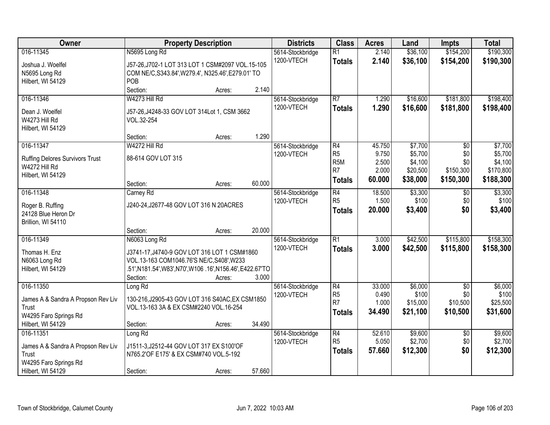| Owner                                       |                                                                                           | <b>Property Description</b> |        | <b>Districts</b> | <b>Class</b>    | <b>Acres</b> | Land     | <b>Impts</b>    | <b>Total</b> |
|---------------------------------------------|-------------------------------------------------------------------------------------------|-----------------------------|--------|------------------|-----------------|--------------|----------|-----------------|--------------|
| 016-11345                                   | N5695 Long Rd                                                                             |                             |        | 5614-Stockbridge | $\overline{R1}$ | 2.140        | \$36,100 | \$154,200       | \$190,300    |
| Joshua J. Woelfel                           | J57-26, J702-1 LOT 313 LOT 1 CSM#2097 VOL.15-105                                          |                             |        | 1200-VTECH       | <b>Totals</b>   | 2.140        | \$36,100 | \$154,200       | \$190,300    |
| N5695 Long Rd                               | COM NE/C, S343.84', W279.4', N325.46', E279.01' TO                                        |                             |        |                  |                 |              |          |                 |              |
| Hilbert, WI 54129                           | POB                                                                                       |                             |        |                  |                 |              |          |                 |              |
|                                             | Section:                                                                                  | Acres:                      | 2.140  |                  |                 |              |          |                 |              |
| 016-11346                                   | W4273 Hill Rd                                                                             |                             |        | 5614-Stockbridge | $\overline{R7}$ | 1.290        | \$16,600 | \$181,800       | \$198,400    |
| Dean J. Woelfel                             | J57-26, J4248-33 GOV LOT 314Lot 1, CSM 3662                                               |                             |        | 1200-VTECH       | <b>Totals</b>   | 1.290        | \$16,600 | \$181,800       | \$198,400    |
| W4273 Hill Rd                               | VOL.32-254                                                                                |                             |        |                  |                 |              |          |                 |              |
| Hilbert, WI 54129                           |                                                                                           |                             |        |                  |                 |              |          |                 |              |
|                                             | Section:                                                                                  | Acres:                      | 1.290  |                  |                 |              |          |                 |              |
| 016-11347                                   | W4272 Hill Rd                                                                             |                             |        | 5614-Stockbridge | R4              | 45.750       | \$7,700  | \$0             | \$7,700      |
| <b>Ruffing Delores Survivors Trust</b>      | 88-614 GOV LOT 315                                                                        |                             |        | 1200-VTECH       | R <sub>5</sub>  | 9.750        | \$5,700  | \$0             | \$5,700      |
| W4272 Hill Rd                               |                                                                                           |                             |        |                  | R <sub>5M</sub> | 2.500        | \$4,100  | \$0             | \$4,100      |
| Hilbert, WI 54129                           |                                                                                           |                             |        |                  | R <sub>7</sub>  | 2.000        | \$20,500 | \$150,300       | \$170,800    |
|                                             | Section:                                                                                  | Acres:                      | 60.000 |                  | Totals          | 60.000       | \$38,000 | \$150,300       | \$188,300    |
| 016-11348                                   | Carney Rd                                                                                 |                             |        | 5614-Stockbridge | R4              | 18.500       | \$3,300  | \$0             | \$3,300      |
| Roger B. Ruffing                            | J240-24, J2677-48 GOV LOT 316 N 20ACRES                                                   |                             |        | 1200-VTECH       | R <sub>5</sub>  | 1.500        | \$100    | \$0             | \$100        |
| 24128 Blue Heron Dr                         |                                                                                           |                             |        |                  | <b>Totals</b>   | 20.000       | \$3,400  | \$0             | \$3,400      |
| Brillion, WI 54110                          |                                                                                           |                             |        |                  |                 |              |          |                 |              |
|                                             | Section:                                                                                  | Acres:                      | 20.000 |                  |                 |              |          |                 |              |
| 016-11349                                   | N6063 Long Rd                                                                             |                             |        | 5614-Stockbridge | $\overline{R1}$ | 3.000        | \$42,500 | \$115,800       | \$158,300    |
| Thomas H. Enz                               | J3741-17, J4740-9 GOV LOT 316 LOT 1 CSM#1860                                              |                             |        | 1200-VTECH       | <b>Totals</b>   | 3.000        | \$42,500 | \$115,800       | \$158,300    |
| N6063 Long Rd                               | VOL.13-163 COM1046.76'S NE/C, S408', W233                                                 |                             |        |                  |                 |              |          |                 |              |
| Hilbert, WI 54129                           | .51',N181.54',W83',N70',W106 .16',N156.46',E422.67'TO                                     |                             |        |                  |                 |              |          |                 |              |
|                                             | Section:                                                                                  | Acres:                      | 3.000  |                  |                 |              |          |                 |              |
| 016-11350                                   | Long Rd                                                                                   |                             |        | 5614-Stockbridge | R4              | 33.000       | \$6,000  | $\overline{50}$ | \$6,000      |
|                                             |                                                                                           |                             |        | 1200-VTECH       | R <sub>5</sub>  | 0.490        | \$100    | \$0             | \$100        |
| James A & Sandra A Propson Rev Liv<br>Trust | 130-216, J2905-43 GOV LOT 316 S40AC, EX CSM1850<br>VOL.13-163 3A & EX CSM#2240 VOL.16-254 |                             |        |                  | R <sub>7</sub>  | 1.000        | \$15,000 | \$10,500        | \$25,500     |
| W4295 Faro Springs Rd                       |                                                                                           |                             |        |                  | Totals          | 34.490       | \$21,100 | \$10,500        | \$31,600     |
| Hilbert, WI 54129                           | Section:                                                                                  | Acres:                      | 34.490 |                  |                 |              |          |                 |              |
| 016-11351                                   | Long Rd                                                                                   |                             |        | 5614-Stockbridge | R4              | 52.610       | \$9,600  | $\overline{50}$ | \$9,600      |
|                                             | J1511-3, J2512-44 GOV LOT 317 EX S100'OF                                                  |                             |        | 1200-VTECH       | R <sub>5</sub>  | 5.050        | \$2,700  | \$0             | \$2,700      |
| James A & Sandra A Propson Rev Liv<br>Trust | N765.2'OF E175' & EX CSM#740 VOL.5-192                                                    |                             |        |                  | <b>Totals</b>   | 57.660       | \$12,300 | \$0             | \$12,300     |
| W4295 Faro Springs Rd                       |                                                                                           |                             |        |                  |                 |              |          |                 |              |
| Hilbert, WI 54129                           | Section:                                                                                  | Acres:                      | 57.660 |                  |                 |              |          |                 |              |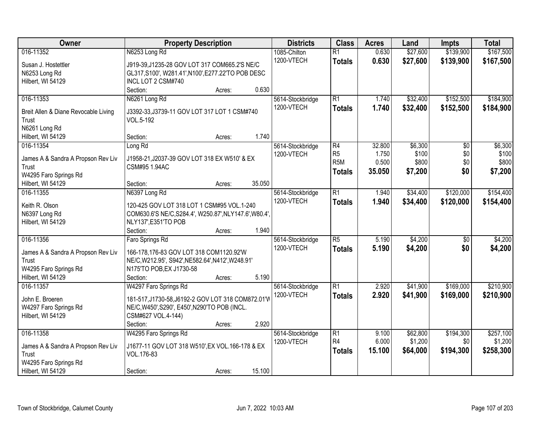| Owner                                | <b>Property Description</b>                            | <b>Districts</b>               | <b>Class</b>          | <b>Acres</b>   | Land                | <b>Impts</b>     | <b>Total</b>         |
|--------------------------------------|--------------------------------------------------------|--------------------------------|-----------------------|----------------|---------------------|------------------|----------------------|
| 016-11352                            | N6253 Long Rd                                          | 1085-Chilton                   | $\overline{R1}$       | 0.630          | \$27,600            | \$139,900        | \$167,500            |
| Susan J. Hostettler                  | J919-39, J1235-28 GOV LOT 317 COM665.2'S NE/C          | 1200-VTECH                     | <b>Totals</b>         | 0.630          | \$27,600            | \$139,900        | \$167,500            |
| N6253 Long Rd                        | GL317, S100', W281.41', N100', E277.22'TO POB DESC     |                                |                       |                |                     |                  |                      |
| Hilbert, WI 54129                    | INCL LOT 2 CSM#740                                     |                                |                       |                |                     |                  |                      |
|                                      | 0.630<br>Section:<br>Acres:                            |                                |                       |                |                     |                  |                      |
| 016-11353                            | N6261 Long Rd                                          | 5614-Stockbridge               | $\overline{R1}$       | 1.740          | \$32,400            | \$152,500        | \$184,900            |
| Breit Allen & Diane Revocable Living | J3392-33, J3739-11 GOV LOT 317 LOT 1 CSM#740           | 1200-VTECH                     | <b>Totals</b>         | 1.740          | \$32,400            | \$152,500        | \$184,900            |
| Trust                                | VOL.5-192                                              |                                |                       |                |                     |                  |                      |
| N6261 Long Rd                        |                                                        |                                |                       |                |                     |                  |                      |
| Hilbert, WI 54129                    | 1.740<br>Section:<br>Acres:                            |                                |                       |                |                     |                  |                      |
| 016-11354                            | Long Rd                                                | 5614-Stockbridge               | R4                    | 32.800         | \$6,300             | \$0              | \$6,300              |
|                                      |                                                        | 1200-VTECH                     | R <sub>5</sub>        | 1.750          | \$100               | \$0              | \$100                |
| James A & Sandra A Propson Rev Liv   | J1958-21, J2037-39 GOV LOT 318 EX W510' & EX           |                                | R <sub>5</sub> M      | 0.500          | \$800               | \$0              | \$800                |
| Trust                                | CSM#95 1.94AC                                          |                                | <b>Totals</b>         | 35.050         | \$7,200             | \$0              | \$7,200              |
| W4295 Faro Springs Rd                |                                                        |                                |                       |                |                     |                  |                      |
| Hilbert, WI 54129                    | 35.050<br>Section:<br>Acres:                           |                                |                       |                |                     |                  |                      |
| 016-11355                            | N6397 Long Rd                                          | 5614-Stockbridge               | $\overline{R1}$       | 1.940          | \$34,400            | \$120,000        | \$154,400            |
| Keith R. Olson                       | 120-425 GOV LOT 318 LOT 1 CSM#95 VOL.1-240             | 1200-VTECH                     | <b>Totals</b>         | 1.940          | \$34,400            | \$120,000        | \$154,400            |
| N6397 Long Rd                        | COM630.6'S NE/C, S284.4', W250.87', NLY147.6', W80.4', |                                |                       |                |                     |                  |                      |
| Hilbert, WI 54129                    | NLY137', E351'TO POB                                   |                                |                       |                |                     |                  |                      |
|                                      | 1.940<br>Section:<br>Acres:                            |                                |                       |                |                     |                  |                      |
| 016-11356                            | Faro Springs Rd                                        | 5614-Stockbridge               | $\overline{R5}$       | 5.190          | \$4,200             | \$0              | \$4,200              |
| James A & Sandra A Propson Rev Liv   | 166-178,176-83 GOV LOT 318 COM1120.92'W                | 1200-VTECH                     | <b>Totals</b>         | 5.190          | \$4,200             | \$0              | \$4,200              |
| Trust                                | NE/C, W212.95', S942', NE582.64', N412', W248.91'      |                                |                       |                |                     |                  |                      |
| W4295 Faro Springs Rd                | N175'TO POB, EX J1730-58                               |                                |                       |                |                     |                  |                      |
| Hilbert, WI 54129                    | 5.190<br>Section:<br>Acres:                            |                                |                       |                |                     |                  |                      |
| 016-11357                            | W4297 Faro Springs Rd                                  | 5614-Stockbridge               | $\overline{R1}$       | 2.920          | \$41,900            | \$169,000        | \$210,900            |
|                                      |                                                        | 1200-VTECH                     | <b>Totals</b>         | 2.920          | \$41,900            | \$169,000        | \$210,900            |
| John E. Broeren                      | 181-517, J1730-58, J6192-2 GOV LOT 318 COM872.01'V     |                                |                       |                |                     |                  |                      |
| W4297 Faro Springs Rd                | NE/C, W450', S290', E450', N290'TO POB (INCL.          |                                |                       |                |                     |                  |                      |
| Hilbert, WI 54129                    | CSM#627 VOL.4-144)<br>2.920                            |                                |                       |                |                     |                  |                      |
|                                      | Section:<br>Acres:                                     |                                |                       |                |                     |                  |                      |
| 016-11358                            | W4295 Faro Springs Rd                                  | 5614-Stockbridge<br>1200-VTECH | $\overline{R1}$<br>R4 | 9.100<br>6.000 | \$62,800<br>\$1,200 | \$194,300<br>\$0 | \$257,100<br>\$1,200 |
| James A & Sandra A Propson Rev Liv   | J1677-11 GOV LOT 318 W510', EX VOL.166-178 & EX        |                                |                       | 15.100         |                     |                  |                      |
| Trust                                | VOL.176-83                                             |                                | <b>Totals</b>         |                | \$64,000            | \$194,300        | \$258,300            |
| W4295 Faro Springs Rd                |                                                        |                                |                       |                |                     |                  |                      |
| Hilbert, WI 54129                    | 15.100<br>Section:<br>Acres:                           |                                |                       |                |                     |                  |                      |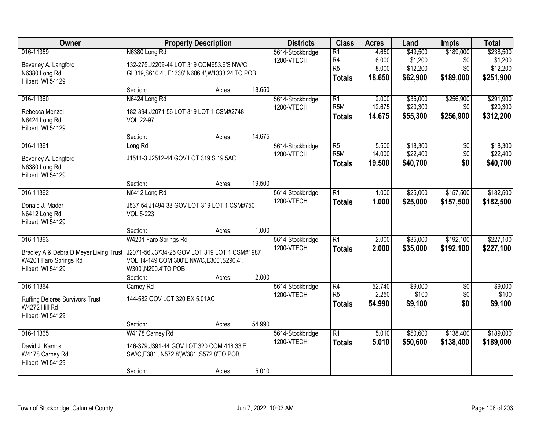| Owner                                  |                                                   | <b>Property Description</b>                 |        | <b>Districts</b> | <b>Class</b>     | <b>Acres</b> | Land     | <b>Impts</b>    | <b>Total</b> |
|----------------------------------------|---------------------------------------------------|---------------------------------------------|--------|------------------|------------------|--------------|----------|-----------------|--------------|
| 016-11359                              | N6380 Long Rd                                     |                                             |        | 5614-Stockbridge | R1               | 4.650        | \$49,500 | \$189,000       | \$238,500    |
| Beverley A. Langford                   | 132-275, J2209-44 LOT 319 COM653.6'S NW/C         |                                             |        | 1200-VTECH       | R4               | 6.000        | \$1,200  | \$0             | \$1,200      |
| N6380 Long Rd                          | GL319, S610.4', E1338', N606.4', W1333.24' TO POB |                                             |        |                  | R <sub>5</sub>   | 8.000        | \$12,200 | \$0             | \$12,200     |
| Hilbert, WI 54129                      |                                                   |                                             |        |                  | <b>Totals</b>    | 18.650       | \$62,900 | \$189,000       | \$251,900    |
|                                        | Section:                                          | Acres:                                      | 18.650 |                  |                  |              |          |                 |              |
| 016-11360                              | N6424 Long Rd                                     |                                             |        | 5614-Stockbridge | R1               | 2.000        | \$35,000 | \$256,900       | \$291,900    |
| Rebecca Menzel                         | 182-394, J2071-56 LOT 319 LOT 1 CSM#2748          |                                             |        | 1200-VTECH       | R <sub>5</sub> M | 12.675       | \$20,300 | \$0             | \$20,300     |
| N6424 Long Rd                          | VOL.22-97                                         |                                             |        |                  | Totals           | 14.675       | \$55,300 | \$256,900       | \$312,200    |
| Hilbert, WI 54129                      |                                                   |                                             |        |                  |                  |              |          |                 |              |
|                                        | Section:                                          | Acres:                                      | 14.675 |                  |                  |              |          |                 |              |
| 016-11361                              | Long Rd                                           |                                             |        | 5614-Stockbridge | R5               | 5.500        | \$18,300 | $\sqrt[6]{30}$  | \$18,300     |
| Beverley A. Langford                   | J1511-3, J2512-44 GOV LOT 319 S 19.5AC            |                                             |        | 1200-VTECH       | R <sub>5</sub> M | 14.000       | \$22,400 | \$0             | \$22,400     |
| N6380 Long Rd                          |                                                   |                                             |        |                  | <b>Totals</b>    | 19.500       | \$40,700 | \$0             | \$40,700     |
| Hilbert, WI 54129                      |                                                   |                                             |        |                  |                  |              |          |                 |              |
|                                        | Section:                                          | Acres:                                      | 19.500 |                  |                  |              |          |                 |              |
| 016-11362                              | N6412 Long Rd                                     |                                             |        | 5614-Stockbridge | R1               | 1.000        | \$25,000 | \$157,500       | \$182,500    |
| Donald J. Mader                        |                                                   | J537-54, J1494-33 GOV LOT 319 LOT 1 CSM#750 |        | 1200-VTECH       | <b>Totals</b>    | 1.000        | \$25,000 | \$157,500       | \$182,500    |
| N6412 Long Rd                          | VOL.5-223                                         |                                             |        |                  |                  |              |          |                 |              |
| Hilbert, WI 54129                      |                                                   |                                             |        |                  |                  |              |          |                 |              |
|                                        | Section:                                          | Acres:                                      | 1.000  |                  |                  |              |          |                 |              |
| 016-11363                              | W4201 Faro Springs Rd                             |                                             |        | 5614-Stockbridge | $\overline{R1}$  | 2.000        | \$35,000 | \$192,100       | \$227,100    |
| Bradley A & Debra D Meyer Living Trust | J2071-56, J3734-25 GOV LOT 319 LOT 1 CSM#1987     |                                             |        | 1200-VTECH       | <b>Totals</b>    | 2.000        | \$35,000 | \$192,100       | \$227,100    |
| W4201 Faro Springs Rd                  | VOL.14-149 COM 300'E NW/C, E300', S290.4',        |                                             |        |                  |                  |              |          |                 |              |
| Hilbert, WI 54129                      | W300', N290.4'TO POB                              |                                             |        |                  |                  |              |          |                 |              |
|                                        | Section:                                          | Acres:                                      | 2.000  |                  |                  |              |          |                 |              |
| 016-11364                              | Carney Rd                                         |                                             |        | 5614-Stockbridge | R4               | 52.740       | \$9,000  | $\overline{50}$ | \$9,000      |
| <b>Ruffing Delores Survivors Trust</b> | 144-582 GOV LOT 320 EX 5.01AC                     |                                             |        | 1200-VTECH       | R5               | 2.250        | \$100    | \$0             | \$100        |
| W4272 Hill Rd                          |                                                   |                                             |        |                  | <b>Totals</b>    | 54.990       | \$9,100  | \$0             | \$9,100      |
| Hilbert, WI 54129                      |                                                   |                                             |        |                  |                  |              |          |                 |              |
|                                        | Section:                                          | Acres:                                      | 54.990 |                  |                  |              |          |                 |              |
| 016-11365                              | W4178 Carney Rd                                   |                                             |        | 5614-Stockbridge | R1               | 5.010        | \$50,600 | \$138,400       | \$189,000    |
| David J. Kamps                         | 146-379, J391-44 GOV LOT 320 COM 418.33'E         |                                             |        | 1200-VTECH       | <b>Totals</b>    | 5.010        | \$50,600 | \$138,400       | \$189,000    |
| W4178 Carney Rd                        | SW/C, E381', N572.8', W381', S572.8'TO POB        |                                             |        |                  |                  |              |          |                 |              |
| Hilbert, WI 54129                      |                                                   |                                             |        |                  |                  |              |          |                 |              |
|                                        | Section:                                          | Acres:                                      | 5.010  |                  |                  |              |          |                 |              |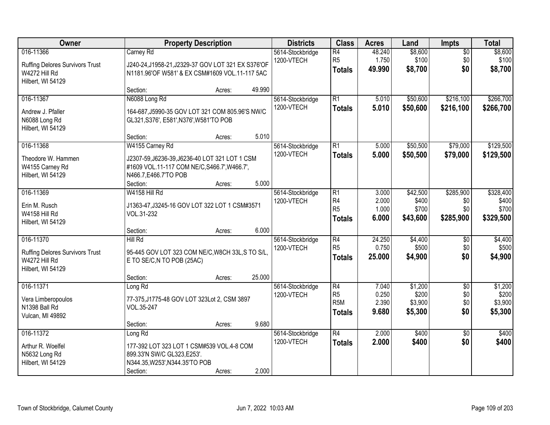| Owner                                                                                     |                                                                                                                                                        | <b>Property Description</b> |        | <b>Districts</b>                                                                     | <b>Class</b>                                                           | <b>Acres</b>                     | Land                                   | Impts                                | <b>Total</b>                           |
|-------------------------------------------------------------------------------------------|--------------------------------------------------------------------------------------------------------------------------------------------------------|-----------------------------|--------|--------------------------------------------------------------------------------------|------------------------------------------------------------------------|----------------------------------|----------------------------------------|--------------------------------------|----------------------------------------|
| 016-11366<br><b>Ruffing Delores Survivors Trust</b><br>W4272 Hill Rd<br>Hilbert, WI 54129 | Carney Rd<br>J240-24,J1958-21,J2329-37 GOV LOT 321 EX S376'OF<br>N1181.96'OF W581' & EX CSM#1609 VOL.11-117 5AC                                        |                             |        | $\overline{R4}$<br>5614-Stockbridge<br>R <sub>5</sub><br>1200-VTECH<br><b>Totals</b> |                                                                        | 48.240<br>1.750<br>49.990        | \$8,600<br>\$100<br>\$8,700            | $\overline{50}$<br>\$0<br>\$0        | \$8,600<br>\$100<br>\$8,700            |
|                                                                                           | Section:                                                                                                                                               | Acres:                      | 49.990 |                                                                                      |                                                                        |                                  |                                        |                                      |                                        |
| 016-11367<br>Andrew J. Pfaller<br>N6088 Long Rd<br>Hilbert, WI 54129                      | N6088 Long Rd<br>164-687, J5990-35 GOV LOT 321 COM 805.96'S NW/C<br>GL321, S376', E581', N376', W581'TO POB                                            |                             |        | 5614-Stockbridge<br>1200-VTECH                                                       | $\overline{R1}$<br><b>Totals</b>                                       | 5.010<br>5.010                   | \$50,600<br>\$50,600                   | \$216,100<br>\$216,100               | \$266,700<br>\$266,700                 |
|                                                                                           | Section:                                                                                                                                               | Acres:                      | 5.010  |                                                                                      |                                                                        |                                  |                                        |                                      |                                        |
| 016-11368<br>Theodore W. Hammen<br>W4155 Carney Rd<br>Hilbert, WI 54129                   | W4155 Carney Rd<br>J2307-59, J6236-39, J6236-40 LOT 321 LOT 1 CSM<br>#1609 VOL.11-117 COM NE/C, S466.7', W466.7',<br>N466.7, E466.7'TO POB<br>Section: | Acres:                      | 5.000  | 5614-Stockbridge<br>1200-VTECH                                                       | $\overline{R1}$<br><b>Totals</b>                                       | 5.000<br>5.000                   | \$50,500<br>\$50,500                   | \$79,000<br>\$79,000                 | \$129,500<br>\$129,500                 |
| 016-11369                                                                                 | W4158 Hill Rd                                                                                                                                          |                             |        | 5614-Stockbridge                                                                     | $\overline{R1}$                                                        | 3.000                            | \$42,500                               | \$285,900                            | \$328,400                              |
| Erin M. Rusch<br>W4158 Hill Rd<br>Hilbert, WI 54129                                       | J1363-47, J3245-16 GOV LOT 322 LOT 1 CSM#3571<br>VOL.31-232                                                                                            |                             |        | 1200-VTECH                                                                           | R <sub>4</sub><br>R <sub>5</sub><br><b>Totals</b>                      | 2.000<br>1.000<br>6.000          | \$400<br>\$700<br>\$43,600             | \$0<br>\$0<br>\$285,900              | \$400<br>\$700<br>\$329,500            |
|                                                                                           | Section:                                                                                                                                               | Acres:                      | 6.000  |                                                                                      |                                                                        |                                  |                                        |                                      |                                        |
| 016-11370<br><b>Ruffing Delores Survivors Trust</b><br>W4272 Hill Rd<br>Hilbert, WI 54129 | Hill Rd<br>95-445 GOV LOT 323 COM NE/C, W8CH 33L, S TO S/L,<br>E TO SE/C, N TO POB (25AC)                                                              |                             |        | 5614-Stockbridge<br>1200-VTECH                                                       | $\overline{R4}$<br>R <sub>5</sub><br><b>Totals</b>                     | 24.250<br>0.750<br>25.000        | \$4,400<br>\$500<br>\$4,900            | $\overline{50}$<br>\$0<br>\$0        | \$4,400<br>\$500<br>\$4,900            |
|                                                                                           | Section:                                                                                                                                               | Acres:                      | 25.000 |                                                                                      |                                                                        |                                  |                                        |                                      |                                        |
| 016-11371<br>Vera Limberopoulos<br>N1398 Ball Rd<br>Vulcan, MI 49892                      | Long Rd<br>77-375, J1775-48 GOV LOT 323Lot 2, CSM 3897<br>VOL.35-247                                                                                   |                             |        | 5614-Stockbridge<br>1200-VTECH                                                       | $\overline{R4}$<br>R <sub>5</sub><br>R <sub>5</sub> M<br><b>Totals</b> | 7.040<br>0.250<br>2.390<br>9.680 | \$1,200<br>\$200<br>\$3,900<br>\$5,300 | $\overline{50}$<br>\$0<br>\$0<br>\$0 | \$1,200<br>\$200<br>\$3,900<br>\$5,300 |
|                                                                                           | Section:                                                                                                                                               | Acres:                      | 9.680  |                                                                                      |                                                                        |                                  |                                        |                                      |                                        |
| 016-11372<br>Arthur R. Woelfel<br>N5632 Long Rd<br>Hilbert, WI 54129                      | Long Rd<br>177-392 LOT 323 LOT 1 CSM#539 VOL.4-8 COM<br>899.33'N SW/C GL323, E253'.<br>N344.35, W253', N344.35'TO POB<br>Section:                      | Acres:                      | 2.000  | 5614-Stockbridge<br>1200-VTECH                                                       | $\overline{R4}$<br><b>Totals</b>                                       | 2.000<br>2.000                   | \$400<br>\$400                         | $\overline{50}$<br>\$0               | \$400<br>\$400                         |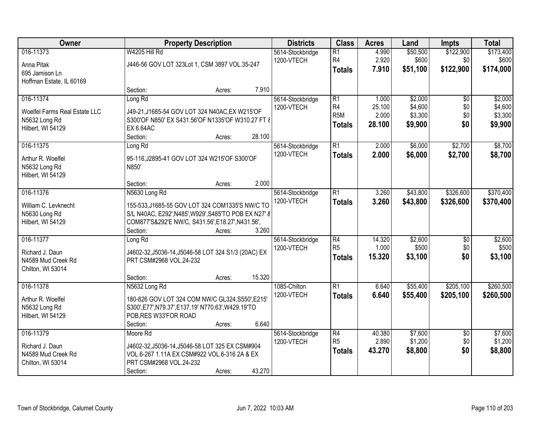| Owner                                                                            | <b>Property Description</b>                                                                                                                                                    |                  | <b>Districts</b>               | <b>Class</b>                                               | <b>Acres</b>                       | Land                                     | <b>Impts</b>                         | <b>Total</b>                             |
|----------------------------------------------------------------------------------|--------------------------------------------------------------------------------------------------------------------------------------------------------------------------------|------------------|--------------------------------|------------------------------------------------------------|------------------------------------|------------------------------------------|--------------------------------------|------------------------------------------|
| 016-11373<br>Anna Pitak<br>695 Jamison Ln<br>Hoffman Estate, IL 60169            | W4205 Hill Rd<br>J446-56 GOV LOT 323Lot 1, CSM 3897 VOL.35-247                                                                                                                 |                  | 5614-Stockbridge<br>1200-VTECH | $\overline{R1}$<br>R <sub>4</sub><br><b>Totals</b>         | 4.990<br>2.920<br>7.910            | \$50,500<br>\$600<br>\$51,100            | \$122,900<br>\$0<br>\$122,900        | \$173,400<br>\$600<br>\$174,000          |
|                                                                                  | Section:                                                                                                                                                                       | 7.910<br>Acres:  |                                |                                                            |                                    |                                          |                                      |                                          |
| 016-11374<br>Woelfel Farms Real Estate LLC<br>N5632 Long Rd<br>Hilbert, WI 54129 | Long Rd<br>J49-21, J1685-54 GOV LOT 324 N40AC, EX W215'OF<br>S300'OF N850' EX S431.56'OF N1335'OF W310.27 FT &<br><b>EX 6.64AC</b><br>Section:                                 | 28.100<br>Acres: | 5614-Stockbridge<br>1200-VTECH | $\overline{R1}$<br>R4<br>R <sub>5</sub> M<br><b>Totals</b> | 1.000<br>25.100<br>2.000<br>28.100 | \$2,000<br>\$4,600<br>\$3,300<br>\$9,900 | $\overline{50}$<br>\$0<br>\$0<br>\$0 | \$2,000<br>\$4,600<br>\$3,300<br>\$9,900 |
| 016-11375                                                                        | Long Rd                                                                                                                                                                        |                  | 5614-Stockbridge               | $\overline{R1}$                                            | 2.000                              | \$6,000                                  | \$2,700                              | \$8,700                                  |
| Arthur R. Woelfel<br>N5632 Long Rd<br>Hilbert, WI 54129                          | 95-116, J2895-41 GOV LOT 324 W215'OF S300'OF<br>N850'                                                                                                                          |                  | 1200-VTECH                     | <b>Totals</b>                                              | 2.000                              | \$6,000                                  | \$2,700                              | \$8,700                                  |
|                                                                                  | Section:                                                                                                                                                                       | 2.000<br>Acres:  |                                |                                                            |                                    |                                          |                                      |                                          |
| 016-11376<br>William C. Levknecht<br>N5630 Long Rd<br>Hilbert, WI 54129          | N5630 Long Rd<br>155-533, J1685-55 GOV LOT 324 COM1335'S NW/C TO<br>S/L N40AC, E292', N485', W929', S485'TO POB EX N27' 8<br>COM877'S&292'E NW/C, S431.56', E18.27', N431.56', |                  | 5614-Stockbridge<br>1200-VTECH | $\overline{R1}$<br><b>Totals</b>                           | 3.260<br>3.260                     | \$43,800<br>\$43,800                     | \$326,600<br>\$326,600               | \$370,400<br>\$370,400                   |
| 016-11377                                                                        | Section:<br>Long Rd                                                                                                                                                            | 3.260<br>Acres:  |                                | $\overline{R4}$                                            | 14.320                             | \$2,600                                  | $\overline{60}$                      | \$2,600                                  |
| Richard J. Daun<br>N4589 Mud Creek Rd<br>Chilton, WI 53014                       | J4602-32, J5036-14, J5046-58 LOT 324 S1/3 (20AC) EX<br>PRT CSM#2968 VOL.24-232                                                                                                 |                  | 5614-Stockbridge<br>1200-VTECH | R <sub>5</sub><br><b>Totals</b>                            | 1.000<br>15.320                    | \$500<br>\$3,100                         | \$0<br>\$0                           | \$500<br>\$3,100                         |
|                                                                                  | Section:                                                                                                                                                                       | 15.320<br>Acres: |                                |                                                            |                                    |                                          |                                      |                                          |
| 016-11378<br>Arthur R. Woelfel<br>N5632 Long Rd<br>Hilbert, WI 54129             | N5632 Long Rd<br>180-826 GOV LOT 324 COM NW/C GL324, S550', E215'<br>S300', E77', N79.37', E137.19' N770.63', W429.19'TO<br>POB, RES W33'FOR ROAD<br>Section:                  | 6.640<br>Acres:  | 1085-Chilton<br>1200-VTECH     | $\overline{R1}$<br><b>Totals</b>                           | 6.640<br>6.640                     | \$55,400<br>\$55,400                     | \$205,100<br>\$205,100               | \$260,500<br>\$260,500                   |
| 016-11379                                                                        | Moore Rd                                                                                                                                                                       |                  | 5614-Stockbridge               | $\overline{R4}$                                            | 40.380                             | \$7,600                                  | $\overline{50}$                      | \$7,600                                  |
| Richard J. Daun<br>N4589 Mud Creek Rd<br>Chilton, WI 53014                       | J4602-32, J5036-14, J5046-58 LOT 325 EX CSM#904<br>VOL.6-267 1.11A EX CSM#922 VOL.6-316 2A & EX<br>PRT CSM#2968 VOL.24-232<br>Section:                                         | 43.270<br>Acres: | 1200-VTECH                     | R <sub>5</sub><br><b>Totals</b>                            | 2.890<br>43.270                    | \$1,200<br>\$8,800                       | \$0<br>\$0                           | \$1,200<br>\$8,800                       |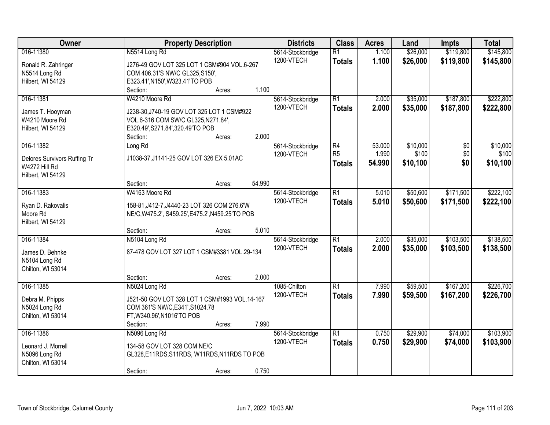| Owner                         | <b>Property Description</b>                                                                      | <b>Districts</b> | <b>Class</b>    | <b>Acres</b> | Land     | Impts     | <b>Total</b> |
|-------------------------------|--------------------------------------------------------------------------------------------------|------------------|-----------------|--------------|----------|-----------|--------------|
| 016-11380                     | N5514 Long Rd                                                                                    | 5614-Stockbridge | $\overline{R1}$ | 1.100        | \$26,000 | \$119,800 | \$145,800    |
| Ronald R. Zahringer           | J276-49 GOV LOT 325 LOT 1 CSM#904 VOL.6-267                                                      | 1200-VTECH       | <b>Totals</b>   | 1.100        | \$26,000 | \$119,800 | \$145,800    |
| N5514 Long Rd                 | COM 406.31'S NW/C GL325, S150',                                                                  |                  |                 |              |          |           |              |
| Hilbert, WI 54129             | E323.41', N150', W323.41'TO POB                                                                  |                  |                 |              |          |           |              |
|                               | 1.100<br>Section:<br>Acres:                                                                      |                  |                 |              |          |           |              |
| 016-11381                     | W4210 Moore Rd                                                                                   | 5614-Stockbridge | $\overline{R1}$ | 2.000        | \$35,000 | \$187,800 | \$222,800    |
| James T. Hooyman              | J238-30, J740-19 GOV LOT 325 LOT 1 CSM#922                                                       | 1200-VTECH       | <b>Totals</b>   | 2.000        | \$35,000 | \$187,800 | \$222,800    |
| W4210 Moore Rd                | VOL.6-316 COM SW/C GL325, N271.84',                                                              |                  |                 |              |          |           |              |
| Hilbert, WI 54129             | E320.49', S271.84', 320.49'TO POB                                                                |                  |                 |              |          |           |              |
|                               | 2.000<br>Section:<br>Acres:                                                                      |                  |                 |              |          |           |              |
| 016-11382                     | Long Rd                                                                                          | 5614-Stockbridge | R4              | 53.000       | \$10,000 | \$0       | \$10,000     |
| Delores Survivors Ruffing Tr  | J1038-37, J1141-25 GOV LOT 326 EX 5.01AC                                                         | 1200-VTECH       | R <sub>5</sub>  | 1.990        | \$100    | \$0       | \$100        |
| W4272 Hill Rd                 |                                                                                                  |                  | <b>Totals</b>   | 54.990       | \$10,100 | \$0       | \$10,100     |
| Hilbert, WI 54129             |                                                                                                  |                  |                 |              |          |           |              |
|                               | 54.990<br>Section:<br>Acres:                                                                     |                  |                 |              |          |           |              |
| 016-11383                     | W4163 Moore Rd                                                                                   | 5614-Stockbridge | $\overline{R1}$ | 5.010        | \$50,600 | \$171,500 | \$222,100    |
|                               |                                                                                                  | 1200-VTECH       | <b>Totals</b>   | 5.010        | \$50,600 | \$171,500 | \$222,100    |
| Ryan D. Rakovalis<br>Moore Rd | 158-81, J412-7, J4440-23 LOT 326 COM 276.6'W<br>NE/C, W475.2', S459.25', E475.2', N459.25'TO POB |                  |                 |              |          |           |              |
| Hilbert, WI 54129             |                                                                                                  |                  |                 |              |          |           |              |
|                               | 5.010<br>Section:<br>Acres:                                                                      |                  |                 |              |          |           |              |
| 016-11384                     | N5104 Long Rd                                                                                    | 5614-Stockbridge | $\overline{R1}$ | 2.000        | \$35,000 | \$103,500 | \$138,500    |
|                               |                                                                                                  | 1200-VTECH       | <b>Totals</b>   | 2.000        | \$35,000 | \$103,500 | \$138,500    |
| James D. Behnke               | 87-478 GOV LOT 327 LOT 1 CSM#3381 VOL.29-134                                                     |                  |                 |              |          |           |              |
| N5104 Long Rd                 |                                                                                                  |                  |                 |              |          |           |              |
| Chilton, WI 53014             |                                                                                                  |                  |                 |              |          |           |              |
|                               | 2.000<br>Section:<br>Acres:                                                                      |                  |                 |              |          |           |              |
| 016-11385                     | N5024 Long Rd                                                                                    | 1085-Chilton     | $\overline{R1}$ | 7.990        | \$59,500 | \$167,200 | \$226,700    |
| Debra M. Phipps               | J521-50 GOV LOT 328 LOT 1 CSM#1993 VOL.14-167                                                    | 1200-VTECH       | <b>Totals</b>   | 7.990        | \$59,500 | \$167,200 | \$226,700    |
| N5024 Long Rd                 | COM 361'S NW/C, E341', S1024.78                                                                  |                  |                 |              |          |           |              |
| Chilton, WI 53014             | FT, W340.96', N1016'TO POB                                                                       |                  |                 |              |          |           |              |
|                               | 7.990<br>Section:<br>Acres:                                                                      |                  |                 |              |          |           |              |
| 016-11386                     | N5096 Long Rd                                                                                    | 5614-Stockbridge | $\overline{R1}$ | 0.750        | \$29,900 | \$74,000  | \$103,900    |
| Leonard J. Morrell            | 134-58 GOV LOT 328 COM NE/C                                                                      | 1200-VTECH       | <b>Totals</b>   | 0.750        | \$29,900 | \$74,000  | \$103,900    |
| N5096 Long Rd                 | GL328,E11RDS,S11RDS, W11RDS,N11RDS TO POB                                                        |                  |                 |              |          |           |              |
| Chilton, WI 53014             |                                                                                                  |                  |                 |              |          |           |              |
|                               | 0.750<br>Section:<br>Acres:                                                                      |                  |                 |              |          |           |              |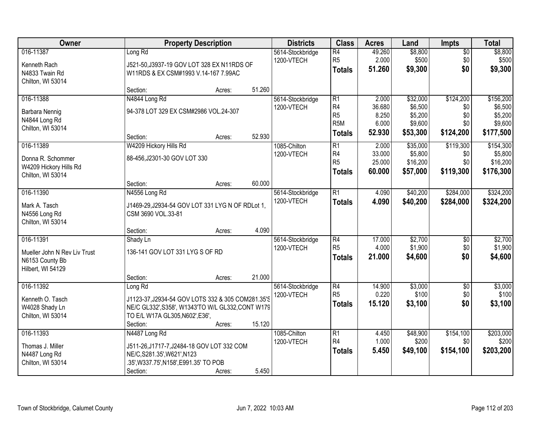| Owner                                                                             |                                                                                                                                                                  | <b>Property Description</b> |        | <b>Districts</b>               | <b>Class</b>                                                                             | <b>Acres</b>                                | Land                                                  | Impts                                       | <b>Total</b>                                            |
|-----------------------------------------------------------------------------------|------------------------------------------------------------------------------------------------------------------------------------------------------------------|-----------------------------|--------|--------------------------------|------------------------------------------------------------------------------------------|---------------------------------------------|-------------------------------------------------------|---------------------------------------------|---------------------------------------------------------|
| 016-11387<br>Kenneth Rach<br>N4833 Twain Rd<br>Chilton, WI 53014                  | Long Rd<br>J521-50, J3937-19 GOV LOT 328 EX N11RDS OF<br>W11RDS & EX CSM#1993 V.14-167 7.99AC                                                                    |                             |        | 5614-Stockbridge<br>1200-VTECH | $\overline{R4}$<br>R <sub>5</sub><br><b>Totals</b>                                       | 49.260<br>2.000<br>51.260                   | \$8,800<br>\$500<br>\$9,300                           | $\overline{50}$<br>\$0<br>\$0               | \$8,800<br>\$500<br>\$9,300                             |
|                                                                                   | Section:                                                                                                                                                         | Acres:                      | 51.260 |                                |                                                                                          |                                             |                                                       |                                             |                                                         |
| 016-11388<br>Barbara Nennig<br>N4844 Long Rd<br>Chilton, WI 53014                 | N4844 Long Rd<br>94-378 LOT 329 EX CSM#2986 VOL.24-307<br>Section:                                                                                               | Acres:                      | 52.930 | 5614-Stockbridge<br>1200-VTECH | $\overline{R1}$<br>R <sub>4</sub><br>R <sub>5</sub><br>R <sub>5</sub> M<br><b>Totals</b> | 2.000<br>36.680<br>8.250<br>6.000<br>52.930 | \$32,000<br>\$6,500<br>\$5,200<br>\$9,600<br>\$53,300 | \$124,200<br>\$0<br>\$0<br>\$0<br>\$124,200 | \$156,200<br>\$6,500<br>\$5,200<br>\$9,600<br>\$177,500 |
| 016-11389<br>Donna R. Schommer<br>W4209 Hickory Hills Rd<br>Chilton, WI 53014     | W4209 Hickory Hills Rd<br>88-456, J2301-30 GOV LOT 330<br>Section:                                                                                               | Acres:                      | 60.000 | 1085-Chilton<br>1200-VTECH     | R1<br>R <sub>4</sub><br>R <sub>5</sub><br><b>Totals</b>                                  | 2.000<br>33.000<br>25.000<br>60.000         | \$35,000<br>\$5,800<br>\$16,200<br>\$57,000           | \$119,300<br>\$0<br>\$0<br>\$119,300        | \$154,300<br>\$5,800<br>\$16,200<br>\$176,300           |
| 016-11390                                                                         | N4556 Long Rd                                                                                                                                                    |                             |        | 5614-Stockbridge               | R1                                                                                       | 4.090                                       | \$40,200                                              | \$284,000                                   | \$324,200                                               |
| Mark A. Tasch<br>N4556 Long Rd<br>Chilton, WI 53014                               | J1469-29, J2934-54 GOV LOT 331 LYG N OF RDLot 1,<br>CSM 3690 VOL.33-81                                                                                           |                             |        | 1200-VTECH                     | <b>Totals</b>                                                                            | 4.090                                       | \$40,200                                              | \$284,000                                   | \$324,200                                               |
|                                                                                   | Section:                                                                                                                                                         | Acres:                      | 4.090  |                                |                                                                                          |                                             |                                                       |                                             |                                                         |
| 016-11391<br>Mueller John N Rev Liv Trust<br>N6153 County Bb<br>Hilbert, WI 54129 | Shady Ln<br>136-141 GOV LOT 331 LYG S OF RD                                                                                                                      |                             |        | 5614-Stockbridge<br>1200-VTECH | $\overline{R4}$<br>R <sub>5</sub><br><b>Totals</b>                                       | 17.000<br>4.000<br>21.000                   | \$2,700<br>\$1,900<br>\$4,600                         | \$0<br>\$0<br>\$0                           | \$2,700<br>\$1,900<br>\$4,600                           |
|                                                                                   | Section:                                                                                                                                                         | Acres:                      | 21.000 |                                |                                                                                          |                                             |                                                       |                                             |                                                         |
| 016-11392<br>Kenneth O. Tasch<br>W4028 Shady Ln<br>Chilton, WI 53014              | Long Rd<br>J1123-37, J2934-54 GOV LOTS 332 & 305 COM281.35'S<br>NE/C GL332', S358', W1343'TO W/L GL332, CONT W179<br>TO E/L W17A GL305, N602', E36',<br>Section: | Acres:                      | 15.120 | 5614-Stockbridge<br>1200-VTECH | $\overline{R4}$<br>R <sub>5</sub><br><b>Totals</b>                                       | 14.900<br>0.220<br>15.120                   | \$3,000<br>\$100<br>\$3,100                           | $\overline{$0}$<br>\$0<br>\$0               | \$3,000<br>\$100<br>\$3,100                             |
| 016-11393<br>Thomas J. Miller<br>N4487 Long Rd<br>Chilton, WI 53014               | N4487 Long Rd<br>J511-26, J1717-7, J2484-18 GOV LOT 332 COM<br>NE/C, S281.35', W621', N123<br>.35', W337.75', N158', E991.35' TO POB<br>Section:                 | Acres:                      | 5.450  | 1085-Chilton<br>1200-VTECH     | R1<br>R <sub>4</sub><br><b>Totals</b>                                                    | 4.450<br>1.000<br>5.450                     | \$48,900<br>\$200<br>\$49,100                         | \$154,100<br>\$0<br>\$154,100               | \$203,000<br>\$200<br>\$203,200                         |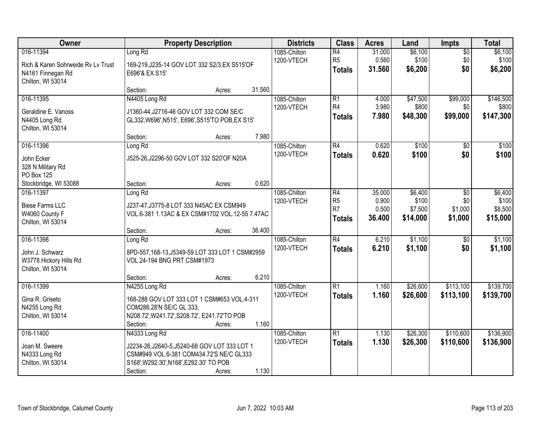| Owner                              | <b>Property Description</b>                      | <b>Districts</b>           | <b>Class</b>         | <b>Acres</b>   | Land                | <b>Impts</b>       | <b>Total</b>     |
|------------------------------------|--------------------------------------------------|----------------------------|----------------------|----------------|---------------------|--------------------|------------------|
| 016-11394                          | Long Rd                                          | 1085-Chilton               | $\overline{R4}$      | 31.000         | \$6,100             | $\overline{50}$    | \$6,100          |
| Rich & Karen Sohrweide Ry Ly Trust | 169-219, J235-14 GOV LOT 332 S2/3, EX S515'OF    | 1200-VTECH                 | R <sub>5</sub>       | 0.560          | \$100               | \$0                | \$100            |
| N4161 Finnegan Rd                  | E696'& EX S15'                                   |                            | <b>Totals</b>        | 31.560         | \$6,200             | \$0                | \$6,200          |
| Chilton, WI 53014                  |                                                  |                            |                      |                |                     |                    |                  |
|                                    | 31.560<br>Section:<br>Acres:                     |                            |                      |                |                     |                    |                  |
| 016-11395                          | N4405 Long Rd                                    | 1085-Chilton               | $\overline{R1}$      | 4.000          | \$47,500            | \$99,000           | \$146,500        |
| Geraldine E. Vanoss                | J1360-44, J2716-46 GOV LOT 332 COM SE/C          | 1200-VTECH                 | R <sub>4</sub>       | 3.980          | \$800               | \$0                | \$800            |
| N4405 Long Rd                      | GL332, W696', N515', E696', S515'TO POB, EX S15' |                            | <b>Totals</b>        | 7.980          | \$48,300            | \$99,000           | \$147,300        |
| Chilton, WI 53014                  |                                                  |                            |                      |                |                     |                    |                  |
|                                    | 7.980<br>Section:<br>Acres:                      |                            |                      |                |                     |                    |                  |
| 016-11396                          | Long Rd                                          | 1085-Chilton               | R4                   | 0.620          | \$100               | \$0                | \$100            |
| John Ecker                         | J525-26,J2296-50 GOV LOT 332 S20'OF N20A         | 1200-VTECH                 | <b>Totals</b>        | 0.620          | \$100               | \$0                | \$100            |
| 328 N Military Rd                  |                                                  |                            |                      |                |                     |                    |                  |
| PO Box 125                         |                                                  |                            |                      |                |                     |                    |                  |
| Stockbridge, WI 53088              | 0.620<br>Section:<br>Acres:                      |                            |                      |                |                     |                    |                  |
| 016-11397                          | Long Rd                                          | 1085-Chilton               | R4                   | 35.000         | \$6,400             | \$0                | \$6,400          |
| <b>Biese Farms LLC</b>             | J237-47, J3775-8 LOT 333 N45AC EX CSM949         | 1200-VTECH                 | R <sub>5</sub><br>R7 | 0.900<br>0.500 | \$100               | \$0                | \$100<br>\$8,500 |
| W4060 County F                     | VOL.6-381 1.13AC & EX CSM#1702 VOL.12-55 7.47AC  |                            |                      | 36.400         | \$7,500<br>\$14,000 | \$1,000<br>\$1,000 | \$15,000         |
| Chilton, WI 53014                  |                                                  |                            | <b>Totals</b>        |                |                     |                    |                  |
|                                    | 36.400<br>Section:<br>Acres:                     |                            |                      |                |                     |                    |                  |
| 016-11398                          | Long Rd                                          | 1085-Chilton               | $\overline{R4}$      | 6.210          | \$1,100             | $\overline{50}$    | \$1,100          |
| John J. Schwarz                    | 8PD-557,168-13,J5349-59 LOT 333 LOT 1 CSM#2959   | 1200-VTECH                 | <b>Totals</b>        | 6.210          | \$1,100             | \$0                | \$1,100          |
| W3778 Hickory Hills Rd             | VOL.24-194 BNG PRT CSM#1973                      |                            |                      |                |                     |                    |                  |
| Chilton, WI 53014                  |                                                  |                            |                      |                |                     |                    |                  |
|                                    | 6.210<br>Section:<br>Acres:                      |                            |                      |                |                     |                    |                  |
| 016-11399                          | N4255 Long Rd                                    | 1085-Chilton               | $\overline{R1}$      | 1.160          | \$26,600            | \$113,100          | \$139,700        |
| Gina R. Griseto                    | 168-288 GOV LOT 333 LOT 1 CSM#653 VOL.4-311      | 1200-VTECH                 | <b>Totals</b>        | 1.160          | \$26,600            | \$113,100          | \$139,700        |
| N4255 Long Rd                      | COM286.28'N SE/C GL 333,                         |                            |                      |                |                     |                    |                  |
| Chilton, WI 53014                  | N208.72', W241.72', S208.72', E241.72'TO POB     |                            |                      |                |                     |                    |                  |
|                                    | 1.160<br>Section:<br>Acres:                      |                            |                      |                |                     |                    |                  |
| 016-11400                          | N4333 Long Rd                                    | 1085-Chilton<br>1200-VTECH | $\overline{R1}$      | 1.130          | \$26,300            | \$110,600          | \$136,900        |
| Joan M. Sweere                     | J2234-26, J2640-5, J5240-68 GOV LOT 333 LOT 1    |                            | <b>Totals</b>        | 1.130          | \$26,300            | \$110,600          | \$136,900        |
| N4333 Long Rd                      | CSM#949 VOL.6-381 COM434.72'S NE/C GL333         |                            |                      |                |                     |                    |                  |
| Chilton, WI 53014                  | S168', W292.30', N168', E292.30' TO POB          |                            |                      |                |                     |                    |                  |
|                                    | 1.130<br>Section:<br>Acres:                      |                            |                      |                |                     |                    |                  |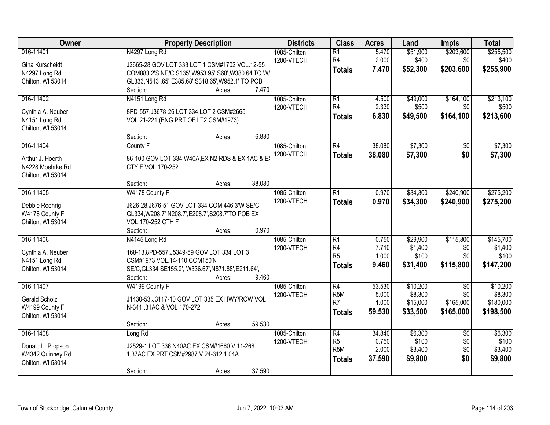| Owner             | <b>Property Description</b>                          | <b>Districts</b>           | <b>Class</b>                      | <b>Acres</b>   | Land              | <b>Impts</b>     | <b>Total</b>       |
|-------------------|------------------------------------------------------|----------------------------|-----------------------------------|----------------|-------------------|------------------|--------------------|
| 016-11401         | N4297 Long Rd                                        | 1085-Chilton<br>1200-VTECH | $\overline{R1}$<br>R <sub>4</sub> | 5.470<br>2.000 | \$51,900<br>\$400 | \$203,600<br>\$0 | \$255,500<br>\$400 |
| Gina Kurscheidt   | J2665-28 GOV LOT 333 LOT 1 CSM#1702 VOL.12-55        |                            | <b>Totals</b>                     | 7.470          | \$52,300          | \$203,600        | \$255,900          |
| N4297 Long Rd     | COM883.2'S NE/C, S135', W953.95' S60', W380.64'TO W/ |                            |                                   |                |                   |                  |                    |
| Chilton, WI 53014 | GL333, N513 .65', E385.68', S318.65', W952.1' TO POB |                            |                                   |                |                   |                  |                    |
|                   | 7.470<br>Section:<br>Acres:                          |                            |                                   |                |                   |                  |                    |
| 016-11402         | N4151 Long Rd                                        | 1085-Chilton               | $\overline{R1}$                   | 4.500          | \$49,000          | \$164,100        | \$213,100          |
| Cynthia A. Neuber | 8PD-557, J3678-26 LOT 334 LOT 2 CSM#2665             | 1200-VTECH                 | R <sub>4</sub>                    | 2.330          | \$500             | \$0              | \$500              |
| N4151 Long Rd     | VOL.21-221 (BNG PRT OF LT2 CSM#1973)                 |                            | <b>Totals</b>                     | 6.830          | \$49,500          | \$164,100        | \$213,600          |
| Chilton, WI 53014 |                                                      |                            |                                   |                |                   |                  |                    |
|                   | 6.830<br>Section:<br>Acres:                          |                            |                                   |                |                   |                  |                    |
| 016-11404         | County F                                             | 1085-Chilton               | R4                                | 38.080         | \$7,300           | \$0              | \$7,300            |
| Arthur J. Hoerth  | 86-100 GOV LOT 334 W40A, EX N2 RDS & EX 1AC & EX     | 1200-VTECH                 | <b>Totals</b>                     | 38.080         | \$7,300           | \$0              | \$7,300            |
| N4228 Moehrke Rd  | CTY F VOL.170-252                                    |                            |                                   |                |                   |                  |                    |
| Chilton, WI 53014 |                                                      |                            |                                   |                |                   |                  |                    |
|                   | 38.080<br>Section:<br>Acres:                         |                            |                                   |                |                   |                  |                    |
| 016-11405         | W4178 County F                                       | 1085-Chilton               | $\overline{R1}$                   | 0.970          | \$34,300          | \$240,900        | \$275,200          |
|                   |                                                      | 1200-VTECH                 | <b>Totals</b>                     | 0.970          | \$34,300          | \$240,900        | \$275,200          |
| Debbie Roehrig    | J626-28, J676-51 GOV LOT 334 COM 446.3'W SE/C        |                            |                                   |                |                   |                  |                    |
| W4178 County F    | GL334, W208.7' N208.7', E208.7', S208.7'TO POB EX    |                            |                                   |                |                   |                  |                    |
| Chilton, WI 53014 | VOL.170-252 CTH F                                    |                            |                                   |                |                   |                  |                    |
|                   | 0.970<br>Section:<br>Acres:                          |                            |                                   |                |                   |                  |                    |
| 016-11406         | N4145 Long Rd                                        | 1085-Chilton               | $\overline{R1}$                   | 0.750          | \$29,900          | \$115,800        | \$145,700          |
| Cynthia A. Neuber | 168-13,8PD-557, J5349-59 GOV LOT 334 LOT 3           | 1200-VTECH                 | R <sub>4</sub>                    | 7.710          | \$1,400           | \$0              | \$1,400            |
| N4151 Long Rd     | CSM#1973 VOL.14-110 COM150'N                         |                            | R <sub>5</sub>                    | 1.000          | \$100             | \$0              | \$100              |
| Chilton, WI 53014 | SE/C, GL334, SE155.2', W336.67', N871.88', E211.64', |                            | <b>Totals</b>                     | 9.460          | \$31,400          | \$115,800        | \$147,200          |
|                   | 9.460<br>Section:<br>Acres:                          |                            |                                   |                |                   |                  |                    |
| 016-11407         | W4199 County F                                       | 1085-Chilton               | $\overline{R4}$                   | 53.530         | \$10,200          | $\sqrt{6}$       | \$10,200           |
|                   |                                                      | 1200-VTECH                 | R <sub>5</sub> M                  | 5.000          | \$8,300           | \$0              | \$8,300            |
| Gerald Scholz     | J1430-53, J3117-10 GOV LOT 335 EX HWY/ROW VOL        |                            | R <sub>7</sub>                    | 1.000          | \$15,000          | \$165,000        | \$180,000          |
| W4199 County F    | N-341 .31AC & VOL 170-272                            |                            | <b>Totals</b>                     | 59.530         | \$33,500          | \$165,000        | \$198,500          |
| Chilton, WI 53014 |                                                      |                            |                                   |                |                   |                  |                    |
|                   | 59.530<br>Section:<br>Acres:                         |                            |                                   |                |                   |                  |                    |
| 016-11408         | Long Rd                                              | 1085-Chilton               | $\overline{R4}$                   | 34.840         | \$6,300           | $\overline{50}$  | \$6,300            |
| Donald L. Propson | J2529-1 LOT 336 N40AC EX CSM#1660 V.11-268           | 1200-VTECH                 | R <sub>5</sub>                    | 0.750          | \$100             | \$0              | \$100              |
| W4342 Quinney Rd  | 1.37AC EX PRT CSM#2987 V.24-312 1.04A                |                            | R <sub>5</sub> M                  | 2.000          | \$3,400           | \$0              | \$3,400            |
| Chilton, WI 53014 |                                                      |                            | <b>Totals</b>                     | 37.590         | \$9,800           | \$0              | \$9,800            |
|                   | 37.590<br>Section:<br>Acres:                         |                            |                                   |                |                   |                  |                    |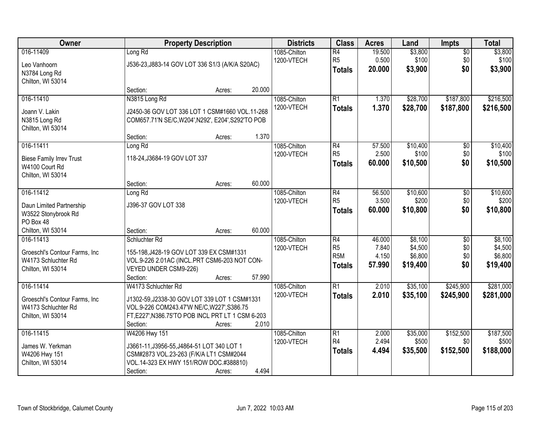| Owner                                                                                  |                                                                                                                                                                                     | <b>Property Description</b> |        | <b>Districts</b>           | <b>Class</b>                                                           | <b>Acres</b>                       | Land                                      | <b>Impts</b>                         | <b>Total</b>                              |
|----------------------------------------------------------------------------------------|-------------------------------------------------------------------------------------------------------------------------------------------------------------------------------------|-----------------------------|--------|----------------------------|------------------------------------------------------------------------|------------------------------------|-------------------------------------------|--------------------------------------|-------------------------------------------|
| 016-11409<br>Leo Vanhoorn<br>N3784 Long Rd<br>Chilton, WI 53014                        | Long Rd<br>J536-23, J883-14 GOV LOT 336 S1/3 (A/K/A S20AC)                                                                                                                          |                             |        | 1085-Chilton<br>1200-VTECH | $\overline{R4}$<br>R <sub>5</sub><br><b>Totals</b>                     | 19.500<br>0.500<br>20.000          | \$3,800<br>\$100<br>\$3,900               | $\overline{50}$<br>\$0<br>\$0        | \$3,800<br>\$100<br>\$3,900               |
|                                                                                        | Section:                                                                                                                                                                            | Acres:                      | 20.000 |                            |                                                                        |                                    |                                           |                                      |                                           |
| 016-11410<br>Joann V. Lakin<br>N3815 Long Rd<br>Chilton, WI 53014                      | N3815 Long Rd<br>J2450-36 GOV LOT 336 LOT 1 CSM#1660 VOL.11-268<br>COM657.71'N SE/C, W204', N292', E204', S292'TO POB                                                               |                             |        | 1085-Chilton<br>1200-VTECH | R1<br><b>Totals</b>                                                    | 1.370<br>1.370                     | \$28,700<br>\$28,700                      | \$187,800<br>\$187,800               | \$216,500<br>\$216,500                    |
|                                                                                        | Section:                                                                                                                                                                            | Acres:                      | 1.370  |                            |                                                                        |                                    |                                           |                                      |                                           |
| 016-11411<br><b>Biese Family Irrev Trust</b><br>W4100 Court Rd<br>Chilton, WI 53014    | Long Rd<br>118-24, J3684-19 GOV LOT 337                                                                                                                                             |                             |        | 1085-Chilton<br>1200-VTECH | R4<br>R <sub>5</sub><br>Totals                                         | 57.500<br>2.500<br>60.000          | \$10,400<br>\$100<br>\$10,500             | $\overline{50}$<br>\$0<br>\$0        | \$10,400<br>\$100<br>\$10,500             |
|                                                                                        | Section:                                                                                                                                                                            | Acres:                      | 60.000 |                            |                                                                        |                                    |                                           |                                      |                                           |
| 016-11412<br>Daun Limited Partnership<br>W3522 Stonybrook Rd<br>PO Box 48              | Long Rd<br>J396-37 GOV LOT 338                                                                                                                                                      |                             |        | 1085-Chilton<br>1200-VTECH | R4<br>R <sub>5</sub><br><b>Totals</b>                                  | 56.500<br>3.500<br>60.000          | \$10,600<br>\$200<br>\$10,800             | \$0<br>\$0<br>\$0                    | \$10,600<br>\$200<br>\$10,800             |
| Chilton, WI 53014                                                                      | Section:                                                                                                                                                                            | Acres:                      | 60.000 |                            |                                                                        |                                    |                                           |                                      |                                           |
| 016-11413<br>Groeschl's Contour Farms, Inc<br>W4173 Schluchter Rd<br>Chilton, WI 53014 | Schluchter Rd<br>155-198, J428-19 GOV LOT 339 EX CSM#1331<br>VOL.9-226 2.01AC (INCL.PRT CSM6-203 NOT CON-<br>VEYED UNDER CSM9-226)<br>Section:                                      | Acres:                      | 57.990 | 1085-Chilton<br>1200-VTECH | $\overline{R4}$<br>R <sub>5</sub><br>R <sub>5</sub> M<br><b>Totals</b> | 46.000<br>7.840<br>4.150<br>57.990 | \$8,100<br>\$4,500<br>\$6,800<br>\$19,400 | $\overline{30}$<br>\$0<br>\$0<br>\$0 | \$8,100<br>\$4,500<br>\$6,800<br>\$19,400 |
| 016-11414<br>Groeschl's Contour Farms, Inc<br>W4173 Schluchter Rd<br>Chilton, WI 53014 | W4173 Schluchter Rd<br>J1302-59, J2338-30 GOV LOT 339 LOT 1 CSM#1331<br>VOL.9-226 COM243.47'W NE/C, W227', S386.75<br>FT, E227', N386.75'TO POB INCL PRT LT 1 CSM 6-203<br>Section: | Acres:                      | 2.010  | 1085-Chilton<br>1200-VTECH | R1<br><b>Totals</b>                                                    | 2.010<br>2.010                     | \$35,100<br>\$35,100                      | \$245,900<br>\$245,900               | \$281,000<br>\$281,000                    |
| 016-11415<br>James W. Yerkman<br>W4206 Hwy 151<br>Chilton, WI 53014                    | W4206 Hwy 151<br>J3661-11, J3956-55, J4864-51 LOT 340 LOT 1<br>CSM#2873 VOL.23-263 (F/K/A LT1 CSM#2044<br>VOL.14-323 EX HWY 151/ROW DOC.#388810)<br>Section:                        | Acres:                      | 4.494  | 1085-Chilton<br>1200-VTECH | R1<br>R4<br><b>Totals</b>                                              | 2.000<br>2.494<br>4.494            | \$35,000<br>\$500<br>\$35,500             | \$152,500<br>\$0<br>\$152,500        | \$187,500<br>\$500<br>\$188,000           |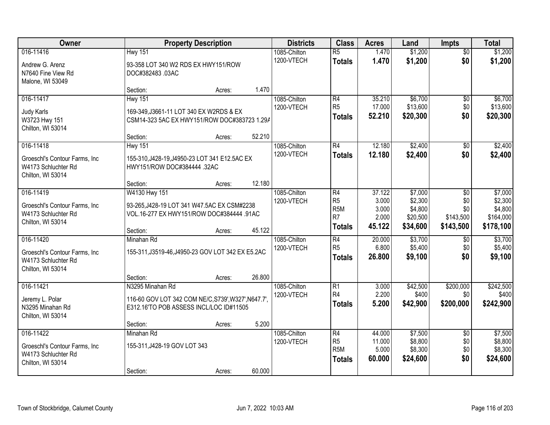| Owner                                                                                   |                                                                                                                       | <b>Property Description</b> |        | <b>Districts</b>           | <b>Class</b>                                             | <b>Acres</b>                        | Land                                       | <b>Impts</b>                         | <b>Total</b>                                 |
|-----------------------------------------------------------------------------------------|-----------------------------------------------------------------------------------------------------------------------|-----------------------------|--------|----------------------------|----------------------------------------------------------|-------------------------------------|--------------------------------------------|--------------------------------------|----------------------------------------------|
| 016-11416<br>Andrew G. Arenz<br>N7640 Fine View Rd<br>Malone, WI 53049                  | <b>Hwy 151</b><br>93-358 LOT 340 W2 RDS EX HWY151/ROW<br>DOC#382483.03AC                                              |                             |        | 1085-Chilton<br>1200-VTECH | $\overline{R5}$<br><b>Totals</b>                         | 1.470<br>1.470                      | \$1,200<br>\$1,200                         | $\overline{50}$<br>\$0               | \$1,200<br>\$1,200                           |
|                                                                                         | Section:                                                                                                              | Acres:                      | 1.470  |                            |                                                          |                                     |                                            |                                      |                                              |
| 016-11417<br>Judy Karls<br>W3723 Hwy 151<br>Chilton, WI 53014                           | <b>Hwy 151</b><br>169-349, J3661-11 LOT 340 EX W2RDS & EX<br>CSM14-323 5AC EX HWY151/ROW DOC#383723 1.29A<br>Section: | Acres:                      | 52.210 | 1085-Chilton<br>1200-VTECH | R4<br>R <sub>5</sub><br><b>Totals</b>                    | 35.210<br>17.000<br>52.210          | \$6,700<br>\$13,600<br>\$20,300            | \$0<br>\$0<br>\$0                    | \$6,700<br>\$13,600<br>\$20,300              |
| 016-11418                                                                               | <b>Hwy 151</b>                                                                                                        |                             |        | 1085-Chilton               | R4                                                       | 12.180                              | \$2,400                                    | \$0                                  | \$2,400                                      |
| Groeschl's Contour Farms, Inc.<br>W4173 Schluchter Rd<br>Chilton, WI 53014              | 155-310, J428-19, J4950-23 LOT 341 E12.5AC EX<br>HWY151/ROW DOC#384444 .32AC<br>Section:                              | Acres:                      | 12.180 | 1200-VTECH                 | <b>Totals</b>                                            | 12.180                              | \$2,400                                    | \$0                                  | \$2,400                                      |
| 016-11419                                                                               | W4130 Hwy 151                                                                                                         |                             |        | 1085-Chilton               | R4                                                       | 37.122                              | \$7,000                                    | $\sqrt{6}$                           | \$7,000                                      |
| Groeschl's Contour Farms, Inc.<br>W4173 Schluchter Rd<br>Chilton, WI 53014              | 93-265, J428-19 LOT 341 W47.5AC EX CSM#2238<br>VOL.16-277 EX HWY151/ROW DOC#384444 .91AC                              |                             |        | 1200-VTECH                 | R5<br>R <sub>5M</sub><br>R7<br><b>Totals</b>             | 3.000<br>3.000<br>2.000<br>45.122   | \$2,300<br>\$4,800<br>\$20,500<br>\$34,600 | \$0<br>\$0<br>\$143,500<br>\$143,500 | \$2,300<br>\$4,800<br>\$164,000<br>\$178,100 |
|                                                                                         | Section:                                                                                                              | Acres:                      | 45.122 |                            |                                                          |                                     |                                            |                                      |                                              |
| 016-11420<br>Groeschl's Contour Farms, Inc.<br>W4173 Schluchter Rd<br>Chilton, WI 53014 | Minahan Rd<br>155-311, J3519-46, J4950-23 GOV LOT 342 EX E5.2AC                                                       |                             |        | 1085-Chilton<br>1200-VTECH | R4<br>R <sub>5</sub><br><b>Totals</b>                    | 20.000<br>6.800<br>26.800           | \$3,700<br>\$5,400<br>\$9,100              | $\overline{50}$<br>\$0<br>\$0        | \$3,700<br>\$5,400<br>\$9,100                |
|                                                                                         | Section:                                                                                                              | Acres:                      | 26.800 |                            |                                                          |                                     |                                            |                                      |                                              |
| 016-11421<br>Jeremy L. Polar<br>N3295 Minahan Rd<br>Chilton, WI 53014                   | N3295 Minahan Rd<br>116-60 GOV LOT 342 COM NE/C, S739', W327', N647.7',<br>E312.16'TO POB ASSESS INCL/LOC ID#11505    |                             |        | 1085-Chilton<br>1200-VTECH | R1<br>R4<br><b>Totals</b>                                | 3.000<br>2.200<br>5.200             | \$42,500<br>\$400<br>\$42,900              | \$200,000<br>\$0<br>\$200,000        | \$242,500<br>\$400<br>\$242,900              |
|                                                                                         | Section:                                                                                                              | Acres:                      | 5.200  |                            |                                                          |                                     |                                            |                                      |                                              |
| 016-11422<br>Groeschl's Contour Farms, Inc.<br>W4173 Schluchter Rd<br>Chilton, WI 53014 | Minahan Rd<br>155-311, J428-19 GOV LOT 343<br>Section:                                                                | Acres:                      | 60.000 | 1085-Chilton<br>1200-VTECH | R4<br>R <sub>5</sub><br>R <sub>5M</sub><br><b>Totals</b> | 44.000<br>11.000<br>5.000<br>60.000 | \$7,500<br>\$8,800<br>\$8,300<br>\$24,600  | $\overline{50}$<br>\$0<br>\$0<br>\$0 | \$7,500<br>\$8,800<br>\$8,300<br>\$24,600    |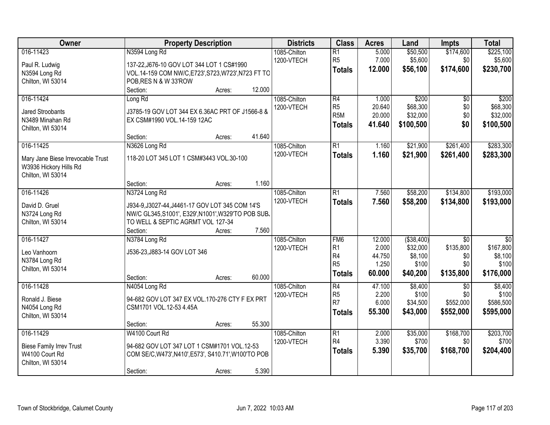| Owner                             | <b>Property Description</b>                          | <b>Districts</b> | <b>Class</b>                     | <b>Acres</b>    | Land             | <b>Impts</b>    | <b>Total</b>     |
|-----------------------------------|------------------------------------------------------|------------------|----------------------------------|-----------------|------------------|-----------------|------------------|
| 016-11423                         | N3594 Long Rd                                        | 1085-Chilton     | $\overline{R1}$                  | 5.000           | \$50,500         | \$174,600       | \$225,100        |
| Paul R. Ludwig                    | 137-22, J676-10 GOV LOT 344 LOT 1 CS#1990            | 1200-VTECH       | R <sub>5</sub>                   | 7.000           | \$5,600          | \$0             | \$5,600          |
| N3594 Long Rd                     | VOL.14-159 COM NW/C, E723', S723, W723', N723 FT TO  |                  | <b>Totals</b>                    | 12.000          | \$56,100         | \$174,600       | \$230,700        |
| Chilton, WI 53014                 | POB, RES N & W 33'ROW                                |                  |                                  |                 |                  |                 |                  |
|                                   | 12.000<br>Section:<br>Acres:                         |                  |                                  |                 |                  |                 |                  |
| 016-11424                         | Long Rd                                              | 1085-Chilton     | R4                               | 1.000           | \$200            | $\overline{50}$ | \$200            |
|                                   |                                                      | 1200-VTECH       | R <sub>5</sub>                   | 20.640          | \$68,300         | \$0             | \$68,300         |
| <b>Jared Stroobants</b>           | J3785-19 GOV LOT 344 EX 6.36AC PRT OF J1566-8 &      |                  | R <sub>5</sub> M                 | 20.000          | \$32,000         | \$0             | \$32,000         |
| N3489 Minahan Rd                  | EX CSM#1990 VOL.14-159 12AC                          |                  | <b>Totals</b>                    | 41.640          | \$100,500        | \$0             | \$100,500        |
| Chilton, WI 53014                 |                                                      |                  |                                  |                 |                  |                 |                  |
|                                   | 41.640<br>Section:<br>Acres:                         |                  |                                  |                 |                  |                 |                  |
| 016-11425                         | N3626 Long Rd                                        | 1085-Chilton     | $\overline{R1}$                  | 1.160           | \$21,900         | \$261,400       | \$283,300        |
| Mary Jane Biese Irrevocable Trust | 118-20 LOT 345 LOT 1 CSM#3443 VOL.30-100             | 1200-VTECH       | <b>Totals</b>                    | 1.160           | \$21,900         | \$261,400       | \$283,300        |
| W3936 Hickory Hills Rd            |                                                      |                  |                                  |                 |                  |                 |                  |
| Chilton, WI 53014                 |                                                      |                  |                                  |                 |                  |                 |                  |
|                                   | 1.160<br>Section:<br>Acres:                          |                  |                                  |                 |                  |                 |                  |
| 016-11426                         | N3724 Long Rd                                        | 1085-Chilton     | $\overline{R1}$                  | 7.560           | \$58,200         | \$134,800       | \$193,000        |
|                                   |                                                      | 1200-VTECH       | <b>Totals</b>                    | 7.560           | \$58,200         | \$134,800       | \$193,000        |
| David D. Gruel                    | J934-9, J3027-44, J4461-17 GOV LOT 345 COM 14'S      |                  |                                  |                 |                  |                 |                  |
| N3724 Long Rd                     | NW/C GL345, S1001', E329', N1001', W329'TO POB SUB.  |                  |                                  |                 |                  |                 |                  |
| Chilton, WI 53014                 | TO WELL & SEPTIC AGRMT VOL 127-34                    |                  |                                  |                 |                  |                 |                  |
|                                   | Section:<br>7.560<br>Acres:                          |                  |                                  |                 |                  |                 |                  |
| 016-11427                         | N3784 Long Rd                                        | 1085-Chilton     | FM <sub>6</sub>                  | 12.000          | ( \$38,400)      | $\overline{50}$ | $\overline{50}$  |
| Leo Vanhoorn                      | J536-23, J883-14 GOV LOT 346                         | 1200-VTECH       | R1                               | 2.000           | \$32,000         | \$135,800       | \$167,800        |
| N3784 Long Rd                     |                                                      |                  | R <sub>4</sub><br>R <sub>5</sub> | 44.750<br>1.250 | \$8,100<br>\$100 | \$0<br>\$0      | \$8,100<br>\$100 |
| Chilton, WI 53014                 |                                                      |                  |                                  |                 |                  |                 |                  |
|                                   | 60.000<br>Section:<br>Acres:                         |                  | <b>Totals</b>                    | 60.000          | \$40,200         | \$135,800       | \$176,000        |
| 016-11428                         | N4054 Long Rd                                        | 1085-Chilton     | $\overline{R4}$                  | 47.100          | \$8,400          | $\sqrt{6}$      | \$8,400          |
| Ronald J. Biese                   | 94-682 GOV LOT 347 EX VOL.170-276 CTY F EX PRT       | 1200-VTECH       | R <sub>5</sub>                   | 2.200           | \$100            | \$0             | \$100            |
| N4054 Long Rd                     | CSM1701 VOL.12-53 4.45A                              |                  | R <sub>7</sub>                   | 6.000           | \$34,500         | \$552,000       | \$586,500        |
| Chilton, WI 53014                 |                                                      |                  | <b>Totals</b>                    | 55.300          | \$43,000         | \$552,000       | \$595,000        |
|                                   | 55.300<br>Section:<br>Acres:                         |                  |                                  |                 |                  |                 |                  |
| 016-11429                         | W4100 Court Rd                                       | 1085-Chilton     | $\overline{R1}$                  | 2.000           | \$35,000         | \$168,700       | \$203,700        |
|                                   |                                                      | 1200-VTECH       | R <sub>4</sub>                   | 3.390           | \$700            | \$0             | \$700            |
| <b>Biese Family Irrev Trust</b>   | 94-682 GOV LOT 347 LOT 1 CSM#1701 VOL.12-53          |                  | <b>Totals</b>                    | 5.390           | \$35,700         | \$168,700       | \$204,400        |
| W4100 Court Rd                    | COM SE/C, W473', N410', E573', S410.71', W100'TO POB |                  |                                  |                 |                  |                 |                  |
| Chilton, WI 53014                 |                                                      |                  |                                  |                 |                  |                 |                  |
|                                   | 5.390<br>Section:<br>Acres:                          |                  |                                  |                 |                  |                 |                  |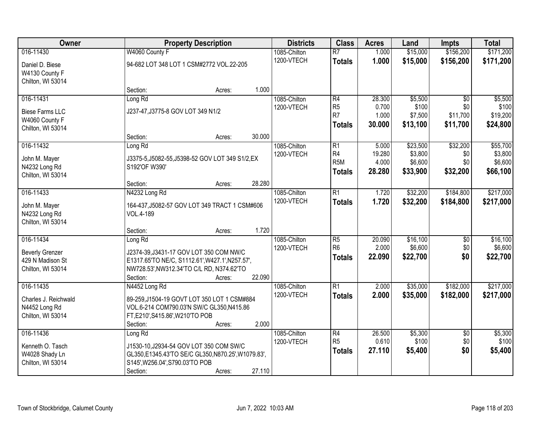| Owner                  | <b>Property Description</b>                      | <b>Districts</b> | <b>Class</b>                     | <b>Acres</b>    | Land               | <b>Impts</b>    | <b>Total</b>       |
|------------------------|--------------------------------------------------|------------------|----------------------------------|-----------------|--------------------|-----------------|--------------------|
| 016-11430              | W4060 County F                                   | 1085-Chilton     | $\overline{R7}$                  | 1.000           | \$15,000           | \$156,200       | \$171,200          |
| Daniel D. Biese        | 94-682 LOT 348 LOT 1 CSM#2772 VOL.22-205         | 1200-VTECH       | <b>Totals</b>                    | 1.000           | \$15,000           | \$156,200       | \$171,200          |
| W4130 County F         |                                                  |                  |                                  |                 |                    |                 |                    |
| Chilton, WI 53014      |                                                  |                  |                                  |                 |                    |                 |                    |
|                        | 1.000<br>Section:<br>Acres:                      |                  |                                  |                 |                    |                 |                    |
| 016-11431              | Long Rd                                          | 1085-Chilton     | R4                               | 28.300          | \$5,500            | $\overline{50}$ | \$5,500            |
| <b>Biese Farms LLC</b> | J237-47, J3775-8 GOV LOT 349 N1/2                | 1200-VTECH       | R <sub>5</sub><br>R <sub>7</sub> | 0.700<br>1.000  | \$100<br>\$7,500   | \$0<br>\$11,700 | \$100<br>\$19,200  |
| W4060 County F         |                                                  |                  | <b>Totals</b>                    | 30.000          | \$13,100           | \$11,700        | \$24,800           |
| Chilton, WI 53014      |                                                  |                  |                                  |                 |                    |                 |                    |
|                        | 30.000<br>Section:<br>Acres:                     |                  |                                  |                 |                    |                 |                    |
| 016-11432              | Long Rd                                          | 1085-Chilton     | R1                               | 5.000           | \$23,500           | \$32,200        | \$55,700           |
| John M. Mayer          | J3375-5, J5082-55, J5398-52 GOV LOT 349 S1/2, EX | 1200-VTECH       | R4<br>R <sub>5M</sub>            | 19.280<br>4.000 | \$3,800<br>\$6,600 | \$0<br>\$0      | \$3,800<br>\$6,600 |
| N4232 Long Rd          | S192'OF W390'                                    |                  |                                  | 28.280          | \$33,900           | \$32,200        | \$66,100           |
| Chilton, WI 53014      |                                                  |                  | Totals                           |                 |                    |                 |                    |
|                        | 28.280<br>Section:<br>Acres:                     |                  |                                  |                 |                    |                 |                    |
| 016-11433              | N4232 Long Rd                                    | 1085-Chilton     | $\overline{R1}$                  | 1.720           | \$32,200           | \$184,800       | \$217,000          |
| John M. Mayer          | 164-437, J5082-57 GOV LOT 349 TRACT 1 CSM#606    | 1200-VTECH       | <b>Totals</b>                    | 1.720           | \$32,200           | \$184,800       | \$217,000          |
| N4232 Long Rd          | VOL.4-189                                        |                  |                                  |                 |                    |                 |                    |
| Chilton, WI 53014      |                                                  |                  |                                  |                 |                    |                 |                    |
|                        | 1.720<br>Section:<br>Acres:                      |                  |                                  |                 |                    |                 |                    |
| 016-11434              | Long Rd                                          | 1085-Chilton     | $\overline{R5}$                  | 20.090          | \$16,100           | \$0             | \$16,100           |
| <b>Beverly Grenzer</b> | J2374-39, J3431-17 GOV LOT 350 COM NW/C          | 1200-VTECH       | R <sub>6</sub>                   | 2.000           | \$6,600            | \$0             | \$6,600            |
| 429 N Madison St       | E1317.65'TO NE/C, S1112.61', W427.1', N257.57',  |                  | <b>Totals</b>                    | 22.090          | \$22,700           | \$0             | \$22,700           |
| Chilton, WI 53014      | NW728.53', NW312.34'TO C/L RD, N374.62'TO        |                  |                                  |                 |                    |                 |                    |
|                        | 22.090<br>Section:<br>Acres:                     |                  |                                  |                 |                    |                 |                    |
| 016-11435              | N4452 Long Rd                                    | 1085-Chilton     | $\overline{\mathsf{R}1}$         | 2.000           | \$35,000           | \$182,000       | \$217,000          |
| Charles J. Reichwald   | 89-259, J1504-19 GOVT LOT 350 LOT 1 CSM#884      | 1200-VTECH       | <b>Totals</b>                    | 2.000           | \$35,000           | \$182,000       | \$217,000          |
| N4452 Long Rd          | VOL.6-214 COM790.03'N SW/C GL350,N415.86         |                  |                                  |                 |                    |                 |                    |
| Chilton, WI 53014      | FT, E210', S415.86', W210'TO POB                 |                  |                                  |                 |                    |                 |                    |
|                        | 2.000<br>Section:<br>Acres:                      |                  |                                  |                 |                    |                 |                    |
| 016-11436              | Long Rd                                          | 1085-Chilton     | R4                               | 26.500          | \$5,300            | $\overline{50}$ | \$5,300            |
| Kenneth O. Tasch       | J1530-10, J2934-54 GOV LOT 350 COM SW/C          | 1200-VTECH       | R <sub>5</sub>                   | 0.610           | \$100              | \$0             | \$100              |
| W4028 Shady Ln         | GL350,E1345.43'TO SE/C GL350,N870.25',W1079.83', |                  | <b>Totals</b>                    | 27.110          | \$5,400            | \$0             | \$5,400            |
| Chilton, WI 53014      | S145', W256.04', S790.03'TO POB                  |                  |                                  |                 |                    |                 |                    |
|                        | 27.110<br>Section:<br>Acres:                     |                  |                                  |                 |                    |                 |                    |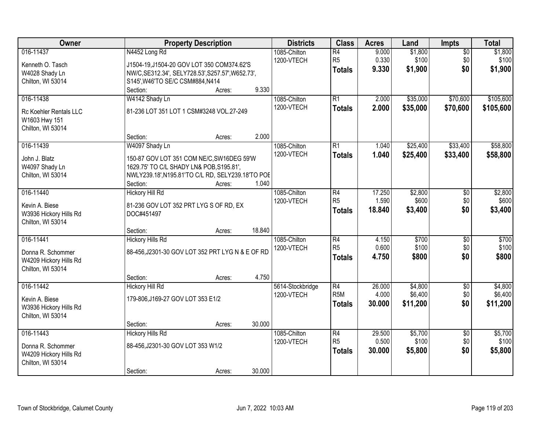| Owner                                       | <b>Property Description</b>                           | <b>Districts</b>           | <b>Class</b>                      | <b>Acres</b>   | Land             | <b>Impts</b>           | <b>Total</b>     |
|---------------------------------------------|-------------------------------------------------------|----------------------------|-----------------------------------|----------------|------------------|------------------------|------------------|
| 016-11437                                   | N4452 Long Rd                                         | 1085-Chilton<br>1200-VTECH | $\overline{R4}$<br>R <sub>5</sub> | 9.000<br>0.330 | \$1,800<br>\$100 | $\overline{50}$<br>\$0 | \$1,800<br>\$100 |
| Kenneth O. Tasch                            | J1504-19, J1504-20 GOV LOT 350 COM374.62'S            |                            | <b>Totals</b>                     | 9.330          | \$1,900          | \$0                    | \$1,900          |
| W4028 Shady Ln                              | NW/C, SE312.34', SELY728.53', S257.57', W652.73',     |                            |                                   |                |                  |                        |                  |
| Chilton, WI 53014                           | S145', W46'TO SE/C CSM#884, N414<br>9.330<br>Section: |                            |                                   |                |                  |                        |                  |
| 016-11438                                   | Acres:<br>W4142 Shady Ln                              | 1085-Chilton               | $\overline{R1}$                   | 2.000          | \$35,000         | \$70,600               | \$105,600        |
|                                             |                                                       | 1200-VTECH                 |                                   | 2.000          |                  |                        |                  |
| Rc Koehler Rentals LLC<br>W1603 Hwy 151     | 81-236 LOT 351 LOT 1 CSM#3248 VOL.27-249              |                            | <b>Totals</b>                     |                | \$35,000         | \$70,600               | \$105,600        |
| Chilton, WI 53014                           |                                                       |                            |                                   |                |                  |                        |                  |
|                                             | 2.000<br>Section:<br>Acres:                           |                            |                                   |                |                  |                        |                  |
| 016-11439                                   | W4097 Shady Ln                                        | 1085-Chilton               | $\overline{R1}$                   | 1.040          | \$25,400         | \$33,400               | \$58,800         |
| John J. Blatz                               | 150-87 GOV LOT 351 COM NE/C, SW16DEG 59'W             | 1200-VTECH                 | <b>Totals</b>                     | 1.040          | \$25,400         | \$33,400               | \$58,800         |
| W4097 Shady Ln                              | 1629.75' TO C/L SHADY LN& POB, S195.81',              |                            |                                   |                |                  |                        |                  |
| Chilton, WI 53014                           | NWLY239.18', N195.81'TO C/L RD, SELY239.18'TO POE     |                            |                                   |                |                  |                        |                  |
|                                             | 1.040<br>Section:<br>Acres:                           |                            |                                   |                |                  |                        |                  |
| 016-11440                                   | <b>Hickory Hill Rd</b>                                | 1085-Chilton               | R4                                | 17.250         | \$2,800          | \$0                    | \$2,800          |
| Kevin A. Biese                              | 81-236 GOV LOT 352 PRT LYG S OF RD, EX                | 1200-VTECH                 | R <sub>5</sub>                    | 1.590          | \$600            | \$0                    | \$600            |
| W3936 Hickory Hills Rd                      | DOC#451497                                            |                            | <b>Totals</b>                     | 18.840         | \$3,400          | \$0                    | \$3,400          |
| Chilton, WI 53014                           |                                                       |                            |                                   |                |                  |                        |                  |
|                                             | 18.840<br>Section:<br>Acres:                          |                            |                                   |                |                  |                        |                  |
| 016-11441                                   | <b>Hickory Hills Rd</b>                               | 1085-Chilton               | $\overline{R4}$                   | 4.150          | \$700            | $\overline{50}$        | \$700            |
|                                             |                                                       | 1200-VTECH                 | R <sub>5</sub>                    | 0.600          | \$100            | \$0                    | \$100            |
| Donna R. Schommer                           | 88-456, J2301-30 GOV LOT 352 PRT LYG N & E OF RD      |                            | <b>Totals</b>                     | 4.750          | \$800            | \$0                    | \$800            |
| W4209 Hickory Hills Rd<br>Chilton, WI 53014 |                                                       |                            |                                   |                |                  |                        |                  |
|                                             | 4.750<br>Section:<br>Acres:                           |                            |                                   |                |                  |                        |                  |
| 016-11442                                   | <b>Hickory Hill Rd</b>                                | 5614-Stockbridge           | $\overline{R4}$                   | 26.000         | \$4,800          | $\overline{50}$        | \$4,800          |
|                                             |                                                       | 1200-VTECH                 | R <sub>5</sub> M                  | 4.000          | \$6,400          | \$0                    | \$6,400          |
| Kevin A. Biese                              | 179-806, J169-27 GOV LOT 353 E1/2                     |                            | <b>Totals</b>                     | 30,000         | \$11,200         | \$0                    | \$11,200         |
| W3936 Hickory Hills Rd                      |                                                       |                            |                                   |                |                  |                        |                  |
| Chilton, WI 53014                           | 30.000<br>Section:                                    |                            |                                   |                |                  |                        |                  |
| 016-11443                                   | Acres:<br><b>Hickory Hills Rd</b>                     | 1085-Chilton               | $\overline{R4}$                   | 29.500         | \$5,700          | $\overline{50}$        | \$5,700          |
|                                             |                                                       | 1200-VTECH                 | R <sub>5</sub>                    | 0.500          | \$100            | \$0                    | \$100            |
| Donna R. Schommer                           | 88-456, J2301-30 GOV LOT 353 W1/2                     |                            | <b>Totals</b>                     | 30.000         | \$5,800          | \$0                    | \$5,800          |
| W4209 Hickory Hills Rd                      |                                                       |                            |                                   |                |                  |                        |                  |
| Chilton, WI 53014                           |                                                       |                            |                                   |                |                  |                        |                  |
|                                             | 30.000<br>Section:<br>Acres:                          |                            |                                   |                |                  |                        |                  |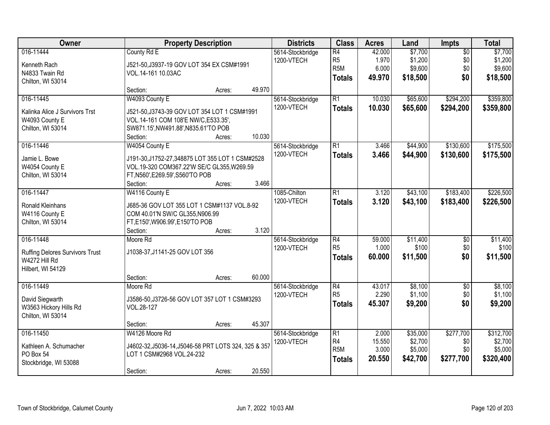| Owner                                                                              |                                                                                                                                                                  | <b>Property Description</b> |        | <b>Districts</b>               | <b>Class</b>                                                           | <b>Acres</b>                       | Land                                       | Impts                                | <b>Total</b>                                 |
|------------------------------------------------------------------------------------|------------------------------------------------------------------------------------------------------------------------------------------------------------------|-----------------------------|--------|--------------------------------|------------------------------------------------------------------------|------------------------------------|--------------------------------------------|--------------------------------------|----------------------------------------------|
| 016-11444<br>Kenneth Rach<br>N4833 Twain Rd<br>Chilton, WI 53014                   | County Rd E<br>J521-50, J3937-19 GOV LOT 354 EX CSM#1991<br>VOL.14-161 10.03AC                                                                                   |                             |        | 5614-Stockbridge<br>1200-VTECH | $\overline{R4}$<br>R <sub>5</sub><br>R <sub>5</sub> M<br><b>Totals</b> | 42.000<br>1.970<br>6.000<br>49.970 | \$7,700<br>\$1,200<br>\$9,600<br>\$18,500  | $\overline{50}$<br>\$0<br>\$0<br>\$0 | \$7,700<br>\$1,200<br>\$9,600<br>\$18,500    |
|                                                                                    | Section:                                                                                                                                                         | Acres:                      | 49.970 |                                |                                                                        |                                    |                                            |                                      |                                              |
| 016-11445<br>Kalinka Alice J Survivors Trst<br>W4093 County E<br>Chilton, WI 53014 | W4093 County E<br>J521-50, J3743-39 GOV LOT 354 LOT 1 CSM#1991<br>VOL.14-161 COM 108'E NW/C, E533.35',<br>SW871.15', NW491.88', N835.61'TO POB                   |                             |        | 5614-Stockbridge<br>1200-VTECH | $\overline{R1}$<br><b>Totals</b>                                       | 10.030<br>10.030                   | \$65,600<br>\$65,600                       | \$294,200<br>\$294,200               | \$359,800<br>\$359,800                       |
|                                                                                    | Section:                                                                                                                                                         | Acres:                      | 10.030 |                                |                                                                        |                                    |                                            |                                      |                                              |
| 016-11446<br>Jamie L. Bowe<br>W4054 County E<br>Chilton, WI 53014                  | W4054 County E<br>J191-30, J1752-27, 348875 LOT 355 LOT 1 CSM#2528<br>VOL.19-320 COM367.22'W SE/C GL355, W269.59<br>FT, N560', E269.59', S560'TO POB<br>Section: | Acres:                      | 3.466  | 5614-Stockbridge<br>1200-VTECH | $\overline{R1}$<br><b>Totals</b>                                       | 3.466<br>3.466                     | \$44,900<br>\$44,900                       | \$130,600<br>\$130,600               | \$175,500<br>\$175,500                       |
| 016-11447                                                                          | W4116 County E                                                                                                                                                   |                             |        | 1085-Chilton                   | $\overline{R1}$                                                        | 3.120                              | \$43,100                                   | \$183,400                            | \$226,500                                    |
| Ronald Kleinhans<br>W4116 County E<br>Chilton, WI 53014                            | J685-36 GOV LOT 355 LOT 1 CSM#1137 VOL.8-92<br>COM 40.01'N SW/C GL355, N906.99<br>FT,E150',W906.99',E150'TO POB<br>Section:                                      | Acres:                      | 3.120  | 1200-VTECH                     | <b>Totals</b>                                                          | 3.120                              | \$43,100                                   | \$183,400                            | \$226,500                                    |
| 016-11448                                                                          | Moore Rd                                                                                                                                                         |                             |        | 5614-Stockbridge               | $\overline{R4}$                                                        | 59.000                             | \$11,400                                   | $\overline{50}$                      | \$11,400                                     |
| <b>Ruffing Delores Survivors Trust</b><br>W4272 Hill Rd<br>Hilbert, WI 54129       | J1038-37, J1141-25 GOV LOT 356                                                                                                                                   |                             |        | 1200-VTECH                     | R <sub>5</sub><br><b>Totals</b>                                        | 1.000<br>60.000                    | \$100<br>\$11,500                          | \$0<br>\$0                           | \$100<br>\$11,500                            |
|                                                                                    | Section:                                                                                                                                                         | Acres:                      | 60.000 |                                |                                                                        |                                    |                                            |                                      |                                              |
| 016-11449<br>David Siegwarth<br>W3563 Hickory Hills Rd<br>Chilton, WI 53014        | Moore Rd<br>J3586-50, J3726-56 GOV LOT 357 LOT 1 CSM#3293<br>VOL.28-127                                                                                          |                             |        | 5614-Stockbridge<br>1200-VTECH | $\overline{R4}$<br>R <sub>5</sub><br><b>Totals</b>                     | 43.017<br>2.290<br>45.307          | \$8,100<br>\$1,100<br>\$9,200              | $\overline{50}$<br>\$0<br>\$0        | \$8,100<br>\$1,100<br>\$9,200                |
|                                                                                    | Section:                                                                                                                                                         | Acres:                      | 45.307 |                                |                                                                        |                                    |                                            |                                      |                                              |
| 016-11450<br>Kathleen A. Schumacher<br>PO Box 54<br>Stockbridge, WI 53088          | W4126 Moore Rd<br>J4602-32, J5036-14, J5046-58 PRT LOTS 324, 325 & 357<br>LOT 1 CSM#2968 VOL.24-232<br>Section:                                                  | Acres:                      | 20.550 | 5614-Stockbridge<br>1200-VTECH | $\overline{R1}$<br>R4<br>R <sub>5</sub> M<br><b>Totals</b>             | 2.000<br>15.550<br>3.000<br>20.550 | \$35,000<br>\$2,700<br>\$5,000<br>\$42,700 | \$277,700<br>\$0<br>\$0<br>\$277,700 | \$312,700<br>\$2,700<br>\$5,000<br>\$320,400 |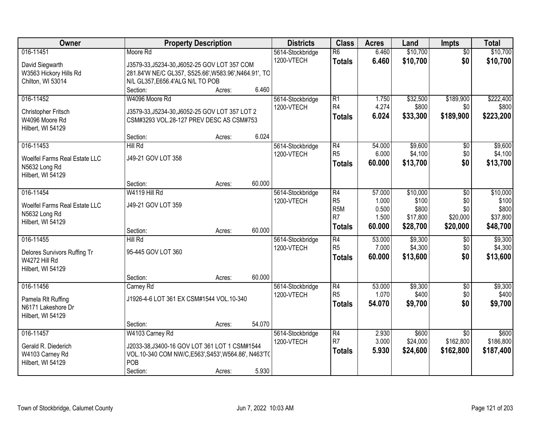| Owner                         |                                                       | <b>Property Description</b> |        | <b>Districts</b> | <b>Class</b>    | <b>Acres</b> | Land     | <b>Impts</b>    | <b>Total</b> |
|-------------------------------|-------------------------------------------------------|-----------------------------|--------|------------------|-----------------|--------------|----------|-----------------|--------------|
| 016-11451                     | Moore Rd                                              |                             |        | 5614-Stockbridge | $\overline{R6}$ | 6.460        | \$10,700 | $\overline{50}$ | \$10,700     |
| David Siegwarth               | J3579-33, J5234-30, J6052-25 GOV LOT 357 COM          |                             |        | 1200-VTECH       | <b>Totals</b>   | 6.460        | \$10,700 | \$0             | \$10,700     |
| W3563 Hickory Hills Rd        | 281.84'W NE/C GL357, S525.66', W583.96', N464.91', TO |                             |        |                  |                 |              |          |                 |              |
| Chilton, WI 53014             | N/L GL357, E656.4'ALG N/L TO POB                      |                             |        |                  |                 |              |          |                 |              |
|                               | Section:                                              | Acres:                      | 6.460  |                  |                 |              |          |                 |              |
| 016-11452                     | W4096 Moore Rd                                        |                             |        | 5614-Stockbridge | R1              | 1.750        | \$32,500 | \$189,900       | \$222,400    |
| Christopher Fritsch           | J3579-33, J5234-30, J6052-25 GOV LOT 357 LOT 2        |                             |        | 1200-VTECH       | R4              | 4.274        | \$800    | \$0             | \$800        |
| W4096 Moore Rd                | CSM#3293 VOL.28-127 PREV DESC AS CSM#753              |                             |        |                  | <b>Totals</b>   | 6.024        | \$33,300 | \$189,900       | \$223,200    |
| Hilbert, WI 54129             |                                                       |                             |        |                  |                 |              |          |                 |              |
|                               | Section:                                              | Acres:                      | 6.024  |                  |                 |              |          |                 |              |
| 016-11453                     | <b>Hill Rd</b>                                        |                             |        | 5614-Stockbridge | R4              | 54.000       | \$9,600  | \$0             | \$9,600      |
| Woelfel Farms Real Estate LLC | J49-21 GOV LOT 358                                    |                             |        | 1200-VTECH       | R <sub>5</sub>  | 6.000        | \$4,100  | \$0             | \$4,100      |
| N5632 Long Rd                 |                                                       |                             |        |                  | <b>Totals</b>   | 60,000       | \$13,700 | \$0             | \$13,700     |
| Hilbert, WI 54129             |                                                       |                             |        |                  |                 |              |          |                 |              |
|                               | Section:                                              | Acres:                      | 60.000 |                  |                 |              |          |                 |              |
| 016-11454                     | W4119 Hill Rd                                         |                             |        | 5614-Stockbridge | R4              | 57.000       | \$10,000 | \$0             | \$10,000     |
| Woelfel Farms Real Estate LLC | J49-21 GOV LOT 359                                    |                             |        | 1200-VTECH       | R5              | 1.000        | \$100    | \$0             | \$100        |
| N5632 Long Rd                 |                                                       |                             |        |                  | R <sub>5M</sub> | 0.500        | \$800    | \$0             | \$800        |
| Hilbert, WI 54129             |                                                       |                             |        |                  | R <sub>7</sub>  | 1.500        | \$17,800 | \$20,000        | \$37,800     |
|                               | Section:                                              | Acres:                      | 60.000 |                  | <b>Totals</b>   | 60.000       | \$28,700 | \$20,000        | \$48,700     |
| 016-11455                     | Hill Rd                                               |                             |        | 5614-Stockbridge | R4              | 53.000       | \$9,300  | \$0             | \$9,300      |
| Delores Survivors Ruffing Tr  | 95-445 GOV LOT 360                                    |                             |        | 1200-VTECH       | R <sub>5</sub>  | 7.000        | \$4,300  | \$0             | \$4,300      |
| W4272 Hill Rd                 |                                                       |                             |        |                  | <b>Totals</b>   | 60.000       | \$13,600 | \$0             | \$13,600     |
| Hilbert, WI 54129             |                                                       |                             |        |                  |                 |              |          |                 |              |
|                               | Section:                                              | Acres:                      | 60.000 |                  |                 |              |          |                 |              |
| 016-11456                     | Carney Rd                                             |                             |        | 5614-Stockbridge | R4              | 53.000       | \$9,300  | $\sqrt{6}$      | \$9,300      |
| Pamela RIt Ruffing            | J1926-4-6 LOT 361 EX CSM#1544 VOL.10-340              |                             |        | 1200-VTECH       | R <sub>5</sub>  | 1.070        | \$400    | \$0             | \$400        |
| N6171 Lakeshore Dr            |                                                       |                             |        |                  | <b>Totals</b>   | 54.070       | \$9,700  | \$0             | \$9,700      |
| Hilbert, WI 54129             |                                                       |                             |        |                  |                 |              |          |                 |              |
|                               | Section:                                              | Acres:                      | 54.070 |                  |                 |              |          |                 |              |
| 016-11457                     | W4103 Carney Rd                                       |                             |        | 5614-Stockbridge | R4              | 2.930        | \$600    | $\overline{30}$ | \$600        |
| Gerald R. Diederich           | J2033-38, J3400-16 GOV LOT 361 LOT 1 CSM#1544         |                             |        | 1200-VTECH       | R7              | 3.000        | \$24,000 | \$162,800       | \$186,800    |
| W4103 Carney Rd               | VOL.10-340 COM NW/C, E563', S453', W564.86', N463'T(  |                             |        |                  | <b>Totals</b>   | 5.930        | \$24,600 | \$162,800       | \$187,400    |
| Hilbert, WI 54129             | POB                                                   |                             |        |                  |                 |              |          |                 |              |
|                               | Section:                                              | Acres:                      | 5.930  |                  |                 |              |          |                 |              |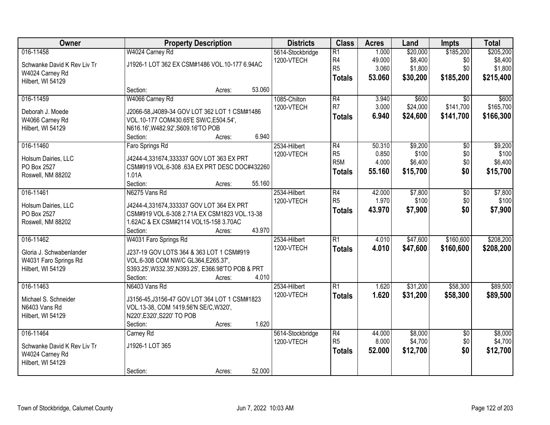| Owner                       |                                                    | <b>Property Description</b> |        | <b>Districts</b> | <b>Class</b>     | <b>Acres</b> | Land     | <b>Impts</b>    | <b>Total</b> |
|-----------------------------|----------------------------------------------------|-----------------------------|--------|------------------|------------------|--------------|----------|-----------------|--------------|
| 016-11458                   | W4024 Carney Rd                                    |                             |        | 5614-Stockbridge | $\overline{R1}$  | 1.000        | \$20,000 | \$185,200       | \$205,200    |
| Schwanke David K Rev Liv Tr | J1926-1 LOT 362 EX CSM#1486 VOL.10-177 6.94AC      |                             |        | 1200-VTECH       | R <sub>4</sub>   | 49.000       | \$8,400  | \$0             | \$8,400      |
| W4024 Carney Rd             |                                                    |                             |        |                  | R <sub>5</sub>   | 3.060        | \$1,800  | \$0             | \$1,800      |
| Hilbert, WI 54129           |                                                    |                             |        |                  | <b>Totals</b>    | 53,060       | \$30,200 | \$185,200       | \$215,400    |
|                             | Section:                                           | Acres:                      | 53.060 |                  |                  |              |          |                 |              |
| 016-11459                   | W4066 Carney Rd                                    |                             |        | 1085-Chilton     | R4               | 3.940        | \$600    | $\overline{30}$ | \$600        |
|                             |                                                    |                             |        | 1200-VTECH       | R <sub>7</sub>   | 3.000        | \$24,000 | \$141,700       | \$165,700    |
| Deborah J. Moede            | J2066-58, J4089-34 GOV LOT 362 LOT 1 CSM#1486      |                             |        |                  | <b>Totals</b>    | 6.940        | \$24,600 | \$141,700       | \$166,300    |
| W4066 Carney Rd             | VOL.10-177 COM430.65'E SW/C,E504.54',              |                             |        |                  |                  |              |          |                 |              |
| Hilbert, WI 54129           | N616.16', W482.92', S609.16'TO POB                 |                             |        |                  |                  |              |          |                 |              |
|                             | Section:                                           | Acres:                      | 6.940  |                  |                  |              |          |                 |              |
| 016-11460                   | Faro Springs Rd                                    |                             |        | 2534-Hilbert     | $\overline{R4}$  | 50.310       | \$9,200  | $\overline{50}$ | \$9,200      |
| Holsum Dairies, LLC         | J4244-4,331674,333337 GOV LOT 363 EX PRT           |                             |        | 1200-VTECH       | R <sub>5</sub>   | 0.850        | \$100    | \$0             | \$100        |
| PO Box 2527                 | CSM#919 VOL.6-308 .63A EX PRT DESC DOC#432260      |                             |        |                  | R <sub>5</sub> M | 4.000        | \$6,400  | \$0             | \$6,400      |
| Roswell, NM 88202           | 1.01A                                              |                             |        |                  | <b>Totals</b>    | 55.160       | \$15,700 | \$0             | \$15,700     |
|                             | Section:                                           | Acres:                      | 55.160 |                  |                  |              |          |                 |              |
| 016-11461                   | N6275 Vans Rd                                      |                             |        | 2534-Hilbert     | R4               | 42.000       | \$7,800  | \$0             | \$7,800      |
|                             |                                                    |                             |        | 1200-VTECH       | R <sub>5</sub>   | 1.970        | \$100    | \$0             | \$100        |
| Holsum Dairies, LLC         | J4244-4,331674,333337 GOV LOT 364 EX PRT           |                             |        |                  | <b>Totals</b>    | 43.970       | \$7,900  | \$0             | \$7,900      |
| PO Box 2527                 | CSM#919 VOL.6-308 2.71A EX CSM1823 VOL.13-38       |                             |        |                  |                  |              |          |                 |              |
| Roswell, NM 88202           | 1.62AC & EX CSM#2114 VOL15-158 3.70AC              |                             |        |                  |                  |              |          |                 |              |
|                             | Section:                                           | Acres:                      | 43.970 |                  |                  |              |          |                 |              |
| 016-11462                   | W4031 Faro Springs Rd                              |                             |        | 2534-Hilbert     | $\overline{R1}$  | 4.010        | \$47,600 | \$160,600       | \$208,200    |
| Gloria J. Schwabenlander    | J237-19 GOV LOTS 364 & 363 LOT 1 CSM#919           |                             |        | 1200-VTECH       | <b>Totals</b>    | 4.010        | \$47,600 | \$160,600       | \$208,200    |
| W4031 Faro Springs Rd       | VOL.6-308 COM NW/C GL364, E265.37',                |                             |        |                  |                  |              |          |                 |              |
| Hilbert, WI 54129           | S393.25', W332.35', N393.25', E366.98'TO POB & PRT |                             |        |                  |                  |              |          |                 |              |
|                             | Section:                                           | Acres:                      | 4.010  |                  |                  |              |          |                 |              |
| 016-11463                   | N6403 Vans Rd                                      |                             |        | 2534-Hilbert     | $\overline{R1}$  | 1.620        | \$31,200 | \$58,300        | \$89,500     |
| Michael S. Schneider        | J3156-45, J3156-47 GOV LOT 364 LOT 1 CSM#1823      |                             |        | 1200-VTECH       | <b>Totals</b>    | 1.620        | \$31,200 | \$58,300        | \$89,500     |
| N6403 Vans Rd               | VOL.13-38, COM 1419.56'N SE/C, W320',              |                             |        |                  |                  |              |          |                 |              |
| Hilbert, WI 54129           | N220', E320', S220' TO POB                         |                             |        |                  |                  |              |          |                 |              |
|                             | Section:                                           | Acres:                      | 1.620  |                  |                  |              |          |                 |              |
| 016-11464                   | Carney Rd                                          |                             |        | 5614-Stockbridge | $\overline{R4}$  | 44.000       | \$8,000  | $\overline{50}$ | \$8,000      |
|                             |                                                    |                             |        | 1200-VTECH       | R <sub>5</sub>   | 8.000        | \$4,700  | \$0             | \$4,700      |
| Schwanke David K Rev Liv Tr | J1926-1 LOT 365                                    |                             |        |                  | <b>Totals</b>    | 52.000       | \$12,700 | \$0             | \$12,700     |
| W4024 Carney Rd             |                                                    |                             |        |                  |                  |              |          |                 |              |
| Hilbert, WI 54129           |                                                    |                             |        |                  |                  |              |          |                 |              |
|                             | Section:                                           | Acres:                      | 52.000 |                  |                  |              |          |                 |              |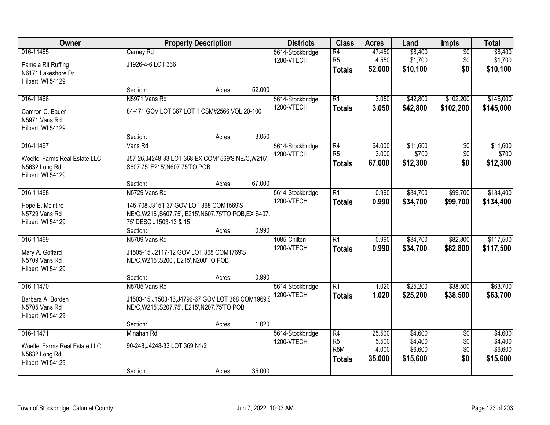| Owner                            |                                                                                    | <b>Property Description</b> |        | <b>Districts</b> | <b>Class</b>    | <b>Acres</b> | Land     | <b>Impts</b>    | <b>Total</b> |
|----------------------------------|------------------------------------------------------------------------------------|-----------------------------|--------|------------------|-----------------|--------------|----------|-----------------|--------------|
| 016-11465                        | Carney Rd                                                                          |                             |        | 5614-Stockbridge | $\overline{R4}$ | 47.450       | \$8,400  | $\overline{50}$ | \$8,400      |
| Pamela RIt Ruffing               | J1926-4-6 LOT 366                                                                  |                             |        | 1200-VTECH       | R <sub>5</sub>  | 4.550        | \$1,700  | \$0             | \$1,700      |
| N6171 Lakeshore Dr               |                                                                                    |                             |        |                  | <b>Totals</b>   | 52.000       | \$10,100 | \$0             | \$10,100     |
| Hilbert, WI 54129                |                                                                                    |                             |        |                  |                 |              |          |                 |              |
|                                  | Section:                                                                           | Acres:                      | 52.000 |                  |                 |              |          |                 |              |
| 016-11466                        | N5971 Vans Rd                                                                      |                             |        | 5614-Stockbridge | $\overline{R1}$ | 3.050        | \$42,800 | \$102,200       | \$145,000    |
| Camron C. Bauer                  | 84-471 GOV LOT 367 LOT 1 CSM#2566 VOL.20-100                                       |                             |        | 1200-VTECH       | <b>Totals</b>   | 3.050        | \$42,800 | \$102,200       | \$145,000    |
| N5971 Vans Rd                    |                                                                                    |                             |        |                  |                 |              |          |                 |              |
| Hilbert, WI 54129                |                                                                                    |                             |        |                  |                 |              |          |                 |              |
|                                  | Section:                                                                           | Acres:                      | 3.050  |                  |                 |              |          |                 |              |
| 016-11467                        | Vans Rd                                                                            |                             |        | 5614-Stockbridge | R4              | 64.000       | \$11,600 | $\overline{50}$ | \$11,600     |
| Woelfel Farms Real Estate LLC    | J57-26, J4248-33 LOT 368 EX COM1569'S NE/C, W215',                                 |                             |        | 1200-VTECH       | R <sub>5</sub>  | 3.000        | \$700    | \$0             | \$700        |
| N5632 Long Rd                    | S607.75', E215', N607.75'TO POB                                                    |                             |        |                  | <b>Totals</b>   | 67,000       | \$12,300 | \$0             | \$12,300     |
| Hilbert, WI 54129                |                                                                                    |                             |        |                  |                 |              |          |                 |              |
|                                  | Section:                                                                           | Acres:                      | 67.000 |                  |                 |              |          |                 |              |
| 016-11468                        | N5729 Vans Rd                                                                      |                             |        | 5614-Stockbridge | $\overline{R1}$ | 0.990        | \$34,700 | \$99,700        | \$134,400    |
| Hope E. Mcintire                 | 145-708, J3151-37 GOV LOT 368 COM1569'S                                            |                             |        | 1200-VTECH       | <b>Totals</b>   | 0.990        | \$34,700 | \$99,700        | \$134,400    |
| N5729 Vans Rd                    | NE/C, W215', S607.75', E215', N607.75'TO POB, EX S407.                             |                             |        |                  |                 |              |          |                 |              |
| Hilbert, WI 54129                | 75' DESC J1503-13 & 15                                                             |                             |        |                  |                 |              |          |                 |              |
|                                  | Section:                                                                           | Acres:                      | 0.990  |                  |                 |              |          |                 |              |
| 016-11469                        | N5709 Vans Rd                                                                      |                             |        | 1085-Chilton     | $\overline{R1}$ | 0.990        | \$34,700 | \$82,800        | \$117,500    |
|                                  |                                                                                    |                             |        | 1200-VTECH       | <b>Totals</b>   | 0.990        | \$34,700 | \$82,800        | \$117,500    |
| Mary A. Goffard<br>N5709 Vans Rd | J1505-15, J2117-12 GOV LOT 368 COM1769'S<br>NE/C, W215', S200', E215', N200'TO POB |                             |        |                  |                 |              |          |                 |              |
| Hilbert, WI 54129                |                                                                                    |                             |        |                  |                 |              |          |                 |              |
|                                  | Section:                                                                           | Acres:                      | 0.990  |                  |                 |              |          |                 |              |
| 016-11470                        | N5705 Vans Rd                                                                      |                             |        | 5614-Stockbridge | R1              | 1.020        | \$25,200 | \$38,500        | \$63,700     |
| Barbara A. Borden                | J1503-15.J1503-16.J4796-67 GOV LOT 368 COM1969'S                                   |                             |        | 1200-VTECH       | <b>Totals</b>   | 1.020        | \$25,200 | \$38,500        | \$63,700     |
| N5705 Vans Rd                    | NE/C, W215', S207.75', E215', N207.75'TO POB                                       |                             |        |                  |                 |              |          |                 |              |
| Hilbert, WI 54129                |                                                                                    |                             |        |                  |                 |              |          |                 |              |
|                                  | Section:                                                                           | Acres:                      | 1.020  |                  |                 |              |          |                 |              |
| 016-11471                        | Minahan Rd                                                                         |                             |        | 5614-Stockbridge | R4              | 25.500       | \$4,600  | $\overline{50}$ | \$4,600      |
| Woelfel Farms Real Estate LLC    | 90-248, J4248-33 LOT 369, N1/2                                                     |                             |        | 1200-VTECH       | R <sub>5</sub>  | 5.500        | \$4,400  | \$0             | \$4,400      |
| N5632 Long Rd                    |                                                                                    |                             |        |                  | R <sub>5M</sub> | 4.000        | \$6,600  | \$0             | \$6,600      |
| Hilbert, WI 54129                |                                                                                    |                             |        |                  | <b>Totals</b>   | 35.000       | \$15,600 | \$0             | \$15,600     |
|                                  | Section:                                                                           | Acres:                      | 35.000 |                  |                 |              |          |                 |              |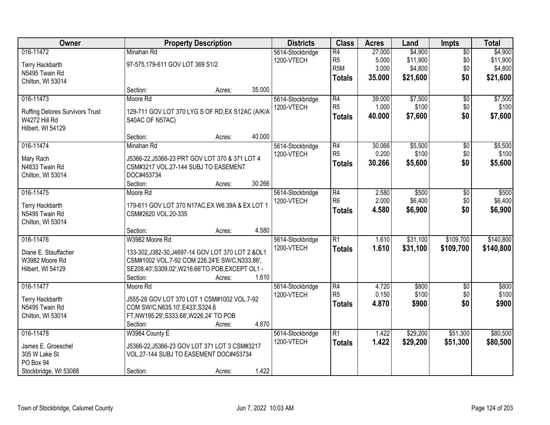| Owner                                  |                                                    | <b>Property Description</b> |        | <b>Districts</b> | <b>Class</b>    | <b>Acres</b> | Land     | <b>Impts</b>    | <b>Total</b> |
|----------------------------------------|----------------------------------------------------|-----------------------------|--------|------------------|-----------------|--------------|----------|-----------------|--------------|
| 016-11472                              | Minahan Rd                                         |                             |        | 5614-Stockbridge | R4              | 27.000       | \$4,900  | $\overline{50}$ | \$4,900      |
| Terry Hackbarth                        | 97-575,179-611 GOV LOT 369 S1/2                    |                             |        | 1200-VTECH       | R <sub>5</sub>  | 5.000        | \$11,900 | \$0             | \$11,900     |
| N5495 Twain Rd                         |                                                    |                             |        |                  | R <sub>5M</sub> | 3.000        | \$4,800  | \$0             | \$4,800      |
| Chilton, WI 53014                      |                                                    |                             |        |                  | <b>Totals</b>   | 35.000       | \$21,600 | \$0             | \$21,600     |
|                                        | Section:                                           | Acres:                      | 35.000 |                  |                 |              |          |                 |              |
| 016-11473                              | Moore Rd                                           |                             |        | 5614-Stockbridge | R4              | 39.000       | \$7,500  | $\overline{50}$ | \$7,500      |
|                                        |                                                    |                             |        | 1200-VTECH       | R <sub>5</sub>  | 1.000        | \$100    | \$0             | \$100        |
| <b>Ruffing Delores Survivors Trust</b> | 129-711 GOV LOT 370 LYG S OF RD, EX S12AC (A/K/A   |                             |        |                  | <b>Totals</b>   | 40.000       | \$7,600  | \$0             | \$7,600      |
| W4272 Hill Rd                          | S40AC OF N57AC)                                    |                             |        |                  |                 |              |          |                 |              |
| Hilbert, WI 54129                      |                                                    |                             |        |                  |                 |              |          |                 |              |
|                                        | Section:                                           | Acres:                      | 40.000 |                  |                 |              |          |                 |              |
| 016-11474                              | Minahan Rd                                         |                             |        | 5614-Stockbridge | R4              | 30.066       | \$5,500  | $\overline{50}$ | \$5,500      |
| Mary Rach                              | J5366-22, J5366-23 PRT GOV LOT 370 & 371 LOT 4     |                             |        | 1200-VTECH       | R <sub>5</sub>  | 0.200        | \$100    | \$0             | \$100        |
| N4833 Twain Rd                         | CSM#3217 VOL.27-144 SUBJ TO EASEMENT               |                             |        |                  | <b>Totals</b>   | 30.266       | \$5,600  | \$0             | \$5,600      |
| Chilton, WI 53014                      | DOC#453734                                         |                             |        |                  |                 |              |          |                 |              |
|                                        | Section:                                           | Acres:                      | 30.266 |                  |                 |              |          |                 |              |
| 016-11475                              | Moore Rd                                           |                             |        | 5614-Stockbridge | R4              | 2.580        | \$500    | \$0             | \$500        |
| Terry Hackbarth                        | 179-611 GOV LOT 370 N17AC, EX W6.39A & EX LOT 1    |                             |        | 1200-VTECH       | R <sub>6</sub>  | 2.000        | \$6,400  | \$0             | \$6,400      |
| N5495 Twain Rd                         | CSM#2620 VOL.20-335                                |                             |        |                  | <b>Totals</b>   | 4.580        | \$6,900  | \$0             | \$6,900      |
| Chilton, WI 53014                      |                                                    |                             |        |                  |                 |              |          |                 |              |
|                                        | Section:                                           | Acres:                      | 4.580  |                  |                 |              |          |                 |              |
| 016-11476                              | W3982 Moore Rd                                     |                             |        | 5614-Stockbridge | $\overline{R1}$ | 1.610        | \$31,100 | \$109,700       | \$140,800    |
|                                        |                                                    |                             |        | 1200-VTECH       | Totals          | 1.610        | \$31,100 | \$109,700       | \$140,800    |
| Diane E. Stauffacher                   | 133-302, J382-30, J4697-14 GOV LOT 370 LOT 2 & OL1 |                             |        |                  |                 |              |          |                 |              |
| W3982 Moore Rd                         | CSM#1002 VOL.7-92 COM 226.24'E SW/C, N333.86',     |                             |        |                  |                 |              |          |                 |              |
| Hilbert, WI 54129                      | SE208.40', S309.02', W216.66'TO POB, EXCEPT OL1 -  |                             |        |                  |                 |              |          |                 |              |
|                                        | Section:                                           | Acres:                      | 1.610  |                  |                 |              |          |                 |              |
| 016-11477                              | Moore Rd                                           |                             |        | 5614-Stockbridge | R4              | 4.720        | \$800    | $\overline{50}$ | \$800        |
| Terry Hackbarth                        | J555-28 GOV LOT 370 LOT 1 CSM#1002 VOL.7-92        |                             |        | 1200-VTECH       | R <sub>5</sub>  | 0.150        | \$100    | \$0             | \$100        |
| N5495 Twain Rd                         | COM SW/C, N635.10', E433', S324.6                  |                             |        |                  | <b>Totals</b>   | 4.870        | \$900    | \$0             | \$900        |
| Chilton, WI 53014                      | FT, NW195.29', S333.68', W226.24' TO POB           |                             |        |                  |                 |              |          |                 |              |
|                                        | Section:                                           | Acres:                      | 4.870  |                  |                 |              |          |                 |              |
| 016-11478                              | W3984 County E                                     |                             |        | 5614-Stockbridge | R1              | 1.422        | \$29,200 | \$51,300        | \$80,500     |
| James E. Groeschel                     | J5366-22, J5366-23 GOV LOT 371 LOT 3 CSM#3217      |                             |        | 1200-VTECH       | <b>Totals</b>   | 1.422        | \$29,200 | \$51,300        | \$80,500     |
| 305 W Lake St                          | VOL.27-144 SUBJ TO EASEMENT DOC#453734             |                             |        |                  |                 |              |          |                 |              |
| PO Box 94                              |                                                    |                             |        |                  |                 |              |          |                 |              |
| Stockbridge, WI 53088                  | Section:                                           | Acres:                      | 1.422  |                  |                 |              |          |                 |              |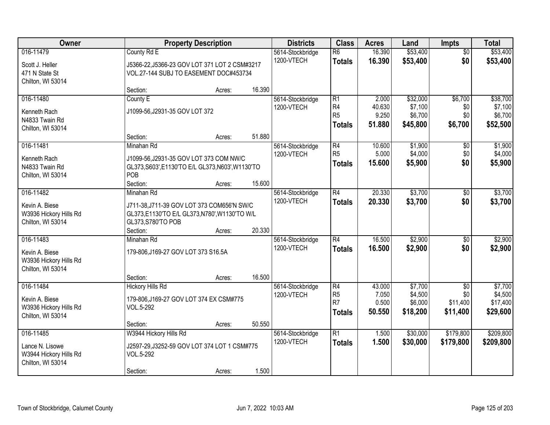| 016-11479<br>$\overline{R6}$<br>16.390<br>County Rd E<br>5614-Stockbridge<br>$\overline{50}$<br>\$0<br>1200-VTECH<br>16.390<br>\$53,400<br><b>Totals</b><br>Scott J. Heller<br>J5366-22, J5366-23 GOV LOT 371 LOT 2 CSM#3217<br>471 N State St<br>VOL.27-144 SUBJ TO EASEMENT DOC#453734<br>Chilton, WI 53014<br>16.390<br>Section:<br>Acres:<br>016-11480<br>R1<br>\$32,000<br>\$6,700<br>County E<br>5614-Stockbridge<br>2.000<br>R4<br>40.630<br>\$7,100<br>1200-VTECH<br>\$0<br>J1099-56, J2931-35 GOV LOT 372<br>Kenneth Rach<br>R <sub>5</sub><br>\$6,700<br>9.250<br>\$0<br>N4833 Twain Rd |  | <b>Property Description</b> | <b>Districts</b> | <b>Class</b>  | <b>Acres</b> | Land     | <b>Impts</b> | <b>Total</b> |
|---------------------------------------------------------------------------------------------------------------------------------------------------------------------------------------------------------------------------------------------------------------------------------------------------------------------------------------------------------------------------------------------------------------------------------------------------------------------------------------------------------------------------------------------------------------------------------------------------|--|-----------------------------|------------------|---------------|--------------|----------|--------------|--------------|
|                                                                                                                                                                                                                                                                                                                                                                                                                                                                                                                                                                                                   |  |                             |                  |               |              | \$53,400 |              | \$53,400     |
|                                                                                                                                                                                                                                                                                                                                                                                                                                                                                                                                                                                                   |  |                             |                  |               |              |          |              | \$53,400     |
|                                                                                                                                                                                                                                                                                                                                                                                                                                                                                                                                                                                                   |  |                             |                  |               |              |          |              |              |
|                                                                                                                                                                                                                                                                                                                                                                                                                                                                                                                                                                                                   |  |                             |                  |               |              |          |              |              |
|                                                                                                                                                                                                                                                                                                                                                                                                                                                                                                                                                                                                   |  |                             |                  |               |              |          |              |              |
|                                                                                                                                                                                                                                                                                                                                                                                                                                                                                                                                                                                                   |  |                             |                  |               |              |          |              | \$38,700     |
|                                                                                                                                                                                                                                                                                                                                                                                                                                                                                                                                                                                                   |  |                             |                  |               |              |          |              | \$7,100      |
|                                                                                                                                                                                                                                                                                                                                                                                                                                                                                                                                                                                                   |  |                             |                  |               |              |          |              | \$6,700      |
| Chilton, WI 53014                                                                                                                                                                                                                                                                                                                                                                                                                                                                                                                                                                                 |  |                             |                  | <b>Totals</b> | 51.880       | \$45,800 | \$6,700      | \$52,500     |
| 51.880<br>Section:<br>Acres:                                                                                                                                                                                                                                                                                                                                                                                                                                                                                                                                                                      |  |                             |                  |               |              |          |              |              |
| \$1,900<br>016-11481<br>R4<br>10.600<br>\$0<br>Minahan Rd<br>5614-Stockbridge                                                                                                                                                                                                                                                                                                                                                                                                                                                                                                                     |  |                             |                  |               |              |          |              | \$1,900      |
| R <sub>5</sub><br>5.000<br>\$4,000<br>1200-VTECH<br>\$0<br>Kenneth Rach<br>J1099-56, J2931-35 GOV LOT 373 COM NW/C                                                                                                                                                                                                                                                                                                                                                                                                                                                                                |  |                             |                  |               |              |          |              | \$4,000      |
| 15.600<br>\$5,900<br>\$0<br><b>Totals</b><br>GL373, S603', E1130'TO E/L GL373, N603', W1130'TO<br>N4833 Twain Rd                                                                                                                                                                                                                                                                                                                                                                                                                                                                                  |  |                             |                  |               |              |          |              | \$5,900      |
| POB<br>Chilton, WI 53014                                                                                                                                                                                                                                                                                                                                                                                                                                                                                                                                                                          |  |                             |                  |               |              |          |              |              |
| 15.600<br>Section:<br>Acres:                                                                                                                                                                                                                                                                                                                                                                                                                                                                                                                                                                      |  |                             |                  |               |              |          |              |              |
| 016-11482<br>20.330<br>\$3,700<br>R4<br>Minahan Rd<br>5614-Stockbridge<br>$\sqrt[6]{3}$                                                                                                                                                                                                                                                                                                                                                                                                                                                                                                           |  |                             |                  |               |              |          |              | \$3,700      |
| \$0<br>1200-VTECH<br>20.330<br>\$3,700<br><b>Totals</b><br>Kevin A. Biese<br>J711-38, J711-39 GOV LOT 373 COM656'N SW/C                                                                                                                                                                                                                                                                                                                                                                                                                                                                           |  |                             |                  |               |              |          |              | \$3,700      |
| W3936 Hickory Hills Rd<br>GL373,E1130'TO E/L GL373,N780',W1130'TO W/L                                                                                                                                                                                                                                                                                                                                                                                                                                                                                                                             |  |                             |                  |               |              |          |              |              |
| GL373, S780'TO POB<br>Chilton, WI 53014                                                                                                                                                                                                                                                                                                                                                                                                                                                                                                                                                           |  |                             |                  |               |              |          |              |              |
| 20.330<br>Section:<br>Acres:                                                                                                                                                                                                                                                                                                                                                                                                                                                                                                                                                                      |  |                             |                  |               |              |          |              |              |
| \$2,900<br>016-11483<br>R4<br>16.500<br>Minahan Rd<br>$\overline{50}$<br>5614-Stockbridge                                                                                                                                                                                                                                                                                                                                                                                                                                                                                                         |  |                             |                  |               |              |          |              | \$2,900      |
| 1200-VTECH<br>16,500<br>\$2,900<br>\$0<br><b>Totals</b>                                                                                                                                                                                                                                                                                                                                                                                                                                                                                                                                           |  |                             |                  |               |              |          |              | \$2,900      |
| 179-806, J169-27 GOV LOT 373 S16.5A<br>Kevin A. Biese<br>W3936 Hickory Hills Rd                                                                                                                                                                                                                                                                                                                                                                                                                                                                                                                   |  |                             |                  |               |              |          |              |              |
| Chilton, WI 53014                                                                                                                                                                                                                                                                                                                                                                                                                                                                                                                                                                                 |  |                             |                  |               |              |          |              |              |
| 16.500<br>Section:<br>Acres:                                                                                                                                                                                                                                                                                                                                                                                                                                                                                                                                                                      |  |                             |                  |               |              |          |              |              |
| R4<br>\$7,700<br>016-11484<br>43.000<br>$\overline{50}$<br><b>Hickory Hills Rd</b><br>5614-Stockbridge                                                                                                                                                                                                                                                                                                                                                                                                                                                                                            |  |                             |                  |               |              |          |              | \$7,700      |
| R <sub>5</sub><br>\$4,500<br>7.050<br>\$0<br>1200-VTECH                                                                                                                                                                                                                                                                                                                                                                                                                                                                                                                                           |  |                             |                  |               |              |          |              | \$4,500      |
| Kevin A. Biese<br>179-806, J169-27 GOV LOT 374 EX CSM#775<br>R7<br>0.500<br>\$6,000<br>\$11,400                                                                                                                                                                                                                                                                                                                                                                                                                                                                                                   |  |                             |                  |               |              |          |              | \$17,400     |
| W3936 Hickory Hills Rd<br>VOL.5-292<br>\$18,200<br>50.550<br>\$11,400<br><b>Totals</b><br>Chilton, WI 53014                                                                                                                                                                                                                                                                                                                                                                                                                                                                                       |  |                             |                  |               |              |          |              | \$29,600     |
| 50.550<br>Section:<br>Acres:                                                                                                                                                                                                                                                                                                                                                                                                                                                                                                                                                                      |  |                             |                  |               |              |          |              |              |
| 016-11485<br>W3944 Hickory Hills Rd<br>$\overline{R1}$<br>\$30,000<br>\$179,800<br>5614-Stockbridge<br>1.500                                                                                                                                                                                                                                                                                                                                                                                                                                                                                      |  |                             |                  |               |              |          |              | \$209,800    |
| 1200-VTECH<br>1.500<br>\$30,000<br>\$179,800<br><b>Totals</b>                                                                                                                                                                                                                                                                                                                                                                                                                                                                                                                                     |  |                             |                  |               |              |          |              | \$209,800    |
| J2597-29, J3252-59 GOV LOT 374 LOT 1 CSM#775<br>Lance N. Lisowe                                                                                                                                                                                                                                                                                                                                                                                                                                                                                                                                   |  |                             |                  |               |              |          |              |              |
| W3944 Hickory Hills Rd<br>VOL.5-292<br>Chilton, WI 53014                                                                                                                                                                                                                                                                                                                                                                                                                                                                                                                                          |  |                             |                  |               |              |          |              |              |
| 1.500<br>Section:<br>Acres:                                                                                                                                                                                                                                                                                                                                                                                                                                                                                                                                                                       |  |                             |                  |               |              |          |              |              |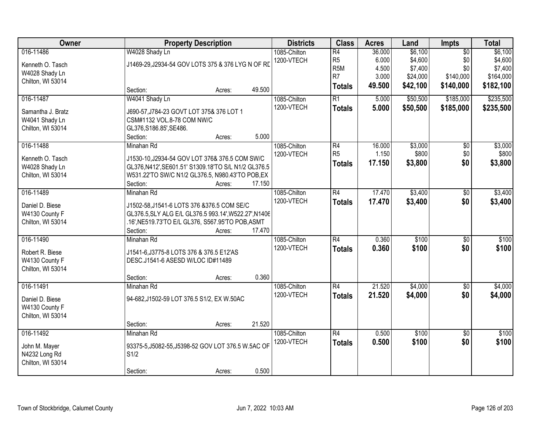| Owner             | <b>Property Description</b>                                            |                  | <b>Districts</b> | <b>Class</b>     | <b>Acres</b> | Land     | <b>Impts</b>    | <b>Total</b> |
|-------------------|------------------------------------------------------------------------|------------------|------------------|------------------|--------------|----------|-----------------|--------------|
| 016-11486         | W4028 Shady Ln                                                         |                  | 1085-Chilton     | $\overline{R4}$  | 36.000       | \$6,100  | $\overline{50}$ | \$6,100      |
| Kenneth O. Tasch  | J1469-29, J2934-54 GOV LOTS 375 & 376 LYG N OF RD                      |                  | 1200-VTECH       | R <sub>5</sub>   | 6.000        | \$4,600  | \$0             | \$4,600      |
| W4028 Shady Ln    |                                                                        |                  |                  | R <sub>5</sub> M | 4.500        | \$7,400  | \$0             | \$7,400      |
| Chilton, WI 53014 |                                                                        |                  |                  | R <sub>7</sub>   | 3.000        | \$24,000 | \$140,000       | \$164,000    |
|                   | Section:                                                               | 49.500<br>Acres: |                  | <b>Totals</b>    | 49.500       | \$42,100 | \$140,000       | \$182,100    |
| 016-11487         | W4041 Shady Ln                                                         |                  | 1085-Chilton     | $\overline{R1}$  | 5.000        | \$50,500 | \$185,000       | \$235,500    |
|                   |                                                                        |                  | 1200-VTECH       | <b>Totals</b>    | 5.000        | \$50,500 | \$185,000       | \$235,500    |
| Samantha J. Bratz | J690-57, J784-23 GOVT LOT 375& 376 LOT 1<br>CSM#1132 VOL.8-78 COM NW/C |                  |                  |                  |              |          |                 |              |
| W4041 Shady Ln    |                                                                        |                  |                  |                  |              |          |                 |              |
| Chilton, WI 53014 | GL376, S186.85', SE486.<br>Section:                                    | Acres:           | 5.000            |                  |              |          |                 |              |
| 016-11488         | Minahan Rd                                                             |                  | 1085-Chilton     | R4               | 16.000       | \$3,000  | $\overline{50}$ | \$3,000      |
|                   |                                                                        |                  |                  | R <sub>5</sub>   | 1.150        | \$800    | \$0             | \$800        |
| Kenneth O. Tasch  | J1530-10, J2934-54 GOV LOT 376& 376.5 COM SW/C                         |                  | 1200-VTECH       |                  |              |          |                 |              |
| W4028 Shady Ln    | GL376, N412', SE601.51' S1309.18'TO S/L N1/2 GL376.5                   |                  |                  | <b>Totals</b>    | 17.150       | \$3,800  | \$0             | \$3,800      |
| Chilton, WI 53014 | W531.22'TO SW/C N1/2 GL376.5, N980.43'TO POB,EX                        |                  |                  |                  |              |          |                 |              |
|                   | Section:                                                               | 17.150<br>Acres: |                  |                  |              |          |                 |              |
| 016-11489         | Minahan Rd                                                             |                  | 1085-Chilton     | $\overline{R4}$  | 17.470       | \$3,400  | \$0             | \$3,400      |
| Daniel D. Biese   | J1502-58, J1541-6 LOTS 376 & 376.5 COM SE/C                            |                  | 1200-VTECH       | <b>Totals</b>    | 17.470       | \$3,400  | \$0             | \$3,400      |
| W4130 County F    | GL376.5, SLY ALG E/L GL376.5 993.14', W522.27', N1406                  |                  |                  |                  |              |          |                 |              |
| Chilton, WI 53014 | .16', NE519.73'TO E/L GL376, S567.95'TO POB, ASMT                      |                  |                  |                  |              |          |                 |              |
|                   | Section:                                                               | 17.470<br>Acres: |                  |                  |              |          |                 |              |
| 016-11490         | Minahan Rd                                                             |                  | 1085-Chilton     | $\overline{R4}$  | 0.360        | \$100    | $\overline{50}$ | \$100        |
|                   |                                                                        |                  | 1200-VTECH       |                  |              |          |                 |              |
| Robert R. Biese   | J1541-6, J3775-8 LOTS 376 & 376.5 E12'AS                               |                  |                  | <b>Totals</b>    | 0.360        | \$100    | \$0             | \$100        |
| W4130 County F    | DESC.J1541-6 ASESD W/LOC ID#11489                                      |                  |                  |                  |              |          |                 |              |
| Chilton, WI 53014 |                                                                        |                  |                  |                  |              |          |                 |              |
|                   | Section:                                                               | Acres:           | 0.360            |                  |              |          |                 |              |
| 016-11491         | Minahan Rd                                                             |                  | 1085-Chilton     | $\overline{R4}$  | 21.520       | \$4,000  | $\overline{60}$ | \$4,000      |
| Daniel D. Biese   | 94-682, J1502-59 LOT 376.5 S1/2, EX W.50AC                             |                  | 1200-VTECH       | <b>Totals</b>    | 21.520       | \$4,000  | \$0             | \$4,000      |
| W4130 County F    |                                                                        |                  |                  |                  |              |          |                 |              |
| Chilton, WI 53014 |                                                                        |                  |                  |                  |              |          |                 |              |
|                   | Section:                                                               | 21.520<br>Acres: |                  |                  |              |          |                 |              |
| 016-11492         | Minahan Rd                                                             |                  | 1085-Chilton     | $\overline{R4}$  | 0.500        | \$100    | $\overline{30}$ | \$100        |
|                   |                                                                        |                  | 1200-VTECH       | <b>Totals</b>    | 0.500        | \$100    | \$0             | \$100        |
| John M. Mayer     | 93375-5, J5082-55, J5398-52 GOV LOT 376.5 W.5AC OF                     |                  |                  |                  |              |          |                 |              |
| N4232 Long Rd     | S1/2                                                                   |                  |                  |                  |              |          |                 |              |
| Chilton, WI 53014 |                                                                        |                  |                  |                  |              |          |                 |              |
|                   | Section:                                                               | Acres:           | 0.500            |                  |              |          |                 |              |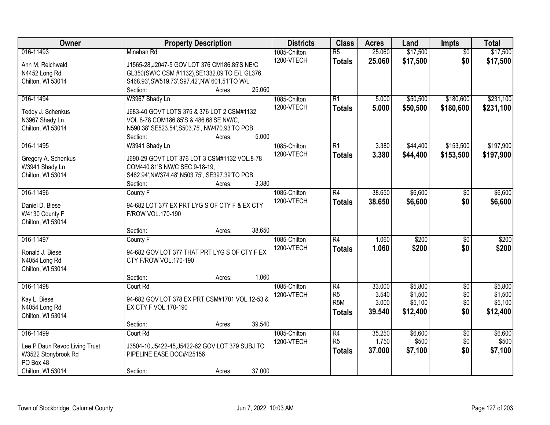| Owner                         | <b>Property Description</b>                      |        |        | <b>Districts</b>           | <b>Class</b>     | <b>Acres</b> | Land     | <b>Impts</b>    | <b>Total</b> |
|-------------------------------|--------------------------------------------------|--------|--------|----------------------------|------------------|--------------|----------|-----------------|--------------|
| 016-11493                     | Minahan Rd                                       |        |        | 1085-Chilton               | $\overline{R5}$  | 25.060       | \$17,500 | $\overline{50}$ | \$17,500     |
| Ann M. Reichwald              | J1565-28, J2047-5 GOV LOT 376 CM186.85'S NE/C    |        |        | 1200-VTECH                 | <b>Totals</b>    | 25.060       | \$17,500 | \$0             | \$17,500     |
| N4452 Long Rd                 | GL350(SW/C CSM #1132), SE1332.09'TO E/L GL376,   |        |        |                            |                  |              |          |                 |              |
| Chilton, WI 53014             | S468.93', SW519.73', S97.42', NW 601.51'TO W/L   |        |        |                            |                  |              |          |                 |              |
|                               | Section:                                         | Acres: | 25.060 |                            |                  |              |          |                 |              |
| 016-11494                     | W3967 Shady Ln                                   |        |        | 1085-Chilton               | R1               | 5.000        | \$50,500 | \$180,600       | \$231,100    |
| Teddy J. Schenkus             | J683-40 GOVT LOTS 375 & 376 LOT 2 CSM#1132       |        |        | 1200-VTECH                 | <b>Totals</b>    | 5.000        | \$50,500 | \$180,600       | \$231,100    |
| N3967 Shady Ln                | VOL.8-78 COM186.85'S & 486.68'SE NW/C,           |        |        |                            |                  |              |          |                 |              |
| Chilton, WI 53014             | N590.38', SE523.54', S503.75', NW470.93'TO POB   |        |        |                            |                  |              |          |                 |              |
|                               | Section:                                         | Acres: | 5.000  |                            |                  |              |          |                 |              |
| 016-11495                     | W3941 Shady Ln                                   |        |        | 1085-Chilton               | R1               | 3.380        | \$44,400 | \$153,500       | \$197,900    |
|                               |                                                  |        |        | 1200-VTECH                 | <b>Totals</b>    | 3.380        | \$44,400 | \$153,500       | \$197,900    |
| Gregory A. Schenkus           | J690-29 GOVT LOT 376 LOT 3 CSM#1132 VOL.8-78     |        |        |                            |                  |              |          |                 |              |
| W3941 Shady Ln                | COM440.81'S NW/C SEC.9-18-19,                    |        |        |                            |                  |              |          |                 |              |
| Chilton, WI 53014             | S462.94', NW374.48', N503.75', SE397.39'TO POB   |        | 3.380  |                            |                  |              |          |                 |              |
| 016-11496                     | Section:                                         | Acres: |        |                            | R4               | 38.650       | \$6,600  |                 |              |
|                               | County F                                         |        |        | 1085-Chilton<br>1200-VTECH |                  |              |          | $\sqrt[6]{3}$   | \$6,600      |
| Daniel D. Biese               | 94-682 LOT 377 EX PRT LYG S OF CTY F & EX CTY    |        |        |                            | <b>Totals</b>    | 38.650       | \$6,600  | \$0             | \$6,600      |
| W4130 County F                | F/ROW VOL.170-190                                |        |        |                            |                  |              |          |                 |              |
| Chilton, WI 53014             |                                                  |        |        |                            |                  |              |          |                 |              |
|                               | Section:                                         | Acres: | 38.650 |                            |                  |              |          |                 |              |
| 016-11497                     | County F                                         |        |        | 1085-Chilton               | R4               | 1.060        | \$200    | \$0             | \$200        |
| Ronald J. Biese               | 94-682 GOV LOT 377 THAT PRT LYG S OF CTY F EX    |        |        | 1200-VTECH                 | <b>Totals</b>    | 1.060        | \$200    | \$0             | \$200        |
| N4054 Long Rd                 | CTY F/ROW VOL.170-190                            |        |        |                            |                  |              |          |                 |              |
| Chilton, WI 53014             |                                                  |        |        |                            |                  |              |          |                 |              |
|                               | Section:                                         | Acres: | 1.060  |                            |                  |              |          |                 |              |
| 016-11498                     | Court Rd                                         |        |        | 1085-Chilton               | R4               | 33.000       | \$5,800  | $\sqrt{$0}$     | \$5,800      |
| Kay L. Biese                  | 94-682 GOV LOT 378 EX PRT CSM#1701 VOL.12-53 &   |        |        | 1200-VTECH                 | R <sub>5</sub>   | 3.540        | \$1,500  | \$0             | \$1,500      |
| N4054 Long Rd                 | EX CTY F VOL.170-190                             |        |        |                            | R <sub>5</sub> M | 3.000        | \$5,100  | \$0             | \$5,100      |
| Chilton, WI 53014             |                                                  |        |        |                            | Totals           | 39.540       | \$12,400 | \$0             | \$12,400     |
|                               | Section:                                         | Acres: | 39.540 |                            |                  |              |          |                 |              |
| 016-11499                     | Court Rd                                         |        |        | 1085-Chilton               | R4               | 35.250       | \$6,600  | $\overline{50}$ | \$6,600      |
|                               |                                                  |        |        | 1200-VTECH                 | R <sub>5</sub>   | 1.750        | \$500    | \$0             | \$500        |
| Lee P Daun Revoc Living Trust | J3504-10, J5422-45, J5422-62 GOV LOT 379 SUBJ TO |        |        |                            | <b>Totals</b>    | 37.000       | \$7,100  | \$0             | \$7,100      |
| W3522 Stonybrook Rd           | PIPELINE EASE DOC#425156                         |        |        |                            |                  |              |          |                 |              |
| PO Box 48                     |                                                  |        |        |                            |                  |              |          |                 |              |
| Chilton, WI 53014             | Section:                                         | Acres: | 37.000 |                            |                  |              |          |                 |              |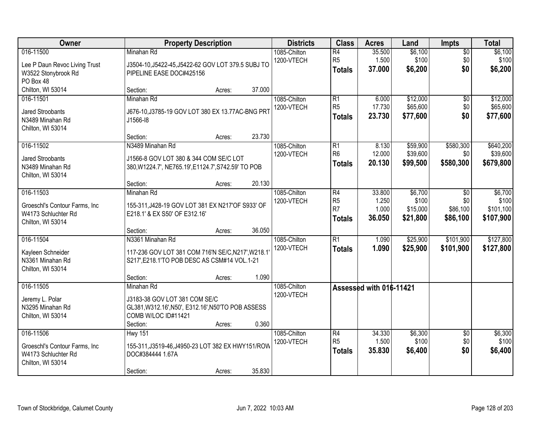| Owner                                                                                   | <b>Property Description</b>                                                                                                                             | <b>Districts</b>           | <b>Class</b>                                            | <b>Acres</b>                       | Land                                     | <b>Impts</b>                              | <b>Total</b>                               |
|-----------------------------------------------------------------------------------------|---------------------------------------------------------------------------------------------------------------------------------------------------------|----------------------------|---------------------------------------------------------|------------------------------------|------------------------------------------|-------------------------------------------|--------------------------------------------|
| 016-11500<br>Lee P Daun Revoc Living Trust<br>W3522 Stonybrook Rd<br>PO Box 48          | Minahan Rd<br>J3504-10, J5422-45, J5422-62 GOV LOT 379.5 SUBJ TO<br>PIPELINE EASE DOC#425156                                                            | 1085-Chilton<br>1200-VTECH | $\overline{R4}$<br>R <sub>5</sub><br><b>Totals</b>      | 35.500<br>1.500<br>37.000          | \$6,100<br>\$100<br>\$6,200              | $\overline{50}$<br>\$0<br>\$0             | \$6,100<br>\$100<br>\$6,200                |
| Chilton, WI 53014                                                                       | 37.000<br>Section:<br>Acres:                                                                                                                            |                            |                                                         |                                    |                                          |                                           |                                            |
| 016-11501<br><b>Jared Stroobants</b><br>N3489 Minahan Rd<br>Chilton, WI 53014           | Minahan Rd<br>J676-10, J3785-19 GOV LOT 380 EX 13.77AC-BNG PRT<br>J1566-18                                                                              | 1085-Chilton<br>1200-VTECH | $\overline{R1}$<br>R <sub>5</sub><br><b>Totals</b>      | 6.000<br>17.730<br>23.730          | \$12,000<br>\$65,600<br>\$77,600         | $\overline{50}$<br>\$0<br>\$0             | \$12,000<br>\$65,600<br>\$77,600           |
|                                                                                         | 23.730<br>Section:<br>Acres:                                                                                                                            |                            |                                                         |                                    |                                          |                                           |                                            |
| 016-11502<br><b>Jared Stroobants</b><br>N3489 Minahan Rd<br>Chilton, WI 53014           | N3489 Minahan Rd<br>J1566-8 GOV LOT 380 & 344 COM SE/C LOT<br>380, W1224.7', NE765.19', E1124.7', S742.59' TO POB                                       | 1085-Chilton<br>1200-VTECH | R1<br>R <sub>6</sub><br><b>Totals</b>                   | 8.130<br>12.000<br>20.130          | \$59,900<br>\$39,600<br>\$99,500         | \$580,300<br>\$0 <br>\$580,300            | \$640,200<br>\$39,600<br>\$679,800         |
|                                                                                         | 20.130<br>Section:<br>Acres:                                                                                                                            |                            |                                                         |                                    |                                          |                                           |                                            |
| 016-11503<br>Groeschl's Contour Farms, Inc.<br>W4173 Schluchter Rd<br>Chilton, WI 53014 | Minahan Rd<br>155-311, J428-19 GOV LOT 381 EX N217'OF S933' OF<br>E218.1' & EX S50' OF E312.16'                                                         | 1085-Chilton<br>1200-VTECH | R4<br>R <sub>5</sub><br>R <sub>7</sub><br><b>Totals</b> | 33.800<br>1.250<br>1.000<br>36.050 | \$6,700<br>\$100<br>\$15,000<br>\$21,800 | $\sqrt{6}$<br>\$0<br>\$86,100<br>\$86,100 | \$6,700<br>\$100<br>\$101,100<br>\$107,900 |
|                                                                                         | 36.050<br>Section:<br>Acres:                                                                                                                            |                            |                                                         |                                    |                                          |                                           |                                            |
| 016-11504<br>Kayleen Schneider<br>N3361 Minahan Rd<br>Chilton, WI 53014                 | N3361 Minahan Rd<br>117-236 GOV LOT 381 COM 716'N SE/C, N217', W218.1<br>S217', E218.1'TO POB DESC AS CSM#14 VOL.1-21                                   | 1085-Chilton<br>1200-VTECH | $\overline{R1}$<br><b>Totals</b>                        | 1.090<br>1.090                     | \$25,900<br>\$25,900                     | \$101,900<br>\$101,900                    | \$127,800<br>\$127,800                     |
|                                                                                         | 1.090<br>Section:<br>Acres:                                                                                                                             |                            |                                                         |                                    |                                          |                                           |                                            |
| 016-11505<br>Jeremy L. Polar<br>N3295 Minahan Rd<br>Chilton, WI 53014                   | Minahan Rd<br>J3183-38 GOV LOT 381 COM SE/C<br>GL381, W312.16', N50', E312.16', N50'TO POB ASSESS<br>COMB W/LOC ID#11421<br>0.360<br>Section:<br>Acres: | 1085-Chilton<br>1200-VTECH |                                                         | Assessed with 016-11421            |                                          |                                           |                                            |
| 016-11506<br>Groeschl's Contour Farms, Inc.<br>W4173 Schluchter Rd<br>Chilton, WI 53014 | <b>Hwy 151</b><br>155-311, J3519-46, J4950-23 LOT 382 EX HWY151/ROW<br>DOC#384444 1.67A<br>35.830<br>Section:<br>Acres:                                 | 1085-Chilton<br>1200-VTECH | $\overline{R4}$<br>R <sub>5</sub><br><b>Totals</b>      | 34.330<br>1.500<br>35.830          | \$6,300<br>\$100<br>\$6,400              | $\overline{50}$<br>\$0<br>\$0             | \$6,300<br>\$100<br>\$6,400                |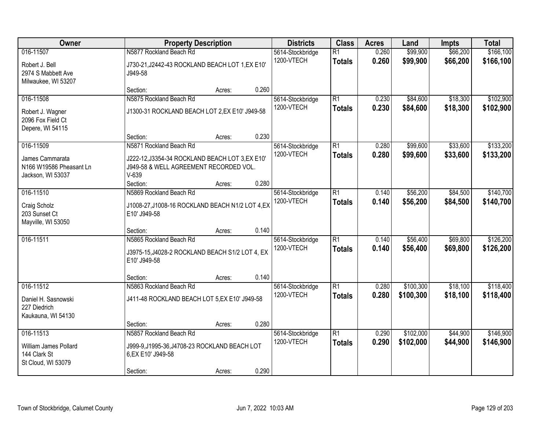| <b>Owner</b>                                                             | <b>Property Description</b>                                                                                | <b>Districts</b> | <b>Class</b> | <b>Acres</b>                   | Land                             | <b>Impts</b>   | <b>Total</b>           |                      |                         |
|--------------------------------------------------------------------------|------------------------------------------------------------------------------------------------------------|------------------|--------------|--------------------------------|----------------------------------|----------------|------------------------|----------------------|-------------------------|
| 016-11507<br>Robert J. Bell<br>2974 S Mabbett Ave<br>Milwaukee, WI 53207 | N5877 Rockland Beach Rd<br>J730-21, J2442-43 ROCKLAND BEACH LOT 1, EX E10'<br>J949-58                      |                  |              | 5614-Stockbridge<br>1200-VTECH | $\overline{R1}$<br><b>Totals</b> | 0.260<br>0.260 | \$99,900<br>\$99,900   | \$66,200<br>\$66,200 | \$166, 100<br>\$166,100 |
|                                                                          | Section:                                                                                                   | Acres:           | 0.260        |                                |                                  |                |                        |                      |                         |
| 016-11508<br>Robert J. Wagner<br>2096 Fox Field Ct<br>Depere, WI 54115   | N5875 Rockland Beach Rd<br>J1300-31 ROCKLAND BEACH LOT 2,EX E10' J949-58                                   |                  |              | 5614-Stockbridge<br>1200-VTECH | $\overline{R1}$<br><b>Totals</b> | 0.230<br>0.230 | \$84,600<br>\$84,600   | \$18,300<br>\$18,300 | \$102,900<br>\$102,900  |
| 016-11509                                                                | Section:<br>N5871 Rockland Beach Rd                                                                        | Acres:           | 0.230        |                                | $\overline{R1}$                  | 0.280          | \$99,600               | \$33,600             | \$133,200               |
| James Cammarata<br>N166 W19586 Pheasant Ln<br>Jackson, WI 53037          | J222-12, J3354-34 ROCKLAND BEACH LOT 3, EX E10'<br>J949-58 & WELL AGREEMENT RECORDED VOL.<br>$V-639$       |                  |              | 5614-Stockbridge<br>1200-VTECH | <b>Totals</b>                    | 0.280          | \$99,600               | \$33,600             | \$133,200               |
|                                                                          | Section:                                                                                                   | Acres:           | 0.280        |                                |                                  |                |                        |                      |                         |
| 016-11510<br>Craig Scholz<br>203 Sunset Ct<br>Mayville, WI 53050         | N5869 Rockland Beach Rd<br>J1008-27, J1008-16 ROCKLAND BEACH N1/2 LOT 4, EX<br>E10' J949-58                |                  |              | 5614-Stockbridge<br>1200-VTECH | $\overline{R1}$<br><b>Totals</b> | 0.140<br>0.140 | \$56,200<br>\$56,200   | \$84,500<br>\$84,500 | \$140,700<br>\$140,700  |
|                                                                          | Section:                                                                                                   | Acres:           | 0.140        |                                |                                  |                |                        |                      |                         |
| 016-11511                                                                | N5865 Rockland Beach Rd<br>J3975-15, J4028-2 ROCKLAND BEACH S1/2 LOT 4, EX<br>E10' J949-58                 |                  |              | 5614-Stockbridge<br>1200-VTECH | $\overline{R1}$<br><b>Totals</b> | 0.140<br>0.140 | \$56,400<br>\$56,400   | \$69,800<br>\$69,800 | \$126,200<br>\$126,200  |
|                                                                          | Section:                                                                                                   | Acres:           | 0.140        |                                |                                  |                |                        |                      |                         |
| 016-11512<br>Daniel H. Sasnowski<br>227 Diedrich<br>Kaukauna, WI 54130   | N5863 Rockland Beach Rd<br>J411-48 ROCKLAND BEACH LOT 5, EX E10' J949-58                                   |                  |              | 5614-Stockbridge<br>1200-VTECH | $\overline{R1}$<br><b>Totals</b> | 0.280<br>0.280 | \$100,300<br>\$100,300 | \$18,100<br>\$18,100 | \$118,400<br>\$118,400  |
|                                                                          | Section:                                                                                                   | Acres:           | 0.280        |                                |                                  |                |                        |                      |                         |
| 016-11513<br>William James Pollard<br>144 Clark St<br>St Cloud, WI 53079 | N5857 Rockland Beach Rd<br>J999-9, J1995-36, J4708-23 ROCKLAND BEACH LOT<br>6, EX E10' J949-58<br>Section: | Acres:           | 0.290        | 5614-Stockbridge<br>1200-VTECH | $\overline{R1}$<br><b>Totals</b> | 0.290<br>0.290 | \$102,000<br>\$102,000 | \$44,900<br>\$44,900 | \$146,900<br>\$146,900  |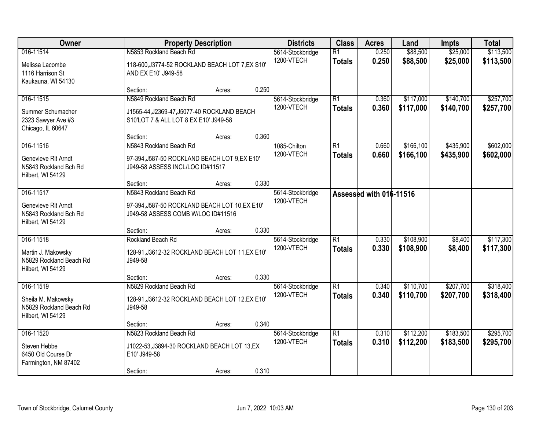| Owner                                                                           | <b>Property Description</b>                                                                                     | <b>Districts</b> | <b>Class</b> | <b>Acres</b>                   | Land                             | <b>Impts</b>            | <b>Total</b>           |                        |                        |
|---------------------------------------------------------------------------------|-----------------------------------------------------------------------------------------------------------------|------------------|--------------|--------------------------------|----------------------------------|-------------------------|------------------------|------------------------|------------------------|
| 016-11514<br>Melissa Lacombe<br>1116 Harrison St<br>Kaukauna, WI 54130          | N5853 Rockland Beach Rd<br>118-600, J3774-52 ROCKLAND BEACH LOT 7, EX S10'<br>AND EX E10' J949-58               |                  |              | 5614-Stockbridge<br>1200-VTECH | $\overline{R1}$<br><b>Totals</b> | 0.250<br>0.250          | \$88,500<br>\$88,500   | \$25,000<br>\$25,000   | \$113,500<br>\$113,500 |
|                                                                                 | Section:                                                                                                        | Acres:           | 0.250        |                                |                                  |                         |                        |                        |                        |
| 016-11515<br>Summer Schumacher<br>2323 Sawyer Ave #3<br>Chicago, IL 60647       | N5849 Rockland Beach Rd<br>J1565-44, J2369-47, J5077-40 ROCKLAND BEACH<br>S10'LOT 7 & ALL LOT 8 EX E10' J949-58 |                  | 0.360        | 5614-Stockbridge<br>1200-VTECH | $\overline{R1}$<br><b>Totals</b> | 0.360<br>0.360          | \$117,000<br>\$117,000 | \$140,700<br>\$140,700 | \$257,700<br>\$257,700 |
| 016-11516                                                                       | Section:<br>N5843 Rockland Beach Rd                                                                             | Acres:           |              | 1085-Chilton                   | $\overline{R1}$                  | 0.660                   | \$166, 100             | \$435,900              | \$602,000              |
| Genevieve RIt Arndt<br>N5843 Rockland Bch Rd<br>Hilbert, WI 54129               | 97-394, J587-50 ROCKLAND BEACH LOT 9, EX E10'<br>J949-58 ASSESS INCL/LOC ID#11517                               |                  |              | 1200-VTECH                     | <b>Totals</b>                    | 0.660                   | \$166,100              | \$435,900              | \$602,000              |
|                                                                                 | Section:                                                                                                        | Acres:           | 0.330        |                                |                                  |                         |                        |                        |                        |
| 016-11517<br>Genevieve RIt Arndt<br>N5843 Rockland Bch Rd<br>Hilbert, WI 54129  | N5843 Rockland Beach Rd<br>97-394, J587-50 ROCKLAND BEACH LOT 10, EX E10'<br>J949-58 ASSESS COMB W/LOC ID#11516 |                  |              | 5614-Stockbridge<br>1200-VTECH |                                  | Assessed with 016-11516 |                        |                        |                        |
|                                                                                 | Section:                                                                                                        | Acres:           | 0.330        |                                |                                  |                         |                        |                        |                        |
| 016-11518<br>Martin J. Makowsky<br>N5829 Rockland Beach Rd<br>Hilbert, WI 54129 | Rockland Beach Rd<br>128-91, J3612-32 ROCKLAND BEACH LOT 11, EX E10'<br>J949-58                                 |                  |              | 5614-Stockbridge<br>1200-VTECH | $\overline{R1}$<br><b>Totals</b> | 0.330<br>0.330          | \$108,900<br>\$108,900 | \$8,400<br>\$8,400     | \$117,300<br>\$117,300 |
|                                                                                 | Section:                                                                                                        | Acres:           | 0.330        |                                |                                  |                         |                        |                        |                        |
| 016-11519<br>Sheila M. Makowsky<br>N5829 Rockland Beach Rd<br>Hilbert, WI 54129 | N5829 Rockland Beach Rd<br>128-91, J3612-32 ROCKLAND BEACH LOT 12, EX E10'<br>J949-58                           |                  |              | 5614-Stockbridge<br>1200-VTECH | $\overline{R1}$<br><b>Totals</b> | 0.340<br>0.340          | \$110,700<br>\$110,700 | \$207,700<br>\$207,700 | \$318,400<br>\$318,400 |
|                                                                                 | Section:                                                                                                        | Acres:           | 0.340        |                                |                                  |                         |                        |                        |                        |
| 016-11520<br>Steven Hebbe<br>6450 Old Course Dr<br>Farmington, NM 87402         | N5823 Rockland Beach Rd<br>J1022-53, J3894-30 ROCKLAND BEACH LOT 13, EX<br>E10' J949-58<br>Section:             | Acres:           | 0.310        | 5614-Stockbridge<br>1200-VTECH | $\overline{R1}$<br><b>Totals</b> | 0.310<br>0.310          | \$112,200<br>\$112,200 | \$183,500<br>\$183,500 | \$295,700<br>\$295,700 |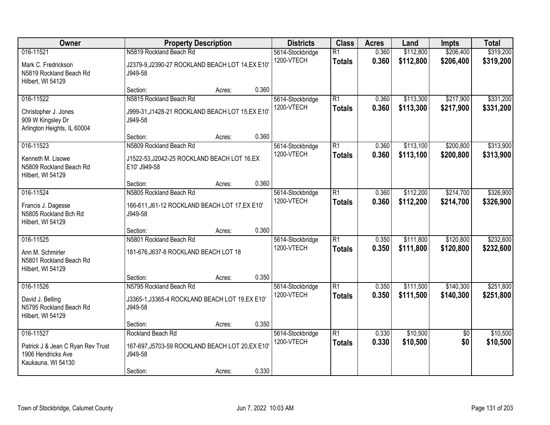| <b>Owner</b>                                                                               | <b>Property Description</b>                                                             | <b>Districts</b> | <b>Class</b> | <b>Acres</b>                   | Land                             | <b>Impts</b>   | <b>Total</b>           |                        |                        |
|--------------------------------------------------------------------------------------------|-----------------------------------------------------------------------------------------|------------------|--------------|--------------------------------|----------------------------------|----------------|------------------------|------------------------|------------------------|
| 016-11521<br>Mark C. Fredrickson<br>N5819 Rockland Beach Rd<br>Hilbert, WI 54129           | N5819 Rockland Beach Rd<br>J2379-9, J2390-27 ROCKLAND BEACH LOT 14, EX E10'<br>J949-58  |                  |              | 5614-Stockbridge<br>1200-VTECH | $\overline{R1}$<br><b>Totals</b> | 0.360<br>0.360 | \$112,800<br>\$112,800 | \$206,400<br>\$206,400 | \$319,200<br>\$319,200 |
|                                                                                            | Section:                                                                                | Acres:           | 0.360        |                                |                                  |                |                        |                        |                        |
| 016-11522<br>Christopher J. Jones<br>909 W Kingsley Dr<br>Arlington Heights, IL 60004      | N5815 Rockland Beach Rd<br>J999-31, J1428-21 ROCKLAND BEACH LOT 15, EX E10'<br>J949-58  |                  |              | 5614-Stockbridge<br>1200-VTECH | $\overline{R1}$<br><b>Totals</b> | 0.360<br>0.360 | \$113,300<br>\$113,300 | \$217,900<br>\$217,900 | \$331,200<br>\$331,200 |
|                                                                                            | Section:                                                                                | Acres:           | 0.360        |                                |                                  |                |                        |                        |                        |
| 016-11523<br>Kenneth M. Lisowe<br>N5809 Rockland Beach Rd<br>Hilbert, WI 54129             | N5809 Rockland Beach Rd<br>J1522-53, J2042-25 ROCKLAND BEACH LOT 16, EX<br>E10' J949-58 |                  |              | 5614-Stockbridge<br>1200-VTECH | $\overline{R1}$<br><b>Totals</b> | 0.360<br>0.360 | \$113,100<br>\$113,100 | \$200,800<br>\$200,800 | \$313,900<br>\$313,900 |
|                                                                                            | Section:                                                                                | Acres:           | 0.360        |                                |                                  |                |                        |                        |                        |
| 016-11524<br>Francis J. Dagesse<br>N5805 Rockland Bch Rd<br>Hilbert, WI 54129              | N5805 Rockland Beach Rd<br>166-611, J61-12 ROCKLAND BEACH LOT 17, EX E10'<br>J949-58    |                  |              | 5614-Stockbridge<br>1200-VTECH | $\overline{R1}$<br><b>Totals</b> | 0.360<br>0.360 | \$112,200<br>\$112,200 | \$214,700<br>\$214,700 | \$326,900<br>\$326,900 |
|                                                                                            | Section:                                                                                | Acres:           | 0.360        |                                |                                  |                |                        |                        |                        |
| 016-11525<br>Ann M. Schmirler<br>N5801 Rockland Beach Rd<br>Hilbert, WI 54129              | N5801 Rockland Beach Rd<br>181-676, J637-8 ROCKLAND BEACH LOT 18                        |                  |              | 5614-Stockbridge<br>1200-VTECH | $\overline{R1}$<br><b>Totals</b> | 0.350<br>0.350 | \$111,800<br>\$111,800 | \$120,800<br>\$120,800 | \$232,600<br>\$232,600 |
|                                                                                            | Section:                                                                                | Acres:           | 0.350        |                                |                                  |                |                        |                        |                        |
| 016-11526<br>David J. Belling<br>N5795 Rockland Beach Rd<br>Hilbert, WI 54129              | N5795 Rockland Beach Rd<br>J3365-1, J3365-4 ROCKLAND BEACH LOT 19, EX E10'<br>J949-58   |                  |              | 5614-Stockbridge<br>1200-VTECH | $\overline{R1}$<br><b>Totals</b> | 0.350<br>0.350 | \$111,500<br>\$111,500 | \$140,300<br>\$140,300 | \$251,800<br>\$251,800 |
|                                                                                            | Section:                                                                                | Acres:           | 0.350        |                                |                                  |                |                        |                        |                        |
| 016-11527<br>Patrick J & Jean C Ryan Rev Trust<br>1906 Hendricks Ave<br>Kaukauna, WI 54130 | Rockland Beach Rd<br>167-697, J5703-59 ROCKLAND BEACH LOT 20, EX E10'<br>J949-58        |                  |              | 5614-Stockbridge<br>1200-VTECH | $\overline{R1}$<br><b>Totals</b> | 0.330<br>0.330 | \$10,500<br>\$10,500   | $\overline{50}$<br>\$0 | \$10,500<br>\$10,500   |
|                                                                                            | Section:                                                                                | Acres:           | 0.330        |                                |                                  |                |                        |                        |                        |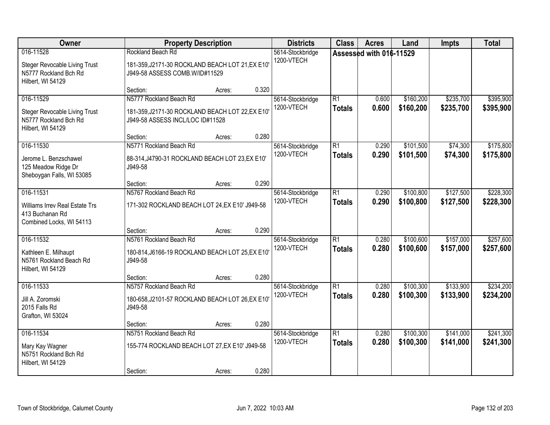| <b>Owner</b>                                                                             |                                                                                                                 | <b>Property Description</b> |       | <b>Districts</b>               | <b>Class</b>                     | <b>Acres</b>            | Land                   | <b>Impts</b>           | <b>Total</b>           |
|------------------------------------------------------------------------------------------|-----------------------------------------------------------------------------------------------------------------|-----------------------------|-------|--------------------------------|----------------------------------|-------------------------|------------------------|------------------------|------------------------|
| 016-11528<br>Steger Revocable Living Trust<br>N5777 Rockland Bch Rd<br>Hilbert, WI 54129 | Rockland Beach Rd<br>181-359, J2171-30 ROCKLAND BEACH LOT 21, EX E10'<br>J949-58 ASSESS COMB.W/ID#11529         |                             |       | 5614-Stockbridge<br>1200-VTECH |                                  | Assessed with 016-11529 |                        |                        |                        |
|                                                                                          | Section:                                                                                                        | Acres:                      | 0.320 |                                |                                  |                         |                        |                        |                        |
| 016-11529<br>Steger Revocable Living Trust<br>N5777 Rockland Bch Rd<br>Hilbert, WI 54129 | N5777 Rockland Beach Rd<br>181-359, J2171-30 ROCKLAND BEACH LOT 22, EX E10'<br>J949-58 ASSESS INCL/LOC ID#11528 |                             |       | 5614-Stockbridge<br>1200-VTECH | $\overline{R1}$<br><b>Totals</b> | 0.600<br>0.600          | \$160,200<br>\$160,200 | \$235,700<br>\$235,700 | \$395,900<br>\$395,900 |
|                                                                                          | Section:                                                                                                        | Acres:                      | 0.280 |                                |                                  |                         |                        |                        |                        |
| 016-11530<br>Jerome L. Benzschawel<br>125 Meadow Ridge Dr<br>Sheboygan Falls, WI 53085   | N5771 Rockland Beach Rd<br>88-314, J4790-31 ROCKLAND BEACH LOT 23, EX E10'<br>J949-58                           |                             |       | 5614-Stockbridge<br>1200-VTECH | $\overline{R1}$<br><b>Totals</b> | 0.290<br>0.290          | \$101,500<br>\$101,500 | \$74,300<br>\$74,300   | \$175,800<br>\$175,800 |
|                                                                                          | Section:                                                                                                        | Acres:                      | 0.290 |                                |                                  |                         |                        |                        |                        |
| 016-11531<br>Williams Irrev Real Estate Trs<br>413 Buchanan Rd                           | N5767 Rockland Beach Rd<br>171-302 ROCKLAND BEACH LOT 24, EX E10' J949-58                                       |                             |       | 5614-Stockbridge<br>1200-VTECH | $\overline{R1}$<br><b>Totals</b> | 0.290<br>0.290          | \$100,800<br>\$100,800 | \$127,500<br>\$127,500 | \$228,300<br>\$228,300 |
| Combined Locks, WI 54113                                                                 |                                                                                                                 |                             |       |                                |                                  |                         |                        |                        |                        |
| 016-11532<br>Kathleen E. Milhaupt<br>N5761 Rockland Beach Rd<br>Hilbert, WI 54129        | Section:<br>N5761 Rockland Beach Rd<br>180-814, J6166-19 ROCKLAND BEACH LOT 25, EX E10'<br>J949-58              | Acres:                      | 0.290 | 5614-Stockbridge<br>1200-VTECH | $\overline{R1}$<br><b>Totals</b> | 0.280<br>0.280          | \$100,600<br>\$100,600 | \$157,000<br>\$157,000 | \$257,600<br>\$257,600 |
|                                                                                          | Section:                                                                                                        | Acres:                      | 0.280 |                                |                                  |                         |                        |                        |                        |
| 016-11533<br>Jill A. Zoromski<br>2015 Falls Rd<br>Grafton, WI 53024                      | N5757 Rockland Beach Rd<br>180-658, J2101-57 ROCKLAND BEACH LOT 26, EX E10'<br>J949-58                          |                             |       | 5614-Stockbridge<br>1200-VTECH | $\overline{R1}$<br><b>Totals</b> | 0.280<br>0.280          | \$100,300<br>\$100,300 | \$133,900<br>\$133,900 | \$234,200<br>\$234,200 |
|                                                                                          | Section:                                                                                                        | Acres:                      | 0.280 |                                |                                  |                         |                        |                        |                        |
| 016-11534<br>Mary Kay Wagner<br>N5751 Rockland Bch Rd<br>Hilbert, WI 54129               | N5751 Rockland Beach Rd<br>155-774 ROCKLAND BEACH LOT 27, EX E10' J949-58<br>Section:                           | Acres:                      | 0.280 | 5614-Stockbridge<br>1200-VTECH | $\overline{R1}$<br><b>Totals</b> | 0.280<br>0.280          | \$100,300<br>\$100,300 | \$141,000<br>\$141,000 | \$241,300<br>\$241,300 |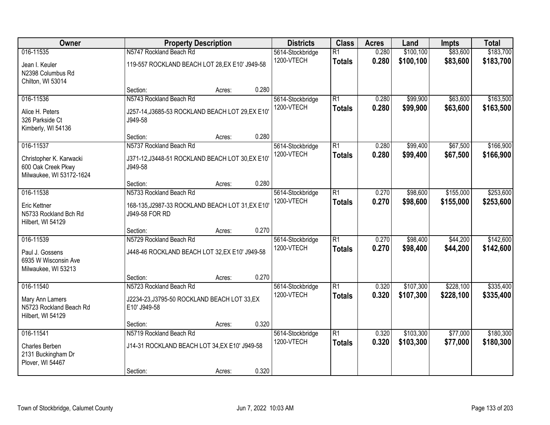| Owner                                                                                  |                                                                                               | <b>Property Description</b> |       | <b>Districts</b>               | <b>Class</b>                     | <b>Acres</b>   | Land                   | <b>Impts</b>           | <b>Total</b>           |
|----------------------------------------------------------------------------------------|-----------------------------------------------------------------------------------------------|-----------------------------|-------|--------------------------------|----------------------------------|----------------|------------------------|------------------------|------------------------|
| 016-11535<br>Jean I. Keuler<br>N2398 Columbus Rd<br>Chilton, WI 53014                  | N5747 Rockland Beach Rd<br>119-557 ROCKLAND BEACH LOT 28, EX E10' J949-58                     |                             |       | 5614-Stockbridge<br>1200-VTECH | $\overline{R1}$<br><b>Totals</b> | 0.280<br>0.280 | \$100,100<br>\$100,100 | \$83,600<br>\$83,600   | \$183,700<br>\$183,700 |
|                                                                                        | Section:                                                                                      | Acres:                      | 0.280 |                                |                                  |                |                        |                        |                        |
| 016-11536<br>Alice H. Peters<br>326 Parkside Ct<br>Kimberly, WI 54136                  | N5743 Rockland Beach Rd<br>J257-14, J3685-53 ROCKLAND BEACH LOT 29, EX E10'<br>J949-58        |                             |       | 5614-Stockbridge<br>1200-VTECH | $\overline{R1}$<br><b>Totals</b> | 0.280<br>0.280 | \$99,900<br>\$99,900   | \$63,600<br>\$63,600   | \$163,500<br>\$163,500 |
|                                                                                        | Section:                                                                                      | Acres:                      | 0.280 |                                |                                  |                |                        |                        |                        |
| 016-11537<br>Christopher K. Karwacki<br>600 Oak Creek Pkwy<br>Milwaukee, WI 53172-1624 | N5737 Rockland Beach Rd<br>J371-12, J3448-51 ROCKLAND BEACH LOT 30, EX E10'<br>J949-58        |                             |       | 5614-Stockbridge<br>1200-VTECH | $\overline{R1}$<br><b>Totals</b> | 0.280<br>0.280 | \$99,400<br>\$99,400   | \$67,500<br>\$67,500   | \$166,900<br>\$166,900 |
|                                                                                        | Section:                                                                                      | Acres:                      | 0.280 |                                |                                  |                |                        |                        |                        |
| 016-11538<br><b>Eric Kettner</b><br>N5733 Rockland Bch Rd                              | N5733 Rockland Beach Rd<br>168-135, J2987-33 ROCKLAND BEACH LOT 31, EX E10'<br>J949-58 FOR RD |                             |       | 5614-Stockbridge<br>1200-VTECH | $\overline{R1}$<br><b>Totals</b> | 0.270<br>0.270 | \$98,600<br>\$98,600   | \$155,000<br>\$155,000 | \$253,600<br>\$253,600 |
| Hilbert, WI 54129                                                                      | Section:                                                                                      | Acres:                      | 0.270 |                                |                                  |                |                        |                        |                        |
| 016-11539<br>Paul J. Gossens<br>6935 W Wisconsin Ave<br>Milwaukee, WI 53213            | N5729 Rockland Beach Rd<br>J448-46 ROCKLAND BEACH LOT 32, EX E10' J949-58                     |                             |       | 5614-Stockbridge<br>1200-VTECH | $\overline{R1}$<br><b>Totals</b> | 0.270<br>0.270 | \$98,400<br>\$98,400   | \$44,200<br>\$44,200   | \$142,600<br>\$142,600 |
|                                                                                        | Section:                                                                                      | Acres:                      | 0.270 |                                |                                  |                |                        |                        |                        |
| 016-11540<br>Mary Ann Lamers<br>N5723 Rockland Beach Rd<br>Hilbert, WI 54129           | N5723 Rockland Beach Rd<br>J2234-23, J3795-50 ROCKLAND BEACH LOT 33, EX<br>E10' J949-58       |                             |       | 5614-Stockbridge<br>1200-VTECH | $\overline{R1}$<br><b>Totals</b> | 0.320<br>0.320 | \$107,300<br>\$107,300 | \$228,100<br>\$228,100 | \$335,400<br>\$335,400 |
|                                                                                        | Section:                                                                                      | Acres:                      | 0.320 |                                |                                  |                |                        |                        |                        |
| 016-11541<br>Charles Berben<br>2131 Buckingham Dr<br>Plover, WI 54467                  | N5719 Rockland Beach Rd<br>J14-31 ROCKLAND BEACH LOT 34, EX E10' J949-58<br>Section:          | Acres:                      | 0.320 | 5614-Stockbridge<br>1200-VTECH | $\overline{R1}$<br><b>Totals</b> | 0.320<br>0.320 | \$103,300<br>\$103,300 | \$77,000<br>\$77,000   | \$180,300<br>\$180,300 |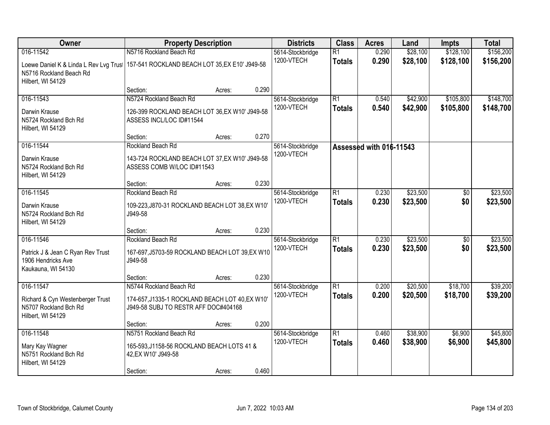| Owner                                                                                  | <b>Property Description</b>                                                             |        |       | <b>Districts</b> | <b>Class</b>    | <b>Acres</b>            | Land     | <b>Impts</b>    | <b>Total</b> |
|----------------------------------------------------------------------------------------|-----------------------------------------------------------------------------------------|--------|-------|------------------|-----------------|-------------------------|----------|-----------------|--------------|
| 016-11542                                                                              | N5716 Rockland Beach Rd                                                                 |        |       | 5614-Stockbridge | $\overline{R1}$ | 0.290                   | \$28,100 | \$128,100       | \$156,200    |
| Loewe Daniel K & Linda L Rev Lvg Trust<br>N5716 Rockland Beach Rd<br>Hilbert, WI 54129 | 157-541 ROCKLAND BEACH LOT 35, EX E10' J949-58                                          |        |       | 1200-VTECH       | <b>Totals</b>   | 0.290                   | \$28,100 | \$128,100       | \$156,200    |
|                                                                                        | Section:                                                                                | Acres: | 0.290 |                  |                 |                         |          |                 |              |
| 016-11543                                                                              | N5724 Rockland Beach Rd                                                                 |        |       | 5614-Stockbridge | $\overline{R1}$ | 0.540                   | \$42,900 | \$105,800       | \$148,700    |
| Darwin Krause<br>N5724 Rockland Bch Rd<br>Hilbert, WI 54129                            | 126-399 ROCKLAND BEACH LOT 36, EX W10' J949-58<br>ASSESS INCL/LOC ID#11544              |        |       | 1200-VTECH       | <b>Totals</b>   | 0.540                   | \$42,900 | \$105,800       | \$148,700    |
|                                                                                        | Section:                                                                                | Acres: | 0.270 |                  |                 |                         |          |                 |              |
| 016-11544                                                                              | Rockland Beach Rd                                                                       |        |       | 5614-Stockbridge |                 | Assessed with 016-11543 |          |                 |              |
| Darwin Krause<br>N5724 Rockland Bch Rd<br>Hilbert, WI 54129                            | 143-724 ROCKLAND BEACH LOT 37, EX W10' J949-58<br>ASSESS COMB W/LOC ID#11543            |        |       | 1200-VTECH       |                 |                         |          |                 |              |
|                                                                                        | Section:                                                                                | Acres: | 0.230 |                  |                 |                         |          |                 |              |
| 016-11545                                                                              | Rockland Beach Rd                                                                       |        |       | 5614-Stockbridge | $\overline{R1}$ | 0.230                   | \$23,500 | $\overline{50}$ | \$23,500     |
| Darwin Krause<br>N5724 Rockland Bch Rd<br>Hilbert, WI 54129                            | 109-223, J870-31 ROCKLAND BEACH LOT 38, EX W10'<br>J949-58                              |        |       | 1200-VTECH       | <b>Totals</b>   | 0.230                   | \$23,500 | \$0             | \$23,500     |
|                                                                                        | Section:                                                                                | Acres: | 0.230 |                  |                 |                         |          |                 |              |
| 016-11546                                                                              | Rockland Beach Rd                                                                       |        |       | 5614-Stockbridge | $\overline{R1}$ | 0.230                   | \$23,500 | $\overline{50}$ | \$23,500     |
| Patrick J & Jean C Ryan Rev Trust<br>1906 Hendricks Ave<br>Kaukauna, WI 54130          | 167-697, J5703-59 ROCKLAND BEACH LOT 39, EX W10<br>J949-58                              |        |       | 1200-VTECH       | <b>Totals</b>   | 0.230                   | \$23,500 | \$0             | \$23,500     |
|                                                                                        | Section:                                                                                | Acres: | 0.230 |                  |                 |                         |          |                 |              |
| 016-11547                                                                              | N5744 Rockland Beach Rd                                                                 |        |       | 5614-Stockbridge | $\overline{R1}$ | 0.200                   | \$20,500 | \$18,700        | \$39,200     |
| Richard & Cyn Westenberger Trust<br>N5707 Rockland Bch Rd<br>Hilbert, WI 54129         | 174-657, J1335-1 ROCKLAND BEACH LOT 40, EX W10'<br>J949-58 SUBJ TO RESTR AFF DOC#404168 |        |       | 1200-VTECH       | <b>Totals</b>   | 0.200                   | \$20,500 | \$18,700        | \$39,200     |
|                                                                                        | Section:                                                                                | Acres: | 0.200 |                  |                 |                         |          |                 |              |
| 016-11548                                                                              | N5751 Rockland Beach Rd                                                                 |        |       | 5614-Stockbridge | $\overline{R1}$ | 0.460                   | \$38,900 | \$6,900         | \$45,800     |
| Mary Kay Wagner<br>N5751 Rockland Bch Rd<br>Hilbert, WI 54129                          | 165-593, J1158-56 ROCKLAND BEACH LOTS 41 &<br>42, EX W10' J949-58                       |        |       | 1200-VTECH       | <b>Totals</b>   | 0.460                   | \$38,900 | \$6,900         | \$45,800     |
|                                                                                        | Section:                                                                                | Acres: | 0.460 |                  |                 |                         |          |                 |              |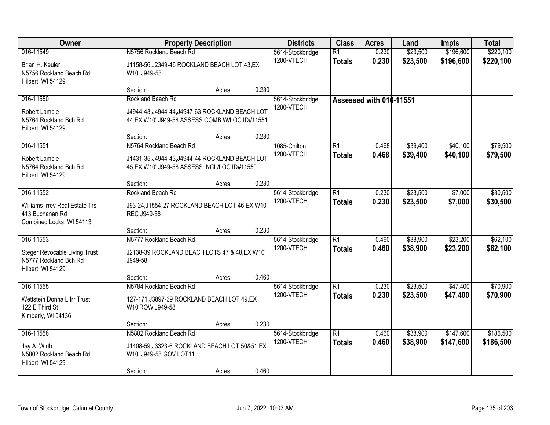| <b>Owner</b>                                                                       |                                                                                                   | <b>Property Description</b> |       | <b>Districts</b>               | <b>Class</b>                     | <b>Acres</b>            | Land                 | <b>Impts</b>           | <b>Total</b>           |
|------------------------------------------------------------------------------------|---------------------------------------------------------------------------------------------------|-----------------------------|-------|--------------------------------|----------------------------------|-------------------------|----------------------|------------------------|------------------------|
| 016-11549<br>Brian H. Keuler                                                       | N5756 Rockland Beach Rd<br>J1158-56, J2349-46 ROCKLAND BEACH LOT 43, EX                           |                             |       | 5614-Stockbridge<br>1200-VTECH | $\overline{R1}$<br><b>Totals</b> | 0.230<br>0.230          | \$23,500<br>\$23,500 | \$196,600<br>\$196,600 | \$220,100<br>\$220,100 |
| N5756 Rockland Beach Rd<br>Hilbert, WI 54129                                       | W10' J949-58                                                                                      |                             |       |                                |                                  |                         |                      |                        |                        |
|                                                                                    | Section:                                                                                          | Acres:                      | 0.230 |                                |                                  |                         |                      |                        |                        |
| 016-11550                                                                          | Rockland Beach Rd                                                                                 |                             |       | 5614-Stockbridge               |                                  | Assessed with 016-11551 |                      |                        |                        |
| Robert Lambie<br>N5764 Rockland Bch Rd<br>Hilbert, WI 54129                        | J4944-43, J4944-44, J4947-63 ROCKLAND BEACH LOT<br>44, EX W10' J949-58 ASSESS COMB W/LOC ID#11551 |                             |       | 1200-VTECH                     |                                  |                         |                      |                        |                        |
|                                                                                    | Section:                                                                                          | Acres:                      | 0.230 |                                |                                  |                         |                      |                        |                        |
| 016-11551                                                                          | N5764 Rockland Beach Rd                                                                           |                             |       | 1085-Chilton                   | $\overline{R1}$                  | 0.468                   | \$39,400             | \$40,100               | \$79,500               |
| Robert Lambie<br>N5764 Rockland Bch Rd<br>Hilbert, WI 54129                        | J1431-35, J4944-43, J4944-44 ROCKLAND BEACH LOT<br>45, EX W10' J949-58 ASSESS INCL/LOC ID#11550   |                             |       | 1200-VTECH                     | <b>Totals</b>                    | 0.468                   | \$39,400             | \$40,100               | \$79,500               |
|                                                                                    | Section:                                                                                          | Acres:                      | 0.230 |                                |                                  |                         |                      |                        |                        |
| 016-11552                                                                          | Rockland Beach Rd                                                                                 |                             |       | 5614-Stockbridge               | $\overline{R1}$                  | 0.230                   | \$23,500             | \$7,000                | \$30,500               |
| Williams Irrev Real Estate Trs<br>413 Buchanan Rd<br>Combined Locks, WI 54113      | J93-24, J1554-27 ROCKLAND BEACH LOT 46, EX W10'<br>REC J949-58                                    |                             |       | 1200-VTECH                     | <b>Totals</b>                    | 0.230                   | \$23,500             | \$7,000                | \$30,500               |
|                                                                                    | Section:                                                                                          | Acres:                      | 0.230 |                                |                                  |                         |                      |                        |                        |
| 016-11553                                                                          | N5777 Rockland Beach Rd                                                                           |                             |       | 5614-Stockbridge               | $\overline{R1}$                  | 0.460                   | \$38,900             | \$23,200               | \$62,100               |
| <b>Steger Revocable Living Trust</b><br>N5777 Rockland Bch Rd<br>Hilbert, WI 54129 | J2138-39 ROCKLAND BEACH LOTS 47 & 48, EX W10'<br>J949-58                                          |                             |       | 1200-VTECH                     | <b>Totals</b>                    | 0.460                   | \$38,900             | \$23,200               | \$62,100               |
|                                                                                    | Section:                                                                                          | Acres:                      | 0.460 |                                |                                  |                         |                      |                        |                        |
| 016-11555                                                                          | N5784 Rockland Beach Rd                                                                           |                             |       | 5614-Stockbridge               | $\overline{R1}$                  | 0.230                   | \$23,500             | \$47,400               | \$70,900               |
| Wettstein Donna L Irr Trust<br>122 E Third St<br>Kimberly, WI 54136                | 127-171, J3897-39 ROCKLAND BEACH LOT 49, EX<br>W10'ROW J949-58                                    |                             |       | 1200-VTECH                     | <b>Totals</b>                    | 0.230                   | \$23,500             | \$47,400               | \$70,900               |
|                                                                                    | Section:                                                                                          | Acres:                      | 0.230 |                                |                                  |                         |                      |                        |                        |
| 016-11556                                                                          | N5802 Rockland Beach Rd                                                                           |                             |       | 5614-Stockbridge               | $\overline{R1}$                  | 0.460                   | \$38,900             | \$147,600              | \$186,500              |
| Jay A. Wirth<br>N5802 Rockland Beach Rd<br>Hilbert, WI 54129                       | J1408-59, J3323-6 ROCKLAND BEACH LOT 50&51, EX<br>W10' J949-58 GOV LOT11                          |                             |       | 1200-VTECH                     | <b>Totals</b>                    | 0.460                   | \$38,900             | \$147,600              | \$186,500              |
|                                                                                    | Section:                                                                                          | Acres:                      | 0.460 |                                |                                  |                         |                      |                        |                        |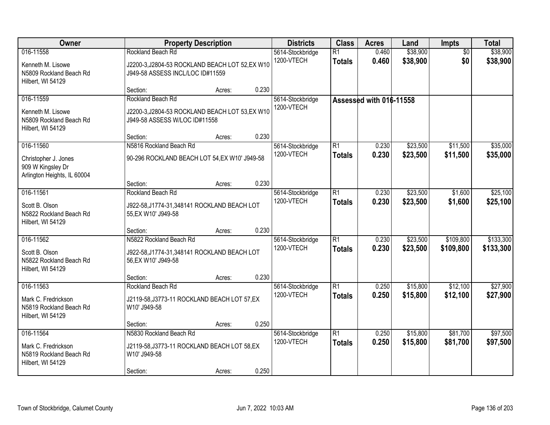| Owner                                                                            |                                                                                                                   | <b>Property Description</b> |       | <b>Districts</b>               | <b>Class</b>                     | <b>Acres</b>            | Land                 | Impts                  | <b>Total</b>           |
|----------------------------------------------------------------------------------|-------------------------------------------------------------------------------------------------------------------|-----------------------------|-------|--------------------------------|----------------------------------|-------------------------|----------------------|------------------------|------------------------|
| 016-11558<br>Kenneth M. Lisowe<br>N5809 Rockland Beach Rd<br>Hilbert, WI 54129   | Rockland Beach Rd<br>J2200-3, J2804-53 ROCKLAND BEACH LOT 52, EX W10<br>J949-58 ASSESS INCL/LOC ID#11559          |                             |       | 5614-Stockbridge<br>1200-VTECH | $\overline{R1}$<br><b>Totals</b> | 0.460<br>0.460          | \$38,900<br>\$38,900 | $\overline{50}$<br>\$0 | \$38,900<br>\$38,900   |
|                                                                                  | Section:                                                                                                          | Acres:                      | 0.230 |                                |                                  |                         |                      |                        |                        |
| 016-11559<br>Kenneth M. Lisowe<br>N5809 Rockland Beach Rd<br>Hilbert, WI 54129   | Rockland Beach Rd<br>J2200-3, J2804-53 ROCKLAND BEACH LOT 53, EX W10<br>J949-58 ASSESS W/LOC ID#11558<br>Section: |                             | 0.230 | 5614-Stockbridge<br>1200-VTECH |                                  | Assessed with 016-11558 |                      |                        |                        |
| 016-11560                                                                        | N5816 Rockland Beach Rd                                                                                           | Acres:                      |       | 5614-Stockbridge               | $\overline{R1}$                  | 0.230                   | \$23,500             | \$11,500               | \$35,000               |
| Christopher J. Jones<br>909 W Kingsley Dr<br>Arlington Heights, IL 60004         | 90-296 ROCKLAND BEACH LOT 54, EX W10' J949-58                                                                     |                             |       | 1200-VTECH                     | <b>Totals</b>                    | 0.230                   | \$23,500             | \$11,500               | \$35,000               |
|                                                                                  | Section:                                                                                                          | Acres:                      | 0.230 |                                |                                  |                         |                      |                        |                        |
| 016-11561<br>Scott B. Olson<br>N5822 Rockland Beach Rd<br>Hilbert, WI 54129      | Rockland Beach Rd<br>J922-58, J1774-31, 348141 ROCKLAND BEACH LOT<br>55, EX W10' J949-58                          |                             |       | 5614-Stockbridge<br>1200-VTECH | $\overline{R1}$<br><b>Totals</b> | 0.230<br>0.230          | \$23,500<br>\$23,500 | \$1,600<br>\$1,600     | \$25,100<br>\$25,100   |
|                                                                                  | Section:                                                                                                          | Acres:                      | 0.230 |                                |                                  |                         |                      |                        |                        |
| 016-11562<br>Scott B. Olson<br>N5822 Rockland Beach Rd<br>Hilbert, WI 54129      | N5822 Rockland Beach Rd<br>J922-58, J1774-31, 348141 ROCKLAND BEACH LOT<br>56, EX W10' J949-58                    |                             |       | 5614-Stockbridge<br>1200-VTECH | $\overline{R1}$<br><b>Totals</b> | 0.230<br>0.230          | \$23,500<br>\$23,500 | \$109,800<br>\$109,800 | \$133,300<br>\$133,300 |
|                                                                                  | Section:                                                                                                          | Acres:                      | 0.230 |                                |                                  |                         |                      |                        |                        |
| 016-11563<br>Mark C. Fredrickson<br>N5819 Rockland Beach Rd<br>Hilbert, WI 54129 | Rockland Beach Rd<br>J2119-58, J3773-11 ROCKLAND BEACH LOT 57, EX<br>W10' J949-58                                 |                             |       | 5614-Stockbridge<br>1200-VTECH | $\overline{R1}$<br><b>Totals</b> | 0.250<br>0.250          | \$15,800<br>\$15,800 | \$12,100<br>\$12,100   | \$27,900<br>\$27,900   |
|                                                                                  | Section:                                                                                                          | Acres:                      | 0.250 |                                |                                  |                         |                      |                        |                        |
| 016-11564<br>Mark C. Fredrickson<br>N5819 Rockland Beach Rd<br>Hilbert, WI 54129 | N5830 Rockland Beach Rd<br>J2119-58, J3773-11 ROCKLAND BEACH LOT 58, EX<br>W10' J949-58<br>Section:               | Acres:                      | 0.250 | 5614-Stockbridge<br>1200-VTECH | $\overline{R1}$<br><b>Totals</b> | 0.250<br>0.250          | \$15,800<br>\$15,800 | \$81,700<br>\$81,700   | \$97,500<br>\$97,500   |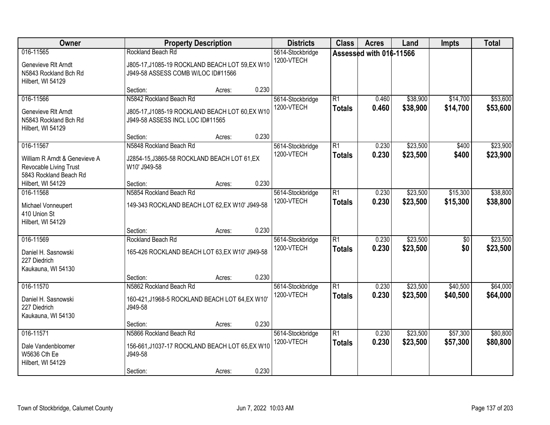| Owner                                            |                                                 | <b>Property Description</b> |       | <b>Districts</b>               | <b>Class</b>    | <b>Acres</b>            | Land     | <b>Impts</b>    | <b>Total</b> |
|--------------------------------------------------|-------------------------------------------------|-----------------------------|-------|--------------------------------|-----------------|-------------------------|----------|-----------------|--------------|
| 016-11565                                        | Rockland Beach Rd                               |                             |       | 5614-Stockbridge               |                 | Assessed with 016-11566 |          |                 |              |
| Genevieve RIt Arndt                              | J805-17, J1085-19 ROCKLAND BEACH LOT 59, EX W10 |                             |       | 1200-VTECH                     |                 |                         |          |                 |              |
| N5843 Rockland Bch Rd                            | J949-58 ASSESS COMB W/LOC ID#11566              |                             |       |                                |                 |                         |          |                 |              |
| Hilbert, WI 54129                                |                                                 |                             |       |                                |                 |                         |          |                 |              |
|                                                  | Section:                                        | Acres:                      | 0.230 |                                |                 |                         |          |                 |              |
| 016-11566                                        | N5842 Rockland Beach Rd                         |                             |       | 5614-Stockbridge<br>1200-VTECH | $\overline{R1}$ | 0.460                   | \$38,900 | \$14,700        | \$53,600     |
| Genevieve RIt Arndt                              | J805-17, J1085-19 ROCKLAND BEACH LOT 60, EX W10 |                             |       |                                | <b>Totals</b>   | 0.460                   | \$38,900 | \$14,700        | \$53,600     |
| N5843 Rockland Bch Rd                            | J949-58 ASSESS INCL LOC ID#11565                |                             |       |                                |                 |                         |          |                 |              |
| Hilbert, WI 54129                                |                                                 |                             | 0.230 |                                |                 |                         |          |                 |              |
| 016-11567                                        | Section:<br>N5848 Rockland Beach Rd             | Acres:                      |       | 5614-Stockbridge               | $\overline{R1}$ | 0.230                   | \$23,500 | \$400           | \$23,900     |
|                                                  |                                                 |                             |       | 1200-VTECH                     | <b>Totals</b>   | 0.230                   | \$23,500 | \$400           | \$23,900     |
| William R Arndt & Genevieve A                    | J2854-15, J3865-58 ROCKLAND BEACH LOT 61, EX    |                             |       |                                |                 |                         |          |                 |              |
| Revocable Living Trust<br>5843 Rockland Beach Rd | W10' J949-58                                    |                             |       |                                |                 |                         |          |                 |              |
| Hilbert, WI 54129                                | Section:                                        | Acres:                      | 0.230 |                                |                 |                         |          |                 |              |
| 016-11568                                        | N5854 Rockland Beach Rd                         |                             |       | 5614-Stockbridge               | $\overline{R1}$ | 0.230                   | \$23,500 | \$15,300        | \$38,800     |
|                                                  |                                                 |                             |       | 1200-VTECH                     | <b>Totals</b>   | 0.230                   | \$23,500 | \$15,300        | \$38,800     |
| Michael Vonneupert<br>410 Union St               | 149-343 ROCKLAND BEACH LOT 62, EX W10' J949-58  |                             |       |                                |                 |                         |          |                 |              |
| Hilbert, WI 54129                                |                                                 |                             |       |                                |                 |                         |          |                 |              |
|                                                  | Section:                                        | Acres:                      | 0.230 |                                |                 |                         |          |                 |              |
| 016-11569                                        | Rockland Beach Rd                               |                             |       | 5614-Stockbridge               | $\overline{R1}$ | 0.230                   | \$23,500 | $\overline{50}$ | \$23,500     |
| Daniel H. Sasnowski                              | 165-426 ROCKLAND BEACH LOT 63, EX W10' J949-58  |                             |       | 1200-VTECH                     | <b>Totals</b>   | 0.230                   | \$23,500 | \$0             | \$23,500     |
| 227 Diedrich                                     |                                                 |                             |       |                                |                 |                         |          |                 |              |
| Kaukauna, WI 54130                               |                                                 |                             |       |                                |                 |                         |          |                 |              |
|                                                  | Section:                                        | Acres:                      | 0.230 |                                |                 |                         |          |                 |              |
| 016-11570                                        | N5862 Rockland Beach Rd                         |                             |       | 5614-Stockbridge               | $\overline{R1}$ | 0.230                   | \$23,500 | \$40,500        | \$64,000     |
| Daniel H. Sasnowski                              | 160-421, J1968-5 ROCKLAND BEACH LOT 64, EX W10' |                             |       | 1200-VTECH                     | <b>Totals</b>   | 0.230                   | \$23,500 | \$40,500        | \$64,000     |
| 227 Diedrich                                     | J949-58                                         |                             |       |                                |                 |                         |          |                 |              |
| Kaukauna, WI 54130                               |                                                 |                             |       |                                |                 |                         |          |                 |              |
|                                                  | Section:                                        | Acres:                      | 0.230 |                                |                 |                         |          |                 |              |
| 016-11571                                        | N5866 Rockland Beach Rd                         |                             |       | 5614-Stockbridge<br>1200-VTECH | $\overline{R1}$ | 0.230                   | \$23,500 | \$57,300        | \$80,800     |
| Dale Vandenbloomer                               | 156-661, J1037-17 ROCKLAND BEACH LOT 65, EX W10 |                             |       |                                | <b>Totals</b>   | 0.230                   | \$23,500 | \$57,300        | \$80,800     |
| W5636 Cth Ee                                     | J949-58                                         |                             |       |                                |                 |                         |          |                 |              |
| Hilbert, WI 54129                                |                                                 |                             |       |                                |                 |                         |          |                 |              |
|                                                  | Section:                                        | Acres:                      | 0.230 |                                |                 |                         |          |                 |              |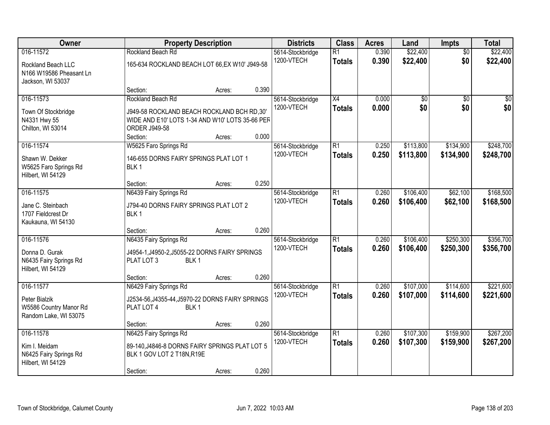| Owner                                                                           |                                                                                                                                                        | <b>Property Description</b> |       | <b>Districts</b>               | <b>Class</b>                     | <b>Acres</b>   | Land                   | Impts                  | <b>Total</b>           |
|---------------------------------------------------------------------------------|--------------------------------------------------------------------------------------------------------------------------------------------------------|-----------------------------|-------|--------------------------------|----------------------------------|----------------|------------------------|------------------------|------------------------|
| 016-11572<br>Rockland Beach LLC<br>N166 W19586 Pheasant Ln<br>Jackson, WI 53037 | Rockland Beach Rd<br>165-634 ROCKLAND BEACH LOT 66, EX W10' J949-58                                                                                    |                             |       | 5614-Stockbridge<br>1200-VTECH | $\overline{R1}$<br><b>Totals</b> | 0.390<br>0.390 | \$22,400<br>\$22,400   | $\overline{50}$<br>\$0 | \$22,400<br>\$22,400   |
|                                                                                 | Section:                                                                                                                                               | Acres:                      | 0.390 |                                |                                  |                |                        |                        |                        |
| 016-11573<br>Town Of Stockbridge<br>N4331 Hwy 55<br>Chilton, WI 53014           | Rockland Beach Rd<br>J949-58 ROCKLAND BEACH ROCKLAND BCH RD,30'<br>WIDE AND E10' LOTS 1-34 AND W10' LOTS 35-66 PER<br><b>ORDER J949-58</b><br>Section: | Acres:                      | 0.000 | 5614-Stockbridge<br>1200-VTECH | $\overline{X4}$<br><b>Totals</b> | 0.000<br>0.000 | $\overline{50}$<br>\$0 | $\overline{50}$<br>\$0 | $\overline{50}$<br>\$0 |
| 016-11574<br>Shawn W. Dekker<br>W5625 Faro Springs Rd<br>Hilbert, WI 54129      | W5625 Faro Springs Rd<br>146-655 DORNS FAIRY SPRINGS PLAT LOT 1<br>BLK <sub>1</sub><br>Section:                                                        | Acres:                      | 0.250 | 5614-Stockbridge<br>1200-VTECH | $\overline{R1}$<br><b>Totals</b> | 0.250<br>0.250 | \$113,800<br>\$113,800 | \$134,900<br>\$134,900 | \$248,700<br>\$248,700 |
| 016-11575                                                                       | N6439 Fairy Springs Rd                                                                                                                                 |                             |       | 5614-Stockbridge               | $\overline{R1}$                  | 0.260          | \$106,400              | \$62,100               | \$168,500              |
| Jane C. Steinbach<br>1707 Fieldcrest Dr<br>Kaukauna, WI 54130                   | J794-40 DORNS FAIRY SPRINGS PLAT LOT 2<br>BLK <sub>1</sub>                                                                                             |                             |       | 1200-VTECH                     | <b>Totals</b>                    | 0.260          | \$106,400              | \$62,100               | \$168,500              |
|                                                                                 | Section:                                                                                                                                               | Acres:                      | 0.260 |                                |                                  |                |                        |                        |                        |
| 016-11576<br>Donna D. Gurak<br>N6435 Fairy Springs Rd<br>Hilbert, WI 54129      | N6435 Fairy Springs Rd<br>J4954-1, J4950-2, J5055-22 DORNS FAIRY SPRINGS<br>PLAT LOT 3<br>BLK <sub>1</sub>                                             |                             |       | 5614-Stockbridge<br>1200-VTECH | $\overline{R1}$<br><b>Totals</b> | 0.260<br>0.260 | \$106,400<br>\$106,400 | \$250,300<br>\$250,300 | \$356,700<br>\$356,700 |
|                                                                                 | Section:                                                                                                                                               | Acres:                      | 0.260 |                                |                                  |                |                        |                        |                        |
| 016-11577<br>Peter Bialzik<br>W5586 Country Manor Rd<br>Random Lake, WI 53075   | N6429 Fairy Springs Rd<br>J2534-56, J4355-44, J5970-22 DORNS FAIRY SPRINGS<br>BLK <sub>1</sub><br>PLAT LOT 4                                           |                             |       | 5614-Stockbridge<br>1200-VTECH | $\overline{R1}$<br><b>Totals</b> | 0.260<br>0.260 | \$107,000<br>\$107,000 | \$114,600<br>\$114,600 | \$221,600<br>\$221,600 |
|                                                                                 | Section:                                                                                                                                               | Acres:                      | 0.260 |                                |                                  |                |                        |                        |                        |
| 016-11578<br>Kim I. Meidam<br>N6425 Fairy Springs Rd<br>Hilbert, WI 54129       | N6425 Fairy Springs Rd<br>89-140, J4846-8 DORNS FAIRY SPRINGS PLAT LOT 5<br>BLK 1 GOV LOT 2 T18N, R19E<br>Section:                                     | Acres:                      | 0.260 | 5614-Stockbridge<br>1200-VTECH | $\overline{R1}$<br><b>Totals</b> | 0.260<br>0.260 | \$107,300<br>\$107,300 | \$159,900<br>\$159,900 | \$267,200<br>\$267,200 |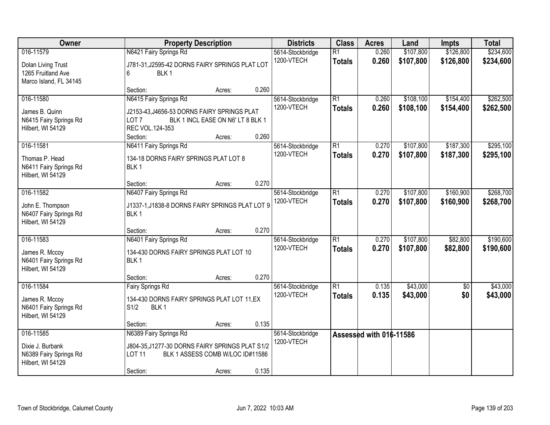| Owner                                                                           | <b>Property Description</b>                                                                                                                        |                 | <b>Districts</b>               | <b>Class</b>                     | <b>Acres</b>            | Land                   | <b>Impts</b>           | <b>Total</b>           |
|---------------------------------------------------------------------------------|----------------------------------------------------------------------------------------------------------------------------------------------------|-----------------|--------------------------------|----------------------------------|-------------------------|------------------------|------------------------|------------------------|
| 016-11579<br>Dolan Living Trust<br>1265 Fruitland Ave<br>Marco Island, FL 34145 | N6421 Fairy Springs Rd<br>J781-31, J2595-42 DORNS FAIRY SPRINGS PLAT LOT<br>BLK <sub>1</sub><br>6                                                  |                 | 5614-Stockbridge<br>1200-VTECH | $\overline{R1}$<br><b>Totals</b> | 0.260<br>0.260          | \$107,800<br>\$107,800 | \$126,800<br>\$126,800 | \$234,600<br>\$234,600 |
|                                                                                 | Section:                                                                                                                                           | 0.260<br>Acres: |                                |                                  |                         |                        |                        |                        |
| 016-11580<br>James B. Quinn<br>N6415 Fairy Springs Rd<br>Hilbert, WI 54129      | N6415 Fairy Springs Rd<br>J2153-43, J4656-53 DORNS FAIRY SPRINGS PLAT<br>BLK 1 INCL EASE ON N6' LT 8 BLK 1<br>LOT 7<br>REC VOL.124-353<br>Section: | 0.260<br>Acres: | 5614-Stockbridge<br>1200-VTECH | $\overline{R1}$<br><b>Totals</b> | 0.260<br>0.260          | \$108,100<br>\$108,100 | \$154,400<br>\$154,400 | \$262,500<br>\$262,500 |
| 016-11581<br>Thomas P. Head<br>N6411 Fairy Springs Rd<br>Hilbert, WI 54129      | N6411 Fairy Springs Rd<br>134-18 DORNS FAIRY SPRINGS PLAT LOT 8<br>BLK <sub>1</sub><br>Section:                                                    | 0.270<br>Acres: | 5614-Stockbridge<br>1200-VTECH | $\overline{R1}$<br><b>Totals</b> | 0.270<br>0.270          | \$107,800<br>\$107,800 | \$187,300<br>\$187,300 | \$295,100<br>\$295,100 |
| 016-11582<br>John E. Thompson<br>N6407 Fairy Springs Rd<br>Hilbert, WI 54129    | N6407 Fairy Springs Rd<br>J1337-1, J1838-8 DORNS FAIRY SPRINGS PLAT LOT 9<br>BLK <sub>1</sub>                                                      |                 | 5614-Stockbridge<br>1200-VTECH | $\overline{R1}$<br><b>Totals</b> | 0.270<br>0.270          | \$107,800<br>\$107,800 | \$160,900<br>\$160,900 | \$268,700<br>\$268,700 |
|                                                                                 | Section:                                                                                                                                           | 0.270<br>Acres: |                                |                                  |                         |                        |                        |                        |
| 016-11583<br>James R. Mccoy<br>N6401 Fairy Springs Rd<br>Hilbert, WI 54129      | N6401 Fairy Springs Rd<br>134-430 DORNS FAIRY SPRINGS PLAT LOT 10<br>BLK <sub>1</sub>                                                              |                 | 5614-Stockbridge<br>1200-VTECH | $\overline{R1}$<br><b>Totals</b> | 0.270<br>0.270          | \$107,800<br>\$107,800 | \$82,800<br>\$82,800   | \$190,600<br>\$190,600 |
|                                                                                 | Section:                                                                                                                                           | 0.270<br>Acres: |                                |                                  |                         |                        |                        |                        |
| 016-11584<br>James R. Mccoy<br>N6401 Fairy Springs Rd<br>Hilbert, WI 54129      | <b>Fairy Springs Rd</b><br>134-430 DORNS FAIRY SPRINGS PLAT LOT 11,EX<br>S1/2<br>BLK <sub>1</sub>                                                  |                 | 5614-Stockbridge<br>1200-VTECH | $\overline{R1}$<br><b>Totals</b> | 0.135<br>0.135          | \$43,000<br>\$43,000   | $\overline{50}$<br>\$0 | \$43,000<br>\$43,000   |
|                                                                                 | Section:                                                                                                                                           | 0.135<br>Acres: |                                |                                  |                         |                        |                        |                        |
| 016-11585<br>Dixie J. Burbank<br>N6389 Fairy Springs Rd<br>Hilbert, WI 54129    | N6389 Fairy Springs Rd<br>J804-35, J1277-30 DORNS FAIRY SPRINGS PLAT S1/2<br><b>LOT 11</b><br>BLK 1 ASSESS COMB W/LOC ID#11586<br>Section:         | 0.135<br>Acres: | 5614-Stockbridge<br>1200-VTECH |                                  | Assessed with 016-11586 |                        |                        |                        |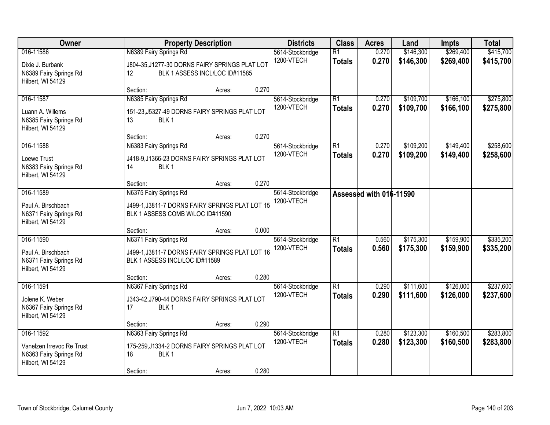| Owner                                                                                 | <b>Property Description</b>                                                                                      |        | <b>Districts</b>                        | <b>Class</b>                     | <b>Acres</b>            | Land                   | <b>Impts</b>           | <b>Total</b>           |
|---------------------------------------------------------------------------------------|------------------------------------------------------------------------------------------------------------------|--------|-----------------------------------------|----------------------------------|-------------------------|------------------------|------------------------|------------------------|
| 016-11586<br>Dixie J. Burbank<br>N6389 Fairy Springs Rd<br>Hilbert, WI 54129          | N6389 Fairy Springs Rd<br>J804-35, J1277-30 DORNS FAIRY SPRINGS PLAT LOT<br>BLK 1 ASSESS INCL/LOC ID#11585<br>12 |        | 5614-Stockbridge<br>1200-VTECH          | $\overline{R1}$<br><b>Totals</b> | 0.270<br>0.270          | \$146,300<br>\$146,300 | \$269,400<br>\$269,400 | \$415,700<br>\$415,700 |
|                                                                                       | Section:                                                                                                         | Acres: | 0.270                                   |                                  |                         |                        |                        |                        |
| 016-11587<br>Luann A. Willems<br>N6385 Fairy Springs Rd<br>Hilbert, WI 54129          | N6385 Fairy Springs Rd<br>151-23, J5327-49 DORNS FAIRY SPRINGS PLAT LOT<br>13<br>BLK <sub>1</sub>                |        | 5614-Stockbridge<br>1200-VTECH          | $\overline{R1}$<br><b>Totals</b> | 0.270<br>0.270          | \$109,700<br>\$109,700 | \$166,100<br>\$166,100 | \$275,800<br>\$275,800 |
|                                                                                       | Section:                                                                                                         | Acres: | 0.270                                   |                                  |                         |                        |                        |                        |
| 016-11588<br>Loewe Trust<br>N6383 Fairy Springs Rd<br>Hilbert, WI 54129               | N6383 Fairy Springs Rd<br>J418-9, J1366-23 DORNS FAIRY SPRINGS PLAT LOT<br>14<br>BLK <sub>1</sub>                |        | 5614-Stockbridge<br>1200-VTECH          | $\overline{R1}$<br><b>Totals</b> | 0.270<br>0.270          | \$109,200<br>\$109,200 | \$149,400<br>\$149,400 | \$258,600<br>\$258,600 |
|                                                                                       | Section:                                                                                                         | Acres: | 0.270                                   |                                  |                         |                        |                        |                        |
| 016-11589<br>Paul A. Birschbach<br>N6371 Fairy Springs Rd<br>Hilbert, WI 54129        | N6375 Fairy Springs Rd<br>J499-1, J3811-7 DORNS FAIRY SPRINGS PLAT LOT 15<br>BLK 1 ASSESS COMB W/LOC ID#11590    |        | 5614-Stockbridge<br>1200-VTECH          |                                  | Assessed with 016-11590 |                        |                        |                        |
|                                                                                       | Section:                                                                                                         | Acres: | 0.000                                   |                                  |                         |                        |                        |                        |
| 016-11590<br>Paul A. Birschbach<br>N6371 Fairy Springs Rd<br>Hilbert, WI 54129        | N6371 Fairy Springs Rd<br>J499-1, J3811-7 DORNS FAIRY SPRINGS PLAT LOT 16<br>BLK 1 ASSESS INCL/LOC ID#11589      |        | 5614-Stockbridge<br>1200-VTECH          | $\overline{R1}$<br><b>Totals</b> | 0.560<br>0.560          | \$175,300<br>\$175,300 | \$159,900<br>\$159,900 | \$335,200<br>\$335,200 |
|                                                                                       | Section:                                                                                                         | Acres: | 0.280                                   |                                  |                         |                        |                        |                        |
| 016-11591<br>Jolene K. Weber<br>N6367 Fairy Springs Rd<br>Hilbert, WI 54129           | N6367 Fairy Springs Rd<br>J343-42, J790-44 DORNS FAIRY SPRINGS PLAT LOT<br>17<br>BLK <sub>1</sub>                |        | 5614-Stockbridge<br>1200-VTECH          | $\overline{R1}$<br><b>Totals</b> | 0.290<br>0.290          | \$111,600<br>\$111,600 | \$126,000<br>\$126,000 | \$237,600<br>\$237,600 |
|                                                                                       | Section:                                                                                                         | Acres: | 0.290                                   |                                  |                         |                        |                        |                        |
| 016-11592<br>Vanelzen Irrevoc Re Trust<br>N6363 Fairy Springs Rd<br>Hilbert, WI 54129 | N6363 Fairy Springs Rd<br>175-259, J1334-2 DORNS FAIRY SPRINGS PLAT LOT<br>18<br>BLK <sub>1</sub><br>Section:    | Acres: | 5614-Stockbridge<br>1200-VTECH<br>0.280 | $\overline{R1}$<br><b>Totals</b> | 0.280<br>0.280          | \$123,300<br>\$123,300 | \$160,500<br>\$160,500 | \$283,800<br>\$283,800 |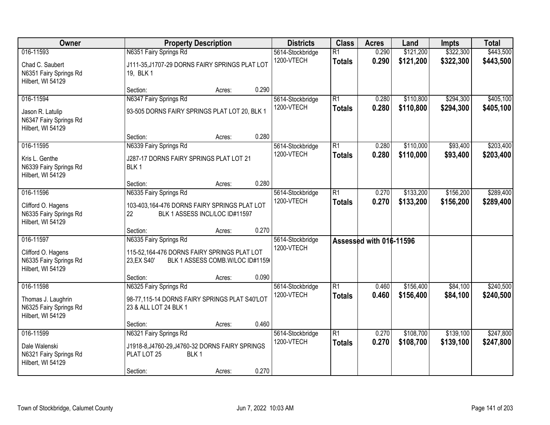| Owner                                                                          |                                                                                                              | <b>Property Description</b>                |       | <b>Districts</b>               | <b>Class</b>                     | <b>Acres</b>            | Land                   | <b>Impts</b>           | <b>Total</b>           |
|--------------------------------------------------------------------------------|--------------------------------------------------------------------------------------------------------------|--------------------------------------------|-------|--------------------------------|----------------------------------|-------------------------|------------------------|------------------------|------------------------|
| 016-11593<br>Chad C. Saubert<br>N6351 Fairy Springs Rd<br>Hilbert, WI 54129    | N6351 Fairy Springs Rd<br>J111-35, J1707-29 DORNS FAIRY SPRINGS PLAT LOT<br>19, BLK 1                        |                                            |       | 5614-Stockbridge<br>1200-VTECH | $\overline{R1}$<br><b>Totals</b> | 0.290<br>0.290          | \$121,200<br>\$121,200 | \$322,300<br>\$322,300 | \$443,500<br>\$443,500 |
|                                                                                | Section:                                                                                                     | Acres:                                     | 0.290 |                                |                                  |                         |                        |                        |                        |
| 016-11594<br>Jason R. Latulip<br>N6347 Fairy Springs Rd<br>Hilbert, WI 54129   | N6347 Fairy Springs Rd<br>93-505 DORNS FAIRY SPRINGS PLAT LOT 20, BLK 1                                      |                                            |       | 5614-Stockbridge<br>1200-VTECH | $\overline{R1}$<br><b>Totals</b> | 0.280<br>0.280          | \$110,800<br>\$110,800 | \$294,300<br>\$294,300 | \$405,100<br>\$405,100 |
| 016-11595                                                                      | Section:<br>N6339 Fairy Springs Rd                                                                           | Acres:                                     | 0.280 | 5614-Stockbridge               | $\overline{R1}$                  | 0.280                   | \$110,000              | \$93,400               | \$203,400              |
| Kris L. Genthe<br>N6339 Fairy Springs Rd<br>Hilbert, WI 54129                  | J287-17 DORNS FAIRY SPRINGS PLAT LOT 21<br>BLK <sub>1</sub>                                                  |                                            |       | 1200-VTECH                     | <b>Totals</b>                    | 0.280                   | \$110,000              | \$93,400               | \$203,400              |
|                                                                                | Section:                                                                                                     | Acres:                                     | 0.280 |                                |                                  |                         |                        |                        |                        |
| 016-11596<br>Clifford O. Hagens<br>N6335 Fairy Springs Rd<br>Hilbert, WI 54129 | N6335 Fairy Springs Rd<br>103-403,164-476 DORNS FAIRY SPRINGS PLAT LOT<br>22                                 | BLK 1 ASSESS INCL/LOC ID#11597             |       | 5614-Stockbridge<br>1200-VTECH | $\overline{R1}$<br><b>Totals</b> | 0.270<br>0.270          | \$133,200<br>\$133,200 | \$156,200<br>\$156,200 | \$289,400<br>\$289,400 |
|                                                                                | Section:                                                                                                     | Acres:                                     | 0.270 |                                |                                  |                         |                        |                        |                        |
| 016-11597<br>Clifford O. Hagens<br>N6335 Fairy Springs Rd<br>Hilbert, WI 54129 | N6335 Fairy Springs Rd<br>115-52,164-476 DORNS FAIRY SPRINGS PLAT LOT<br>23, EX S40'<br>Section:             | BLK 1 ASSESS COMB. W/LOC ID#1159<br>Acres: | 0.090 | 5614-Stockbridge<br>1200-VTECH |                                  | Assessed with 016-11596 |                        |                        |                        |
| 016-11598<br>Thomas J. Laughrin<br>N6325 Fairy Springs Rd<br>Hilbert, WI 54129 | N6325 Fairy Springs Rd<br>98-77,115-14 DORNS FAIRY SPRINGS PLAT S40'LOT<br>23 & ALL LOT 24 BLK 1<br>Section: | Acres:                                     | 0.460 | 5614-Stockbridge<br>1200-VTECH | $\overline{R1}$<br><b>Totals</b> | 0.460<br>0.460          | \$156,400<br>\$156,400 | \$84,100<br>\$84,100   | \$240,500<br>\$240,500 |
| 016-11599                                                                      | N6321 Fairy Springs Rd                                                                                       |                                            |       | 5614-Stockbridge               | $\overline{R1}$                  | 0.270                   | \$108,700              | \$139,100              | \$247,800              |
| Dale Walenski<br>N6321 Fairy Springs Rd<br>Hilbert, WI 54129                   | J1918-8, J4760-29, J4760-32 DORNS FAIRY SPRINGS<br>PLAT LOT 25<br>BLK <sub>1</sub><br>Section:               | Acres:                                     | 0.270 | 1200-VTECH                     | <b>Totals</b>                    | 0.270                   | \$108,700              | \$139,100              | \$247,800              |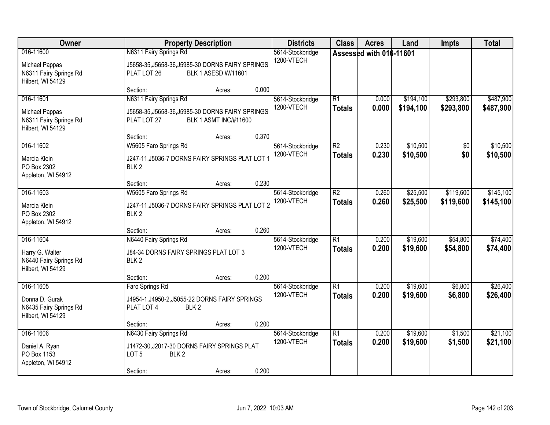| Owner                                                                       | <b>Property Description</b>                                                                                                                              | <b>Districts</b>               | <b>Class</b>                     | <b>Acres</b>            | Land                   | <b>Impts</b>           | <b>Total</b>           |
|-----------------------------------------------------------------------------|----------------------------------------------------------------------------------------------------------------------------------------------------------|--------------------------------|----------------------------------|-------------------------|------------------------|------------------------|------------------------|
| 016-11600<br>Michael Pappas<br>N6311 Fairy Springs Rd<br>Hilbert, WI 54129  | N6311 Fairy Springs Rd<br>J5658-35, J5658-36, J5985-30 DORNS FAIRY SPRINGS<br>BLK 1 ASESD W/11601<br>PLAT LOT 26                                         | 5614-Stockbridge<br>1200-VTECH |                                  | Assessed with 016-11601 |                        |                        |                        |
| 016-11601<br>Michael Pappas<br>N6311 Fairy Springs Rd<br>Hilbert, WI 54129  | 0.000<br>Section:<br>Acres:<br>N6311 Fairy Springs Rd<br>J5658-35, J5658-36, J5985-30 DORNS FAIRY SPRINGS<br><b>BLK 1 ASMT INC/#11600</b><br>PLAT LOT 27 | 5614-Stockbridge<br>1200-VTECH | $\overline{R1}$<br><b>Totals</b> | 0.000<br>0.000          | \$194,100<br>\$194,100 | \$293,800<br>\$293,800 | \$487,900<br>\$487,900 |
| 016-11602<br>Marcia Klein<br>PO Box 2302<br>Appleton, WI 54912              | 0.370<br>Section:<br>Acres:<br>W5605 Faro Springs Rd<br>J247-11, J5036-7 DORNS FAIRY SPRINGS PLAT LOT 1<br>BLK <sub>2</sub>                              | 5614-Stockbridge<br>1200-VTECH | $\overline{R2}$<br><b>Totals</b> | 0.230<br>0.230          | \$10,500<br>\$10,500   | \$0<br>\$0             | \$10,500<br>\$10,500   |
| 016-11603<br>Marcia Klein<br>PO Box 2302<br>Appleton, WI 54912              | 0.230<br>Section:<br>Acres:<br>W5605 Faro Springs Rd<br>J247-11, J5036-7 DORNS FAIRY SPRINGS PLAT LOT 2<br>BLK <sub>2</sub>                              | 5614-Stockbridge<br>1200-VTECH | $\overline{R2}$<br><b>Totals</b> | 0.260<br>0.260          | \$25,500<br>\$25,500   | \$119,600<br>\$119,600 | \$145,100<br>\$145,100 |
| 016-11604<br>Harry G. Walter<br>N6440 Fairy Springs Rd<br>Hilbert, WI 54129 | 0.260<br>Section:<br>Acres:<br>N6440 Fairy Springs Rd<br>J84-34 DORNS FAIRY SPRINGS PLAT LOT 3<br>BLK <sub>2</sub><br>0.200<br>Section:                  | 5614-Stockbridge<br>1200-VTECH | $\overline{R1}$<br><b>Totals</b> | 0.200<br>0.200          | \$19,600<br>\$19,600   | \$54,800<br>\$54,800   | \$74,400<br>\$74,400   |
| 016-11605<br>Donna D. Gurak<br>N6435 Fairy Springs Rd<br>Hilbert, WI 54129  | Acres:<br>Faro Springs Rd<br>J4954-1, J4950-2, J5055-22 DORNS FAIRY SPRINGS<br>PLAT LOT 4<br>BLK <sub>2</sub><br>0.200<br>Section:<br>Acres:             | 5614-Stockbridge<br>1200-VTECH | $\overline{R1}$<br><b>Totals</b> | 0.200<br>0.200          | \$19,600<br>\$19,600   | \$6,800<br>\$6,800     | \$26,400<br>\$26,400   |
| 016-11606<br>Daniel A. Ryan<br>PO Box 1153<br>Appleton, WI 54912            | N6430 Fairy Springs Rd<br>J1472-30, J2017-30 DORNS FAIRY SPRINGS PLAT<br>LOT <sub>5</sub><br>BLK <sub>2</sub><br>0.200<br>Section:<br>Acres:             | 5614-Stockbridge<br>1200-VTECH | $\overline{R1}$<br><b>Totals</b> | 0.200<br>0.200          | \$19,600<br>\$19,600   | \$1,500<br>\$1,500     | \$21,100<br>\$21,100   |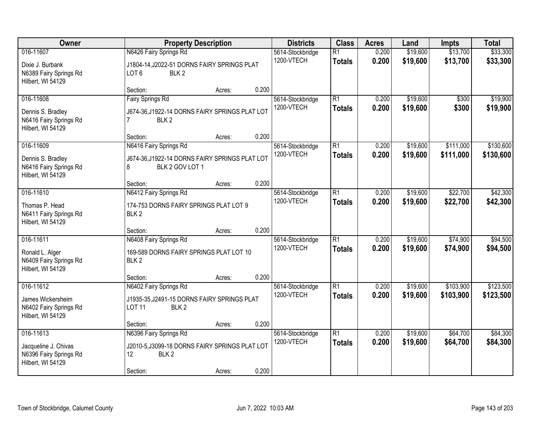| Owner                                                            | <b>Property Description</b>                                                         |        |       | <b>Districts</b>               | <b>Class</b>                     | <b>Acres</b>   | Land                 | <b>Impts</b>         | <b>Total</b>         |
|------------------------------------------------------------------|-------------------------------------------------------------------------------------|--------|-------|--------------------------------|----------------------------------|----------------|----------------------|----------------------|----------------------|
| 016-11607                                                        | N6426 Fairy Springs Rd                                                              |        |       | 5614-Stockbridge<br>1200-VTECH | $\overline{R1}$<br><b>Totals</b> | 0.200<br>0.200 | \$19,600<br>\$19,600 | \$13,700<br>\$13,700 | \$33,300<br>\$33,300 |
| Dixie J. Burbank<br>N6389 Fairy Springs Rd<br>Hilbert, WI 54129  | J1804-14, J2022-51 DORNS FAIRY SPRINGS PLAT<br>LOT <sub>6</sub><br>BLK <sub>2</sub> |        |       |                                |                                  |                |                      |                      |                      |
|                                                                  | Section:                                                                            | Acres: | 0.200 |                                |                                  |                |                      |                      |                      |
| 016-11608                                                        | <b>Fairy Springs Rd</b>                                                             |        |       | 5614-Stockbridge               | $\overline{R1}$                  | 0.200          | \$19,600             | \$300                | \$19,900             |
| Dennis S. Bradley<br>N6416 Fairy Springs Rd<br>Hilbert, WI 54129 | J674-36,J1922-14 DORNS FAIRY SPRINGS PLAT LOT<br>BLK <sub>2</sub><br>7              |        |       | 1200-VTECH                     | <b>Totals</b>                    | 0.200          | \$19,600             | \$300                | \$19,900             |
|                                                                  | Section:                                                                            | Acres: | 0.200 |                                |                                  |                |                      |                      |                      |
| 016-11609                                                        | N6416 Fairy Springs Rd                                                              |        |       | 5614-Stockbridge               | $\overline{R1}$                  | 0.200          | \$19,600             | \$111,000            | \$130,600            |
| Dennis S. Bradley<br>N6416 Fairy Springs Rd<br>Hilbert, WI 54129 | J674-36, J1922-14 DORNS FAIRY SPRINGS PLAT LOT<br>BLK 2 GOV LOT 1<br>8              |        |       | 1200-VTECH                     | <b>Totals</b>                    | 0.200          | \$19,600             | \$111,000            | \$130,600            |
|                                                                  | Section:                                                                            | Acres: | 0.200 |                                |                                  |                |                      |                      |                      |
| 016-11610                                                        | N6412 Fairy Springs Rd                                                              |        |       | 5614-Stockbridge               | $\overline{R1}$                  | 0.200          | \$19,600             | \$22,700             | \$42,300             |
| Thomas P. Head<br>N6411 Fairy Springs Rd<br>Hilbert, WI 54129    | 174-753 DORNS FAIRY SPRINGS PLAT LOT 9<br>BLK <sub>2</sub>                          |        |       | 1200-VTECH                     | <b>Totals</b>                    | 0.200          | \$19,600             | \$22,700             | \$42,300             |
|                                                                  | Section:                                                                            | Acres: | 0.200 |                                |                                  |                |                      |                      |                      |
| 016-11611                                                        | N6408 Fairy Springs Rd                                                              |        |       | 5614-Stockbridge               | $\overline{R1}$                  | 0.200          | \$19,600             | \$74,900             | \$94,500             |
| Ronald L. Alger                                                  | 169-589 DORNS FAIRY SPRINGS PLAT LOT 10                                             |        |       | 1200-VTECH                     | <b>Totals</b>                    | 0.200          | \$19,600             | \$74,900             | \$94,500             |
| N6409 Fairy Springs Rd<br>Hilbert, WI 54129                      | BLK <sub>2</sub>                                                                    |        |       |                                |                                  |                |                      |                      |                      |
|                                                                  | Section:                                                                            | Acres: | 0.200 |                                |                                  |                |                      |                      |                      |
| 016-11612                                                        | N6402 Fairy Springs Rd                                                              |        |       | 5614-Stockbridge               | $\overline{R1}$                  | 0.200          | \$19,600             | \$103,900            | \$123,500            |
| James Wickersheim<br>N6402 Fairy Springs Rd<br>Hilbert, WI 54129 | J1935-35, J2491-15 DORNS FAIRY SPRINGS PLAT<br>BLK <sub>2</sub><br><b>LOT 11</b>    |        |       | 1200-VTECH                     | <b>Totals</b>                    | 0.200          | \$19,600             | \$103,900            | \$123,500            |
|                                                                  | Section:                                                                            | Acres: | 0.200 |                                |                                  |                |                      |                      |                      |
| 016-11613                                                        | N6396 Fairy Springs Rd                                                              |        |       | 5614-Stockbridge               | $\overline{R1}$                  | 0.200          | \$19,600             | \$64,700             | \$84,300             |
| Jacqueline J. Chivas<br>N6396 Fairy Springs Rd                   | J2010-5, J3099-18 DORNS FAIRY SPRINGS PLAT LOT<br>12<br>BLK <sub>2</sub>            |        |       | 1200-VTECH                     | <b>Totals</b>                    | 0.200          | \$19,600             | \$64,700             | \$84,300             |
| Hilbert, WI 54129                                                | Section:                                                                            | Acres: | 0.200 |                                |                                  |                |                      |                      |                      |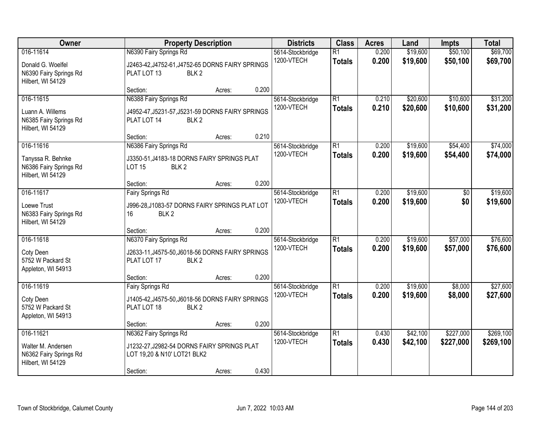| Owner                                                                          | <b>Property Description</b>                                                                                      |        | <b>Districts</b>                        | <b>Class</b>                     | <b>Acres</b>   | Land                 | <b>Impts</b>           | <b>Total</b>           |
|--------------------------------------------------------------------------------|------------------------------------------------------------------------------------------------------------------|--------|-----------------------------------------|----------------------------------|----------------|----------------------|------------------------|------------------------|
| 016-11614<br>Donald G. Woelfel<br>N6390 Fairy Springs Rd<br>Hilbert, WI 54129  | N6390 Fairy Springs Rd<br>J2463-42, J4752-61, J4752-65 DORNS FAIRY SPRINGS<br>PLAT LOT 13<br>BLK <sub>2</sub>    |        | 5614-Stockbridge<br>1200-VTECH          | $\overline{R1}$<br><b>Totals</b> | 0.200<br>0.200 | \$19,600<br>\$19,600 | \$50,100<br>\$50,100   | \$69,700<br>\$69,700   |
|                                                                                | Section:                                                                                                         | Acres: | 0.200                                   |                                  |                |                      |                        |                        |
| 016-11615<br>Luann A. Willems<br>N6385 Fairy Springs Rd<br>Hilbert, WI 54129   | N6388 Fairy Springs Rd<br>J4952-47, J5231-57, J5231-59 DORNS FAIRY SPRINGS<br>PLAT LOT 14<br>BLK <sub>2</sub>    |        | 5614-Stockbridge<br>1200-VTECH          | $\overline{R1}$<br><b>Totals</b> | 0.210<br>0.210 | \$20,600<br>\$20,600 | \$10,600<br>\$10,600   | \$31,200<br>\$31,200   |
|                                                                                | Section:                                                                                                         | Acres: | 0.210                                   |                                  |                |                      |                        |                        |
| 016-11616<br>Tanyssa R. Behnke<br>N6386 Fairy Springs Rd<br>Hilbert, WI 54129  | N6386 Fairy Springs Rd<br>J3350-51, J4183-18 DORNS FAIRY SPRINGS PLAT<br>BLK <sub>2</sub><br><b>LOT 15</b>       |        | 5614-Stockbridge<br>1200-VTECH          | $\overline{R1}$<br><b>Totals</b> | 0.200<br>0.200 | \$19,600<br>\$19,600 | \$54,400<br>\$54,400   | \$74,000<br>\$74,000   |
|                                                                                | Section:                                                                                                         | Acres: | 0.200                                   |                                  |                |                      |                        |                        |
| 016-11617<br>Loewe Trust<br>N6383 Fairy Springs Rd<br>Hilbert, WI 54129        | <b>Fairy Springs Rd</b><br>J996-28, J1083-57 DORNS FAIRY SPRINGS PLAT LOT<br>16<br>BLK <sub>2</sub>              |        | 5614-Stockbridge<br>1200-VTECH          | R1<br><b>Totals</b>              | 0.200<br>0.200 | \$19,600<br>\$19,600 | \$0<br>\$0             | \$19,600<br>\$19,600   |
|                                                                                | Section:                                                                                                         | Acres: | 0.200                                   |                                  |                |                      |                        |                        |
| 016-11618<br>Coty Deen<br>5752 W Packard St<br>Appleton, WI 54913              | N6370 Fairy Springs Rd<br>J2633-11, J4575-50, J6018-56 DORNS FAIRY SPRINGS<br>PLAT LOT 17<br>BLK <sub>2</sub>    |        | 5614-Stockbridge<br>1200-VTECH          | $\overline{R1}$<br><b>Totals</b> | 0.200<br>0.200 | \$19,600<br>\$19,600 | \$57,000<br>\$57,000   | \$76,600<br>\$76,600   |
|                                                                                | Section:                                                                                                         | Acres: | 0.200                                   |                                  |                |                      |                        |                        |
| 016-11619<br>Coty Deen<br>5752 W Packard St<br>Appleton, WI 54913              | <b>Fairy Springs Rd</b><br>J1405-42, J4575-50, J6018-56 DORNS FAIRY SPRINGS<br>BLK <sub>2</sub><br>PLAT LOT 18   |        | 5614-Stockbridge<br>1200-VTECH          | $\overline{R1}$<br><b>Totals</b> | 0.200<br>0.200 | \$19,600<br>\$19,600 | \$8,000<br>\$8,000     | \$27,600<br>\$27,600   |
|                                                                                | Section:                                                                                                         | Acres: | 0.200                                   |                                  |                |                      |                        |                        |
| 016-11621<br>Walter M. Andersen<br>N6362 Fairy Springs Rd<br>Hilbert, WI 54129 | N6362 Fairy Springs Rd<br>J1232-27, J2982-54 DORNS FAIRY SPRINGS PLAT<br>LOT 19,20 & N10' LOT21 BLK2<br>Section: | Acres: | 5614-Stockbridge<br>1200-VTECH<br>0.430 | $\overline{R1}$<br><b>Totals</b> | 0.430<br>0.430 | \$42,100<br>\$42,100 | \$227,000<br>\$227,000 | \$269,100<br>\$269,100 |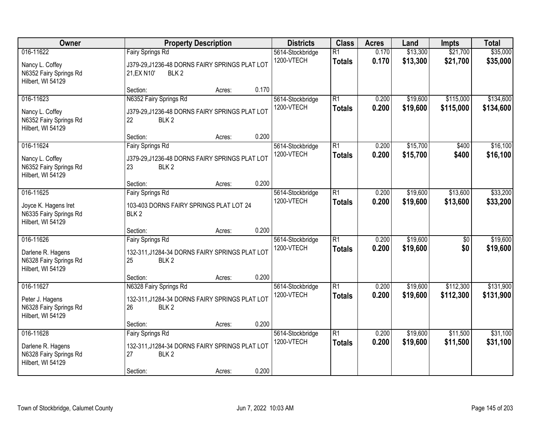| Owner                                                                            |                                                                                                              | <b>Property Description</b> |       | <b>Districts</b>               | <b>Class</b>                     | <b>Acres</b>   | Land                 | <b>Impts</b>           | <b>Total</b>           |
|----------------------------------------------------------------------------------|--------------------------------------------------------------------------------------------------------------|-----------------------------|-------|--------------------------------|----------------------------------|----------------|----------------------|------------------------|------------------------|
| 016-11622<br>Nancy L. Coffey<br>N6352 Fairy Springs Rd<br>Hilbert, WI 54129      | <b>Fairy Springs Rd</b><br>J379-29, J1236-48 DORNS FAIRY SPRINGS PLAT LOT<br>21, EX N10'<br>BLK <sub>2</sub> |                             |       | 5614-Stockbridge<br>1200-VTECH | $\overline{R1}$<br><b>Totals</b> | 0.170<br>0.170 | \$13,300<br>\$13,300 | \$21,700<br>\$21,700   | \$35,000<br>\$35,000   |
|                                                                                  | Section:                                                                                                     | Acres:                      | 0.170 |                                |                                  |                |                      |                        |                        |
| 016-11623<br>Nancy L. Coffey<br>N6352 Fairy Springs Rd<br>Hilbert, WI 54129      | N6352 Fairy Springs Rd<br>J379-29, J1236-48 DORNS FAIRY SPRINGS PLAT LOT<br>22<br>BLK <sub>2</sub>           |                             |       | 5614-Stockbridge<br>1200-VTECH | $\overline{R1}$<br><b>Totals</b> | 0.200<br>0.200 | \$19,600<br>\$19,600 | \$115,000<br>\$115,000 | \$134,600<br>\$134,600 |
|                                                                                  | Section:                                                                                                     | Acres:                      | 0.200 |                                | $\overline{R1}$                  |                |                      |                        |                        |
| 016-11624<br>Nancy L. Coffey<br>N6352 Fairy Springs Rd<br>Hilbert, WI 54129      | Fairy Springs Rd<br>J379-29, J1236-48 DORNS FAIRY SPRINGS PLAT LOT<br>23<br>BLK <sub>2</sub>                 |                             |       | 5614-Stockbridge<br>1200-VTECH | <b>Totals</b>                    | 0.200<br>0.200 | \$15,700<br>\$15,700 | \$400<br>\$400         | \$16,100<br>\$16,100   |
|                                                                                  | Section:                                                                                                     | Acres:                      | 0.200 |                                |                                  |                |                      |                        |                        |
| 016-11625<br>Joyce K. Hagens Iret<br>N6335 Fairy Springs Rd<br>Hilbert, WI 54129 | <b>Fairy Springs Rd</b><br>103-403 DORNS FAIRY SPRINGS PLAT LOT 24<br>BLK <sub>2</sub>                       |                             |       | 5614-Stockbridge<br>1200-VTECH | $\overline{R1}$<br><b>Totals</b> | 0.200<br>0.200 | \$19,600<br>\$19,600 | \$13,600<br>\$13,600   | \$33,200<br>\$33,200   |
|                                                                                  | Section:                                                                                                     | Acres:                      | 0.200 |                                |                                  |                |                      |                        |                        |
| 016-11626<br>Darlene R. Hagens<br>N6328 Fairy Springs Rd<br>Hilbert, WI 54129    | <b>Fairy Springs Rd</b><br>132-311, J1284-34 DORNS FAIRY SPRINGS PLAT LOT<br>25<br>BLK <sub>2</sub>          |                             |       | 5614-Stockbridge<br>1200-VTECH | $\overline{R1}$<br><b>Totals</b> | 0.200<br>0.200 | \$19,600<br>\$19,600 | $\overline{50}$<br>\$0 | \$19,600<br>\$19,600   |
|                                                                                  | Section:                                                                                                     | Acres:                      | 0.200 |                                |                                  |                |                      |                        |                        |
| 016-11627<br>Peter J. Hagens<br>N6328 Fairy Springs Rd<br>Hilbert, WI 54129      | N6328 Fairy Springs Rd<br>132-311, J1284-34 DORNS FAIRY SPRINGS PLAT LOT<br>26<br>BLK <sub>2</sub>           |                             |       | 5614-Stockbridge<br>1200-VTECH | $\overline{R1}$<br><b>Totals</b> | 0.200<br>0.200 | \$19,600<br>\$19,600 | \$112,300<br>\$112,300 | \$131,900<br>\$131,900 |
|                                                                                  | Section:                                                                                                     | Acres:                      | 0.200 |                                |                                  |                |                      |                        |                        |
| 016-11628<br>Darlene R. Hagens<br>N6328 Fairy Springs Rd<br>Hilbert, WI 54129    | Fairy Springs Rd<br>132-311, J1284-34 DORNS FAIRY SPRINGS PLAT LOT<br>27<br>BLK <sub>2</sub><br>Section:     | Acres:                      | 0.200 | 5614-Stockbridge<br>1200-VTECH | $\overline{R1}$<br><b>Totals</b> | 0.200<br>0.200 | \$19,600<br>\$19,600 | \$11,500<br>\$11,500   | \$31,100<br>\$31,100   |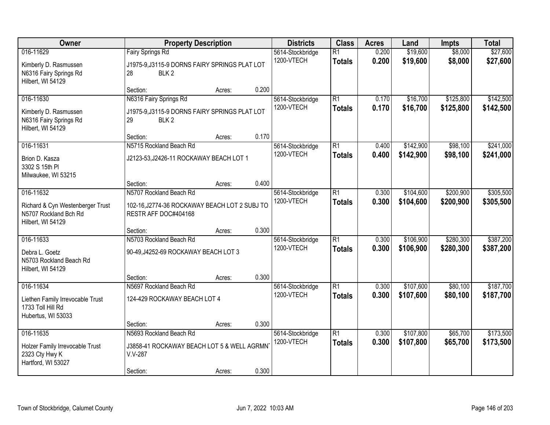| Owner<br><b>Property Description</b>                                                        | <b>Districts</b>                                                                                   | <b>Class</b> | <b>Acres</b> | Land                           | <b>Impts</b>                     | <b>Total</b>   |                        |                        |                        |
|---------------------------------------------------------------------------------------------|----------------------------------------------------------------------------------------------------|--------------|--------------|--------------------------------|----------------------------------|----------------|------------------------|------------------------|------------------------|
| 016-11629<br>Kimberly D. Rasmussen<br>N6316 Fairy Springs Rd<br>Hilbert, WI 54129           | <b>Fairy Springs Rd</b><br>J1975-9, J3115-9 DORNS FAIRY SPRINGS PLAT LOT<br>28<br>BLK <sub>2</sub> |              |              | 5614-Stockbridge<br>1200-VTECH | $\overline{R1}$<br><b>Totals</b> | 0.200<br>0.200 | \$19,600<br>\$19,600   | \$8,000<br>\$8,000     | \$27,600<br>\$27,600   |
|                                                                                             | Section:                                                                                           | Acres:       | 0.200        |                                |                                  |                |                        |                        |                        |
| 016-11630<br>Kimberly D. Rasmussen<br>N6316 Fairy Springs Rd<br>Hilbert, WI 54129           | N6316 Fairy Springs Rd<br>J1975-9, J3115-9 DORNS FAIRY SPRINGS PLAT LOT<br>29<br>BLK <sub>2</sub>  |              |              | 5614-Stockbridge<br>1200-VTECH | $\overline{R1}$<br><b>Totals</b> | 0.170<br>0.170 | \$16,700<br>\$16,700   | \$125,800<br>\$125,800 | \$142,500<br>\$142,500 |
|                                                                                             | Section:                                                                                           | Acres:       | 0.170        |                                |                                  |                |                        |                        |                        |
| 016-11631<br>Brion D. Kasza<br>3302 S 15th PI<br>Milwaukee, WI 53215                        | N5715 Rockland Beach Rd<br>J2123-53, J2426-11 ROCKAWAY BEACH LOT 1                                 |              |              | 5614-Stockbridge<br>1200-VTECH | $\overline{R1}$<br><b>Totals</b> | 0.400<br>0.400 | \$142,900<br>\$142,900 | \$98,100<br>\$98,100   | \$241,000<br>\$241,000 |
|                                                                                             | Section:                                                                                           | Acres:       | 0.400        |                                |                                  |                |                        |                        |                        |
| 016-11632<br>Richard & Cyn Westenberger Trust<br>N5707 Rockland Bch Rd<br>Hilbert, WI 54129 | N5707 Rockland Beach Rd<br>102-16, J2774-36 ROCKAWAY BEACH LOT 2 SUBJ TO<br>RESTR AFF DOC#404168   |              |              | 5614-Stockbridge<br>1200-VTECH | $\overline{R1}$<br><b>Totals</b> | 0.300<br>0.300 | \$104,600<br>\$104,600 | \$200,900<br>\$200,900 | \$305,500<br>\$305,500 |
|                                                                                             | Section:                                                                                           | Acres:       | 0.300        |                                |                                  |                |                        |                        |                        |
| 016-11633<br>Debra L. Goetz<br>N5703 Rockland Beach Rd<br>Hilbert, WI 54129                 | N5703 Rockland Beach Rd<br>90-49, J4252-69 ROCKAWAY BEACH LOT 3                                    |              |              | 5614-Stockbridge<br>1200-VTECH | $\overline{R1}$<br><b>Totals</b> | 0.300<br>0.300 | \$106,900<br>\$106,900 | \$280,300<br>\$280,300 | \$387,200<br>\$387,200 |
| 016-11634                                                                                   | Section:<br>N5697 Rockland Beach Rd                                                                | Acres:       | 0.300        |                                | $\overline{R1}$                  |                | \$107,600              | \$80,100               | \$187,700              |
| Liethen Family Irrevocable Trust<br>1733 Toll Hill Rd<br>Hubertus, WI 53033                 | 124-429 ROCKAWAY BEACH LOT 4                                                                       |              |              | 5614-Stockbridge<br>1200-VTECH | <b>Totals</b>                    | 0.300<br>0.300 | \$107,600              | \$80,100               | \$187,700              |
|                                                                                             | Section:                                                                                           | Acres:       | 0.300        |                                |                                  |                |                        |                        |                        |
| 016-11635<br>Holzer Family Irrevocable Trust<br>2323 Cty Hwy K<br>Hartford, WI 53027        | N5693 Rockland Beach Rd<br>J3858-41 ROCKAWAY BEACH LOT 5 & WELL AGRMN<br>$V.V-287$                 |              |              | 5614-Stockbridge<br>1200-VTECH | $\overline{R1}$<br><b>Totals</b> | 0.300<br>0.300 | \$107,800<br>\$107,800 | \$65,700<br>\$65,700   | \$173,500<br>\$173,500 |
|                                                                                             | Section:                                                                                           | Acres:       | 0.300        |                                |                                  |                |                        |                        |                        |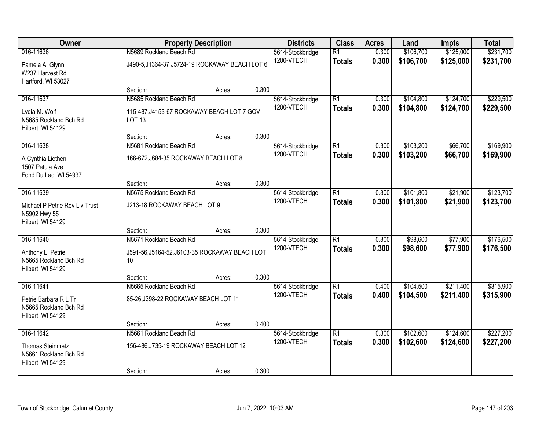| Owner                                                                              | <b>Property Description</b>                                                                              | <b>Districts</b> | <b>Class</b> | <b>Acres</b>                   | Land                             | <b>Impts</b>   | <b>Total</b>           |                        |                        |
|------------------------------------------------------------------------------------|----------------------------------------------------------------------------------------------------------|------------------|--------------|--------------------------------|----------------------------------|----------------|------------------------|------------------------|------------------------|
| 016-11636<br>Pamela A. Glynn<br>W237 Harvest Rd<br>Hartford, WI 53027              | N5689 Rockland Beach Rd<br>J490-5, J1364-37, J5724-19 ROCKAWAY BEACH LOT 6                               |                  |              | 5614-Stockbridge<br>1200-VTECH | $\overline{R1}$<br><b>Totals</b> | 0.300<br>0.300 | \$106,700<br>\$106,700 | \$125,000<br>\$125,000 | \$231,700<br>\$231,700 |
|                                                                                    | Section:                                                                                                 | Acres:           | 0.300        |                                |                                  |                |                        |                        |                        |
| 016-11637<br>Lydia M. Wolf<br>N5685 Rockland Bch Rd<br>Hilbert, WI 54129           | N5685 Rockland Beach Rd<br>115-487, J4153-67 ROCKAWAY BEACH LOT 7 GOV<br><b>LOT 13</b>                   |                  |              | 5614-Stockbridge<br>1200-VTECH | $\overline{R1}$<br><b>Totals</b> | 0.300<br>0.300 | \$104,800<br>\$104,800 | \$124,700<br>\$124,700 | \$229,500<br>\$229,500 |
|                                                                                    | Section:                                                                                                 | Acres:           | 0.300        |                                |                                  |                |                        |                        |                        |
| 016-11638<br>A Cynthia Liethen<br>1507 Petula Ave<br>Fond Du Lac, WI 54937         | N5681 Rockland Beach Rd<br>166-672, J684-35 ROCKAWAY BEACH LOT 8                                         |                  |              | 5614-Stockbridge<br>1200-VTECH | $\overline{R1}$<br><b>Totals</b> | 0.300<br>0.300 | \$103,200<br>\$103,200 | \$66,700<br>\$66,700   | \$169,900<br>\$169,900 |
|                                                                                    | Section:                                                                                                 | Acres:           | 0.300        |                                |                                  |                |                        |                        |                        |
| 016-11639<br>Michael P Petrie Rev Liv Trust<br>N5902 Hwy 55<br>Hilbert, WI 54129   | N5675 Rockland Beach Rd<br>J213-18 ROCKAWAY BEACH LOT 9                                                  |                  |              | 5614-Stockbridge<br>1200-VTECH | $\overline{R1}$<br><b>Totals</b> | 0.300<br>0.300 | \$101,800<br>\$101,800 | \$21,900<br>\$21,900   | \$123,700<br>\$123,700 |
|                                                                                    | Section:                                                                                                 | Acres:           | 0.300        |                                |                                  |                |                        |                        |                        |
| 016-11640<br>Anthony L. Petrie<br>N5665 Rockland Bch Rd<br>Hilbert, WI 54129       | N5671 Rockland Beach Rd<br>J591-56, J5164-52, J6103-35 ROCKAWAY BEACH LOT<br>10 <sup>1</sup><br>Section: | Acres:           | 0.300        | 5614-Stockbridge<br>1200-VTECH | $\overline{R1}$<br><b>Totals</b> | 0.300<br>0.300 | \$98,600<br>\$98,600   | \$77,900<br>\$77,900   | \$176,500<br>\$176,500 |
| 016-11641                                                                          | N5665 Rockland Beach Rd                                                                                  |                  |              | 5614-Stockbridge               | $\overline{R1}$                  | 0.400          | \$104,500              | \$211,400              | \$315,900              |
| Petrie Barbara R L Tr<br>N5665 Rockland Bch Rd<br>Hilbert, WI 54129                | 85-26, J398-22 ROCKAWAY BEACH LOT 11                                                                     |                  |              | 1200-VTECH                     | <b>Totals</b>                    | 0.400          | \$104,500              | \$211,400              | \$315,900              |
|                                                                                    | Section:                                                                                                 | Acres:           | 0.400        |                                |                                  |                |                        |                        |                        |
| 016-11642<br><b>Thomas Steinmetz</b><br>N5661 Rockland Bch Rd<br>Hilbert, WI 54129 | N5661 Rockland Beach Rd<br>156-486, J735-19 ROCKAWAY BEACH LOT 12<br>Section:                            | Acres:           | 0.300        | 5614-Stockbridge<br>1200-VTECH | $\overline{R1}$<br><b>Totals</b> | 0.300<br>0.300 | \$102,600<br>\$102,600 | \$124,600<br>\$124,600 | \$227,200<br>\$227,200 |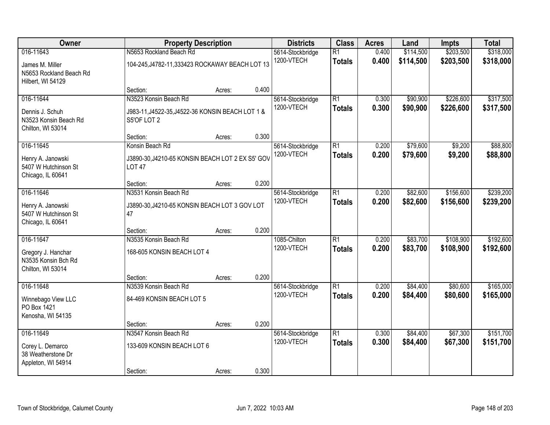| Owner                                                                       | <b>Property Description</b><br>5614-Stockbridge                                          | <b>Districts</b>                                | <b>Class</b> | <b>Acres</b>                   | Land                             | <b>Impts</b>   | <b>Total</b>           |                        |                        |
|-----------------------------------------------------------------------------|------------------------------------------------------------------------------------------|-------------------------------------------------|--------------|--------------------------------|----------------------------------|----------------|------------------------|------------------------|------------------------|
| 016-11643<br>James M. Miller<br>N5653 Rockland Beach Rd                     | N5653 Rockland Beach Rd                                                                  | 104-245, J4782-11, 333423 ROCKAWAY BEACH LOT 13 |              |                                | $\overline{R1}$<br><b>Totals</b> | 0.400<br>0.400 | \$114,500<br>\$114,500 | \$203,500<br>\$203,500 | \$318,000<br>\$318,000 |
| Hilbert, WI 54129                                                           | Section:                                                                                 | Acres:                                          | 0.400        |                                |                                  |                |                        |                        |                        |
| 016-11644<br>Dennis J. Schuh<br>N3523 Konsin Beach Rd<br>Chilton, WI 53014  | N3523 Konsin Beach Rd<br>J983-11, J4522-35, J4522-36 KONSIN BEACH LOT 1 &<br>S5'OF LOT 2 |                                                 |              | 5614-Stockbridge<br>1200-VTECH | $\overline{R1}$<br><b>Totals</b> | 0.300<br>0.300 | \$90,900<br>\$90,900   | \$226,600<br>\$226,600 | \$317,500<br>\$317,500 |
|                                                                             | Section:                                                                                 | Acres:                                          | 0.300        |                                |                                  |                |                        |                        |                        |
| 016-11645<br>Henry A. Janowski<br>5407 W Hutchinson St<br>Chicago, IL 60641 | Konsin Beach Rd<br>J3890-30, J4210-65 KONSIN BEACH LOT 2 EX S5' GOV<br><b>LOT 47</b>     |                                                 |              | 5614-Stockbridge<br>1200-VTECH | $\overline{R1}$<br><b>Totals</b> | 0.200<br>0.200 | \$79,600<br>\$79,600   | \$9,200<br>\$9,200     | \$88,800<br>\$88,800   |
|                                                                             | Section:                                                                                 | Acres:                                          | 0.200        |                                |                                  |                |                        |                        |                        |
| 016-11646<br>Henry A. Janowski<br>5407 W Hutchinson St<br>Chicago, IL 60641 | N3531 Konsin Beach Rd<br>J3890-30, J4210-65 KONSIN BEACH LOT 3 GOV LOT<br>47             |                                                 |              | 5614-Stockbridge<br>1200-VTECH | $\overline{R1}$<br><b>Totals</b> | 0.200<br>0.200 | \$82,600<br>\$82,600   | \$156,600<br>\$156,600 | \$239,200<br>\$239,200 |
|                                                                             | Section:                                                                                 | Acres:                                          | 0.200        |                                |                                  |                |                        |                        |                        |
| 016-11647<br>Gregory J. Hanchar<br>N3535 Konsin Bch Rd<br>Chilton, WI 53014 | N3535 Konsin Beach Rd<br>168-605 KONSIN BEACH LOT 4<br>Section:                          | Acres:                                          | 0.200        | 1085-Chilton<br>1200-VTECH     | $\overline{R1}$<br><b>Totals</b> | 0.200<br>0.200 | \$83,700<br>\$83,700   | \$108,900<br>\$108,900 | \$192,600<br>\$192,600 |
| 016-11648                                                                   | N3539 Konsin Beach Rd                                                                    |                                                 |              | 5614-Stockbridge               | $\overline{R1}$                  | 0.200          | \$84,400               | \$80,600               | \$165,000              |
| Winnebago View LLC<br>PO Box 1421<br>Kenosha, WI 54135                      | 84-469 KONSIN BEACH LOT 5                                                                |                                                 |              | 1200-VTECH                     | <b>Totals</b>                    | 0.200          | \$84,400               | \$80,600               | \$165,000              |
|                                                                             | Section:                                                                                 | Acres:                                          | 0.200        |                                |                                  |                |                        |                        |                        |
| 016-11649<br>Corey L. Demarco<br>38 Weatherstone Dr<br>Appleton, WI 54914   | N3547 Konsin Beach Rd<br>133-609 KONSIN BEACH LOT 6<br>Section:                          | Acres:                                          | 0.300        | 5614-Stockbridge<br>1200-VTECH | $\overline{R1}$<br><b>Totals</b> | 0.300<br>0.300 | \$84,400<br>\$84,400   | \$67,300<br>\$67,300   | \$151,700<br>\$151,700 |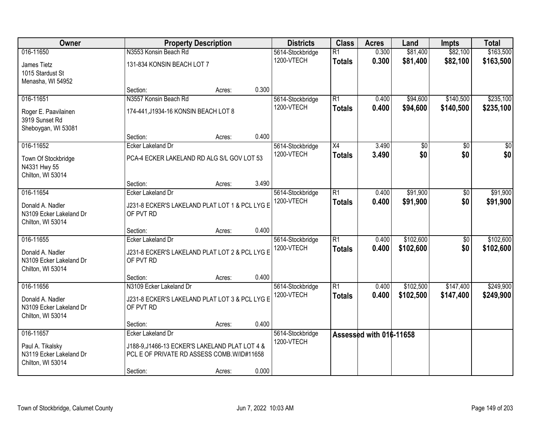| Owner                                                            |                                                                                               | <b>Property Description</b> |       | <b>Districts</b>               | <b>Class</b>                     | <b>Acres</b>            | Land                 | <b>Impts</b>           | <b>Total</b>           |
|------------------------------------------------------------------|-----------------------------------------------------------------------------------------------|-----------------------------|-------|--------------------------------|----------------------------------|-------------------------|----------------------|------------------------|------------------------|
| 016-11650                                                        | N3553 Konsin Beach Rd                                                                         |                             |       | 5614-Stockbridge<br>1200-VTECH | $\overline{R1}$<br><b>Totals</b> | 0.300<br>0.300          | \$81,400<br>\$81,400 | \$82,100<br>\$82,100   | \$163,500<br>\$163,500 |
| James Tietz<br>1015 Stardust St<br>Menasha, WI 54952             | 131-834 KONSIN BEACH LOT 7                                                                    |                             |       |                                |                                  |                         |                      |                        |                        |
|                                                                  | Section:                                                                                      | Acres:                      | 0.300 |                                |                                  |                         |                      |                        |                        |
| 016-11651                                                        | N3557 Konsin Beach Rd                                                                         |                             |       | 5614-Stockbridge<br>1200-VTECH | R1<br><b>Totals</b>              | 0.400<br>0.400          | \$94,600<br>\$94,600 | \$140,500<br>\$140,500 | \$235,100<br>\$235,100 |
| Roger E. Paavilainen<br>3919 Sunset Rd<br>Sheboygan, WI 53081    | 174-441, J1934-16 KONSIN BEACH LOT 8                                                          |                             |       |                                |                                  |                         |                      |                        |                        |
|                                                                  | Section:                                                                                      | Acres:                      | 0.400 |                                |                                  |                         |                      |                        |                        |
| 016-11652                                                        | Ecker Lakeland Dr                                                                             |                             |       | 5614-Stockbridge               | $\overline{X4}$                  | 3.490                   | \$0                  | \$0                    | \$0                    |
| Town Of Stockbridge<br>N4331 Hwy 55<br>Chilton, WI 53014         | PCA-4 ECKER LAKELAND RD ALG S/L GOV LOT 53                                                    |                             |       | 1200-VTECH                     | <b>Totals</b>                    | 3.490                   | \$0                  | \$0                    | \$0                    |
|                                                                  | Section:                                                                                      | Acres:                      | 3.490 |                                |                                  |                         |                      |                        |                        |
| 016-11654                                                        | <b>Ecker Lakeland Dr</b>                                                                      |                             |       | 5614-Stockbridge               | $\overline{R1}$                  | 0.400                   | \$91,900             | \$0                    | \$91,900               |
| Donald A. Nadler<br>N3109 Ecker Lakeland Dr<br>Chilton, WI 53014 | J231-8 ECKER'S LAKELAND PLAT LOT 1 & PCL LYG E<br>OF PVT RD                                   |                             |       | 1200-VTECH                     | <b>Totals</b>                    | 0.400                   | \$91,900             | \$0                    | \$91,900               |
|                                                                  | Section:                                                                                      | Acres:                      | 0.400 |                                |                                  |                         |                      |                        |                        |
| 016-11655                                                        | <b>Ecker Lakeland Dr</b>                                                                      |                             |       | 5614-Stockbridge               | $\overline{R1}$                  | 0.400                   | \$102,600            | \$0                    | \$102,600              |
| Donald A. Nadler<br>N3109 Ecker Lakeland Dr<br>Chilton, WI 53014 | J231-8 ECKER'S LAKELAND PLAT LOT 2 & PCL LYG E<br>OF PVT RD                                   |                             |       | 1200-VTECH                     | <b>Totals</b>                    | 0.400                   | \$102,600            | \$0                    | \$102,600              |
|                                                                  | Section:                                                                                      | Acres:                      | 0.400 |                                |                                  |                         |                      |                        |                        |
| 016-11656                                                        | N3109 Ecker Lakeland Dr                                                                       |                             |       | 5614-Stockbridge               | $\overline{R1}$                  | 0.400                   | \$102,500            | \$147,400              | \$249,900              |
| Donald A. Nadler<br>N3109 Ecker Lakeland Dr<br>Chilton, WI 53014 | J231-8 ECKER'S LAKELAND PLAT LOT 3 & PCL LYG E<br>OF PVT RD                                   |                             |       | 1200-VTECH                     | <b>Totals</b>                    | 0.400                   | \$102,500            | \$147,400              | \$249,900              |
|                                                                  | Section:                                                                                      | Acres:                      | 0.400 |                                |                                  |                         |                      |                        |                        |
| 016-11657                                                        | Ecker Lakeland Dr                                                                             |                             |       | 5614-Stockbridge               |                                  | Assessed with 016-11658 |                      |                        |                        |
| Paul A. Tikalsky<br>N3119 Ecker Lakeland Dr<br>Chilton, WI 53014 | J188-9, J1466-13 ECKER'S LAKELAND PLAT LOT 4 &<br>PCL E OF PRIVATE RD ASSESS COMB. W/ID#11658 |                             |       | 1200-VTECH                     |                                  |                         |                      |                        |                        |
|                                                                  | Section:                                                                                      | Acres:                      | 0.000 |                                |                                  |                         |                      |                        |                        |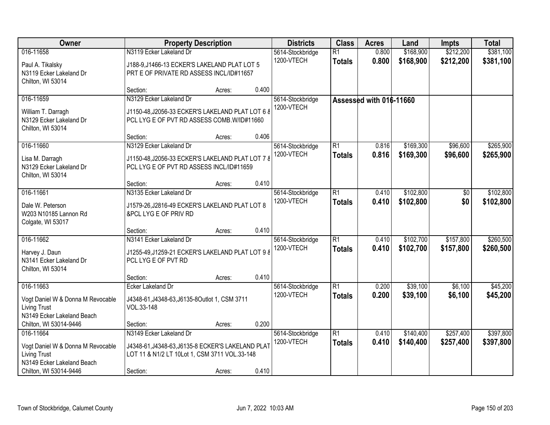| Owner<br><b>Property Description</b>                 | <b>Districts</b>                                                        | <b>Class</b> | <b>Acres</b> | Land                           | <b>Impts</b>    | <b>Total</b>            |                        |              |           |
|------------------------------------------------------|-------------------------------------------------------------------------|--------------|--------------|--------------------------------|-----------------|-------------------------|------------------------|--------------|-----------|
| 016-11658                                            | N3119 Ecker Lakeland Dr                                                 |              |              | 5614-Stockbridge               | $\overline{R1}$ | 0.800                   | \$168,900              | \$212,200    | \$381,100 |
| Paul A. Tikalsky                                     | J188-9, J1466-13 ECKER'S LAKELAND PLAT LOT 5                            |              |              | 1200-VTECH                     | <b>Totals</b>   | 0.800                   | \$168,900              | \$212,200    | \$381,100 |
| N3119 Ecker Lakeland Dr                              | PRT E OF PRIVATE RD ASSESS INCL/ID#11657                                |              |              |                                |                 |                         |                        |              |           |
| Chilton, WI 53014                                    |                                                                         |              |              |                                |                 |                         |                        |              |           |
|                                                      | Section:                                                                | Acres:       | 0.400        |                                |                 |                         |                        |              |           |
| 016-11659                                            | N3129 Ecker Lakeland Dr                                                 |              |              | 5614-Stockbridge               |                 | Assessed with 016-11660 |                        |              |           |
| William T. Darragh                                   | J1150-48, J2056-33 ECKER'S LAKELAND PLAT LOT 6 8                        |              |              | 1200-VTECH                     |                 |                         |                        |              |           |
| N3129 Ecker Lakeland Dr                              | PCL LYG E OF PVT RD ASSESS COMB. W/ID#11660                             |              |              |                                |                 |                         |                        |              |           |
| Chilton, WI 53014                                    |                                                                         |              | 0.406        |                                |                 |                         |                        |              |           |
| 016-11660                                            | Section:<br>N3129 Ecker Lakeland Dr                                     | Acres:       |              | 5614-Stockbridge               | $\overline{R1}$ | 0.816                   | \$169,300              | \$96,600     | \$265,900 |
|                                                      |                                                                         |              |              | 1200-VTECH                     | <b>Totals</b>   | 0.816                   | \$169,300              | \$96,600     | \$265,900 |
| Lisa M. Darragh                                      | J1150-48, J2056-33 ECKER'S LAKELAND PLAT LOT 7 8                        |              |              |                                |                 |                         |                        |              |           |
| N3129 Ecker Lakeland Dr<br>Chilton, WI 53014         | PCL LYG E OF PVT RD ASSESS INCL/ID#11659                                |              |              |                                |                 |                         |                        |              |           |
|                                                      | Section:                                                                | Acres:       | 0.410        |                                |                 |                         |                        |              |           |
| 016-11661                                            | N3135 Ecker Lakeland Dr                                                 |              |              | 5614-Stockbridge               | $\overline{R1}$ | 0.410                   | \$102,800              | $\sqrt[6]{}$ | \$102,800 |
|                                                      |                                                                         |              |              | 1200-VTECH                     | <b>Totals</b>   | 0.410                   | \$102,800              | \$0          | \$102,800 |
| Dale W. Peterson<br>W203 N10185 Lannon Rd            | J1579-26, J2816-49 ECKER'S LAKELAND PLAT LOT 8<br>&PCL LYG E OF PRIV RD |              |              |                                |                 |                         |                        |              |           |
| Colgate, WI 53017                                    |                                                                         |              |              |                                |                 |                         |                        |              |           |
|                                                      | Section:                                                                | Acres:       | 0.410        |                                |                 |                         |                        |              |           |
| 016-11662                                            | N3141 Ecker Lakeland Dr                                                 |              |              | 5614-Stockbridge               | $\overline{R1}$ | 0.410                   | \$102,700              | \$157,800    | \$260,500 |
| Harvey J. Daun                                       | J1255-49, J1259-21 ECKER'S LAKELAND PLAT LOT 9 8                        |              |              | 1200-VTECH                     | <b>Totals</b>   | 0.410                   | \$102,700              | \$157,800    | \$260,500 |
| N3141 Ecker Lakeland Dr                              | PCL LYG E OF PVT RD                                                     |              |              |                                |                 |                         |                        |              |           |
| Chilton, WI 53014                                    |                                                                         |              |              |                                |                 |                         |                        |              |           |
|                                                      | Section:                                                                | Acres:       | 0.410        |                                |                 |                         |                        |              |           |
| 016-11663                                            | Ecker Lakeland Dr                                                       |              |              | 5614-Stockbridge               | R1              | 0.200                   | \$39,100               | \$6,100      | \$45,200  |
| Vogt Daniel W & Donna M Revocable                    | J4348-61, J4348-63, J6135-8Outlot 1, CSM 3711                           |              |              | 1200-VTECH                     | <b>Totals</b>   | 0.200                   | \$39,100               | \$6,100      | \$45,200  |
| <b>Living Trust</b>                                  | VOL.33-148                                                              |              |              |                                |                 |                         |                        |              |           |
| N3149 Ecker Lakeland Beach                           |                                                                         |              |              |                                |                 |                         |                        |              |           |
| Chilton, WI 53014-9446                               | Section:                                                                | Acres:       | 0.200        |                                |                 |                         |                        |              |           |
| 016-11664                                            | N3149 Ecker Lakeland Dr                                                 |              |              | 5614-Stockbridge<br>1200-VTECH | R1              | 0.410<br>0.410          | \$140,400<br>\$140,400 | \$257,400    | \$397,800 |
| Vogt Daniel W & Donna M Revocable                    | J4348-61, J4348-63, J6135-8 ECKER'S LAKELAND PLAT                       |              |              |                                | <b>Totals</b>   |                         |                        | \$257,400    | \$397,800 |
| <b>Living Trust</b>                                  | LOT 11 & N1/2 LT 10Lot 1, CSM 3711 VOL.33-148                           |              |              |                                |                 |                         |                        |              |           |
| N3149 Ecker Lakeland Beach<br>Chilton, WI 53014-9446 | Section:                                                                | Acres:       | 0.410        |                                |                 |                         |                        |              |           |
|                                                      |                                                                         |              |              |                                |                 |                         |                        |              |           |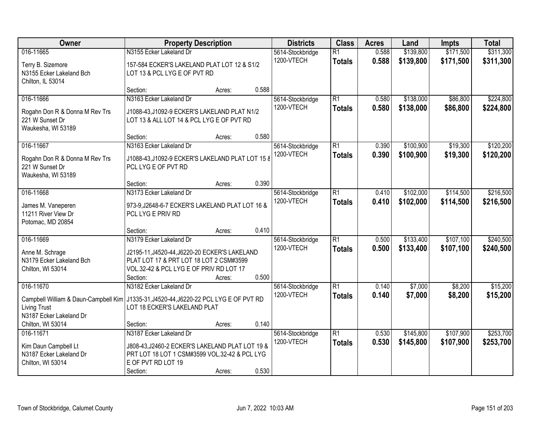| Owner                                                                                                                                                                       | <b>Property Description</b>                                                                                                                                                | <b>Districts</b><br><b>Class</b> | <b>Acres</b> | Land                           | <b>Impts</b>                     | <b>Total</b>   |                        |                        |                        |
|-----------------------------------------------------------------------------------------------------------------------------------------------------------------------------|----------------------------------------------------------------------------------------------------------------------------------------------------------------------------|----------------------------------|--------------|--------------------------------|----------------------------------|----------------|------------------------|------------------------|------------------------|
| 016-11665<br>Terry B. Sizemore<br>N3155 Ecker Lakeland Bch<br>Chilton, IL 53014                                                                                             | N3155 Ecker Lakeland Dr<br>157-584 ECKER'S LAKELAND PLAT LOT 12 & S1/2<br>LOT 13 & PCL LYG E OF PVT RD                                                                     |                                  |              | 5614-Stockbridge<br>1200-VTECH | $\overline{R1}$<br><b>Totals</b> | 0.588<br>0.588 | \$139,800<br>\$139,800 | \$171,500<br>\$171,500 | \$311,300<br>\$311,300 |
|                                                                                                                                                                             | Section:                                                                                                                                                                   | Acres:                           | 0.588        |                                |                                  |                |                        |                        |                        |
| 016-11666<br>Rogahn Don R & Donna M Rev Trs<br>221 W Sunset Dr<br>Waukesha, WI 53189                                                                                        | N3163 Ecker Lakeland Dr<br>J1088-43, J1092-9 ECKER'S LAKELAND PLAT N1/2<br>LOT 13 & ALL LOT 14 & PCL LYG E OF PVT RD                                                       |                                  |              | 5614-Stockbridge<br>1200-VTECH | $\overline{R1}$<br><b>Totals</b> | 0.580<br>0.580 | \$138,000<br>\$138,000 | \$86,800<br>\$86,800   | \$224,800<br>\$224,800 |
| 016-11667                                                                                                                                                                   | Section:<br>N3163 Ecker Lakeland Dr                                                                                                                                        | Acres:                           | 0.580        |                                | $\overline{R1}$                  | 0.390          | \$100,900              | \$19,300               | \$120,200              |
| Rogahn Don R & Donna M Rev Trs<br>221 W Sunset Dr<br>Waukesha, WI 53189                                                                                                     | J1088-43, J1092-9 ECKER'S LAKELAND PLAT LOT 15 8<br>PCL LYG E OF PVT RD                                                                                                    |                                  |              | 5614-Stockbridge<br>1200-VTECH | <b>Totals</b>                    | 0.390          | \$100,900              | \$19,300               | \$120,200              |
|                                                                                                                                                                             | Section:                                                                                                                                                                   | Acres:                           | 0.390        |                                |                                  |                |                        |                        |                        |
| 016-11668<br>James M. Vaneperen<br>11211 River View Dr<br>Potomac, MD 20854                                                                                                 | N3173 Ecker Lakeland Dr<br>973-9, J2648-6-7 ECKER'S LAKELAND PLAT LOT 16 &<br>PCL LYG E PRIV RD                                                                            |                                  |              | 5614-Stockbridge<br>1200-VTECH | $\overline{R1}$<br><b>Totals</b> | 0.410<br>0.410 | \$102,000<br>\$102,000 | \$114,500<br>\$114,500 | \$216,500<br>\$216,500 |
|                                                                                                                                                                             | Section:                                                                                                                                                                   | Acres:                           | 0.410        |                                |                                  |                |                        |                        |                        |
| 016-11669<br>Anne M. Schrage<br>N3179 Ecker Lakeland Bch<br>Chilton, WI 53014                                                                                               | N3179 Ecker Lakeland Dr<br>J2195-11, J4520-44, J6220-20 ECKER'S LAKELAND<br>PLAT LOT 17 & PRT LOT 18 LOT 2 CSM#3599<br>VOL.32-42 & PCL LYG E OF PRIV RD LOT 17<br>Section: | Acres:                           | 0.500        | 5614-Stockbridge<br>1200-VTECH | $\overline{R1}$<br><b>Totals</b> | 0.500<br>0.500 | \$133,400<br>\$133,400 | \$107,100<br>\$107,100 | \$240,500<br>\$240,500 |
| 016-11670<br>Campbell William & Daun-Campbell Kim   J1335-31, J4520-44, J6220-22 PCL LYG E OF PVT RD<br><b>Living Trust</b><br>N3187 Ecker Lakeland Dr<br>Chilton, WI 53014 | N3182 Ecker Lakeland Dr<br>LOT 18 ECKER'S LAKELAND PLAT<br>Section:                                                                                                        | Acres:                           | 0.140        | 5614-Stockbridge<br>1200-VTECH | $\overline{R1}$<br><b>Totals</b> | 0.140<br>0.140 | \$7,000<br>\$7,000     | \$8,200<br>\$8,200     | \$15,200<br>\$15,200   |
| 016-11671                                                                                                                                                                   | N3187 Ecker Lakeland Dr                                                                                                                                                    |                                  |              | 5614-Stockbridge               | $\overline{R1}$                  | 0.530          | \$145,800              | \$107,900              | \$253,700              |
| Kim Daun Campbell Lt<br>N3187 Ecker Lakeland Dr<br>Chilton, WI 53014                                                                                                        | J808-43, J2460-2 ECKER'S LAKELAND PLAT LOT 19 &<br>PRT LOT 18 LOT 1 CSM#3599 VOL.32-42 & PCL LYG<br>E OF PVT RD LOT 19<br>Section:                                         | Acres:                           | 0.530        | 1200-VTECH                     | <b>Totals</b>                    | 0.530          | \$145,800              | \$107,900              | \$253,700              |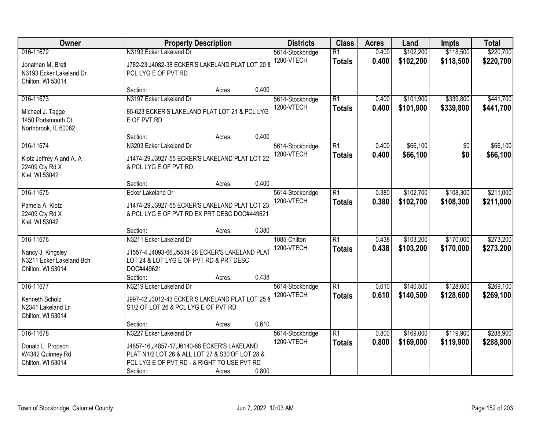| Owner<br><b>Property Description</b>                                            | <b>Districts</b>                                                                                                                                            | <b>Class</b> | <b>Acres</b> | Land                           | <b>Impts</b>                     | <b>Total</b>   |                        |                        |                        |
|---------------------------------------------------------------------------------|-------------------------------------------------------------------------------------------------------------------------------------------------------------|--------------|--------------|--------------------------------|----------------------------------|----------------|------------------------|------------------------|------------------------|
| 016-11672<br>Jonathan M. Bretl<br>N3193 Ecker Lakeland Dr<br>Chilton, WI 53014  | N3193 Ecker Lakeland Dr<br>J782-23, J4082-38 ECKER'S LAKELAND PLAT LOT 20 8<br>PCL LYG E OF PVT RD                                                          |              |              | 5614-Stockbridge<br>1200-VTECH | $\overline{R1}$<br><b>Totals</b> | 0.400<br>0.400 | \$102,200<br>\$102,200 | \$118,500<br>\$118,500 | \$220,700<br>\$220,700 |
|                                                                                 | Section:                                                                                                                                                    | Acres:       | 0.400        |                                |                                  |                |                        |                        |                        |
| 016-11673<br>Michael J. Tagge<br>1450 Portsmouth Ct<br>Northbrook, IL 60062     | N3197 Ecker Lakeland Dr<br>85-623 ECKER'S LAKELAND PLAT LOT 21 & PCL LYG<br>E OF PVT RD                                                                     |              |              | 5614-Stockbridge<br>1200-VTECH | $\overline{R1}$<br><b>Totals</b> | 0.400<br>0.400 | \$101,900<br>\$101,900 | \$339,800<br>\$339,800 | \$441,700<br>\$441,700 |
|                                                                                 | Section:                                                                                                                                                    | Acres:       | 0.400        |                                |                                  |                |                        |                        |                        |
| 016-11674<br>Klotz Jeffrey A and A. A<br>22409 Cty Rd X<br>Kiel, WI 53042       | N3203 Ecker Lakeland Dr<br>J1474-29, J3927-55 ECKER'S LAKELAND PLAT LOT 22<br>& PCL LYG E OF PVT RD                                                         |              |              | 5614-Stockbridge<br>1200-VTECH | $\overline{R1}$<br><b>Totals</b> | 0.400<br>0.400 | \$66,100<br>\$66,100   | \$0<br>\$0             | \$66,100<br>\$66,100   |
|                                                                                 | Section:                                                                                                                                                    | Acres:       | 0.400        |                                |                                  |                |                        |                        |                        |
| 016-11675<br>Pamela A. Klotz<br>22409 Cty Rd X                                  | Ecker Lakeland Dr<br>J1474-29, J3927-55 ECKER'S LAKELAND PLAT LOT 23<br>& PCL LYG E OF PVT RD EX PRT DESC DOC#449621                                        |              |              | 5614-Stockbridge<br>1200-VTECH | $\overline{R1}$<br><b>Totals</b> | 0.380<br>0.380 | \$102,700<br>\$102,700 | \$108,300<br>\$108,300 | \$211,000<br>\$211,000 |
| Kiel, WI 53042                                                                  | Section:                                                                                                                                                    | Acres:       | 0.380        |                                |                                  |                |                        |                        |                        |
| 016-11676<br>Nancy J. Kingsley<br>N3211 Ecker Lakeland Bch<br>Chilton, WI 53014 | N3211 Ecker Lakeland Dr<br>J1557-4, J4093-66, J5534-28 ECKER'S LAKELAND PLAT<br>LOT 24 & LOT LYG E OF PVT RD & PRT DESC<br>DOC#449621<br>Section:           | Acres:       | 0.438        | 1085-Chilton<br>1200-VTECH     | $\overline{R1}$<br><b>Totals</b> | 0.438<br>0.438 | \$103,200<br>\$103,200 | \$170,000<br>\$170,000 | \$273,200<br>\$273,200 |
| 016-11677<br>Kenneth Scholz<br>N2341 Lakeland Ln<br>Chilton, WI 53014           | N3219 Ecker Lakeland Dr<br>J997-42, J3012-43 ECKER'S LAKELAND PLAT LOT 25 8<br>S1/2 OF LOT 26 & PCL LYG E OF PVT RD                                         |              |              | 5614-Stockbridge<br>1200-VTECH | $\overline{R1}$<br><b>Totals</b> | 0.610<br>0.610 | \$140,500<br>\$140,500 | \$128,600<br>\$128,600 | \$269,100<br>\$269,100 |
| 016-11678                                                                       | Section:<br>N3227 Ecker Lakeland Dr                                                                                                                         | Acres:       | 0.610        |                                | $\overline{R1}$                  | 0.800          | \$169,000              | \$119,900              | \$288,900              |
| Donald L. Propson<br>W4342 Quinney Rd<br>Chilton, WI 53014                      | J4857-16, J4857-17, J6140-68 ECKER'S LAKELAND<br>PLAT N1/2 LOT 26 & ALL LOT 27 & S30'OF LOT 28 &<br>PCL LYG E OF PVT RD - & RIGHT TO USE PVT RD<br>Section: | Acres:       | 0.800        | 5614-Stockbridge<br>1200-VTECH | <b>Totals</b>                    | 0.800          | \$169,000              | \$119,900              | \$288,900              |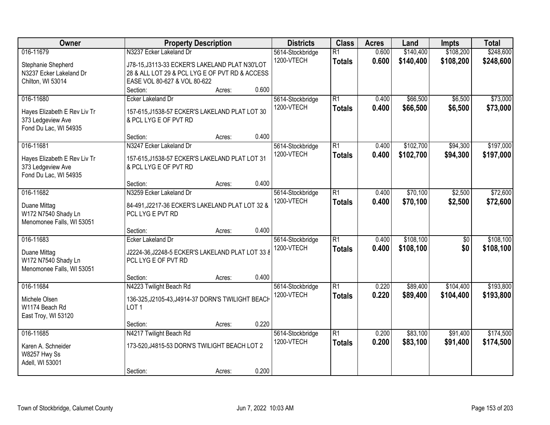| Owner<br><b>Property Description</b> | <b>Districts</b>                                                        | <b>Class</b>     | <b>Acres</b>    | Land  | <b>Impts</b> | <b>Total</b>    |           |
|--------------------------------------|-------------------------------------------------------------------------|------------------|-----------------|-------|--------------|-----------------|-----------|
| 016-11679                            | N3237 Ecker Lakeland Dr                                                 | 5614-Stockbridge | $\overline{R1}$ | 0.600 | \$140,400    | \$108,200       | \$248,600 |
| Stephanie Shepherd                   | J78-15, J3113-33 ECKER'S LAKELAND PLAT N30'LOT                          | 1200-VTECH       | <b>Totals</b>   | 0.600 | \$140,400    | \$108,200       | \$248,600 |
| N3237 Ecker Lakeland Dr              | 28 & ALL LOT 29 & PCL LYG E OF PVT RD & ACCESS                          |                  |                 |       |              |                 |           |
| Chilton, WI 53014                    | EASE VOL 80-627 & VOL 80-622                                            |                  |                 |       |              |                 |           |
|                                      | 0.600<br>Section:<br>Acres:                                             |                  |                 |       |              |                 |           |
| 016-11680                            | Ecker Lakeland Dr                                                       | 5614-Stockbridge | $\overline{R1}$ | 0.400 | \$66,500     | \$6,500         | \$73,000  |
| Hayes Elizabeth E Rev Liv Tr         | 157-615, J1538-57 ECKER'S LAKELAND PLAT LOT 30                          | 1200-VTECH       | <b>Totals</b>   | 0.400 | \$66,500     | \$6,500         | \$73,000  |
| 373 Ledgeview Ave                    | & PCL LYG E OF PVT RD                                                   |                  |                 |       |              |                 |           |
| Fond Du Lac, WI 54935                |                                                                         |                  |                 |       |              |                 |           |
|                                      | 0.400<br>Section:<br>Acres:                                             |                  |                 |       |              |                 |           |
| 016-11681                            | N3247 Ecker Lakeland Dr                                                 | 5614-Stockbridge | $\overline{R1}$ | 0.400 | \$102,700    | \$94,300        | \$197,000 |
| Hayes Elizabeth E Rev Liv Tr         | 157-615, J1538-57 ECKER'S LAKELAND PLAT LOT 31                          | 1200-VTECH       | <b>Totals</b>   | 0.400 | \$102,700    | \$94,300        | \$197,000 |
| 373 Ledgeview Ave                    | & PCL LYG E OF PVT RD                                                   |                  |                 |       |              |                 |           |
| Fond Du Lac, WI 54935                |                                                                         |                  |                 |       |              |                 |           |
|                                      | 0.400<br>Section:<br>Acres:                                             |                  |                 |       |              |                 |           |
| 016-11682                            | N3259 Ecker Lakeland Dr                                                 | 5614-Stockbridge | $\overline{R1}$ | 0.400 | \$70,100     | \$2,500         | \$72,600  |
|                                      | 84-491, J2217-36 ECKER'S LAKELAND PLAT LOT 32 &                         | 1200-VTECH       | <b>Totals</b>   | 0.400 | \$70,100     | \$2,500         | \$72,600  |
| Duane Mittag<br>W172 N7540 Shady Ln  | PCL LYG E PVT RD                                                        |                  |                 |       |              |                 |           |
| Menomonee Falls, WI 53051            |                                                                         |                  |                 |       |              |                 |           |
|                                      | 0.400<br>Section:<br>Acres:                                             |                  |                 |       |              |                 |           |
| 016-11683                            | <b>Ecker Lakeland Dr</b>                                                | 5614-Stockbridge | $\overline{R1}$ | 0.400 | \$108,100    | $\overline{50}$ | \$108,100 |
|                                      |                                                                         | 1200-VTECH       | <b>Totals</b>   | 0.400 | \$108,100    | \$0             | \$108,100 |
| Duane Mittag<br>W172 N7540 Shady Ln  | J2224-36, J2248-5 ECKER'S LAKELAND PLAT LOT 33 8<br>PCL LYG E OF PVT RD |                  |                 |       |              |                 |           |
| Menomonee Falls, WI 53051            |                                                                         |                  |                 |       |              |                 |           |
|                                      | 0.400<br>Section:<br>Acres:                                             |                  |                 |       |              |                 |           |
| 016-11684                            | N4223 Twilight Beach Rd                                                 | 5614-Stockbridge | $\overline{R1}$ | 0.220 | \$89,400     | \$104,400       | \$193,800 |
|                                      |                                                                         | 1200-VTECH       | <b>Totals</b>   | 0.220 | \$89,400     | \$104,400       | \$193,800 |
| Michele Olsen                        | 136-325, J2105-43, J4914-37 DORN'S TWILIGHT BEACH                       |                  |                 |       |              |                 |           |
| W1174 Beach Rd                       | LOT <sub>1</sub>                                                        |                  |                 |       |              |                 |           |
| East Troy, WI 53120                  | 0.220<br>Section:<br>Acres:                                             |                  |                 |       |              |                 |           |
| 016-11685                            | N4217 Twilight Beach Rd                                                 | 5614-Stockbridge | $\overline{R1}$ | 0.200 | \$83,100     | \$91,400        | \$174,500 |
|                                      |                                                                         | 1200-VTECH       | <b>Totals</b>   | 0.200 | \$83,100     | \$91,400        | \$174,500 |
| Karen A. Schneider                   | 173-520, J4815-53 DORN'S TWILIGHT BEACH LOT 2                           |                  |                 |       |              |                 |           |
| W8257 Hwy Ss                         |                                                                         |                  |                 |       |              |                 |           |
| Adell, WI 53001                      |                                                                         |                  |                 |       |              |                 |           |
|                                      | 0.200<br>Section:<br>Acres:                                             |                  |                 |       |              |                 |           |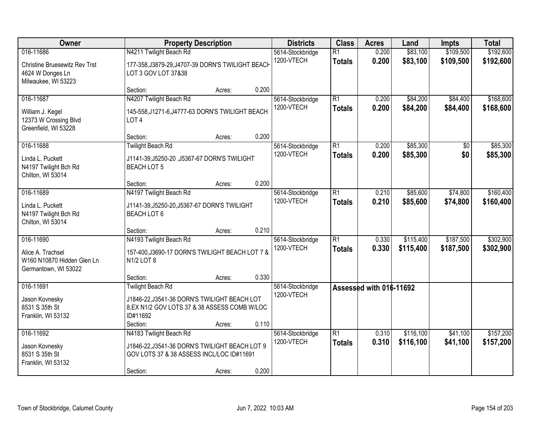| Owner                                                                   | <b>Property Description</b>                                                                                            | <b>Districts</b> | <b>Class</b> | <b>Acres</b>                   | Land                             | <b>Impts</b>            | <b>Total</b>           |                        |                        |
|-------------------------------------------------------------------------|------------------------------------------------------------------------------------------------------------------------|------------------|--------------|--------------------------------|----------------------------------|-------------------------|------------------------|------------------------|------------------------|
| 016-11686<br><b>Christine Bruesewitz Rev Trst</b><br>4624 W Donges Ln   | N4211 Twilight Beach Rd<br>177-358, J3879-29, J4707-39 DORN'S TWILIGHT BEACH<br>LOT 3 GOV LOT 37&38                    |                  |              | 5614-Stockbridge<br>1200-VTECH | $\overline{R1}$<br><b>Totals</b> | 0.200<br>0.200          | \$83,100<br>\$83,100   | \$109,500<br>\$109,500 | \$192,600<br>\$192,600 |
| Milwaukee, WI 53223                                                     | Section:                                                                                                               | Acres:           | 0.200        |                                |                                  |                         |                        |                        |                        |
| 016-11687                                                               | N4207 Twilight Beach Rd                                                                                                |                  |              | 5614-Stockbridge               | $\overline{R1}$                  | 0.200                   | \$84,200               | \$84,400               | \$168,600              |
| William J. Kegel<br>12373 W Crossing Blvd<br>Greenfield, WI 53228       | 145-558, J1271-6, J4777-63 DORN'S TWILIGHT BEACH<br>LOT <sub>4</sub>                                                   |                  |              | 1200-VTECH                     | <b>Totals</b>                    | 0.200                   | \$84,200               | \$84,400               | \$168,600              |
|                                                                         | Section:                                                                                                               | Acres:           | 0.200        |                                |                                  |                         |                        |                        |                        |
| 016-11688                                                               | <b>Twilight Beach Rd</b>                                                                                               |                  |              | 5614-Stockbridge               | $\overline{R1}$                  | 0.200                   | \$85,300               | $\overline{50}$        | \$85,300               |
| Linda L. Puckett<br>N4197 Twilight Bch Rd<br>Chilton, WI 53014          | J1141-39, J5250-20, J5367-67 DORN'S TWILIGHT<br><b>BEACH LOT 5</b>                                                     |                  |              | 1200-VTECH                     | <b>Totals</b>                    | 0.200                   | \$85,300               | \$0                    | \$85,300               |
|                                                                         | Section:                                                                                                               | Acres:           | 0.200        |                                |                                  |                         |                        |                        |                        |
| 016-11689                                                               | N4197 Twilight Beach Rd                                                                                                |                  |              | 5614-Stockbridge               | $\overline{R1}$                  | 0.210                   | \$85,600               | \$74,800               | \$160,400              |
| Linda L. Puckett<br>N4197 Twilight Bch Rd<br>Chilton, WI 53014          | J1141-39, J5250-20, J5367-67 DORN'S TWILIGHT<br>BEACH LOT 6                                                            |                  |              | 1200-VTECH                     | <b>Totals</b>                    | 0.210                   | \$85,600               | \$74,800               | \$160,400              |
|                                                                         | Section:                                                                                                               | Acres:           | 0.210        |                                |                                  |                         |                        |                        |                        |
| 016-11690                                                               | N4193 Twilight Beach Rd                                                                                                |                  |              | 5614-Stockbridge               | $\overline{R1}$                  | 0.330                   | \$115,400              | \$187,500              | \$302,900              |
| Alice A. Trachsel<br>W160 N10870 Hidden Glen Ln<br>Germantown, WI 53022 | 157-400, J3690-17 DORN'S TWILIGHT BEACH LOT 7 &<br>N1/2 LOT 8                                                          |                  |              | 1200-VTECH                     | <b>Totals</b>                    | 0.330                   | \$115,400              | \$187,500              | \$302,900              |
|                                                                         | Section:                                                                                                               | Acres:           | 0.330        |                                |                                  |                         |                        |                        |                        |
| 016-11691                                                               | <b>Twilight Beach Rd</b>                                                                                               |                  |              | 5614-Stockbridge               |                                  | Assessed with 016-11692 |                        |                        |                        |
| Jason Kovnesky<br>8531 S 35th St<br>Franklin, WI 53132                  | J1846-22, J3541-36 DORN'S TWILIGHT BEACH LOT<br>8, EX N1/2 GOV LOTS 37 & 38 ASSESS COMB W/LOC<br>ID#11692              |                  |              | 1200-VTECH                     |                                  |                         |                        |                        |                        |
|                                                                         | Section:                                                                                                               | Acres:           | 0.110        |                                |                                  |                         |                        |                        |                        |
| 016-11692<br>Jason Kovnesky<br>8531 S 35th St                           | N4183 Twilight Beach Rd<br>J1846-22, J3541-36 DORN'S TWILIGHT BEACH LOT 9<br>GOV LOTS 37 & 38 ASSESS INCL/LOC ID#11691 |                  |              | 5614-Stockbridge<br>1200-VTECH | $\overline{R1}$<br><b>Totals</b> | 0.310<br>0.310          | \$116,100<br>\$116,100 | \$41,100<br>\$41,100   | \$157,200<br>\$157,200 |
| Franklin, WI 53132                                                      | Section:                                                                                                               | Acres:           | 0.200        |                                |                                  |                         |                        |                        |                        |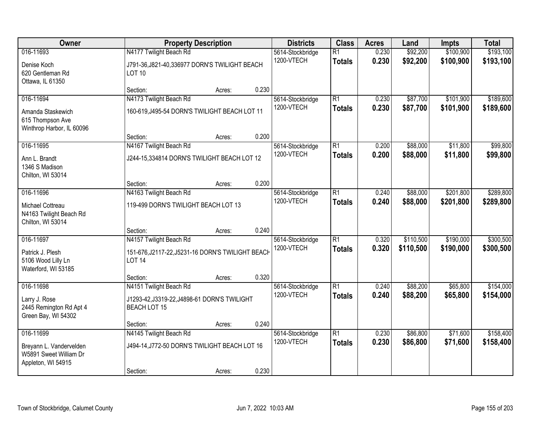| Owner                                                                                | <b>Property Description</b>                                                                    | <b>Districts</b> | <b>Class</b> | <b>Acres</b>                   | Land                             | <b>Impts</b>   | <b>Total</b>           |                        |                        |
|--------------------------------------------------------------------------------------|------------------------------------------------------------------------------------------------|------------------|--------------|--------------------------------|----------------------------------|----------------|------------------------|------------------------|------------------------|
| 016-11693<br>Denise Koch<br>620 Gentleman Rd<br>Ottawa, IL 61350                     | N4177 Twilight Beach Rd<br>J791-36, J821-40, 336977 DORN'S TWILIGHT BEACH<br><b>LOT 10</b>     |                  |              | 5614-Stockbridge<br>1200-VTECH | $\overline{R1}$<br><b>Totals</b> | 0.230<br>0.230 | \$92,200<br>\$92,200   | \$100,900<br>\$100,900 | \$193,100<br>\$193,100 |
|                                                                                      | Section:                                                                                       | Acres:           | 0.230        |                                |                                  |                |                        |                        |                        |
| 016-11694<br>Amanda Staskewich<br>615 Thompson Ave<br>Winthrop Harbor, IL 60096      | N4173 Twilight Beach Rd<br>160-619, J495-54 DORN'S TWILIGHT BEACH LOT 11<br>Section:           | Acres:           | 0.200        | 5614-Stockbridge<br>1200-VTECH | $\overline{R1}$<br><b>Totals</b> | 0.230<br>0.230 | \$87,700<br>\$87,700   | \$101,900<br>\$101,900 | \$189,600<br>\$189,600 |
| 016-11695                                                                            | N4167 Twilight Beach Rd                                                                        |                  |              | 5614-Stockbridge               | $\overline{R1}$                  | 0.200          | \$88,000               | \$11,800               | \$99,800               |
| Ann L. Brandt<br>1346 S Madison<br>Chilton, WI 53014                                 | J244-15,334814 DORN'S TWILIGHT BEACH LOT 12                                                    |                  |              | 1200-VTECH                     | <b>Totals</b>                    | 0.200          | \$88,000               | \$11,800               | \$99,800               |
|                                                                                      | Section:                                                                                       | Acres:           | 0.200        |                                |                                  |                |                        |                        |                        |
| 016-11696<br>Michael Cottreau<br>N4163 Twilight Beach Rd<br>Chilton, WI 53014        | N4163 Twilight Beach Rd<br>119-499 DORN'S TWILIGHT BEACH LOT 13                                |                  |              | 5614-Stockbridge<br>1200-VTECH | $\overline{R1}$<br><b>Totals</b> | 0.240<br>0.240 | \$88,000<br>\$88,000   | \$201,800<br>\$201,800 | \$289,800<br>\$289,800 |
|                                                                                      | Section:                                                                                       | Acres:           | 0.240        |                                |                                  |                |                        |                        |                        |
| 016-11697<br>Patrick J. Plesh<br>5106 Wood Lilly Ln<br>Waterford, WI 53185           | N4157 Twilight Beach Rd<br>151-676, J2117-22, J5231-16 DORN'S TWILIGHT BEACH<br><b>LOT 14</b>  |                  |              | 5614-Stockbridge<br>1200-VTECH | $\overline{R1}$<br><b>Totals</b> | 0.320<br>0.320 | \$110,500<br>\$110,500 | \$190,000<br>\$190,000 | \$300,500<br>\$300,500 |
|                                                                                      | Section:                                                                                       | Acres:           | 0.320        |                                |                                  |                |                        |                        |                        |
| 016-11698<br>Larry J. Rose<br>2445 Remington Rd Apt 4<br>Green Bay, WI 54302         | N4151 Twilight Beach Rd<br>J1293-42, J3319-22, J4898-61 DORN'S TWILIGHT<br><b>BEACH LOT 15</b> |                  |              | 5614-Stockbridge<br>1200-VTECH | $\overline{R1}$<br><b>Totals</b> | 0.240<br>0.240 | \$88,200<br>\$88,200   | \$65,800<br>\$65,800   | \$154,000<br>\$154,000 |
|                                                                                      | Section:                                                                                       | Acres:           | 0.240        |                                |                                  |                |                        |                        |                        |
| 016-11699<br>Breyann L. Vandervelden<br>W5891 Sweet William Dr<br>Appleton, WI 54915 | N4145 Twilight Beach Rd<br>J494-14, J772-50 DORN'S TWILIGHT BEACH LOT 16<br>Section:           | Acres:           | 0.230        | 5614-Stockbridge<br>1200-VTECH | $\overline{R1}$<br><b>Totals</b> | 0.230<br>0.230 | \$86,800<br>\$86,800   | \$71,600<br>\$71,600   | \$158,400<br>\$158,400 |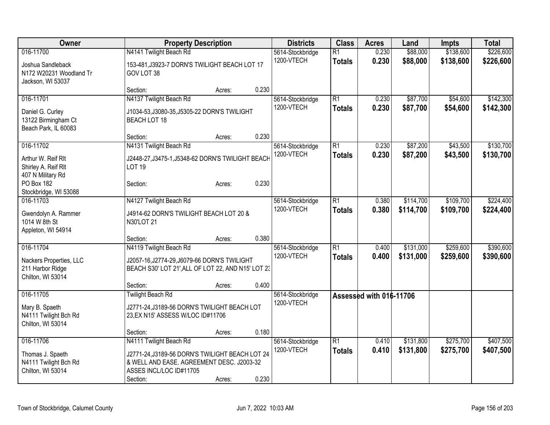| Owner                                                                          |                                                                                                                                                                | <b>Property Description</b> |       | <b>Districts</b>               | <b>Class</b>                     | <b>Acres</b>            | Land                   | <b>Impts</b>           | <b>Total</b>           |
|--------------------------------------------------------------------------------|----------------------------------------------------------------------------------------------------------------------------------------------------------------|-----------------------------|-------|--------------------------------|----------------------------------|-------------------------|------------------------|------------------------|------------------------|
| 016-11700<br>Joshua Sandleback<br>N172 W20231 Woodland Tr<br>Jackson, WI 53037 | N4141 Twilight Beach Rd<br>153-481, J3923-7 DORN'S TWILIGHT BEACH LOT 17<br>GOV LOT 38                                                                         |                             |       | 5614-Stockbridge<br>1200-VTECH | $\overline{R1}$<br><b>Totals</b> | 0.230<br>0.230          | \$88,000<br>\$88,000   | \$138,600<br>\$138,600 | \$226,600<br>\$226,600 |
|                                                                                | Section:                                                                                                                                                       | Acres:                      | 0.230 |                                |                                  |                         |                        |                        |                        |
| 016-11701<br>Daniel G. Curley<br>13122 Birmingham Ct<br>Beach Park, IL 60083   | N4137 Twilight Beach Rd<br>J1034-53, J3080-35, J5305-22 DORN'S TWILIGHT<br><b>BEACH LOT 18</b>                                                                 |                             |       | 5614-Stockbridge<br>1200-VTECH | $\overline{R1}$<br><b>Totals</b> | 0.230<br>0.230          | \$87,700<br>\$87,700   | \$54,600<br>\$54,600   | \$142,300<br>\$142,300 |
| 016-11702                                                                      | Section:<br>N4131 Twilight Beach Rd                                                                                                                            | Acres:                      | 0.230 |                                | $\overline{R1}$                  |                         | \$87,200               | \$43,500               | \$130,700              |
| Arthur W. Reif Rlt<br>Shirley A. Reif Rlt<br>407 N Military Rd                 | J2448-27, J3475-1, J5348-62 DORN'S TWILIGHT BEACH<br><b>LOT 19</b>                                                                                             |                             |       | 5614-Stockbridge<br>1200-VTECH | <b>Totals</b>                    | 0.230<br>0.230          | \$87,200               | \$43,500               | \$130,700              |
| PO Box 182<br>Stockbridge, WI 53088                                            | Section:                                                                                                                                                       | Acres:                      | 0.230 |                                |                                  |                         |                        |                        |                        |
| 016-11703<br>Gwendolyn A. Rammer<br>1014 W 8th St<br>Appleton, WI 54914        | N4127 Twilight Beach Rd<br>J4914-62 DORN'S TWILIGHT BEACH LOT 20 &<br>N30'LOT 21                                                                               |                             |       | 5614-Stockbridge<br>1200-VTECH | $\overline{R1}$<br><b>Totals</b> | 0.380<br>0.380          | \$114,700<br>\$114,700 | \$109,700<br>\$109,700 | \$224,400<br>\$224,400 |
|                                                                                | Section:                                                                                                                                                       | Acres:                      | 0.380 |                                |                                  |                         |                        |                        |                        |
| 016-11704<br>Nackers Properties, LLC<br>211 Harbor Ridge<br>Chilton, WI 53014  | N4119 Twilight Beach Rd<br>J2057-16, J2774-29, J6079-66 DORN'S TWILIGHT<br>BEACH S30' LOT 21', ALL OF LOT 22, AND N15' LOT 23<br>Section:                      | Acres:                      | 0.400 | 5614-Stockbridge<br>1200-VTECH | $\overline{R1}$<br><b>Totals</b> | 0.400<br>0.400          | \$131,000<br>\$131,000 | \$259,600<br>\$259,600 | \$390,600<br>\$390,600 |
| 016-11705<br>Mary B. Spaeth<br>N4111 Twilight Bch Rd<br>Chilton, WI 53014      | <b>Twilight Beach Rd</b><br>J2771-24, J3189-56 DORN'S TWILIGHT BEACH LOT<br>23, EX N15' ASSESS W/LOC ID#11706<br>Section:                                      | Acres:                      | 0.180 | 5614-Stockbridge<br>1200-VTECH |                                  | Assessed with 016-11706 |                        |                        |                        |
| 016-11706<br>Thomas J. Spaeth<br>N4111 Twilight Bch Rd<br>Chilton, WI 53014    | N4111 Twilight Beach Rd<br>J2771-24, J3189-56 DORN'S TWILIGHT BEACH LOT 24<br>& WELL AND EASE. AGREEMENT DESC. J2003-32<br>ASSES INCL/LOC ID#11705<br>Section: | Acres:                      | 0.230 | 5614-Stockbridge<br>1200-VTECH | $\overline{R1}$<br><b>Totals</b> | 0.410<br>0.410          | \$131,800<br>\$131,800 | \$275,700<br>\$275,700 | \$407,500<br>\$407,500 |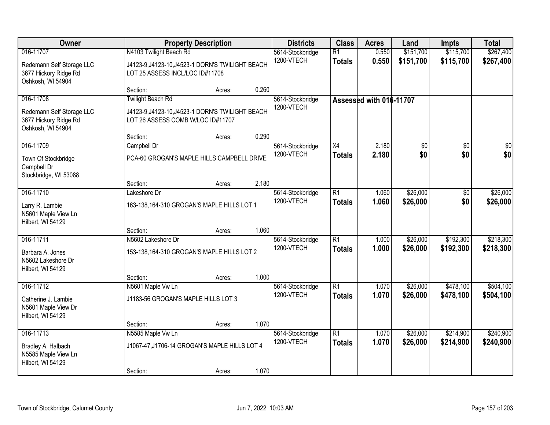| Owner                                                                                |                                                                                                                               | <b>Property Description</b> |       | <b>Districts</b>               | <b>Class</b>                     | <b>Acres</b>            | Land                   | <b>Impts</b>           | <b>Total</b>           |
|--------------------------------------------------------------------------------------|-------------------------------------------------------------------------------------------------------------------------------|-----------------------------|-------|--------------------------------|----------------------------------|-------------------------|------------------------|------------------------|------------------------|
| 016-11707<br>Redemann Self Storage LLC<br>3677 Hickory Ridge Rd<br>Oshkosh, WI 54904 | N4103 Twilight Beach Rd<br>J4123-9, J4123-10, J4523-1 DORN'S TWILIGHT BEACH<br>LOT 25 ASSESS INCL/LOC ID#11708                |                             |       | 5614-Stockbridge<br>1200-VTECH | $\overline{R1}$<br><b>Totals</b> | 0.550<br>0.550          | \$151,700<br>\$151,700 | \$115,700<br>\$115,700 | \$267,400<br>\$267,400 |
|                                                                                      | Section:                                                                                                                      | Acres:                      | 0.260 |                                |                                  |                         |                        |                        |                        |
| 016-11708<br>Redemann Self Storage LLC<br>3677 Hickory Ridge Rd<br>Oshkosh, WI 54904 | <b>Twilight Beach Rd</b><br>J4123-9, J4123-10, J4523-1 DORN'S TWILIGHT BEACH<br>LOT 26 ASSESS COMB W/LOC ID#11707<br>Section: | Acres:                      | 0.290 | 5614-Stockbridge<br>1200-VTECH |                                  | Assessed with 016-11707 |                        |                        |                        |
| 016-11709                                                                            | Campbell Dr                                                                                                                   |                             |       | 5614-Stockbridge               | X4                               | 2.180                   | \$0                    | \$0                    | \$0                    |
| Town Of Stockbridge<br>Campbell Dr<br>Stockbridge, WI 53088                          | PCA-60 GROGAN'S MAPLE HILLS CAMPBELL DRIVE                                                                                    |                             |       | 1200-VTECH                     | <b>Totals</b>                    | 2.180                   | \$0                    | \$0                    | \$0                    |
|                                                                                      | Section:                                                                                                                      | Acres:                      | 2.180 |                                |                                  |                         |                        |                        |                        |
| 016-11710<br>Larry R. Lambie<br>N5601 Maple View Ln<br>Hilbert, WI 54129             | Lakeshore Dr<br>163-138, 164-310 GROGAN'S MAPLE HILLS LOT 1                                                                   |                             |       | 5614-Stockbridge<br>1200-VTECH | $\overline{R1}$<br><b>Totals</b> | 1.060<br>1.060          | \$26,000<br>\$26,000   | \$0<br>\$0             | \$26,000<br>\$26,000   |
|                                                                                      | Section:                                                                                                                      | Acres:                      | 1.060 |                                |                                  |                         |                        |                        |                        |
| 016-11711<br>Barbara A. Jones<br>N5602 Lakeshore Dr<br>Hilbert, WI 54129             | N5602 Lakeshore Dr<br>153-138, 164-310 GROGAN'S MAPLE HILLS LOT 2                                                             |                             |       | 5614-Stockbridge<br>1200-VTECH | $\overline{R1}$<br><b>Totals</b> | 1.000<br>1.000          | \$26,000<br>\$26,000   | \$192,300<br>\$192,300 | \$218,300<br>\$218,300 |
| 016-11712                                                                            | Section:<br>N5601 Maple Vw Ln                                                                                                 | Acres:                      | 1.000 | 5614-Stockbridge               | $\overline{R1}$                  | 1.070                   | \$26,000               | \$478,100              | \$504,100              |
| Catherine J. Lambie<br>N5601 Maple View Dr<br>Hilbert, WI 54129                      | J1183-56 GROGAN'S MAPLE HILLS LOT 3                                                                                           |                             |       | 1200-VTECH                     | <b>Totals</b>                    | 1.070                   | \$26,000               | \$478,100              | \$504,100              |
|                                                                                      | Section:                                                                                                                      | Acres:                      | 1.070 |                                |                                  |                         |                        |                        |                        |
| 016-11713<br>Bradley A. Halbach<br>N5585 Maple View Ln<br>Hilbert, WI 54129          | N5585 Maple Vw Ln<br>J1067-47, J1706-14 GROGAN'S MAPLE HILLS LOT 4<br>Section:                                                | Acres:                      | 1.070 | 5614-Stockbridge<br>1200-VTECH | $\overline{R1}$<br><b>Totals</b> | 1.070<br>1.070          | \$26,000<br>\$26,000   | \$214,900<br>\$214,900 | \$240,900<br>\$240,900 |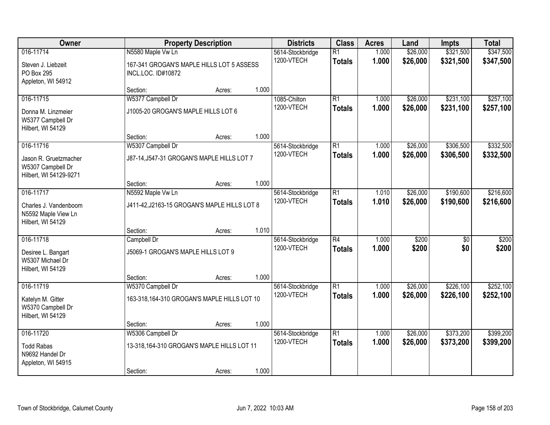| Owner                                                                |                                                                                      | <b>Property Description</b>                 |       | <b>Districts</b>               | <b>Class</b>                     | <b>Acres</b>   | Land                 | <b>Impts</b>           | <b>Total</b>           |
|----------------------------------------------------------------------|--------------------------------------------------------------------------------------|---------------------------------------------|-------|--------------------------------|----------------------------------|----------------|----------------------|------------------------|------------------------|
| 016-11714<br>Steven J. Liebzeit<br>PO Box 295                        | N5580 Maple Vw Ln<br>167-341 GROGAN'S MAPLE HILLS LOT 5 ASSESS<br>INCL.LOC. ID#10872 |                                             |       | 5614-Stockbridge<br>1200-VTECH | $\overline{R1}$<br><b>Totals</b> | 1.000<br>1.000 | \$26,000<br>\$26,000 | \$321,500<br>\$321,500 | \$347,500<br>\$347,500 |
| Appleton, WI 54912                                                   | Section:                                                                             | Acres:                                      | 1.000 |                                |                                  |                |                      |                        |                        |
| 016-11715                                                            | W5377 Campbell Dr                                                                    |                                             |       | 1085-Chilton                   | $\overline{R1}$                  | 1.000          | \$26,000             | \$231,100              | \$257,100              |
| Donna M. Linzmeier<br>W5377 Campbell Dr<br>Hilbert, WI 54129         | J1005-20 GROGAN'S MAPLE HILLS LOT 6                                                  |                                             |       | 1200-VTECH                     | <b>Totals</b>                    | 1.000          | \$26,000             | \$231,100              | \$257,100              |
|                                                                      | Section:                                                                             | Acres:                                      | 1.000 |                                |                                  |                |                      |                        |                        |
| 016-11716                                                            | W5307 Campbell Dr                                                                    |                                             |       | 5614-Stockbridge               | $\overline{R1}$                  | 1.000          | \$26,000             | \$306,500              | \$332,500              |
| Jason R. Gruetzmacher<br>W5307 Campbell Dr<br>Hilbert, WI 54129-9271 | J87-14, J547-31 GROGAN'S MAPLE HILLS LOT 7                                           |                                             |       | 1200-VTECH                     | <b>Totals</b>                    | 1.000          | \$26,000             | \$306,500              | \$332,500              |
|                                                                      | Section:                                                                             | Acres:                                      | 1.000 |                                |                                  |                |                      |                        |                        |
| 016-11717                                                            | N5592 Maple Vw Ln                                                                    |                                             |       | 5614-Stockbridge               | $\overline{R1}$                  | 1.010          | \$26,000             | \$190,600              | \$216,600              |
| Charles J. Vandenboom<br>N5592 Maple View Ln<br>Hilbert, WI 54129    | J411-42, J2163-15 GROGAN'S MAPLE HILLS LOT 8                                         |                                             |       | 1200-VTECH                     | <b>Totals</b>                    | 1.010          | \$26,000             | \$190,600              | \$216,600              |
|                                                                      | Section:                                                                             | Acres:                                      | 1.010 |                                |                                  |                |                      |                        |                        |
| 016-11718                                                            | Campbell Dr                                                                          |                                             |       | 5614-Stockbridge               | $\overline{R4}$                  | 1.000          | \$200                | $\overline{50}$        | \$200                  |
| Desiree L. Bangart<br>W5307 Michael Dr<br>Hilbert, WI 54129          | J5069-1 GROGAN'S MAPLE HILLS LOT 9                                                   |                                             |       | 1200-VTECH                     | <b>Totals</b>                    | 1.000          | \$200                | \$0                    | \$200                  |
|                                                                      | Section:                                                                             | Acres:                                      | 1.000 |                                |                                  |                |                      |                        |                        |
| 016-11719                                                            | W5370 Campbell Dr                                                                    |                                             |       | 5614-Stockbridge               | $\overline{R1}$                  | 1.000          | \$26,000             | \$226,100              | \$252,100              |
| Katelyn M. Gitter<br>W5370 Campbell Dr<br>Hilbert, WI 54129          | 163-318, 164-310 GROGAN'S MAPLE HILLS LOT 10                                         |                                             |       | 1200-VTECH                     | <b>Totals</b>                    | 1.000          | \$26,000             | \$226,100              | \$252,100              |
|                                                                      | Section:                                                                             | Acres:                                      | 1.000 |                                |                                  |                |                      |                        |                        |
| 016-11720                                                            | W5306 Campbell Dr                                                                    |                                             |       | 5614-Stockbridge               | $\overline{R1}$                  | 1.000          | \$26,000             | \$373,200              | \$399,200              |
| <b>Todd Rabas</b><br>N9692 Handel Dr<br>Appleton, WI 54915           |                                                                                      | 13-318, 164-310 GROGAN'S MAPLE HILLS LOT 11 |       | 1200-VTECH                     | <b>Totals</b>                    | 1.000          | \$26,000             | \$373,200              | \$399,200              |
|                                                                      | Section:                                                                             | Acres:                                      | 1.000 |                                |                                  |                |                      |                        |                        |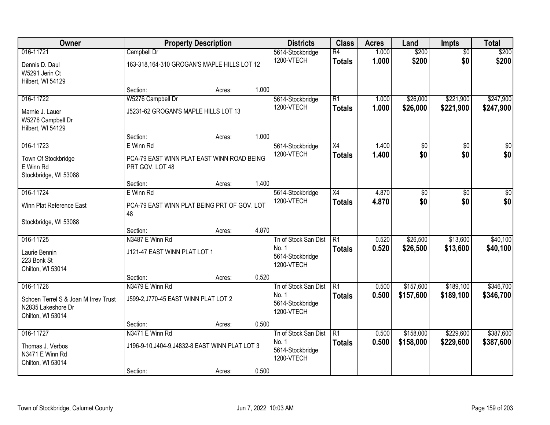| Owner                                                                                        |                                                                                | <b>Property Description</b> |       | <b>Districts</b>                                                | <b>Class</b>                     | <b>Acres</b>   | Land                   | <b>Impts</b>           | <b>Total</b>           |
|----------------------------------------------------------------------------------------------|--------------------------------------------------------------------------------|-----------------------------|-------|-----------------------------------------------------------------|----------------------------------|----------------|------------------------|------------------------|------------------------|
| 016-11721<br>Dennis D. Daul<br>W5291 Jerin Ct<br>Hilbert, WI 54129                           | Campbell Dr<br>163-318, 164-310 GROGAN'S MAPLE HILLS LOT 12                    |                             |       | 5614-Stockbridge<br>1200-VTECH                                  | $\overline{R4}$<br><b>Totals</b> | 1.000<br>1.000 | \$200<br>\$200         | $\overline{50}$<br>\$0 | \$200<br>\$200         |
|                                                                                              | Section:                                                                       | Acres:                      | 1.000 |                                                                 |                                  |                |                        |                        |                        |
| 016-11722<br>Marnie J. Lauer<br>W5276 Campbell Dr<br>Hilbert, WI 54129                       | W5276 Campbell Dr<br>J5231-62 GROGAN'S MAPLE HILLS LOT 13                      |                             |       | 5614-Stockbridge<br>1200-VTECH                                  | $\overline{R1}$<br><b>Totals</b> | 1.000<br>1.000 | \$26,000<br>\$26,000   | \$221,900<br>\$221,900 | \$247,900<br>\$247,900 |
|                                                                                              | Section:                                                                       | Acres:                      | 1.000 |                                                                 |                                  |                |                        |                        |                        |
| 016-11723<br>Town Of Stockbridge<br>E Winn Rd<br>Stockbridge, WI 53088                       | E Winn Rd<br>PCA-79 EAST WINN PLAT EAST WINN ROAD BEING<br>PRT GOV. LOT 48     |                             |       | 5614-Stockbridge<br>1200-VTECH                                  | $\overline{X4}$<br><b>Totals</b> | 1.400<br>1.400 | \$0<br>\$0             | \$0<br>\$0             | $\overline{30}$<br>\$0 |
|                                                                                              | Section:                                                                       | Acres:                      | 1.400 |                                                                 |                                  |                |                        |                        |                        |
| 016-11724<br>Winn Plat Reference East                                                        | E Winn Rd<br>PCA-79 EAST WINN PLAT BEING PRT OF GOV. LOT<br>48                 |                             |       | 5614-Stockbridge<br>1200-VTECH                                  | $\overline{X4}$<br><b>Totals</b> | 4.870<br>4.870 | $\overline{30}$<br>\$0 | \$0<br>\$0             | $\overline{50}$<br>\$0 |
| Stockbridge, WI 53088                                                                        | Section:                                                                       | Acres:                      | 4.870 |                                                                 |                                  |                |                        |                        |                        |
| 016-11725<br>Laurie Bennin<br>223 Bonk St<br>Chilton, WI 53014                               | N3487 E Winn Rd<br>J121-47 EAST WINN PLAT LOT 1                                |                             |       | Tn of Stock San Dist<br>No. 1<br>5614-Stockbridge<br>1200-VTECH | $\overline{R1}$<br><b>Totals</b> | 0.520<br>0.520 | \$26,500<br>\$26,500   | \$13,600<br>\$13,600   | \$40,100<br>\$40,100   |
|                                                                                              | Section:                                                                       | Acres:                      | 0.520 |                                                                 |                                  |                |                        |                        |                        |
| 016-11726<br>Schoen Terrel S & Joan M Irrey Trust<br>N2835 Lakeshore Dr<br>Chilton, WI 53014 | N3479 E Winn Rd<br>J599-2, J770-45 EAST WINN PLAT LOT 2                        |                             |       | Tn of Stock San Dist<br>No. 1<br>5614-Stockbridge<br>1200-VTECH | IR1<br><b>Totals</b>             | 0.500<br>0.500 | \$157,600<br>\$157,600 | \$189,100<br>\$189,100 | \$346,700<br>\$346,700 |
|                                                                                              | Section:                                                                       | Acres:                      | 0.500 |                                                                 |                                  |                |                        |                        |                        |
| 016-11727<br>Thomas J. Verbos<br>N3471 E Winn Rd<br>Chilton, WI 53014                        | N3471 E Winn Rd<br>J196-9-10, J404-9, J4832-8 EAST WINN PLAT LOT 3<br>Section: | Acres:                      | 0.500 | Tn of Stock San Dist<br>No. 1<br>5614-Stockbridge<br>1200-VTECH | R1<br><b>Totals</b>              | 0.500<br>0.500 | \$158,000<br>\$158,000 | \$229,600<br>\$229,600 | \$387,600<br>\$387,600 |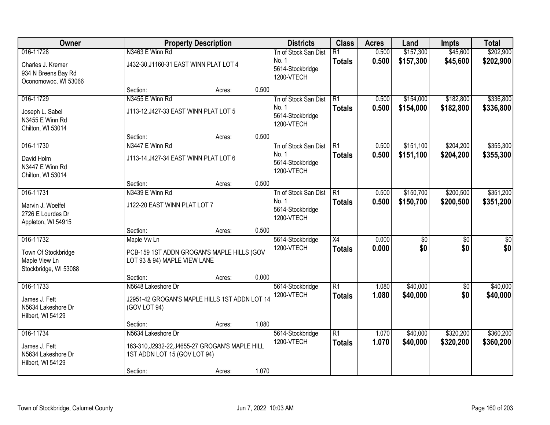| Owner                                                            |                                                                                 | <b>Property Description</b> |       | <b>Districts</b>                        | <b>Class</b>    | <b>Acres</b> | Land            | <b>Impts</b>    | <b>Total</b>    |
|------------------------------------------------------------------|---------------------------------------------------------------------------------|-----------------------------|-------|-----------------------------------------|-----------------|--------------|-----------------|-----------------|-----------------|
| 016-11728                                                        | N3463 E Winn Rd                                                                 |                             |       | Tn of Stock San Dist                    | $\overline{R1}$ | 0.500        | \$157,300       | \$45,600        | \$202,900       |
| Charles J. Kremer<br>934 N Breens Bay Rd<br>Oconomowoc, WI 53066 | J432-30, J1160-31 EAST WINN PLAT LOT 4                                          |                             |       | No. 1<br>5614-Stockbridge<br>1200-VTECH | <b>Totals</b>   | 0.500        | \$157,300       | \$45,600        | \$202,900       |
|                                                                  | Section:                                                                        | Acres:                      | 0.500 |                                         |                 |              |                 |                 |                 |
| 016-11729                                                        | N3455 E Winn Rd                                                                 |                             |       | Tn of Stock San Dist                    | R1              | 0.500        | \$154,000       | \$182,800       | \$336,800       |
| Joseph L. Sabel<br>N3455 E Winn Rd<br>Chilton, WI 53014          | J113-12, J427-33 EAST WINN PLAT LOT 5                                           |                             |       | No. 1<br>5614-Stockbridge<br>1200-VTECH | <b>Totals</b>   | 0.500        | \$154,000       | \$182,800       | \$336,800       |
|                                                                  | Section:                                                                        | Acres:                      | 0.500 |                                         |                 |              |                 |                 |                 |
| 016-11730                                                        | N3447 E Winn Rd                                                                 |                             |       | Tn of Stock San Dist                    | R <sub>1</sub>  | 0.500        | \$151,100       | \$204,200       | \$355,300       |
| David Holm<br>N3447 E Winn Rd<br>Chilton, WI 53014               | J113-14, J427-34 EAST WINN PLAT LOT 6                                           |                             |       | No. 1<br>5614-Stockbridge<br>1200-VTECH | <b>Totals</b>   | 0.500        | \$151,100       | \$204,200       | \$355,300       |
|                                                                  | Section:                                                                        | Acres:                      | 0.500 |                                         |                 |              |                 |                 |                 |
| 016-11731                                                        | N3439 E Winn Rd                                                                 |                             |       | Tn of Stock San Dist                    | $\overline{R1}$ | 0.500        | \$150,700       | \$200,500       | \$351,200       |
| Marvin J. Woelfel<br>2726 E Lourdes Dr<br>Appleton, WI 54915     | J122-20 EAST WINN PLAT LOT 7                                                    |                             |       | No. 1<br>5614-Stockbridge<br>1200-VTECH | <b>Totals</b>   | 0.500        | \$150,700       | \$200,500       | \$351,200       |
|                                                                  | Section:                                                                        | Acres:                      | 0.500 |                                         |                 |              |                 |                 |                 |
| 016-11732                                                        | Maple Vw Ln                                                                     |                             |       | 5614-Stockbridge                        | $\overline{X4}$ | 0.000        | $\overline{50}$ | $\overline{50}$ | $\overline{50}$ |
| Town Of Stockbridge<br>Maple View Ln<br>Stockbridge, WI 53088    | PCB-159 1ST ADDN GROGAN'S MAPLE HILLS (GOV<br>LOT 93 & 94) MAPLE VIEW LANE      |                             |       | 1200-VTECH                              | <b>Totals</b>   | 0.000        | \$0             | \$0             | \$0             |
|                                                                  | Section:                                                                        | Acres:                      | 0.000 |                                         |                 |              |                 |                 |                 |
| 016-11733                                                        | N5648 Lakeshore Dr                                                              |                             |       | 5614-Stockbridge                        | $\overline{R1}$ | 1.080        | \$40,000        | $\overline{50}$ | \$40,000        |
| James J. Fett<br>N5634 Lakeshore Dr<br>Hilbert, WI 54129         | J2951-42 GROGAN'S MAPLE HILLS 1ST ADDN LOT 14<br>(GOV LOT 94)                   |                             |       | 1200-VTECH                              | <b>Totals</b>   | 1.080        | \$40,000        | \$0             | \$40,000        |
|                                                                  | Section:                                                                        | Acres:                      | 1.080 |                                         |                 |              |                 |                 |                 |
| 016-11734                                                        | N5634 Lakeshore Dr                                                              |                             |       | 5614-Stockbridge                        | $\overline{R1}$ | 1.070        | \$40,000        | \$320,200       | \$360,200       |
| James J. Fett<br>N5634 Lakeshore Dr<br>Hilbert, WI 54129         | 163-310, J2932-22, J4655-27 GROGAN'S MAPLE HILL<br>1ST ADDN LOT 15 (GOV LOT 94) |                             |       | 1200-VTECH                              | <b>Totals</b>   | 1.070        | \$40,000        | \$320,200       | \$360,200       |
|                                                                  | Section:                                                                        | Acres:                      | 1.070 |                                         |                 |              |                 |                 |                 |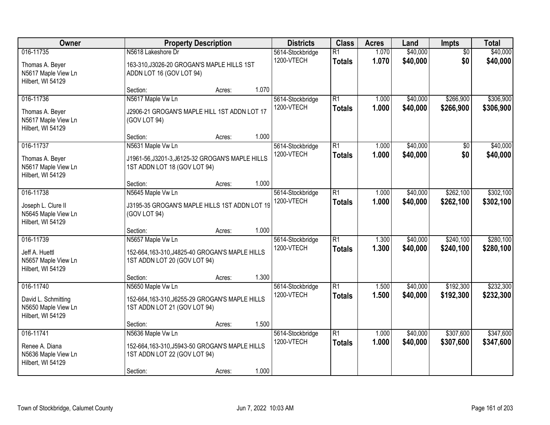| Owner                                                                        |                                                                                                                  | <b>Property Description</b> |       | <b>Districts</b>               | <b>Class</b>                     | <b>Acres</b>   | Land                 | Impts                  | <b>Total</b>           |
|------------------------------------------------------------------------------|------------------------------------------------------------------------------------------------------------------|-----------------------------|-------|--------------------------------|----------------------------------|----------------|----------------------|------------------------|------------------------|
| 016-11735<br>Thomas A. Beyer<br>N5617 Maple View Ln<br>Hilbert, WI 54129     | N5618 Lakeshore Dr<br>163-310, J3026-20 GROGAN'S MAPLE HILLS 1ST<br>ADDN LOT 16 (GOV LOT 94)                     |                             |       | 5614-Stockbridge<br>1200-VTECH | $\overline{R1}$<br><b>Totals</b> | 1.070<br>1.070 | \$40,000<br>\$40,000 | $\overline{50}$<br>\$0 | \$40,000<br>\$40,000   |
|                                                                              | Section:                                                                                                         | Acres:                      | 1.070 |                                |                                  |                |                      |                        |                        |
| 016-11736<br>Thomas A. Beyer<br>N5617 Maple View Ln<br>Hilbert, WI 54129     | N5617 Maple Vw Ln<br>J2906-21 GROGAN'S MAPLE HILL 1ST ADDN LOT 17<br>(GOV LOT 94)                                |                             |       | 5614-Stockbridge<br>1200-VTECH | $\overline{R1}$<br><b>Totals</b> | 1.000<br>1.000 | \$40,000<br>\$40,000 | \$266,900<br>\$266,900 | \$306,900<br>\$306,900 |
|                                                                              | Section:                                                                                                         | Acres:                      | 1.000 |                                |                                  |                |                      |                        |                        |
| 016-11737<br>Thomas A. Beyer<br>N5617 Maple View Ln<br>Hilbert, WI 54129     | N5631 Maple Vw Ln<br>J1961-56, J3201-3, J6125-32 GROGAN'S MAPLE HILLS<br>1ST ADDN LOT 18 (GOV LOT 94)            |                             |       | 5614-Stockbridge<br>1200-VTECH | $\overline{R1}$<br><b>Totals</b> | 1.000<br>1.000 | \$40,000<br>\$40,000 | $\overline{50}$<br>\$0 | \$40,000<br>\$40,000   |
|                                                                              | Section:                                                                                                         | Acres:                      | 1.000 |                                |                                  |                |                      |                        |                        |
| 016-11738<br>Joseph L. Clure II<br>N5645 Maple View Ln<br>Hilbert, WI 54129  | N5645 Maple Vw Ln<br>J3195-35 GROGAN'S MAPLE HILLS 1ST ADDN LOT 19<br>(GOV LOT 94)                               |                             |       | 5614-Stockbridge<br>1200-VTECH | $\overline{R1}$<br><b>Totals</b> | 1.000<br>1.000 | \$40,000<br>\$40,000 | \$262,100<br>\$262,100 | \$302,100<br>\$302,100 |
|                                                                              | Section:                                                                                                         | Acres:                      | 1.000 |                                |                                  |                |                      |                        |                        |
| 016-11739<br>Jeff A. Huettl<br>N5657 Maple View Ln<br>Hilbert, WI 54129      | N5657 Maple Vw Ln<br>152-664, 163-310, J4825-40 GROGAN'S MAPLE HILLS<br>1ST ADDN LOT 20 (GOV LOT 94)             |                             |       | 5614-Stockbridge<br>1200-VTECH | $\overline{R1}$<br><b>Totals</b> | 1.300<br>1.300 | \$40,000<br>\$40,000 | \$240,100<br>\$240,100 | \$280,100<br>\$280,100 |
|                                                                              | Section:                                                                                                         | Acres:                      | 1.300 |                                |                                  |                |                      |                        |                        |
| 016-11740<br>David L. Schmitting<br>N5650 Maple View Ln<br>Hilbert, WI 54129 | N5650 Maple Vw Ln<br>152-664, 163-310, J6255-29 GROGAN'S MAPLE HILLS<br>1ST ADDN LOT 21 (GOV LOT 94)             |                             |       | 5614-Stockbridge<br>1200-VTECH | $\overline{R1}$<br><b>Totals</b> | 1.500<br>1.500 | \$40,000<br>\$40,000 | \$192,300<br>\$192,300 | \$232,300<br>\$232,300 |
|                                                                              | Section:                                                                                                         | Acres:                      | 1.500 |                                |                                  |                |                      |                        |                        |
| 016-11741<br>Renee A. Diana<br>N5636 Maple View Ln<br>Hilbert, WI 54129      | N5636 Maple Vw Ln<br>152-664, 163-310, J5943-50 GROGAN'S MAPLE HILLS<br>1ST ADDN LOT 22 (GOV LOT 94)<br>Section: | Acres:                      | 1.000 | 5614-Stockbridge<br>1200-VTECH | $\overline{R1}$<br><b>Totals</b> | 1.000<br>1.000 | \$40,000<br>\$40,000 | \$307,600<br>\$307,600 | \$347,600<br>\$347,600 |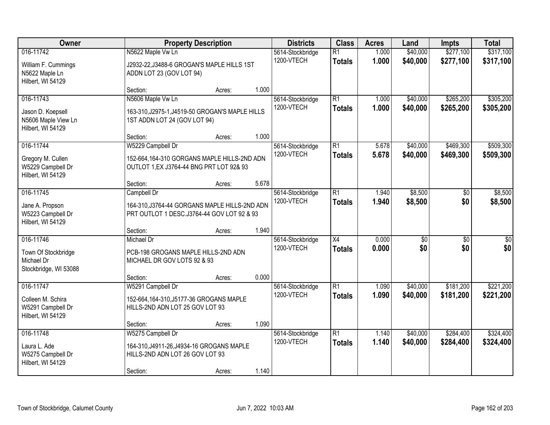| Owner                                                                      | <b>Property Description</b>                                                                                   |        |       | <b>Districts</b>               | <b>Class</b>                     | <b>Acres</b>   | Land                 | <b>Impts</b>           | <b>Total</b>           |
|----------------------------------------------------------------------------|---------------------------------------------------------------------------------------------------------------|--------|-------|--------------------------------|----------------------------------|----------------|----------------------|------------------------|------------------------|
| 016-11742<br>William F. Cummings<br>N5622 Maple Ln<br>Hilbert, WI 54129    | N5622 Maple Vw Ln<br>J2932-22, J3488-6 GROGAN'S MAPLE HILLS 1ST<br>ADDN LOT 23 (GOV LOT 94)                   |        |       | 5614-Stockbridge<br>1200-VTECH | $\overline{R1}$<br><b>Totals</b> | 1.000<br>1.000 | \$40,000<br>\$40,000 | \$277,100<br>\$277,100 | \$317,100<br>\$317,100 |
|                                                                            | Section:                                                                                                      | Acres: | 1.000 |                                |                                  |                |                      |                        |                        |
| 016-11743<br>Jason D. Koepsell<br>N5606 Maple View Ln<br>Hilbert, WI 54129 | N5606 Maple Vw Ln<br>163-310, J2975-1, J4519-50 GROGAN'S MAPLE HILLS<br>1ST ADDN LOT 24 (GOV LOT 94)          |        |       | 5614-Stockbridge<br>1200-VTECH | $\overline{R1}$<br><b>Totals</b> | 1.000<br>1.000 | \$40,000<br>\$40,000 | \$265,200<br>\$265,200 | \$305,200<br>\$305,200 |
| 016-11744                                                                  | Section:<br>W5229 Campbell Dr                                                                                 | Acres: | 1.000 | 5614-Stockbridge               | $\overline{R1}$                  | 5.678          | \$40,000             | \$469,300              | \$509,300              |
| Gregory M. Cullen<br>W5229 Campbell Dr<br>Hilbert, WI 54129                | 152-664,164-310 GORGANS MAPLE HILLS-2ND ADN<br>OUTLOT 1, EX J3764-44 BNG PRT LOT 92& 93                       |        |       | 1200-VTECH                     | <b>Totals</b>                    | 5.678          | \$40,000             | \$469,300              | \$509,300              |
|                                                                            | Section:                                                                                                      | Acres: | 5.678 |                                |                                  |                |                      |                        |                        |
| 016-11745<br>Jane A. Propson<br>W5223 Campbell Dr<br>Hilbert, WI 54129     | Campbell Dr<br>164-310, J3764-44 GORGANS MAPLE HILLS-2ND ADN<br>PRT OUTLOT 1 DESC.J3764-44 GOV LOT 92 & 93    |        |       | 5614-Stockbridge<br>1200-VTECH | $\overline{R1}$<br><b>Totals</b> | 1.940<br>1.940 | \$8,500<br>\$8,500   | \$0<br>\$0             | \$8,500<br>\$8,500     |
|                                                                            | Section:                                                                                                      | Acres: | 1.940 |                                |                                  |                |                      |                        |                        |
| 016-11746<br>Town Of Stockbridge<br>Michael Dr<br>Stockbridge, WI 53088    | Michael Dr<br>PCB-198 GROGANS MAPLE HILLS-2ND ADN<br>MICHAEL DR GOV LOTS 92 & 93<br>Section:                  | Acres: | 0.000 | 5614-Stockbridge<br>1200-VTECH | $\overline{X4}$<br><b>Totals</b> | 0.000<br>0.000 | \$0<br>\$0           | $\overline{50}$<br>\$0 | $\overline{50}$<br>\$0 |
| 016-11747                                                                  | W5291 Campbell Dr                                                                                             |        |       | 5614-Stockbridge               | $\overline{R1}$                  | 1.090          | \$40,000             | \$181,200              | \$221,200              |
| Colleen M. Schira<br>W5291 Campbell Dr<br>Hilbert, WI 54129                | 152-664, 164-310, J5177-36 GROGANS MAPLE<br>HILLS-2ND ADN LOT 25 GOV LOT 93                                   |        |       | 1200-VTECH                     | <b>Totals</b>                    | 1.090          | \$40,000             | \$181,200              | \$221,200              |
|                                                                            | Section:                                                                                                      | Acres: | 1.090 |                                |                                  |                |                      |                        |                        |
| 016-11748<br>Laura L. Ade<br>W5275 Campbell Dr<br>Hilbert, WI 54129        | W5275 Campbell Dr<br>164-310, J4911-26, J4934-16 GROGANS MAPLE<br>HILLS-2ND ADN LOT 26 GOV LOT 93<br>Section: | Acres: | 1.140 | 5614-Stockbridge<br>1200-VTECH | $\overline{R1}$<br><b>Totals</b> | 1.140<br>1.140 | \$40,000<br>\$40,000 | \$284,400<br>\$284,400 | \$324,400<br>\$324,400 |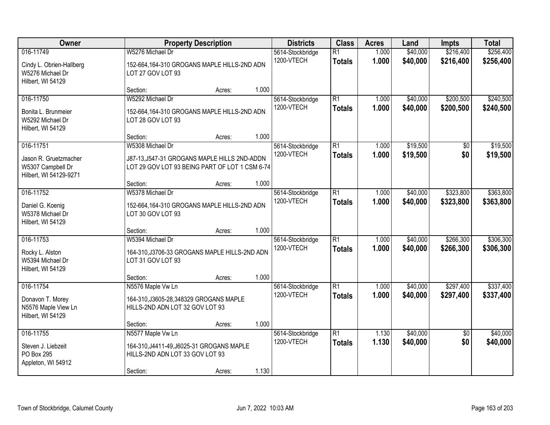| Owner                                                                             | <b>Property Description</b>                                                                                        |                 | <b>Districts</b>               | <b>Class</b>                     | <b>Acres</b>   | Land                 | <b>Impts</b>           | <b>Total</b>           |
|-----------------------------------------------------------------------------------|--------------------------------------------------------------------------------------------------------------------|-----------------|--------------------------------|----------------------------------|----------------|----------------------|------------------------|------------------------|
| 016-11749<br>Cindy L. Obrien-Hallberg<br>W5276 Michael Dr<br>Hilbert, WI 54129    | W5276 Michael Dr<br>152-664,164-310 GROGANS MAPLE HILLS-2ND ADN<br>LOT 27 GOV LOT 93                               |                 | 5614-Stockbridge<br>1200-VTECH | $\overline{R1}$<br><b>Totals</b> | 1.000<br>1.000 | \$40,000<br>\$40,000 | \$216,400<br>\$216,400 | \$256,400<br>\$256,400 |
|                                                                                   | Section:                                                                                                           | 1.000<br>Acres: |                                |                                  |                |                      |                        |                        |
| 016-11750<br>Bonita L. Brunmeier<br>W5292 Michael Dr<br>Hilbert, WI 54129         | W5292 Michael Dr<br>152-664,164-310 GROGANS MAPLE HILLS-2ND ADN<br>LOT 28 GOV LOT 93                               |                 | 5614-Stockbridge<br>1200-VTECH | $\overline{R1}$<br><b>Totals</b> | 1.000<br>1.000 | \$40,000<br>\$40,000 | \$200,500<br>\$200,500 | \$240,500<br>\$240,500 |
|                                                                                   | Section:                                                                                                           | 1.000<br>Acres: |                                |                                  |                |                      |                        |                        |
| 016-11751<br>Jason R. Gruetzmacher<br>W5307 Campbell Dr<br>Hilbert, WI 54129-9271 | W5308 Michael Dr<br>J87-13, J547-31 GROGANS MAPLE HILLS 2ND-ADDN<br>LOT 29 GOV LOT 93 BEING PART OF LOT 1 CSM 6-74 |                 | 5614-Stockbridge<br>1200-VTECH | $\overline{R1}$<br><b>Totals</b> | 1.000<br>1.000 | \$19,500<br>\$19,500 | \$0<br>\$0             | \$19,500<br>\$19,500   |
|                                                                                   | Section:                                                                                                           | 1.000<br>Acres: |                                |                                  |                |                      |                        |                        |
| 016-11752<br>Daniel G. Koenig<br>W5378 Michael Dr<br>Hilbert, WI 54129            | W5378 Michael Dr<br>152-664,164-310 GROGANS MAPLE HILLS-2ND ADN<br>LOT 30 GOV LOT 93                               |                 | 5614-Stockbridge<br>1200-VTECH | $\overline{R1}$<br><b>Totals</b> | 1.000<br>1.000 | \$40,000<br>\$40,000 | \$323,800<br>\$323,800 | \$363,800<br>\$363,800 |
|                                                                                   | Section:                                                                                                           | 1.000<br>Acres: |                                |                                  |                |                      |                        |                        |
| 016-11753<br>Rocky L. Alston<br>W5394 Michael Dr<br>Hilbert, WI 54129             | W5394 Michael Dr<br>164-310, J3706-33 GROGANS MAPLE HILLS-2ND ADN<br>LOT 31 GOV LOT 93<br>Section:                 | 1.000<br>Acres: | 5614-Stockbridge<br>1200-VTECH | $\overline{R1}$<br><b>Totals</b> | 1.000<br>1.000 | \$40,000<br>\$40,000 | \$266,300<br>\$266,300 | \$306,300<br>\$306,300 |
| 016-11754                                                                         | N5576 Maple Vw Ln                                                                                                  |                 | 5614-Stockbridge               | $\overline{R1}$                  | 1.000          | \$40,000             | \$297,400              | \$337,400              |
| Donavon T. Morey<br>N5576 Maple View Ln<br>Hilbert, WI 54129                      | 164-310, J3605-28, 348329 GROGANS MAPLE<br>HILLS-2ND ADN LOT 32 GOV LOT 93                                         |                 | 1200-VTECH                     | <b>Totals</b>                    | 1.000          | \$40,000             | \$297,400              | \$337,400              |
|                                                                                   | Section:                                                                                                           | 1.000<br>Acres: |                                |                                  |                |                      |                        |                        |
| 016-11755<br>Steven J. Liebzeit<br>PO Box 295<br>Appleton, WI 54912               | N5577 Maple Vw Ln<br>164-310, J4411-49, J6025-31 GROGANS MAPLE<br>HILLS-2ND ADN LOT 33 GOV LOT 93<br>Section:      | 1.130<br>Acres: | 5614-Stockbridge<br>1200-VTECH | $\overline{R1}$<br><b>Totals</b> | 1.130<br>1.130 | \$40,000<br>\$40,000 | $\overline{50}$<br>\$0 | \$40,000<br>\$40,000   |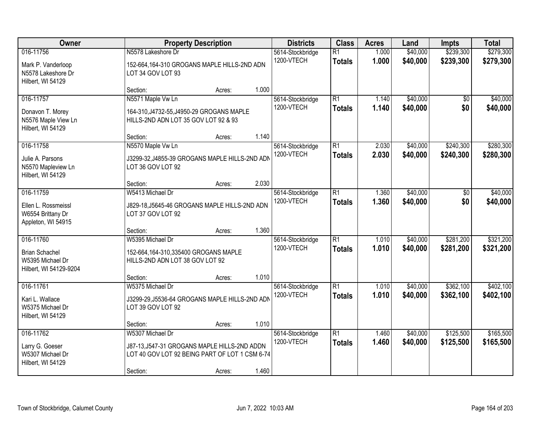| Owner                                                                            |                                                                                                                                | <b>Property Description</b> |       | <b>Districts</b>               | <b>Class</b>                     | <b>Acres</b>   | Land                 | <b>Impts</b>           | <b>Total</b>           |
|----------------------------------------------------------------------------------|--------------------------------------------------------------------------------------------------------------------------------|-----------------------------|-------|--------------------------------|----------------------------------|----------------|----------------------|------------------------|------------------------|
| 016-11756<br>Mark P. Vanderloop<br>N5578 Lakeshore Dr<br>Hilbert, WI 54129       | N5578 Lakeshore Dr<br>152-664,164-310 GROGANS MAPLE HILLS-2ND ADN<br>LOT 34 GOV LOT 93                                         |                             |       | 5614-Stockbridge<br>1200-VTECH | $\overline{R1}$<br><b>Totals</b> | 1.000<br>1.000 | \$40,000<br>\$40,000 | \$239,300<br>\$239,300 | \$279,300<br>\$279,300 |
|                                                                                  | Section:                                                                                                                       | Acres:                      | 1.000 |                                |                                  |                |                      |                        |                        |
| 016-11757<br>Donavon T. Morey<br>N5576 Maple View Ln<br>Hilbert, WI 54129        | N5571 Maple Vw Ln<br>164-310, J4732-55, J4950-29 GROGANS MAPLE<br>HILLS-2ND ADN LOT 35 GOV LOT 92 & 93<br>Section:             | Acres:                      | 1.140 | 5614-Stockbridge<br>1200-VTECH | $\overline{R1}$<br><b>Totals</b> | 1.140<br>1.140 | \$40,000<br>\$40,000 | $\overline{50}$<br>\$0 | \$40,000<br>\$40,000   |
| 016-11758                                                                        | N5570 Maple Vw Ln                                                                                                              |                             |       | 5614-Stockbridge               | $\overline{R1}$                  | 2.030          | \$40,000             | \$240,300              | \$280,300              |
| Julie A. Parsons<br>N5570 Mapleview Ln<br>Hilbert, WI 54129                      | J3299-32, J4855-39 GROGANS MAPLE HILLS-2ND ADN<br>LOT 36 GOV LOT 92                                                            |                             |       | 1200-VTECH                     | <b>Totals</b>                    | 2.030          | \$40,000             | \$240,300              | \$280,300              |
|                                                                                  | Section:                                                                                                                       | Acres:                      | 2.030 |                                |                                  |                |                      |                        |                        |
| 016-11759<br>Ellen L. Rossmeissl<br>W6554 Brittany Dr<br>Appleton, WI 54915      | W5413 Michael Dr<br>J829-18, J5645-46 GROGANS MAPLE HILLS-2ND ADN<br>LOT 37 GOV LOT 92                                         |                             |       | 5614-Stockbridge<br>1200-VTECH | $\overline{R1}$<br><b>Totals</b> | 1.360<br>1.360 | \$40,000<br>\$40,000 | \$0<br>\$0             | \$40,000<br>\$40,000   |
|                                                                                  | Section:                                                                                                                       | Acres:                      | 1.360 |                                |                                  |                |                      |                        |                        |
| 016-11760<br><b>Brian Schachel</b><br>W5395 Michael Dr<br>Hilbert, WI 54129-9204 | W5395 Michael Dr<br>152-664,164-310,335400 GROGANS MAPLE<br>HILLS-2ND ADN LOT 38 GOV LOT 92                                    |                             |       | 5614-Stockbridge<br>1200-VTECH | $\overline{R1}$<br><b>Totals</b> | 1.010<br>1.010 | \$40,000<br>\$40,000 | \$281,200<br>\$281,200 | \$321,200<br>\$321,200 |
| 016-11761                                                                        | Section:<br>W5375 Michael Dr                                                                                                   | Acres:                      | 1.010 | 5614-Stockbridge               | $\overline{R1}$                  | 1.010          | \$40,000             | \$362,100              | \$402,100              |
| Kari L. Wallace<br>W5375 Michael Dr<br>Hilbert, WI 54129                         | J3299-29, J5536-64 GROGANS MAPLE HILLS-2ND ADN<br>LOT 39 GOV LOT 92                                                            |                             |       | 1200-VTECH                     | <b>Totals</b>                    | 1.010          | \$40,000             | \$362,100              | \$402,100              |
|                                                                                  | Section:                                                                                                                       | Acres:                      | 1.010 |                                |                                  |                |                      |                        |                        |
| 016-11762<br>Larry G. Goeser<br>W5307 Michael Dr<br>Hilbert, WI 54129            | W5307 Michael Dr<br>J87-13, J547-31 GROGANS MAPLE HILLS-2ND ADDN<br>LOT 40 GOV LOT 92 BEING PART OF LOT 1 CSM 6-74<br>Section: | Acres:                      | 1.460 | 5614-Stockbridge<br>1200-VTECH | $\overline{R1}$<br><b>Totals</b> | 1.460<br>1.460 | \$40,000<br>\$40,000 | \$125,500<br>\$125,500 | \$165,500<br>\$165,500 |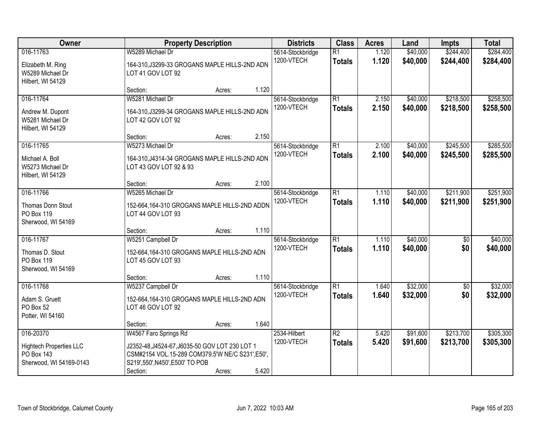| Owner                                                                                | <b>Property Description</b>                                                                                                                                             |        |       | <b>Districts</b>               | <b>Class</b>                     | <b>Acres</b>   | Land                 | <b>Impts</b>           | <b>Total</b>           |
|--------------------------------------------------------------------------------------|-------------------------------------------------------------------------------------------------------------------------------------------------------------------------|--------|-------|--------------------------------|----------------------------------|----------------|----------------------|------------------------|------------------------|
| 016-11763<br>Elizabeth M. Ring<br>W5289 Michael Dr<br>Hilbert, WI 54129              | W5289 Michael Dr<br>164-310, J3299-33 GROGANS MAPLE HILLS-2ND ADN<br>LOT 41 GOV LOT 92                                                                                  |        |       | 5614-Stockbridge<br>1200-VTECH | $\overline{R1}$<br><b>Totals</b> | 1.120<br>1.120 | \$40,000<br>\$40,000 | \$244,400<br>\$244,400 | \$284,400<br>\$284,400 |
|                                                                                      | Section:                                                                                                                                                                | Acres: | 1.120 |                                |                                  |                |                      |                        |                        |
| 016-11764<br>Andrew M. Dupont<br>W5281 Michael Dr<br>Hilbert, WI 54129               | W5281 Michael Dr<br>164-310, J3299-34 GROGANS MAPLE HILLS-2ND ADN<br>LOT 42 GOV LOT 92                                                                                  |        |       | 5614-Stockbridge<br>1200-VTECH | $\overline{R1}$<br><b>Totals</b> | 2.150<br>2.150 | \$40,000<br>\$40,000 | \$218,500<br>\$218,500 | \$258,500<br>\$258,500 |
|                                                                                      | Section:                                                                                                                                                                | Acres: | 2.150 |                                |                                  |                |                      |                        |                        |
| 016-11765<br>Michael A. Boll<br>W5273 Michael Dr<br>Hilbert, WI 54129                | W5273 Michael Dr<br>164-310, J4314-34 GROGANS MAPLE HILLS-2ND ADN<br>LOT 43 GOV LOT 92 & 93                                                                             |        |       | 5614-Stockbridge<br>1200-VTECH | $\overline{R1}$<br><b>Totals</b> | 2.100<br>2.100 | \$40,000<br>\$40,000 | \$245,500<br>\$245,500 | \$285,500<br>\$285,500 |
|                                                                                      | Section:                                                                                                                                                                | Acres: | 2.100 |                                |                                  |                |                      |                        |                        |
| 016-11766<br>Thomas Donn Stout<br>PO Box 119<br>Sherwood, WI 54169                   | W5265 Michael Dr<br>152-664,164-310 GROGANS MAPLE HILLS-2ND ADDN<br>LOT 44 GOV LOT 93                                                                                   |        |       | 5614-Stockbridge<br>1200-VTECH | $\overline{R1}$<br><b>Totals</b> | 1.110<br>1.110 | \$40,000<br>\$40,000 | \$211,900<br>\$211,900 | \$251,900<br>\$251,900 |
|                                                                                      | Section:                                                                                                                                                                | Acres: | 1.110 |                                |                                  |                |                      |                        |                        |
| 016-11767<br>Thomas D. Stout<br>PO Box 119<br>Sherwood, WI 54169                     | W5251 Campbell Dr<br>152-664,164-310 GROGANS MAPLE HILLS-2ND ADN<br>LOT 45 GOV LOT 93                                                                                   |        |       | 5614-Stockbridge<br>1200-VTECH | $\overline{R1}$<br><b>Totals</b> | 1.110<br>1.110 | \$40,000<br>\$40,000 | $\overline{50}$<br>\$0 | \$40,000<br>\$40,000   |
|                                                                                      | Section:                                                                                                                                                                | Acres: | 1.110 |                                |                                  |                |                      |                        |                        |
| 016-11768<br>Adam S. Gruett<br>PO Box 52<br>Potter, WI 54160                         | W5237 Campbell Dr<br>152-664,164-310 GROGANS MAPLE HILLS-2ND ADN<br>LOT 46 GOV LOT 92                                                                                   |        |       | 5614-Stockbridge<br>1200-VTECH | $\overline{R1}$<br><b>Totals</b> | 1.640<br>1.640 | \$32,000<br>\$32,000 | $\sqrt{6}$<br>\$0      | \$32,000<br>\$32,000   |
|                                                                                      | Section:                                                                                                                                                                | Acres: | 1.640 |                                |                                  |                |                      |                        |                        |
| 016-20370<br><b>Hightech Properties LLC</b><br>PO Box 143<br>Sherwood, WI 54169-0143 | W4567 Faro Springs Rd<br>J2352-48.J4524-67.J6035-50 GOV LOT 230 LOT 1<br>CSM#2154 VOL.15-289 COM379.5'W NE/C S231',E50',<br>S219',550', N450', E500' TO POB<br>Section: | Acres: | 5.420 | 2534-Hilbert<br>1200-VTECH     | $\overline{R2}$<br><b>Totals</b> | 5.420<br>5.420 | \$91,600<br>\$91,600 | \$213,700<br>\$213,700 | \$305,300<br>\$305,300 |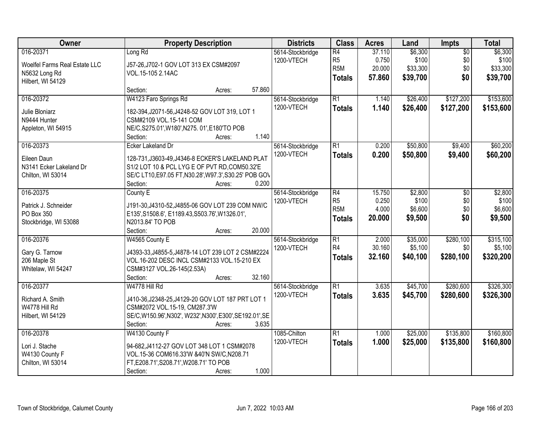| Owner<br><b>Districts</b><br><b>Class</b><br><b>Acres</b><br><b>Property Description</b><br>Land<br>Impts                              | <b>Total</b>               |
|----------------------------------------------------------------------------------------------------------------------------------------|----------------------------|
| 016-20371<br>$\overline{R4}$<br>\$6,300<br>Long Rd<br>37.110<br>5614-Stockbridge                                                       | \$6,300<br>$\overline{50}$ |
| R <sub>5</sub><br>0.750<br>\$100<br>1200-VTECH<br>Woelfel Farms Real Estate LLC<br>J57-26, J702-1 GOV LOT 313 EX CSM#2097              | \$0<br>\$100               |
| R <sub>5</sub> M<br>\$33,300<br>20.000<br>VOL.15-105 2.14AC<br>N5632 Long Rd                                                           | \$0<br>\$33,300            |
| 57,860<br>\$39,700<br>\$0<br><b>Totals</b><br>Hilbert, WI 54129                                                                        | \$39,700                   |
| 57.860<br>Section:<br>Acres:                                                                                                           |                            |
| 016-20372<br>W4123 Faro Springs Rd<br>$\overline{R1}$<br>\$26,400<br>\$127,200<br>5614-Stockbridge<br>1.140                            | \$153,600                  |
| 1200-VTECH<br>1.140<br>\$127,200<br>\$26,400<br><b>Totals</b><br>Julie Bloniarz<br>182-394, J2071-56, J4248-52 GOV LOT 319, LOT 1      | \$153,600                  |
| N9444 Hunter<br>CSM#2109 VOL.15-141 COM                                                                                                |                            |
| NE/C, S275.01', W180', N275. 01', E180'TO POB<br>Appleton, WI 54915                                                                    |                            |
| 1.140<br>Section:<br>Acres:                                                                                                            |                            |
| 016-20373<br>$\overline{R1}$<br>\$50,800<br>\$9,400<br>Ecker Lakeland Dr<br>5614-Stockbridge<br>0.200                                  | \$60,200                   |
| 1200-VTECH<br>\$50,800<br>0.200<br>\$9,400<br><b>Totals</b>                                                                            | \$60,200                   |
| Eileen Daun<br>128-731, J3603-49, J4346-8 ECKER'S LAKELAND PLAT                                                                        |                            |
| S1/2 LOT 10 & PCL LYG E OF PVT RD, COM50.32'E<br>N3141 Ecker Lakeland Dr                                                               |                            |
| SE/C LT10, E97.05 FT, N30.28', W97.3', S30.25' POB GOV<br>Chilton, WI 53014<br>0.200<br>Section:                                       |                            |
| Acres:<br>016-20375<br>$\overline{R4}$<br>\$2,800<br>County E<br>5614-Stockbridge<br>15.750                                            | \$2,800<br>\$0             |
| R <sub>5</sub><br>0.250<br>\$100<br>1200-VTECH                                                                                         | \$0<br>\$100               |
| J191-30, J4310-52, J4855-06 GOV LOT 239 COM NW/C<br>Patrick J. Schneider<br>R <sub>5</sub> M<br>4.000<br>\$6,600                       | \$0<br>\$6,600             |
| PO Box 350<br>E135', S1508.6', E1189.43, S503.76', W1326.01',<br>\$0<br>20.000<br>\$9,500<br><b>Totals</b>                             | \$9,500                    |
| Stockbridge, WI 53088<br>N2013.84' TO POB                                                                                              |                            |
| 20.000<br>Section:<br>Acres:                                                                                                           |                            |
| \$280,100<br>016-20376<br>W4565 County E<br>$\overline{R1}$<br>2.000<br>\$35,000<br>5614-Stockbridge                                   | \$315,100                  |
| R <sub>4</sub><br>30.160<br>\$5,100<br>1200-VTECH<br>Gary G. Tarnow<br>J4393-33, J4855-5, J4878-14 LOT 239 LOT 2 CSM#2224              | \$5,100<br>\$0             |
| \$280,100<br>32.160<br>\$40,100<br><b>Totals</b><br>206 Maple St<br>VOL.16-202 DESC INCL CSM#2133 VOL.15-210 EX                        | \$320,200                  |
| Whitelaw, WI 54247<br>CSM#3127 VOL.26-145(2.53A)                                                                                       |                            |
| 32.160<br>Section:<br>Acres:                                                                                                           |                            |
| $\overline{R1}$<br>\$280,600<br>016-20377<br>W4778 Hill Rd<br>3.635<br>\$45,700<br>5614-Stockbridge                                    | \$326,300                  |
| 1200-VTECH<br>3.635<br>\$45,700<br>\$280,600<br><b>Totals</b><br>Richard A. Smith<br>J410-36, J2348-25, J4129-20 GOV LOT 187 PRT LOT 1 | \$326,300                  |
| CSM#2072 VOL.15-19, CM287.3'W<br>W4778 Hill Rd                                                                                         |                            |
| SE/C, W150.96', N302', W232', N300', E300', SE192.01', SE<br>Hilbert, WI 54129                                                         |                            |
| 3.635<br>Section:<br>Acres:                                                                                                            |                            |
| \$135,800<br>016-20378<br>$\overline{R1}$<br>\$25,000<br>W4130 County F<br>1085-Chilton<br>1.000                                       | \$160,800                  |
| 1200-VTECH<br>1.000<br>\$25,000<br>\$135,800<br><b>Totals</b><br>Lori J. Stache<br>94-682.J4112-27 GOV LOT 348 LOT 1 CSM#2078          | \$160,800                  |
| W4130 County F<br>VOL.15-36 COM616.33'W &40'N SW/C,N208.71                                                                             |                            |
| Chilton, WI 53014<br>FT, E208.71', S208.71', W208.71' TO POB                                                                           |                            |
| 1.000<br>Section:<br>Acres:                                                                                                            |                            |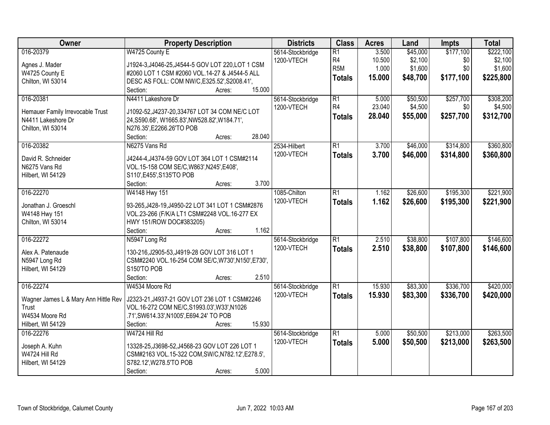| Owner                                   | <b>Property Description</b>                                                | <b>Districts</b> | <b>Class</b>     | <b>Acres</b> | Land     | Impts     | <b>Total</b> |
|-----------------------------------------|----------------------------------------------------------------------------|------------------|------------------|--------------|----------|-----------|--------------|
| 016-20379                               | W4725 County E                                                             | 5614-Stockbridge | $\overline{R1}$  | 3.500        | \$45,000 | \$177,100 | \$222,100    |
| Agnes J. Mader                          | J1924-3, J4046-25, J4544-5 GOV LOT 220, LOT 1 CSM                          | 1200-VTECH       | R <sub>4</sub>   | 10.500       | \$2,100  | \$0       | \$2,100      |
| W4725 County E                          | #2060 LOT 1 CSM #2060 VOL.14-27 & J4544-5 ALL                              |                  | R <sub>5</sub> M | 1.000        | \$1,600  | \$0       | \$1,600      |
| Chilton, WI 53014                       | DESC AS FOLL: COM NW/C, E325.52', S2008.41',                               |                  | <b>Totals</b>    | 15.000       | \$48,700 | \$177,100 | \$225,800    |
|                                         | 15.000<br>Section:<br>Acres:                                               |                  |                  |              |          |           |              |
| 016-20381                               | N4411 Lakeshore Dr                                                         | 5614-Stockbridge | $\overline{R1}$  | 5.000        | \$50,500 | \$257,700 | \$308,200    |
|                                         |                                                                            | 1200-VTECH       | R4               | 23.040       | \$4,500  | \$0       | \$4,500      |
| Hemauer Family Irrevocable Trust        | J1092-52, J4237-20, 334767 LOT 34 COM NE/C LOT                             |                  | <b>Totals</b>    | 28.040       | \$55,000 | \$257,700 | \$312,700    |
| N4411 Lakeshore Dr<br>Chilton, WI 53014 | 24, S590.68', W1665.83', NW528.82', W184.71',<br>N276.35', E2266.26'TO POB |                  |                  |              |          |           |              |
|                                         | 28.040<br>Section:<br>Acres:                                               |                  |                  |              |          |           |              |
| 016-20382                               | N6275 Vans Rd                                                              | 2534-Hilbert     | $\overline{R1}$  | 3.700        | \$46,000 | \$314,800 | \$360,800    |
|                                         |                                                                            | 1200-VTECH       | <b>Totals</b>    | 3.700        | \$46,000 | \$314,800 | \$360,800    |
| David R. Schneider                      | J4244-4, J4374-59 GOV LOT 364 LOT 1 CSM#2114                               |                  |                  |              |          |           |              |
| N6275 Vans Rd                           | VOL.15-158 COM SE/C, W863', N245', E408',                                  |                  |                  |              |          |           |              |
| Hilbert, WI 54129                       | S110', E455', S135'TO POB                                                  |                  |                  |              |          |           |              |
|                                         | 3.700<br>Section:<br>Acres:                                                |                  |                  |              |          |           |              |
| 016-22270                               | W4148 Hwy 151                                                              | 1085-Chilton     | $\overline{R1}$  | 1.162        | \$26,600 | \$195,300 | \$221,900    |
| Jonathan J. Groeschl                    | 93-265, J428-19, J4950-22 LOT 341 LOT 1 CSM#2876                           | 1200-VTECH       | <b>Totals</b>    | 1.162        | \$26,600 | \$195,300 | \$221,900    |
| W4148 Hwy 151                           | VOL.23-266 (F/K/A LT1 CSM#2248 VOL.16-277 EX                               |                  |                  |              |          |           |              |
| Chilton, WI 53014                       | HWY 151/ROW DOC#383205)                                                    |                  |                  |              |          |           |              |
|                                         | 1.162<br>Section:<br>Acres:                                                |                  |                  |              |          |           |              |
| 016-22272                               | N5947 Long Rd                                                              | 5614-Stockbridge | $\overline{R1}$  | 2.510        | \$38,800 | \$107,800 | \$146,600    |
| Alex A. Patenaude                       | 130-216, J2905-53, J4919-28 GOV LOT 316 LOT 1                              | 1200-VTECH       | <b>Totals</b>    | 2.510        | \$38,800 | \$107,800 | \$146,600    |
| N5947 Long Rd                           | CSM#2240 VOL.16-254 COM SE/C, W730', N150', E730',                         |                  |                  |              |          |           |              |
| Hilbert, WI 54129                       | S150'TO POB                                                                |                  |                  |              |          |           |              |
|                                         | Section:<br>2.510<br>Acres:                                                |                  |                  |              |          |           |              |
| 016-22274                               | W4534 Moore Rd                                                             | 5614-Stockbridge | $\overline{R1}$  | 15.930       | \$83,300 | \$336,700 | \$420,000    |
|                                         |                                                                            | 1200-VTECH       | <b>Totals</b>    | 15.930       | \$83,300 | \$336,700 | \$420,000    |
| Wagner James L & Mary Ann Hittle Rev    | J2323-21, J4937-21 GOV LOT 236 LOT 1 CSM#2246                              |                  |                  |              |          |           |              |
| Trust                                   | VOL.16-272 COM NE/C, S1993.03', W33', N1026                                |                  |                  |              |          |           |              |
| W4534 Moore Rd                          | .71', SW614.33', N1005', E694.24' TO POB                                   |                  |                  |              |          |           |              |
| Hilbert, WI 54129                       | 15.930<br>Section:<br>Acres:                                               |                  |                  |              |          |           |              |
| 016-22276                               | W4724 Hill Rd                                                              | 5614-Stockbridge | $\overline{R1}$  | 5.000        | \$50,500 | \$213,000 | \$263,500    |
| Joseph A. Kuhn                          | 13328-25, J3698-52, J4568-23 GOV LOT 226 LOT 1                             | 1200-VTECH       | <b>Totals</b>    | 5.000        | \$50,500 | \$213,000 | \$263,500    |
| W4724 Hill Rd                           | CSM#2163 VOL.15-322 COM, SW/C, N782.12', E278.5',                          |                  |                  |              |          |           |              |
| Hilbert, WI 54129                       | S782.12', W278.5'TO POB                                                    |                  |                  |              |          |           |              |
|                                         | 5.000<br>Section:<br>Acres:                                                |                  |                  |              |          |           |              |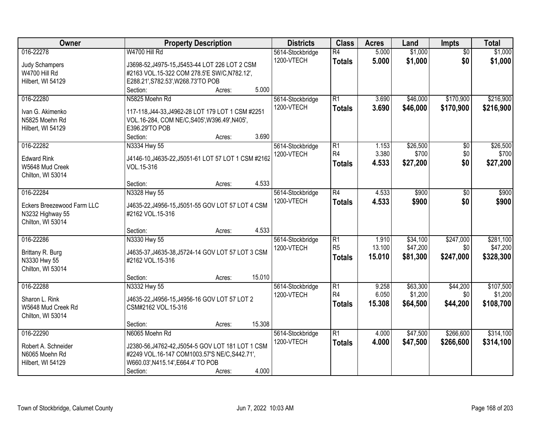| Owner                                                                            | <b>Property Description</b>                                                                                                                                                      |                 | <b>Districts</b>               | <b>Class</b>                                       | <b>Acres</b>              | Land                             | <b>Impts</b>                  | <b>Total</b>                       |
|----------------------------------------------------------------------------------|----------------------------------------------------------------------------------------------------------------------------------------------------------------------------------|-----------------|--------------------------------|----------------------------------------------------|---------------------------|----------------------------------|-------------------------------|------------------------------------|
| 016-22278<br>Judy Schampers<br>W4700 Hill Rd<br>Hilbert, WI 54129                | W4700 Hill Rd<br>J3698-52, J4975-15, J5453-44 LOT 226 LOT 2 CSM<br>#2163 VOL.15-322 COM 278.5'E SW/C, N782.12',<br>E288.21', S782.53', W268.73'TO POB<br>Section:<br>Acres:      | 5.000           | 5614-Stockbridge<br>1200-VTECH | R4<br><b>Totals</b>                                | 5.000<br>5.000            | \$1,000<br>\$1,000               | $\overline{50}$<br>\$0        | \$1,000<br>\$1,000                 |
| 016-22280<br>Ivan G. Akimenko<br>N5825 Moehn Rd<br>Hilbert, WI 54129             | N5825 Moehn Rd<br>117-118, J44-33, J4962-28 LOT 179 LOT 1 CSM #2251<br>VOL.16-284, COM NE/C, S405', W396.49', N405',<br>E396.29'TO POB<br>Section:<br>Acres:                     | 3.690           | 5614-Stockbridge<br>1200-VTECH | R1<br><b>Totals</b>                                | 3.690<br>3.690            | \$46,000<br>\$46,000             | \$170,900<br>\$170,900        | \$216,900<br>\$216,900             |
| 016-22282<br><b>Edward Rink</b><br>W5648 Mud Creek<br>Chilton, WI 53014          | N3334 Hwy 55<br>J4146-10, J4635-22, J5051-61 LOT 57 LOT 1 CSM #2162<br>VOL.15-316<br>Section:<br>Acres:                                                                          | 4.533           | 5614-Stockbridge<br>1200-VTECH | $\overline{R1}$<br>R <sub>4</sub><br><b>Totals</b> | 1.153<br>3.380<br>4.533   | \$26,500<br>\$700<br>\$27,200    | \$0<br>\$0<br>\$0             | \$26,500<br>\$700<br>\$27,200      |
| 016-22284<br>Eckers Breezewood Farm LLC<br>N3232 Highway 55<br>Chilton, WI 53014 | N3328 Hwy 55<br>J4635-22, J4956-15, J5051-55 GOV LOT 57 LOT 4 CSM<br>#2162 VOL.15-316                                                                                            |                 | 5614-Stockbridge<br>1200-VTECH | R4<br><b>Totals</b>                                | 4.533<br>4.533            | \$900<br>\$900                   | \$0<br>\$0                    | \$900<br>\$900                     |
| 016-22286<br>Brittany R. Burg<br>N3330 Hwy 55<br>Chilton, WI 53014               | Section:<br>Acres:<br>N3330 Hwy 55<br>J4635-37, J4635-38, J5724-14 GOV LOT 57 LOT 3 CSM<br>#2162 VOL.15-316<br>Section:<br>Acres:                                                | 4.533<br>15.010 | 5614-Stockbridge<br>1200-VTECH | $\overline{R1}$<br>R <sub>5</sub><br><b>Totals</b> | 1.910<br>13.100<br>15.010 | \$34,100<br>\$47,200<br>\$81,300 | \$247,000<br>\$0<br>\$247,000 | \$281,100<br>\$47,200<br>\$328,300 |
| 016-22288<br>Sharon L. Rink<br>W5648 Mud Creek Rd<br>Chilton, WI 53014           | N3332 Hwy 55<br>J4635-22, J4956-15, J4956-16 GOV LOT 57 LOT 2<br>CSM#2162 VOL.15-316<br>Section:<br>Acres:                                                                       | 15.308          | 5614-Stockbridge<br>1200-VTECH | R1<br>R <sub>4</sub><br><b>Totals</b>              | 9.258<br>6.050<br>15.308  | \$63,300<br>\$1,200<br>\$64,500  | \$44,200<br>\$0<br>\$44,200   | \$107,500<br>\$1,200<br>\$108,700  |
| 016-22290<br>Robert A. Schneider<br>N6065 Moehn Rd<br>Hilbert, WI 54129          | N6065 Moehn Rd<br>J2380-56, J4762-42, J5054-5 GOV LOT 181 LOT 1 CSM<br>#2249 VOL.16-147 COM1003.57'S NE/C, S442.71',<br>W660.03', N415.14', E664.4' TO POB<br>Section:<br>Acres: | 4.000           | 5614-Stockbridge<br>1200-VTECH | R1<br><b>Totals</b>                                | 4.000<br>4.000            | \$47,500<br>\$47,500             | \$266,600<br>\$266,600        | \$314,100<br>\$314,100             |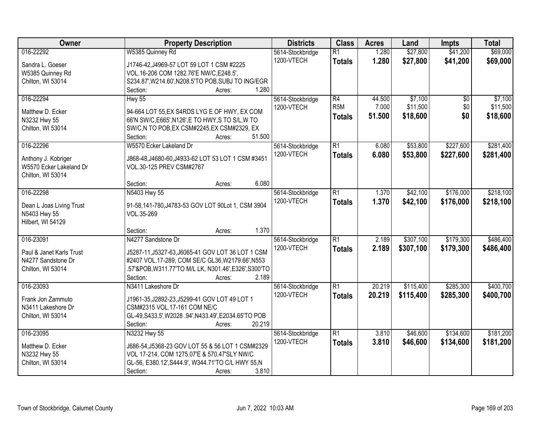| Owner                    | <b>Property Description</b>                                 | <b>Districts</b> | <b>Class</b>     | <b>Acres</b> | Land      | <b>Impts</b>    | <b>Total</b> |
|--------------------------|-------------------------------------------------------------|------------------|------------------|--------------|-----------|-----------------|--------------|
| 016-22292                | W5385 Quinney Rd                                            | 5614-Stockbridge | $\overline{R1}$  | 1.280        | \$27,800  | \$41,200        | \$69,000     |
| Sandra L. Goeser         | J1746-42, J4969-57 LOT 59 LOT 1 CSM #2225                   | 1200-VTECH       | <b>Totals</b>    | 1.280        | \$27,800  | \$41,200        | \$69,000     |
| W5385 Quinney Rd         | VOL.16-206 COM 1282.76'E NW/C,E248.5',                      |                  |                  |              |           |                 |              |
| Chilton, WI 53014        | S234.87', W214.60', N208.5'TO POB, SUBJ TO ING/EGR          |                  |                  |              |           |                 |              |
|                          | Section:<br>1.280<br>Acres:                                 |                  |                  |              |           |                 |              |
| 016-22294                | Hwy 55                                                      | 5614-Stockbridge | $\overline{R4}$  | 44.500       | \$7,100   | $\overline{30}$ | \$7,100      |
| Matthew D. Ecker         | 94-664 LOT 55, EX S4RDS LYG E OF HWY, EX COM                | 1200-VTECH       | R <sub>5</sub> M | 7.000        | \$11,500  | \$0             | \$11,500     |
| N3232 Hwy 55             | 66'N SW/C, E665', N126', E TO HWY, S TO S/L, W TO           |                  | <b>Totals</b>    | 51.500       | \$18,600  | \$0             | \$18,600     |
| Chilton, WI 53014        | SW/C,N TO POB,EX CSM#2245,EX CSM#2329, EX                   |                  |                  |              |           |                 |              |
|                          | 51.500<br>Section:<br>Acres:                                |                  |                  |              |           |                 |              |
| 016-22296                | W5570 Ecker Lakeland Dr                                     | 5614-Stockbridge | $\overline{R1}$  | 6.080        | \$53,800  | \$227,600       | \$281,400    |
|                          |                                                             | 1200-VTECH       | <b>Totals</b>    | 6.080        | \$53,800  | \$227,600       | \$281,400    |
| Anthony J. Kobriger      | J868-48, J4680-60, J4933-62 LOT 53 LOT 1 CSM #3451          |                  |                  |              |           |                 |              |
| W5570 Ecker Lakeland Dr  | VOL.30-125 PREV CSM#2767                                    |                  |                  |              |           |                 |              |
| Chilton, WI 53014        |                                                             |                  |                  |              |           |                 |              |
|                          | 6.080<br>Section:<br>Acres:                                 |                  |                  |              |           |                 |              |
| 016-22298                | N5403 Hwy 55                                                | 5614-Stockbridge | $\overline{R1}$  | 1.370        | \$42,100  | \$176,000       | \$218,100    |
| Dean L Joas Living Trust | 91-58,141-780,J4783-53 GOV LOT 90Lot 1, CSM 3904            | 1200-VTECH       | <b>Totals</b>    | 1.370        | \$42,100  | \$176,000       | \$218,100    |
| N5403 Hwy 55             | VOL.35-269                                                  |                  |                  |              |           |                 |              |
| Hilbert, WI 54129        |                                                             |                  |                  |              |           |                 |              |
|                          | 1.370<br>Section:<br>Acres:                                 |                  |                  |              |           |                 |              |
| 016-23091                | N4277 Sandstone Dr                                          | 5614-Stockbridge | $\overline{R1}$  | 2.189        | \$307,100 | \$179,300       | \$486,400    |
| Paul & Janet Karls Trust | J5287-11, J5327-63, J6065-41 GOV LOT 36 LOT 1 CSM           | 1200-VTECH       | <b>Totals</b>    | 2.189        | \$307,100 | \$179,300       | \$486,400    |
| N4277 Sandstone Dr       | #2407 VOL.17-289, COM SE/C GL36, W2179.66', N553            |                  |                  |              |           |                 |              |
| Chilton, WI 53014        | .57'&POB,W311.77'TO M/L LK, N301.46',E326',S300'TO          |                  |                  |              |           |                 |              |
|                          | 2.189<br>Section:<br>Acres:                                 |                  |                  |              |           |                 |              |
| 016-23093                | N3411 Lakeshore Dr                                          | 5614-Stockbridge | $\overline{R1}$  | 20.219       | \$115,400 | \$285,300       | \$400,700    |
| Frank Jon Zammuto        | J1961-35, J2892-23, J5299-41 GOV LOT 49 LOT 1               | 1200-VTECH       | <b>Totals</b>    | 20.219       | \$115,400 | \$285,300       | \$400,700    |
| N3411 Lakeshore Dr       | CSM#2315 VOL.17-161 COM NE/C                                |                  |                  |              |           |                 |              |
| Chilton, WI 53014        | GL-49, S433.5', W2028 .94', N433.49', E2034.65'TO POB       |                  |                  |              |           |                 |              |
|                          | 20.219<br>Section:<br>Acres:                                |                  |                  |              |           |                 |              |
| 016-23095                | N3232 Hwy 55                                                | 5614-Stockbridge | $\overline{R1}$  | 3.810        | \$46,600  | \$134,600       | \$181,200    |
|                          |                                                             | 1200-VTECH       | <b>Totals</b>    | 3.810        | \$46,600  | \$134,600       | \$181,200    |
| Matthew D. Ecker         | J686-54, J5368-23 GOV LOT 55 & 56 LOT 1 CSM#2329            |                  |                  |              |           |                 |              |
| N3232 Hwy 55             | VOL 17-214, COM 1275.07'E & 570.47'SLY NW/C                 |                  |                  |              |           |                 |              |
| Chilton, WI 53014        | GL-56, E380.12', S444.9', W344.71'TO C/L HWY 55, N<br>3.810 |                  |                  |              |           |                 |              |
|                          | Section:<br>Acres:                                          |                  |                  |              |           |                 |              |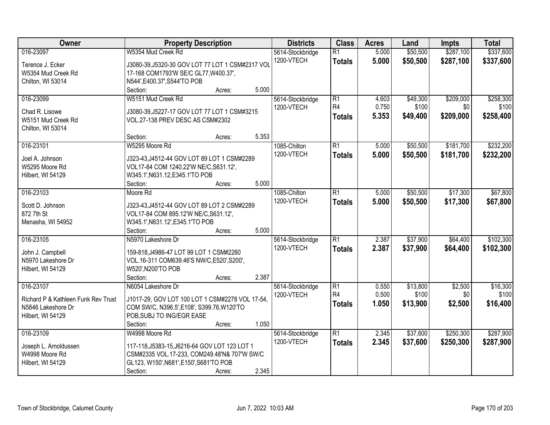| Owner                               | <b>Property Description</b>                      | <b>Districts</b>           | <b>Class</b>    | <b>Acres</b> | Land     | <b>Impts</b> | <b>Total</b> |
|-------------------------------------|--------------------------------------------------|----------------------------|-----------------|--------------|----------|--------------|--------------|
| 016-23097                           | W5354 Mud Creek Rd                               | 5614-Stockbridge           | $\overline{R1}$ | 5.000        | \$50,500 | \$287,100    | \$337,600    |
| Terence J. Ecker                    | J3080-39, J5320-30 GOV LOT 77 LOT 1 CSM#2317 VOL | 1200-VTECH                 | <b>Totals</b>   | 5.000        | \$50,500 | \$287,100    | \$337,600    |
| W5354 Mud Creek Rd                  | 17-168 COM1793'W SE/C GL77, W400.37',            |                            |                 |              |          |              |              |
| Chilton, WI 53014                   | N544', E400.37', S544'TO POB                     |                            |                 |              |          |              |              |
|                                     | 5.000<br>Section:<br>Acres:                      |                            |                 |              |          |              |              |
| 016-23099                           | W5151 Mud Creek Rd                               | 5614-Stockbridge           | $\overline{R1}$ | 4.603        | \$49,300 | \$209,000    | \$258,300    |
|                                     |                                                  | 1200-VTECH                 | R4              | 0.750        | \$100    | \$0          | \$100        |
| Chad R. Lisowe                      | J3080-39, J5227-17 GOV LOT 77 LOT 1 CSM#3215     |                            | <b>Totals</b>   | 5.353        | \$49,400 | \$209,000    | \$258,400    |
| W5151 Mud Creek Rd                  | VOL.27-138 PREV DESC AS CSM#2302                 |                            |                 |              |          |              |              |
| Chilton, WI 53014                   | 5.353                                            |                            |                 |              |          |              |              |
|                                     | Section:<br>Acres:<br>W5295 Moore Rd             |                            | R1              |              |          | \$181,700    | \$232,200    |
| 016-23101                           |                                                  | 1085-Chilton<br>1200-VTECH |                 | 5.000        | \$50,500 |              |              |
| Joel A. Johnson                     | J323-43, J4512-44 GOV LOT 89 LOT 1 CSM#2289      |                            | <b>Totals</b>   | 5.000        | \$50,500 | \$181,700    | \$232,200    |
| W5295 Moore Rd                      | VOL17-84 COM 1240.22'W NE/C, S631.12',           |                            |                 |              |          |              |              |
| Hilbert, WI 54129                   | W345.1', N631.12, E345.1'TO POB                  |                            |                 |              |          |              |              |
|                                     | 5.000<br>Section:<br>Acres:                      |                            |                 |              |          |              |              |
| 016-23103                           | Moore Rd                                         | 1085-Chilton               | $\overline{R1}$ | 5.000        | \$50,500 | \$17,300     | \$67,800     |
| Scott D. Johnson                    | J323-43, J4512-44 GOV LOT 89 LOT 2 CSM#2289      | 1200-VTECH                 | <b>Totals</b>   | 5.000        | \$50,500 | \$17,300     | \$67,800     |
| 872 7th St                          | VOL17-84 COM 895.12'W NE/C, S631.12',            |                            |                 |              |          |              |              |
| Menasha, WI 54952                   | W345.1', N631.12', E345.1'TO POB                 |                            |                 |              |          |              |              |
|                                     | 5.000<br>Section:<br>Acres:                      |                            |                 |              |          |              |              |
| 016-23105                           | N5970 Lakeshore Dr                               | 5614-Stockbridge           | $\overline{R1}$ | 2.387        | \$37,900 | \$64,400     | \$102,300    |
|                                     |                                                  | 1200-VTECH                 | <b>Totals</b>   | 2.387        | \$37,900 | \$64,400     | \$102,300    |
| John J. Campbell                    | 159-818, J4986-47 LOT 99 LOT 1 CSM#2260          |                            |                 |              |          |              |              |
| N5970 Lakeshore Dr                  | VOL.16-311 COM639.46'S NW/C, E520', S200',       |                            |                 |              |          |              |              |
| Hilbert, WI 54129                   | W520', N200'TO POB                               |                            |                 |              |          |              |              |
|                                     | 2.387<br>Section:<br>Acres:                      |                            |                 |              |          |              |              |
| 016-23107                           | N6054 Lakeshore Dr                               | 5614-Stockbridge           | $\overline{R1}$ | 0.550        | \$13,800 | \$2,500      | \$16,300     |
| Richard P & Kathleen Funk Rev Trust | J1017-29, GOV LOT 100 LOT 1 CSM#2278 VOL 17-54,  | 1200-VTECH                 | R <sub>4</sub>  | 0.500        | \$100    | \$0          | \$100        |
| N5846 Lakeshore Dr                  | COM SW/C, N396.5', E108', S399.76, W120'TO       |                            | <b>Totals</b>   | 1.050        | \$13,900 | \$2,500      | \$16,400     |
| Hilbert, WI 54129                   | POB, SUBJ TO ING/EGR EASE                        |                            |                 |              |          |              |              |
|                                     | 1.050<br>Section:<br>Acres:                      |                            |                 |              |          |              |              |
| 016-23109                           | W4998 Moore Rd                                   | 5614-Stockbridge           | $\overline{R1}$ | 2.345        | \$37,600 | \$250,300    | \$287,900    |
| Joseph L. Arnoldussen               | 117-118, J5383-15, J6216-64 GOV LOT 123 LOT 1    | 1200-VTECH                 | <b>Totals</b>   | 2.345        | \$37,600 | \$250,300    | \$287,900    |
| W4998 Moore Rd                      | CSM#2335 VOL.17-233, COM249.48'N& 707'W SW/C     |                            |                 |              |          |              |              |
| Hilbert, WI 54129                   | GL123, W150', N681', E150', S681'TO POB          |                            |                 |              |          |              |              |
|                                     | 2.345<br>Section:<br>Acres:                      |                            |                 |              |          |              |              |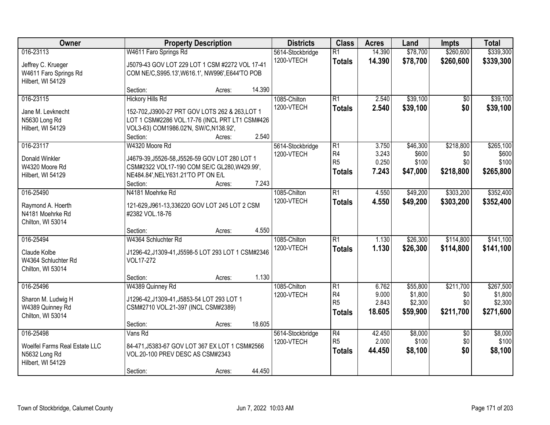| Owner                                                                            |                                                                                                                                                                                    | <b>Property Description</b> |                | <b>Districts</b>               | <b>Class</b>                                                         | <b>Acres</b>                      | Land                                       | <b>Impts</b>                         | <b>Total</b>                                 |
|----------------------------------------------------------------------------------|------------------------------------------------------------------------------------------------------------------------------------------------------------------------------------|-----------------------------|----------------|--------------------------------|----------------------------------------------------------------------|-----------------------------------|--------------------------------------------|--------------------------------------|----------------------------------------------|
| 016-23113<br>Jeffrey C. Krueger<br>W4611 Faro Springs Rd<br>Hilbert, WI 54129    | W4611 Faro Springs Rd<br>J5079-43 GOV LOT 229 LOT 1 CSM #2272 VOL 17-41<br>COM NE/C, S995.13', W616.1', NW996', E644'TO POB                                                        |                             |                | 5614-Stockbridge<br>1200-VTECH | $\overline{R1}$<br><b>Totals</b>                                     | 14.390<br>14.390                  | \$78,700<br>\$78,700                       | \$260,600<br>\$260,600               | \$339,300<br>\$339,300                       |
|                                                                                  | Section:                                                                                                                                                                           | Acres:                      | 14.390         |                                |                                                                      |                                   |                                            |                                      |                                              |
| 016-23115<br>Jane M. Levknecht<br>N5630 Long Rd<br>Hilbert, WI 54129             | <b>Hickory Hills Rd</b><br>152-702, J3900-27 PRT GOV LOTS 262 & 263, LOT 1<br>LOT 1 CSM#2286 VOL.17-76 (INCL PRT LT1 CSM#426<br>VOL3-63) COM1986.02'N, SW/C, N138.92',<br>Section: | Acres:                      | 2.540          | 1085-Chilton<br>1200-VTECH     | $\overline{R1}$<br><b>Totals</b>                                     | 2.540<br>2.540                    | \$39,100<br>\$39,100                       | $\overline{50}$<br>\$0               | \$39,100<br>\$39,100                         |
| 016-23117<br>Donald Winkler<br>W4320 Moore Rd<br>Hilbert, WI 54129               | W4320 Moore Rd<br>J4679-39, J5526-58, J5526-59 GOV LOT 280 LOT 1<br>CSM#2322 VOL17-190 COM SE/C GL280, W429.99',<br>NE484.84', NELY631.21'TO PT ON E/L<br>Section:                 | Acres:                      | 7.243          | 5614-Stockbridge<br>1200-VTECH | $\overline{R1}$<br>R <sub>4</sub><br>R <sub>5</sub><br><b>Totals</b> | 3.750<br>3.243<br>0.250<br>7.243  | \$46,300<br>\$600<br>\$100<br>\$47,000     | \$218,800<br>\$0<br>\$0<br>\$218,800 | \$265,100<br>\$600<br>\$100<br>\$265,800     |
| 016-25490<br>Raymond A. Hoerth<br>N4181 Moehrke Rd<br>Chilton, WI 53014          | N4181 Moehrke Rd<br>121-629, J961-13, 336220 GOV LOT 245 LOT 2 CSM<br>#2382 VOL.18-76                                                                                              |                             |                | 1085-Chilton<br>1200-VTECH     | $\overline{R1}$<br><b>Totals</b>                                     | 4.550<br>4.550                    | \$49,200<br>\$49,200                       | \$303,200<br>\$303,200               | \$352,400<br>\$352,400                       |
| 016-25494<br>Claude Kolbe<br>W4364 Schluchter Rd<br>Chilton, WI 53014            | Section:<br>W4364 Schluchter Rd<br>J1296-42, J1309-41, J5598-5 LOT 293 LOT 1 CSM#2346<br>VOL17-272<br>Section:                                                                     | Acres:<br>Acres:            | 4.550<br>1.130 | 1085-Chilton<br>1200-VTECH     | $\overline{R1}$<br><b>Totals</b>                                     | 1.130<br>1.130                    | \$26,300<br>\$26,300                       | \$114,800<br>\$114,800               | \$141,100<br>\$141,100                       |
| 016-25496<br>Sharon M. Ludwig H<br>W4389 Quinney Rd<br>Chilton, WI 53014         | W4389 Quinney Rd<br>J1296-42, J1309-41, J5853-54 LOT 293 LOT 1<br>CSM#2710 VOL.21-397 (INCL CSM#2389)<br>Section:                                                                  | Acres:                      | 18.605         | 1085-Chilton<br>1200-VTECH     | $\overline{R1}$<br>R <sub>4</sub><br>R <sub>5</sub><br><b>Totals</b> | 6.762<br>9.000<br>2.843<br>18.605 | \$55,800<br>\$1,800<br>\$2,300<br>\$59,900 | \$211,700<br>\$0<br>\$0<br>\$211,700 | \$267,500<br>\$1,800<br>\$2,300<br>\$271,600 |
| 016-25498<br>Woelfel Farms Real Estate LLC<br>N5632 Long Rd<br>Hilbert, WI 54129 | Vans Rd<br>84-471, J5383-67 GOV LOT 367 EX LOT 1 CSM#2566<br>VOL.20-100 PREV DESC AS CSM#2343<br>Section:                                                                          | Acres:                      | 44.450         | 5614-Stockbridge<br>1200-VTECH | $\overline{R4}$<br>R <sub>5</sub><br><b>Totals</b>                   | 42.450<br>2.000<br>44.450         | \$8,000<br>\$100<br>\$8,100                | $\overline{50}$<br>\$0<br>\$0        | \$8,000<br>\$100<br>\$8,100                  |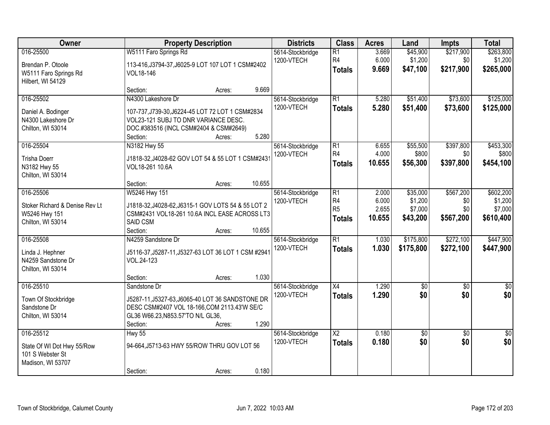| <b>Owner</b>                                                                      | <b>Property Description</b>                                                                                                                                          |                                                                                     |        | <b>Districts</b>               | <b>Class</b>                                                         | <b>Acres</b>                      | Land                                       | <b>Impts</b>                         | <b>Total</b>                                 |
|-----------------------------------------------------------------------------------|----------------------------------------------------------------------------------------------------------------------------------------------------------------------|-------------------------------------------------------------------------------------|--------|--------------------------------|----------------------------------------------------------------------|-----------------------------------|--------------------------------------------|--------------------------------------|----------------------------------------------|
| 016-25500<br>Brendan P. Otoole<br>W5111 Faro Springs Rd<br>Hilbert, WI 54129      | W5111 Faro Springs Rd<br>VOL18-146                                                                                                                                   | 5614-Stockbridge<br>1200-VTECH<br>113-416, J3794-37, J6025-9 LOT 107 LOT 1 CSM#2402 |        |                                | $\overline{R1}$<br>R <sub>4</sub><br><b>Totals</b>                   | 3.669<br>6.000<br>9.669           | \$45,900<br>\$1,200<br>\$47,100            | \$217,900<br>\$0<br>\$217,900        | \$263,800<br>\$1,200<br>\$265,000            |
|                                                                                   | Section:                                                                                                                                                             | Acres:                                                                              | 9.669  |                                |                                                                      |                                   |                                            |                                      |                                              |
| 016-25502<br>Daniel A. Bodinger<br>N4300 Lakeshore Dr<br>Chilton, WI 53014        | N4300 Lakeshore Dr<br>107-737, J739-30, J6224-45 LOT 72 LOT 1 CSM#2834<br>VOL23-121 SUBJ TO DNR VARIANCE DESC.<br>DOC.#383516 (INCL CSM#2404 & CSM#2649)<br>Section: | Acres:                                                                              | 5.280  | 5614-Stockbridge<br>1200-VTECH | $\overline{R1}$<br><b>Totals</b>                                     | 5.280<br>5.280                    | \$51,400<br>\$51,400                       | \$73,600<br>\$73,600                 | \$125,000<br>\$125,000                       |
| 016-25504                                                                         | N3182 Hwy 55                                                                                                                                                         |                                                                                     |        | 5614-Stockbridge               | $\overline{R1}$                                                      | 6.655                             | \$55,500                                   | \$397,800                            | \$453,300                                    |
| <b>Trisha Doerr</b><br>N3182 Hwy 55<br>Chilton, WI 53014                          | J1818-32, J4028-62 GOV LOT 54 & 55 LOT 1 CSM#2431<br>VOL18-261 10.6A                                                                                                 |                                                                                     |        | 1200-VTECH                     | R <sub>4</sub><br><b>Totals</b>                                      | 4.000<br>10.655                   | \$800<br>\$56,300                          | \$0<br>\$397,800                     | \$800<br>\$454,100                           |
|                                                                                   | Section:                                                                                                                                                             | Acres:                                                                              | 10.655 |                                |                                                                      |                                   |                                            |                                      |                                              |
| 016-25506<br>Stoker Richard & Denise Rev Lt<br>W5246 Hwy 151<br>Chilton, WI 53014 | W5246 Hwy 151<br>J1818-32, J4028-62, J6315-1 GOV LOTS 54 & 55 LOT 2<br>CSM#2431 VOL18-261 10.6A INCL EASE ACROSS LT3<br>SAID CSM                                     |                                                                                     |        | 5614-Stockbridge<br>1200-VTECH | $\overline{R1}$<br>R <sub>4</sub><br>R <sub>5</sub><br><b>Totals</b> | 2.000<br>6.000<br>2.655<br>10.655 | \$35,000<br>\$1,200<br>\$7,000<br>\$43,200 | \$567,200<br>\$0<br>\$0<br>\$567,200 | \$602,200<br>\$1,200<br>\$7,000<br>\$610,400 |
|                                                                                   | Section:                                                                                                                                                             | Acres:                                                                              | 10.655 |                                |                                                                      |                                   |                                            |                                      |                                              |
| 016-25508<br>Linda J. Hephner<br>N4259 Sandstone Dr<br>Chilton, WI 53014          | N4259 Sandstone Dr<br>J5116-37, J5287-11, J5327-63 LOT 36 LOT 1 CSM #2941<br>VOL.24-123                                                                              |                                                                                     |        | 5614-Stockbridge<br>1200-VTECH | $\overline{R1}$<br><b>Totals</b>                                     | 1.030<br>1.030                    | \$175,800<br>\$175,800                     | \$272,100<br>\$272,100               | \$447,900<br>\$447,900                       |
|                                                                                   | Section:                                                                                                                                                             | Acres:                                                                              | 1.030  |                                |                                                                      |                                   |                                            |                                      |                                              |
| 016-25510<br>Town Of Stockbridge<br>Sandstone Dr<br>Chilton, WI 53014             | Sandstone Dr<br>J5287-11, J5327-63, J6065-40 LOT 36 SANDSTONE DR<br>DESC CSM#2407 VOL 18-166,COM 2113.43'W SE/C<br>GL36 W66.23, N853.57'TO N/L GL36,<br>Section:     | Acres:                                                                              | 1.290  | 5614-Stockbridge<br>1200-VTECH | $\overline{X4}$<br><b>Totals</b>                                     | 1.290<br>1.290                    | \$0<br>\$0                                 | $\overline{50}$<br>\$0               | \$0<br>\$0                                   |
| 016-25512<br>State Of WI Dot Hwy 55/Row<br>101 S Webster St<br>Madison, WI 53707  | <b>Hwy 55</b><br>94-664, J5713-63 HWY 55/ROW THRU GOV LOT 56<br>Section:                                                                                             | Acres:                                                                              | 0.180  | 5614-Stockbridge<br>1200-VTECH | $\overline{\text{X2}}$<br><b>Totals</b>                              | 0.180<br>0.180                    | \$0<br>\$0                                 | $\overline{30}$<br>\$0               | \$0<br>\$0                                   |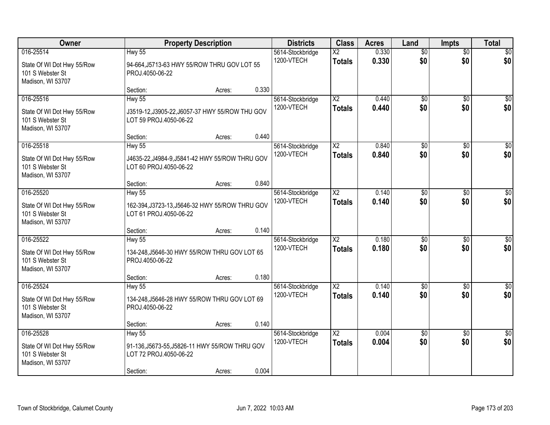| Owner                                                                            | <b>Property Description</b>                                                                           | <b>Districts</b> | <b>Class</b> | <b>Acres</b>                   | Land                                    | <b>Impts</b>   | <b>Total</b>           |                        |                        |
|----------------------------------------------------------------------------------|-------------------------------------------------------------------------------------------------------|------------------|--------------|--------------------------------|-----------------------------------------|----------------|------------------------|------------------------|------------------------|
| 016-25514<br>State Of WI Dot Hwy 55/Row<br>101 S Webster St<br>Madison, WI 53707 | <b>Hwy 55</b><br>94-664, J5713-63 HWY 55/ROW THRU GOV LOT 55<br>PROJ.4050-06-22                       |                  |              | 5614-Stockbridge<br>1200-VTECH | $\overline{\text{X2}}$<br><b>Totals</b> | 0.330<br>0.330 | $\overline{60}$<br>\$0 | $\overline{50}$<br>\$0 | \$0<br>\$0             |
|                                                                                  | Section:                                                                                              | Acres:           | 0.330        |                                |                                         |                |                        |                        |                        |
| 016-25516<br>State Of WI Dot Hwy 55/Row<br>101 S Webster St<br>Madison, WI 53707 | <b>Hwy 55</b><br>J3519-12, J3905-22, J6057-37 HWY 55/ROW THU GOV<br>LOT 59 PROJ.4050-06-22            |                  |              | 5614-Stockbridge<br>1200-VTECH | $\overline{\text{X2}}$<br><b>Totals</b> | 0.440<br>0.440 | $\overline{50}$<br>\$0 | $\overline{50}$<br>\$0 | $\sqrt{50}$<br>\$0     |
| 016-25518                                                                        | Section:<br><b>Hwy 55</b>                                                                             | Acres:           | 0.440        | 5614-Stockbridge               | $\overline{\text{X2}}$                  | 0.840          | $\overline{50}$        | \$0                    | $\overline{50}$        |
| State Of WI Dot Hwy 55/Row<br>101 S Webster St<br>Madison, WI 53707              | J4635-22, J4984-9, J5841-42 HWY 55/ROW THRU GOV<br>LOT 60 PROJ.4050-06-22                             |                  |              | 1200-VTECH                     | <b>Totals</b>                           | 0.840          | \$0                    | \$0                    | \$0                    |
|                                                                                  | Section:                                                                                              | Acres:           | 0.840        |                                |                                         |                |                        |                        |                        |
| 016-25520<br>State Of WI Dot Hwy 55/Row<br>101 S Webster St<br>Madison, WI 53707 | <b>Hwy 55</b><br>162-394, J3723-13, J5646-32 HWY 55/ROW THRU GOV<br>LOT 61 PROJ.4050-06-22            |                  |              | 5614-Stockbridge<br>1200-VTECH | $\overline{\text{X2}}$<br><b>Totals</b> | 0.140<br>0.140 | \$0<br>\$0             | $\sqrt{6}$<br>\$0      | $\sqrt{50}$<br>\$0     |
|                                                                                  | Section:                                                                                              | Acres:           | 0.140        |                                |                                         |                |                        |                        |                        |
| 016-25522<br>State Of WI Dot Hwy 55/Row<br>101 S Webster St<br>Madison, WI 53707 | <b>Hwy 55</b><br>134-248, J5646-30 HWY 55/ROW THRU GOV LOT 65<br>PROJ.4050-06-22                      |                  |              | 5614-Stockbridge<br>1200-VTECH | $\overline{\text{X2}}$<br><b>Totals</b> | 0.180<br>0.180 | $\overline{50}$<br>\$0 | $\overline{50}$<br>\$0 | $\sqrt{50}$<br>\$0     |
|                                                                                  | Section:                                                                                              | Acres:           | 0.180        |                                |                                         |                |                        |                        |                        |
| 016-25524<br>State Of WI Dot Hwy 55/Row<br>101 S Webster St<br>Madison, WI 53707 | <b>Hwy 55</b><br>134-248, J5646-28 HWY 55/ROW THRU GOV LOT 69<br>PROJ.4050-06-22                      |                  |              | 5614-Stockbridge<br>1200-VTECH | $\overline{X2}$<br><b>Totals</b>        | 0.140<br>0.140 | $\sqrt{6}$<br>\$0      | $\overline{50}$<br>\$0 | $\overline{50}$<br>\$0 |
|                                                                                  | Section:                                                                                              | Acres:           | 0.140        |                                |                                         |                |                        |                        |                        |
| 016-25528<br>State Of WI Dot Hwy 55/Row<br>101 S Webster St<br>Madison, WI 53707 | <b>Hwy 55</b><br>91-136, J5673-55, J5826-11 HWY 55/ROW THRU GOV<br>LOT 72 PROJ.4050-06-22<br>Section: | Acres:           | 0.004        | 5614-Stockbridge<br>1200-VTECH | $\overline{\text{X2}}$<br><b>Totals</b> | 0.004<br>0.004 | $\overline{50}$<br>\$0 | $\overline{50}$<br>\$0 | $\overline{50}$<br>\$0 |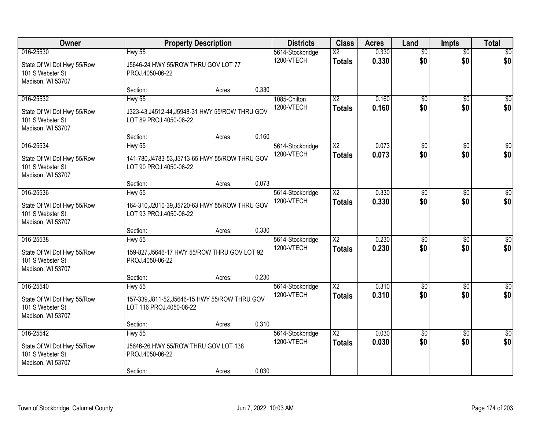| Owner                                                                            |                                                                                            | <b>Property Description</b> |       | <b>Districts</b>               | <b>Class</b>                            | <b>Acres</b>   | Land                   | <b>Impts</b>           | <b>Total</b>           |
|----------------------------------------------------------------------------------|--------------------------------------------------------------------------------------------|-----------------------------|-------|--------------------------------|-----------------------------------------|----------------|------------------------|------------------------|------------------------|
| 016-25530<br>State Of WI Dot Hwy 55/Row<br>101 S Webster St<br>Madison, WI 53707 | <b>Hwy 55</b><br>J5646-24 HWY 55/ROW THRU GOV LOT 77<br>PROJ.4050-06-22                    |                             |       | 5614-Stockbridge<br>1200-VTECH | $\overline{\text{X2}}$<br><b>Totals</b> | 0.330<br>0.330 | $\overline{50}$<br>\$0 | $\overline{50}$<br>\$0 | \$0<br>\$0             |
|                                                                                  | Section:                                                                                   | Acres:                      | 0.330 |                                |                                         |                |                        |                        |                        |
| 016-25532<br>State Of WI Dot Hwy 55/Row<br>101 S Webster St<br>Madison, WI 53707 | Hwy 55<br>J323-43, J4512-44, J5948-31 HWY 55/ROW THRU GOV<br>LOT 89 PROJ.4050-06-22        |                             |       | 1085-Chilton<br>1200-VTECH     | $\overline{X2}$<br><b>Totals</b>        | 0.160<br>0.160 | $\overline{50}$<br>\$0 | $\overline{50}$<br>\$0 | \$0<br>\$0             |
| 016-25534                                                                        | Section:                                                                                   | Acres:                      | 0.160 |                                | $\overline{\text{X2}}$                  | 0.073          | $\overline{50}$        |                        | $\overline{50}$        |
| State Of WI Dot Hwy 55/Row<br>101 S Webster St<br>Madison, WI 53707              | <b>Hwy 55</b><br>141-780, J4783-53, J5713-65 HWY 55/ROW THRU GOV<br>LOT 90 PROJ.4050-06-22 |                             |       | 5614-Stockbridge<br>1200-VTECH | <b>Totals</b>                           | 0.073          | \$0                    | \$0<br>\$0             | \$0                    |
|                                                                                  | Section:                                                                                   | Acres:                      | 0.073 |                                |                                         |                |                        |                        |                        |
| 016-25536<br>State Of WI Dot Hwy 55/Row<br>101 S Webster St<br>Madison, WI 53707 | <b>Hwy 55</b><br>164-310, J2010-39, J5720-63 HWY 55/ROW THRU GOV<br>LOT 93 PROJ.4050-06-22 |                             |       | 5614-Stockbridge<br>1200-VTECH | $\overline{X2}$<br><b>Totals</b>        | 0.330<br>0.330 | $\overline{50}$<br>\$0 | $\sqrt[6]{3}$<br>\$0   | $\sqrt{50}$<br>\$0     |
|                                                                                  | Section:                                                                                   | Acres:                      | 0.330 |                                |                                         |                |                        |                        |                        |
| 016-25538<br>State Of WI Dot Hwy 55/Row<br>101 S Webster St<br>Madison, WI 53707 | <b>Hwy 55</b><br>159-827, J5646-17 HWY 55/ROW THRU GOV LOT 92<br>PROJ.4050-06-22           |                             |       | 5614-Stockbridge<br>1200-VTECH | $\overline{\text{X2}}$<br><b>Totals</b> | 0.230<br>0.230 | \$0<br>\$0             | $\overline{50}$<br>\$0 | $\sqrt{50}$<br>\$0     |
|                                                                                  | Section:                                                                                   | Acres:                      | 0.230 |                                |                                         |                |                        |                        |                        |
| 016-25540<br>State Of WI Dot Hwy 55/Row<br>101 S Webster St<br>Madison, WI 53707 | <b>Hwy 55</b><br>157-339, J811-52, J5646-15 HWY 55/ROW THRU GOV<br>LOT 116 PROJ.4050-06-22 |                             |       | 5614-Stockbridge<br>1200-VTECH | $\overline{X2}$<br><b>Totals</b>        | 0.310<br>0.310 | $\overline{50}$<br>\$0 | $\overline{30}$<br>\$0 | $\sqrt{$0]}$<br>\$0    |
|                                                                                  | Section:                                                                                   | Acres:                      | 0.310 |                                |                                         |                |                        |                        |                        |
| 016-25542<br>State Of WI Dot Hwy 55/Row<br>101 S Webster St<br>Madison, WI 53707 | <b>Hwy 55</b><br>J5646-26 HWY 55/ROW THRU GOV LOT 138<br>PROJ.4050-06-22<br>Section:       | Acres:                      | 0.030 | 5614-Stockbridge<br>1200-VTECH | $\overline{\text{X2}}$<br><b>Totals</b> | 0.030<br>0.030 | $\overline{50}$<br>\$0 | $\overline{50}$<br>\$0 | $\overline{30}$<br>\$0 |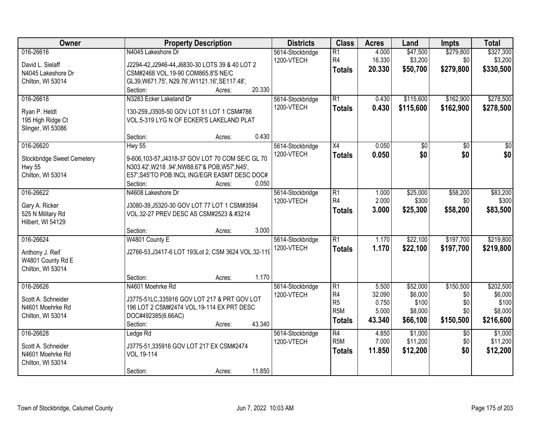| <b>Owner</b>                        | <b>Property Description</b>                                                             | <b>Districts</b>               | <b>Class</b>     | <b>Acres</b> | Land            | <b>Impts</b>    | <b>Total</b>    |
|-------------------------------------|-----------------------------------------------------------------------------------------|--------------------------------|------------------|--------------|-----------------|-----------------|-----------------|
| 016-26616                           | N4045 Lakeshore Dr                                                                      | 5614-Stockbridge               | R1               | 4.000        | \$47,500        | \$279,800       | \$327,300       |
| David L. Sielaff                    | J2294-42, J2946-44, J6830-30 LOTS 39 & 40 LOT 2                                         | 1200-VTECH                     | R4               | 16.330       | \$3,200         | \$0             | \$3,200         |
| N4045 Lakeshore Dr                  | CSM#2468 VOL.19-90 COM865.8'S NE/C                                                      |                                | <b>Totals</b>    | 20.330       | \$50,700        | \$279,800       | \$330,500       |
| Chilton, WI 53014                   | GL39, W671.75', N29.76', W1121.16', SE117.48',                                          |                                |                  |              |                 |                 |                 |
|                                     | 20.330<br>Section:<br>Acres:                                                            |                                |                  |              |                 |                 |                 |
| 016-26618                           | N3283 Ecker Lakeland Dr                                                                 | 5614-Stockbridge               | $\overline{R1}$  | 0.430        | \$115,600       | \$162,900       | \$278,500       |
| Ryan P. Heldt                       | 130-259, J3505-50 GOV LOT 51 LOT 1 CSM#786                                              | 1200-VTECH                     | <b>Totals</b>    | 0.430        | \$115,600       | \$162,900       | \$278,500       |
| 195 High Ridge Ct                   | VOL.5-319 LYG N OF ECKER'S LAKELAND PLAT                                                |                                |                  |              |                 |                 |                 |
| Slinger, WI 53086                   |                                                                                         |                                |                  |              |                 |                 |                 |
|                                     | 0.430<br>Section:<br>Acres:                                                             |                                |                  |              |                 |                 |                 |
| 016-26620                           | <b>Hwy 55</b>                                                                           | 5614-Stockbridge               | $\overline{X4}$  | 0.050        | $\overline{50}$ | $\overline{50}$ | $\overline{30}$ |
| <b>Stockbridge Sweet Cemetery</b>   | 9-606,103-57,J4318-37 GOV LOT 70 COM SE/C GL 70                                         | 1200-VTECH                     | <b>Totals</b>    | 0.050        | \$0             | \$0             | \$0             |
| <b>Hwy 55</b>                       | N303.42', W218 .94', NW88.67'& POB, W57', N45',                                         |                                |                  |              |                 |                 |                 |
| Chilton, WI 53014                   | E57', S45'TO POB INCL ING/EGR EASMT DESC DOC#                                           |                                |                  |              |                 |                 |                 |
|                                     | 0.050<br>Section:<br>Acres:                                                             |                                |                  |              |                 |                 |                 |
| 016-26622                           | N4608 Lakeshore Dr                                                                      | 5614-Stockbridge               | $\overline{R1}$  | 1.000        | \$25,000        | \$58,200        | \$83,200        |
|                                     |                                                                                         | 1200-VTECH                     | R <sub>4</sub>   | 2.000        | \$300           | \$0             | \$300           |
| Gary A. Ricker<br>525 N Military Rd | J3080-39, J5320-30 GOV LOT 77 LOT 1 CSM#3594<br>VOL.32-27 PREV DESC AS CSM#2523 & #3214 |                                | <b>Totals</b>    | 3.000        | \$25,300        | \$58,200        | \$83,500        |
| Hilbert, WI 54129                   |                                                                                         |                                |                  |              |                 |                 |                 |
|                                     | 3.000<br>Section:<br>Acres:                                                             |                                |                  |              |                 |                 |                 |
| 016-26624                           | W4801 County E                                                                          | 5614-Stockbridge               | $\overline{R1}$  | 1.170        | \$22,100        | \$197,700       | \$219,800       |
|                                     |                                                                                         | 1200-VTECH                     | <b>Totals</b>    | 1.170        | \$22,100        | \$197,700       | \$219,800       |
| Anthony J. Reif                     | J2766-53, J3417-6 LOT 193Lot 2, CSM 3624 VOL.32-119                                     |                                |                  |              |                 |                 |                 |
| W4801 County Rd E                   |                                                                                         |                                |                  |              |                 |                 |                 |
| Chilton, WI 53014                   | 1.170                                                                                   |                                |                  |              |                 |                 |                 |
| 016-26626                           | Section:<br>Acres:<br>N4601 Moehrke Rd                                                  |                                | R1               | 5.500        | \$52,000        | \$150,500       | \$202,500       |
|                                     |                                                                                         | 5614-Stockbridge<br>1200-VTECH | R4               | 32.090       | \$6,000         | \$0             | \$6,000         |
| Scott A. Schneider                  | J3775-51LC,335916 GOV LOT 217 & PRT GOV LOT                                             |                                | R <sub>5</sub>   | 0.750        | \$100           | \$0             | \$100           |
| N4601 Moehrke Rd                    | 196 LOT 2 CSM#2474 VOL.19-114 EX PRT DESC                                               |                                | R <sub>5</sub> M | 5.000        | \$8,000         | \$0             | \$8,000         |
| Chilton, WI 53014                   | DOC#492385(6.66AC)                                                                      |                                | <b>Totals</b>    | 43.340       | \$66,100        | \$150,500       | \$216,600       |
|                                     | 43.340<br>Section:<br>Acres:                                                            |                                |                  |              |                 |                 |                 |
| 016-26628                           | Ledge Rd                                                                                | 5614-Stockbridge               | R4               | 4.850        | \$1,000         | $\overline{30}$ | \$1,000         |
| Scott A. Schneider                  | J3775-51,335916 GOV LOT 217 EX CSM#2474                                                 | 1200-VTECH                     | R <sub>5</sub> M | 7.000        | \$11,200        | \$0             | \$11,200        |
| N4601 Moehrke Rd                    | VOL.19-114                                                                              |                                | <b>Totals</b>    | 11.850       | \$12,200        | \$0             | \$12,200        |
| Chilton, WI 53014                   |                                                                                         |                                |                  |              |                 |                 |                 |
|                                     | 11.850<br>Section:<br>Acres:                                                            |                                |                  |              |                 |                 |                 |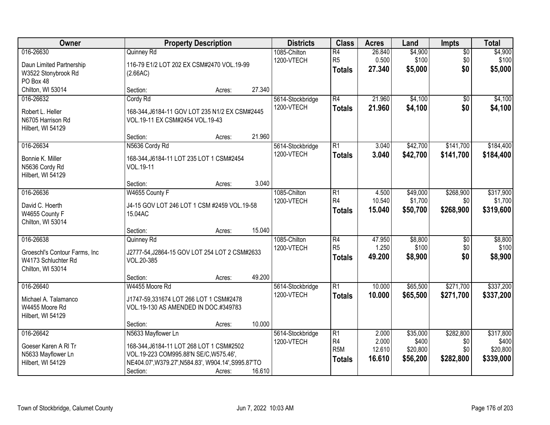| Owner                                                                                   |                                                                                                                                                                             | <b>Property Description</b> |        | <b>Districts</b>               | <b>Class</b>                                               | <b>Acres</b>                       | Land                                      | Impts                                | <b>Total</b>                                |
|-----------------------------------------------------------------------------------------|-----------------------------------------------------------------------------------------------------------------------------------------------------------------------------|-----------------------------|--------|--------------------------------|------------------------------------------------------------|------------------------------------|-------------------------------------------|--------------------------------------|---------------------------------------------|
| 016-26630<br>Daun Limited Partnership<br>W3522 Stonybrook Rd<br>PO Box 48               | Quinney Rd<br>116-79 E1/2 LOT 202 EX CSM#2470 VOL.19-99<br>(2.66AC)                                                                                                         |                             |        | 1085-Chilton<br>1200-VTECH     | $\overline{R4}$<br>R <sub>5</sub><br><b>Totals</b>         | 26.840<br>0.500<br>27,340          | \$4,900<br>\$100<br>\$5,000               | $\overline{50}$<br>\$0<br>\$0        | \$4,900<br>\$100<br>\$5,000                 |
| Chilton, WI 53014                                                                       | Section:                                                                                                                                                                    | Acres:                      | 27.340 |                                |                                                            |                                    |                                           |                                      |                                             |
| 016-26632<br>Robert L. Heller<br>N6705 Harrison Rd<br>Hilbert, WI 54129                 | Cordy Rd<br>168-344, J6184-11 GOV LOT 235 N1/2 EX CSM#2445<br>VOL.19-11 EX CSM#2454 VOL.19-43                                                                               |                             |        | 5614-Stockbridge<br>1200-VTECH | $\overline{R4}$<br><b>Totals</b>                           | 21.960<br>21.960                   | \$4,100<br>\$4,100                        | $\overline{50}$<br>\$0               | \$4,100<br>\$4,100                          |
|                                                                                         | Section:                                                                                                                                                                    | Acres:                      | 21.960 |                                |                                                            |                                    |                                           |                                      |                                             |
| 016-26634<br>Bonnie K. Miller<br>N5636 Cordy Rd<br>Hilbert, WI 54129                    | N5636 Cordy Rd<br>168-344, J6184-11 LOT 235 LOT 1 CSM#2454<br>VOL.19-11                                                                                                     |                             |        | 5614-Stockbridge<br>1200-VTECH | $\overline{R1}$<br><b>Totals</b>                           | 3.040<br>3.040                     | \$42,700<br>\$42,700                      | \$141,700<br>\$141,700               | \$184,400<br>\$184,400                      |
|                                                                                         | Section:                                                                                                                                                                    | Acres:                      | 3.040  |                                |                                                            |                                    |                                           |                                      |                                             |
| 016-26636<br>David C. Hoerth<br>W4655 County F<br>Chilton, WI 53014                     | W4655 County F<br>J4-15 GOV LOT 246 LOT 1 CSM #2459 VOL.19-58<br>15.04AC                                                                                                    |                             |        | 1085-Chilton<br>1200-VTECH     | $\overline{R1}$<br>R <sub>4</sub><br><b>Totals</b>         | 4.500<br>10.540<br>15.040          | \$49,000<br>\$1,700<br>\$50,700           | \$268,900<br>\$0<br>\$268,900        | \$317,900<br>\$1,700<br>\$319,600           |
|                                                                                         | Section:                                                                                                                                                                    | Acres:                      | 15.040 |                                |                                                            |                                    |                                           |                                      |                                             |
| 016-26638<br>Groeschl's Contour Farms, Inc.<br>W4173 Schluchter Rd<br>Chilton, WI 53014 | Quinney Rd<br>J2777-54, J2864-15 GOV LOT 254 LOT 2 CSM#2633<br>VOL.20-385<br>Section:                                                                                       | Acres:                      | 49.200 | 1085-Chilton<br>1200-VTECH     | $\overline{R4}$<br>R <sub>5</sub><br><b>Totals</b>         | 47.950<br>1.250<br>49.200          | \$8,800<br>\$100<br>\$8,900               | $\overline{50}$<br>\$0<br>\$0        | \$8,800<br>\$100<br>\$8,900                 |
| 016-26640<br>Michael A. Talamanco<br>W4455 Moore Rd<br>Hilbert, WI 54129                | W4455 Moore Rd<br>J1747-59,331674 LOT 266 LOT 1 CSM#2478<br>VOL.19-130 AS AMENDED IN DOC.#349783                                                                            |                             |        | 5614-Stockbridge<br>1200-VTECH | $\overline{R1}$<br><b>Totals</b>                           | 10.000<br>10.000                   | \$65,500<br>\$65,500                      | \$271,700<br>\$271,700               | \$337,200<br>\$337,200                      |
|                                                                                         | Section:                                                                                                                                                                    | Acres:                      | 10.000 |                                |                                                            |                                    |                                           |                                      |                                             |
| 016-26642<br>Goeser Karen A RI Tr<br>N5633 Mayflower Ln<br>Hilbert, WI 54129            | N5633 Mayflower Ln<br>168-344, J6184-11 LOT 268 LOT 1 CSM#2502<br>VOL.19-223 COM995.88'N SE/C, W575.46',<br>NE404.07', W379.27', N584.83', W904.14', S995.87'TO<br>Section: | Acres:                      | 16.610 | 5614-Stockbridge<br>1200-VTECH | $\overline{R1}$<br>R4<br>R <sub>5</sub> M<br><b>Totals</b> | 2.000<br>2.000<br>12.610<br>16.610 | \$35,000<br>\$400<br>\$20,800<br>\$56,200 | \$282,800<br>\$0<br>\$0<br>\$282,800 | \$317,800<br>\$400<br>\$20,800<br>\$339,000 |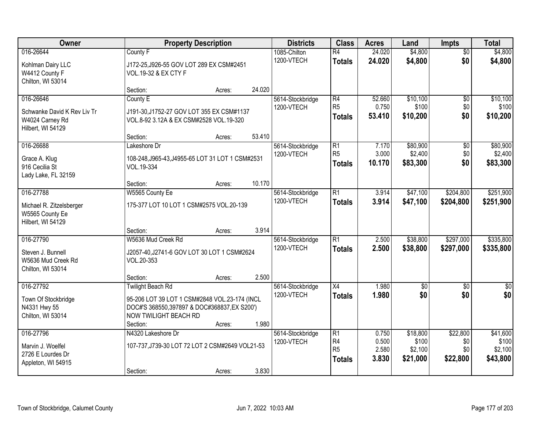| Owner                                                               |                                                                                                                                    | <b>Property Description</b> |        | <b>Districts</b> | <b>Class</b>                                      | <b>Acres</b>            | Land                         | Impts                  | <b>Total</b>                 |
|---------------------------------------------------------------------|------------------------------------------------------------------------------------------------------------------------------------|-----------------------------|--------|------------------|---------------------------------------------------|-------------------------|------------------------------|------------------------|------------------------------|
| 016-26644                                                           | County F                                                                                                                           |                             |        | 1085-Chilton     | $\overline{R4}$                                   | 24.020                  | \$4,800                      | $\overline{50}$        | \$4,800                      |
| Kohlman Dairy LLC<br>W4412 County F<br>Chilton, WI 53014            | J172-25, J926-55 GOV LOT 289 EX CSM#2451<br>VOL.19-32 & EX CTY F                                                                   |                             |        | 1200-VTECH       | <b>Totals</b>                                     | 24.020                  | \$4,800                      | \$0                    | \$4,800                      |
|                                                                     | Section:                                                                                                                           | Acres:                      | 24.020 |                  |                                                   |                         |                              |                        |                              |
| 016-26646                                                           | County E                                                                                                                           |                             |        | 5614-Stockbridge | $\overline{R4}$                                   | 52.660                  | \$10,100                     | $\overline{50}$        | \$10,100                     |
| Schwanke David K Rev Liv Tr<br>W4024 Carney Rd<br>Hilbert, WI 54129 | J191-30, J1752-27 GOV LOT 355 EX CSM#1137<br>VOL.8-92 3.12A & EX CSM#2528 VOL.19-320                                               |                             |        | 1200-VTECH       | R <sub>5</sub><br><b>Totals</b>                   | 0.750<br>53.410         | \$100<br>\$10,200            | \$0<br>\$0             | \$100<br>\$10,200            |
|                                                                     | Section:                                                                                                                           | Acres:                      | 53.410 |                  |                                                   |                         |                              |                        |                              |
| 016-26688                                                           | Lakeshore Dr                                                                                                                       |                             |        | 5614-Stockbridge | $\overline{R1}$                                   | 7.170                   | \$80,900                     | $\overline{50}$        | \$80,900                     |
| Grace A. Klug<br>916 Cecilia St<br>Lady Lake, FL 32159              | 108-248, J965-43, J4955-65 LOT 31 LOT 1 CSM#2531<br>VOL.19-334                                                                     |                             |        | 1200-VTECH       | R <sub>5</sub><br><b>Totals</b>                   | 3.000<br>10.170         | \$2,400<br>\$83,300          | \$0<br>\$0             | \$2,400<br>\$83,300          |
|                                                                     | Section:                                                                                                                           | Acres:                      | 10.170 |                  |                                                   |                         |                              |                        |                              |
| 016-27788                                                           | W5565 County Ee                                                                                                                    |                             |        | 5614-Stockbridge | $\overline{R1}$                                   | 3.914                   | \$47,100                     | \$204,800              | \$251,900                    |
| Michael R. Zitzelsberger<br>W5565 County Ee<br>Hilbert, WI 54129    | 175-377 LOT 10 LOT 1 CSM#2575 VOL.20-139                                                                                           |                             |        | 1200-VTECH       | <b>Totals</b>                                     | 3.914                   | \$47,100                     | \$204,800              | \$251,900                    |
|                                                                     | Section:                                                                                                                           | Acres:                      | 3.914  |                  |                                                   |                         |                              |                        |                              |
| 016-27790                                                           | W5636 Mud Creek Rd                                                                                                                 |                             |        | 5614-Stockbridge | $\overline{R1}$                                   | 2.500                   | \$38,800                     | \$297,000              | \$335,800                    |
| Steven J. Bunnell<br>W5636 Mud Creek Rd<br>Chilton, WI 53014        | J2057-40, J2741-6 GOV LOT 30 LOT 1 CSM#2624<br>VOL.20-353                                                                          |                             |        | 1200-VTECH       | <b>Totals</b>                                     | 2.500                   | \$38,800                     | \$297,000              | \$335,800                    |
|                                                                     | Section:                                                                                                                           | Acres:                      | 2.500  |                  |                                                   |                         |                              |                        |                              |
| 016-27792                                                           | <b>Twilight Beach Rd</b>                                                                                                           |                             |        | 5614-Stockbridge | X4                                                | 1.980                   | \$0                          | $\sqrt{6}$             | $\frac{1}{6}$                |
| Town Of Stockbridge<br>N4331 Hwy 55<br>Chilton, WI 53014            | 95-206 LOT 39 LOT 1 CSM#2848 VOL.23-174 (INCL<br>DOC#'S 368550,397897 & DOC#368837, EX S200')<br>NOW TWILIGHT BEACH RD<br>Section: | Acres:                      | 1.980  | 1200-VTECH       | <b>Totals</b>                                     | 1.980                   | \$0                          | \$0                    | \$0                          |
| 016-27796                                                           | N4320 Lakeshore Dr                                                                                                                 |                             |        | 5614-Stockbridge | $\overline{R1}$                                   | 0.750                   | \$18,800                     | \$22,800               | \$41,600                     |
| Marvin J. Woelfel<br>2726 E Lourdes Dr<br>Appleton, WI 54915        | 107-737, J739-30 LOT 72 LOT 2 CSM#2649 VOL21-53<br>Section:                                                                        | Acres:                      | 3.830  | 1200-VTECH       | R <sub>4</sub><br>R <sub>5</sub><br><b>Totals</b> | 0.500<br>2.580<br>3.830 | \$100<br>\$2,100<br>\$21,000 | \$0<br>\$0<br>\$22,800 | \$100<br>\$2,100<br>\$43,800 |
|                                                                     |                                                                                                                                    |                             |        |                  |                                                   |                         |                              |                        |                              |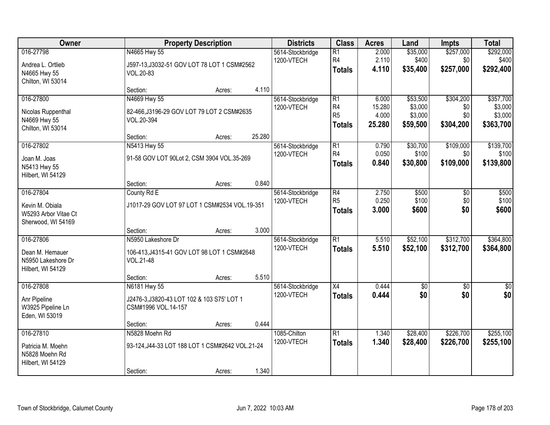| Owner                                                         |                                                             | <b>Property Description</b> |        | <b>Districts</b>               | <b>Class</b>                                       | <b>Acres</b>            | Land                          | <b>Impts</b>                  | <b>Total</b>                    |
|---------------------------------------------------------------|-------------------------------------------------------------|-----------------------------|--------|--------------------------------|----------------------------------------------------|-------------------------|-------------------------------|-------------------------------|---------------------------------|
| 016-27798<br>Andrea L. Ortlieb                                | N4665 Hwy 55<br>J597-13, J3032-51 GOV LOT 78 LOT 1 CSM#2562 |                             |        | 5614-Stockbridge<br>1200-VTECH | $\overline{R1}$<br>R <sub>4</sub><br><b>Totals</b> | 2.000<br>2.110<br>4.110 | \$35,000<br>\$400<br>\$35,400 | \$257,000<br>\$0<br>\$257,000 | \$292,000<br>\$400<br>\$292,400 |
| N4665 Hwy 55<br>Chilton, WI 53014                             | VOL.20-83                                                   |                             |        |                                |                                                    |                         |                               |                               |                                 |
|                                                               | Section:                                                    | Acres:                      | 4.110  |                                |                                                    |                         |                               |                               |                                 |
| 016-27800                                                     | N4669 Hwy 55                                                |                             |        | 5614-Stockbridge               | $\overline{R1}$                                    | 6.000                   | \$53,500                      | \$304,200                     | \$357,700                       |
| Nicolas Ruppenthal                                            | 82-466, J3196-29 GOV LOT 79 LOT 2 CSM#2635                  |                             |        | 1200-VTECH                     | R <sub>4</sub><br>R <sub>5</sub>                   | 15.280<br>4.000         | \$3,000<br>\$3,000            | \$0<br>\$0                    | \$3,000<br>\$3,000              |
| N4669 Hwy 55                                                  | VOL.20-394                                                  |                             |        |                                |                                                    |                         |                               |                               |                                 |
| Chilton, WI 53014                                             |                                                             |                             |        |                                | <b>Totals</b>                                      | 25.280                  | \$59,500                      | \$304,200                     | \$363,700                       |
|                                                               | Section:                                                    | Acres:                      | 25.280 |                                |                                                    |                         |                               |                               |                                 |
| 016-27802                                                     | N5413 Hwy 55                                                |                             |        | 5614-Stockbridge               | $\overline{R1}$                                    | 0.790                   | \$30,700                      | \$109,000                     | \$139,700                       |
| Joan M. Joas                                                  | 91-58 GOV LOT 90Lot 2, CSM 3904 VOL.35-269                  |                             |        | 1200-VTECH                     | R <sub>4</sub>                                     | 0.050                   | \$100                         | \$0                           | \$100                           |
| N5413 Hwy 55                                                  |                                                             |                             |        |                                | <b>Totals</b>                                      | 0.840                   | \$30,800                      | \$109,000                     | \$139,800                       |
| Hilbert, WI 54129                                             |                                                             |                             |        |                                |                                                    |                         |                               |                               |                                 |
|                                                               | Section:                                                    | Acres:                      | 0.840  |                                |                                                    |                         |                               |                               |                                 |
| 016-27804                                                     | County Rd E                                                 |                             |        | 5614-Stockbridge               | $\overline{R4}$                                    | 2.750                   | \$500                         | \$0                           | \$500                           |
|                                                               |                                                             |                             |        | 1200-VTECH                     | R <sub>5</sub>                                     | 0.250                   | \$100                         | \$0                           | \$100                           |
| Kevin M. Obiala<br>W5293 Arbor Vitae Ct<br>Sherwood, WI 54169 | J1017-29 GOV LOT 97 LOT 1 CSM#2534 VOL.19-351               |                             |        |                                | <b>Totals</b>                                      | 3.000                   | \$600                         | \$0                           | \$600                           |
|                                                               | Section:                                                    | Acres:                      | 3.000  |                                |                                                    |                         |                               |                               |                                 |
| 016-27806                                                     | N5950 Lakeshore Dr                                          |                             |        | 5614-Stockbridge               | $\overline{R1}$                                    | 5.510                   | \$52,100                      | \$312,700                     | \$364,800                       |
|                                                               |                                                             |                             |        | 1200-VTECH                     | <b>Totals</b>                                      | 5.510                   | \$52,100                      | \$312,700                     | \$364,800                       |
| Dean M. Hemauer<br>N5950 Lakeshore Dr<br>Hilbert, WI 54129    | 106-413, J4315-41 GOV LOT 98 LOT 1 CSM#2648<br>VOL.21-48    |                             |        |                                |                                                    |                         |                               |                               |                                 |
|                                                               | Section:                                                    | Acres:                      | 5.510  |                                |                                                    |                         |                               |                               |                                 |
| 016-27808                                                     | N6181 Hwy 55                                                |                             |        | 5614-Stockbridge               | $\overline{X4}$                                    | 0.444                   | $\sqrt{$0}$                   | $\overline{50}$               | \$0                             |
| Anr Pipeline                                                  | J2476-3, J3820-43 LOT 102 & 103 S75' LOT 1                  |                             |        | 1200-VTECH                     | <b>Totals</b>                                      | 0.444                   | \$0                           | \$0                           | \$0                             |
| W3925 Pipeline Ln                                             | CSM#1996 VOL.14-157                                         |                             |        |                                |                                                    |                         |                               |                               |                                 |
| Eden, WI 53019                                                |                                                             |                             |        |                                |                                                    |                         |                               |                               |                                 |
|                                                               | Section:                                                    | Acres:                      | 0.444  |                                |                                                    |                         |                               |                               |                                 |
| 016-27810                                                     | N5828 Moehn Rd                                              |                             |        | 1085-Chilton                   | $\overline{R1}$                                    | 1.340                   | \$28,400                      | \$226,700                     | \$255,100                       |
|                                                               |                                                             |                             |        | 1200-VTECH                     | <b>Totals</b>                                      | 1.340                   | \$28,400                      | \$226,700                     | \$255,100                       |
| Patricia M. Moehn<br>N5828 Moehn Rd<br>Hilbert, WI 54129      | 93-124, J44-33 LOT 188 LOT 1 CSM#2642 VOL.21-24             |                             |        |                                |                                                    |                         |                               |                               |                                 |
|                                                               | Section:                                                    | Acres:                      | 1.340  |                                |                                                    |                         |                               |                               |                                 |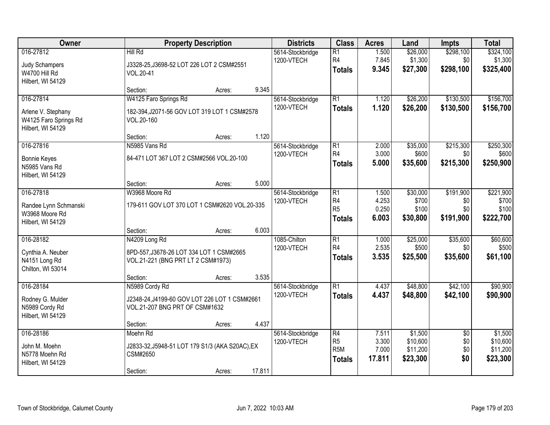| 016-27812<br>Judy Schampers<br>W4700 Hill Rd<br>Hilbert, WI 54129<br>016-27814<br>Arlene V. Stephany<br>W4125 Faro Springs Rd | Hill Rd<br>J3328-25, J3698-52 LOT 226 LOT 2 CSM#2551<br>VOL.20-41<br>Section:<br>Acres:<br>W4125 Faro Springs Rd<br>182-394, J2071-56 GOV LOT 319 LOT 1 CSM#2578<br>VOL.20-160 | 9.345  | 5614-Stockbridge<br>1200-VTECH<br>5614-Stockbridge | $\overline{R1}$<br>R4<br><b>Totals</b>                   | 1.500<br>7.845<br>9.345          | \$26,000<br>\$1,300<br>\$27,300        | \$298,100<br>\$0<br>\$298,100        | \$324,100<br>\$1,300<br>\$325,400        |
|-------------------------------------------------------------------------------------------------------------------------------|--------------------------------------------------------------------------------------------------------------------------------------------------------------------------------|--------|----------------------------------------------------|----------------------------------------------------------|----------------------------------|----------------------------------------|--------------------------------------|------------------------------------------|
|                                                                                                                               |                                                                                                                                                                                |        |                                                    |                                                          |                                  |                                        |                                      |                                          |
|                                                                                                                               |                                                                                                                                                                                |        |                                                    |                                                          |                                  |                                        |                                      |                                          |
| Hilbert, WI 54129                                                                                                             |                                                                                                                                                                                |        | 1200-VTECH                                         | $\overline{R1}$<br><b>Totals</b>                         | 1.120<br>1.120                   | \$26,200<br>\$26,200                   | \$130,500<br>\$130,500               | \$156,700<br>\$156,700                   |
|                                                                                                                               | Section:<br>Acres:                                                                                                                                                             | 1.120  |                                                    |                                                          |                                  |                                        |                                      |                                          |
| 016-27816<br><b>Bonnie Keyes</b><br>N5985 Vans Rd<br>Hilbert, WI 54129                                                        | N5985 Vans Rd<br>84-471 LOT 367 LOT 2 CSM#2566 VOL.20-100                                                                                                                      |        | 5614-Stockbridge<br>1200-VTECH                     | $\overline{R1}$<br>R <sub>4</sub><br><b>Totals</b>       | 2.000<br>3.000<br>5.000          | \$35,000<br>\$600<br>\$35,600          | \$215,300<br>\$0<br>\$215,300        | \$250,300<br>\$600<br>\$250,900          |
|                                                                                                                               | Section:<br>Acres:                                                                                                                                                             | 5.000  |                                                    |                                                          |                                  |                                        |                                      |                                          |
| 016-27818<br>Randee Lynn Schmanski<br>W3968 Moore Rd<br>Hilbert, WI 54129                                                     | W3968 Moore Rd<br>179-611 GOV LOT 370 LOT 1 CSM#2620 VOL.20-335                                                                                                                |        | 5614-Stockbridge<br>1200-VTECH                     | $\overline{R1}$<br>R4<br>R <sub>5</sub><br><b>Totals</b> | 1.500<br>4.253<br>0.250<br>6.003 | \$30,000<br>\$700<br>\$100<br>\$30,800 | \$191,900<br>\$0<br>\$0<br>\$191,900 | \$221,900<br>\$700<br>\$100<br>\$222,700 |
|                                                                                                                               | Section:<br>Acres:                                                                                                                                                             | 6.003  |                                                    |                                                          |                                  |                                        |                                      |                                          |
| 016-28182<br>Cynthia A. Neuber<br>N4151 Long Rd<br>Chilton, WI 53014                                                          | N4209 Long Rd<br>8PD-557, J3678-26 LOT 334 LOT 1 CSM#2665<br>VOL.21-221 (BNG PRT LT 2 CSM#1973)                                                                                |        | 1085-Chilton<br>1200-VTECH                         | $\overline{R1}$<br>R <sub>4</sub><br><b>Totals</b>       | 1.000<br>2.535<br>3.535          | \$25,000<br>\$500<br>\$25,500          | \$35,600<br>\$0<br>\$35,600          | \$60,600<br>\$500<br>\$61,100            |
| 016-28184                                                                                                                     | Section:<br>Acres:<br>N5989 Cordy Rd                                                                                                                                           | 3.535  | 5614-Stockbridge                                   | $\overline{R1}$                                          | 4.437                            | \$48,800                               | \$42,100                             | \$90,900                                 |
| Rodney G. Mulder<br>N5989 Cordy Rd<br>Hilbert, WI 54129                                                                       | J2348-24, J4199-60 GOV LOT 226 LOT 1 CSM#2661<br>VOL.21-207 BNG PRT OF CSM#1632                                                                                                |        | 1200-VTECH                                         | <b>Totals</b>                                            | 4.437                            | \$48,800                               | \$42,100                             | \$90,900                                 |
| 016-28186                                                                                                                     | Section:<br>Acres:<br>Moehn Rd                                                                                                                                                 | 4.437  | 5614-Stockbridge                                   | $\overline{R4}$                                          | 7.511                            | \$1,500                                | $\overline{30}$                      | \$1,500                                  |
| John M. Moehn<br>N5778 Moehn Rd<br>Hilbert, WI 54129                                                                          | J2833-32, J5948-51 LOT 179 S1/3 (AKA S20AC), EX<br>CSM#2650<br>Section:<br>Acres:                                                                                              | 17.811 | 1200-VTECH                                         | R <sub>5</sub><br>R <sub>5</sub> M<br><b>Totals</b>      | 3.300<br>7.000<br>17.811         | \$10,600<br>\$11,200<br>\$23,300       | \$0<br>\$0<br>\$0                    | \$10,600<br>\$11,200<br>\$23,300         |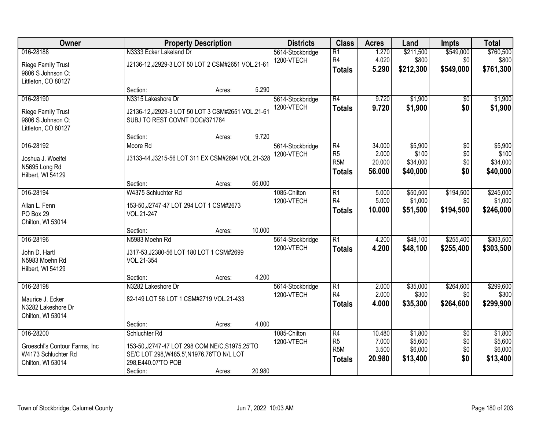| Owner                                                                                   | <b>Property Description</b>                                                                                                                      |        |        | <b>Districts</b>               | <b>Class</b>                                                           | <b>Acres</b>                        | Land                                      | <b>Impts</b>                         | <b>Total</b>                              |
|-----------------------------------------------------------------------------------------|--------------------------------------------------------------------------------------------------------------------------------------------------|--------|--------|--------------------------------|------------------------------------------------------------------------|-------------------------------------|-------------------------------------------|--------------------------------------|-------------------------------------------|
| 016-28188<br><b>Riege Family Trust</b><br>9806 S Johnson Ct<br>Littleton, CO 80127      | N3333 Ecker Lakeland Dr<br>J2136-12, J2929-3 LOT 50 LOT 2 CSM#2651 VOL.21-61                                                                     |        |        | 5614-Stockbridge<br>1200-VTECH | $\overline{R1}$<br>R4<br><b>Totals</b>                                 | 1.270<br>4.020<br>5.290             | \$211,500<br>\$800<br>\$212,300           | \$549,000<br>\$0<br>\$549,000        | \$760,500<br>\$800<br>\$761,300           |
|                                                                                         | Section:                                                                                                                                         | Acres: | 5.290  |                                |                                                                        |                                     |                                           |                                      |                                           |
| 016-28190<br>Riege Family Trust<br>9806 S Johnson Ct<br>Littleton, CO 80127             | N3315 Lakeshore Dr<br>J2136-12, J2929-3 LOT 50 LOT 3 CSM#2651 VOL.21-61<br>SUBJ TO REST COVNT DOC#371784                                         |        |        | 5614-Stockbridge<br>1200-VTECH | R4<br><b>Totals</b>                                                    | 9.720<br>9.720                      | \$1,900<br>\$1,900                        | \$0<br>\$0                           | \$1,900<br>\$1,900                        |
|                                                                                         | Section:                                                                                                                                         | Acres: | 9.720  |                                |                                                                        |                                     |                                           |                                      |                                           |
| 016-28192<br>Joshua J. Woelfel<br>N5695 Long Rd<br>Hilbert, WI 54129                    | Moore Rd<br>J3133-44, J3215-56 LOT 311 EX CSM#2694 VOL.21-328                                                                                    |        |        | 5614-Stockbridge<br>1200-VTECH | $\overline{R4}$<br>R <sub>5</sub><br>R <sub>5</sub> M<br><b>Totals</b> | 34.000<br>2.000<br>20.000<br>56.000 | \$5,900<br>\$100<br>\$34,000<br>\$40,000  | $\overline{50}$<br>\$0<br>\$0<br>\$0 | \$5,900<br>\$100<br>\$34,000<br>\$40,000  |
|                                                                                         | Section:                                                                                                                                         | Acres: | 56.000 |                                |                                                                        |                                     |                                           |                                      |                                           |
| 016-28194<br>Allan L. Fenn<br>PO Box 29<br>Chilton, WI 53014                            | W4375 Schluchter Rd<br>153-50, J2747-47 LOT 294 LOT 1 CSM#2673<br>VOL.21-247                                                                     |        |        | 1085-Chilton<br>1200-VTECH     | R1<br>R4<br><b>Totals</b>                                              | 5.000<br>5.000<br>10.000            | \$50,500<br>\$1,000<br>\$51,500           | \$194,500<br>\$0<br>\$194,500        | \$245,000<br>\$1,000<br>\$246,000         |
|                                                                                         | Section:                                                                                                                                         | Acres: | 10.000 |                                |                                                                        |                                     |                                           |                                      |                                           |
| 016-28196<br>John D. Hartl<br>N5983 Moehn Rd<br>Hilbert, WI 54129                       | N5983 Moehn Rd<br>J317-53, J2380-56 LOT 180 LOT 1 CSM#2699<br>VOL.21-354<br>Section:                                                             | Acres: | 4.200  | 5614-Stockbridge<br>1200-VTECH | $\overline{R1}$<br><b>Totals</b>                                       | 4.200<br>4.200                      | \$48,100<br>\$48,100                      | \$255,400<br>\$255,400               | \$303,500<br>\$303,500                    |
| 016-28198<br>Maurice J. Ecker                                                           | N3282 Lakeshore Dr<br>82-149 LOT 56 LOT 1 CSM#2719 VOL.21-433                                                                                    |        |        | 5614-Stockbridge<br>1200-VTECH | $\overline{R1}$<br>R <sub>4</sub><br><b>Totals</b>                     | 2.000<br>2.000<br>4.000             | \$35,000<br>\$300<br>\$35,300             | \$264,600<br>\$0<br>\$264,600        | \$299,600<br>\$300<br>\$299,900           |
| N3282 Lakeshore Dr<br>Chilton, WI 53014                                                 | Section:                                                                                                                                         | Acres: | 4.000  |                                |                                                                        |                                     |                                           |                                      |                                           |
| 016-28200<br>Groeschl's Contour Farms, Inc.<br>W4173 Schluchter Rd<br>Chilton, WI 53014 | Schluchter Rd<br>153-50, J2747-47 LOT 298 COM NE/C, S1975.25'TO<br>SE/C LOT 298, W485.5', N1976.76'TO N/L LOT<br>298, E440.07'TO POB<br>Section: | Acres: | 20.980 | 1085-Chilton<br>1200-VTECH     | R4<br>R <sub>5</sub><br>R <sub>5</sub> M<br><b>Totals</b>              | 10.480<br>7.000<br>3.500<br>20.980  | \$1,800<br>\$5,600<br>\$6,000<br>\$13,400 | $\overline{30}$<br>\$0<br>\$0<br>\$0 | \$1,800<br>\$5,600<br>\$6,000<br>\$13,400 |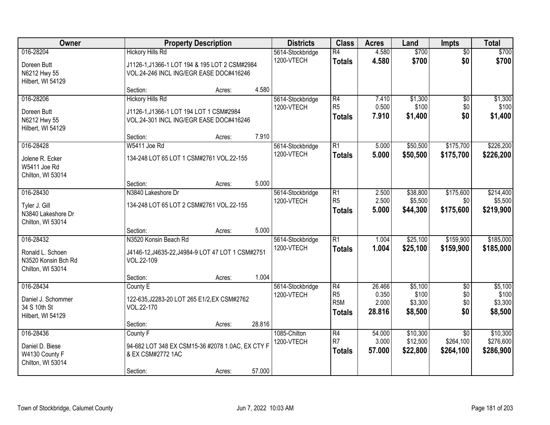| Owner                                                                     | <b>Property Description</b>                                                                                         |        |        | <b>Districts</b>               | <b>Class</b>                                       | <b>Acres</b>                       | Land                                   | <b>Impts</b>                         | <b>Total</b>                           |
|---------------------------------------------------------------------------|---------------------------------------------------------------------------------------------------------------------|--------|--------|--------------------------------|----------------------------------------------------|------------------------------------|----------------------------------------|--------------------------------------|----------------------------------------|
| 016-28204<br>Doreen Butt<br>N6212 Hwy 55<br>Hilbert, WI 54129             | <b>Hickory Hills Rd</b><br>J1126-1, J1366-1 LOT 194 & 195 LOT 2 CSM#2984<br>VOL.24-246 INCL ING/EGR EASE DOC#416246 |        |        | 5614-Stockbridge<br>1200-VTECH | $\overline{R4}$<br><b>Totals</b>                   | 4.580<br>4.580                     | \$700<br>\$700                         | $\overline{50}$<br>\$0               | \$700<br>\$700                         |
|                                                                           | Section:                                                                                                            | Acres: | 4.580  |                                |                                                    |                                    |                                        |                                      |                                        |
| 016-28206<br>Doreen Butt<br>N6212 Hwy 55<br>Hilbert, WI 54129             | <b>Hickory Hills Rd</b><br>J1126-1, J1366-1 LOT 194 LOT 1 CSM#2984<br>VOL.24-301 INCL ING/EGR EASE DOC#416246       |        |        | 5614-Stockbridge<br>1200-VTECH | R4<br>R <sub>5</sub><br><b>Totals</b>              | 7.410<br>0.500<br>7.910            | \$1,300<br>\$100<br>\$1,400            | $\overline{50}$<br>\$0<br>\$0        | \$1,300<br>\$100<br>\$1,400            |
|                                                                           | Section:                                                                                                            | Acres: | 7.910  |                                |                                                    |                                    |                                        |                                      |                                        |
| 016-28428<br>Jolene R. Ecker<br>W5411 Joe Rd<br>Chilton, WI 53014         | W5411 Joe Rd<br>134-248 LOT 65 LOT 1 CSM#2761 VOL.22-155                                                            |        |        | 5614-Stockbridge<br>1200-VTECH | $\overline{R1}$<br><b>Totals</b>                   | 5.000<br>5.000                     | \$50,500<br>\$50,500                   | \$175,700<br>\$175,700               | \$226,200<br>\$226,200                 |
|                                                                           | Section:                                                                                                            | Acres: | 5.000  |                                |                                                    |                                    |                                        |                                      |                                        |
| 016-28430<br>Tyler J. Gill<br>N3840 Lakeshore Dr<br>Chilton, WI 53014     | N3840 Lakeshore Dr<br>134-248 LOT 65 LOT 2 CSM#2761 VOL.22-155                                                      |        |        | 5614-Stockbridge<br>1200-VTECH | $\overline{R1}$<br>R <sub>5</sub><br><b>Totals</b> | 2.500<br>2.500<br>5.000            | \$38,800<br>\$5,500<br>\$44,300        | \$175,600<br>\$0<br>\$175,600        | \$214,400<br>\$5,500<br>\$219,900      |
|                                                                           | Section:                                                                                                            | Acres: | 5.000  |                                |                                                    |                                    |                                        |                                      |                                        |
| 016-28432<br>Ronald L. Schoen<br>N3520 Konsin Bch Rd<br>Chilton, WI 53014 | N3520 Konsin Beach Rd<br>J4146-12, J4635-22, J4984-9 LOT 47 LOT 1 CSM#2751<br>VOL.22-109                            |        |        | 5614-Stockbridge<br>1200-VTECH | $\overline{R1}$<br><b>Totals</b>                   | 1.004<br>1.004                     | \$25,100<br>\$25,100                   | \$159,900<br>\$159,900               | \$185,000<br>\$185,000                 |
|                                                                           | Section:                                                                                                            | Acres: | 1.004  |                                |                                                    |                                    |                                        |                                      |                                        |
| 016-28434<br>Daniel J. Schommer<br>34 S 10th St<br>Hilbert, WI 54129      | County E<br>122-635, J2283-20 LOT 265 E1/2, EX CSM#2762<br>VOL.22-170                                               |        |        | 5614-Stockbridge<br>1200-VTECH | R4<br>R <sub>5</sub><br>R <sub>5M</sub><br>Totals  | 26.466<br>0.350<br>2.000<br>28.816 | \$5,100<br>\$100<br>\$3,300<br>\$8,500 | $\overline{60}$<br>\$0<br>\$0<br>\$0 | \$5,100<br>\$100<br>\$3,300<br>\$8,500 |
| 016-28436                                                                 | Section:                                                                                                            | Acres: | 28.816 | 1085-Chilton                   | R4                                                 | 54.000                             | \$10,300                               | $\overline{30}$                      | \$10,300                               |
| Daniel D. Biese<br>W4130 County F<br>Chilton, WI 53014                    | County F<br>94-682 LOT 348 EX CSM15-36 #2078 1.0AC, EX CTY F<br>& EX CSM#2772 1AC<br>Section:                       | Acres: | 57.000 | 1200-VTECH                     | R7<br><b>Totals</b>                                | 3.000<br>57.000                    | \$12,500<br>\$22,800                   | \$264,100<br>\$264,100               | \$276,600<br>\$286,900                 |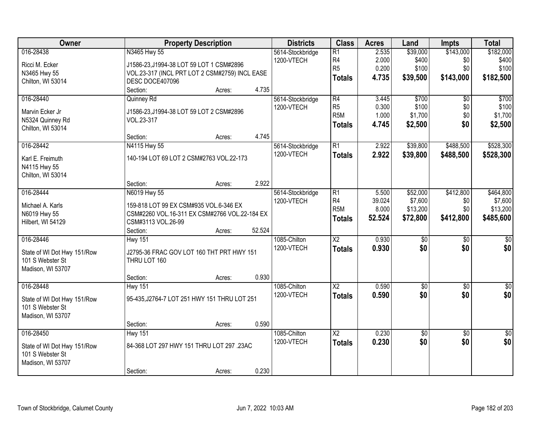| Owner                            | <b>Property Description</b>                                                             | <b>Districts</b>           | <b>Class</b>           | <b>Acres</b> | Land                   | <b>Impts</b>           | <b>Total</b>            |
|----------------------------------|-----------------------------------------------------------------------------------------|----------------------------|------------------------|--------------|------------------------|------------------------|-------------------------|
| 016-28438                        | N3465 Hwy 55                                                                            | 5614-Stockbridge           | $\overline{R1}$        | 2.535        | \$39,000               | \$143,000              | \$182,000               |
| Ricci M. Ecker                   | J1586-23, J1994-38 LOT 59 LOT 1 CSM#2896                                                | 1200-VTECH                 | R4                     | 2.000        | \$400                  | \$0                    | \$400                   |
| N3465 Hwy 55                     | VOL.23-317 (INCL PRT LOT 2 CSM#2759) INCL EASE                                          |                            | R <sub>5</sub>         | 0.200        | \$100                  | \$0                    | \$100                   |
| Chilton, WI 53014                | DESC DOCE407096                                                                         |                            | <b>Totals</b>          | 4.735        | \$39,500               | \$143,000              | \$182,500               |
|                                  | 4.735<br>Section:<br>Acres:                                                             |                            |                        |              |                        |                        |                         |
| 016-28440                        | Quinney Rd                                                                              | 5614-Stockbridge           | R4                     | 3.445        | \$700                  | $\overline{50}$        | \$700                   |
| Marvin Ecker Jr                  | J1586-23, J1994-38 LOT 59 LOT 2 CSM#2896                                                | 1200-VTECH                 | R <sub>5</sub>         | 0.300        | \$100                  | \$0                    | \$100                   |
| N5324 Quinney Rd                 | VOL.23-317                                                                              |                            | R <sub>5</sub> M       | 1.000        | \$1,700                | \$0                    | \$1,700                 |
| Chilton, WI 53014                |                                                                                         |                            | <b>Totals</b>          | 4.745        | \$2,500                | \$0                    | \$2,500                 |
|                                  | 4.745<br>Section:<br>Acres:                                                             |                            |                        |              |                        |                        |                         |
| 016-28442                        | N4115 Hwy 55                                                                            | 5614-Stockbridge           | $\overline{R1}$        | 2.922        | \$39,800               | \$488,500              | \$528,300               |
| Karl E. Freimuth                 | 140-194 LOT 69 LOT 2 CSM#2763 VOL.22-173                                                | 1200-VTECH                 | <b>Totals</b>          | 2.922        | \$39,800               | \$488,500              | \$528,300               |
| N4115 Hwy 55                     |                                                                                         |                            |                        |              |                        |                        |                         |
| Chilton, WI 53014                |                                                                                         |                            |                        |              |                        |                        |                         |
|                                  | 2.922<br>Section:<br>Acres:                                                             |                            |                        |              |                        |                        |                         |
| 016-28444                        | N6019 Hwy 55                                                                            | 5614-Stockbridge           | R1                     | 5.500        | \$52,000               | \$412,800              | \$464,800               |
|                                  |                                                                                         | 1200-VTECH                 | R <sub>4</sub>         | 39.024       | \$7,600                | \$0                    | \$7,600                 |
| Michael A. Karls<br>N6019 Hwy 55 | 159-818 LOT 99 EX CSM#935 VOL.6-346 EX<br>CSM#2260 VOL.16-311 EX CSM#2766 VOL.22-184 EX |                            | R <sub>5</sub> M       | 8.000        | \$13,200               | \$0                    | \$13,200                |
| Hilbert, WI 54129                | CSM#3113 VOL.26-99                                                                      |                            | <b>Totals</b>          | 52.524       | \$72,800               | \$412,800              | \$485,600               |
|                                  | 52.524<br>Section:<br>Acres:                                                            |                            |                        |              |                        |                        |                         |
| 016-28446                        | <b>Hwy 151</b>                                                                          | 1085-Chilton               | $\overline{\text{X2}}$ | 0.930        | $\overline{50}$        | $\overline{50}$        | \$0                     |
|                                  |                                                                                         | 1200-VTECH                 | <b>Totals</b>          | 0.930        | \$0                    | \$0                    | \$0                     |
| State of WI Dot Hwy 151/Row      | J2795-36 FRAC GOV LOT 160 THT PRT HWY 151                                               |                            |                        |              |                        |                        |                         |
| 101 S Webster St                 | THRU LOT 160                                                                            |                            |                        |              |                        |                        |                         |
| Madison, WI 53707                |                                                                                         |                            |                        |              |                        |                        |                         |
| 016-28448                        | 0.930<br>Section:<br>Acres:                                                             |                            | $\overline{X2}$        | 0.590        |                        |                        |                         |
|                                  | <b>Hwy 151</b>                                                                          | 1085-Chilton<br>1200-VTECH |                        |              | $\overline{50}$<br>\$0 | $\overline{50}$<br>\$0 | $\overline{\$0}$<br>\$0 |
| State of WI Dot Hwy 151/Row      | 95-435, J2764-7 LOT 251 HWY 151 THRU LOT 251                                            |                            | <b>Totals</b>          | 0.590        |                        |                        |                         |
| 101 S Webster St                 |                                                                                         |                            |                        |              |                        |                        |                         |
| Madison, WI 53707                |                                                                                         |                            |                        |              |                        |                        |                         |
|                                  | 0.590<br>Section:<br>Acres:                                                             |                            |                        |              |                        |                        |                         |
| 016-28450                        | <b>Hwy 151</b>                                                                          | 1085-Chilton               | $\overline{\text{X2}}$ | 0.230        | $\sqrt{50}$            | $\overline{50}$        | $\overline{50}$         |
| State of WI Dot Hwy 151/Row      | 84-368 LOT 297 HWY 151 THRU LOT 297 .23AC                                               | 1200-VTECH                 | <b>Totals</b>          | 0.230        | \$0                    | \$0                    | \$0                     |
| 101 S Webster St                 |                                                                                         |                            |                        |              |                        |                        |                         |
| Madison, WI 53707                |                                                                                         |                            |                        |              |                        |                        |                         |
|                                  | 0.230<br>Section:<br>Acres:                                                             |                            |                        |              |                        |                        |                         |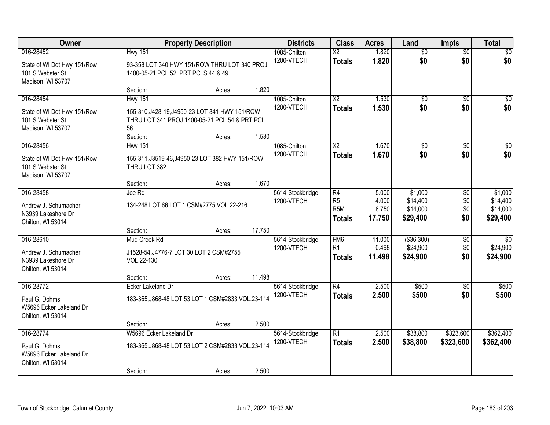| Owner                                                                             |                                                                                                                                     | <b>Property Description</b> |        | <b>Districts</b>               | <b>Class</b>                                                           | <b>Acres</b>                      | Land                                        | <b>Impts</b>             | <b>Total</b>                                |
|-----------------------------------------------------------------------------------|-------------------------------------------------------------------------------------------------------------------------------------|-----------------------------|--------|--------------------------------|------------------------------------------------------------------------|-----------------------------------|---------------------------------------------|--------------------------|---------------------------------------------|
| 016-28452<br>State of WI Dot Hwy 151/Row<br>101 S Webster St<br>Madison, WI 53707 | <b>Hwy 151</b><br>93-358 LOT 340 HWY 151/ROW THRU LOT 340 PROJ<br>1400-05-21 PCL 52, PRT PCLS 44 & 49                               |                             |        | 1085-Chilton<br>1200-VTECH     | $\overline{X2}$<br><b>Totals</b>                                       | 1.820<br>1.820                    | $\overline{60}$<br>\$0                      | $\overline{50}$<br>\$0   | \$0<br>\$0                                  |
|                                                                                   | Section:                                                                                                                            | Acres:                      | 1.820  |                                |                                                                        |                                   |                                             |                          |                                             |
| 016-28454<br>State of WI Dot Hwy 151/Row<br>101 S Webster St<br>Madison, WI 53707 | <b>Hwy 151</b><br>155-310, J428-19, J4950-23 LOT 341 HWY 151/ROW<br>THRU LOT 341 PROJ 1400-05-21 PCL 54 & PRT PCL<br>56<br>Section: | Acres:                      | 1.530  | 1085-Chilton<br>1200-VTECH     | $\overline{X2}$<br><b>Totals</b>                                       | 1.530<br>1.530                    | \$0<br>\$0                                  | \$0<br>\$0               | \$0<br>\$0                                  |
| 016-28456                                                                         | <b>Hwy 151</b>                                                                                                                      |                             |        | 1085-Chilton                   | $\overline{X2}$                                                        | 1.670                             | $\overline{50}$                             | \$0                      | $\overline{50}$                             |
| State of WI Dot Hwy 151/Row<br>101 S Webster St<br>Madison, WI 53707              | 155-311, J3519-46, J4950-23 LOT 382 HWY 151/ROW<br>THRU LOT 382                                                                     |                             |        | 1200-VTECH                     | <b>Totals</b>                                                          | 1.670                             | \$0                                         | \$0                      | \$0                                         |
|                                                                                   | Section:                                                                                                                            | Acres:                      | 1.670  |                                |                                                                        |                                   |                                             |                          |                                             |
| 016-28458<br>Andrew J. Schumacher<br>N3939 Lakeshore Dr<br>Chilton, WI 53014      | Joe Rd<br>134-248 LOT 66 LOT 1 CSM#2775 VOL.22-216                                                                                  |                             |        | 5614-Stockbridge<br>1200-VTECH | $\overline{R4}$<br>R <sub>5</sub><br>R <sub>5</sub> M<br><b>Totals</b> | 5.000<br>4.000<br>8.750<br>17.750 | \$1,000<br>\$14,400<br>\$14,000<br>\$29,400 | \$0<br>\$0<br>\$0<br>\$0 | \$1,000<br>\$14,400<br>\$14,000<br>\$29,400 |
|                                                                                   | Section:                                                                                                                            | Acres:                      | 17.750 |                                |                                                                        |                                   |                                             |                          |                                             |
| 016-28610<br>Andrew J. Schumacher<br>N3939 Lakeshore Dr<br>Chilton, WI 53014      | Mud Creek Rd<br>J1528-54, J4776-7 LOT 30 LOT 2 CSM#2755<br>VOL.22-130                                                               |                             |        | 5614-Stockbridge<br>1200-VTECH | FM <sub>6</sub><br>R <sub>1</sub><br><b>Totals</b>                     | 11.000<br>0.498<br>11.498         | ( \$36, 300)<br>\$24,900<br>\$24,900        | \$0<br>\$0<br>\$0        | $\overline{30}$<br>\$24,900<br>\$24,900     |
|                                                                                   | Section:                                                                                                                            | Acres:                      | 11.498 |                                |                                                                        |                                   |                                             |                          |                                             |
| 016-28772<br>Paul G. Dohms<br>W5696 Ecker Lakeland Dr<br>Chilton, WI 53014        | <b>Ecker Lakeland Dr</b><br>183-365, J868-48 LOT 53 LOT 1 CSM#2833 VOL.23-114                                                       |                             |        | 5614-Stockbridge<br>1200-VTECH | $\overline{R4}$<br><b>Totals</b>                                       | 2.500<br>2.500                    | \$500<br>\$500                              | \$0<br>\$0               | \$500<br>\$500                              |
|                                                                                   | Section:                                                                                                                            | Acres:                      | 2.500  |                                |                                                                        |                                   |                                             |                          |                                             |
| 016-28774<br>Paul G. Dohms<br>W5696 Ecker Lakeland Dr<br>Chilton, WI 53014        | W5696 Ecker Lakeland Dr<br>183-365, J868-48 LOT 53 LOT 2 CSM#2833 VOL.23-114<br>Section:                                            | Acres:                      | 2.500  | 5614-Stockbridge<br>1200-VTECH | $\overline{R1}$<br><b>Totals</b>                                       | 2.500<br>2.500                    | \$38,800<br>\$38,800                        | \$323,600<br>\$323,600   | \$362,400<br>\$362,400                      |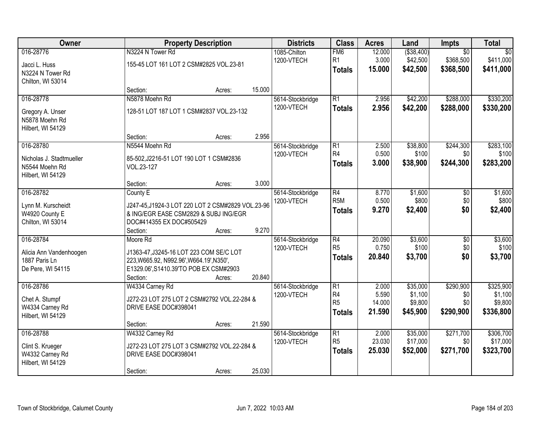| Owner                                                                        |                                                                                                                                                       | <b>Property Description</b> |        | <b>Districts</b>               | <b>Class</b>                                                         | <b>Acres</b>                       | Land                                       | Impts                                     | <b>Total</b>                                 |
|------------------------------------------------------------------------------|-------------------------------------------------------------------------------------------------------------------------------------------------------|-----------------------------|--------|--------------------------------|----------------------------------------------------------------------|------------------------------------|--------------------------------------------|-------------------------------------------|----------------------------------------------|
| 016-28776<br>Jacci L. Huss<br>N3224 N Tower Rd<br>Chilton, WI 53014          | N3224 N Tower Rd<br>155-45 LOT 161 LOT 2 CSM#2825 VOL.23-81                                                                                           |                             |        | 1085-Chilton<br>1200-VTECH     | FM <sub>6</sub><br>R <sub>1</sub><br><b>Totals</b>                   | 12.000<br>3.000<br>15.000          | ( \$38,400)<br>\$42,500<br>\$42,500        | $\overline{50}$<br>\$368,500<br>\$368,500 | $\overline{50}$<br>\$411,000<br>\$411,000    |
|                                                                              | Section:                                                                                                                                              | Acres:                      | 15.000 |                                |                                                                      |                                    |                                            |                                           |                                              |
| 016-28778<br>Gregory A. Unser<br>N5878 Moehn Rd<br>Hilbert, WI 54129         | N5878 Moehn Rd<br>128-51 LOT 187 LOT 1 CSM#2837 VOL.23-132                                                                                            |                             |        | 5614-Stockbridge<br>1200-VTECH | $\overline{R1}$<br><b>Totals</b>                                     | 2.956<br>2.956                     | \$42,200<br>\$42,200                       | \$288,000<br>\$288,000                    | \$330,200<br>\$330,200                       |
|                                                                              | Section:                                                                                                                                              | Acres:                      | 2.956  |                                |                                                                      |                                    |                                            |                                           |                                              |
| 016-28780<br>Nicholas J. Stadtmueller<br>N5544 Moehn Rd<br>Hilbert, WI 54129 | N5544 Moehn Rd<br>85-502, J2216-51 LOT 190 LOT 1 CSM#2836<br>VOL.23-127                                                                               |                             |        | 5614-Stockbridge<br>1200-VTECH | R1<br>R <sub>4</sub><br><b>Totals</b>                                | 2.500<br>0.500<br>3.000            | \$38,800<br>\$100<br>\$38,900              | \$244,300<br>\$0<br>\$244,300             | \$283,100<br>\$100<br>\$283,200              |
|                                                                              | Section:                                                                                                                                              | Acres:                      | 3.000  |                                |                                                                      |                                    |                                            |                                           |                                              |
| 016-28782<br>Lynn M. Kurscheidt<br>W4920 County E<br>Chilton, WI 53014       | County E<br>J247-45, J1924-3 LOT 220 LOT 2 CSM#2829 VOL.23-96<br>& ING/EGR EASE CSM2829 & SUBJ ING/EGR<br>DOC#414355 EX DOC#505429                    |                             |        | 5614-Stockbridge<br>1200-VTECH | $\overline{R4}$<br>R <sub>5</sub> M<br><b>Totals</b>                 | 8.770<br>0.500<br>9.270            | \$1,600<br>\$800<br>\$2,400                | \$0<br>\$0<br>\$0                         | \$1,600<br>\$800<br>\$2,400                  |
|                                                                              | Section:                                                                                                                                              | Acres:                      | 9.270  |                                |                                                                      |                                    |                                            |                                           |                                              |
| 016-28784<br>Alicia Ann Vandenhoogen<br>1887 Paris Ln<br>De Pere, WI 54115   | Moore Rd<br>J1363-47, J3245-16 LOT 223 COM SE/C LOT<br>223, W665.92, N992.96', W664.19', N350',<br>E1329.06', S1410.39'TO POB EX CSM#2903<br>Section: | Acres:                      | 20.840 | 5614-Stockbridge<br>1200-VTECH | $\overline{R4}$<br>R <sub>5</sub><br><b>Totals</b>                   | 20.090<br>0.750<br>20.840          | \$3,600<br>\$100<br>\$3,700                | $\overline{50}$<br>\$0<br>\$0             | \$3,600<br>\$100<br>\$3,700                  |
| 016-28786<br>Chet A. Stumpf<br>W4334 Carney Rd<br>Hilbert, WI 54129          | W4334 Carney Rd<br>J272-23 LOT 275 LOT 2 CSM#2792 VOL.22-284 &<br>DRIVE EASE DOC#398041                                                               |                             |        | 5614-Stockbridge<br>1200-VTECH | $\overline{R1}$<br>R <sub>4</sub><br>R <sub>5</sub><br><b>Totals</b> | 2.000<br>5.590<br>14.000<br>21.590 | \$35,000<br>\$1,100<br>\$9,800<br>\$45,900 | \$290,900<br>\$0<br>\$0<br>\$290,900      | \$325,900<br>\$1,100<br>\$9,800<br>\$336,800 |
| 016-28788                                                                    | Section:<br>W4332 Carney Rd                                                                                                                           | Acres:                      | 21.590 | 5614-Stockbridge               | $\overline{R1}$                                                      | 2.000                              | \$35,000                                   | \$271,700                                 | \$306,700                                    |
| Clint S. Krueger<br>W4332 Carney Rd<br>Hilbert, WI 54129                     | J272-23 LOT 275 LOT 3 CSM#2792 VOL.22-284 &<br>DRIVE EASE DOC#398041<br>Section:                                                                      | Acres:                      | 25.030 | 1200-VTECH                     | R <sub>5</sub><br><b>Totals</b>                                      | 23.030<br>25.030                   | \$17,000<br>\$52,000                       | \$0<br>\$271,700                          | \$17,000<br>\$323,700                        |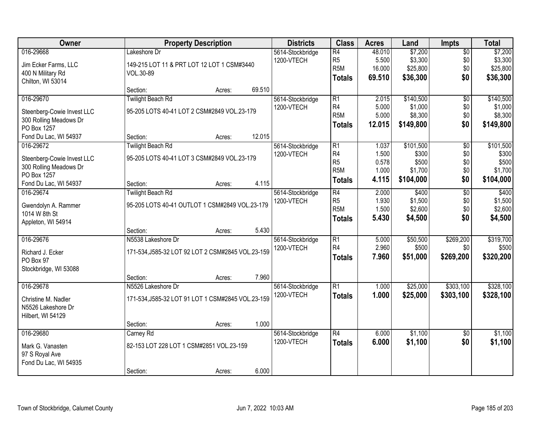| Owner                      |                                                   | <b>Property Description</b> |        | <b>Districts</b> | <b>Class</b>     | <b>Acres</b> | Land      | Impts           | <b>Total</b> |
|----------------------------|---------------------------------------------------|-----------------------------|--------|------------------|------------------|--------------|-----------|-----------------|--------------|
| 016-29668                  | Lakeshore Dr                                      |                             |        | 5614-Stockbridge | $\overline{R4}$  | 48.010       | \$7,200   | $\overline{50}$ | \$7,200      |
| Jim Ecker Farms, LLC       | 149-215 LOT 11 & PRT LOT 12 LOT 1 CSM#3440        |                             |        | 1200-VTECH       | R <sub>5</sub>   | 5.500        | \$3,300   | \$0             | \$3,300      |
| 400 N Military Rd          | VOL.30-89                                         |                             |        |                  | R <sub>5</sub> M | 16.000       | \$25,800  | \$0             | \$25,800     |
| Chilton, WI 53014          |                                                   |                             |        |                  | <b>Totals</b>    | 69.510       | \$36,300  | \$0             | \$36,300     |
|                            | Section:                                          | Acres:                      | 69.510 |                  |                  |              |           |                 |              |
| 016-29670                  | <b>Twilight Beach Rd</b>                          |                             |        | 5614-Stockbridge | $\overline{R1}$  | 2.015        | \$140,500 | $\overline{50}$ | \$140,500    |
| Steenberg-Cowie Invest LLC | 95-205 LOTS 40-41 LOT 2 CSM#2849 VOL.23-179       |                             |        | 1200-VTECH       | R4               | 5.000        | \$1,000   | \$0             | \$1,000      |
| 300 Rolling Meadows Dr     |                                                   |                             |        |                  | R <sub>5</sub> M | 5.000        | \$8,300   | \$0             | \$8,300      |
| PO Box 1257                |                                                   |                             |        |                  | <b>Totals</b>    | 12.015       | \$149,800 | \$0             | \$149,800    |
| Fond Du Lac, WI 54937      | Section:                                          | Acres:                      | 12.015 |                  |                  |              |           |                 |              |
| 016-29672                  | <b>Twilight Beach Rd</b>                          |                             |        | 5614-Stockbridge | $\overline{R1}$  | 1.037        | \$101,500 | $\overline{50}$ | \$101,500    |
| Steenberg-Cowie Invest LLC | 95-205 LOTS 40-41 LOT 3 CSM#2849 VOL.23-179       |                             |        | 1200-VTECH       | R <sub>4</sub>   | 1.500        | \$300     | \$0             | \$300        |
| 300 Rolling Meadows Dr     |                                                   |                             |        |                  | R <sub>5</sub>   | 0.578        | \$500     | \$0             | \$500        |
| PO Box 1257                |                                                   |                             |        |                  | R <sub>5</sub> M | 1.000        | \$1,700   | \$0             | \$1,700      |
| Fond Du Lac, WI 54937      | Section:                                          | Acres:                      | 4.115  |                  | <b>Totals</b>    | 4.115        | \$104,000 | \$0             | \$104,000    |
| 016-29674                  | <b>Twilight Beach Rd</b>                          |                             |        | 5614-Stockbridge | $\overline{R4}$  | 2.000        | \$400     | $\overline{50}$ | \$400        |
| Gwendolyn A. Rammer        | 95-205 LOTS 40-41 OUTLOT 1 CSM#2849 VOL.23-179    |                             |        | 1200-VTECH       | R <sub>5</sub>   | 1.930        | \$1,500   | \$0             | \$1,500      |
| 1014 W 8th St              |                                                   |                             |        |                  | R <sub>5</sub> M | 1.500        | \$2,600   | \$0             | \$2,600      |
| Appleton, WI 54914         |                                                   |                             |        |                  | <b>Totals</b>    | 5.430        | \$4,500   | \$0             | \$4,500      |
|                            | Section:                                          | Acres:                      | 5.430  |                  |                  |              |           |                 |              |
| 016-29676                  | N5538 Lakeshore Dr                                |                             |        | 5614-Stockbridge | $\overline{R1}$  | 5.000        | \$50,500  | \$269,200       | \$319,700    |
| Richard J. Ecker           | 171-534, J585-32 LOT 92 LOT 2 CSM#2845 VOL.23-159 |                             |        | 1200-VTECH       | R <sub>4</sub>   | 2.960        | \$500     | \$0             | \$500        |
| PO Box 97                  |                                                   |                             |        |                  | <b>Totals</b>    | 7.960        | \$51,000  | \$269,200       | \$320,200    |
| Stockbridge, WI 53088      |                                                   |                             |        |                  |                  |              |           |                 |              |
|                            | Section:                                          | Acres:                      | 7.960  |                  |                  |              |           |                 |              |
| 016-29678                  | N5526 Lakeshore Dr                                |                             |        | 5614-Stockbridge | $\overline{R1}$  | 1.000        | \$25,000  | \$303,100       | \$328,100    |
| Christine M. Nadler        | 171-534, J585-32 LOT 91 LOT 1 CSM#2845 VOL.23-159 |                             |        | 1200-VTECH       | <b>Totals</b>    | 1.000        | \$25,000  | \$303,100       | \$328,100    |
| N5526 Lakeshore Dr         |                                                   |                             |        |                  |                  |              |           |                 |              |
| Hilbert, WI 54129          |                                                   |                             |        |                  |                  |              |           |                 |              |
|                            | Section:                                          | Acres:                      | 1.000  |                  |                  |              |           |                 |              |
| 016-29680                  | Carney Rd                                         |                             |        | 5614-Stockbridge | $\overline{R4}$  | 6.000        | \$1,100   | $\overline{50}$ | \$1,100      |
| Mark G. Vanasten           | 82-153 LOT 228 LOT 1 CSM#2851 VOL.23-159          |                             |        | 1200-VTECH       | <b>Totals</b>    | 6.000        | \$1,100   | \$0             | \$1,100      |
| 97 S Royal Ave             |                                                   |                             |        |                  |                  |              |           |                 |              |
| Fond Du Lac, WI 54935      |                                                   |                             |        |                  |                  |              |           |                 |              |
|                            | Section:                                          | Acres:                      | 6.000  |                  |                  |              |           |                 |              |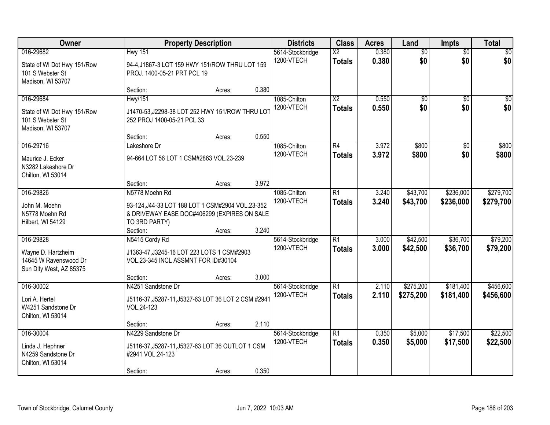| Owner                                                                               |                                                                                                                                    | <b>Property Description</b> |       | <b>Districts</b>               | <b>Class</b>                            | <b>Acres</b>   | Land                   | <b>Impts</b>           | <b>Total</b>           |
|-------------------------------------------------------------------------------------|------------------------------------------------------------------------------------------------------------------------------------|-----------------------------|-------|--------------------------------|-----------------------------------------|----------------|------------------------|------------------------|------------------------|
| 016-29682<br>State of WI Dot Hwy 151/Row<br>101 S Webster St<br>Madison, WI 53707   | <b>Hwy 151</b><br>94-4, J1867-3 LOT 159 HWY 151/ROW THRU LOT 159<br>PROJ. 1400-05-21 PRT PCL 19                                    |                             |       | 5614-Stockbridge<br>1200-VTECH | $\overline{X2}$<br><b>Totals</b>        | 0.380<br>0.380 | $\overline{50}$<br>\$0 | $\overline{50}$<br>\$0 | \$0<br>\$0             |
|                                                                                     | Section:                                                                                                                           | Acres:                      | 0.380 |                                |                                         |                |                        |                        |                        |
| 016-29684<br>State of WI Dot Hwy 151/Row<br>101 S Webster St<br>Madison, WI 53707   | <b>Hwy/151</b><br>J1470-53, J2298-38 LOT 252 HWY 151/ROW THRU LOT<br>252 PROJ 1400-05-21 PCL 33                                    |                             |       | 1085-Chilton<br>1200-VTECH     | $\overline{\text{X2}}$<br><b>Totals</b> | 0.550<br>0.550 | $\overline{50}$<br>\$0 | $\overline{50}$<br>\$0 | \$0<br>\$0             |
|                                                                                     | Section:                                                                                                                           | Acres:                      | 0.550 |                                |                                         |                |                        |                        |                        |
| 016-29716<br>Maurice J. Ecker<br>N3282 Lakeshore Dr<br>Chilton, WI 53014            | Lakeshore Dr<br>94-664 LOT 56 LOT 1 CSM#2863 VOL.23-239                                                                            |                             |       | 1085-Chilton<br>1200-VTECH     | R4<br><b>Totals</b>                     | 3.972<br>3.972 | \$800<br>\$800         | \$0<br>\$0             | \$800<br>\$800         |
|                                                                                     | Section:                                                                                                                           | Acres:                      | 3.972 |                                |                                         |                |                        |                        |                        |
| 016-29826<br>John M. Moehn<br>N5778 Moehn Rd<br>Hilbert, WI 54129                   | N5778 Moehn Rd<br>93-124, J44-33 LOT 188 LOT 1 CSM#2904 VOL.23-352<br>& DRIVEWAY EASE DOC#406299 (EXPIRES ON SALE<br>TO 3RD PARTY) |                             |       | 1085-Chilton<br>1200-VTECH     | R1<br><b>Totals</b>                     | 3.240<br>3.240 | \$43,700<br>\$43,700   | \$236,000<br>\$236,000 | \$279,700<br>\$279,700 |
|                                                                                     | Section:                                                                                                                           | Acres:                      | 3.240 |                                |                                         |                |                        |                        |                        |
| 016-29828<br>Wayne D. Hartzheim<br>14645 W Ravenswood Dr<br>Sun Dity West, AZ 85375 | N5415 Cordy Rd<br>J1363-47, J3245-16 LOT 223 LOTS 1 CSM#2903<br>VOL.23-345 INCL ASSMNT FOR ID#30104                                |                             |       | 5614-Stockbridge<br>1200-VTECH | $\overline{R1}$<br><b>Totals</b>        | 3.000<br>3.000 | \$42,500<br>\$42,500   | \$36,700<br>\$36,700   | \$79,200<br>\$79,200   |
|                                                                                     | Section:                                                                                                                           | Acres:                      | 3.000 |                                |                                         |                |                        |                        |                        |
| 016-30002<br>Lori A. Hertel<br>W4251 Sandstone Dr<br>Chilton, WI 53014              | N4251 Sandstone Dr<br>J5116-37, J5287-11, J5327-63 LOT 36 LOT 2 CSM #2941<br>VOL.24-123                                            |                             |       | 5614-Stockbridge<br>1200-VTECH | R1<br><b>Totals</b>                     | 2.110<br>2.110 | \$275,200<br>\$275,200 | \$181,400<br>\$181,400 | \$456,600<br>\$456,600 |
|                                                                                     | Section:                                                                                                                           | Acres:                      | 2.110 |                                |                                         |                |                        |                        |                        |
| 016-30004<br>Linda J. Hephner<br>N4259 Sandstone Dr<br>Chilton, WI 53014            | N4229 Sandstone Dr<br>J5116-37, J5287-11, J5327-63 LOT 36 OUTLOT 1 CSM<br>#2941 VOL.24-123<br>Section:                             | Acres:                      | 0.350 | 5614-Stockbridge<br>1200-VTECH | R1<br><b>Totals</b>                     | 0.350<br>0.350 | \$5,000<br>\$5,000     | \$17,500<br>\$17,500   | \$22,500<br>\$22,500   |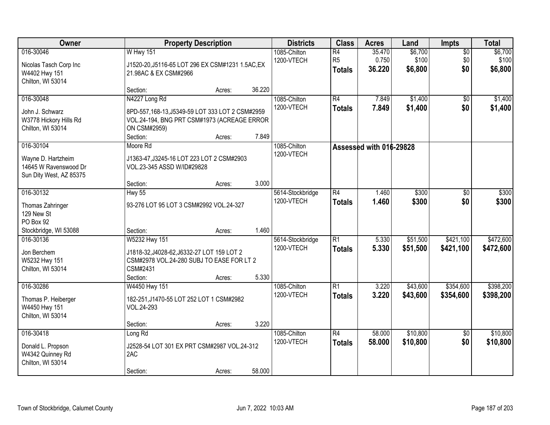| <b>Owner</b>                                                                            |                                                                                                                                              | <b>Property Description</b> |                | <b>Districts</b>               | <b>Class</b>                          | <b>Acres</b>              | Land                        | Impts                         | <b>Total</b>                |
|-----------------------------------------------------------------------------------------|----------------------------------------------------------------------------------------------------------------------------------------------|-----------------------------|----------------|--------------------------------|---------------------------------------|---------------------------|-----------------------------|-------------------------------|-----------------------------|
| 016-30046<br>Nicolas Tasch Corp Inc<br>W4402 Hwy 151<br>Chilton, WI 53014               | <b>W Hwy 151</b><br>J1520-20, J5116-65 LOT 296 EX CSM#1231 1.5AC, EX<br>21.98AC & EX CSM#2966                                                |                             |                | 1085-Chilton<br>1200-VTECH     | R4<br>R <sub>5</sub><br><b>Totals</b> | 35.470<br>0.750<br>36.220 | \$6,700<br>\$100<br>\$6,800 | $\overline{50}$<br>\$0<br>\$0 | \$6,700<br>\$100<br>\$6,800 |
|                                                                                         | Section:                                                                                                                                     | Acres:                      | 36.220         |                                |                                       |                           |                             |                               |                             |
| 016-30048<br>John J. Schwarz<br>W3778 Hickory Hills Rd<br>Chilton, WI 53014             | N4227 Long Rd<br>8PD-557,168-13, J5349-59 LOT 333 LOT 2 CSM#2959<br>VOL.24-194, BNG PRT CSM#1973 (ACREAGE ERROR<br>ON CSM#2959)<br>Section:  | Acres:                      | 7.849          | 1085-Chilton<br>1200-VTECH     | R4<br><b>Totals</b>                   | 7.849<br>7.849            | \$1,400<br>\$1,400          | \$0<br>\$0                    | \$1,400<br>\$1,400          |
| 016-30104<br>Wayne D. Hartzheim<br>14645 W Ravenswood Dr<br>Sun Dity West, AZ 85375     | Moore Rd<br>J1363-47, J3245-16 LOT 223 LOT 2 CSM#2903<br>VOL.23-345 ASSD W/ID#29828<br>Section:                                              | Acres:                      | 3.000          | 1085-Chilton<br>1200-VTECH     |                                       | Assessed with 016-29828   |                             |                               |                             |
| 016-30132<br>Thomas Zahringer<br>129 New St<br>PO Box 92                                | <b>Hwy 55</b><br>93-276 LOT 95 LOT 3 CSM#2992 VOL.24-327                                                                                     |                             |                | 5614-Stockbridge<br>1200-VTECH | $\overline{R4}$<br><b>Totals</b>      | 1.460<br>1.460            | \$300<br>\$300              | \$0<br>\$0                    | \$300<br>\$300              |
| Stockbridge, WI 53088<br>016-30136<br>Jon Berchem<br>W5232 Hwy 151<br>Chilton, WI 53014 | Section:<br>W5232 Hwy 151<br>J1818-32, J4028-62, J6332-27 LOT 159 LOT 2<br>CSM#2978 VOL.24-280 SUBJ TO EASE FOR LT 2<br>CSM#2431<br>Section: | Acres:<br>Acres:            | 1.460<br>5.330 | 5614-Stockbridge<br>1200-VTECH | $\overline{R1}$<br><b>Totals</b>      | 5.330<br>5.330            | \$51,500<br>\$51,500        | \$421,100<br>\$421,100        | \$472,600<br>\$472,600      |
| 016-30286<br>Thomas P. Heiberger<br>W4450 Hwy 151<br>Chilton, WI 53014                  | W4450 Hwy 151<br>182-251, J1470-55 LOT 252 LOT 1 CSM#2982<br>VOL.24-293<br>Section:                                                          | Acres:                      | 3.220          | 1085-Chilton<br>1200-VTECH     | $\overline{R1}$<br><b>Totals</b>      | 3.220<br>3.220            | \$43,600<br>\$43,600        | \$354,600<br>\$354,600        | \$398,200<br>\$398,200      |
| 016-30418<br>Donald L. Propson<br>W4342 Quinney Rd<br>Chilton, WI 53014                 | Long Rd<br>J2528-54 LOT 301 EX PRT CSM#2987 VOL.24-312<br>2AC<br>Section:                                                                    | Acres:                      | 58.000         | 1085-Chilton<br>1200-VTECH     | $\overline{R4}$<br><b>Totals</b>      | 58.000<br>58.000          | \$10,800<br>\$10,800        | $\overline{50}$<br>\$0        | \$10,800<br>\$10,800        |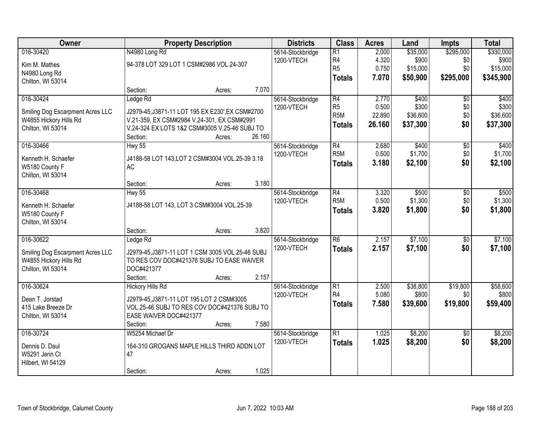| Owner                            |                                                  | <b>Property Description</b> |        | <b>Districts</b> | <b>Class</b>     | <b>Acres</b> | Land     | <b>Impts</b>    | <b>Total</b> |
|----------------------------------|--------------------------------------------------|-----------------------------|--------|------------------|------------------|--------------|----------|-----------------|--------------|
| 016-30420                        | N4980 Long Rd                                    |                             |        | 5614-Stockbridge | $\overline{R1}$  | 2.000        | \$35,000 | \$295,000       | \$330,000    |
| Kim M. Mathes                    | 94-378 LOT 329 LOT 1 CSM#2986 VOL.24-307         |                             |        | 1200-VTECH       | R <sub>4</sub>   | 4.320        | \$900    | \$0             | \$900        |
| N4980 Long Rd                    |                                                  |                             |        |                  | R <sub>5</sub>   | 0.750        | \$15,000 | \$0             | \$15,000     |
| Chilton, WI 53014                |                                                  |                             |        |                  | <b>Totals</b>    | 7.070        | \$50,900 | \$295,000       | \$345,900    |
|                                  | Section:                                         | Acres:                      | 7.070  |                  |                  |              |          |                 |              |
| 016-30424                        | Ledge Rd                                         |                             |        | 5614-Stockbridge | R4               | 2.770        | \$400    | $\overline{50}$ | \$400        |
| Smiling Dog Escarpment Acres LLC | J2979-45, J3871-11 LOT 195 EX E230', EX CSM#2700 |                             |        | 1200-VTECH       | R <sub>5</sub>   | 0.500        | \$300    | \$0             | \$300        |
| W4855 Hickory Hills Rd           | V.21-359, EX CSM#2984 V.24-301, EX CSM#2991      |                             |        |                  | R <sub>5</sub> M | 22.890       | \$36,600 | \$0             | \$36,600     |
| Chilton, WI 53014                | V.24-324 EX LOTS 1&2 CSM#3005 V.25-46 SUBJ TO    |                             |        |                  | <b>Totals</b>    | 26.160       | \$37,300 | \$0             | \$37,300     |
|                                  | Section:                                         | Acres:                      | 26.160 |                  |                  |              |          |                 |              |
| 016-30466                        | <b>Hwy 55</b>                                    |                             |        | 5614-Stockbridge | $\overline{R4}$  | 2.680        | \$400    | $\overline{50}$ | \$400        |
| Kenneth H. Schaefer              | J4188-58 LOT 143, LOT 2 CSM#3004 VOL.25-39 3.18  |                             |        | 1200-VTECH       | R <sub>5</sub> M | 0.500        | \$1,700  | \$0             | \$1,700      |
| W5180 County F                   | <b>AC</b>                                        |                             |        |                  | <b>Totals</b>    | 3.180        | \$2,100  | \$0             | \$2,100      |
| Chilton, WI 53014                |                                                  |                             |        |                  |                  |              |          |                 |              |
|                                  | Section:                                         | Acres:                      | 3.180  |                  |                  |              |          |                 |              |
| 016-30468                        | Hwy 55                                           |                             |        | 5614-Stockbridge | $\overline{R4}$  | 3.320        | \$500    | \$0             | \$500        |
| Kenneth H. Schaefer              | J4188-58 LOT 143, LOT 3 CSM#3004 VOL.25-39       |                             |        | 1200-VTECH       | R <sub>5</sub> M | 0.500        | \$1,300  | \$0             | \$1,300      |
| W5180 County F                   |                                                  |                             |        |                  | <b>Totals</b>    | 3.820        | \$1,800  | \$0             | \$1,800      |
| Chilton, WI 53014                |                                                  |                             |        |                  |                  |              |          |                 |              |
|                                  | Section:                                         | Acres:                      | 3.820  |                  |                  |              |          |                 |              |
| 016-30622                        | Ledge Rd                                         |                             |        | 5614-Stockbridge | $\overline{R6}$  | 2.157        | \$7,100  | $\overline{50}$ | \$7,100      |
| Smiling Dog Escarpment Acres LLC | J2979-45, J3871-11 LOT 1 CSM 3005 VOL 25-46 SUBJ |                             |        | 1200-VTECH       | <b>Totals</b>    | 2.157        | \$7,100  | \$0             | \$7,100      |
| W4855 Hickory Hills Rd           | TO RES COV DOC#421376 SUBJ TO EASE WAIVER        |                             |        |                  |                  |              |          |                 |              |
| Chilton, WI 53014                | DOC#421377                                       |                             |        |                  |                  |              |          |                 |              |
|                                  | Section:                                         | Acres:                      | 2.157  |                  |                  |              |          |                 |              |
| 016-30624                        | <b>Hickory Hills Rd</b>                          |                             |        | 5614-Stockbridge | $\overline{R1}$  | 2.500        | \$38,800 | \$19,800        | \$58,600     |
| Dean T. Jorstad                  | J2979-45, J3871-11 LOT 195 LOT 2 CSM#3005        |                             |        | 1200-VTECH       | R <sub>4</sub>   | 5.080        | \$800    | \$0             | \$800        |
| 415 Lake Breeze Dr               | VOL.25-46 SUBJ TO RES COV DOC#421376 SUBJ TO     |                             |        |                  | <b>Totals</b>    | 7.580        | \$39,600 | \$19,800        | \$59,400     |
| Chilton, WI 53014                | EASE WAIVER DOC#421377                           |                             |        |                  |                  |              |          |                 |              |
|                                  | Section:                                         | Acres:                      | 7.580  |                  |                  |              |          |                 |              |
| 016-30724                        | W5254 Michael Dr                                 |                             |        | 5614-Stockbridge | $\overline{R1}$  | 1.025        | \$8,200  | $\overline{50}$ | \$8,200      |
| Dennis D. Daul                   | 164-310 GROGANS MAPLE HILLS THIRD ADDN LOT       |                             |        | 1200-VTECH       | <b>Totals</b>    | 1.025        | \$8,200  | \$0             | \$8,200      |
| W5291 Jerin Ct                   | 47                                               |                             |        |                  |                  |              |          |                 |              |
| Hilbert, WI 54129                |                                                  |                             |        |                  |                  |              |          |                 |              |
|                                  | Section:                                         | Acres:                      | 1.025  |                  |                  |              |          |                 |              |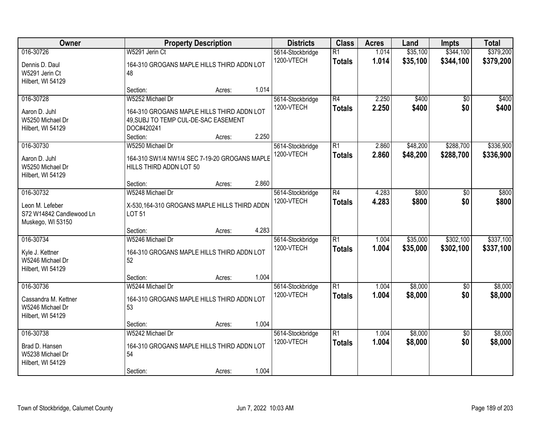| Owner                                                                         | <b>Property Description</b>                                                                                                                | <b>Districts</b>                                 | <b>Class</b>                     | <b>Acres</b>   | Land                 | <b>Impts</b>           | <b>Total</b>           |
|-------------------------------------------------------------------------------|--------------------------------------------------------------------------------------------------------------------------------------------|--------------------------------------------------|----------------------------------|----------------|----------------------|------------------------|------------------------|
| 016-30726<br>Dennis D. Daul<br>W5291 Jerin Ct<br>Hilbert, WI 54129            | W5291 Jerin Ct<br>164-310 GROGANS MAPLE HILLS THIRD ADDN LOT<br>48                                                                         | 5614-Stockbridge<br>1200-VTECH                   | $\overline{R1}$<br><b>Totals</b> | 1.014<br>1.014 | \$35,100<br>\$35,100 | \$344,100<br>\$344,100 | \$379,200<br>\$379,200 |
|                                                                               | Section:<br>Acres:                                                                                                                         | 1.014                                            |                                  |                |                      |                        |                        |
| 016-30728<br>Aaron D. Juhl<br>W5250 Michael Dr<br>Hilbert, WI 54129           | W5252 Michael Dr<br>164-310 GROGANS MAPLE HILLS THIRD ADDN LOT<br>49, SUBJ TO TEMP CUL-DE-SAC EASEMENT<br>DOC#420241<br>Section:<br>Acres: | 5614-Stockbridge<br>1200-VTECH<br>2.250          | $\overline{R4}$<br><b>Totals</b> | 2.250<br>2.250 | \$400<br>\$400       | $\overline{50}$<br>\$0 | \$400<br>\$400         |
| 016-30730<br>Aaron D. Juhl<br>W5250 Michael Dr<br>Hilbert, WI 54129           | W5250 Michael Dr<br>164-310 SW1/4 NW1/4 SEC 7-19-20 GROGANS MAPLE<br>HILLS THIRD ADDN LOT 50<br>Section:<br>Acres:                         | 5614-Stockbridge<br>1200-VTECH<br>2.860          | $\overline{R1}$<br><b>Totals</b> | 2.860<br>2.860 | \$48,200<br>\$48,200 | \$288,700<br>\$288,700 | \$336,900<br>\$336,900 |
| 016-30732<br>Leon M. Lefeber<br>S72 W14842 Candlewood Ln<br>Muskego, WI 53150 | W5248 Michael Dr<br>X-530,164-310 GROGANS MAPLE HILLS THIRD ADDN<br><b>LOT 51</b>                                                          | 5614-Stockbridge<br>1200-VTECH                   | $\overline{R4}$<br><b>Totals</b> | 4.283<br>4.283 | \$800<br>\$800       | \$0<br>\$0             | \$800<br>\$800         |
| 016-30734<br>Kyle J. Kettner<br>W5246 Michael Dr<br>Hilbert, WI 54129         | Section:<br>Acres:<br>W5246 Michael Dr<br>164-310 GROGANS MAPLE HILLS THIRD ADDN LOT<br>52<br>Section:<br>Acres:                           | 4.283<br>5614-Stockbridge<br>1200-VTECH<br>1.004 | $\overline{R1}$<br><b>Totals</b> | 1.004<br>1.004 | \$35,000<br>\$35,000 | \$302,100<br>\$302,100 | \$337,100<br>\$337,100 |
| 016-30736<br>Cassandra M. Kettner<br>W5246 Michael Dr<br>Hilbert, WI 54129    | W5244 Michael Dr<br>164-310 GROGANS MAPLE HILLS THIRD ADDN LOT<br>53<br>Section:<br>Acres:                                                 | 5614-Stockbridge<br>1200-VTECH<br>1.004          | $\overline{R1}$<br><b>Totals</b> | 1.004<br>1.004 | \$8,000<br>\$8,000   | $\overline{50}$<br>\$0 | \$8,000<br>\$8,000     |
| 016-30738<br>Brad D. Hansen<br>W5238 Michael Dr<br>Hilbert, WI 54129          | W5242 Michael Dr<br>164-310 GROGANS MAPLE HILLS THIRD ADDN LOT<br>54<br>Section:<br>Acres:                                                 | 5614-Stockbridge<br>1200-VTECH<br>1.004          | $\overline{R1}$<br><b>Totals</b> | 1.004<br>1.004 | \$8,000<br>\$8,000   | $\overline{50}$<br>\$0 | \$8,000<br>\$8,000     |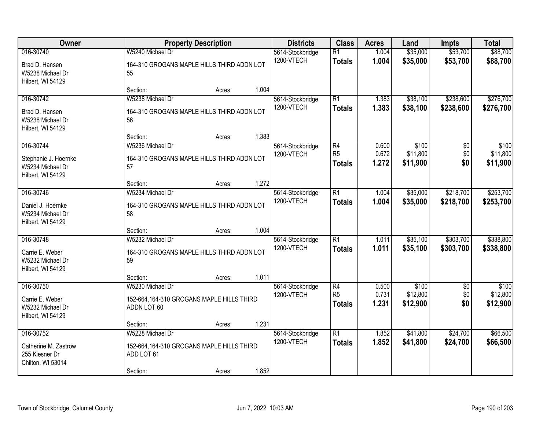| Owner                                                                      | <b>Property Description</b>                                                             |        |       | <b>Districts</b>               | <b>Class</b>                          | <b>Acres</b>            | Land                          | <b>Impts</b>           | <b>Total</b>                  |
|----------------------------------------------------------------------------|-----------------------------------------------------------------------------------------|--------|-------|--------------------------------|---------------------------------------|-------------------------|-------------------------------|------------------------|-------------------------------|
| 016-30740<br>Brad D. Hansen<br>W5238 Michael Dr                            | W5240 Michael Dr<br>164-310 GROGANS MAPLE HILLS THIRD ADDN LOT<br>55                    |        |       | 5614-Stockbridge<br>1200-VTECH | $\overline{R1}$<br><b>Totals</b>      | 1.004<br>1.004          | \$35,000<br>\$35,000          | \$53,700<br>\$53,700   | \$88,700<br>\$88,700          |
| Hilbert, WI 54129                                                          | Section:                                                                                | Acres: | 1.004 |                                |                                       |                         |                               |                        |                               |
| 016-30742<br>Brad D. Hansen<br>W5238 Michael Dr<br>Hilbert, WI 54129       | W5238 Michael Dr<br>164-310 GROGANS MAPLE HILLS THIRD ADDN LOT<br>56                    |        |       | 5614-Stockbridge<br>1200-VTECH | $\overline{R1}$<br><b>Totals</b>      | 1.383<br>1.383          | \$38,100<br>\$38,100          | \$238,600<br>\$238,600 | \$276,700<br>\$276,700        |
| 016-30744<br>Stephanie J. Hoernke<br>W5234 Michael Dr<br>Hilbert, WI 54129 | Section:<br>W5236 Michael Dr<br>164-310 GROGANS MAPLE HILLS THIRD ADDN LOT<br>57        | Acres: | 1.383 | 5614-Stockbridge<br>1200-VTECH | R4<br>R <sub>5</sub><br><b>Totals</b> | 0.600<br>0.672<br>1.272 | \$100<br>\$11,800<br>\$11,900 | \$0<br>\$0<br>\$0      | \$100<br>\$11,800<br>\$11,900 |
|                                                                            | Section:                                                                                | Acres: | 1.272 |                                |                                       |                         |                               |                        |                               |
| 016-30746<br>Daniel J. Hoernke<br>W5234 Michael Dr<br>Hilbert, WI 54129    | W5234 Michael Dr<br>164-310 GROGANS MAPLE HILLS THIRD ADDN LOT<br>58                    |        |       | 5614-Stockbridge<br>1200-VTECH | $\overline{R1}$<br><b>Totals</b>      | 1.004<br>1.004          | \$35,000<br>\$35,000          | \$218,700<br>\$218,700 | \$253,700<br>\$253,700        |
|                                                                            | Section:                                                                                | Acres: | 1.004 |                                |                                       |                         |                               |                        |                               |
| 016-30748<br>Carrie E. Weber<br>W5232 Michael Dr<br>Hilbert, WI 54129      | W5232 Michael Dr<br>164-310 GROGANS MAPLE HILLS THIRD ADDN LOT<br>59                    |        |       | 5614-Stockbridge<br>1200-VTECH | $\overline{R1}$<br><b>Totals</b>      | 1.011<br>1.011          | \$35,100<br>\$35,100          | \$303,700<br>\$303,700 | \$338,800<br>\$338,800        |
| 016-30750                                                                  | Section:<br>W5230 Michael Dr                                                            | Acres: | 1.011 | 5614-Stockbridge               | $\overline{R4}$                       | 0.500                   | \$100                         | $\overline{50}$        | \$100                         |
| Carrie E. Weber<br>W5232 Michael Dr<br>Hilbert, WI 54129                   | 152-664,164-310 GROGANS MAPLE HILLS THIRD<br>ADDN LOT 60                                |        |       | 1200-VTECH                     | R <sub>5</sub><br><b>Totals</b>       | 0.731<br>1.231          | \$12,800<br>\$12,900          | \$0<br>\$0             | \$12,800<br>\$12,900          |
|                                                                            | Section:                                                                                | Acres: | 1.231 |                                |                                       |                         |                               |                        |                               |
| 016-30752<br>Catherine M. Zastrow<br>255 Kiesner Dr<br>Chilton, WI 53014   | W5228 Michael Dr<br>152-664,164-310 GROGANS MAPLE HILLS THIRD<br>ADD LOT 61<br>Section: | Acres: | 1.852 | 5614-Stockbridge<br>1200-VTECH | $\overline{R1}$<br><b>Totals</b>      | 1.852<br>1.852          | \$41,800<br>\$41,800          | \$24,700<br>\$24,700   | \$66,500<br>\$66,500          |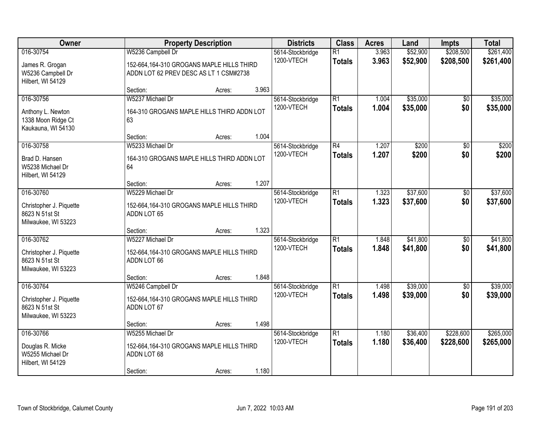| Owner                                                                         | <b>Property Description</b>                                                                              |        |       | <b>Districts</b>               | <b>Class</b>                     | <b>Acres</b>   | Land                 | <b>Impts</b>           | <b>Total</b>           |
|-------------------------------------------------------------------------------|----------------------------------------------------------------------------------------------------------|--------|-------|--------------------------------|----------------------------------|----------------|----------------------|------------------------|------------------------|
| 016-30754<br>James R. Grogan<br>W5236 Campbell Dr<br>Hilbert, WI 54129        | W5236 Campbell Dr<br>152-664,164-310 GROGANS MAPLE HILLS THIRD<br>ADDN LOT 62 PREV DESC AS LT 1 CSM#2738 |        |       | 5614-Stockbridge<br>1200-VTECH | $\overline{R1}$<br><b>Totals</b> | 3.963<br>3.963 | \$52,900<br>\$52,900 | \$208,500<br>\$208,500 | \$261,400<br>\$261,400 |
|                                                                               | Section:                                                                                                 | Acres: | 3.963 |                                |                                  |                |                      |                        |                        |
| 016-30756<br>Anthony L. Newton<br>1338 Moon Ridge Ct<br>Kaukauna, WI 54130    | W5237 Michael Dr<br>164-310 GROGANS MAPLE HILLS THIRD ADDN LOT<br>63                                     |        | 1.004 | 5614-Stockbridge<br>1200-VTECH | $\overline{R1}$<br><b>Totals</b> | 1.004<br>1.004 | \$35,000<br>\$35,000 | $\overline{50}$<br>\$0 | \$35,000<br>\$35,000   |
| 016-30758                                                                     | Section:<br>W5233 Michael Dr                                                                             | Acres: |       | 5614-Stockbridge               | $\overline{R4}$                  | 1.207          | \$200                | \$0                    | \$200                  |
| Brad D. Hansen<br>W5238 Michael Dr<br>Hilbert, WI 54129                       | 164-310 GROGANS MAPLE HILLS THIRD ADDN LOT<br>64                                                         |        |       | 1200-VTECH                     | <b>Totals</b>                    | 1.207          | \$200                | \$0                    | \$200                  |
|                                                                               | Section:                                                                                                 | Acres: | 1.207 |                                |                                  |                |                      |                        |                        |
| 016-30760<br>Christopher J. Piquette<br>8623 N 51st St<br>Milwaukee, WI 53223 | W5229 Michael Dr<br>152-664, 164-310 GROGANS MAPLE HILLS THIRD<br>ADDN LOT 65                            |        |       | 5614-Stockbridge<br>1200-VTECH | $\overline{R1}$<br><b>Totals</b> | 1.323<br>1.323 | \$37,600<br>\$37,600 | \$0<br>\$0             | \$37,600<br>\$37,600   |
|                                                                               | Section:                                                                                                 | Acres: | 1.323 |                                |                                  |                |                      |                        |                        |
| 016-30762<br>Christopher J. Piquette<br>8623 N 51st St<br>Milwaukee, WI 53223 | W5227 Michael Dr<br>152-664,164-310 GROGANS MAPLE HILLS THIRD<br>ADDN LOT 66                             |        |       | 5614-Stockbridge<br>1200-VTECH | $\overline{R1}$<br><b>Totals</b> | 1.848<br>1.848 | \$41,800<br>\$41,800 | $\overline{50}$<br>\$0 | \$41,800<br>\$41,800   |
|                                                                               | Section:                                                                                                 | Acres: | 1.848 |                                |                                  |                |                      |                        |                        |
| 016-30764<br>Christopher J. Piquette<br>8623 N 51st St<br>Milwaukee, WI 53223 | W5246 Campbell Dr<br>152-664,164-310 GROGANS MAPLE HILLS THIRD<br>ADDN LOT 67                            |        |       | 5614-Stockbridge<br>1200-VTECH | $\overline{R1}$<br><b>Totals</b> | 1.498<br>1.498 | \$39,000<br>\$39,000 | $\overline{50}$<br>\$0 | \$39,000<br>\$39,000   |
|                                                                               | Section:                                                                                                 | Acres: | 1.498 |                                |                                  |                |                      |                        |                        |
| 016-30766<br>Douglas R. Micke<br>W5255 Michael Dr<br>Hilbert, WI 54129        | W5255 Michael Dr<br>152-664,164-310 GROGANS MAPLE HILLS THIRD<br>ADDN LOT 68<br>Section:                 | Acres: | 1.180 | 5614-Stockbridge<br>1200-VTECH | $\overline{R1}$<br><b>Totals</b> | 1.180<br>1.180 | \$36,400<br>\$36,400 | \$228,600<br>\$228,600 | \$265,000<br>\$265,000 |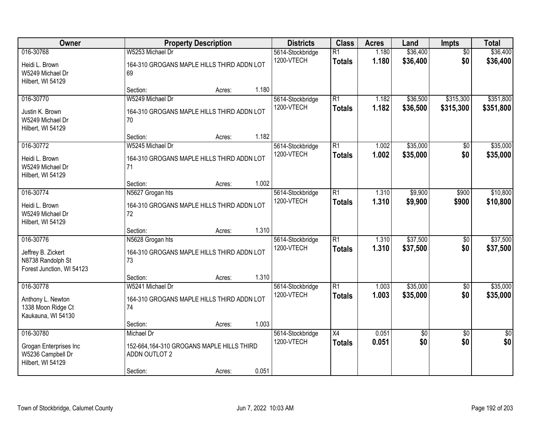| Owner                                                                |                                                                      | <b>Property Description</b> |       | <b>Districts</b>               | <b>Class</b>                     | <b>Acres</b>   | Land                 | Impts                  | <b>Total</b>         |
|----------------------------------------------------------------------|----------------------------------------------------------------------|-----------------------------|-------|--------------------------------|----------------------------------|----------------|----------------------|------------------------|----------------------|
| 016-30768<br>Heidi L. Brown<br>W5249 Michael Dr                      | W5253 Michael Dr<br>164-310 GROGANS MAPLE HILLS THIRD ADDN LOT<br>69 |                             |       | 5614-Stockbridge<br>1200-VTECH | $\overline{R1}$<br><b>Totals</b> | 1.180<br>1.180 | \$36,400<br>\$36,400 | $\overline{50}$<br>\$0 | \$36,400<br>\$36,400 |
| Hilbert, WI 54129                                                    | Section:                                                             | Acres:                      | 1.180 |                                |                                  |                |                      |                        |                      |
| 016-30770                                                            | W5249 Michael Dr                                                     |                             |       | 5614-Stockbridge               | $\overline{R1}$                  | 1.182          | \$36,500             | \$315,300              | \$351,800            |
| Justin K. Brown<br>W5249 Michael Dr<br>Hilbert, WI 54129             | 164-310 GROGANS MAPLE HILLS THIRD ADDN LOT<br>70                     |                             |       | 1200-VTECH                     | <b>Totals</b>                    | 1.182          | \$36,500             | \$315,300              | \$351,800            |
|                                                                      | Section:                                                             | Acres:                      | 1.182 |                                |                                  |                |                      |                        |                      |
| 016-30772                                                            | W5245 Michael Dr                                                     |                             |       | 5614-Stockbridge<br>1200-VTECH | $\overline{R1}$<br><b>Totals</b> | 1.002<br>1.002 | \$35,000<br>\$35,000 | \$0<br>\$0             | \$35,000<br>\$35,000 |
| Heidi L. Brown<br>W5249 Michael Dr<br>Hilbert, WI 54129              | 164-310 GROGANS MAPLE HILLS THIRD ADDN LOT<br>71                     |                             |       |                                |                                  |                |                      |                        |                      |
|                                                                      | Section:                                                             | Acres:                      | 1.002 |                                |                                  |                |                      |                        |                      |
| 016-30774                                                            | N5627 Grogan hts                                                     |                             |       | 5614-Stockbridge               | $\overline{R1}$                  | 1.310          | \$9,900              | \$900                  | \$10,800             |
| Heidi L. Brown<br>W5249 Michael Dr<br>Hilbert, WI 54129              | 164-310 GROGANS MAPLE HILLS THIRD ADDN LOT<br>72                     |                             |       | 1200-VTECH                     | <b>Totals</b>                    | 1.310          | \$9,900              | \$900                  | \$10,800             |
|                                                                      | Section:                                                             | Acres:                      | 1.310 |                                |                                  |                |                      |                        |                      |
| 016-30776                                                            | N5628 Grogan hts                                                     |                             |       | 5614-Stockbridge               | $\overline{R1}$                  | 1.310          | \$37,500             | $\overline{50}$        | \$37,500             |
| Jeffrey B. Zickert<br>N8738 Randolph St<br>Forest Junction, WI 54123 | 164-310 GROGANS MAPLE HILLS THIRD ADDN LOT<br>73                     |                             |       | 1200-VTECH                     | <b>Totals</b>                    | 1.310          | \$37,500             | \$0                    | \$37,500             |
|                                                                      | Section:                                                             | Acres:                      | 1.310 |                                |                                  |                |                      |                        |                      |
| 016-30778                                                            | W5241 Michael Dr                                                     |                             |       | 5614-Stockbridge               | $\overline{R1}$                  | 1.003          | \$35,000             | $\overline{60}$        | \$35,000             |
| Anthony L. Newton<br>1338 Moon Ridge Ct<br>Kaukauna, WI 54130        | 164-310 GROGANS MAPLE HILLS THIRD ADDN LOT<br>74                     |                             |       | 1200-VTECH                     | <b>Totals</b>                    | 1.003          | \$35,000             | \$0                    | \$35,000             |
|                                                                      | Section:                                                             | Acres:                      | 1.003 |                                |                                  |                |                      |                        |                      |
| 016-30780                                                            | Michael Dr                                                           |                             |       | 5614-Stockbridge               | $\overline{X4}$                  | 0.051          | \$0                  | $\overline{50}$        | $\overline{50}$      |
| Grogan Enterprises Inc<br>W5236 Campbell Dr<br>Hilbert, WI 54129     | 152-664,164-310 GROGANS MAPLE HILLS THIRD<br>ADDN OUTLOT 2           |                             |       | 1200-VTECH                     | <b>Totals</b>                    | 0.051          | \$0                  | \$0                    | \$0                  |
|                                                                      | Section:                                                             | Acres:                      | 0.051 |                                |                                  |                |                      |                        |                      |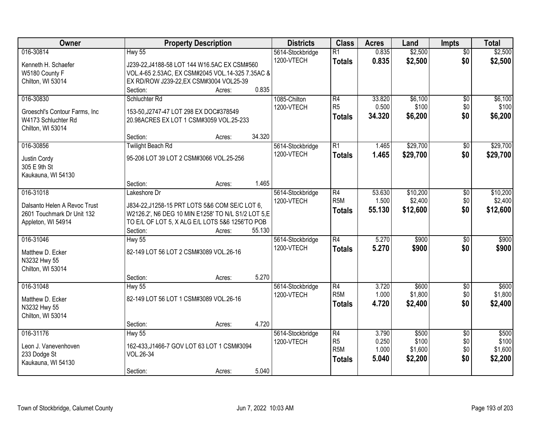| Owner                             |                                                    | <b>Property Description</b> |        | <b>Districts</b> | <b>Class</b>     | <b>Acres</b> | Land     | <b>Impts</b>    | <b>Total</b> |
|-----------------------------------|----------------------------------------------------|-----------------------------|--------|------------------|------------------|--------------|----------|-----------------|--------------|
| 016-30814                         | <b>Hwy 55</b>                                      |                             |        | 5614-Stockbridge | R1               | 0.835        | \$2,500  | $\overline{50}$ | \$2,500      |
| Kenneth H. Schaefer               | J239-22, J4188-58 LOT 144 W16.5AC EX CSM#560       |                             |        | 1200-VTECH       | <b>Totals</b>    | 0.835        | \$2,500  | \$0             | \$2,500      |
| W5180 County F                    | VOL.4-65 2.53AC, EX CSM#2045 VOL.14-325 7.35AC &   |                             |        |                  |                  |              |          |                 |              |
| Chilton, WI 53014                 | EX RD/ROW J239-22, EX CSM#3004 VOL25-39            |                             |        |                  |                  |              |          |                 |              |
|                                   | Section:                                           | Acres:                      | 0.835  |                  |                  |              |          |                 |              |
| 016-30830                         | Schluchter Rd                                      |                             |        | 1085-Chilton     | R4               | 33.820       | \$6,100  | $\overline{50}$ | \$6,100      |
| Groeschl's Contour Farms, Inc.    | 153-50, J2747-47 LOT 298 EX DOC#378549             |                             |        | 1200-VTECH       | R <sub>5</sub>   | 0.500        | \$100    | \$0             | \$100        |
| W4173 Schluchter Rd               | 20.98ACRES EX LOT 1 CSM#3059 VOL.25-233            |                             |        |                  | <b>Totals</b>    | 34.320       | \$6,200  | \$0             | \$6,200      |
| Chilton, WI 53014                 |                                                    |                             |        |                  |                  |              |          |                 |              |
|                                   | Section:                                           | Acres:                      | 34.320 |                  |                  |              |          |                 |              |
| 016-30856                         | <b>Twilight Beach Rd</b>                           |                             |        | 5614-Stockbridge | $\overline{R1}$  | 1.465        | \$29,700 | $\sqrt[6]{3}$   | \$29,700     |
| Justin Cordy                      | 95-206 LOT 39 LOT 2 CSM#3066 VOL.25-256            |                             |        | 1200-VTECH       | <b>Totals</b>    | 1.465        | \$29,700 | \$0             | \$29,700     |
| 305 E 9th St                      |                                                    |                             |        |                  |                  |              |          |                 |              |
| Kaukauna, WI 54130                |                                                    |                             |        |                  |                  |              |          |                 |              |
|                                   | Section:                                           | Acres:                      | 1.465  |                  |                  |              |          |                 |              |
| 016-31018                         | Lakeshore Dr                                       |                             |        | 5614-Stockbridge | R4               | 53.630       | \$10,200 | \$0             | \$10,200     |
| Dalsanto Helen A Revoc Trust      | J834-22, J1258-15 PRT LOTS 5&6 COM SE/C LOT 6,     |                             |        | 1200-VTECH       | R <sub>5M</sub>  | 1.500        | \$2,400  | \$0             | \$2,400      |
| 2601 Touchmark Dr Unit 132        | W2126.2', N6 DEG 10 MIN E1258' TO N/L S1/2 LOT 5,E |                             |        |                  | <b>Totals</b>    | 55.130       | \$12,600 | \$0             | \$12,600     |
| Appleton, WI 54914                | TO E/L OF LOT 5, X ALG E/L LOTS 5&6 1256'TO POB    |                             |        |                  |                  |              |          |                 |              |
|                                   | Section:                                           | Acres:                      | 55.130 |                  |                  |              |          |                 |              |
| 016-31046                         | $Hwy$ 55                                           |                             |        | 5614-Stockbridge | R4               | 5.270        | \$900    | \$0             | \$900        |
|                                   |                                                    |                             |        | 1200-VTECH       | <b>Totals</b>    | 5.270        | \$900    | \$0             | \$900        |
| Matthew D. Ecker                  | 82-149 LOT 56 LOT 2 CSM#3089 VOL.26-16             |                             |        |                  |                  |              |          |                 |              |
| N3232 Hwy 55<br>Chilton, WI 53014 |                                                    |                             |        |                  |                  |              |          |                 |              |
|                                   | Section:                                           | Acres:                      | 5.270  |                  |                  |              |          |                 |              |
| 016-31048                         | <b>Hwy 55</b>                                      |                             |        | 5614-Stockbridge | R4               | 3.720        | \$600    | $\overline{$0}$ | \$600        |
|                                   |                                                    |                             |        | 1200-VTECH       | R <sub>5</sub> M | 1.000        | \$1,800  | \$0             | \$1,800      |
| Matthew D. Ecker                  | 82-149 LOT 56 LOT 1 CSM#3089 VOL.26-16             |                             |        |                  | <b>Totals</b>    | 4.720        | \$2,400  | \$0             | \$2,400      |
| N3232 Hwy 55                      |                                                    |                             |        |                  |                  |              |          |                 |              |
| Chilton, WI 53014                 | Section:                                           |                             | 4.720  |                  |                  |              |          |                 |              |
| 016-31176                         | <b>Hwy 55</b>                                      | Acres:                      |        | 5614-Stockbridge | R4               | 3.790        | \$500    | $\overline{50}$ | \$500        |
|                                   |                                                    |                             |        | 1200-VTECH       | R5               | 0.250        | \$100    | \$0             | \$100        |
| Leon J. Vanevenhoven              | 162-433, J1466-7 GOV LOT 63 LOT 1 CSM#3094         |                             |        |                  | R <sub>5M</sub>  | 1.000        | \$1,600  | \$0             | \$1,600      |
| 233 Dodge St                      | VOL.26-34                                          |                             |        |                  | <b>Totals</b>    | 5.040        | \$2,200  | \$0             | \$2,200      |
| Kaukauna, WI 54130                |                                                    |                             |        |                  |                  |              |          |                 |              |
|                                   | Section:                                           | Acres:                      | 5.040  |                  |                  |              |          |                 |              |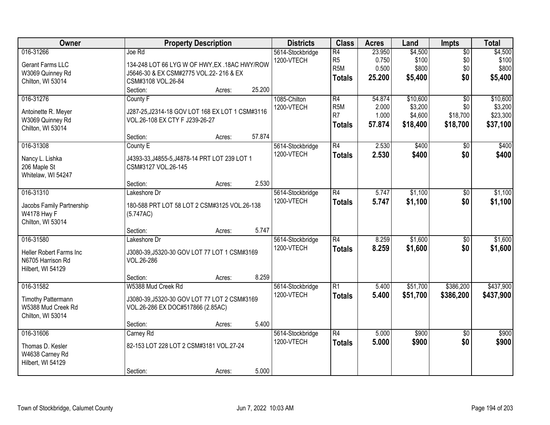| Owner                                                                             | <b>Property Description</b>                                                                                                                              | <b>Districts</b>               | <b>Class</b>                                             | <b>Acres</b>                       | Land                                       | <b>Impts</b>                                   | <b>Total</b>                                |
|-----------------------------------------------------------------------------------|----------------------------------------------------------------------------------------------------------------------------------------------------------|--------------------------------|----------------------------------------------------------|------------------------------------|--------------------------------------------|------------------------------------------------|---------------------------------------------|
| 016-31266<br>Gerant Farms LLC<br>W3069 Quinney Rd<br>Chilton, WI 53014            | Joe Rd<br>134-248 LOT 66 LYG W OF HWY, EX .18AC HWY/ROW<br>J5646-30 & EX CSM#2775 VOL.22- 216 & EX<br>CSM#3108 VOL.26-84<br>25.200<br>Section:<br>Acres: | 5614-Stockbridge<br>1200-VTECH | R4<br>R <sub>5</sub><br>R <sub>5M</sub><br><b>Totals</b> | 23.950<br>0.750<br>0.500<br>25.200 | \$4,500<br>\$100<br>\$800<br>\$5,400       | $\overline{50}$<br>\$0<br>\$0<br>\$0           | \$4,500<br>\$100<br>\$800<br>\$5,400        |
| 016-31276<br>Antoinette R. Meyer<br>W3069 Quinney Rd<br>Chilton, WI 53014         | County F<br>J287-25, J2314-18 GOV LOT 168 EX LOT 1 CSM#3116<br>VOL.26-108 EX CTY F J239-26-27<br>57.874<br>Section:<br>Acres:                            | 1085-Chilton<br>1200-VTECH     | R4<br>R <sub>5M</sub><br>R7<br><b>Totals</b>             | 54.874<br>2.000<br>1.000<br>57.874 | \$10,600<br>\$3,200<br>\$4,600<br>\$18,400 | $\overline{30}$<br>\$0<br>\$18,700<br>\$18,700 | \$10,600<br>\$3,200<br>\$23,300<br>\$37,100 |
| 016-31308<br>Nancy L. Lishka<br>206 Maple St<br>Whitelaw, WI 54247                | County E<br>J4393-33, J4855-5, J4878-14 PRT LOT 239 LOT 1<br>CSM#3127 VOL.26-145<br>2.530<br>Section:<br>Acres:                                          | 5614-Stockbridge<br>1200-VTECH | R4<br><b>Totals</b>                                      | 2.530<br>2.530                     | \$400<br>\$400                             | \$0<br>\$0                                     | \$400<br>\$400                              |
| 016-31310<br>Jacobs Family Partnership<br>W4178 Hwy F<br>Chilton, WI 53014        | Lakeshore Dr<br>180-588 PRT LOT 58 LOT 2 CSM#3125 VOL.26-138<br>(5.747AC)                                                                                | 5614-Stockbridge<br>1200-VTECH | R4<br><b>Totals</b>                                      | 5.747<br>5.747                     | \$1,100<br>\$1,100                         | $\sqrt[6]{}$<br>\$0                            | \$1,100<br>\$1,100                          |
| 016-31580<br>Heller Robert Farms Inc<br>N6705 Harrison Rd<br>Hilbert, WI 54129    | 5.747<br>Section:<br>Acres:<br>Lakeshore Dr<br>J3080-39, J5320-30 GOV LOT 77 LOT 1 CSM#3169<br>VOL.26-286<br>8.259<br>Section:<br>Acres:                 | 5614-Stockbridge<br>1200-VTECH | $\overline{R4}$<br>Totals                                | 8.259<br>8.259                     | \$1,600<br>\$1,600                         | $\overline{50}$<br>\$0                         | \$1,600<br>\$1,600                          |
| 016-31582<br><b>Timothy Pattermann</b><br>W5388 Mud Creek Rd<br>Chilton, WI 53014 | W5388 Mud Creek Rd<br>J3080-39, J5320-30 GOV LOT 77 LOT 2 CSM#3169<br>VOL.26-286 EX DOC#517866 (2.85AC)<br>5.400<br>Section:<br>Acres:                   | 5614-Stockbridge<br>1200-VTECH | R1<br><b>Totals</b>                                      | 5.400<br>5.400                     | \$51,700<br>\$51,700                       | \$386,200<br>\$386,200                         | \$437,900<br>\$437,900                      |
| 016-31606<br>Thomas D. Kesler<br>W4638 Carney Rd<br>Hilbert, WI 54129             | Carney Rd<br>82-153 LOT 228 LOT 2 CSM#3181 VOL.27-24<br>5.000<br>Section:<br>Acres:                                                                      | 5614-Stockbridge<br>1200-VTECH | R4<br><b>Totals</b>                                      | 5.000<br>5.000                     | \$900<br>\$900                             | $\overline{50}$<br>\$0                         | \$900<br>\$900                              |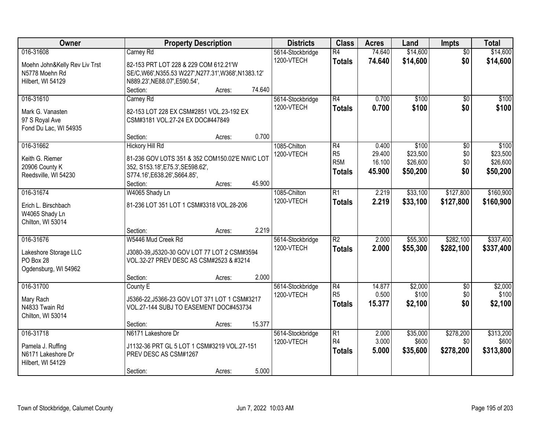| Owner                         | <b>Property Description</b>                           |        |        | <b>Districts</b> | <b>Class</b>             | <b>Acres</b> | Land     | <b>Impts</b>    | <b>Total</b> |
|-------------------------------|-------------------------------------------------------|--------|--------|------------------|--------------------------|--------------|----------|-----------------|--------------|
| 016-31608                     | Carney Rd                                             |        |        | 5614-Stockbridge | $\overline{R4}$          | 74.640       | \$14,600 | $\overline{50}$ | \$14,600     |
| Moehn John&Kelly Rev Liv Trst | 82-153 PRT LOT 228 & 229 COM 612.21'W                 |        |        | 1200-VTECH       | <b>Totals</b>            | 74.640       | \$14,600 | \$0             | \$14,600     |
| N5778 Moehn Rd                | SE/C, W66', N355.53 W227', N277.31', W368', N1383.12' |        |        |                  |                          |              |          |                 |              |
| Hilbert, WI 54129             | N889.23', NE88.07', E590.54',                         |        |        |                  |                          |              |          |                 |              |
|                               | Section:                                              | Acres: | 74.640 |                  |                          |              |          |                 |              |
| 016-31610                     | Carney Rd                                             |        |        | 5614-Stockbridge | R4                       | 0.700        | \$100    | $\overline{50}$ | \$100        |
| Mark G. Vanasten              | 82-153 LOT 228 EX CSM#2851 VOL.23-192 EX              |        |        | 1200-VTECH       | <b>Totals</b>            | 0.700        | \$100    | \$0             | \$100        |
| 97 S Royal Ave                | CSM#3181 VOL.27-24 EX DOC#447849                      |        |        |                  |                          |              |          |                 |              |
| Fond Du Lac, WI 54935         |                                                       |        |        |                  |                          |              |          |                 |              |
|                               | Section:                                              | Acres: | 0.700  |                  |                          |              |          |                 |              |
| 016-31662                     | <b>Hickory Hill Rd</b>                                |        |        | 1085-Chilton     | R4                       | 0.400        | \$100    | \$0             | \$100        |
| Keith G. Riemer               | 81-236 GOV LOTS 351 & 352 COM150.02'E NW/C LOT        |        |        | 1200-VTECH       | R <sub>5</sub>           | 29.400       | \$23,500 | \$0             | \$23,500     |
| 20906 County K                | 352, S153.18', E75.3', SE598.62',                     |        |        |                  | R <sub>5</sub> M         | 16.100       | \$26,600 | \$0             | \$26,600     |
| Reedsville, WI 54230          | S774.16', E638.26', S664.85',                         |        |        |                  | <b>Totals</b>            | 45,900       | \$50,200 | \$0             | \$50,200     |
|                               | Section:                                              | Acres: | 45.900 |                  |                          |              |          |                 |              |
| 016-31674                     | W4065 Shady Ln                                        |        |        | 1085-Chilton     | R1                       | 2.219        | \$33,100 | \$127,800       | \$160,900    |
| Erich L. Birschbach           | 81-236 LOT 351 LOT 1 CSM#3318 VOL.28-206              |        |        | 1200-VTECH       | <b>Totals</b>            | 2.219        | \$33,100 | \$127,800       | \$160,900    |
| W4065 Shady Ln                |                                                       |        |        |                  |                          |              |          |                 |              |
| Chilton, WI 53014             |                                                       |        |        |                  |                          |              |          |                 |              |
|                               | Section:                                              | Acres: | 2.219  |                  |                          |              |          |                 |              |
| 016-31676                     | W5446 Mud Creek Rd                                    |        |        | 5614-Stockbridge | $\overline{\mathsf{R2}}$ | 2.000        | \$55,300 | \$282,100       | \$337,400    |
| Lakeshore Storage LLC         | J3080-39, J5320-30 GOV LOT 77 LOT 2 CSM#3594          |        |        | 1200-VTECH       | <b>Totals</b>            | 2.000        | \$55,300 | \$282,100       | \$337,400    |
| PO Box 28                     | VOL.32-27 PREV DESC AS CSM#2523 & #3214               |        |        |                  |                          |              |          |                 |              |
| Ogdensburg, WI 54962          |                                                       |        |        |                  |                          |              |          |                 |              |
|                               | Section:                                              | Acres: | 2.000  |                  |                          |              |          |                 |              |
| 016-31700                     | County E                                              |        |        | 5614-Stockbridge | $\overline{R4}$          | 14.877       | \$2,000  | $\overline{50}$ | \$2,000      |
| Mary Rach                     | J5366-22, J5366-23 GOV LOT 371 LOT 1 CSM#3217         |        |        | 1200-VTECH       | R <sub>5</sub>           | 0.500        | \$100    | \$0             | \$100        |
| N4833 Twain Rd                | VOL.27-144 SUBJ TO EASEMENT DOC#453734                |        |        |                  | <b>Totals</b>            | 15.377       | \$2,100  | \$0             | \$2,100      |
| Chilton, WI 53014             |                                                       |        |        |                  |                          |              |          |                 |              |
|                               | Section:                                              | Acres: | 15.377 |                  |                          |              |          |                 |              |
| 016-31718                     | N6171 Lakeshore Dr                                    |        |        | 5614-Stockbridge | $\overline{R1}$          | 2.000        | \$35,000 | \$278,200       | \$313,200    |
| Pamela J. Ruffing             | J1132-36 PRT GL 5 LOT 1 CSM#3219 VOL.27-151           |        |        | 1200-VTECH       | R4                       | 3.000        | \$600    | \$0             | \$600        |
| N6171 Lakeshore Dr            | PREV DESC AS CSM#1267                                 |        |        |                  | <b>Totals</b>            | 5.000        | \$35,600 | \$278,200       | \$313,800    |
| Hilbert, WI 54129             |                                                       |        |        |                  |                          |              |          |                 |              |
|                               | Section:                                              | Acres: | 5.000  |                  |                          |              |          |                 |              |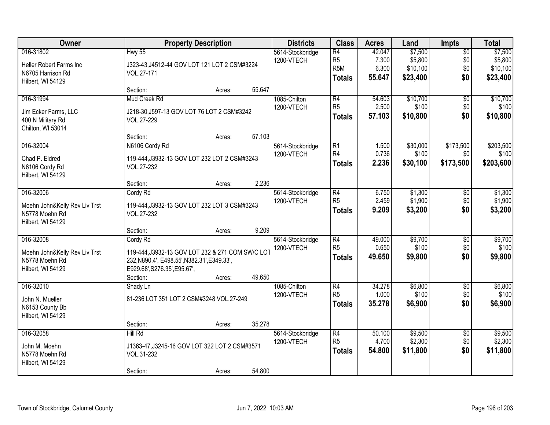| Owner                                                                             |                                                                                                                                                         | <b>Property Description</b> |        | <b>Districts</b>               | <b>Class</b>                                                           | <b>Acres</b>                       | Land                                       | Impts                                | <b>Total</b>                               |
|-----------------------------------------------------------------------------------|---------------------------------------------------------------------------------------------------------------------------------------------------------|-----------------------------|--------|--------------------------------|------------------------------------------------------------------------|------------------------------------|--------------------------------------------|--------------------------------------|--------------------------------------------|
| 016-31802<br>Heller Robert Farms Inc<br>N6705 Harrison Rd<br>Hilbert, WI 54129    | <b>Hwy 55</b><br>J323-43, J4512-44 GOV LOT 121 LOT 2 CSM#3224<br>VOL.27-171                                                                             |                             |        | 5614-Stockbridge<br>1200-VTECH | $\overline{R4}$<br>R <sub>5</sub><br>R <sub>5</sub> M<br><b>Totals</b> | 42.047<br>7.300<br>6.300<br>55.647 | \$7,500<br>\$5,800<br>\$10,100<br>\$23,400 | $\overline{50}$<br>\$0<br>\$0<br>\$0 | \$7,500<br>\$5,800<br>\$10,100<br>\$23,400 |
|                                                                                   | Section:                                                                                                                                                | Acres:                      | 55.647 |                                |                                                                        |                                    |                                            |                                      |                                            |
| 016-31994                                                                         | Mud Creek Rd                                                                                                                                            |                             |        | 1085-Chilton<br>1200-VTECH     | R4<br>R <sub>5</sub>                                                   | 54.603<br>2.500                    | \$10,700<br>\$100                          | $\overline{60}$<br>\$0               | \$10,700<br>\$100                          |
| Jim Ecker Farms, LLC<br>400 N Military Rd<br>Chilton, WI 53014                    | J218-30, J597-13 GOV LOT 76 LOT 2 CSM#3242<br>VOL.27-229                                                                                                |                             |        |                                | <b>Totals</b>                                                          | 57.103                             | \$10,800                                   | \$0                                  | \$10,800                                   |
|                                                                                   | Section:                                                                                                                                                | Acres:                      | 57.103 |                                |                                                                        |                                    |                                            |                                      |                                            |
| 016-32004<br>Chad P. Eldred<br>N6106 Cordy Rd<br>Hilbert, WI 54129                | N6106 Cordy Rd<br>119-444, J3932-13 GOV LOT 232 LOT 2 CSM#3243<br>VOL.27-232                                                                            |                             |        | 5614-Stockbridge<br>1200-VTECH | $\overline{R1}$<br>R4<br><b>Totals</b>                                 | 1.500<br>0.736<br>2.236            | \$30,000<br>\$100<br>\$30,100              | \$173,500<br>\$0<br>\$173,500        | \$203,500<br>\$100<br>\$203,600            |
|                                                                                   | Section:                                                                                                                                                | Acres:                      | 2.236  |                                |                                                                        |                                    |                                            |                                      |                                            |
| 016-32006<br>Moehn John&Kelly Rev Liv Trst<br>N5778 Moehn Rd<br>Hilbert, WI 54129 | Cordy Rd<br>119-444, J3932-13 GOV LOT 232 LOT 3 CSM#3243<br>VOL.27-232                                                                                  |                             |        | 5614-Stockbridge<br>1200-VTECH | R4<br>R <sub>5</sub><br><b>Totals</b>                                  | 6.750<br>2.459<br>9.209            | \$1,300<br>\$1,900<br>\$3,200              | $\sqrt[6]{}$<br>\$0<br>\$0           | \$1,300<br>\$1,900<br>\$3,200              |
|                                                                                   | Section:                                                                                                                                                | Acres:                      | 9.209  |                                |                                                                        |                                    |                                            |                                      |                                            |
| 016-32008<br>Moehn John&Kelly Rev Liv Trst<br>N5778 Moehn Rd<br>Hilbert, WI 54129 | Cordy Rd<br>119-444, J3932-13 GOV LOT 232 & 271 COM SW/C LOT<br>232, N890.4', E498.55', N382.31', E349.33',<br>E929.68', S276.35', E95.67',<br>Section: | Acres:                      | 49.650 | 5614-Stockbridge<br>1200-VTECH | $\overline{R4}$<br>R <sub>5</sub><br><b>Totals</b>                     | 49.000<br>0.650<br>49.650          | \$9,700<br>\$100<br>\$9,800                | $\overline{50}$<br>\$0<br>\$0        | \$9,700<br>\$100<br>\$9,800                |
| 016-32010<br>John N. Mueller<br>N6153 County Bb<br>Hilbert, WI 54129              | Shady Ln<br>81-236 LOT 351 LOT 2 CSM#3248 VOL.27-249<br>Section:                                                                                        | Acres:                      | 35.278 | 1085-Chilton<br>1200-VTECH     | $\overline{R4}$<br>R <sub>5</sub><br><b>Totals</b>                     | 34.278<br>1.000<br>35.278          | \$6,800<br>\$100<br>\$6,900                | $\overline{60}$<br>\$0<br>\$0        | \$6,800<br>\$100<br>\$6,900                |
| 016-32058<br>John M. Moehn<br>N5778 Moehn Rd<br>Hilbert, WI 54129                 | Hill Rd<br>J1363-47, J3245-16 GOV LOT 322 LOT 2 CSM#3571<br>VOL.31-232<br>Section:                                                                      | Acres:                      | 54.800 | 5614-Stockbridge<br>1200-VTECH | $\overline{R4}$<br>R <sub>5</sub><br><b>Totals</b>                     | 50.100<br>4.700<br>54.800          | \$9,500<br>\$2,300<br>\$11,800             | $\overline{50}$<br>\$0<br>\$0        | \$9,500<br>\$2,300<br>\$11,800             |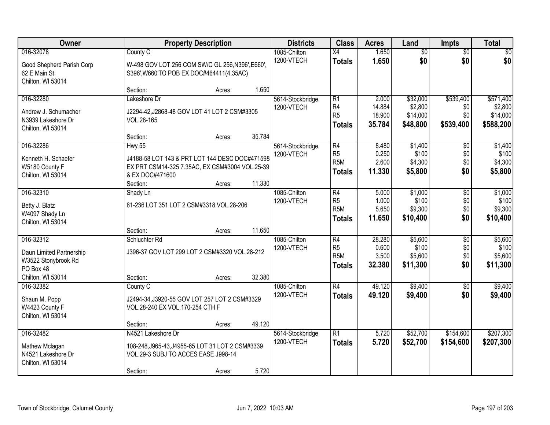| Owner                                                                        |                                                                                                                           | <b>Property Description</b> |        | <b>Districts</b>               | <b>Class</b>                                        | <b>Acres</b>                        | Land                                        | <b>Impts</b>                         | <b>Total</b>                                  |
|------------------------------------------------------------------------------|---------------------------------------------------------------------------------------------------------------------------|-----------------------------|--------|--------------------------------|-----------------------------------------------------|-------------------------------------|---------------------------------------------|--------------------------------------|-----------------------------------------------|
| 016-32078<br>Good Shepherd Parish Corp<br>62 E Main St<br>Chilton, WI 53014  | County C<br>W-498 GOV LOT 256 COM SW/C GL 256, N396', E660',<br>S396', W660'TO POB EX DOC#464411(4.35AC)                  |                             |        | 1085-Chilton<br>1200-VTECH     | $\overline{X4}$<br><b>Totals</b>                    | 1.650<br>1.650                      | $\overline{50}$<br>\$0                      | $\overline{50}$<br>\$0               | \$0<br>\$0                                    |
|                                                                              | Section:                                                                                                                  | Acres:                      | 1.650  |                                |                                                     |                                     |                                             |                                      |                                               |
| 016-32280<br>Andrew J. Schumacher<br>N3939 Lakeshore Dr<br>Chilton, WI 53014 | Lakeshore Dr<br>J2294-42, J2868-48 GOV LOT 41 LOT 2 CSM#3305<br>VOL.28-165<br>Section:                                    | Acres:                      | 35.784 | 5614-Stockbridge<br>1200-VTECH | R1<br>R4<br>R <sub>5</sub><br><b>Totals</b>         | 2.000<br>14.884<br>18.900<br>35.784 | \$32,000<br>\$2,800<br>\$14,000<br>\$48,800 | \$539,400<br>\$0<br>\$0<br>\$539,400 | \$571,400<br>\$2,800<br>\$14,000<br>\$588,200 |
| 016-32286                                                                    | <b>Hwy 55</b>                                                                                                             |                             |        | 5614-Stockbridge               | R4                                                  | 8.480                               | \$1,400                                     | \$0                                  | \$1,400                                       |
| Kenneth H. Schaefer<br>W5180 County F<br>Chilton, WI 53014                   | J4188-58 LOT 143 & PRT LOT 144 DESC DOC#471598<br>EX PRT CSM14-325 7.35AC, EX CSM#3004 VOL.25-39<br>& EX DOC#471600       |                             |        | 1200-VTECH                     | R <sub>5</sub><br>R <sub>5</sub> M<br><b>Totals</b> | 0.250<br>2.600<br>11.330            | \$100<br>\$4,300<br>\$5,800                 | \$0<br>\$0<br>\$0                    | \$100<br>\$4,300<br>\$5,800                   |
|                                                                              | Section:                                                                                                                  | Acres:                      | 11.330 |                                |                                                     |                                     |                                             |                                      |                                               |
| 016-32310<br>Betty J. Blatz<br>W4097 Shady Ln<br>Chilton, WI 53014           | Shady Ln<br>81-236 LOT 351 LOT 2 CSM#3318 VOL.28-206                                                                      |                             |        | 1085-Chilton<br>1200-VTECH     | R4<br>R5<br>R <sub>5M</sub><br><b>Totals</b>        | 5.000<br>1.000<br>5.650<br>11.650   | \$1,000<br>\$100<br>\$9,300<br>\$10,400     | \$0<br>\$0<br>\$0<br>\$0             | \$1,000<br>\$100<br>\$9,300<br>\$10,400       |
|                                                                              | Section:                                                                                                                  | Acres:                      | 11.650 |                                |                                                     |                                     |                                             |                                      |                                               |
| 016-32312<br>Daun Limited Partnership<br>W3522 Stonybrook Rd<br>PO Box 48    | Schluchter Rd<br>J396-37 GOV LOT 299 LOT 2 CSM#3320 VOL.28-212                                                            |                             |        | 1085-Chilton<br>1200-VTECH     | R4<br>R5<br>R <sub>5</sub> M<br><b>Totals</b>       | 28.280<br>0.600<br>3.500<br>32.380  | \$5,600<br>\$100<br>\$5,600<br>\$11,300     | $\overline{50}$<br>\$0<br>\$0<br>\$0 | \$5,600<br>\$100<br>\$5,600<br>\$11,300       |
| Chilton, WI 53014                                                            | Section:                                                                                                                  | Acres:                      | 32.380 |                                |                                                     |                                     |                                             |                                      |                                               |
| 016-32382<br>Shaun M. Popp<br>W4423 County F<br>Chilton, WI 53014            | County C<br>J2494-34, J3920-55 GOV LOT 257 LOT 2 CSM#3329<br>VOL.28-240 EX VOL.170-254 CTH F                              |                             |        | 1085-Chilton<br>1200-VTECH     | R4<br><b>Totals</b>                                 | 49.120<br>49.120                    | \$9,400<br>\$9,400                          | $\overline{50}$<br>\$0               | \$9,400<br>\$9,400                            |
|                                                                              | Section:                                                                                                                  | Acres:                      | 49.120 |                                |                                                     |                                     |                                             |                                      |                                               |
| 016-32482<br>Mathew Mclagan<br>N4521 Lakeshore Dr<br>Chilton, WI 53014       | N4521 Lakeshore Dr<br>108-248, J965-43, J4955-65 LOT 31 LOT 2 CSM#3339<br>VOL.29-3 SUBJ TO ACCES EASE J998-14<br>Section: | Acres:                      | 5.720  | 5614-Stockbridge<br>1200-VTECH | R1<br><b>Totals</b>                                 | 5.720<br>5.720                      | \$52,700<br>\$52,700                        | \$154,600<br>\$154,600               | \$207,300<br>\$207,300                        |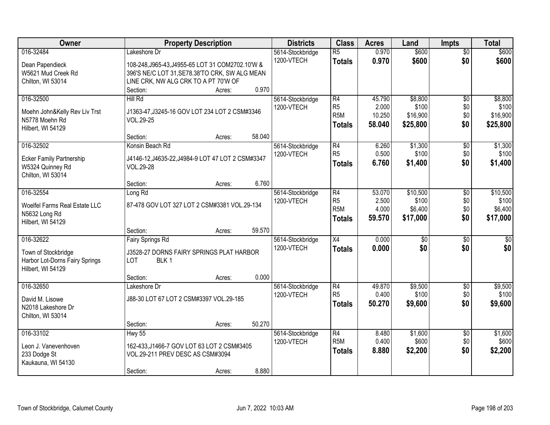| Owner                                                 | <b>Property Description</b>                                       |        |        | <b>Districts</b>               | <b>Class</b>                       | <b>Acres</b>    | Land              | <b>Impts</b>           | <b>Total</b>      |
|-------------------------------------------------------|-------------------------------------------------------------------|--------|--------|--------------------------------|------------------------------------|-----------------|-------------------|------------------------|-------------------|
| 016-32484<br>Dean Papendieck                          | Lakeshore Dr<br>108-248, J965-43, J4955-65 LOT 31 COM2702.10 'W & |        |        | 5614-Stockbridge<br>1200-VTECH | $\overline{R5}$<br><b>Totals</b>   | 0.970<br>0.970  | \$600<br>\$600    | $\overline{50}$<br>\$0 | \$600<br>\$600    |
| W5621 Mud Creek Rd                                    | 396'S NE/C LOT 31, SE78.38'TO CRK, SW ALG MEAN                    |        |        |                                |                                    |                 |                   |                        |                   |
| Chilton, WI 53014                                     | LINE CRK, NW ALG CRK TO A PT 70'W OF                              |        |        |                                |                                    |                 |                   |                        |                   |
|                                                       | Section:                                                          | Acres: | 0.970  |                                |                                    |                 |                   |                        |                   |
| 016-32500                                             | Hill Rd                                                           |        |        | 5614-Stockbridge               | R4                                 | 45.790          | \$8,800           | $\overline{50}$        | \$8,800           |
| Moehn John&Kelly Rev Liv Trst                         | J1363-47, J3245-16 GOV LOT 234 LOT 2 CSM#3346                     |        |        | 1200-VTECH                     | R <sub>5</sub><br>R <sub>5</sub> M | 2.000<br>10.250 | \$100<br>\$16,900 | \$0<br>\$0             | \$100<br>\$16,900 |
| N5778 Moehn Rd                                        | VOL.29-25                                                         |        |        |                                |                                    | 58.040          | \$25,800          | \$0                    | \$25,800          |
| Hilbert, WI 54129                                     |                                                                   |        |        |                                | <b>Totals</b>                      |                 |                   |                        |                   |
|                                                       | Section:                                                          | Acres: | 58.040 |                                |                                    |                 |                   |                        |                   |
| 016-32502                                             | Konsin Beach Rd                                                   |        |        | 5614-Stockbridge               | R4<br>R <sub>5</sub>               | 6.260<br>0.500  | \$1,300<br>\$100  | \$0                    | \$1,300           |
| <b>Ecker Family Partnership</b>                       | J4146-12, J4635-22, J4984-9 LOT 47 LOT 2 CSM#3347                 |        |        | 1200-VTECH                     | <b>Totals</b>                      | 6.760           | \$1,400           | \$0<br>\$0             | \$100<br>\$1,400  |
| W5324 Quinney Rd                                      | VOL.29-28                                                         |        |        |                                |                                    |                 |                   |                        |                   |
| Chilton, WI 53014                                     |                                                                   |        |        |                                |                                    |                 |                   |                        |                   |
| 016-32554                                             | Section:<br>Long Rd                                               | Acres: | 6.760  | 5614-Stockbridge               | R4                                 | 53.070          | \$10,500          | \$0                    | \$10,500          |
|                                                       |                                                                   |        |        | 1200-VTECH                     | R <sub>5</sub>                     | 2.500           | \$100             | \$0                    | \$100             |
| Woelfel Farms Real Estate LLC                         | 87-478 GOV LOT 327 LOT 2 CSM#3381 VOL.29-134                      |        |        |                                | R <sub>5M</sub>                    | 4.000           | \$6,400           | \$0                    | \$6,400           |
| N5632 Long Rd                                         |                                                                   |        |        |                                | <b>Totals</b>                      | 59.570          | \$17,000          | \$0                    | \$17,000          |
| Hilbert, WI 54129                                     | Section:                                                          | Acres: | 59.570 |                                |                                    |                 |                   |                        |                   |
| 016-32622                                             | <b>Fairy Springs Rd</b>                                           |        |        | 5614-Stockbridge               | $\overline{X4}$                    | 0.000           | $\overline{50}$   | $\overline{60}$        | \$0               |
|                                                       |                                                                   |        |        | 1200-VTECH                     | <b>Totals</b>                      | 0.000           | \$0               | \$0                    | \$0               |
| Town of Stockbridge<br>Harbor Lot-Dorns Fairy Springs | J3528-27 DORNS FAIRY SPRINGS PLAT HARBOR<br>BLK 1<br>LOT          |        |        |                                |                                    |                 |                   |                        |                   |
| Hilbert, WI 54129                                     |                                                                   |        |        |                                |                                    |                 |                   |                        |                   |
|                                                       | Section:                                                          | Acres: | 0.000  |                                |                                    |                 |                   |                        |                   |
| 016-32650                                             | Lakeshore Dr                                                      |        |        | 5614-Stockbridge               | R4<br>R <sub>5</sub>               | 49.870          | \$9,500           | $\sqrt{$0}$            | \$9,500           |
| David M. Lisowe                                       | J88-30 LOT 67 LOT 2 CSM#3397 VOL.29-185                           |        |        | 1200-VTECH                     |                                    | 0.400<br>50.270 | \$100<br>\$9,600  | \$0<br>\$0             | \$100<br>\$9,600  |
| N2018 Lakeshore Dr                                    |                                                                   |        |        |                                | <b>Totals</b>                      |                 |                   |                        |                   |
| Chilton, WI 53014                                     |                                                                   |        |        |                                |                                    |                 |                   |                        |                   |
| 016-33102                                             | Section:                                                          | Acres: | 50.270 |                                |                                    |                 |                   |                        |                   |
|                                                       | <b>Hwy 55</b>                                                     |        |        | 5614-Stockbridge<br>1200-VTECH | R4<br>R <sub>5M</sub>              | 8.480<br>0.400  | \$1,600<br>\$600  | $\overline{60}$<br>\$0 | \$1,600<br>\$600  |
| Leon J. Vanevenhoven                                  | 162-433, J1466-7 GOV LOT 63 LOT 2 CSM#3405                        |        |        |                                | <b>Totals</b>                      | 8.880           | \$2,200           | \$0                    | \$2,200           |
| 233 Dodge St                                          | VOL.29-211 PREV DESC AS CSM#3094                                  |        |        |                                |                                    |                 |                   |                        |                   |
| Kaukauna, WI 54130                                    | Section:                                                          |        | 8.880  |                                |                                    |                 |                   |                        |                   |
|                                                       |                                                                   | Acres: |        |                                |                                    |                 |                   |                        |                   |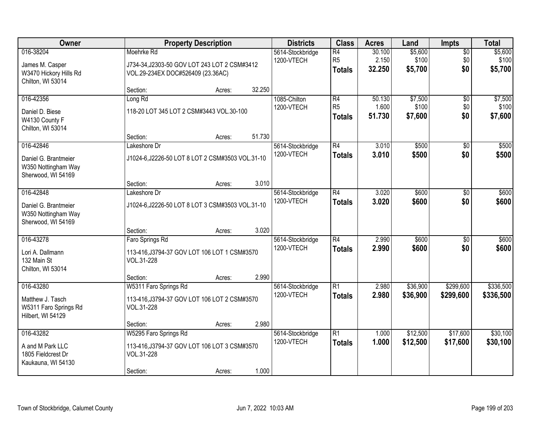| Owner                                                                          |                                                                                                 | <b>Property Description</b> |        | <b>Districts</b>               | <b>Class</b>                          | <b>Acres</b>              | Land                        | <b>Impts</b>                  | <b>Total</b>                |
|--------------------------------------------------------------------------------|-------------------------------------------------------------------------------------------------|-----------------------------|--------|--------------------------------|---------------------------------------|---------------------------|-----------------------------|-------------------------------|-----------------------------|
| 016-38204<br>James M. Casper<br>W3470 Hickory Hills Rd<br>Chilton, WI 53014    | Moehrke Rd<br>J734-34, J2303-50 GOV LOT 243 LOT 2 CSM#3412<br>VOL.29-234EX DOC#526409 (23.36AC) |                             |        | 5614-Stockbridge<br>1200-VTECH | R4<br>R <sub>5</sub><br><b>Totals</b> | 30.100<br>2.150<br>32.250 | \$5,600<br>\$100<br>\$5,700 | $\overline{50}$<br>\$0<br>\$0 | \$5,600<br>\$100<br>\$5,700 |
|                                                                                | Section:                                                                                        | Acres:                      | 32.250 |                                |                                       |                           |                             |                               |                             |
| 016-42356<br>Daniel D. Biese<br>W4130 County F<br>Chilton, WI 53014            | Long Rd<br>118-20 LOT 345 LOT 2 CSM#3443 VOL.30-100                                             |                             |        | 1085-Chilton<br>1200-VTECH     | R4<br>R <sub>5</sub><br><b>Totals</b> | 50.130<br>1.600<br>51.730 | \$7,500<br>\$100<br>\$7,600 | $\overline{50}$<br>\$0<br>\$0 | \$7,500<br>\$100<br>\$7,600 |
|                                                                                | Section:                                                                                        | Acres:                      | 51.730 |                                |                                       |                           |                             |                               |                             |
| 016-42846<br>Daniel G. Brantmeier<br>W350 Nottingham Way<br>Sherwood, WI 54169 | Lakeshore Dr<br>J1024-6, J2226-50 LOT 8 LOT 2 CSM#3503 VOL.31-10                                |                             |        | 5614-Stockbridge<br>1200-VTECH | R4<br><b>Totals</b>                   | 3.010<br>3.010            | \$500<br>\$500              | $\sqrt[6]{}$<br>\$0           | \$500<br>\$500              |
|                                                                                | Section:                                                                                        | Acres:                      | 3.010  |                                |                                       |                           |                             |                               |                             |
| 016-42848<br>Daniel G. Brantmeier<br>W350 Nottingham Way<br>Sherwood, WI 54169 | Lakeshore Dr<br>J1024-6, J2226-50 LOT 8 LOT 3 CSM#3503 VOL.31-10                                |                             |        | 5614-Stockbridge<br>1200-VTECH | R4<br><b>Totals</b>                   | 3.020<br>3.020            | \$600<br>\$600              | $\frac{1}{20}$<br>\$0         | \$600<br>\$600              |
|                                                                                | Section:                                                                                        | Acres:                      | 3.020  |                                |                                       |                           |                             |                               |                             |
| 016-43278<br>Lori A. Dallmann<br>132 Main St<br>Chilton, WI 53014              | Faro Springs Rd<br>113-416, J3794-37 GOV LOT 106 LOT 1 CSM#3570<br>VOL.31-228                   |                             |        | 5614-Stockbridge<br>1200-VTECH | R4<br>Totals                          | 2.990<br>2.990            | \$600<br>\$600              | $\overline{50}$<br>\$0        | \$600<br>\$600              |
| 016-43280                                                                      | Section:<br>W5311 Faro Springs Rd                                                               | Acres:                      | 2.990  | 5614-Stockbridge               | $\overline{R1}$                       | 2.980                     | \$36,900                    | \$299,600                     | \$336,500                   |
| Matthew J. Tasch<br>W5311 Faro Springs Rd<br>Hilbert, WI 54129                 | 113-416, J3794-37 GOV LOT 106 LOT 2 CSM#3570<br>VOL.31-228                                      |                             |        | 1200-VTECH                     | <b>Totals</b>                         | 2.980                     | \$36,900                    | \$299,600                     | \$336,500                   |
|                                                                                | Section:                                                                                        | Acres:                      | 2.980  |                                |                                       |                           |                             |                               |                             |
| 016-43282<br>A and M Park LLC<br>1805 Fieldcrest Dr<br>Kaukauna, WI 54130      | W5295 Faro Springs Rd<br>113-416, J3794-37 GOV LOT 106 LOT 3 CSM#3570<br>VOL.31-228<br>Section: | Acres:                      | 1.000  | 5614-Stockbridge<br>1200-VTECH | $\overline{R1}$<br><b>Totals</b>      | 1.000<br>1.000            | \$12,500<br>\$12,500        | \$17,600<br>\$17,600          | \$30,100<br>\$30,100        |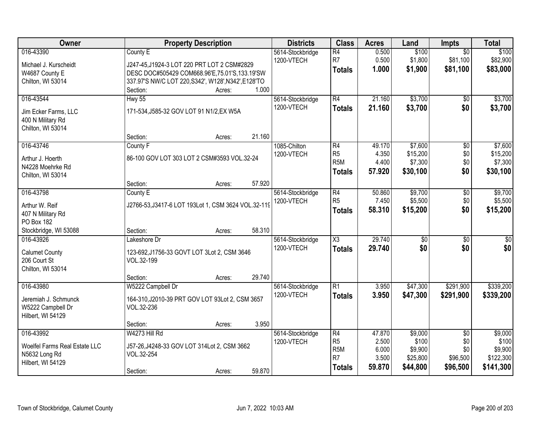| Owner                                          | <b>Property Description</b>                               |        |        | <b>Districts</b> | <b>Class</b>           | <b>Acres</b> | Land            | <b>Impts</b>    | <b>Total</b>     |
|------------------------------------------------|-----------------------------------------------------------|--------|--------|------------------|------------------------|--------------|-----------------|-----------------|------------------|
| 016-43390                                      | County E                                                  |        |        | 5614-Stockbridge | $\overline{R4}$        | 0.500        | \$100           | $\overline{50}$ | \$100            |
| Michael J. Kurscheidt                          | J247-45, J1924-3 LOT 220 PRT LOT 2 CSM#2829               |        |        | 1200-VTECH       | R7                     | 0.500        | \$1,800         | \$81,100        | \$82,900         |
| W4687 County E                                 | DESC DOC#505429 COM668.96'E,75.01'S,133.19'SW             |        |        |                  | <b>Totals</b>          | 1.000        | \$1,900         | \$81,100        | \$83,000         |
| Chilton, WI 53014                              | 337.97'S NW/C LOT 220, S342', W128', N342', E128'TO       |        |        |                  |                        |              |                 |                 |                  |
|                                                | Section:                                                  | Acres: | 1.000  |                  |                        |              |                 |                 |                  |
| 016-43544                                      | <b>Hwy 55</b>                                             |        |        | 5614-Stockbridge | $\overline{R4}$        | 21.160       | \$3,700         | \$0             | \$3,700          |
| Jim Ecker Farms, LLC                           | 171-534, J585-32 GOV LOT 91 N1/2, EX W5A                  |        |        | 1200-VTECH       | <b>Totals</b>          | 21.160       | \$3,700         | \$0             | \$3,700          |
| 400 N Military Rd                              |                                                           |        |        |                  |                        |              |                 |                 |                  |
| Chilton, WI 53014                              |                                                           |        |        |                  |                        |              |                 |                 |                  |
|                                                | Section:                                                  | Acres: | 21.160 |                  |                        |              |                 |                 |                  |
| 016-43746                                      | County <sub>F</sub>                                       |        |        | 1085-Chilton     | $\overline{R4}$        | 49.170       | \$7,600         | \$0             | \$7,600          |
| Arthur J. Hoerth                               | 86-100 GOV LOT 303 LOT 2 CSM#3593 VOL.32-24               |        |        | 1200-VTECH       | R <sub>5</sub>         | 4.350        | \$15,200        | \$0             | \$15,200         |
| N4228 Moehrke Rd                               |                                                           |        |        |                  | R <sub>5</sub> M       | 4.400        | \$7,300         | \$0             | \$7,300          |
| Chilton, WI 53014                              |                                                           |        |        |                  | <b>Totals</b>          | 57.920       | \$30,100        | \$0             | \$30,100         |
|                                                | Section:                                                  | Acres: | 57.920 |                  |                        |              |                 |                 |                  |
| 016-43798                                      | County E                                                  |        |        | 5614-Stockbridge | R4                     | 50.860       | \$9,700         | \$0             | \$9,700          |
| Arthur W. Reif                                 | J2766-53, J3417-6 LOT 193Lot 1, CSM 3624 VOL.32-119       |        |        | 1200-VTECH       | R <sub>5</sub>         | 7.450        | \$5,500         | \$0             | \$5,500          |
| 407 N Military Rd                              |                                                           |        |        |                  | <b>Totals</b>          | 58.310       | \$15,200        | \$0             | \$15,200         |
| PO Box 182                                     |                                                           |        |        |                  |                        |              |                 |                 |                  |
| Stockbridge, WI 53088                          | Section:                                                  | Acres: | 58.310 |                  |                        |              |                 |                 |                  |
| 016-43926                                      | Lakeshore Dr                                              |        |        | 5614-Stockbridge | $\overline{\text{X3}}$ | 29.740       | $\overline{50}$ | $\overline{50}$ | $\overline{\$0}$ |
|                                                |                                                           |        |        | 1200-VTECH       | <b>Totals</b>          | 29.740       | \$0             | \$0             | \$0              |
| <b>Calumet County</b><br>206 Court St          | 123-692, J1756-33 GOVT LOT 3Lot 2, CSM 3646<br>VOL.32-199 |        |        |                  |                        |              |                 |                 |                  |
| Chilton, WI 53014                              |                                                           |        |        |                  |                        |              |                 |                 |                  |
|                                                | Section:                                                  | Acres: | 29.740 |                  |                        |              |                 |                 |                  |
| 016-43980                                      | W5222 Campbell Dr                                         |        |        | 5614-Stockbridge | $\overline{R1}$        | 3.950        | \$47,300        | \$291,900       | \$339,200        |
| Jeremiah J. Schmunck                           | 164-310, J2010-39 PRT GOV LOT 93Lot 2, CSM 3657           |        |        | 1200-VTECH       | <b>Totals</b>          | 3.950        | \$47,300        | \$291,900       | \$339,200        |
| W5222 Campbell Dr                              | VOL.32-236                                                |        |        |                  |                        |              |                 |                 |                  |
| Hilbert, WI 54129                              |                                                           |        |        |                  |                        |              |                 |                 |                  |
|                                                | Section:                                                  | Acres: | 3.950  |                  |                        |              |                 |                 |                  |
| 016-43992                                      | W4273 Hill Rd                                             |        |        | 5614-Stockbridge | $\overline{R4}$        | 47.870       | \$9,000         | $\overline{50}$ | \$9,000          |
|                                                |                                                           |        |        | 1200-VTECH       | R <sub>5</sub>         | 2.500        | \$100           | \$0             | \$100            |
| Woelfel Farms Real Estate LLC<br>N5632 Long Rd | J57-26, J4248-33 GOV LOT 314Lot 2, CSM 3662<br>VOL.32-254 |        |        |                  | R <sub>5</sub> M       | 6.000        | \$9,900         | \$0             | \$9,900          |
| Hilbert, WI 54129                              |                                                           |        |        |                  | R <sub>7</sub>         | 3.500        | \$25,800        | \$96,500        | \$122,300        |
|                                                | Section:                                                  | Acres: | 59.870 |                  | <b>Totals</b>          | 59.870       | \$44,800        | \$96,500        | \$141,300        |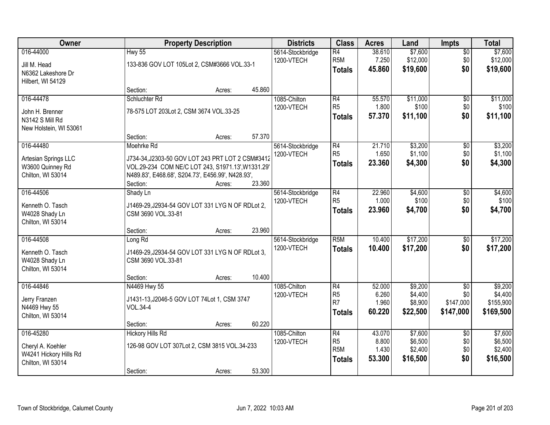| Owner                                                                         |                                                                                                                                                                                      | <b>Property Description</b> |        | <b>Districts</b>               | <b>Class</b>                                             | <b>Acres</b>                       | Land                                      | <b>Impts</b>                                     | <b>Total</b>                                 |
|-------------------------------------------------------------------------------|--------------------------------------------------------------------------------------------------------------------------------------------------------------------------------------|-----------------------------|--------|--------------------------------|----------------------------------------------------------|------------------------------------|-------------------------------------------|--------------------------------------------------|----------------------------------------------|
| 016-44000<br>Jill M. Head<br>N6362 Lakeshore Dr<br>Hilbert, WI 54129          | <b>Hwy 55</b><br>133-836 GOV LOT 105Lot 2, CSM#3666 VOL.33-1                                                                                                                         |                             |        | 5614-Stockbridge<br>1200-VTECH | R4<br>R <sub>5M</sub><br><b>Totals</b>                   | 38.610<br>7.250<br>45.860          | \$7,600<br>\$12,000<br>\$19,600           | $\sqrt{$0}$<br>\$0<br>\$0                        | \$7,600<br>\$12,000<br>\$19,600              |
|                                                                               | Section:                                                                                                                                                                             | Acres:                      | 45.860 |                                |                                                          |                                    |                                           |                                                  |                                              |
| 016-44478                                                                     | Schluchter Rd                                                                                                                                                                        |                             |        | 1085-Chilton                   | R4                                                       | 55.570                             | \$11,000                                  | $\overline{50}$                                  | \$11,000                                     |
| John H. Brenner<br>N3142 S Mill Rd<br>New Holstein, WI 53061                  | 78-575 LOT 203Lot 2, CSM 3674 VOL.33-25                                                                                                                                              |                             |        | 1200-VTECH                     | R <sub>5</sub><br><b>Totals</b>                          | 1.800<br>57.370                    | \$100<br>\$11,100                         | \$0<br>\$0                                       | \$100<br>\$11,100                            |
|                                                                               | Section:                                                                                                                                                                             | Acres:                      | 57.370 |                                |                                                          |                                    |                                           |                                                  |                                              |
| 016-44480<br>Artesian Springs LLC<br>W3600 Quinney Rd<br>Chilton, WI 53014    | Moehrke Rd<br>J734-34, J2303-50 GOV LOT 243 PRT LOT 2 CSM#3412<br>VOL.29-234 COM NE/C LOT 243, S1971.13', W1331.29'<br>N489.83', E468.68', S204.73', E456.99', N428.93',<br>Section: | Acres:                      | 23.360 | 5614-Stockbridge<br>1200-VTECH | R4<br>R <sub>5</sub><br><b>Totals</b>                    | 21.710<br>1.650<br>23.360          | \$3,200<br>\$1,100<br>\$4,300             | \$0<br>\$0<br>\$0                                | \$3,200<br>\$1,100<br>\$4,300                |
| 016-44506                                                                     | Shady Ln                                                                                                                                                                             |                             |        | 5614-Stockbridge               | R4                                                       | 22.960                             | \$4,600                                   | $\sqrt[6]{3}$                                    | \$4,600                                      |
| Kenneth O. Tasch<br>W4028 Shady Ln<br>Chilton, WI 53014                       | J1469-29, J2934-54 GOV LOT 331 LYG N OF RDLot 2,<br>CSM 3690 VOL.33-81                                                                                                               |                             |        | 1200-VTECH                     | R <sub>5</sub><br><b>Totals</b>                          | 1.000<br>23.960                    | \$100<br>\$4,700                          | \$0<br>\$0                                       | \$100<br>\$4,700                             |
|                                                                               | Section:                                                                                                                                                                             | Acres:                      | 23.960 |                                |                                                          |                                    |                                           |                                                  |                                              |
| 016-44508<br>Kenneth O. Tasch<br>W4028 Shady Ln<br>Chilton, WI 53014          | Long Rd<br>J1469-29, J2934-54 GOV LOT 331 LYG N OF RDLot 3,<br>CSM 3690 VOL.33-81                                                                                                    |                             |        | 5614-Stockbridge<br>1200-VTECH | R5M<br><b>Totals</b>                                     | 10.400<br>10.400                   | \$17,200<br>\$17,200                      | $\overline{50}$<br>\$0                           | \$17,200<br>\$17,200                         |
|                                                                               | Section:                                                                                                                                                                             | Acres:                      | 10.400 |                                |                                                          |                                    |                                           |                                                  |                                              |
| 016-44846<br>Jerry Franzen<br>N4469 Hwy 55<br>Chilton, WI 53014               | N4469 Hwy 55<br>J1431-13, J2046-5 GOV LOT 74Lot 1, CSM 3747<br><b>VOL.34-4</b>                                                                                                       |                             |        | 1085-Chilton<br>1200-VTECH     | R4<br>R <sub>5</sub><br>R7<br>Totals                     | 52.000<br>6.260<br>1.960<br>60.220 | \$9,200<br>\$4,400<br>\$8,900<br>\$22,500 | $\overline{50}$<br>\$0<br>\$147,000<br>\$147,000 | \$9,200<br>\$4,400<br>\$155,900<br>\$169,500 |
|                                                                               | Section:                                                                                                                                                                             | Acres:                      | 60.220 |                                |                                                          |                                    |                                           |                                                  |                                              |
| 016-45280<br>Cheryl A. Koehler<br>W4241 Hickory Hills Rd<br>Chilton, WI 53014 | <b>Hickory Hills Rd</b><br>126-98 GOV LOT 307Lot 2, CSM 3815 VOL.34-233<br>Section:                                                                                                  | Acres:                      | 53.300 | 1085-Chilton<br>1200-VTECH     | R4<br>R <sub>5</sub><br>R <sub>5M</sub><br><b>Totals</b> | 43.070<br>8.800<br>1.430<br>53.300 | \$7,600<br>\$6,500<br>\$2,400<br>\$16,500 | $\overline{50}$<br>\$0<br>\$0<br>\$0             | \$7,600<br>\$6,500<br>\$2,400<br>\$16,500    |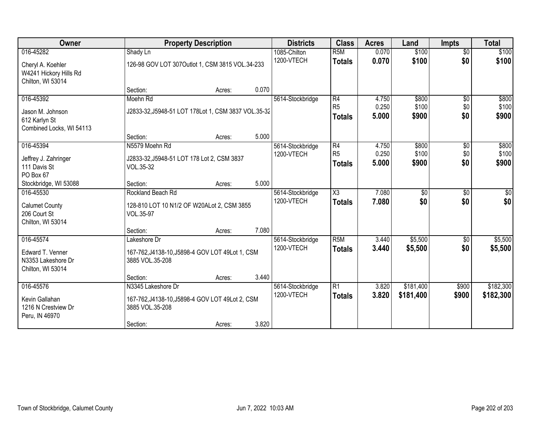| <b>Owner</b>                                |                                                     | <b>Property Description</b> |       | <b>Districts</b> | <b>Class</b>           | <b>Acres</b> | Land      | <b>Impts</b>    | <b>Total</b>    |
|---------------------------------------------|-----------------------------------------------------|-----------------------------|-------|------------------|------------------------|--------------|-----------|-----------------|-----------------|
| 016-45282                                   | Shady Ln                                            |                             |       | 1085-Chilton     | R <sub>5</sub> M       | 0.070        | \$100     | $\overline{50}$ | \$100           |
| Cheryl A. Koehler<br>W4241 Hickory Hills Rd | 126-98 GOV LOT 307Outlot 1, CSM 3815 VOL.34-233     |                             |       | 1200-VTECH       | <b>Totals</b>          | 0.070        | \$100     | \$0             | \$100           |
| Chilton, WI 53014                           |                                                     |                             |       |                  |                        |              |           |                 |                 |
|                                             | Section:                                            | Acres:                      | 0.070 |                  |                        |              |           |                 |                 |
| 016-45392                                   | Moehn Rd                                            |                             |       | 5614-Stockbridge | R4                     | 4.750        | \$800     | \$0             | \$800           |
| Jason M. Johnson                            | J2833-32, J5948-51 LOT 178Lot 1, CSM 3837 VOL.35-32 |                             |       |                  | R <sub>5</sub>         | 0.250        | \$100     | \$0\$           | \$100           |
| 612 Karlyn St                               |                                                     |                             |       |                  | <b>Totals</b>          | 5.000        | \$900     | \$0             | \$900           |
| Combined Locks, WI 54113                    |                                                     |                             |       |                  |                        |              |           |                 |                 |
|                                             | Section:                                            | Acres:                      | 5.000 |                  |                        |              |           |                 |                 |
| 016-45394                                   | N5579 Moehn Rd                                      |                             |       | 5614-Stockbridge | R4                     | 4.750        | \$800     | \$0             | \$800           |
| Jeffrey J. Zahringer                        | J2833-32, J5948-51 LOT 178 Lot 2, CSM 3837          |                             |       | 1200-VTECH       | R <sub>5</sub>         | 0.250        | \$100     | \$0\$           | \$100           |
| 111 Davis St                                | VOL.35-32                                           |                             |       |                  | <b>Totals</b>          | 5.000        | \$900     | \$0             | \$900           |
| PO Box 67                                   |                                                     |                             |       |                  |                        |              |           |                 |                 |
| Stockbridge, WI 53088                       | Section:                                            | Acres:                      | 5.000 |                  |                        |              |           |                 |                 |
| 016-45530                                   | Rockland Beach Rd                                   |                             |       | 5614-Stockbridge | $\overline{\text{X3}}$ | 7.080        | \$0       | \$0             | $\overline{50}$ |
| <b>Calumet County</b>                       | 128-810 LOT 10 N1/2 OF W20ALot 2, CSM 3855          |                             |       | 1200-VTECH       | <b>Totals</b>          | 7.080        | \$0       | \$0             | \$0             |
| 206 Court St                                | VOL.35-97                                           |                             |       |                  |                        |              |           |                 |                 |
| Chilton, WI 53014                           |                                                     |                             |       |                  |                        |              |           |                 |                 |
|                                             | Section:                                            | Acres:                      | 7.080 |                  |                        |              |           |                 |                 |
| 016-45574                                   | Lakeshore Dr                                        |                             |       | 5614-Stockbridge | R <sub>5</sub> M       | 3.440        | \$5,500   | \$0             | \$5,500         |
| Edward T. Venner                            | 167-762, J4138-10, J5898-4 GOV LOT 49Lot 1, CSM     |                             |       | 1200-VTECH       | <b>Totals</b>          | 3.440        | \$5,500   | \$0             | \$5,500         |
| N3353 Lakeshore Dr                          | 3885 VOL.35-208                                     |                             |       |                  |                        |              |           |                 |                 |
| Chilton, WI 53014                           |                                                     |                             |       |                  |                        |              |           |                 |                 |
|                                             | Section:                                            | Acres:                      | 3.440 |                  |                        |              |           |                 |                 |
| 016-45576                                   | N3345 Lakeshore Dr                                  |                             |       | 5614-Stockbridge | $\overline{R1}$        | 3.820        | \$181,400 | \$900           | \$182,300       |
| Kevin Gallahan                              | 167-762, J4138-10, J5898-4 GOV LOT 49Lot 2, CSM     |                             |       | 1200-VTECH       | <b>Totals</b>          | 3.820        | \$181,400 | \$900           | \$182,300       |
| 1216 N Crestview Dr                         | 3885 VOL.35-208                                     |                             |       |                  |                        |              |           |                 |                 |
| Peru, IN 46970                              |                                                     |                             |       |                  |                        |              |           |                 |                 |
|                                             | Section:                                            | Acres:                      | 3.820 |                  |                        |              |           |                 |                 |